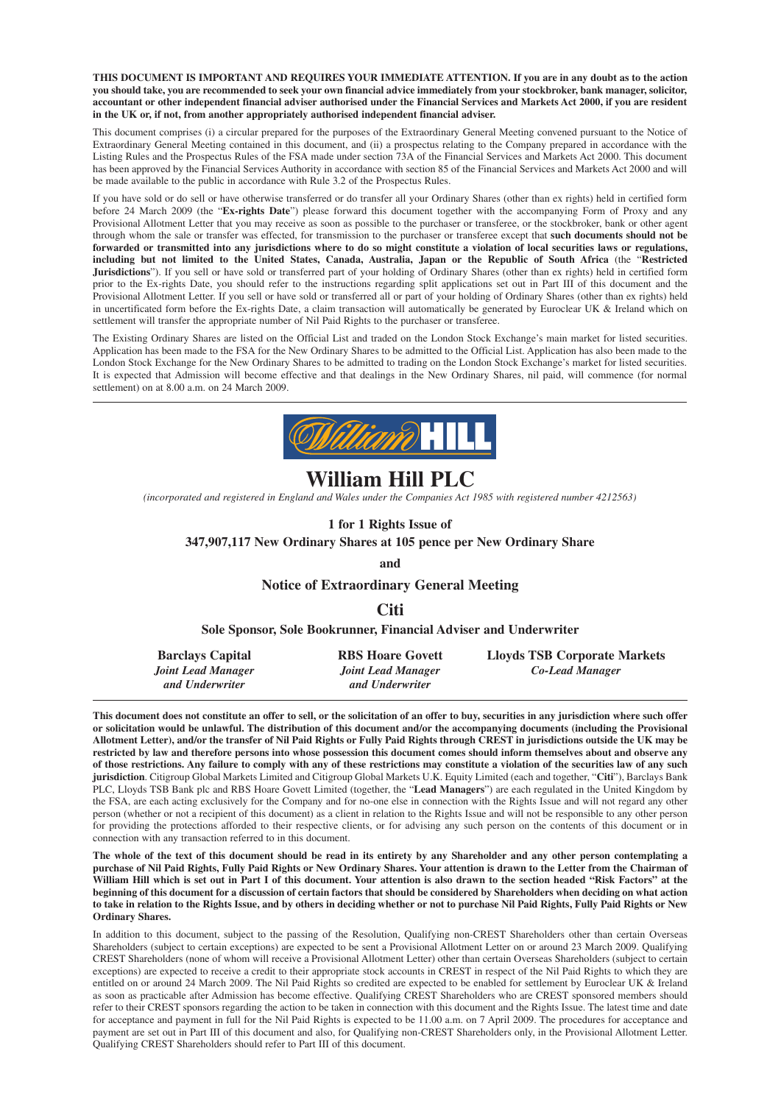**THIS DOCUMENT IS IMPORTANT AND REQUIRES YOUR IMMEDIATE ATTENTION. If you are in any doubt as to the action you should take, you are recommended to seek your own financial advice immediately from your stockbroker, bank manager, solicitor, accountant or other independent financial adviser authorised under the Financial Services and Markets Act 2000, if you are resident in the UK or, if not, from another appropriately authorised independent financial adviser.**

This document comprises (i) a circular prepared for the purposes of the Extraordinary General Meeting convened pursuant to the Notice of Extraordinary General Meeting contained in this document, and (ii) a prospectus relating to the Company prepared in accordance with the Listing Rules and the Prospectus Rules of the FSA made under section 73A of the Financial Services and Markets Act 2000. This document has been approved by the Financial Services Authority in accordance with section 85 of the Financial Services and Markets Act 2000 and will be made available to the public in accordance with Rule 3.2 of the Prospectus Rules.

If you have sold or do sell or have otherwise transferred or do transfer all your Ordinary Shares (other than ex rights) held in certified form before 24 March 2009 (the "**Ex-rights Date**") please forward this document together with the accompanying Form of Proxy and any Provisional Allotment Letter that you may receive as soon as possible to the purchaser or transferee, or the stockbroker, bank or other agent through whom the sale or transfer was effected, for transmission to the purchaser or transferee except that **such documents should not be forwarded or transmitted into any jurisdictions where to do so might constitute a violation of local securities laws or regulations, including but not limited to the United States, Canada, Australia, Japan or the Republic of South Africa** (the "**Restricted Jurisdictions**"). If you sell or have sold or transferred part of your holding of Ordinary Shares (other than ex rights) held in certified form prior to the Ex-rights Date, you should refer to the instructions regarding split applications set out in Part III of this document and the Provisional Allotment Letter. If you sell or have sold or transferred all or part of your holding of Ordinary Shares (other than ex rights) held in uncertificated form before the Ex-rights Date, a claim transaction will automatically be generated by Euroclear UK & Ireland which on settlement will transfer the appropriate number of Nil Paid Rights to the purchaser or transferee.

The Existing Ordinary Shares are listed on the Official List and traded on the London Stock Exchange's main market for listed securities. Application has been made to the FSA for the New Ordinary Shares to be admitted to the Official List. Application has also been made to the London Stock Exchange for the New Ordinary Shares to be admitted to trading on the London Stock Exchange's market for listed securities. It is expected that Admission will become effective and that dealings in the New Ordinary Shares, nil paid, will commence (for normal settlement) on at 8.00 a.m. on 24 March 2009.



## **William Hill PLC**

*(incorporated and registered in England and Wales under the Companies Act 1985 with registered number 4212563)*

**1 for 1 Rights Issue of**

#### **347,907,117 New Ordinary Shares at 105 pence per New Ordinary Share**

**and**

#### **Notice of Extraordinary General Meeting**

**Citi**

#### **Sole Sponsor, Sole Bookrunner, Financial Adviser and Underwriter**

| <b>Barclays Capital</b> | <b>RBS Hoare Govett</b> | <b>Lloyds TSB Corporate Markets</b> |
|-------------------------|-------------------------|-------------------------------------|
| Joint Lead Manager      | Joint Lead Manager      | Co-Lead Manager                     |
| and Underwriter         | and Underwriter         |                                     |

**This document does not constitute an offer to sell, or the solicitation of an offer to buy, securities in any jurisdiction where such offer or solicitation would be unlawful. The distribution of this document and/or the accompanying documents (including the Provisional Allotment Letter), and/or the transfer of Nil Paid Rights or Fully Paid Rights through CREST in jurisdictions outside the UK may be restricted by law and therefore persons into whose possession this document comes should inform themselves about and observe any of those restrictions. Any failure to comply with any of these restrictions may constitute a violation of the securities law of any such jurisdiction**. Citigroup Global Markets Limited and Citigroup Global Markets U.K. Equity Limited (each and together, "**Citi**"), Barclays Bank PLC, Lloyds TSB Bank plc and RBS Hoare Govett Limited (together, the "**Lead Managers**") are each regulated in the United Kingdom by the FSA, are each acting exclusively for the Company and for no-one else in connection with the Rights Issue and will not regard any other person (whether or not a recipient of this document) as a client in relation to the Rights Issue and will not be responsible to any other person for providing the protections afforded to their respective clients, or for advising any such person on the contents of this document or in connection with any transaction referred to in this document.

**The whole of the text of this document should be read in its entirety by any Shareholder and any other person contemplating a purchase of Nil Paid Rights, Fully Paid Rights or New Ordinary Shares. Your attention is drawn to the Letter from the Chairman of William Hill which is set out in Part I of this document. Your attention is also drawn to the section headed "Risk Factors" at the beginning of this document for a discussion of certain factors that should be considered by Shareholders when deciding on what action to take in relation to the Rights Issue, and by others in deciding whether or not to purchase Nil Paid Rights, Fully Paid Rights or New Ordinary Shares.**

In addition to this document, subject to the passing of the Resolution, Qualifying non-CREST Shareholders other than certain Overseas Shareholders (subject to certain exceptions) are expected to be sent a Provisional Allotment Letter on or around 23 March 2009. Qualifying CREST Shareholders (none of whom will receive a Provisional Allotment Letter) other than certain Overseas Shareholders (subject to certain exceptions) are expected to receive a credit to their appropriate stock accounts in CREST in respect of the Nil Paid Rights to which they are entitled on or around 24 March 2009. The Nil Paid Rights so credited are expected to be enabled for settlement by Euroclear UK & Ireland as soon as practicable after Admission has become effective. Qualifying CREST Shareholders who are CREST sponsored members should refer to their CREST sponsors regarding the action to be taken in connection with this document and the Rights Issue. The latest time and date for acceptance and payment in full for the Nil Paid Rights is expected to be 11.00 a.m. on 7 April 2009. The procedures for acceptance and payment are set out in Part III of this document and also, for Qualifying non-CREST Shareholders only, in the Provisional Allotment Letter. Qualifying CREST Shareholders should refer to Part III of this document.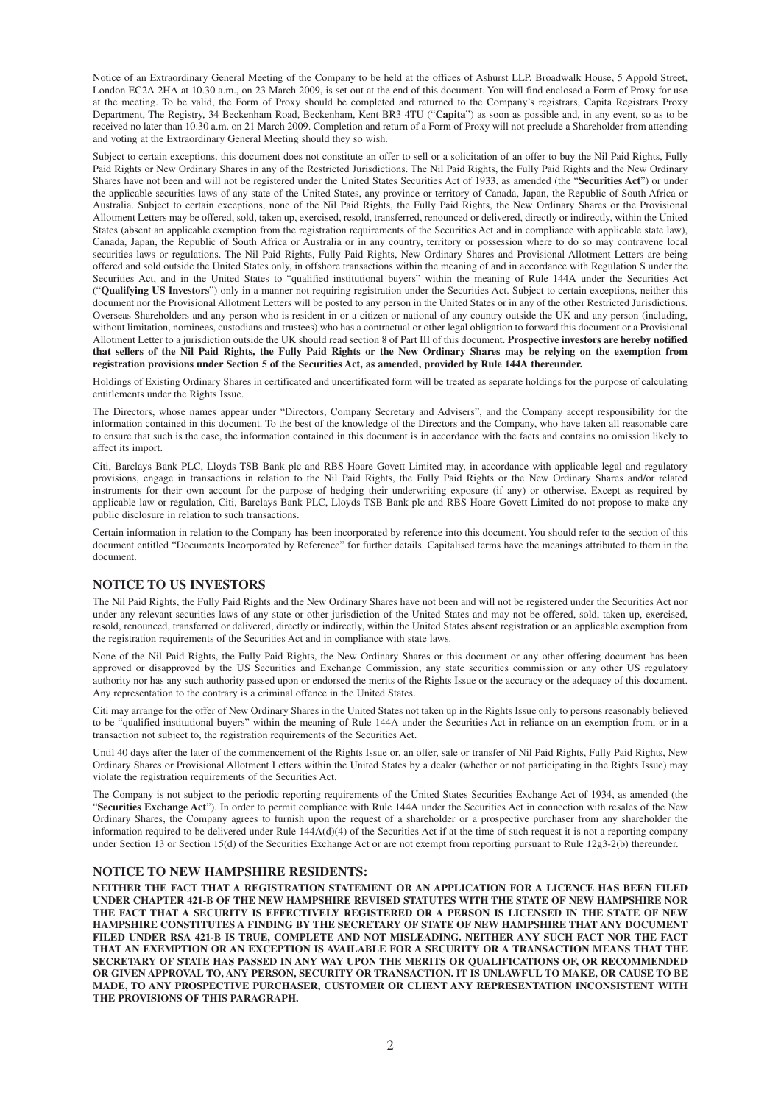Notice of an Extraordinary General Meeting of the Company to be held at the offices of Ashurst LLP, Broadwalk House, 5 Appold Street, London EC2A 2HA at 10.30 a.m., on 23 March 2009, is set out at the end of this document. You will find enclosed a Form of Proxy for use at the meeting. To be valid, the Form of Proxy should be completed and returned to the Company's registrars, Capita Registrars Proxy Department, The Registry, 34 Beckenham Road, Beckenham, Kent BR3 4TU ("**Capita**") as soon as possible and, in any event, so as to be received no later than 10.30 a.m. on 21 March 2009. Completion and return of a Form of Proxy will not preclude a Shareholder from attending and voting at the Extraordinary General Meeting should they so wish.

Subject to certain exceptions, this document does not constitute an offer to sell or a solicitation of an offer to buy the Nil Paid Rights, Fully Paid Rights or New Ordinary Shares in any of the Restricted Jurisdictions. The Nil Paid Rights, the Fully Paid Rights and the New Ordinary Shares have not been and will not be registered under the United States Securities Act of 1933, as amended (the "**Securities Act**") or under the applicable securities laws of any state of the United States, any province or territory of Canada, Japan, the Republic of South Africa or Australia. Subject to certain exceptions, none of the Nil Paid Rights, the Fully Paid Rights, the New Ordinary Shares or the Provisional Allotment Letters may be offered, sold, taken up, exercised, resold, transferred, renounced or delivered, directly or indirectly, within the United States (absent an applicable exemption from the registration requirements of the Securities Act and in compliance with applicable state law), Canada, Japan, the Republic of South Africa or Australia or in any country, territory or possession where to do so may contravene local securities laws or regulations. The Nil Paid Rights, Fully Paid Rights, New Ordinary Shares and Provisional Allotment Letters are being offered and sold outside the United States only, in offshore transactions within the meaning of and in accordance with Regulation S under the Securities Act, and in the United States to "qualified institutional buyers" within the meaning of Rule 144A under the Securities Act ("**Qualifying US Investors**") only in a manner not requiring registration under the Securities Act. Subject to certain exceptions, neither this document nor the Provisional Allotment Letters will be posted to any person in the United States or in any of the other Restricted Jurisdictions. Overseas Shareholders and any person who is resident in or a citizen or national of any country outside the UK and any person (including, without limitation, nominees, custodians and trustees) who has a contractual or other legal obligation to forward this document or a Provisional Allotment Letter to a jurisdiction outside the UK should read section 8 of Part III of this document. **Prospective investors are hereby notified that sellers of the Nil Paid Rights, the Fully Paid Rights or the New Ordinary Shares may be relying on the exemption from registration provisions under Section 5 of the Securities Act, as amended, provided by Rule 144A thereunder.**

Holdings of Existing Ordinary Shares in certificated and uncertificated form will be treated as separate holdings for the purpose of calculating entitlements under the Rights Issue.

The Directors, whose names appear under "Directors, Company Secretary and Advisers", and the Company accept responsibility for the information contained in this document. To the best of the knowledge of the Directors and the Company, who have taken all reasonable care to ensure that such is the case, the information contained in this document is in accordance with the facts and contains no omission likely to affect its import.

Citi, Barclays Bank PLC, Lloyds TSB Bank plc and RBS Hoare Govett Limited may, in accordance with applicable legal and regulatory provisions, engage in transactions in relation to the Nil Paid Rights, the Fully Paid Rights or the New Ordinary Shares and/or related instruments for their own account for the purpose of hedging their underwriting exposure (if any) or otherwise. Except as required by applicable law or regulation, Citi, Barclays Bank PLC, Lloyds TSB Bank plc and RBS Hoare Govett Limited do not propose to make any public disclosure in relation to such transactions.

Certain information in relation to the Company has been incorporated by reference into this document. You should refer to the section of this document entitled "Documents Incorporated by Reference" for further details. Capitalised terms have the meanings attributed to them in the document.

#### **NOTICE TO US INVESTORS**

The Nil Paid Rights, the Fully Paid Rights and the New Ordinary Shares have not been and will not be registered under the Securities Act nor under any relevant securities laws of any state or other jurisdiction of the United States and may not be offered, sold, taken up, exercised, resold, renounced, transferred or delivered, directly or indirectly, within the United States absent registration or an applicable exemption from the registration requirements of the Securities Act and in compliance with state laws.

None of the Nil Paid Rights, the Fully Paid Rights, the New Ordinary Shares or this document or any other offering document has been approved or disapproved by the US Securities and Exchange Commission, any state securities commission or any other US regulatory authority nor has any such authority passed upon or endorsed the merits of the Rights Issue or the accuracy or the adequacy of this document. Any representation to the contrary is a criminal offence in the United States.

Citi may arrange for the offer of New Ordinary Shares in the United States not taken up in the Rights Issue only to persons reasonably believed to be "qualified institutional buyers" within the meaning of Rule 144A under the Securities Act in reliance on an exemption from, or in a transaction not subject to, the registration requirements of the Securities Act.

Until 40 days after the later of the commencement of the Rights Issue or, an offer, sale or transfer of Nil Paid Rights, Fully Paid Rights, New Ordinary Shares or Provisional Allotment Letters within the United States by a dealer (whether or not participating in the Rights Issue) may violate the registration requirements of the Securities Act.

The Company is not subject to the periodic reporting requirements of the United States Securities Exchange Act of 1934, as amended (the "**Securities Exchange Act**"). In order to permit compliance with Rule 144A under the Securities Act in connection with resales of the New Ordinary Shares, the Company agrees to furnish upon the request of a shareholder or a prospective purchaser from any shareholder the information required to be delivered under Rule 144A(d)(4) of the Securities Act if at the time of such request it is not a reporting company under Section 13 or Section 15(d) of the Securities Exchange Act or are not exempt from reporting pursuant to Rule 12g3-2(b) thereunder.

#### **NOTICE TO NEW HAMPSHIRE RESIDENTS:**

**NEITHER THE FACT THAT A REGISTRATION STATEMENT OR AN APPLICATION FOR A LICENCE HAS BEEN FILED UNDER CHAPTER 421-B OF THE NEW HAMPSHIRE REVISED STATUTES WITH THE STATE OF NEW HAMPSHIRE NOR THE FACT THAT A SECURITY IS EFFECTIVELY REGISTERED OR A PERSON IS LICENSED IN THE STATE OF NEW HAMPSHIRE CONSTITUTES A FINDING BY THE SECRETARY OF STATE OF NEW HAMPSHIRE THAT ANY DOCUMENT FILED UNDER RSA 421-B IS TRUE, COMPLETE AND NOT MISLEADING. NEITHER ANY SUCH FACT NOR THE FACT THAT AN EXEMPTION OR AN EXCEPTION IS AVAILABLE FOR A SECURITY OR A TRANSACTION MEANS THAT THE SECRETARY OF STATE HAS PASSED IN ANY WAY UPON THE MERITS OR QUALIFICATIONS OF, OR RECOMMENDED OR GIVEN APPROVAL TO, ANY PERSON, SECURITY OR TRANSACTION. IT IS UNLAWFUL TO MAKE, OR CAUSE TO BE MADE, TO ANY PROSPECTIVE PURCHASER, CUSTOMER OR CLIENT ANY REPRESENTATION INCONSISTENT WITH THE PROVISIONS OF THIS PARAGRAPH.**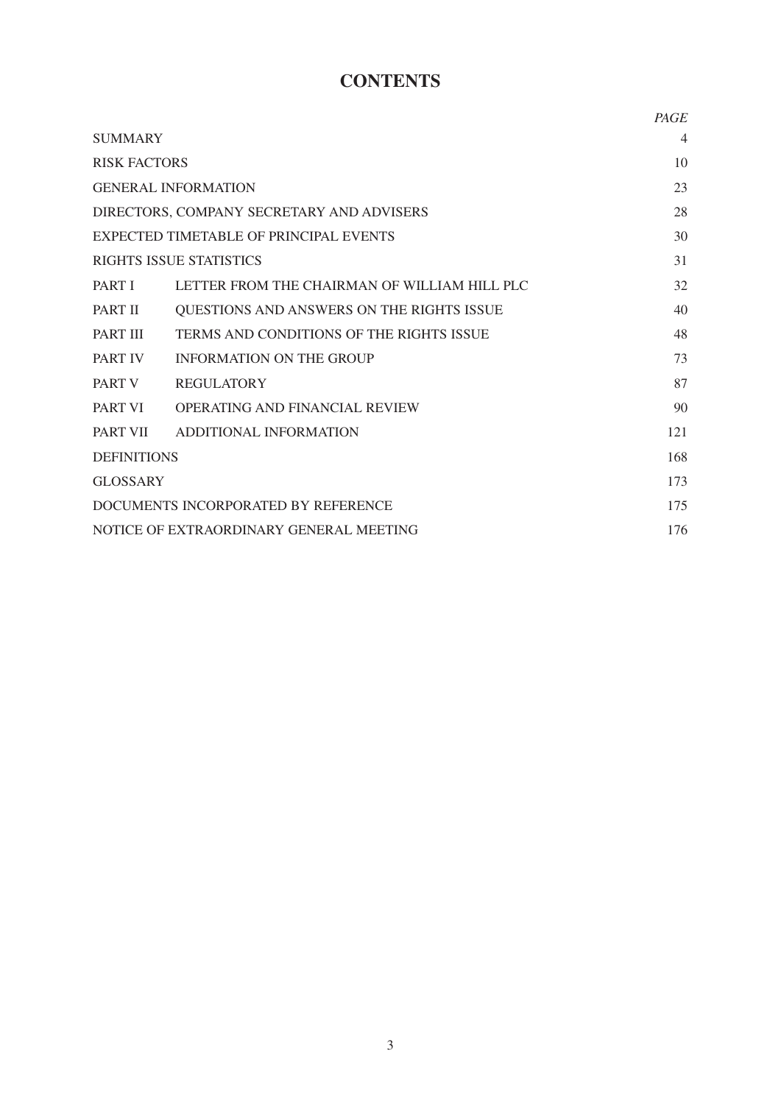# **CONTENTS**

|                                           |                                              | PAGE           |
|-------------------------------------------|----------------------------------------------|----------------|
| <b>SUMMARY</b>                            |                                              | $\overline{4}$ |
| <b>RISK FACTORS</b>                       |                                              | 10             |
| <b>GENERAL INFORMATION</b>                |                                              | 23             |
| DIRECTORS, COMPANY SECRETARY AND ADVISERS |                                              | 28             |
| EXPECTED TIMETABLE OF PRINCIPAL EVENTS    |                                              | 30             |
|                                           | <b>RIGHTS ISSUE STATISTICS</b>               | 31             |
| <b>PART I</b>                             | LETTER FROM THE CHAIRMAN OF WILLIAM HILL PLC | 32             |
| PART II                                   | QUESTIONS AND ANSWERS ON THE RIGHTS ISSUE    | 40             |
| PART III                                  | TERMS AND CONDITIONS OF THE RIGHTS ISSUE     | 48             |
| <b>PART IV</b>                            | <b>INFORMATION ON THE GROUP</b>              | 73             |
| PART V                                    | <b>REGULATORY</b>                            | 87             |
| <b>PART VI</b>                            | <b>OPERATING AND FINANCIAL REVIEW</b>        | 90             |
| PART VII                                  | ADDITIONAL INFORMATION                       | 121            |
| <b>DEFINITIONS</b>                        |                                              | 168            |
| <b>GLOSSARY</b>                           |                                              | 173            |
| DOCUMENTS INCORPORATED BY REFERENCE       |                                              | 175            |
| NOTICE OF EXTRAORDINARY GENERAL MEETING   |                                              | 176            |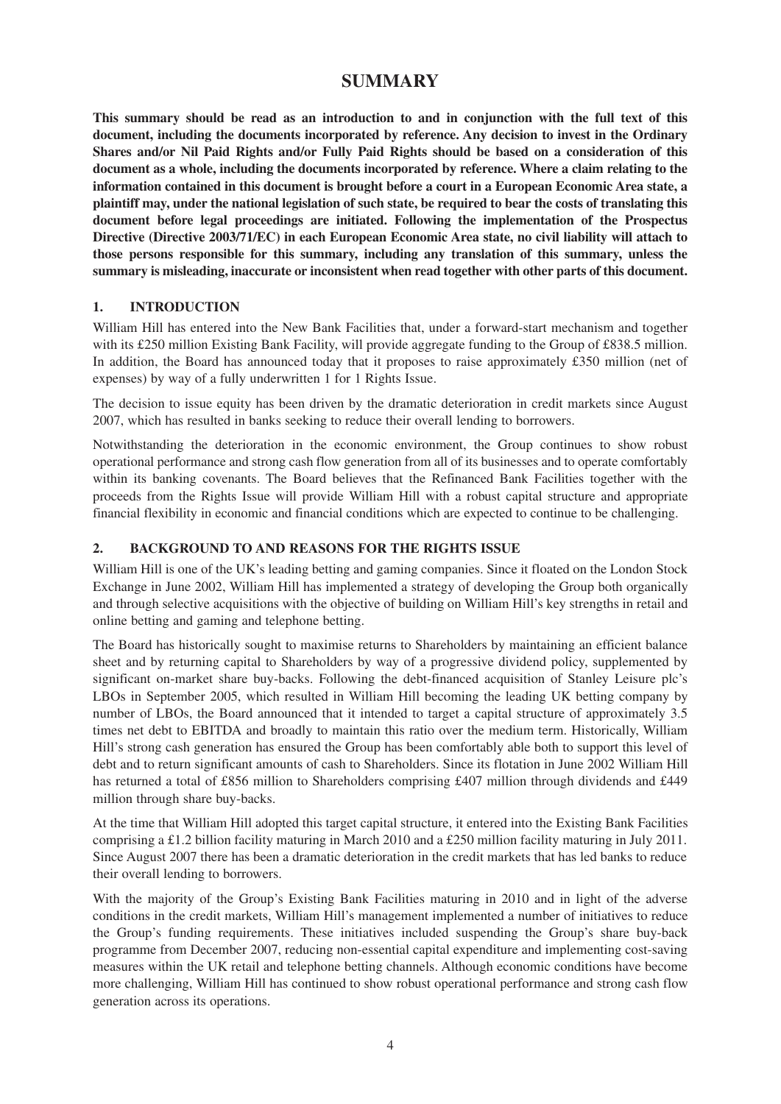## **SUMMARY**

**This summary should be read as an introduction to and in conjunction with the full text of this document, including the documents incorporated by reference. Any decision to invest in the Ordinary Shares and/or Nil Paid Rights and/or Fully Paid Rights should be based on a consideration of this document as a whole, including the documents incorporated by reference. Where a claim relating to the information contained in this document is brought before a court in a European Economic Area state, a plaintiff may, under the national legislation of such state, be required to bear the costs of translating this document before legal proceedings are initiated. Following the implementation of the Prospectus Directive (Directive 2003/71/EC) in each European Economic Area state, no civil liability will attach to those persons responsible for this summary, including any translation of this summary, unless the summary is misleading, inaccurate or inconsistent when read together with other parts of this document.**

#### **1. INTRODUCTION**

William Hill has entered into the New Bank Facilities that, under a forward-start mechanism and together with its £250 million Existing Bank Facility, will provide aggregate funding to the Group of £838.5 million. In addition, the Board has announced today that it proposes to raise approximately £350 million (net of expenses) by way of a fully underwritten 1 for 1 Rights Issue.

The decision to issue equity has been driven by the dramatic deterioration in credit markets since August 2007, which has resulted in banks seeking to reduce their overall lending to borrowers.

Notwithstanding the deterioration in the economic environment, the Group continues to show robust operational performance and strong cash flow generation from all of its businesses and to operate comfortably within its banking covenants. The Board believes that the Refinanced Bank Facilities together with the proceeds from the Rights Issue will provide William Hill with a robust capital structure and appropriate financial flexibility in economic and financial conditions which are expected to continue to be challenging.

#### **2. BACKGROUND TO AND REASONS FOR THE RIGHTS ISSUE**

William Hill is one of the UK's leading betting and gaming companies. Since it floated on the London Stock Exchange in June 2002, William Hill has implemented a strategy of developing the Group both organically and through selective acquisitions with the objective of building on William Hill's key strengths in retail and online betting and gaming and telephone betting.

The Board has historically sought to maximise returns to Shareholders by maintaining an efficient balance sheet and by returning capital to Shareholders by way of a progressive dividend policy, supplemented by significant on-market share buy-backs. Following the debt-financed acquisition of Stanley Leisure plc's LBOs in September 2005, which resulted in William Hill becoming the leading UK betting company by number of LBOs, the Board announced that it intended to target a capital structure of approximately 3.5 times net debt to EBITDA and broadly to maintain this ratio over the medium term. Historically, William Hill's strong cash generation has ensured the Group has been comfortably able both to support this level of debt and to return significant amounts of cash to Shareholders. Since its flotation in June 2002 William Hill has returned a total of £856 million to Shareholders comprising £407 million through dividends and £449 million through share buy-backs.

At the time that William Hill adopted this target capital structure, it entered into the Existing Bank Facilities comprising a £1.2 billion facility maturing in March 2010 and a £250 million facility maturing in July 2011. Since August 2007 there has been a dramatic deterioration in the credit markets that has led banks to reduce their overall lending to borrowers.

With the majority of the Group's Existing Bank Facilities maturing in 2010 and in light of the adverse conditions in the credit markets, William Hill's management implemented a number of initiatives to reduce the Group's funding requirements. These initiatives included suspending the Group's share buy-back programme from December 2007, reducing non-essential capital expenditure and implementing cost-saving measures within the UK retail and telephone betting channels. Although economic conditions have become more challenging, William Hill has continued to show robust operational performance and strong cash flow generation across its operations.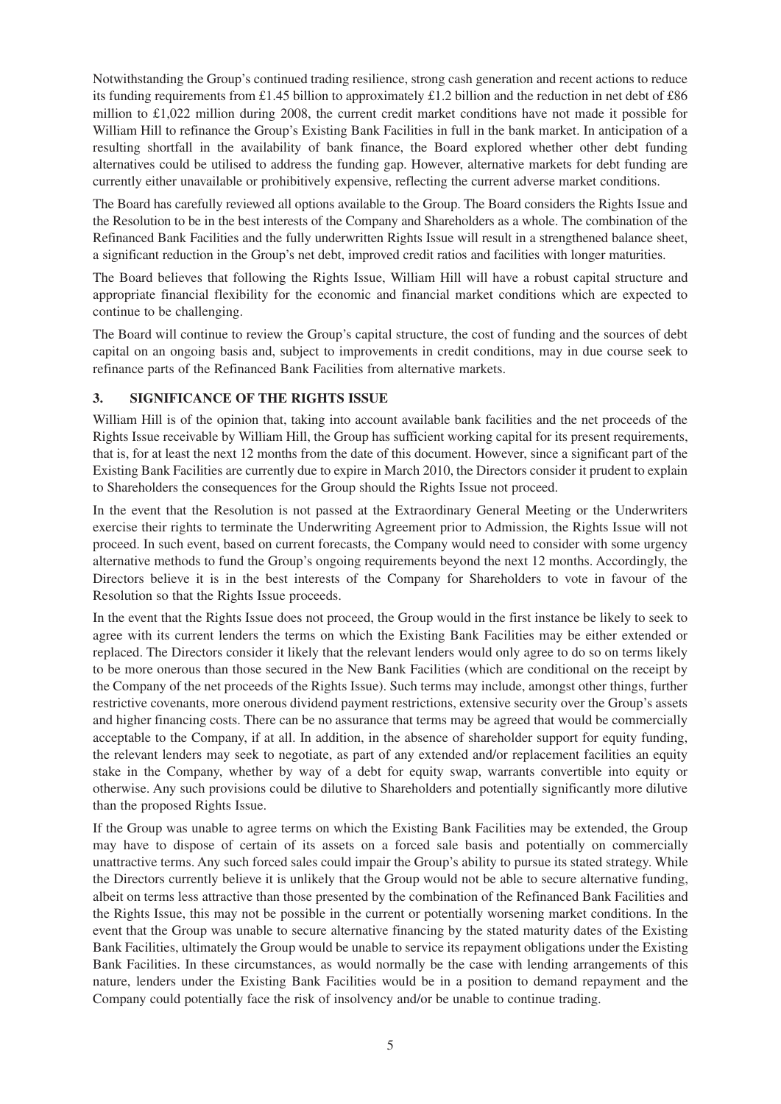Notwithstanding the Group's continued trading resilience, strong cash generation and recent actions to reduce its funding requirements from £1.45 billion to approximately £1.2 billion and the reduction in net debt of £86 million to £1,022 million during 2008, the current credit market conditions have not made it possible for William Hill to refinance the Group's Existing Bank Facilities in full in the bank market. In anticipation of a resulting shortfall in the availability of bank finance, the Board explored whether other debt funding alternatives could be utilised to address the funding gap. However, alternative markets for debt funding are currently either unavailable or prohibitively expensive, reflecting the current adverse market conditions.

The Board has carefully reviewed all options available to the Group. The Board considers the Rights Issue and the Resolution to be in the best interests of the Company and Shareholders as a whole. The combination of the Refinanced Bank Facilities and the fully underwritten Rights Issue will result in a strengthened balance sheet, a significant reduction in the Group's net debt, improved credit ratios and facilities with longer maturities.

The Board believes that following the Rights Issue, William Hill will have a robust capital structure and appropriate financial flexibility for the economic and financial market conditions which are expected to continue to be challenging.

The Board will continue to review the Group's capital structure, the cost of funding and the sources of debt capital on an ongoing basis and, subject to improvements in credit conditions, may in due course seek to refinance parts of the Refinanced Bank Facilities from alternative markets.

#### **3. SIGNIFICANCE OF THE RIGHTS ISSUE**

William Hill is of the opinion that, taking into account available bank facilities and the net proceeds of the Rights Issue receivable by William Hill, the Group has sufficient working capital for its present requirements, that is, for at least the next 12 months from the date of this document. However, since a significant part of the Existing Bank Facilities are currently due to expire in March 2010, the Directors consider it prudent to explain to Shareholders the consequences for the Group should the Rights Issue not proceed.

In the event that the Resolution is not passed at the Extraordinary General Meeting or the Underwriters exercise their rights to terminate the Underwriting Agreement prior to Admission, the Rights Issue will not proceed. In such event, based on current forecasts, the Company would need to consider with some urgency alternative methods to fund the Group's ongoing requirements beyond the next 12 months. Accordingly, the Directors believe it is in the best interests of the Company for Shareholders to vote in favour of the Resolution so that the Rights Issue proceeds.

In the event that the Rights Issue does not proceed, the Group would in the first instance be likely to seek to agree with its current lenders the terms on which the Existing Bank Facilities may be either extended or replaced. The Directors consider it likely that the relevant lenders would only agree to do so on terms likely to be more onerous than those secured in the New Bank Facilities (which are conditional on the receipt by the Company of the net proceeds of the Rights Issue). Such terms may include, amongst other things, further restrictive covenants, more onerous dividend payment restrictions, extensive security over the Group's assets and higher financing costs. There can be no assurance that terms may be agreed that would be commercially acceptable to the Company, if at all. In addition, in the absence of shareholder support for equity funding, the relevant lenders may seek to negotiate, as part of any extended and/or replacement facilities an equity stake in the Company, whether by way of a debt for equity swap, warrants convertible into equity or otherwise. Any such provisions could be dilutive to Shareholders and potentially significantly more dilutive than the proposed Rights Issue.

If the Group was unable to agree terms on which the Existing Bank Facilities may be extended, the Group may have to dispose of certain of its assets on a forced sale basis and potentially on commercially unattractive terms. Any such forced sales could impair the Group's ability to pursue its stated strategy. While the Directors currently believe it is unlikely that the Group would not be able to secure alternative funding, albeit on terms less attractive than those presented by the combination of the Refinanced Bank Facilities and the Rights Issue, this may not be possible in the current or potentially worsening market conditions. In the event that the Group was unable to secure alternative financing by the stated maturity dates of the Existing Bank Facilities, ultimately the Group would be unable to service its repayment obligations under the Existing Bank Facilities. In these circumstances, as would normally be the case with lending arrangements of this nature, lenders under the Existing Bank Facilities would be in a position to demand repayment and the Company could potentially face the risk of insolvency and/or be unable to continue trading.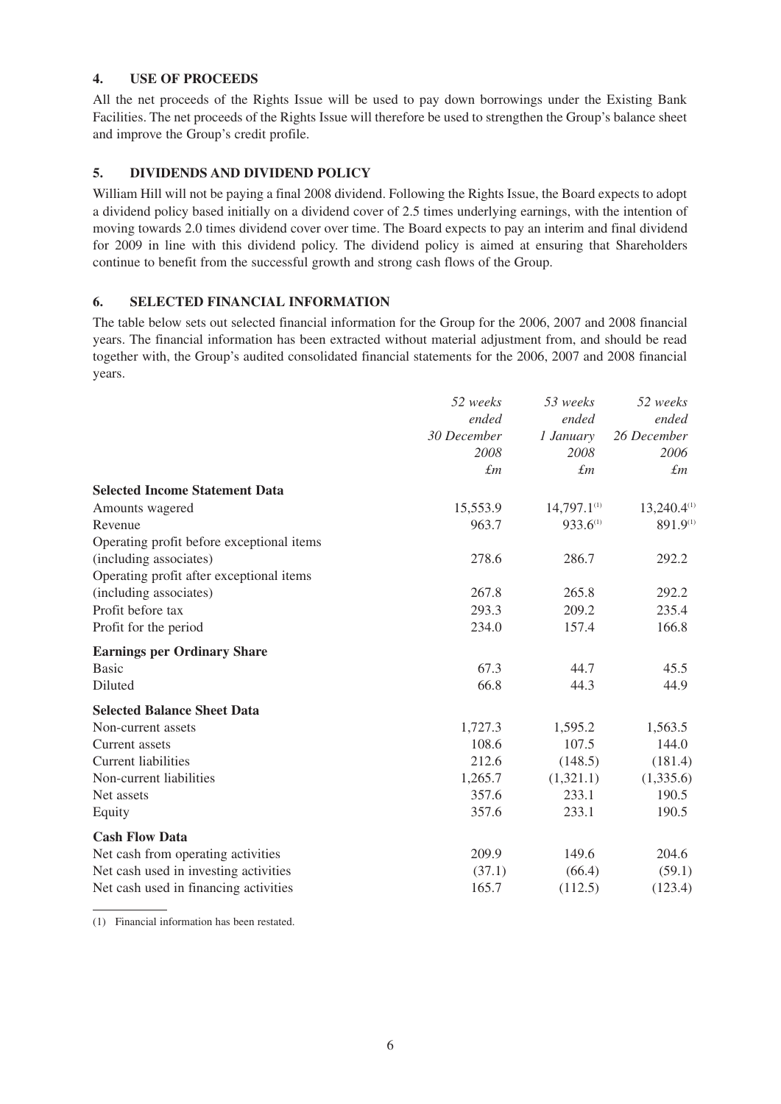#### **4. USE OF PROCEEDS**

All the net proceeds of the Rights Issue will be used to pay down borrowings under the Existing Bank Facilities. The net proceeds of the Rights Issue will therefore be used to strengthen the Group's balance sheet and improve the Group's credit profile.

#### **5. DIVIDENDS AND DIVIDEND POLICY**

William Hill will not be paying a final 2008 dividend. Following the Rights Issue, the Board expects to adopt a dividend policy based initially on a dividend cover of 2.5 times underlying earnings, with the intention of moving towards 2.0 times dividend cover over time. The Board expects to pay an interim and final dividend for 2009 in line with this dividend policy. The dividend policy is aimed at ensuring that Shareholders continue to benefit from the successful growth and strong cash flows of the Group.

#### **6. SELECTED FINANCIAL INFORMATION**

The table below sets out selected financial information for the Group for the 2006, 2007 and 2008 financial years. The financial information has been extracted without material adjustment from, and should be read together with, the Group's audited consolidated financial statements for the 2006, 2007 and 2008 financial years.

|                                           | 52 weeks    | 53 weeks         | 52 weeks         |
|-------------------------------------------|-------------|------------------|------------------|
|                                           | ended       | ended            | ended            |
|                                           | 30 December | 1 January        | 26 December      |
|                                           | 2008        | 2008             | 2006             |
|                                           | $\pounds$ m | $\pounds m$      | $\pounds m$      |
| <b>Selected Income Statement Data</b>     |             |                  |                  |
| Amounts wagered                           | 15,553.9    | $14,797.1^{(1)}$ | $13,240.4^{(1)}$ |
| Revenue                                   | 963.7       | 933.6(1)         | 891.9(1)         |
| Operating profit before exceptional items |             |                  |                  |
| (including associates)                    | 278.6       | 286.7            | 292.2            |
| Operating profit after exceptional items  |             |                  |                  |
| (including associates)                    | 267.8       | 265.8            | 292.2            |
| Profit before tax                         | 293.3       | 209.2            | 235.4            |
| Profit for the period                     | 234.0       | 157.4            | 166.8            |
| <b>Earnings per Ordinary Share</b>        |             |                  |                  |
| <b>Basic</b>                              | 67.3        | 44.7             | 45.5             |
| Diluted                                   | 66.8        | 44.3             | 44.9             |
| <b>Selected Balance Sheet Data</b>        |             |                  |                  |
| Non-current assets                        | 1,727.3     | 1,595.2          | 1,563.5          |
| Current assets                            | 108.6       | 107.5            | 144.0            |
| <b>Current liabilities</b>                | 212.6       | (148.5)          | (181.4)          |
| Non-current liabilities                   | 1,265.7     | (1,321.1)        | (1,335.6)        |
| Net assets                                | 357.6       | 233.1            | 190.5            |
| Equity                                    | 357.6       | 233.1            | 190.5            |
| <b>Cash Flow Data</b>                     |             |                  |                  |
| Net cash from operating activities        | 209.9       | 149.6            | 204.6            |
| Net cash used in investing activities     | (37.1)      | (66.4)           | (59.1)           |
| Net cash used in financing activities     | 165.7       | (112.5)          | (123.4)          |

(1) Financial information has been restated.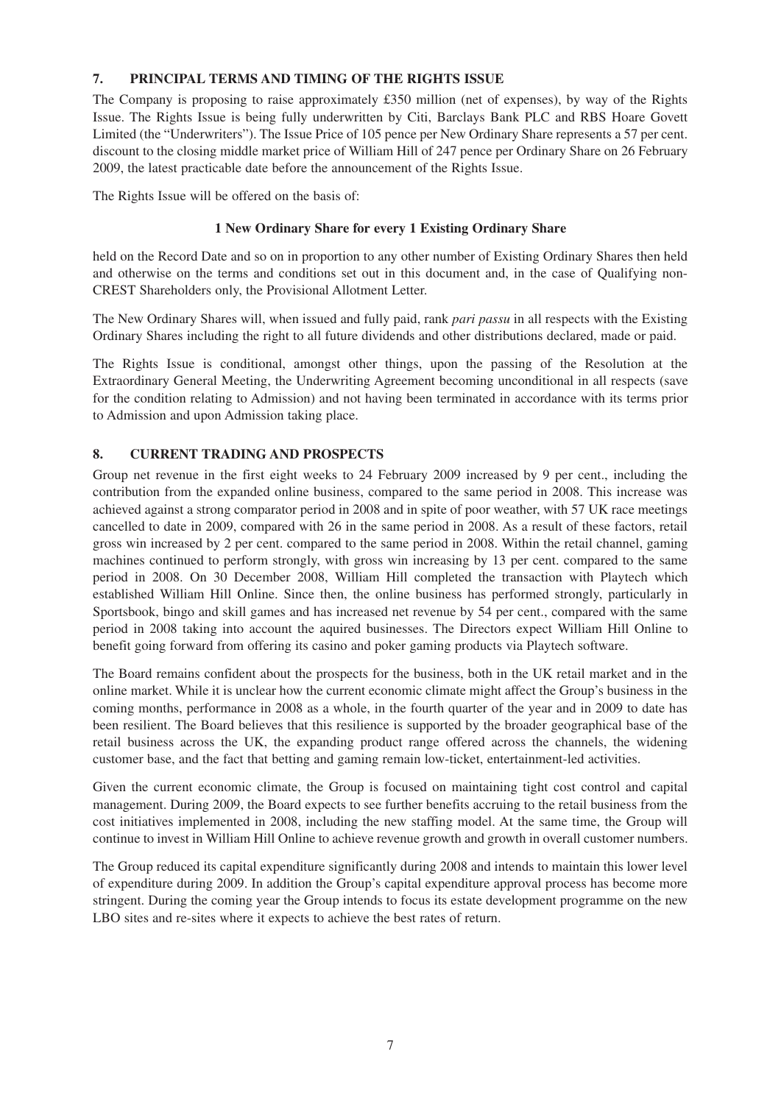#### **7. PRINCIPAL TERMS AND TIMING OF THE RIGHTS ISSUE**

The Company is proposing to raise approximately £350 million (net of expenses), by way of the Rights Issue. The Rights Issue is being fully underwritten by Citi, Barclays Bank PLC and RBS Hoare Govett Limited (the "Underwriters"). The Issue Price of 105 pence per New Ordinary Share represents a 57 per cent. discount to the closing middle market price of William Hill of 247 pence per Ordinary Share on 26 February 2009, the latest practicable date before the announcement of the Rights Issue.

The Rights Issue will be offered on the basis of:

#### **1 New Ordinary Share for every 1 Existing Ordinary Share**

held on the Record Date and so on in proportion to any other number of Existing Ordinary Shares then held and otherwise on the terms and conditions set out in this document and, in the case of Qualifying non-CREST Shareholders only, the Provisional Allotment Letter.

The New Ordinary Shares will, when issued and fully paid, rank *pari passu* in all respects with the Existing Ordinary Shares including the right to all future dividends and other distributions declared, made or paid.

The Rights Issue is conditional, amongst other things, upon the passing of the Resolution at the Extraordinary General Meeting, the Underwriting Agreement becoming unconditional in all respects (save for the condition relating to Admission) and not having been terminated in accordance with its terms prior to Admission and upon Admission taking place.

### **8. CURRENT TRADING AND PROSPECTS**

Group net revenue in the first eight weeks to 24 February 2009 increased by 9 per cent., including the contribution from the expanded online business, compared to the same period in 2008. This increase was achieved against a strong comparator period in 2008 and in spite of poor weather, with 57 UK race meetings cancelled to date in 2009, compared with 26 in the same period in 2008. As a result of these factors, retail gross win increased by 2 per cent. compared to the same period in 2008. Within the retail channel, gaming machines continued to perform strongly, with gross win increasing by 13 per cent. compared to the same period in 2008. On 30 December 2008, William Hill completed the transaction with Playtech which established William Hill Online. Since then, the online business has performed strongly, particularly in Sportsbook, bingo and skill games and has increased net revenue by 54 per cent., compared with the same period in 2008 taking into account the aquired businesses. The Directors expect William Hill Online to benefit going forward from offering its casino and poker gaming products via Playtech software.

The Board remains confident about the prospects for the business, both in the UK retail market and in the online market. While it is unclear how the current economic climate might affect the Group's business in the coming months, performance in 2008 as a whole, in the fourth quarter of the year and in 2009 to date has been resilient. The Board believes that this resilience is supported by the broader geographical base of the retail business across the UK, the expanding product range offered across the channels, the widening customer base, and the fact that betting and gaming remain low-ticket, entertainment-led activities.

Given the current economic climate, the Group is focused on maintaining tight cost control and capital management. During 2009, the Board expects to see further benefits accruing to the retail business from the cost initiatives implemented in 2008, including the new staffing model. At the same time, the Group will continue to invest in William Hill Online to achieve revenue growth and growth in overall customer numbers.

The Group reduced its capital expenditure significantly during 2008 and intends to maintain this lower level of expenditure during 2009. In addition the Group's capital expenditure approval process has become more stringent. During the coming year the Group intends to focus its estate development programme on the new LBO sites and re-sites where it expects to achieve the best rates of return.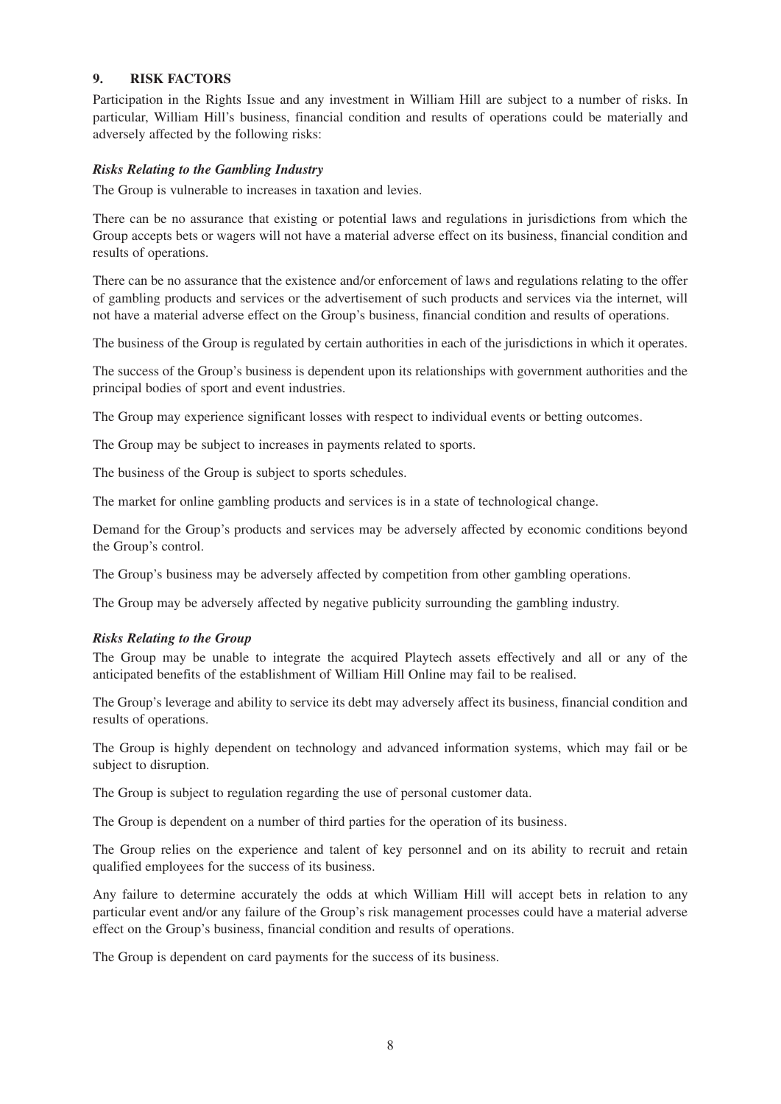#### **9. RISK FACTORS**

Participation in the Rights Issue and any investment in William Hill are subject to a number of risks. In particular, William Hill's business, financial condition and results of operations could be materially and adversely affected by the following risks:

#### *Risks Relating to the Gambling Industry*

The Group is vulnerable to increases in taxation and levies.

There can be no assurance that existing or potential laws and regulations in jurisdictions from which the Group accepts bets or wagers will not have a material adverse effect on its business, financial condition and results of operations.

There can be no assurance that the existence and/or enforcement of laws and regulations relating to the offer of gambling products and services or the advertisement of such products and services via the internet, will not have a material adverse effect on the Group's business, financial condition and results of operations.

The business of the Group is regulated by certain authorities in each of the jurisdictions in which it operates.

The success of the Group's business is dependent upon its relationships with government authorities and the principal bodies of sport and event industries.

The Group may experience significant losses with respect to individual events or betting outcomes.

The Group may be subject to increases in payments related to sports.

The business of the Group is subject to sports schedules.

The market for online gambling products and services is in a state of technological change.

Demand for the Group's products and services may be adversely affected by economic conditions beyond the Group's control.

The Group's business may be adversely affected by competition from other gambling operations.

The Group may be adversely affected by negative publicity surrounding the gambling industry.

#### *Risks Relating to the Group*

The Group may be unable to integrate the acquired Playtech assets effectively and all or any of the anticipated benefits of the establishment of William Hill Online may fail to be realised.

The Group's leverage and ability to service its debt may adversely affect its business, financial condition and results of operations.

The Group is highly dependent on technology and advanced information systems, which may fail or be subject to disruption.

The Group is subject to regulation regarding the use of personal customer data.

The Group is dependent on a number of third parties for the operation of its business.

The Group relies on the experience and talent of key personnel and on its ability to recruit and retain qualified employees for the success of its business.

Any failure to determine accurately the odds at which William Hill will accept bets in relation to any particular event and/or any failure of the Group's risk management processes could have a material adverse effect on the Group's business, financial condition and results of operations.

The Group is dependent on card payments for the success of its business.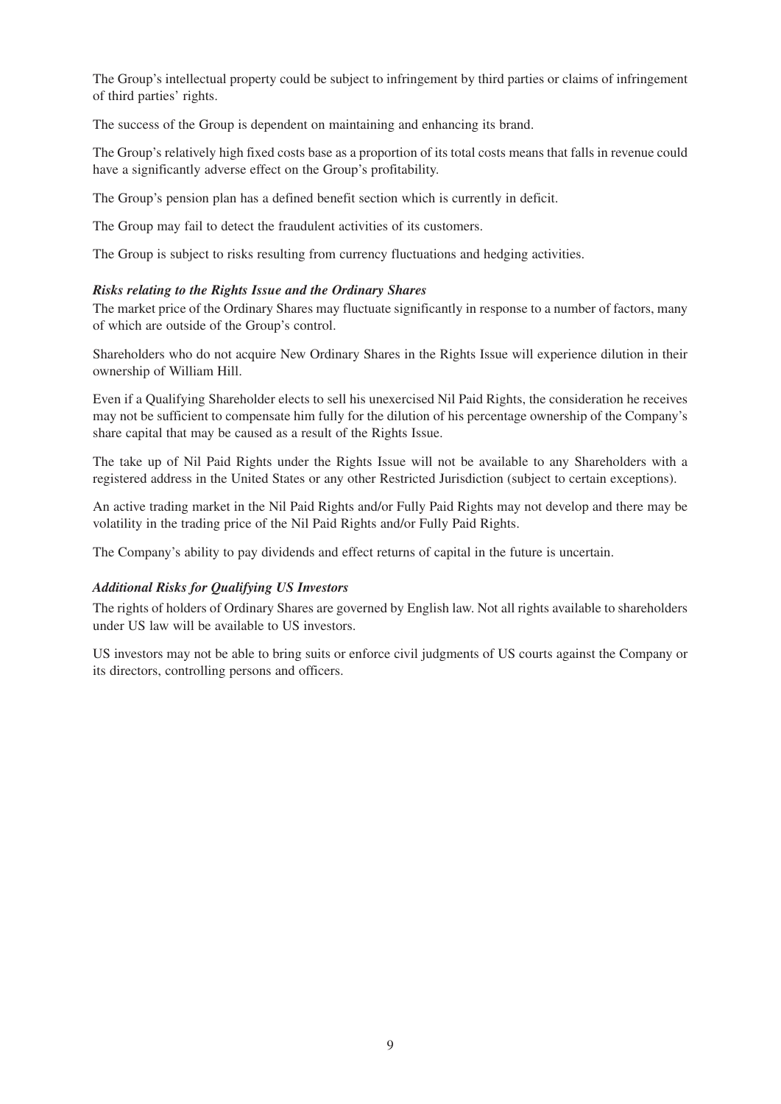The Group's intellectual property could be subject to infringement by third parties or claims of infringement of third parties' rights.

The success of the Group is dependent on maintaining and enhancing its brand.

The Group's relatively high fixed costs base as a proportion of its total costs means that falls in revenue could have a significantly adverse effect on the Group's profitability.

The Group's pension plan has a defined benefit section which is currently in deficit.

The Group may fail to detect the fraudulent activities of its customers.

The Group is subject to risks resulting from currency fluctuations and hedging activities.

#### *Risks relating to the Rights Issue and the Ordinary Shares*

The market price of the Ordinary Shares may fluctuate significantly in response to a number of factors, many of which are outside of the Group's control.

Shareholders who do not acquire New Ordinary Shares in the Rights Issue will experience dilution in their ownership of William Hill.

Even if a Qualifying Shareholder elects to sell his unexercised Nil Paid Rights, the consideration he receives may not be sufficient to compensate him fully for the dilution of his percentage ownership of the Company's share capital that may be caused as a result of the Rights Issue.

The take up of Nil Paid Rights under the Rights Issue will not be available to any Shareholders with a registered address in the United States or any other Restricted Jurisdiction (subject to certain exceptions).

An active trading market in the Nil Paid Rights and/or Fully Paid Rights may not develop and there may be volatility in the trading price of the Nil Paid Rights and/or Fully Paid Rights.

The Company's ability to pay dividends and effect returns of capital in the future is uncertain.

#### *Additional Risks for Qualifying US Investors*

The rights of holders of Ordinary Shares are governed by English law. Not all rights available to shareholders under US law will be available to US investors.

US investors may not be able to bring suits or enforce civil judgments of US courts against the Company or its directors, controlling persons and officers.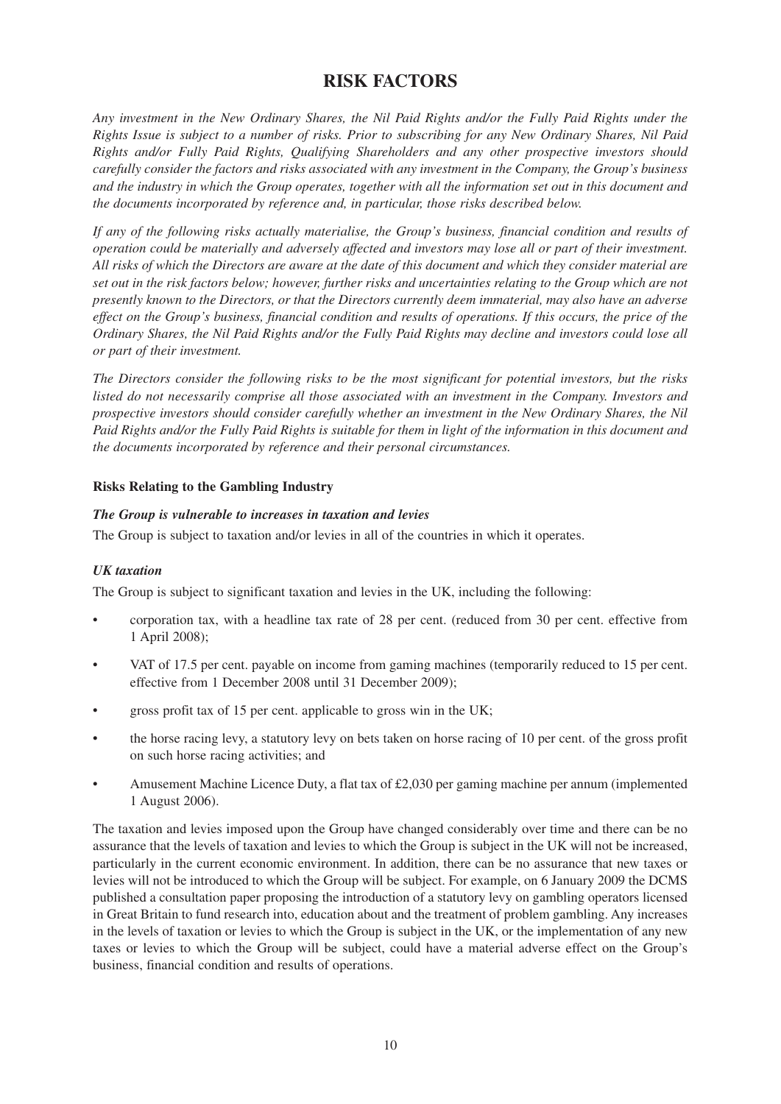## **RISK FACTORS**

*Any investment in the New Ordinary Shares, the Nil Paid Rights and/or the Fully Paid Rights under the Rights Issue is subject to a number of risks. Prior to subscribing for any New Ordinary Shares, Nil Paid Rights and/or Fully Paid Rights, Qualifying Shareholders and any other prospective investors should carefully consider the factors and risks associated with any investment in the Company, the Group's business and the industry in which the Group operates, together with all the information set out in this document and the documents incorporated by reference and, in particular, those risks described below.*

*If any of the following risks actually materialise, the Group's business, financial condition and results of operation could be materially and adversely affected and investors may lose all or part of their investment. All risks of which the Directors are aware at the date of this document and which they consider material are set out in the risk factors below; however, further risks and uncertainties relating to the Group which are not presently known to the Directors, or that the Directors currently deem immaterial, may also have an adverse effect on the Group's business, financial condition and results of operations. If this occurs, the price of the Ordinary Shares, the Nil Paid Rights and/or the Fully Paid Rights may decline and investors could lose all or part of their investment.*

*The Directors consider the following risks to be the most significant for potential investors, but the risks listed do not necessarily comprise all those associated with an investment in the Company. Investors and prospective investors should consider carefully whether an investment in the New Ordinary Shares, the Nil Paid Rights and/or the Fully Paid Rights is suitable for them in light of the information in this document and the documents incorporated by reference and their personal circumstances.*

#### **Risks Relating to the Gambling Industry**

#### *The Group is vulnerable to increases in taxation and levies*

The Group is subject to taxation and/or levies in all of the countries in which it operates.

#### *UK taxation*

The Group is subject to significant taxation and levies in the UK, including the following:

- corporation tax, with a headline tax rate of 28 per cent. (reduced from 30 per cent. effective from 1 April 2008);
- VAT of 17.5 per cent. payable on income from gaming machines (temporarily reduced to 15 per cent. effective from 1 December 2008 until 31 December 2009);
- gross profit tax of 15 per cent. applicable to gross win in the UK;
- the horse racing levy, a statutory levy on bets taken on horse racing of 10 per cent. of the gross profit on such horse racing activities; and
- Amusement Machine Licence Duty, a flat tax of £2,030 per gaming machine per annum (implemented 1 August 2006).

The taxation and levies imposed upon the Group have changed considerably over time and there can be no assurance that the levels of taxation and levies to which the Group is subject in the UK will not be increased, particularly in the current economic environment. In addition, there can be no assurance that new taxes or levies will not be introduced to which the Group will be subject. For example, on 6 January 2009 the DCMS published a consultation paper proposing the introduction of a statutory levy on gambling operators licensed in Great Britain to fund research into, education about and the treatment of problem gambling. Any increases in the levels of taxation or levies to which the Group is subject in the UK, or the implementation of any new taxes or levies to which the Group will be subject, could have a material adverse effect on the Group's business, financial condition and results of operations.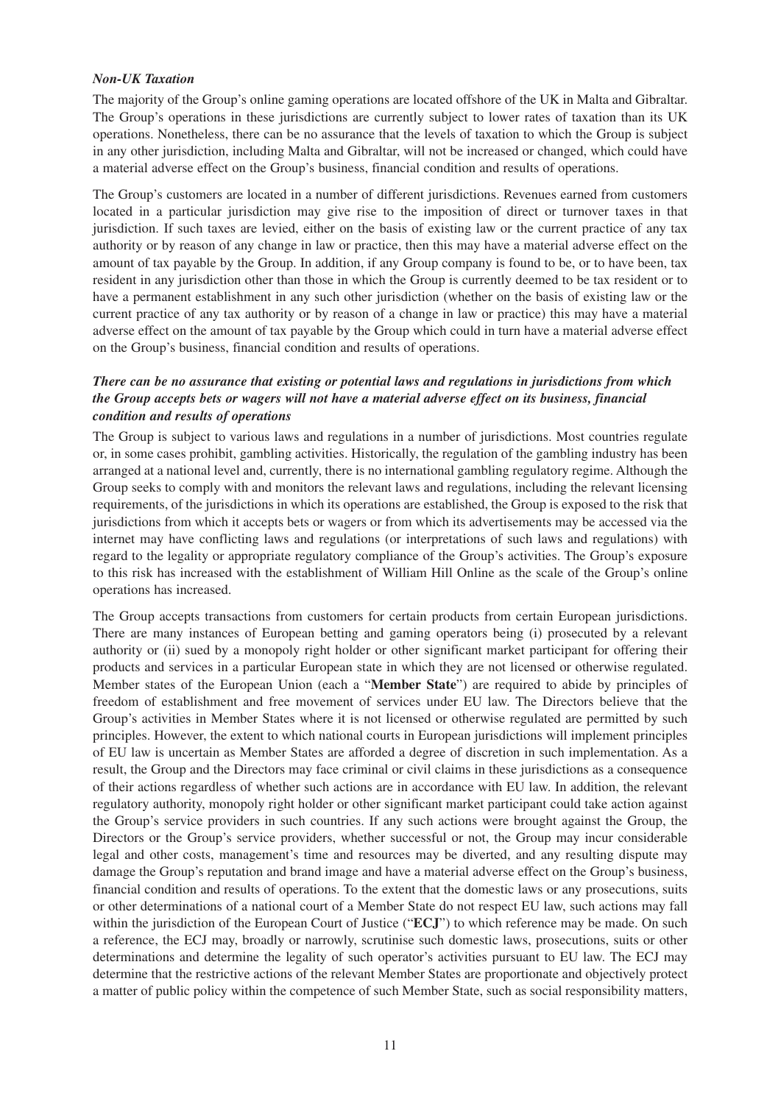#### *Non-UK Taxation*

The majority of the Group's online gaming operations are located offshore of the UK in Malta and Gibraltar. The Group's operations in these jurisdictions are currently subject to lower rates of taxation than its UK operations. Nonetheless, there can be no assurance that the levels of taxation to which the Group is subject in any other jurisdiction, including Malta and Gibraltar, will not be increased or changed, which could have a material adverse effect on the Group's business, financial condition and results of operations.

The Group's customers are located in a number of different jurisdictions. Revenues earned from customers located in a particular jurisdiction may give rise to the imposition of direct or turnover taxes in that jurisdiction. If such taxes are levied, either on the basis of existing law or the current practice of any tax authority or by reason of any change in law or practice, then this may have a material adverse effect on the amount of tax payable by the Group. In addition, if any Group company is found to be, or to have been, tax resident in any jurisdiction other than those in which the Group is currently deemed to be tax resident or to have a permanent establishment in any such other jurisdiction (whether on the basis of existing law or the current practice of any tax authority or by reason of a change in law or practice) this may have a material adverse effect on the amount of tax payable by the Group which could in turn have a material adverse effect on the Group's business, financial condition and results of operations.

#### *There can be no assurance that existing or potential laws and regulations in jurisdictions from which the Group accepts bets or wagers will not have a material adverse effect on its business, financial condition and results of operations*

The Group is subject to various laws and regulations in a number of jurisdictions. Most countries regulate or, in some cases prohibit, gambling activities. Historically, the regulation of the gambling industry has been arranged at a national level and, currently, there is no international gambling regulatory regime. Although the Group seeks to comply with and monitors the relevant laws and regulations, including the relevant licensing requirements, of the jurisdictions in which its operations are established, the Group is exposed to the risk that jurisdictions from which it accepts bets or wagers or from which its advertisements may be accessed via the internet may have conflicting laws and regulations (or interpretations of such laws and regulations) with regard to the legality or appropriate regulatory compliance of the Group's activities. The Group's exposure to this risk has increased with the establishment of William Hill Online as the scale of the Group's online operations has increased.

The Group accepts transactions from customers for certain products from certain European jurisdictions. There are many instances of European betting and gaming operators being (i) prosecuted by a relevant authority or (ii) sued by a monopoly right holder or other significant market participant for offering their products and services in a particular European state in which they are not licensed or otherwise regulated. Member states of the European Union (each a "**Member State**") are required to abide by principles of freedom of establishment and free movement of services under EU law. The Directors believe that the Group's activities in Member States where it is not licensed or otherwise regulated are permitted by such principles. However, the extent to which national courts in European jurisdictions will implement principles of EU law is uncertain as Member States are afforded a degree of discretion in such implementation. As a result, the Group and the Directors may face criminal or civil claims in these jurisdictions as a consequence of their actions regardless of whether such actions are in accordance with EU law. In addition, the relevant regulatory authority, monopoly right holder or other significant market participant could take action against the Group's service providers in such countries. If any such actions were brought against the Group, the Directors or the Group's service providers, whether successful or not, the Group may incur considerable legal and other costs, management's time and resources may be diverted, and any resulting dispute may damage the Group's reputation and brand image and have a material adverse effect on the Group's business, financial condition and results of operations. To the extent that the domestic laws or any prosecutions, suits or other determinations of a national court of a Member State do not respect EU law, such actions may fall within the jurisdiction of the European Court of Justice ("**ECJ**") to which reference may be made. On such a reference, the ECJ may, broadly or narrowly, scrutinise such domestic laws, prosecutions, suits or other determinations and determine the legality of such operator's activities pursuant to EU law. The ECJ may determine that the restrictive actions of the relevant Member States are proportionate and objectively protect a matter of public policy within the competence of such Member State, such as social responsibility matters,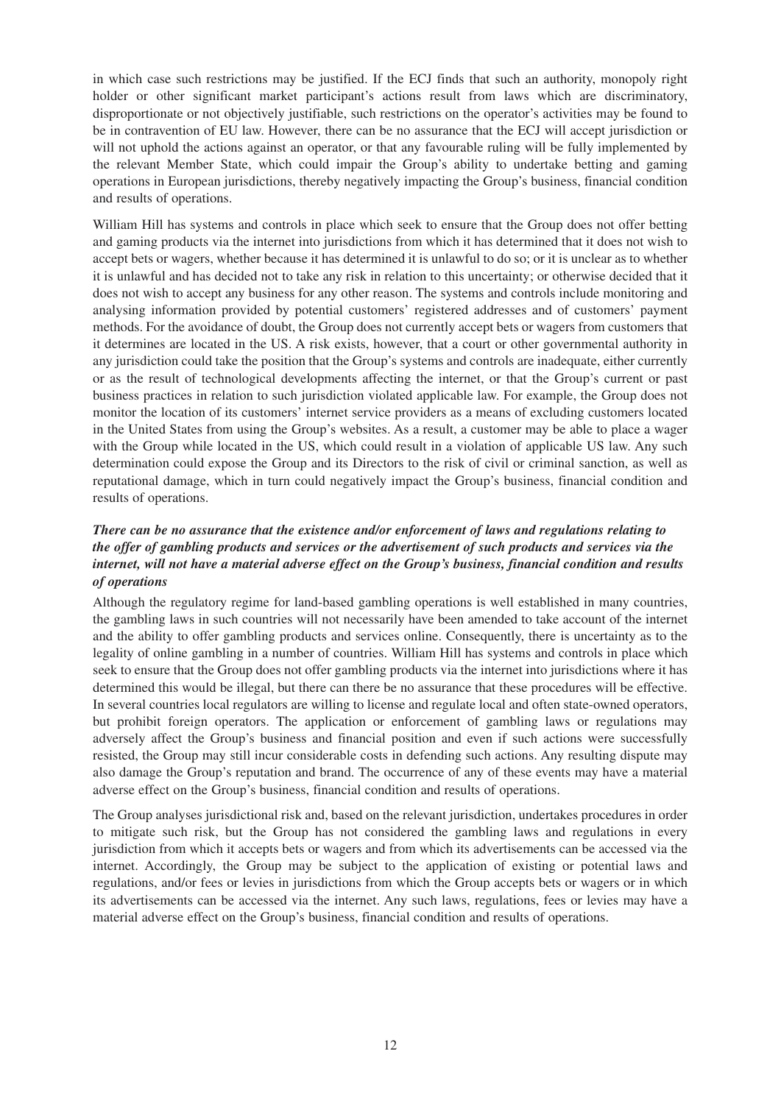in which case such restrictions may be justified. If the ECJ finds that such an authority, monopoly right holder or other significant market participant's actions result from laws which are discriminatory, disproportionate or not objectively justifiable, such restrictions on the operator's activities may be found to be in contravention of EU law. However, there can be no assurance that the ECJ will accept jurisdiction or will not uphold the actions against an operator, or that any favourable ruling will be fully implemented by the relevant Member State, which could impair the Group's ability to undertake betting and gaming operations in European jurisdictions, thereby negatively impacting the Group's business, financial condition and results of operations.

William Hill has systems and controls in place which seek to ensure that the Group does not offer betting and gaming products via the internet into jurisdictions from which it has determined that it does not wish to accept bets or wagers, whether because it has determined it is unlawful to do so; or it is unclear as to whether it is unlawful and has decided not to take any risk in relation to this uncertainty; or otherwise decided that it does not wish to accept any business for any other reason. The systems and controls include monitoring and analysing information provided by potential customers' registered addresses and of customers' payment methods. For the avoidance of doubt, the Group does not currently accept bets or wagers from customers that it determines are located in the US. A risk exists, however, that a court or other governmental authority in any jurisdiction could take the position that the Group's systems and controls are inadequate, either currently or as the result of technological developments affecting the internet, or that the Group's current or past business practices in relation to such jurisdiction violated applicable law. For example, the Group does not monitor the location of its customers' internet service providers as a means of excluding customers located in the United States from using the Group's websites. As a result, a customer may be able to place a wager with the Group while located in the US, which could result in a violation of applicable US law. Any such determination could expose the Group and its Directors to the risk of civil or criminal sanction, as well as reputational damage, which in turn could negatively impact the Group's business, financial condition and results of operations.

#### *There can be no assurance that the existence and/or enforcement of laws and regulations relating to the offer of gambling products and services or the advertisement of such products and services via the internet, will not have a material adverse effect on the Group's business, financial condition and results of operations*

Although the regulatory regime for land-based gambling operations is well established in many countries, the gambling laws in such countries will not necessarily have been amended to take account of the internet and the ability to offer gambling products and services online. Consequently, there is uncertainty as to the legality of online gambling in a number of countries. William Hill has systems and controls in place which seek to ensure that the Group does not offer gambling products via the internet into jurisdictions where it has determined this would be illegal, but there can there be no assurance that these procedures will be effective. In several countries local regulators are willing to license and regulate local and often state-owned operators, but prohibit foreign operators. The application or enforcement of gambling laws or regulations may adversely affect the Group's business and financial position and even if such actions were successfully resisted, the Group may still incur considerable costs in defending such actions. Any resulting dispute may also damage the Group's reputation and brand. The occurrence of any of these events may have a material adverse effect on the Group's business, financial condition and results of operations.

The Group analyses jurisdictional risk and, based on the relevant jurisdiction, undertakes procedures in order to mitigate such risk, but the Group has not considered the gambling laws and regulations in every jurisdiction from which it accepts bets or wagers and from which its advertisements can be accessed via the internet. Accordingly, the Group may be subject to the application of existing or potential laws and regulations, and/or fees or levies in jurisdictions from which the Group accepts bets or wagers or in which its advertisements can be accessed via the internet. Any such laws, regulations, fees or levies may have a material adverse effect on the Group's business, financial condition and results of operations.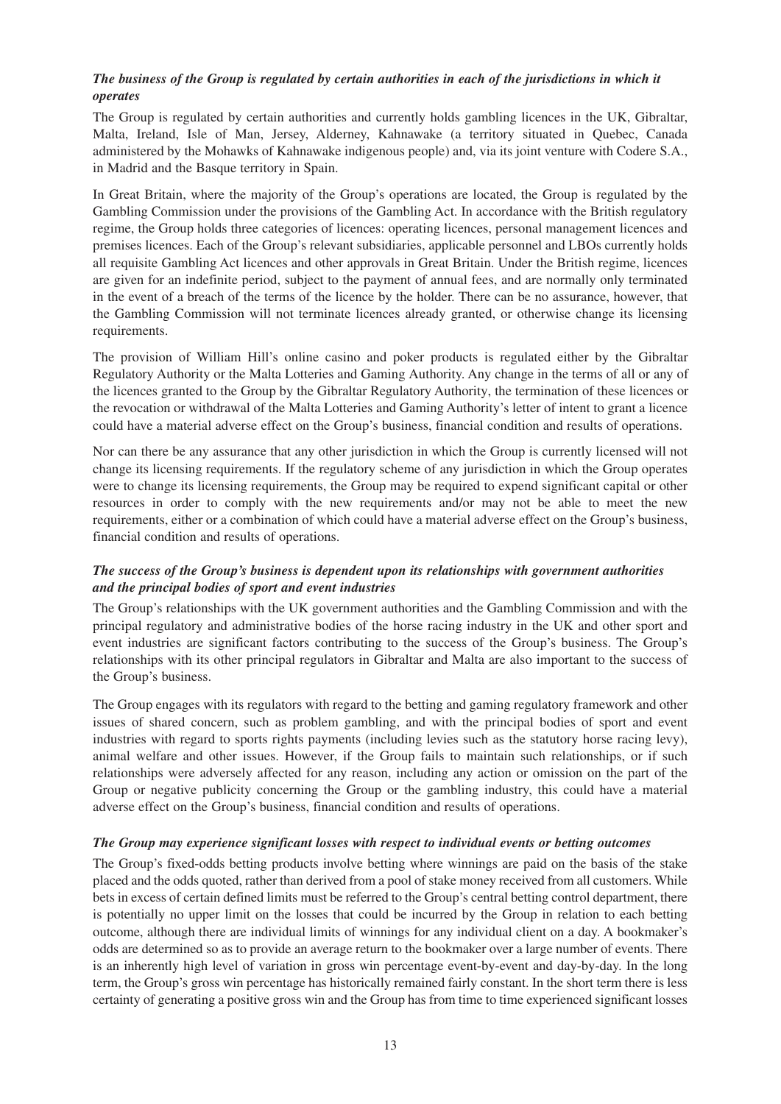#### *The business of the Group is regulated by certain authorities in each of the jurisdictions in which it operates*

The Group is regulated by certain authorities and currently holds gambling licences in the UK, Gibraltar, Malta, Ireland, Isle of Man, Jersey, Alderney, Kahnawake (a territory situated in Quebec, Canada administered by the Mohawks of Kahnawake indigenous people) and, via its joint venture with Codere S.A., in Madrid and the Basque territory in Spain.

In Great Britain, where the majority of the Group's operations are located, the Group is regulated by the Gambling Commission under the provisions of the Gambling Act. In accordance with the British regulatory regime, the Group holds three categories of licences: operating licences, personal management licences and premises licences. Each of the Group's relevant subsidiaries, applicable personnel and LBOs currently holds all requisite Gambling Act licences and other approvals in Great Britain. Under the British regime, licences are given for an indefinite period, subject to the payment of annual fees, and are normally only terminated in the event of a breach of the terms of the licence by the holder. There can be no assurance, however, that the Gambling Commission will not terminate licences already granted, or otherwise change its licensing requirements.

The provision of William Hill's online casino and poker products is regulated either by the Gibraltar Regulatory Authority or the Malta Lotteries and Gaming Authority. Any change in the terms of all or any of the licences granted to the Group by the Gibraltar Regulatory Authority, the termination of these licences or the revocation or withdrawal of the Malta Lotteries and Gaming Authority's letter of intent to grant a licence could have a material adverse effect on the Group's business, financial condition and results of operations.

Nor can there be any assurance that any other jurisdiction in which the Group is currently licensed will not change its licensing requirements. If the regulatory scheme of any jurisdiction in which the Group operates were to change its licensing requirements, the Group may be required to expend significant capital or other resources in order to comply with the new requirements and/or may not be able to meet the new requirements, either or a combination of which could have a material adverse effect on the Group's business, financial condition and results of operations.

#### *The success of the Group's business is dependent upon its relationships with government authorities and the principal bodies of sport and event industries*

The Group's relationships with the UK government authorities and the Gambling Commission and with the principal regulatory and administrative bodies of the horse racing industry in the UK and other sport and event industries are significant factors contributing to the success of the Group's business. The Group's relationships with its other principal regulators in Gibraltar and Malta are also important to the success of the Group's business.

The Group engages with its regulators with regard to the betting and gaming regulatory framework and other issues of shared concern, such as problem gambling, and with the principal bodies of sport and event industries with regard to sports rights payments (including levies such as the statutory horse racing levy), animal welfare and other issues. However, if the Group fails to maintain such relationships, or if such relationships were adversely affected for any reason, including any action or omission on the part of the Group or negative publicity concerning the Group or the gambling industry, this could have a material adverse effect on the Group's business, financial condition and results of operations.

#### *The Group may experience significant losses with respect to individual events or betting outcomes*

The Group's fixed-odds betting products involve betting where winnings are paid on the basis of the stake placed and the odds quoted, rather than derived from a pool of stake money received from all customers. While bets in excess of certain defined limits must be referred to the Group's central betting control department, there is potentially no upper limit on the losses that could be incurred by the Group in relation to each betting outcome, although there are individual limits of winnings for any individual client on a day. A bookmaker's odds are determined so as to provide an average return to the bookmaker over a large number of events. There is an inherently high level of variation in gross win percentage event-by-event and day-by-day. In the long term, the Group's gross win percentage has historically remained fairly constant. In the short term there is less certainty of generating a positive gross win and the Group has from time to time experienced significant losses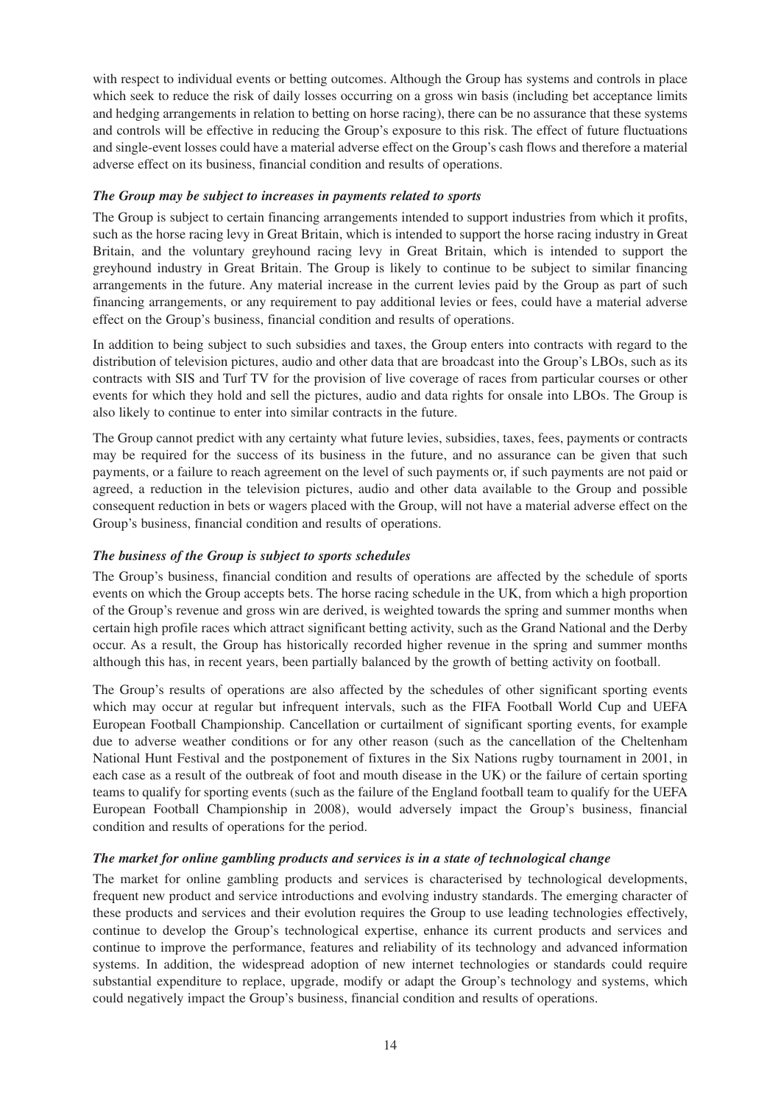with respect to individual events or betting outcomes. Although the Group has systems and controls in place which seek to reduce the risk of daily losses occurring on a gross win basis (including bet acceptance limits and hedging arrangements in relation to betting on horse racing), there can be no assurance that these systems and controls will be effective in reducing the Group's exposure to this risk. The effect of future fluctuations and single-event losses could have a material adverse effect on the Group's cash flows and therefore a material adverse effect on its business, financial condition and results of operations.

#### *The Group may be subject to increases in payments related to sports*

The Group is subject to certain financing arrangements intended to support industries from which it profits, such as the horse racing levy in Great Britain, which is intended to support the horse racing industry in Great Britain, and the voluntary greyhound racing levy in Great Britain, which is intended to support the greyhound industry in Great Britain. The Group is likely to continue to be subject to similar financing arrangements in the future. Any material increase in the current levies paid by the Group as part of such financing arrangements, or any requirement to pay additional levies or fees, could have a material adverse effect on the Group's business, financial condition and results of operations.

In addition to being subject to such subsidies and taxes, the Group enters into contracts with regard to the distribution of television pictures, audio and other data that are broadcast into the Group's LBOs, such as its contracts with SIS and Turf TV for the provision of live coverage of races from particular courses or other events for which they hold and sell the pictures, audio and data rights for onsale into LBOs. The Group is also likely to continue to enter into similar contracts in the future.

The Group cannot predict with any certainty what future levies, subsidies, taxes, fees, payments or contracts may be required for the success of its business in the future, and no assurance can be given that such payments, or a failure to reach agreement on the level of such payments or, if such payments are not paid or agreed, a reduction in the television pictures, audio and other data available to the Group and possible consequent reduction in bets or wagers placed with the Group, will not have a material adverse effect on the Group's business, financial condition and results of operations.

### *The business of the Group is subject to sports schedules*

The Group's business, financial condition and results of operations are affected by the schedule of sports events on which the Group accepts bets. The horse racing schedule in the UK, from which a high proportion of the Group's revenue and gross win are derived, is weighted towards the spring and summer months when certain high profile races which attract significant betting activity, such as the Grand National and the Derby occur. As a result, the Group has historically recorded higher revenue in the spring and summer months although this has, in recent years, been partially balanced by the growth of betting activity on football.

The Group's results of operations are also affected by the schedules of other significant sporting events which may occur at regular but infrequent intervals, such as the FIFA Football World Cup and UEFA European Football Championship. Cancellation or curtailment of significant sporting events, for example due to adverse weather conditions or for any other reason (such as the cancellation of the Cheltenham National Hunt Festival and the postponement of fixtures in the Six Nations rugby tournament in 2001, in each case as a result of the outbreak of foot and mouth disease in the UK) or the failure of certain sporting teams to qualify for sporting events (such as the failure of the England football team to qualify for the UEFA European Football Championship in 2008), would adversely impact the Group's business, financial condition and results of operations for the period.

### *The market for online gambling products and services is in a state of technological change*

The market for online gambling products and services is characterised by technological developments, frequent new product and service introductions and evolving industry standards. The emerging character of these products and services and their evolution requires the Group to use leading technologies effectively, continue to develop the Group's technological expertise, enhance its current products and services and continue to improve the performance, features and reliability of its technology and advanced information systems. In addition, the widespread adoption of new internet technologies or standards could require substantial expenditure to replace, upgrade, modify or adapt the Group's technology and systems, which could negatively impact the Group's business, financial condition and results of operations.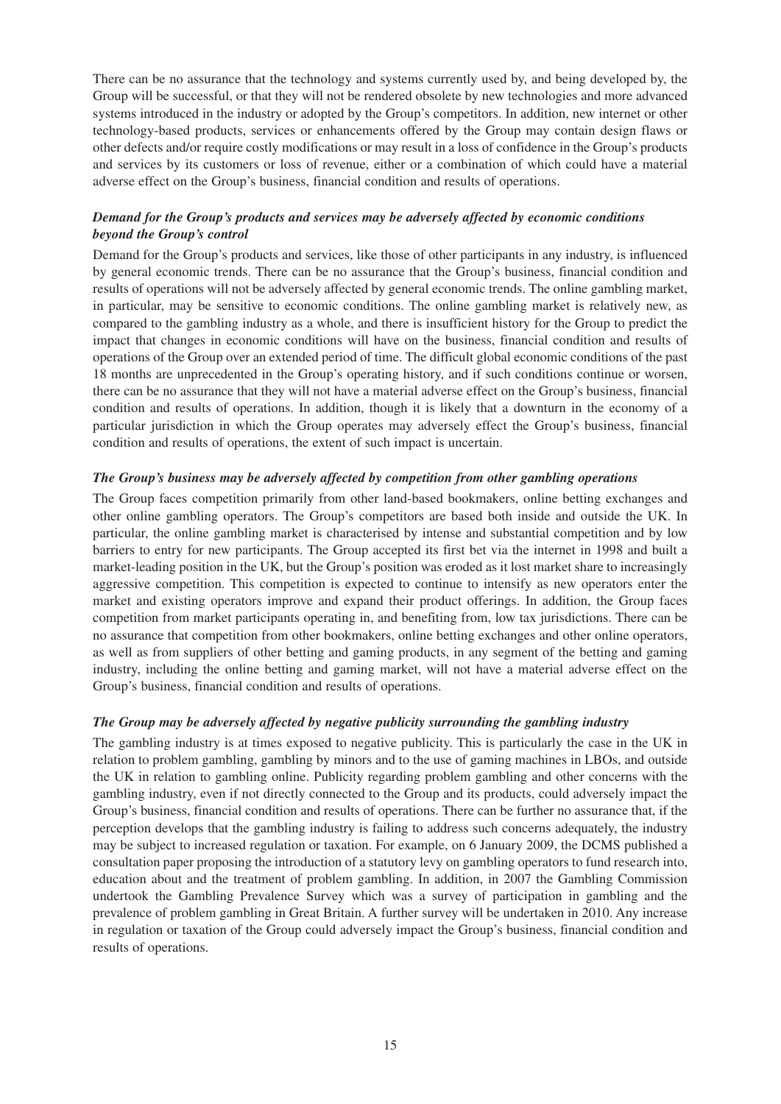There can be no assurance that the technology and systems currently used by, and being developed by, the Group will be successful, or that they will not be rendered obsolete by new technologies and more advanced systems introduced in the industry or adopted by the Group's competitors. In addition, new internet or other technology-based products, services or enhancements offered by the Group may contain design flaws or other defects and/or require costly modifications or may result in a loss of confidence in the Group's products and services by its customers or loss of revenue, either or a combination of which could have a material adverse effect on the Group's business, financial condition and results of operations.

#### *Demand for the Group's products and services may be adversely affected by economic conditions beyond the Group's control*

Demand for the Group's products and services, like those of other participants in any industry, is influenced by general economic trends. There can be no assurance that the Group's business, financial condition and results of operations will not be adversely affected by general economic trends. The online gambling market, in particular, may be sensitive to economic conditions. The online gambling market is relatively new, as compared to the gambling industry as a whole, and there is insufficient history for the Group to predict the impact that changes in economic conditions will have on the business, financial condition and results of operations of the Group over an extended period of time. The difficult global economic conditions of the past 18 months are unprecedented in the Group's operating history, and if such conditions continue or worsen, there can be no assurance that they will not have a material adverse effect on the Group's business, financial condition and results of operations. In addition, though it is likely that a downturn in the economy of a particular jurisdiction in which the Group operates may adversely effect the Group's business, financial condition and results of operations, the extent of such impact is uncertain.

#### *The Group's business may be adversely affected by competition from other gambling operations*

The Group faces competition primarily from other land-based bookmakers, online betting exchanges and other online gambling operators. The Group's competitors are based both inside and outside the UK. In particular, the online gambling market is characterised by intense and substantial competition and by low barriers to entry for new participants. The Group accepted its first bet via the internet in 1998 and built a market-leading position in the UK, but the Group's position was eroded as it lost market share to increasingly aggressive competition. This competition is expected to continue to intensify as new operators enter the market and existing operators improve and expand their product offerings. In addition, the Group faces competition from market participants operating in, and benefiting from, low tax jurisdictions. There can be no assurance that competition from other bookmakers, online betting exchanges and other online operators, as well as from suppliers of other betting and gaming products, in any segment of the betting and gaming industry, including the online betting and gaming market, will not have a material adverse effect on the Group's business, financial condition and results of operations.

#### *The Group may be adversely affected by negative publicity surrounding the gambling industry*

The gambling industry is at times exposed to negative publicity. This is particularly the case in the UK in relation to problem gambling, gambling by minors and to the use of gaming machines in LBOs, and outside the UK in relation to gambling online. Publicity regarding problem gambling and other concerns with the gambling industry, even if not directly connected to the Group and its products, could adversely impact the Group's business, financial condition and results of operations. There can be further no assurance that, if the perception develops that the gambling industry is failing to address such concerns adequately, the industry may be subject to increased regulation or taxation. For example, on 6 January 2009, the DCMS published a consultation paper proposing the introduction of a statutory levy on gambling operators to fund research into, education about and the treatment of problem gambling. In addition, in 2007 the Gambling Commission undertook the Gambling Prevalence Survey which was a survey of participation in gambling and the prevalence of problem gambling in Great Britain. A further survey will be undertaken in 2010. Any increase in regulation or taxation of the Group could adversely impact the Group's business, financial condition and results of operations.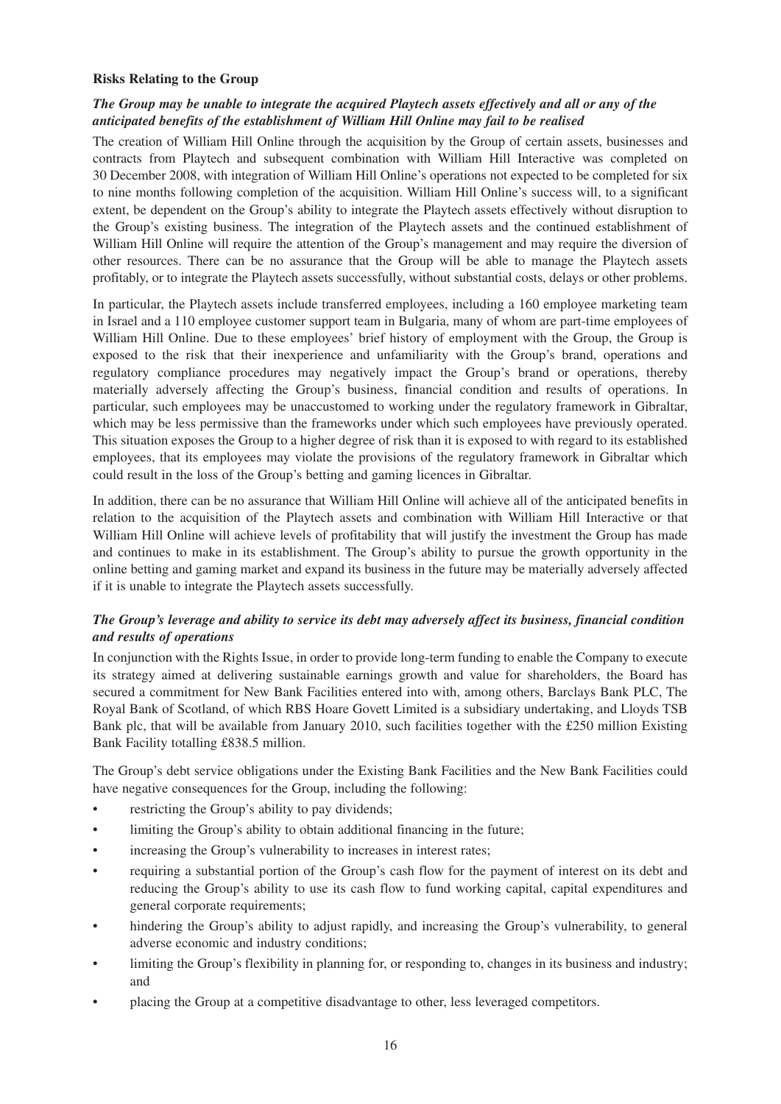#### **Risks Relating to the Group**

#### *The Group may be unable to integrate the acquired Playtech assets effectively and all or any of the anticipated benefits of the establishment of William Hill Online may fail to be realised*

The creation of William Hill Online through the acquisition by the Group of certain assets, businesses and contracts from Playtech and subsequent combination with William Hill Interactive was completed on 30 December 2008, with integration of William Hill Online's operations not expected to be completed for six to nine months following completion of the acquisition. William Hill Online's success will, to a significant extent, be dependent on the Group's ability to integrate the Playtech assets effectively without disruption to the Group's existing business. The integration of the Playtech assets and the continued establishment of William Hill Online will require the attention of the Group's management and may require the diversion of other resources. There can be no assurance that the Group will be able to manage the Playtech assets profitably, or to integrate the Playtech assets successfully, without substantial costs, delays or other problems.

In particular, the Playtech assets include transferred employees, including a 160 employee marketing team in Israel and a 110 employee customer support team in Bulgaria, many of whom are part-time employees of William Hill Online. Due to these employees' brief history of employment with the Group, the Group is exposed to the risk that their inexperience and unfamiliarity with the Group's brand, operations and regulatory compliance procedures may negatively impact the Group's brand or operations, thereby materially adversely affecting the Group's business, financial condition and results of operations. In particular, such employees may be unaccustomed to working under the regulatory framework in Gibraltar, which may be less permissive than the frameworks under which such employees have previously operated. This situation exposes the Group to a higher degree of risk than it is exposed to with regard to its established employees, that its employees may violate the provisions of the regulatory framework in Gibraltar which could result in the loss of the Group's betting and gaming licences in Gibraltar.

In addition, there can be no assurance that William Hill Online will achieve all of the anticipated benefits in relation to the acquisition of the Playtech assets and combination with William Hill Interactive or that William Hill Online will achieve levels of profitability that will justify the investment the Group has made and continues to make in its establishment. The Group's ability to pursue the growth opportunity in the online betting and gaming market and expand its business in the future may be materially adversely affected if it is unable to integrate the Playtech assets successfully.

#### *The Group's leverage and ability to service its debt may adversely affect its business, financial condition and results of operations*

In conjunction with the Rights Issue, in order to provide long-term funding to enable the Company to execute its strategy aimed at delivering sustainable earnings growth and value for shareholders, the Board has secured a commitment for New Bank Facilities entered into with, among others, Barclays Bank PLC, The Royal Bank of Scotland, of which RBS Hoare Govett Limited is a subsidiary undertaking, and Lloyds TSB Bank plc, that will be available from January 2010, such facilities together with the £250 million Existing Bank Facility totalling £838.5 million.

The Group's debt service obligations under the Existing Bank Facilities and the New Bank Facilities could have negative consequences for the Group, including the following:

- restricting the Group's ability to pay dividends;
- limiting the Group's ability to obtain additional financing in the future;
- increasing the Group's vulnerability to increases in interest rates;
- requiring a substantial portion of the Group's cash flow for the payment of interest on its debt and reducing the Group's ability to use its cash flow to fund working capital, capital expenditures and general corporate requirements;
- hindering the Group's ability to adjust rapidly, and increasing the Group's vulnerability, to general adverse economic and industry conditions;
- limiting the Group's flexibility in planning for, or responding to, changes in its business and industry; and
- placing the Group at a competitive disadvantage to other, less leveraged competitors.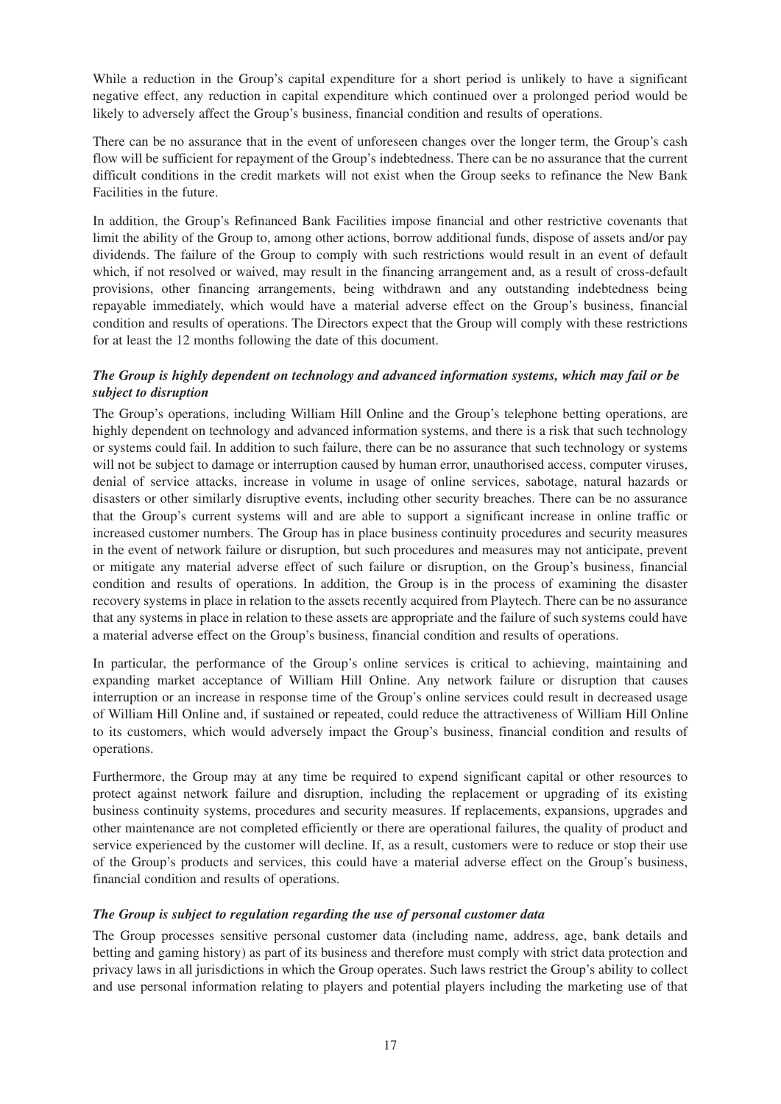While a reduction in the Group's capital expenditure for a short period is unlikely to have a significant negative effect, any reduction in capital expenditure which continued over a prolonged period would be likely to adversely affect the Group's business, financial condition and results of operations.

There can be no assurance that in the event of unforeseen changes over the longer term, the Group's cash flow will be sufficient for repayment of the Group's indebtedness. There can be no assurance that the current difficult conditions in the credit markets will not exist when the Group seeks to refinance the New Bank Facilities in the future.

In addition, the Group's Refinanced Bank Facilities impose financial and other restrictive covenants that limit the ability of the Group to, among other actions, borrow additional funds, dispose of assets and/or pay dividends. The failure of the Group to comply with such restrictions would result in an event of default which, if not resolved or waived, may result in the financing arrangement and, as a result of cross-default provisions, other financing arrangements, being withdrawn and any outstanding indebtedness being repayable immediately, which would have a material adverse effect on the Group's business, financial condition and results of operations. The Directors expect that the Group will comply with these restrictions for at least the 12 months following the date of this document.

#### *The Group is highly dependent on technology and advanced information systems, which may fail or be subject to disruption*

The Group's operations, including William Hill Online and the Group's telephone betting operations, are highly dependent on technology and advanced information systems, and there is a risk that such technology or systems could fail. In addition to such failure, there can be no assurance that such technology or systems will not be subject to damage or interruption caused by human error, unauthorised access, computer viruses, denial of service attacks, increase in volume in usage of online services, sabotage, natural hazards or disasters or other similarly disruptive events, including other security breaches. There can be no assurance that the Group's current systems will and are able to support a significant increase in online traffic or increased customer numbers. The Group has in place business continuity procedures and security measures in the event of network failure or disruption, but such procedures and measures may not anticipate, prevent or mitigate any material adverse effect of such failure or disruption, on the Group's business, financial condition and results of operations. In addition, the Group is in the process of examining the disaster recovery systems in place in relation to the assets recently acquired from Playtech. There can be no assurance that any systems in place in relation to these assets are appropriate and the failure of such systems could have a material adverse effect on the Group's business, financial condition and results of operations.

In particular, the performance of the Group's online services is critical to achieving, maintaining and expanding market acceptance of William Hill Online. Any network failure or disruption that causes interruption or an increase in response time of the Group's online services could result in decreased usage of William Hill Online and, if sustained or repeated, could reduce the attractiveness of William Hill Online to its customers, which would adversely impact the Group's business, financial condition and results of operations.

Furthermore, the Group may at any time be required to expend significant capital or other resources to protect against network failure and disruption, including the replacement or upgrading of its existing business continuity systems, procedures and security measures. If replacements, expansions, upgrades and other maintenance are not completed efficiently or there are operational failures, the quality of product and service experienced by the customer will decline. If, as a result, customers were to reduce or stop their use of the Group's products and services, this could have a material adverse effect on the Group's business, financial condition and results of operations.

#### *The Group is subject to regulation regarding the use of personal customer data*

The Group processes sensitive personal customer data (including name, address, age, bank details and betting and gaming history) as part of its business and therefore must comply with strict data protection and privacy laws in all jurisdictions in which the Group operates. Such laws restrict the Group's ability to collect and use personal information relating to players and potential players including the marketing use of that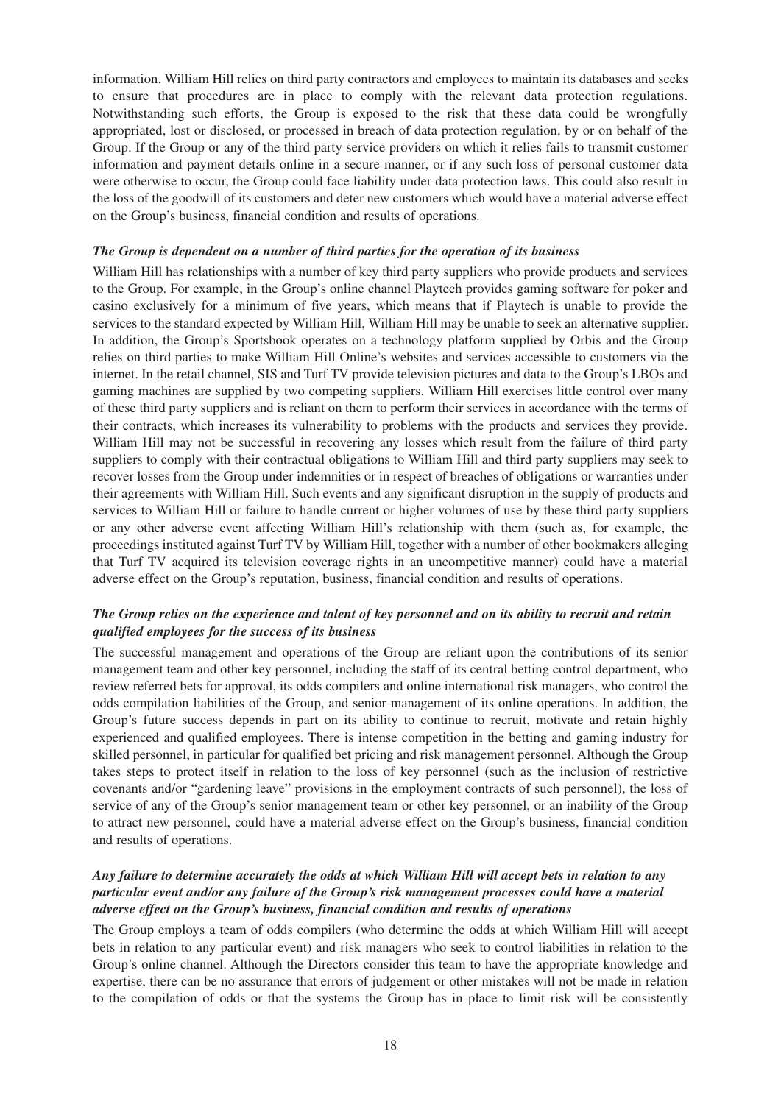information. William Hill relies on third party contractors and employees to maintain its databases and seeks to ensure that procedures are in place to comply with the relevant data protection regulations. Notwithstanding such efforts, the Group is exposed to the risk that these data could be wrongfully appropriated, lost or disclosed, or processed in breach of data protection regulation, by or on behalf of the Group. If the Group or any of the third party service providers on which it relies fails to transmit customer information and payment details online in a secure manner, or if any such loss of personal customer data were otherwise to occur, the Group could face liability under data protection laws. This could also result in the loss of the goodwill of its customers and deter new customers which would have a material adverse effect on the Group's business, financial condition and results of operations.

#### *The Group is dependent on a number of third parties for the operation of its business*

William Hill has relationships with a number of key third party suppliers who provide products and services to the Group. For example, in the Group's online channel Playtech provides gaming software for poker and casino exclusively for a minimum of five years, which means that if Playtech is unable to provide the services to the standard expected by William Hill, William Hill may be unable to seek an alternative supplier. In addition, the Group's Sportsbook operates on a technology platform supplied by Orbis and the Group relies on third parties to make William Hill Online's websites and services accessible to customers via the internet. In the retail channel, SIS and Turf TV provide television pictures and data to the Group's LBOs and gaming machines are supplied by two competing suppliers. William Hill exercises little control over many of these third party suppliers and is reliant on them to perform their services in accordance with the terms of their contracts, which increases its vulnerability to problems with the products and services they provide. William Hill may not be successful in recovering any losses which result from the failure of third party suppliers to comply with their contractual obligations to William Hill and third party suppliers may seek to recover losses from the Group under indemnities or in respect of breaches of obligations or warranties under their agreements with William Hill. Such events and any significant disruption in the supply of products and services to William Hill or failure to handle current or higher volumes of use by these third party suppliers or any other adverse event affecting William Hill's relationship with them (such as, for example, the proceedings instituted against Turf TV by William Hill, together with a number of other bookmakers alleging that Turf TV acquired its television coverage rights in an uncompetitive manner) could have a material adverse effect on the Group's reputation, business, financial condition and results of operations.

#### *The Group relies on the experience and talent of key personnel and on its ability to recruit and retain qualified employees for the success of its business*

The successful management and operations of the Group are reliant upon the contributions of its senior management team and other key personnel, including the staff of its central betting control department, who review referred bets for approval, its odds compilers and online international risk managers, who control the odds compilation liabilities of the Group, and senior management of its online operations. In addition, the Group's future success depends in part on its ability to continue to recruit, motivate and retain highly experienced and qualified employees. There is intense competition in the betting and gaming industry for skilled personnel, in particular for qualified bet pricing and risk management personnel. Although the Group takes steps to protect itself in relation to the loss of key personnel (such as the inclusion of restrictive covenants and/or "gardening leave" provisions in the employment contracts of such personnel), the loss of service of any of the Group's senior management team or other key personnel, or an inability of the Group to attract new personnel, could have a material adverse effect on the Group's business, financial condition and results of operations.

#### *Any failure to determine accurately the odds at which William Hill will accept bets in relation to any particular event and/or any failure of the Group's risk management processes could have a material adverse effect on the Group's business, financial condition and results of operations*

The Group employs a team of odds compilers (who determine the odds at which William Hill will accept bets in relation to any particular event) and risk managers who seek to control liabilities in relation to the Group's online channel. Although the Directors consider this team to have the appropriate knowledge and expertise, there can be no assurance that errors of judgement or other mistakes will not be made in relation to the compilation of odds or that the systems the Group has in place to limit risk will be consistently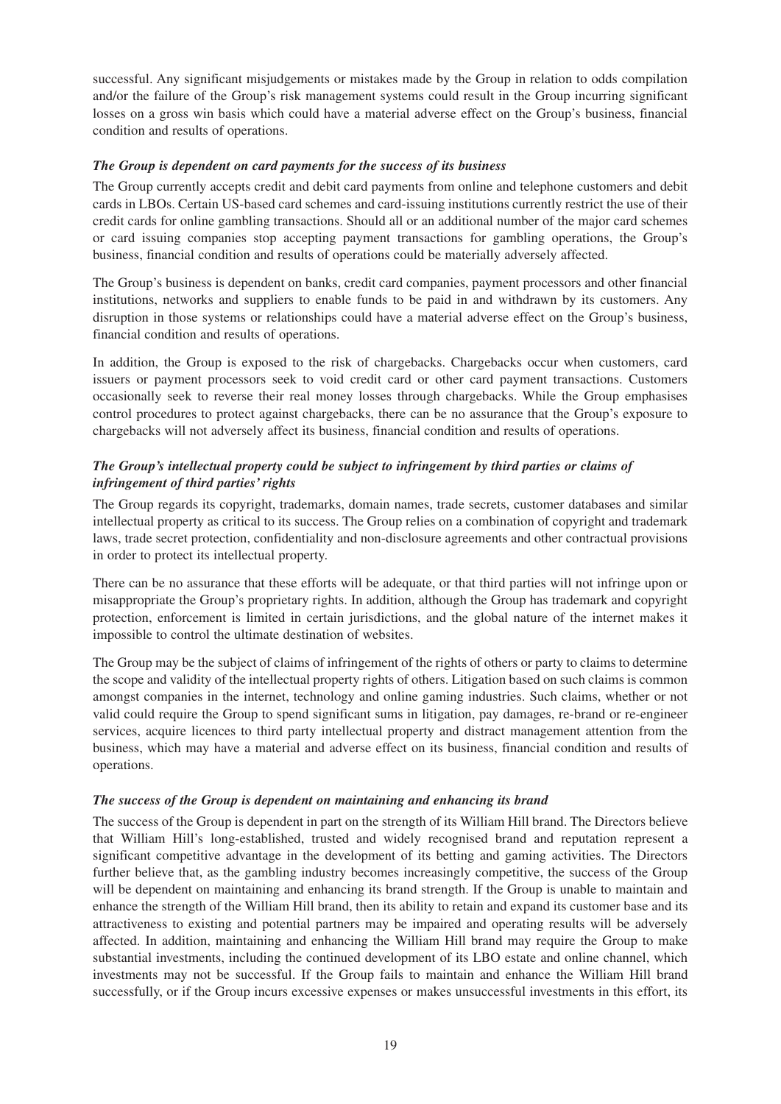successful. Any significant misjudgements or mistakes made by the Group in relation to odds compilation and/or the failure of the Group's risk management systems could result in the Group incurring significant losses on a gross win basis which could have a material adverse effect on the Group's business, financial condition and results of operations.

#### *The Group is dependent on card payments for the success of its business*

The Group currently accepts credit and debit card payments from online and telephone customers and debit cards in LBOs. Certain US-based card schemes and card-issuing institutions currently restrict the use of their credit cards for online gambling transactions. Should all or an additional number of the major card schemes or card issuing companies stop accepting payment transactions for gambling operations, the Group's business, financial condition and results of operations could be materially adversely affected.

The Group's business is dependent on banks, credit card companies, payment processors and other financial institutions, networks and suppliers to enable funds to be paid in and withdrawn by its customers. Any disruption in those systems or relationships could have a material adverse effect on the Group's business, financial condition and results of operations.

In addition, the Group is exposed to the risk of chargebacks. Chargebacks occur when customers, card issuers or payment processors seek to void credit card or other card payment transactions. Customers occasionally seek to reverse their real money losses through chargebacks. While the Group emphasises control procedures to protect against chargebacks, there can be no assurance that the Group's exposure to chargebacks will not adversely affect its business, financial condition and results of operations.

### *The Group's intellectual property could be subject to infringement by third parties or claims of infringement of third parties' rights*

The Group regards its copyright, trademarks, domain names, trade secrets, customer databases and similar intellectual property as critical to its success. The Group relies on a combination of copyright and trademark laws, trade secret protection, confidentiality and non-disclosure agreements and other contractual provisions in order to protect its intellectual property.

There can be no assurance that these efforts will be adequate, or that third parties will not infringe upon or misappropriate the Group's proprietary rights. In addition, although the Group has trademark and copyright protection, enforcement is limited in certain jurisdictions, and the global nature of the internet makes it impossible to control the ultimate destination of websites.

The Group may be the subject of claims of infringement of the rights of others or party to claims to determine the scope and validity of the intellectual property rights of others. Litigation based on such claims is common amongst companies in the internet, technology and online gaming industries. Such claims, whether or not valid could require the Group to spend significant sums in litigation, pay damages, re-brand or re-engineer services, acquire licences to third party intellectual property and distract management attention from the business, which may have a material and adverse effect on its business, financial condition and results of operations.

#### *The success of the Group is dependent on maintaining and enhancing its brand*

The success of the Group is dependent in part on the strength of its William Hill brand. The Directors believe that William Hill's long-established, trusted and widely recognised brand and reputation represent a significant competitive advantage in the development of its betting and gaming activities. The Directors further believe that, as the gambling industry becomes increasingly competitive, the success of the Group will be dependent on maintaining and enhancing its brand strength. If the Group is unable to maintain and enhance the strength of the William Hill brand, then its ability to retain and expand its customer base and its attractiveness to existing and potential partners may be impaired and operating results will be adversely affected. In addition, maintaining and enhancing the William Hill brand may require the Group to make substantial investments, including the continued development of its LBO estate and online channel, which investments may not be successful. If the Group fails to maintain and enhance the William Hill brand successfully, or if the Group incurs excessive expenses or makes unsuccessful investments in this effort, its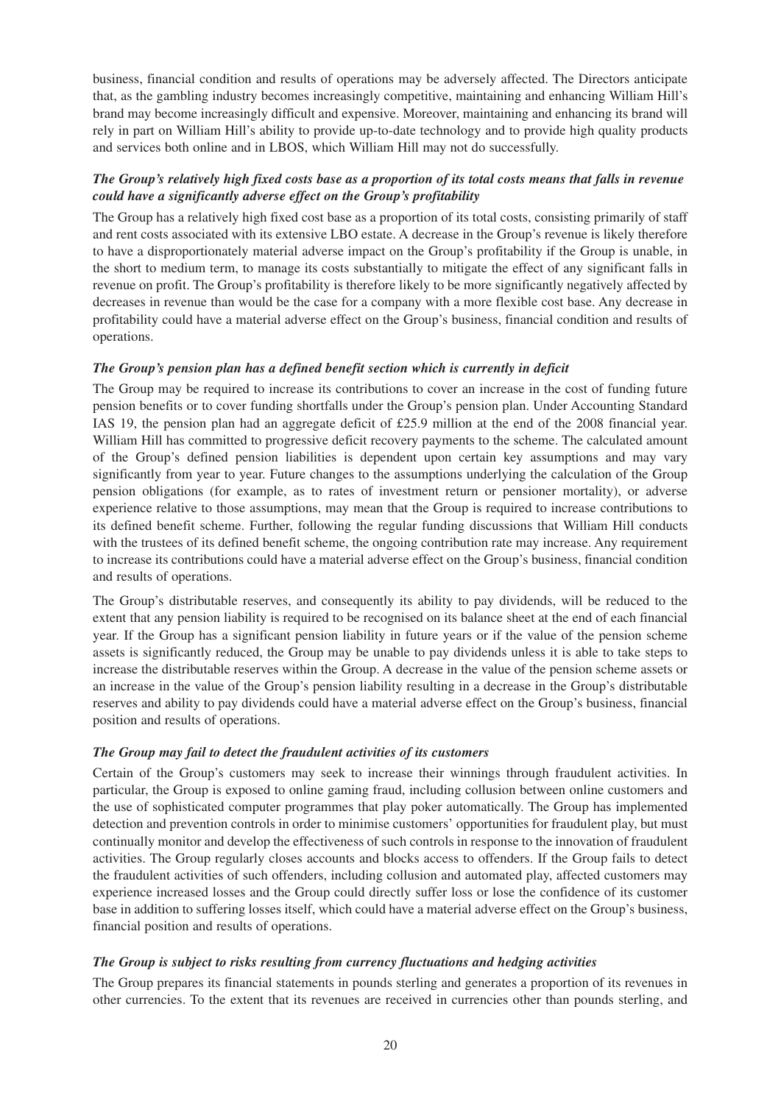business, financial condition and results of operations may be adversely affected. The Directors anticipate that, as the gambling industry becomes increasingly competitive, maintaining and enhancing William Hill's brand may become increasingly difficult and expensive. Moreover, maintaining and enhancing its brand will rely in part on William Hill's ability to provide up-to-date technology and to provide high quality products and services both online and in LBOS, which William Hill may not do successfully.

#### *The Group's relatively high fixed costs base as a proportion of its total costs means that falls in revenue could have a significantly adverse effect on the Group's profitability*

The Group has a relatively high fixed cost base as a proportion of its total costs, consisting primarily of staff and rent costs associated with its extensive LBO estate. A decrease in the Group's revenue is likely therefore to have a disproportionately material adverse impact on the Group's profitability if the Group is unable, in the short to medium term, to manage its costs substantially to mitigate the effect of any significant falls in revenue on profit. The Group's profitability is therefore likely to be more significantly negatively affected by decreases in revenue than would be the case for a company with a more flexible cost base. Any decrease in profitability could have a material adverse effect on the Group's business, financial condition and results of operations.

#### *The Group's pension plan has a defined benefit section which is currently in deficit*

The Group may be required to increase its contributions to cover an increase in the cost of funding future pension benefits or to cover funding shortfalls under the Group's pension plan. Under Accounting Standard IAS 19, the pension plan had an aggregate deficit of £25.9 million at the end of the 2008 financial year. William Hill has committed to progressive deficit recovery payments to the scheme. The calculated amount of the Group's defined pension liabilities is dependent upon certain key assumptions and may vary significantly from year to year. Future changes to the assumptions underlying the calculation of the Group pension obligations (for example, as to rates of investment return or pensioner mortality), or adverse experience relative to those assumptions, may mean that the Group is required to increase contributions to its defined benefit scheme. Further, following the regular funding discussions that William Hill conducts with the trustees of its defined benefit scheme, the ongoing contribution rate may increase. Any requirement to increase its contributions could have a material adverse effect on the Group's business, financial condition and results of operations.

The Group's distributable reserves, and consequently its ability to pay dividends, will be reduced to the extent that any pension liability is required to be recognised on its balance sheet at the end of each financial year. If the Group has a significant pension liability in future years or if the value of the pension scheme assets is significantly reduced, the Group may be unable to pay dividends unless it is able to take steps to increase the distributable reserves within the Group. A decrease in the value of the pension scheme assets or an increase in the value of the Group's pension liability resulting in a decrease in the Group's distributable reserves and ability to pay dividends could have a material adverse effect on the Group's business, financial position and results of operations.

#### *The Group may fail to detect the fraudulent activities of its customers*

Certain of the Group's customers may seek to increase their winnings through fraudulent activities. In particular, the Group is exposed to online gaming fraud, including collusion between online customers and the use of sophisticated computer programmes that play poker automatically. The Group has implemented detection and prevention controls in order to minimise customers' opportunities for fraudulent play, but must continually monitor and develop the effectiveness of such controls in response to the innovation of fraudulent activities. The Group regularly closes accounts and blocks access to offenders. If the Group fails to detect the fraudulent activities of such offenders, including collusion and automated play, affected customers may experience increased losses and the Group could directly suffer loss or lose the confidence of its customer base in addition to suffering losses itself, which could have a material adverse effect on the Group's business, financial position and results of operations.

#### *The Group is subject to risks resulting from currency fluctuations and hedging activities*

The Group prepares its financial statements in pounds sterling and generates a proportion of its revenues in other currencies. To the extent that its revenues are received in currencies other than pounds sterling, and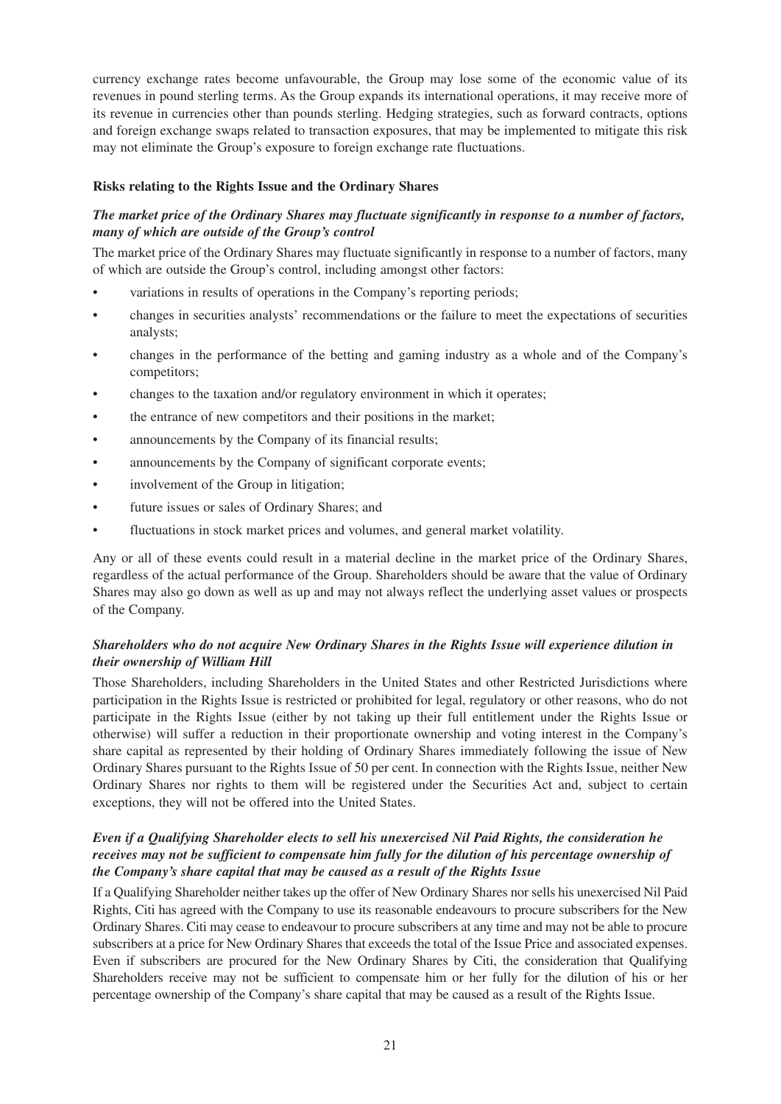currency exchange rates become unfavourable, the Group may lose some of the economic value of its revenues in pound sterling terms. As the Group expands its international operations, it may receive more of its revenue in currencies other than pounds sterling. Hedging strategies, such as forward contracts, options and foreign exchange swaps related to transaction exposures, that may be implemented to mitigate this risk may not eliminate the Group's exposure to foreign exchange rate fluctuations.

#### **Risks relating to the Rights Issue and the Ordinary Shares**

### *The market price of the Ordinary Shares may fluctuate significantly in response to a number of factors, many of which are outside of the Group's control*

The market price of the Ordinary Shares may fluctuate significantly in response to a number of factors, many of which are outside the Group's control, including amongst other factors:

- variations in results of operations in the Company's reporting periods;
- changes in securities analysts' recommendations or the failure to meet the expectations of securities analysts;
- changes in the performance of the betting and gaming industry as a whole and of the Company's competitors;
- changes to the taxation and/or regulatory environment in which it operates;
- the entrance of new competitors and their positions in the market;
- announcements by the Company of its financial results;
- announcements by the Company of significant corporate events;
- involvement of the Group in litigation;
- future issues or sales of Ordinary Shares; and
- fluctuations in stock market prices and volumes, and general market volatility.

Any or all of these events could result in a material decline in the market price of the Ordinary Shares, regardless of the actual performance of the Group. Shareholders should be aware that the value of Ordinary Shares may also go down as well as up and may not always reflect the underlying asset values or prospects of the Company.

#### *Shareholders who do not acquire New Ordinary Shares in the Rights Issue will experience dilution in their ownership of William Hill*

Those Shareholders, including Shareholders in the United States and other Restricted Jurisdictions where participation in the Rights Issue is restricted or prohibited for legal, regulatory or other reasons, who do not participate in the Rights Issue (either by not taking up their full entitlement under the Rights Issue or otherwise) will suffer a reduction in their proportionate ownership and voting interest in the Company's share capital as represented by their holding of Ordinary Shares immediately following the issue of New Ordinary Shares pursuant to the Rights Issue of 50 per cent. In connection with the Rights Issue, neither New Ordinary Shares nor rights to them will be registered under the Securities Act and, subject to certain exceptions, they will not be offered into the United States.

#### *Even if a Qualifying Shareholder elects to sell his unexercised Nil Paid Rights, the consideration he receives may not be sufficient to compensate him fully for the dilution of his percentage ownership of the Company's share capital that may be caused as a result of the Rights Issue*

If a Qualifying Shareholder neither takes up the offer of New Ordinary Shares nor sells his unexercised Nil Paid Rights, Citi has agreed with the Company to use its reasonable endeavours to procure subscribers for the New Ordinary Shares. Citi may cease to endeavour to procure subscribers at any time and may not be able to procure subscribers at a price for New Ordinary Shares that exceeds the total of the Issue Price and associated expenses. Even if subscribers are procured for the New Ordinary Shares by Citi, the consideration that Qualifying Shareholders receive may not be sufficient to compensate him or her fully for the dilution of his or her percentage ownership of the Company's share capital that may be caused as a result of the Rights Issue.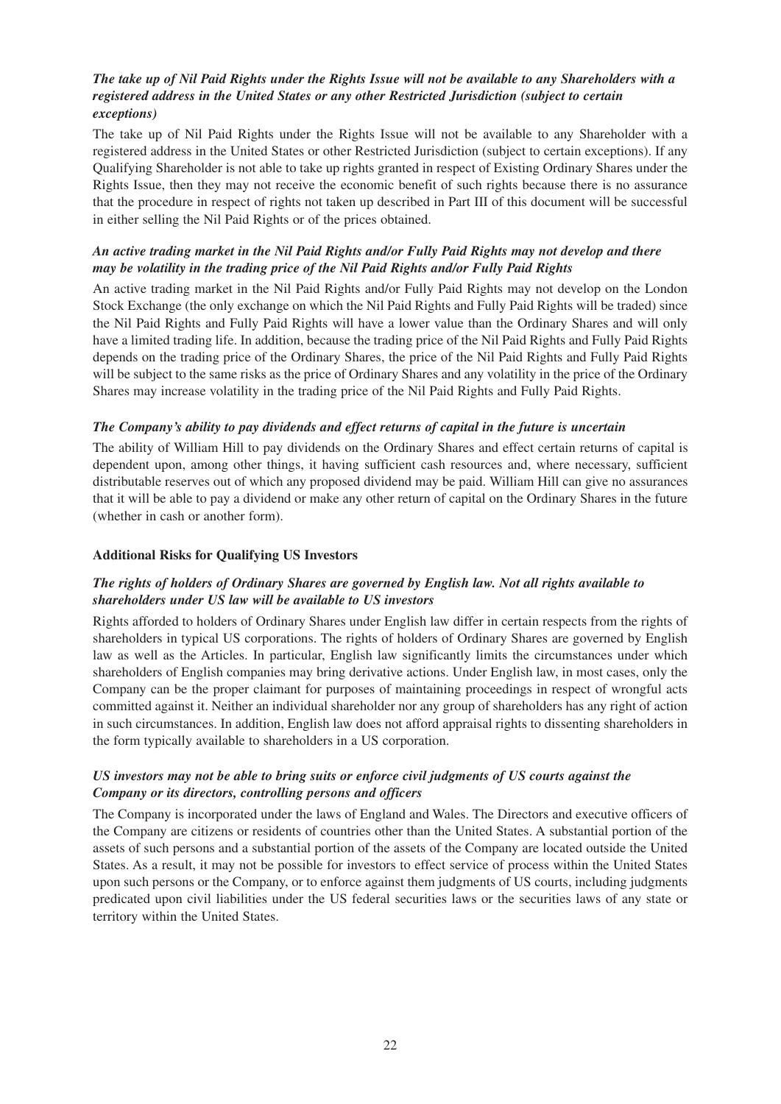#### *The take up of Nil Paid Rights under the Rights Issue will not be available to any Shareholders with a registered address in the United States or any other Restricted Jurisdiction (subject to certain exceptions)*

The take up of Nil Paid Rights under the Rights Issue will not be available to any Shareholder with a registered address in the United States or other Restricted Jurisdiction (subject to certain exceptions). If any Qualifying Shareholder is not able to take up rights granted in respect of Existing Ordinary Shares under the Rights Issue, then they may not receive the economic benefit of such rights because there is no assurance that the procedure in respect of rights not taken up described in Part III of this document will be successful in either selling the Nil Paid Rights or of the prices obtained.

#### *An active trading market in the Nil Paid Rights and/or Fully Paid Rights may not develop and there may be volatility in the trading price of the Nil Paid Rights and/or Fully Paid Rights*

An active trading market in the Nil Paid Rights and/or Fully Paid Rights may not develop on the London Stock Exchange (the only exchange on which the Nil Paid Rights and Fully Paid Rights will be traded) since the Nil Paid Rights and Fully Paid Rights will have a lower value than the Ordinary Shares and will only have a limited trading life. In addition, because the trading price of the Nil Paid Rights and Fully Paid Rights depends on the trading price of the Ordinary Shares, the price of the Nil Paid Rights and Fully Paid Rights will be subject to the same risks as the price of Ordinary Shares and any volatility in the price of the Ordinary Shares may increase volatility in the trading price of the Nil Paid Rights and Fully Paid Rights.

#### *The Company's ability to pay dividends and effect returns of capital in the future is uncertain*

The ability of William Hill to pay dividends on the Ordinary Shares and effect certain returns of capital is dependent upon, among other things, it having sufficient cash resources and, where necessary, sufficient distributable reserves out of which any proposed dividend may be paid. William Hill can give no assurances that it will be able to pay a dividend or make any other return of capital on the Ordinary Shares in the future (whether in cash or another form).

#### **Additional Risks for Qualifying US Investors**

#### *The rights of holders of Ordinary Shares are governed by English law. Not all rights available to shareholders under US law will be available to US investors*

Rights afforded to holders of Ordinary Shares under English law differ in certain respects from the rights of shareholders in typical US corporations. The rights of holders of Ordinary Shares are governed by English law as well as the Articles. In particular, English law significantly limits the circumstances under which shareholders of English companies may bring derivative actions. Under English law, in most cases, only the Company can be the proper claimant for purposes of maintaining proceedings in respect of wrongful acts committed against it. Neither an individual shareholder nor any group of shareholders has any right of action in such circumstances. In addition, English law does not afford appraisal rights to dissenting shareholders in the form typically available to shareholders in a US corporation.

#### *US investors may not be able to bring suits or enforce civil judgments of US courts against the Company or its directors, controlling persons and officers*

The Company is incorporated under the laws of England and Wales. The Directors and executive officers of the Company are citizens or residents of countries other than the United States. A substantial portion of the assets of such persons and a substantial portion of the assets of the Company are located outside the United States. As a result, it may not be possible for investors to effect service of process within the United States upon such persons or the Company, or to enforce against them judgments of US courts, including judgments predicated upon civil liabilities under the US federal securities laws or the securities laws of any state or territory within the United States.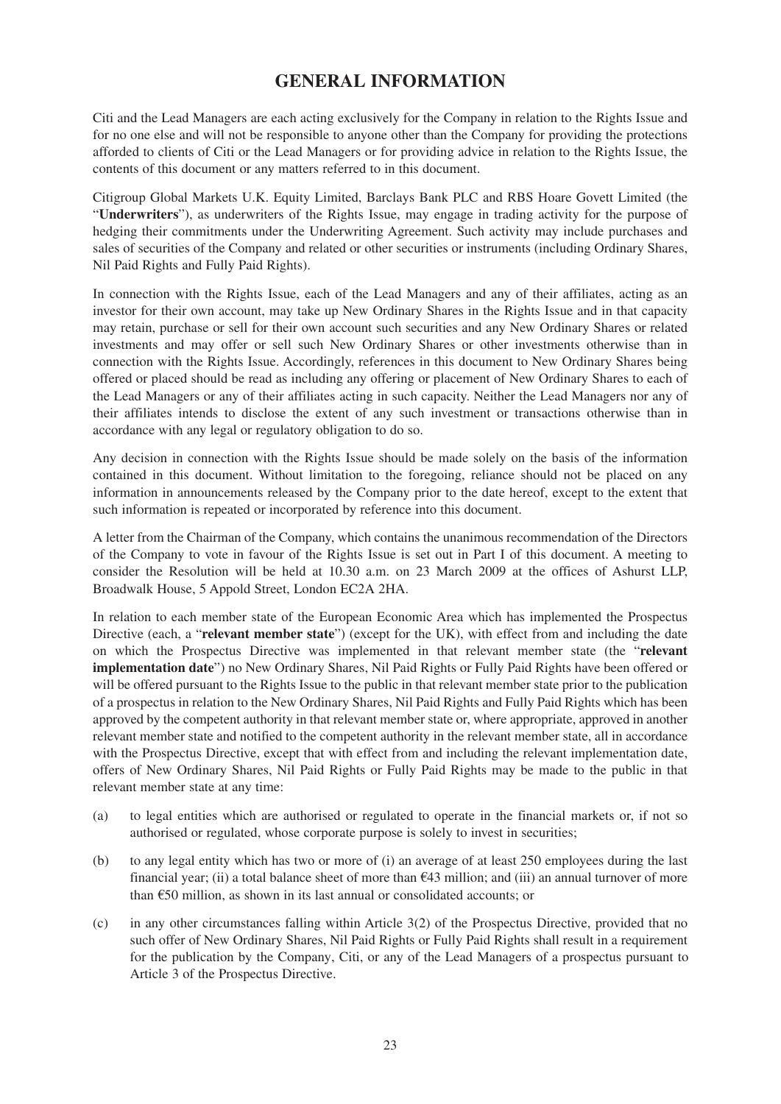## **GENERAL INFORMATION**

Citi and the Lead Managers are each acting exclusively for the Company in relation to the Rights Issue and for no one else and will not be responsible to anyone other than the Company for providing the protections afforded to clients of Citi or the Lead Managers or for providing advice in relation to the Rights Issue, the contents of this document or any matters referred to in this document.

Citigroup Global Markets U.K. Equity Limited, Barclays Bank PLC and RBS Hoare Govett Limited (the "**Underwriters**"), as underwriters of the Rights Issue, may engage in trading activity for the purpose of hedging their commitments under the Underwriting Agreement. Such activity may include purchases and sales of securities of the Company and related or other securities or instruments (including Ordinary Shares, Nil Paid Rights and Fully Paid Rights).

In connection with the Rights Issue, each of the Lead Managers and any of their affiliates, acting as an investor for their own account, may take up New Ordinary Shares in the Rights Issue and in that capacity may retain, purchase or sell for their own account such securities and any New Ordinary Shares or related investments and may offer or sell such New Ordinary Shares or other investments otherwise than in connection with the Rights Issue. Accordingly, references in this document to New Ordinary Shares being offered or placed should be read as including any offering or placement of New Ordinary Shares to each of the Lead Managers or any of their affiliates acting in such capacity. Neither the Lead Managers nor any of their affiliates intends to disclose the extent of any such investment or transactions otherwise than in accordance with any legal or regulatory obligation to do so.

Any decision in connection with the Rights Issue should be made solely on the basis of the information contained in this document. Without limitation to the foregoing, reliance should not be placed on any information in announcements released by the Company prior to the date hereof, except to the extent that such information is repeated or incorporated by reference into this document.

A letter from the Chairman of the Company, which contains the unanimous recommendation of the Directors of the Company to vote in favour of the Rights Issue is set out in Part I of this document. A meeting to consider the Resolution will be held at 10.30 a.m. on 23 March 2009 at the offices of Ashurst LLP, Broadwalk House, 5 Appold Street, London EC2A 2HA.

In relation to each member state of the European Economic Area which has implemented the Prospectus Directive (each, a "**relevant member state**") (except for the UK), with effect from and including the date on which the Prospectus Directive was implemented in that relevant member state (the "**relevant implementation date**") no New Ordinary Shares, Nil Paid Rights or Fully Paid Rights have been offered or will be offered pursuant to the Rights Issue to the public in that relevant member state prior to the publication of a prospectus in relation to the New Ordinary Shares, Nil Paid Rights and Fully Paid Rights which has been approved by the competent authority in that relevant member state or, where appropriate, approved in another relevant member state and notified to the competent authority in the relevant member state, all in accordance with the Prospectus Directive, except that with effect from and including the relevant implementation date, offers of New Ordinary Shares, Nil Paid Rights or Fully Paid Rights may be made to the public in that relevant member state at any time:

- (a) to legal entities which are authorised or regulated to operate in the financial markets or, if not so authorised or regulated, whose corporate purpose is solely to invest in securities;
- (b) to any legal entity which has two or more of (i) an average of at least 250 employees during the last financial year; (ii) a total balance sheet of more than  $\epsilon$ 43 million; and (iii) an annual turnover of more than €50 million, as shown in its last annual or consolidated accounts; or
- (c) in any other circumstances falling within Article 3(2) of the Prospectus Directive, provided that no such offer of New Ordinary Shares, Nil Paid Rights or Fully Paid Rights shall result in a requirement for the publication by the Company, Citi, or any of the Lead Managers of a prospectus pursuant to Article 3 of the Prospectus Directive.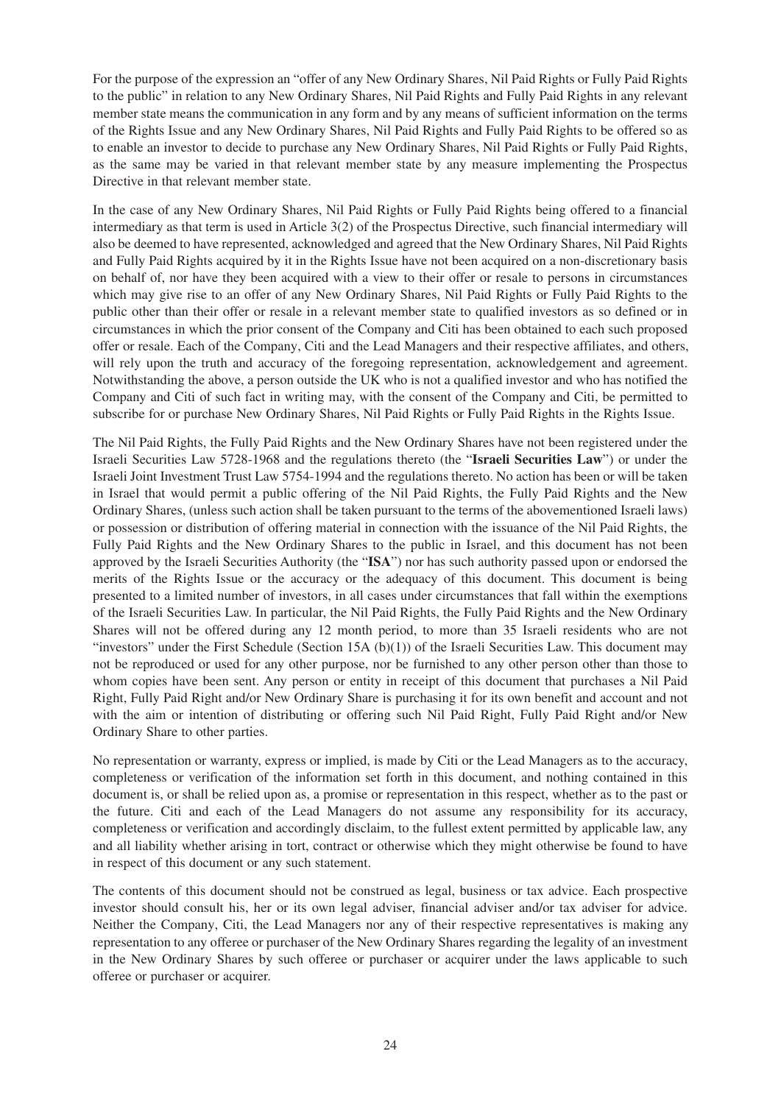For the purpose of the expression an "offer of any New Ordinary Shares, Nil Paid Rights or Fully Paid Rights to the public" in relation to any New Ordinary Shares, Nil Paid Rights and Fully Paid Rights in any relevant member state means the communication in any form and by any means of sufficient information on the terms of the Rights Issue and any New Ordinary Shares, Nil Paid Rights and Fully Paid Rights to be offered so as to enable an investor to decide to purchase any New Ordinary Shares, Nil Paid Rights or Fully Paid Rights, as the same may be varied in that relevant member state by any measure implementing the Prospectus Directive in that relevant member state.

In the case of any New Ordinary Shares, Nil Paid Rights or Fully Paid Rights being offered to a financial intermediary as that term is used in Article 3(2) of the Prospectus Directive, such financial intermediary will also be deemed to have represented, acknowledged and agreed that the New Ordinary Shares, Nil Paid Rights and Fully Paid Rights acquired by it in the Rights Issue have not been acquired on a non-discretionary basis on behalf of, nor have they been acquired with a view to their offer or resale to persons in circumstances which may give rise to an offer of any New Ordinary Shares, Nil Paid Rights or Fully Paid Rights to the public other than their offer or resale in a relevant member state to qualified investors as so defined or in circumstances in which the prior consent of the Company and Citi has been obtained to each such proposed offer or resale. Each of the Company, Citi and the Lead Managers and their respective affiliates, and others, will rely upon the truth and accuracy of the foregoing representation, acknowledgement and agreement. Notwithstanding the above, a person outside the UK who is not a qualified investor and who has notified the Company and Citi of such fact in writing may, with the consent of the Company and Citi, be permitted to subscribe for or purchase New Ordinary Shares, Nil Paid Rights or Fully Paid Rights in the Rights Issue.

The Nil Paid Rights, the Fully Paid Rights and the New Ordinary Shares have not been registered under the Israeli Securities Law 5728-1968 and the regulations thereto (the "**Israeli Securities Law**") or under the Israeli Joint Investment Trust Law 5754-1994 and the regulations thereto. No action has been or will be taken in Israel that would permit a public offering of the Nil Paid Rights, the Fully Paid Rights and the New Ordinary Shares, (unless such action shall be taken pursuant to the terms of the abovementioned Israeli laws) or possession or distribution of offering material in connection with the issuance of the Nil Paid Rights, the Fully Paid Rights and the New Ordinary Shares to the public in Israel, and this document has not been approved by the Israeli Securities Authority (the "**ISA**") nor has such authority passed upon or endorsed the merits of the Rights Issue or the accuracy or the adequacy of this document. This document is being presented to a limited number of investors, in all cases under circumstances that fall within the exemptions of the Israeli Securities Law. In particular, the Nil Paid Rights, the Fully Paid Rights and the New Ordinary Shares will not be offered during any 12 month period, to more than 35 Israeli residents who are not "investors" under the First Schedule (Section 15A  $(b)(1)$ ) of the Israeli Securities Law. This document may not be reproduced or used for any other purpose, nor be furnished to any other person other than those to whom copies have been sent. Any person or entity in receipt of this document that purchases a Nil Paid Right, Fully Paid Right and/or New Ordinary Share is purchasing it for its own benefit and account and not with the aim or intention of distributing or offering such Nil Paid Right, Fully Paid Right and/or New Ordinary Share to other parties.

No representation or warranty, express or implied, is made by Citi or the Lead Managers as to the accuracy, completeness or verification of the information set forth in this document, and nothing contained in this document is, or shall be relied upon as, a promise or representation in this respect, whether as to the past or the future. Citi and each of the Lead Managers do not assume any responsibility for its accuracy, completeness or verification and accordingly disclaim, to the fullest extent permitted by applicable law, any and all liability whether arising in tort, contract or otherwise which they might otherwise be found to have in respect of this document or any such statement.

The contents of this document should not be construed as legal, business or tax advice. Each prospective investor should consult his, her or its own legal adviser, financial adviser and/or tax adviser for advice. Neither the Company, Citi, the Lead Managers nor any of their respective representatives is making any representation to any offeree or purchaser of the New Ordinary Shares regarding the legality of an investment in the New Ordinary Shares by such offeree or purchaser or acquirer under the laws applicable to such offeree or purchaser or acquirer.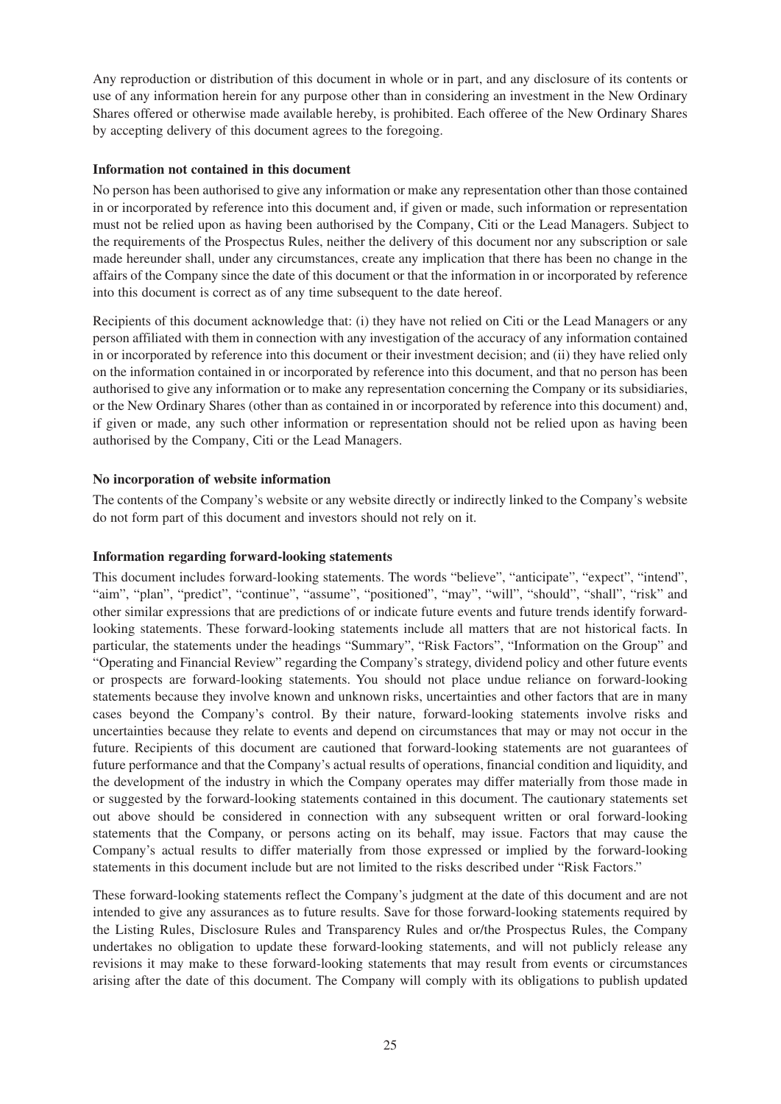Any reproduction or distribution of this document in whole or in part, and any disclosure of its contents or use of any information herein for any purpose other than in considering an investment in the New Ordinary Shares offered or otherwise made available hereby, is prohibited. Each offeree of the New Ordinary Shares by accepting delivery of this document agrees to the foregoing.

#### **Information not contained in this document**

No person has been authorised to give any information or make any representation other than those contained in or incorporated by reference into this document and, if given or made, such information or representation must not be relied upon as having been authorised by the Company, Citi or the Lead Managers. Subject to the requirements of the Prospectus Rules, neither the delivery of this document nor any subscription or sale made hereunder shall, under any circumstances, create any implication that there has been no change in the affairs of the Company since the date of this document or that the information in or incorporated by reference into this document is correct as of any time subsequent to the date hereof.

Recipients of this document acknowledge that: (i) they have not relied on Citi or the Lead Managers or any person affiliated with them in connection with any investigation of the accuracy of any information contained in or incorporated by reference into this document or their investment decision; and (ii) they have relied only on the information contained in or incorporated by reference into this document, and that no person has been authorised to give any information or to make any representation concerning the Company or its subsidiaries, or the New Ordinary Shares (other than as contained in or incorporated by reference into this document) and, if given or made, any such other information or representation should not be relied upon as having been authorised by the Company, Citi or the Lead Managers.

### **No incorporation of website information**

The contents of the Company's website or any website directly or indirectly linked to the Company's website do not form part of this document and investors should not rely on it.

#### **Information regarding forward-looking statements**

This document includes forward-looking statements. The words "believe", "anticipate", "expect", "intend", "aim", "plan", "predict", "continue", "assume", "positioned", "may", "will", "should", "shall", "risk" and other similar expressions that are predictions of or indicate future events and future trends identify forwardlooking statements. These forward-looking statements include all matters that are not historical facts. In particular, the statements under the headings "Summary", "Risk Factors", "Information on the Group" and "Operating and Financial Review" regarding the Company's strategy, dividend policy and other future events or prospects are forward-looking statements. You should not place undue reliance on forward-looking statements because they involve known and unknown risks, uncertainties and other factors that are in many cases beyond the Company's control. By their nature, forward-looking statements involve risks and uncertainties because they relate to events and depend on circumstances that may or may not occur in the future. Recipients of this document are cautioned that forward-looking statements are not guarantees of future performance and that the Company's actual results of operations, financial condition and liquidity, and the development of the industry in which the Company operates may differ materially from those made in or suggested by the forward-looking statements contained in this document. The cautionary statements set out above should be considered in connection with any subsequent written or oral forward-looking statements that the Company, or persons acting on its behalf, may issue. Factors that may cause the Company's actual results to differ materially from those expressed or implied by the forward-looking statements in this document include but are not limited to the risks described under "Risk Factors."

These forward-looking statements reflect the Company's judgment at the date of this document and are not intended to give any assurances as to future results. Save for those forward-looking statements required by the Listing Rules, Disclosure Rules and Transparency Rules and or/the Prospectus Rules, the Company undertakes no obligation to update these forward-looking statements, and will not publicly release any revisions it may make to these forward-looking statements that may result from events or circumstances arising after the date of this document. The Company will comply with its obligations to publish updated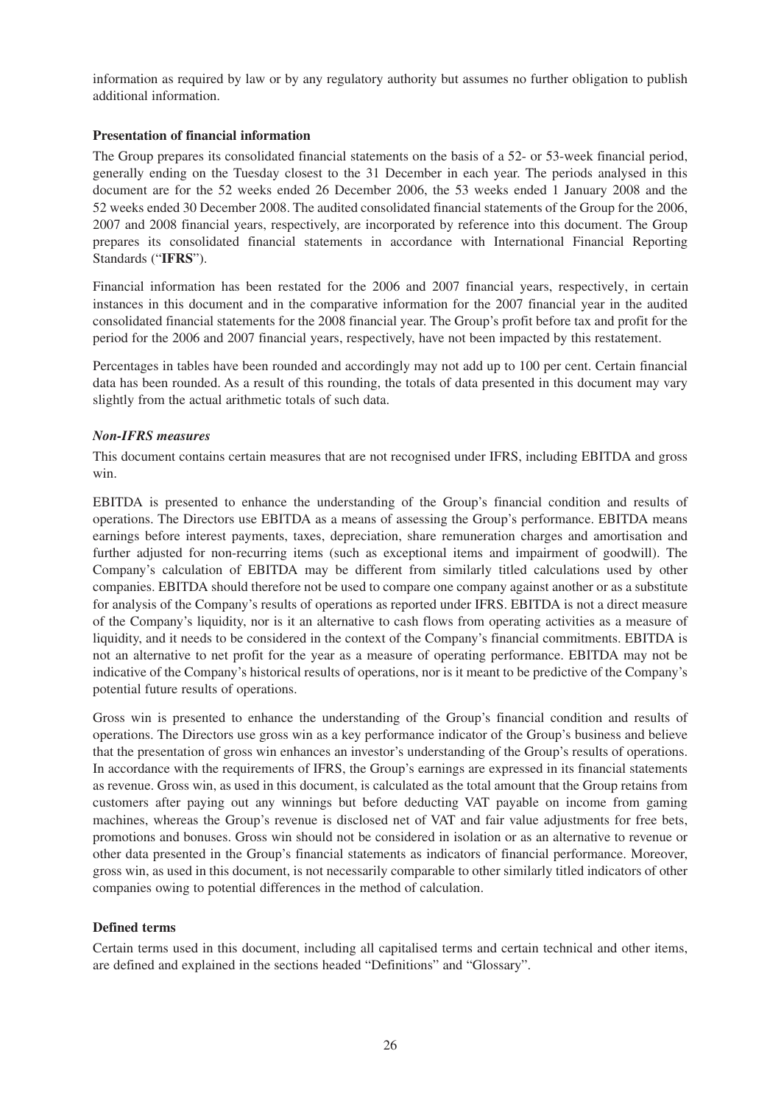information as required by law or by any regulatory authority but assumes no further obligation to publish additional information.

#### **Presentation of financial information**

The Group prepares its consolidated financial statements on the basis of a 52- or 53-week financial period, generally ending on the Tuesday closest to the 31 December in each year. The periods analysed in this document are for the 52 weeks ended 26 December 2006, the 53 weeks ended 1 January 2008 and the 52 weeks ended 30 December 2008. The audited consolidated financial statements of the Group for the 2006, 2007 and 2008 financial years, respectively, are incorporated by reference into this document. The Group prepares its consolidated financial statements in accordance with International Financial Reporting Standards ("**IFRS**").

Financial information has been restated for the 2006 and 2007 financial years, respectively, in certain instances in this document and in the comparative information for the 2007 financial year in the audited consolidated financial statements for the 2008 financial year. The Group's profit before tax and profit for the period for the 2006 and 2007 financial years, respectively, have not been impacted by this restatement.

Percentages in tables have been rounded and accordingly may not add up to 100 per cent. Certain financial data has been rounded. As a result of this rounding, the totals of data presented in this document may vary slightly from the actual arithmetic totals of such data.

#### *Non-IFRS measures*

This document contains certain measures that are not recognised under IFRS, including EBITDA and gross win.

EBITDA is presented to enhance the understanding of the Group's financial condition and results of operations. The Directors use EBITDA as a means of assessing the Group's performance. EBITDA means earnings before interest payments, taxes, depreciation, share remuneration charges and amortisation and further adjusted for non-recurring items (such as exceptional items and impairment of goodwill). The Company's calculation of EBITDA may be different from similarly titled calculations used by other companies. EBITDA should therefore not be used to compare one company against another or as a substitute for analysis of the Company's results of operations as reported under IFRS. EBITDA is not a direct measure of the Company's liquidity, nor is it an alternative to cash flows from operating activities as a measure of liquidity, and it needs to be considered in the context of the Company's financial commitments. EBITDA is not an alternative to net profit for the year as a measure of operating performance. EBITDA may not be indicative of the Company's historical results of operations, nor is it meant to be predictive of the Company's potential future results of operations.

Gross win is presented to enhance the understanding of the Group's financial condition and results of operations. The Directors use gross win as a key performance indicator of the Group's business and believe that the presentation of gross win enhances an investor's understanding of the Group's results of operations. In accordance with the requirements of IFRS, the Group's earnings are expressed in its financial statements as revenue. Gross win, as used in this document, is calculated as the total amount that the Group retains from customers after paying out any winnings but before deducting VAT payable on income from gaming machines, whereas the Group's revenue is disclosed net of VAT and fair value adjustments for free bets, promotions and bonuses. Gross win should not be considered in isolation or as an alternative to revenue or other data presented in the Group's financial statements as indicators of financial performance. Moreover, gross win, as used in this document, is not necessarily comparable to other similarly titled indicators of other companies owing to potential differences in the method of calculation.

#### **Defined terms**

Certain terms used in this document, including all capitalised terms and certain technical and other items, are defined and explained in the sections headed "Definitions" and "Glossary".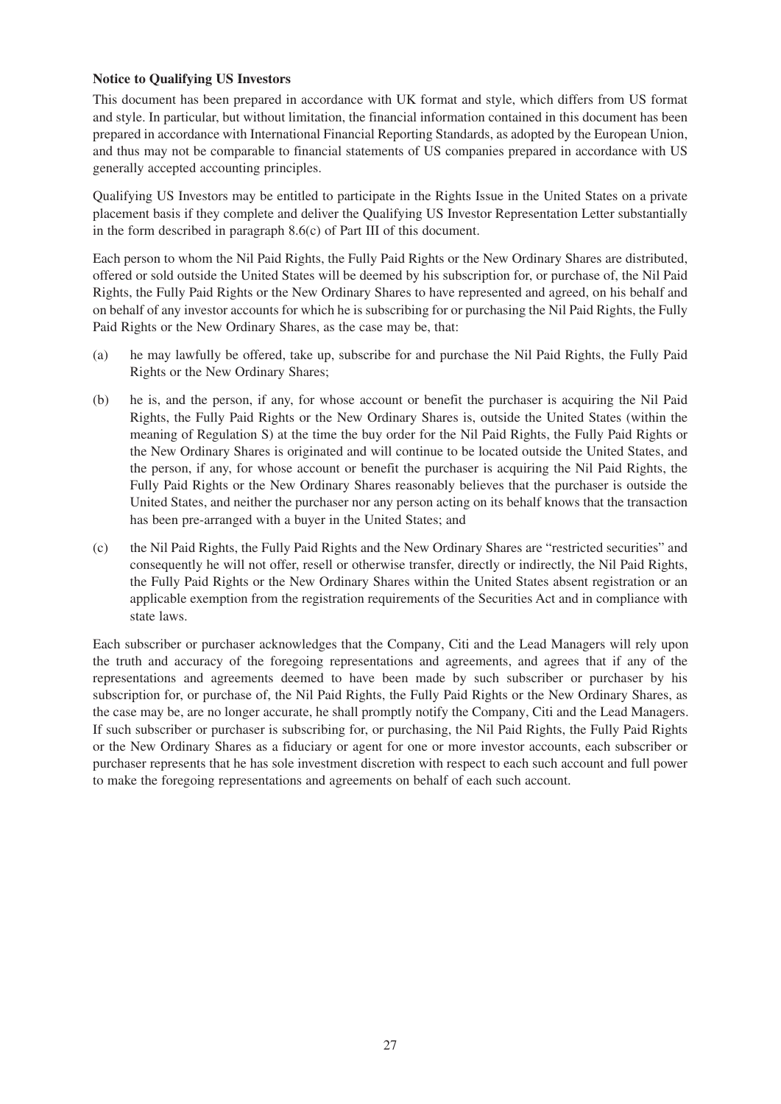#### **Notice to Qualifying US Investors**

This document has been prepared in accordance with UK format and style, which differs from US format and style. In particular, but without limitation, the financial information contained in this document has been prepared in accordance with International Financial Reporting Standards, as adopted by the European Union, and thus may not be comparable to financial statements of US companies prepared in accordance with US generally accepted accounting principles.

Qualifying US Investors may be entitled to participate in the Rights Issue in the United States on a private placement basis if they complete and deliver the Qualifying US Investor Representation Letter substantially in the form described in paragraph 8.6(c) of Part III of this document.

Each person to whom the Nil Paid Rights, the Fully Paid Rights or the New Ordinary Shares are distributed, offered or sold outside the United States will be deemed by his subscription for, or purchase of, the Nil Paid Rights, the Fully Paid Rights or the New Ordinary Shares to have represented and agreed, on his behalf and on behalf of any investor accounts for which he is subscribing for or purchasing the Nil Paid Rights, the Fully Paid Rights or the New Ordinary Shares, as the case may be, that:

- (a) he may lawfully be offered, take up, subscribe for and purchase the Nil Paid Rights, the Fully Paid Rights or the New Ordinary Shares;
- (b) he is, and the person, if any, for whose account or benefit the purchaser is acquiring the Nil Paid Rights, the Fully Paid Rights or the New Ordinary Shares is, outside the United States (within the meaning of Regulation S) at the time the buy order for the Nil Paid Rights, the Fully Paid Rights or the New Ordinary Shares is originated and will continue to be located outside the United States, and the person, if any, for whose account or benefit the purchaser is acquiring the Nil Paid Rights, the Fully Paid Rights or the New Ordinary Shares reasonably believes that the purchaser is outside the United States, and neither the purchaser nor any person acting on its behalf knows that the transaction has been pre-arranged with a buyer in the United States; and
- (c) the Nil Paid Rights, the Fully Paid Rights and the New Ordinary Shares are "restricted securities" and consequently he will not offer, resell or otherwise transfer, directly or indirectly, the Nil Paid Rights, the Fully Paid Rights or the New Ordinary Shares within the United States absent registration or an applicable exemption from the registration requirements of the Securities Act and in compliance with state laws.

Each subscriber or purchaser acknowledges that the Company, Citi and the Lead Managers will rely upon the truth and accuracy of the foregoing representations and agreements, and agrees that if any of the representations and agreements deemed to have been made by such subscriber or purchaser by his subscription for, or purchase of, the Nil Paid Rights, the Fully Paid Rights or the New Ordinary Shares, as the case may be, are no longer accurate, he shall promptly notify the Company, Citi and the Lead Managers. If such subscriber or purchaser is subscribing for, or purchasing, the Nil Paid Rights, the Fully Paid Rights or the New Ordinary Shares as a fiduciary or agent for one or more investor accounts, each subscriber or purchaser represents that he has sole investment discretion with respect to each such account and full power to make the foregoing representations and agreements on behalf of each such account.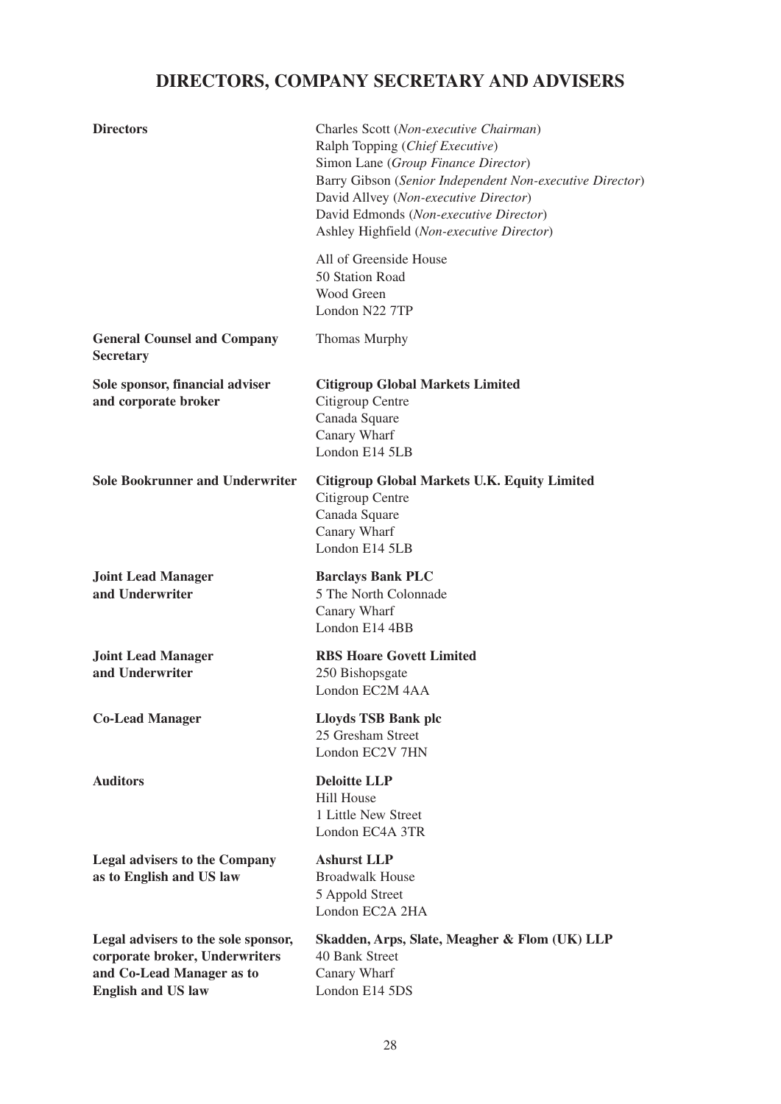# **DIRECTORS, COMPANY SECRETARY AND ADVISERS**

| <b>Directors</b>                                                                                                                | Charles Scott (Non-executive Chairman)<br>Ralph Topping (Chief Executive)<br>Simon Lane (Group Finance Director)<br>Barry Gibson (Senior Independent Non-executive Director)<br>David Allvey (Non-executive Director)<br>David Edmonds (Non-executive Director)<br>Ashley Highfield (Non-executive Director) |
|---------------------------------------------------------------------------------------------------------------------------------|--------------------------------------------------------------------------------------------------------------------------------------------------------------------------------------------------------------------------------------------------------------------------------------------------------------|
|                                                                                                                                 | All of Greenside House<br>50 Station Road<br>Wood Green<br>London N22 7TP                                                                                                                                                                                                                                    |
| <b>General Counsel and Company</b><br><b>Secretary</b>                                                                          | Thomas Murphy                                                                                                                                                                                                                                                                                                |
| Sole sponsor, financial adviser<br>and corporate broker                                                                         | <b>Citigroup Global Markets Limited</b><br>Citigroup Centre<br>Canada Square<br>Canary Wharf<br>London E14 5LB                                                                                                                                                                                               |
| <b>Sole Bookrunner and Underwriter</b>                                                                                          | Citigroup Global Markets U.K. Equity Limited<br>Citigroup Centre<br>Canada Square<br>Canary Wharf<br>London E14 5LB                                                                                                                                                                                          |
| <b>Joint Lead Manager</b><br>and Underwriter                                                                                    | <b>Barclays Bank PLC</b><br>5 The North Colonnade<br>Canary Wharf<br>London E14 4BB                                                                                                                                                                                                                          |
| <b>Joint Lead Manager</b><br>and Underwriter                                                                                    | <b>RBS Hoare Govett Limited</b><br>250 Bishopsgate<br>London EC2M 4AA                                                                                                                                                                                                                                        |
| <b>Co-Lead Manager</b>                                                                                                          | Lloyds TSB Bank plc<br>25 Gresham Street<br>London EC2V 7HN                                                                                                                                                                                                                                                  |
| <b>Auditors</b>                                                                                                                 | <b>Deloitte LLP</b><br><b>Hill House</b><br>1 Little New Street<br>London EC4A 3TR                                                                                                                                                                                                                           |
| <b>Legal advisers to the Company</b><br>as to English and US law                                                                | <b>Ashurst LLP</b><br><b>Broadwalk House</b><br>5 Appold Street<br>London EC2A 2HA                                                                                                                                                                                                                           |
| Legal advisers to the sole sponsor,<br>corporate broker, Underwriters<br>and Co-Lead Manager as to<br><b>English and US law</b> | Skadden, Arps, Slate, Meagher & Flom (UK) LLP<br>40 Bank Street<br>Canary Wharf<br>London E14 5DS                                                                                                                                                                                                            |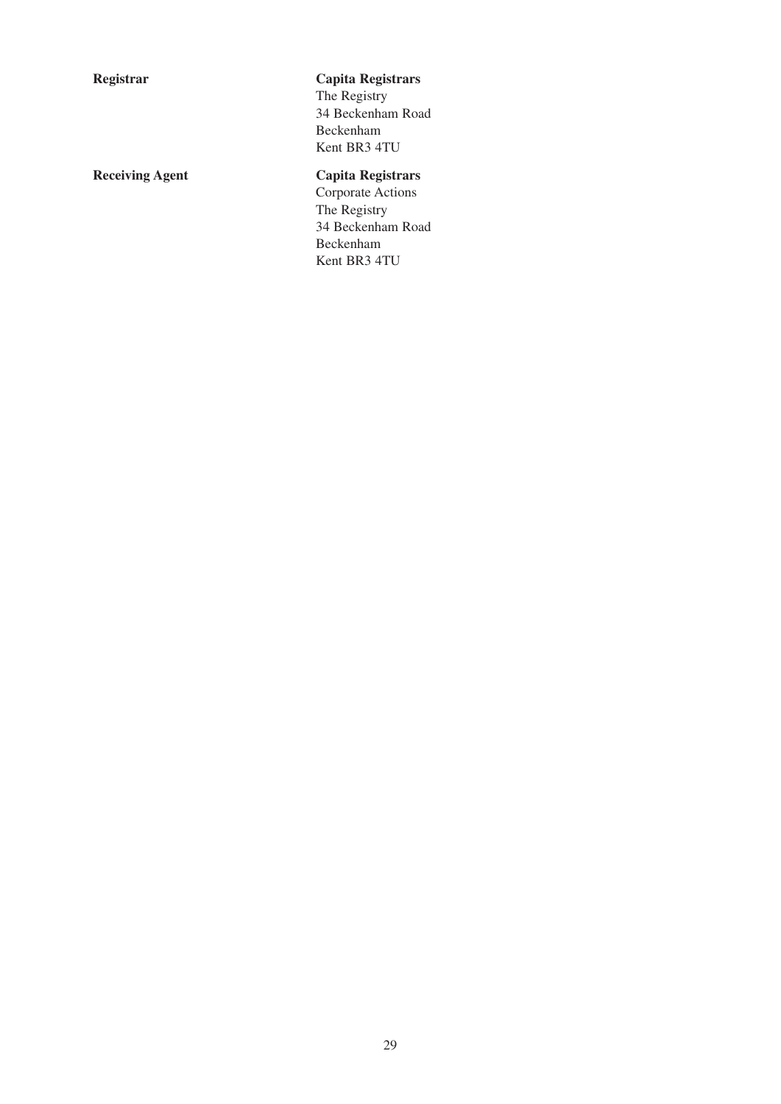## **Registrar Capita Registrars**

The Registry 34 Beckenham Road Beckenham Kent BR3 4TU

## **Receiving Agent Capita Registrars**

Corporate Actions The Registry 34 Beckenham Road Beckenham Kent BR3 4TU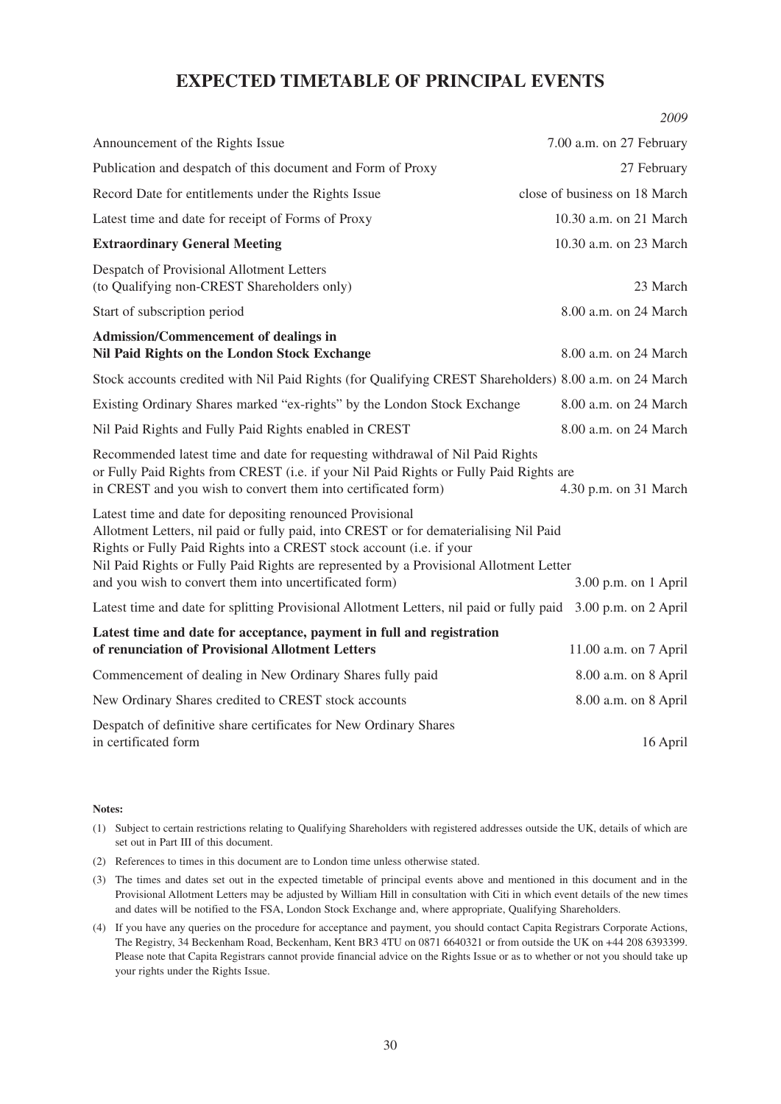## **EXPECTED TIMETABLE OF PRINCIPAL EVENTS**

*2009*

|                                                                                                                                                                                                                                                                                                                                                                                | 2009                          |  |
|--------------------------------------------------------------------------------------------------------------------------------------------------------------------------------------------------------------------------------------------------------------------------------------------------------------------------------------------------------------------------------|-------------------------------|--|
| Announcement of the Rights Issue                                                                                                                                                                                                                                                                                                                                               | 7.00 a.m. on 27 February      |  |
| Publication and despatch of this document and Form of Proxy                                                                                                                                                                                                                                                                                                                    | 27 February                   |  |
| Record Date for entitlements under the Rights Issue                                                                                                                                                                                                                                                                                                                            | close of business on 18 March |  |
| Latest time and date for receipt of Forms of Proxy                                                                                                                                                                                                                                                                                                                             | 10.30 a.m. on 21 March        |  |
| <b>Extraordinary General Meeting</b>                                                                                                                                                                                                                                                                                                                                           | 10.30 a.m. on 23 March        |  |
| Despatch of Provisional Allotment Letters<br>(to Qualifying non-CREST Shareholders only)                                                                                                                                                                                                                                                                                       | 23 March                      |  |
| Start of subscription period                                                                                                                                                                                                                                                                                                                                                   | 8.00 a.m. on 24 March         |  |
| <b>Admission/Commencement of dealings in</b><br>Nil Paid Rights on the London Stock Exchange                                                                                                                                                                                                                                                                                   | 8.00 a.m. on 24 March         |  |
| Stock accounts credited with Nil Paid Rights (for Qualifying CREST Shareholders) 8.00 a.m. on 24 March                                                                                                                                                                                                                                                                         |                               |  |
| Existing Ordinary Shares marked "ex-rights" by the London Stock Exchange                                                                                                                                                                                                                                                                                                       | 8.00 a.m. on 24 March         |  |
| Nil Paid Rights and Fully Paid Rights enabled in CREST                                                                                                                                                                                                                                                                                                                         | 8.00 a.m. on 24 March         |  |
| Recommended latest time and date for requesting withdrawal of Nil Paid Rights<br>or Fully Paid Rights from CREST (i.e. if your Nil Paid Rights or Fully Paid Rights are<br>in CREST and you wish to convert them into certificated form)<br>4.30 p.m. on 31 March                                                                                                              |                               |  |
| Latest time and date for depositing renounced Provisional<br>Allotment Letters, nil paid or fully paid, into CREST or for dematerialising Nil Paid<br>Rights or Fully Paid Rights into a CREST stock account (i.e. if your<br>Nil Paid Rights or Fully Paid Rights are represented by a Provisional Allotment Letter<br>and you wish to convert them into uncertificated form) | 3.00 p.m. on 1 April          |  |
| Latest time and date for splitting Provisional Allotment Letters, nil paid or fully paid                                                                                                                                                                                                                                                                                       | $3.00$ p.m. on $2$ April      |  |
| Latest time and date for acceptance, payment in full and registration<br>of renunciation of Provisional Allotment Letters                                                                                                                                                                                                                                                      | 11.00 a.m. on 7 April         |  |
| Commencement of dealing in New Ordinary Shares fully paid                                                                                                                                                                                                                                                                                                                      | 8.00 a.m. on 8 April          |  |
| New Ordinary Shares credited to CREST stock accounts                                                                                                                                                                                                                                                                                                                           | 8.00 a.m. on 8 April          |  |
| Despatch of definitive share certificates for New Ordinary Shares<br>in certificated form                                                                                                                                                                                                                                                                                      | 16 April                      |  |

#### **Notes:**

- (1) Subject to certain restrictions relating to Qualifying Shareholders with registered addresses outside the UK, details of which are set out in Part III of this document.
- (2) References to times in this document are to London time unless otherwise stated.
- (3) The times and dates set out in the expected timetable of principal events above and mentioned in this document and in the Provisional Allotment Letters may be adjusted by William Hill in consultation with Citi in which event details of the new times and dates will be notified to the FSA, London Stock Exchange and, where appropriate, Qualifying Shareholders.
- (4) If you have any queries on the procedure for acceptance and payment, you should contact Capita Registrars Corporate Actions, The Registry, 34 Beckenham Road, Beckenham, Kent BR3 4TU on 0871 6640321 or from outside the UK on +44 208 6393399. Please note that Capita Registrars cannot provide financial advice on the Rights Issue or as to whether or not you should take up your rights under the Rights Issue.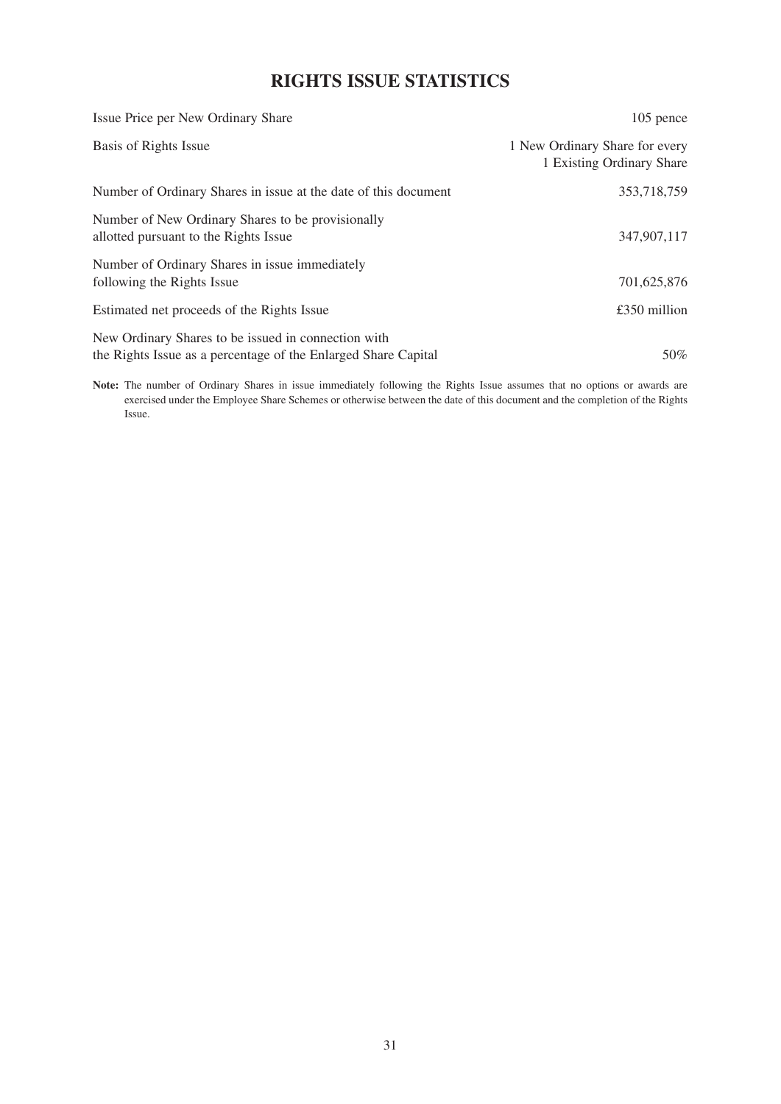## **RIGHTS ISSUE STATISTICS**

| Issue Price per New Ordinary Share                                                                                    | $105$ pence                                                 |
|-----------------------------------------------------------------------------------------------------------------------|-------------------------------------------------------------|
| Basis of Rights Issue                                                                                                 | 1 New Ordinary Share for every<br>1 Existing Ordinary Share |
| Number of Ordinary Shares in issue at the date of this document                                                       | 353,718,759                                                 |
| Number of New Ordinary Shares to be provisionally<br>allotted pursuant to the Rights Issue                            | 347,907,117                                                 |
| Number of Ordinary Shares in issue immediately<br>following the Rights Issue                                          | 701,625,876                                                 |
| Estimated net proceeds of the Rights Issue                                                                            | £350 million                                                |
| New Ordinary Shares to be issued in connection with<br>the Rights Issue as a percentage of the Enlarged Share Capital | 50%                                                         |

**Note:** The number of Ordinary Shares in issue immediately following the Rights Issue assumes that no options or awards are exercised under the Employee Share Schemes or otherwise between the date of this document and the completion of the Rights Issue.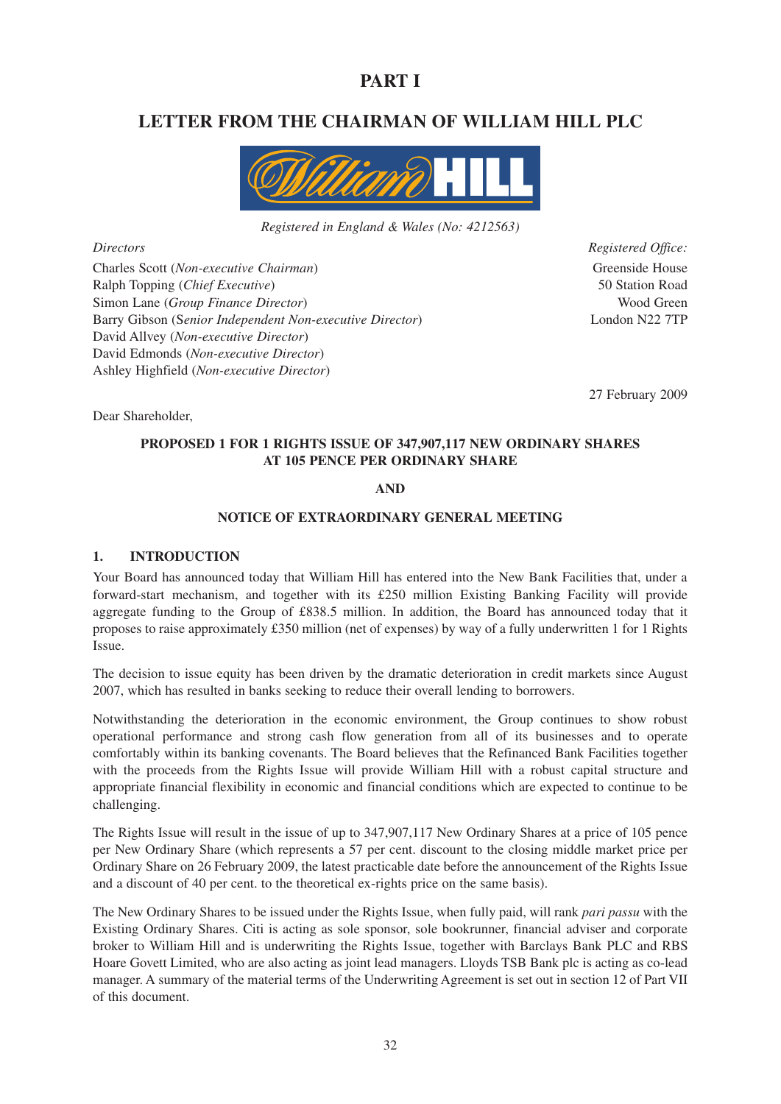## **PART I**

## **LETTER FROM THE CHAIRMAN OF WILLIAM HILL PLC**



*Registered in England & Wales (No: 4212563)*

Charles Scott (*Non-executive Chairman*) Greenside House Ralph Topping (*Chief Executive*) 50 Station Road Simon Lane (*Group Finance Director*) Wood Green Barry Gibson (S*enior Independent Non-executive Director*) London N22 7TP David Allvey (*Non-executive Director*) David Edmonds (*Non-executive Director*) Ashley Highfield (*Non-executive Director*)

*Directors Registered Office:*

27 February 2009

### Dear Shareholder,

#### **PROPOSED 1 FOR 1 RIGHTS ISSUE OF 347,907,117 NEW ORDINARY SHARES AT 105 PENCE PER ORDINARY SHARE**

#### **AND**

#### **NOTICE OF EXTRAORDINARY GENERAL MEETING**

#### **1. INTRODUCTION**

Your Board has announced today that William Hill has entered into the New Bank Facilities that, under a forward-start mechanism, and together with its £250 million Existing Banking Facility will provide aggregate funding to the Group of £838.5 million. In addition, the Board has announced today that it proposes to raise approximately £350 million (net of expenses) by way of a fully underwritten 1 for 1 Rights Issue.

The decision to issue equity has been driven by the dramatic deterioration in credit markets since August 2007, which has resulted in banks seeking to reduce their overall lending to borrowers.

Notwithstanding the deterioration in the economic environment, the Group continues to show robust operational performance and strong cash flow generation from all of its businesses and to operate comfortably within its banking covenants. The Board believes that the Refinanced Bank Facilities together with the proceeds from the Rights Issue will provide William Hill with a robust capital structure and appropriate financial flexibility in economic and financial conditions which are expected to continue to be challenging.

The Rights Issue will result in the issue of up to 347,907,117 New Ordinary Shares at a price of 105 pence per New Ordinary Share (which represents a 57 per cent. discount to the closing middle market price per Ordinary Share on 26 February 2009, the latest practicable date before the announcement of the Rights Issue and a discount of 40 per cent. to the theoretical ex-rights price on the same basis).

The New Ordinary Shares to be issued under the Rights Issue, when fully paid, will rank *pari passu* with the Existing Ordinary Shares. Citi is acting as sole sponsor, sole bookrunner, financial adviser and corporate broker to William Hill and is underwriting the Rights Issue, together with Barclays Bank PLC and RBS Hoare Govett Limited, who are also acting as joint lead managers. Lloyds TSB Bank plc is acting as co-lead manager. A summary of the material terms of the Underwriting Agreement is set out in section 12 of Part VII of this document.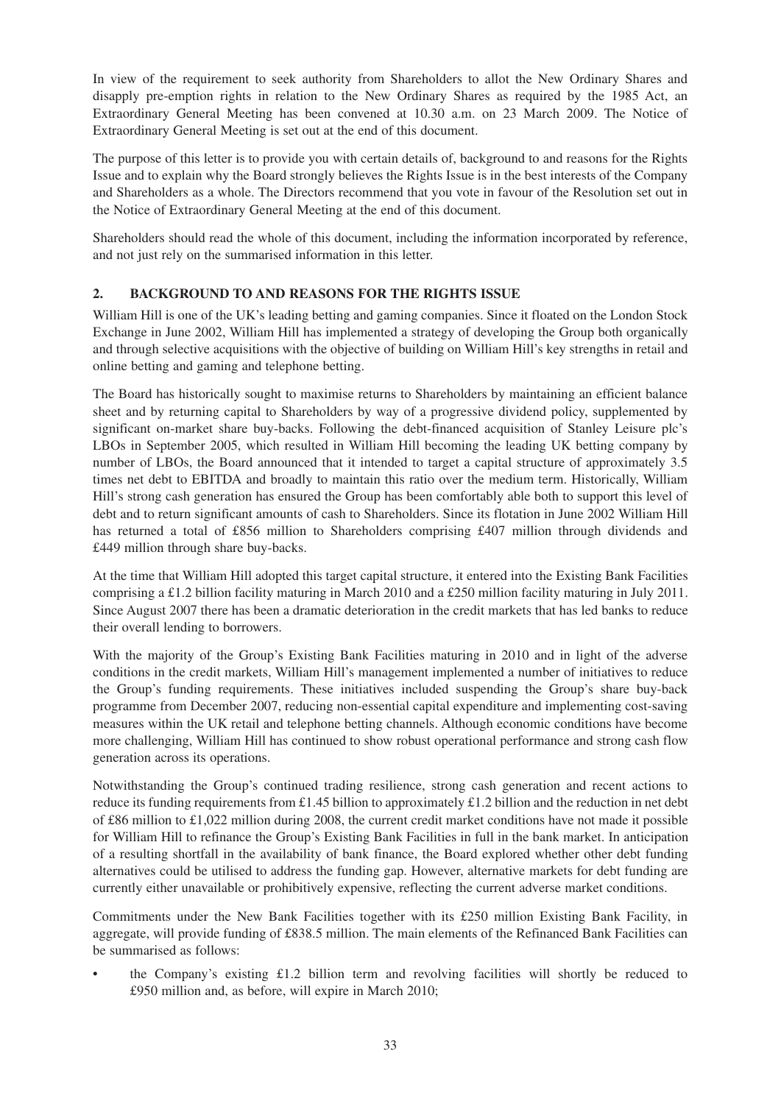In view of the requirement to seek authority from Shareholders to allot the New Ordinary Shares and disapply pre-emption rights in relation to the New Ordinary Shares as required by the 1985 Act, an Extraordinary General Meeting has been convened at 10.30 a.m. on 23 March 2009. The Notice of Extraordinary General Meeting is set out at the end of this document.

The purpose of this letter is to provide you with certain details of, background to and reasons for the Rights Issue and to explain why the Board strongly believes the Rights Issue is in the best interests of the Company and Shareholders as a whole. The Directors recommend that you vote in favour of the Resolution set out in the Notice of Extraordinary General Meeting at the end of this document.

Shareholders should read the whole of this document, including the information incorporated by reference, and not just rely on the summarised information in this letter.

### **2. BACKGROUND TO AND REASONS FOR THE RIGHTS ISSUE**

William Hill is one of the UK's leading betting and gaming companies. Since it floated on the London Stock Exchange in June 2002, William Hill has implemented a strategy of developing the Group both organically and through selective acquisitions with the objective of building on William Hill's key strengths in retail and online betting and gaming and telephone betting.

The Board has historically sought to maximise returns to Shareholders by maintaining an efficient balance sheet and by returning capital to Shareholders by way of a progressive dividend policy, supplemented by significant on-market share buy-backs. Following the debt-financed acquisition of Stanley Leisure plc's LBOs in September 2005, which resulted in William Hill becoming the leading UK betting company by number of LBOs, the Board announced that it intended to target a capital structure of approximately 3.5 times net debt to EBITDA and broadly to maintain this ratio over the medium term. Historically, William Hill's strong cash generation has ensured the Group has been comfortably able both to support this level of debt and to return significant amounts of cash to Shareholders. Since its flotation in June 2002 William Hill has returned a total of £856 million to Shareholders comprising £407 million through dividends and £449 million through share buy-backs.

At the time that William Hill adopted this target capital structure, it entered into the Existing Bank Facilities comprising a £1.2 billion facility maturing in March 2010 and a £250 million facility maturing in July 2011. Since August 2007 there has been a dramatic deterioration in the credit markets that has led banks to reduce their overall lending to borrowers.

With the majority of the Group's Existing Bank Facilities maturing in 2010 and in light of the adverse conditions in the credit markets, William Hill's management implemented a number of initiatives to reduce the Group's funding requirements. These initiatives included suspending the Group's share buy-back programme from December 2007, reducing non-essential capital expenditure and implementing cost-saving measures within the UK retail and telephone betting channels. Although economic conditions have become more challenging, William Hill has continued to show robust operational performance and strong cash flow generation across its operations.

Notwithstanding the Group's continued trading resilience, strong cash generation and recent actions to reduce its funding requirements from £1.45 billion to approximately £1.2 billion and the reduction in net debt of £86 million to £1,022 million during 2008, the current credit market conditions have not made it possible for William Hill to refinance the Group's Existing Bank Facilities in full in the bank market. In anticipation of a resulting shortfall in the availability of bank finance, the Board explored whether other debt funding alternatives could be utilised to address the funding gap. However, alternative markets for debt funding are currently either unavailable or prohibitively expensive, reflecting the current adverse market conditions.

Commitments under the New Bank Facilities together with its £250 million Existing Bank Facility, in aggregate, will provide funding of £838.5 million. The main elements of the Refinanced Bank Facilities can be summarised as follows:

• the Company's existing £1.2 billion term and revolving facilities will shortly be reduced to £950 million and, as before, will expire in March 2010;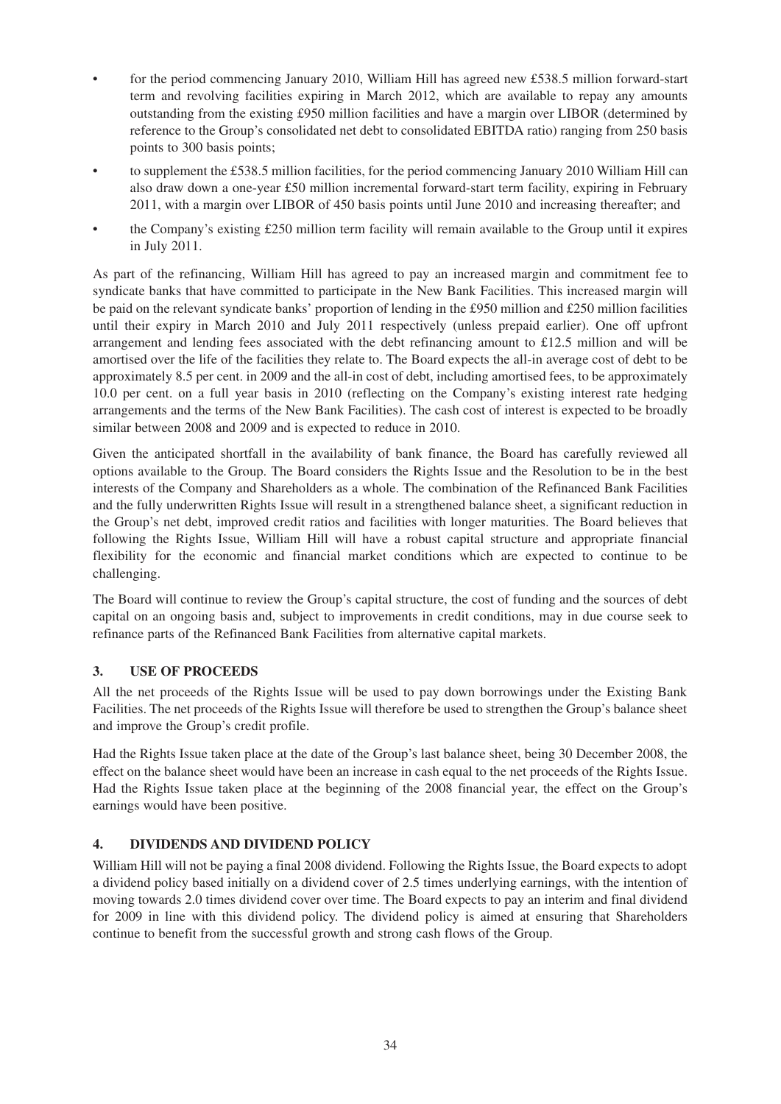- for the period commencing January 2010, William Hill has agreed new £538.5 million forward-start term and revolving facilities expiring in March 2012, which are available to repay any amounts outstanding from the existing £950 million facilities and have a margin over LIBOR (determined by reference to the Group's consolidated net debt to consolidated EBITDA ratio) ranging from 250 basis points to 300 basis points;
- to supplement the £538.5 million facilities, for the period commencing January 2010 William Hill can also draw down a one-year £50 million incremental forward-start term facility, expiring in February 2011, with a margin over LIBOR of 450 basis points until June 2010 and increasing thereafter; and
- the Company's existing £250 million term facility will remain available to the Group until it expires in July 2011.

As part of the refinancing, William Hill has agreed to pay an increased margin and commitment fee to syndicate banks that have committed to participate in the New Bank Facilities. This increased margin will be paid on the relevant syndicate banks' proportion of lending in the £950 million and £250 million facilities until their expiry in March 2010 and July 2011 respectively (unless prepaid earlier). One off upfront arrangement and lending fees associated with the debt refinancing amount to £12.5 million and will be amortised over the life of the facilities they relate to. The Board expects the all-in average cost of debt to be approximately 8.5 per cent. in 2009 and the all-in cost of debt, including amortised fees, to be approximately 10.0 per cent. on a full year basis in 2010 (reflecting on the Company's existing interest rate hedging arrangements and the terms of the New Bank Facilities). The cash cost of interest is expected to be broadly similar between 2008 and 2009 and is expected to reduce in 2010.

Given the anticipated shortfall in the availability of bank finance, the Board has carefully reviewed all options available to the Group. The Board considers the Rights Issue and the Resolution to be in the best interests of the Company and Shareholders as a whole. The combination of the Refinanced Bank Facilities and the fully underwritten Rights Issue will result in a strengthened balance sheet, a significant reduction in the Group's net debt, improved credit ratios and facilities with longer maturities. The Board believes that following the Rights Issue, William Hill will have a robust capital structure and appropriate financial flexibility for the economic and financial market conditions which are expected to continue to be challenging.

The Board will continue to review the Group's capital structure, the cost of funding and the sources of debt capital on an ongoing basis and, subject to improvements in credit conditions, may in due course seek to refinance parts of the Refinanced Bank Facilities from alternative capital markets.

### **3. USE OF PROCEEDS**

All the net proceeds of the Rights Issue will be used to pay down borrowings under the Existing Bank Facilities. The net proceeds of the Rights Issue will therefore be used to strengthen the Group's balance sheet and improve the Group's credit profile.

Had the Rights Issue taken place at the date of the Group's last balance sheet, being 30 December 2008, the effect on the balance sheet would have been an increase in cash equal to the net proceeds of the Rights Issue. Had the Rights Issue taken place at the beginning of the 2008 financial year, the effect on the Group's earnings would have been positive.

#### **4. DIVIDENDS AND DIVIDEND POLICY**

William Hill will not be paying a final 2008 dividend. Following the Rights Issue, the Board expects to adopt a dividend policy based initially on a dividend cover of 2.5 times underlying earnings, with the intention of moving towards 2.0 times dividend cover over time. The Board expects to pay an interim and final dividend for 2009 in line with this dividend policy. The dividend policy is aimed at ensuring that Shareholders continue to benefit from the successful growth and strong cash flows of the Group.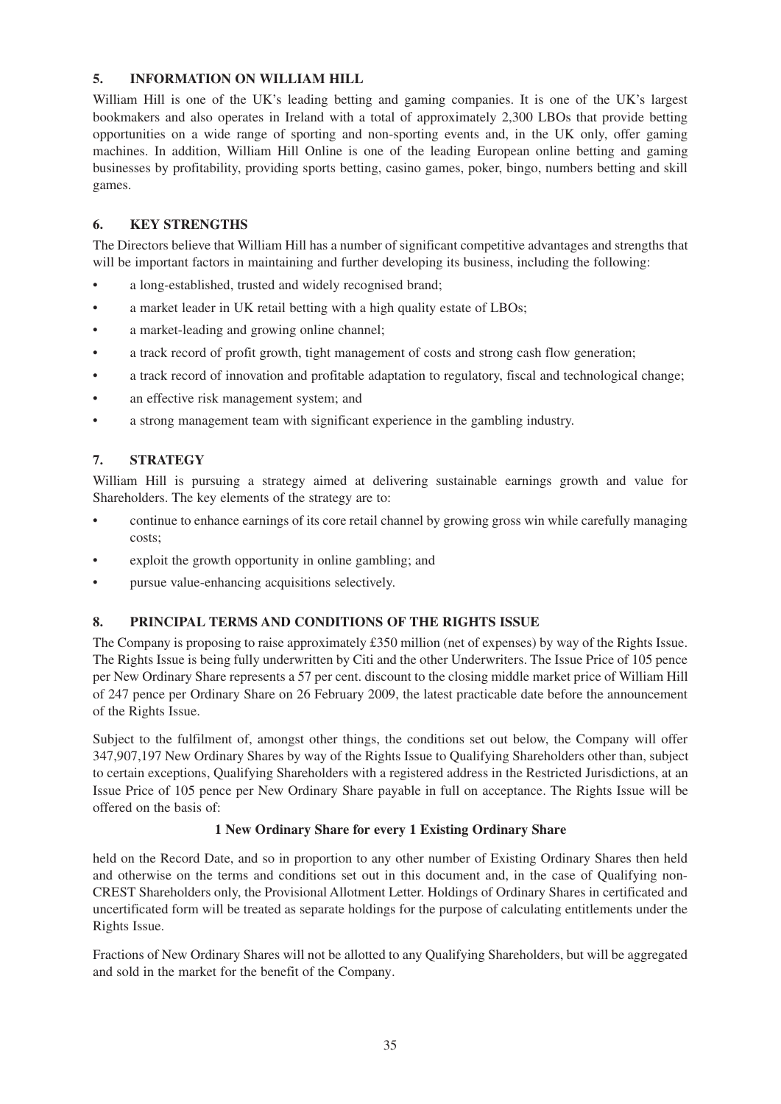#### **5. INFORMATION ON WILLIAM HILL**

William Hill is one of the UK's leading betting and gaming companies. It is one of the UK's largest bookmakers and also operates in Ireland with a total of approximately 2,300 LBOs that provide betting opportunities on a wide range of sporting and non-sporting events and, in the UK only, offer gaming machines. In addition, William Hill Online is one of the leading European online betting and gaming businesses by profitability, providing sports betting, casino games, poker, bingo, numbers betting and skill games.

### **6. KEY STRENGTHS**

The Directors believe that William Hill has a number of significant competitive advantages and strengths that will be important factors in maintaining and further developing its business, including the following:

- a long-established, trusted and widely recognised brand:
- a market leader in UK retail betting with a high quality estate of LBOs;
- a market-leading and growing online channel;
- a track record of profit growth, tight management of costs and strong cash flow generation;
- a track record of innovation and profitable adaptation to regulatory, fiscal and technological change;
- an effective risk management system; and
- a strong management team with significant experience in the gambling industry.

#### **7. STRATEGY**

William Hill is pursuing a strategy aimed at delivering sustainable earnings growth and value for Shareholders. The key elements of the strategy are to:

- continue to enhance earnings of its core retail channel by growing gross win while carefully managing costs;
- exploit the growth opportunity in online gambling; and
- pursue value-enhancing acquisitions selectively.

#### **8. PRINCIPAL TERMS AND CONDITIONS OF THE RIGHTS ISSUE**

The Company is proposing to raise approximately £350 million (net of expenses) by way of the Rights Issue. The Rights Issue is being fully underwritten by Citi and the other Underwriters. The Issue Price of 105 pence per New Ordinary Share represents a 57 per cent. discount to the closing middle market price of William Hill of 247 pence per Ordinary Share on 26 February 2009, the latest practicable date before the announcement of the Rights Issue.

Subject to the fulfilment of, amongst other things, the conditions set out below, the Company will offer 347,907,197 New Ordinary Shares by way of the Rights Issue to Qualifying Shareholders other than, subject to certain exceptions, Qualifying Shareholders with a registered address in the Restricted Jurisdictions, at an Issue Price of 105 pence per New Ordinary Share payable in full on acceptance. The Rights Issue will be offered on the basis of:

#### **1 New Ordinary Share for every 1 Existing Ordinary Share**

held on the Record Date, and so in proportion to any other number of Existing Ordinary Shares then held and otherwise on the terms and conditions set out in this document and, in the case of Qualifying non-CREST Shareholders only, the Provisional Allotment Letter. Holdings of Ordinary Shares in certificated and uncertificated form will be treated as separate holdings for the purpose of calculating entitlements under the Rights Issue.

Fractions of New Ordinary Shares will not be allotted to any Qualifying Shareholders, but will be aggregated and sold in the market for the benefit of the Company.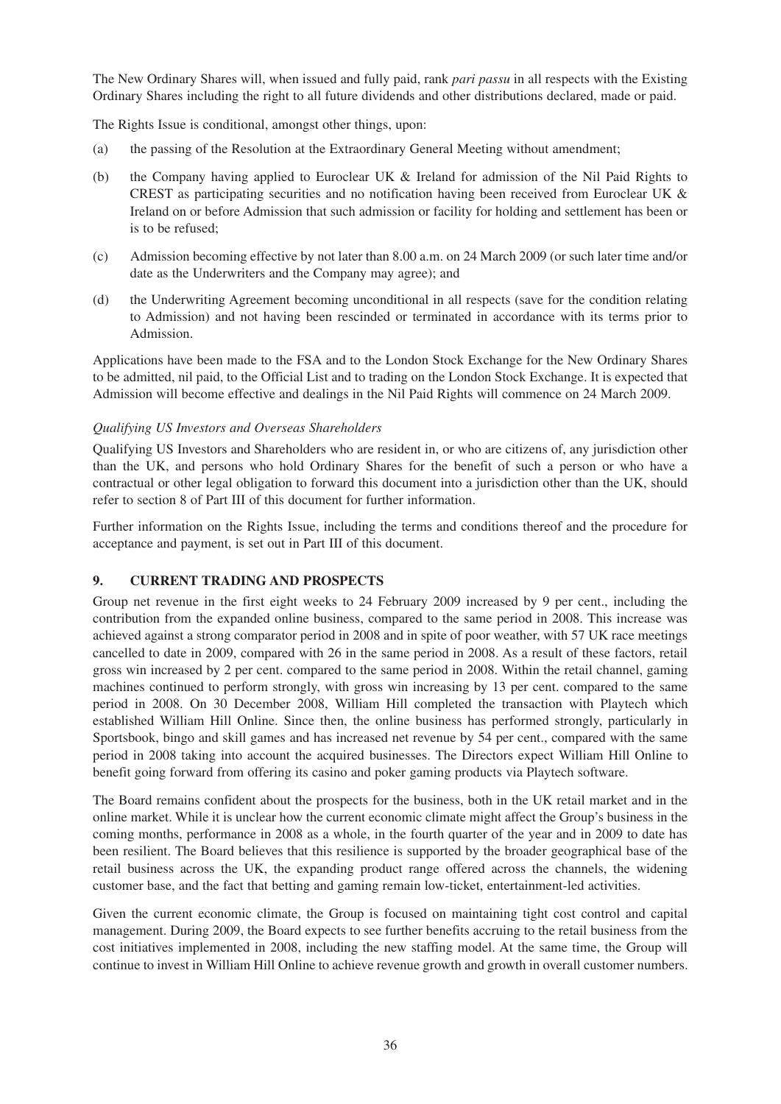The New Ordinary Shares will, when issued and fully paid, rank *pari passu* in all respects with the Existing Ordinary Shares including the right to all future dividends and other distributions declared, made or paid.

The Rights Issue is conditional, amongst other things, upon:

- (a) the passing of the Resolution at the Extraordinary General Meeting without amendment;
- (b) the Company having applied to Euroclear UK & Ireland for admission of the Nil Paid Rights to CREST as participating securities and no notification having been received from Euroclear UK & Ireland on or before Admission that such admission or facility for holding and settlement has been or is to be refused;
- (c) Admission becoming effective by not later than 8.00 a.m. on 24 March 2009 (or such later time and/or date as the Underwriters and the Company may agree); and
- (d) the Underwriting Agreement becoming unconditional in all respects (save for the condition relating to Admission) and not having been rescinded or terminated in accordance with its terms prior to Admission.

Applications have been made to the FSA and to the London Stock Exchange for the New Ordinary Shares to be admitted, nil paid, to the Official List and to trading on the London Stock Exchange. It is expected that Admission will become effective and dealings in the Nil Paid Rights will commence on 24 March 2009.

#### *Qualifying US Investors and Overseas Shareholders*

Qualifying US Investors and Shareholders who are resident in, or who are citizens of, any jurisdiction other than the UK, and persons who hold Ordinary Shares for the benefit of such a person or who have a contractual or other legal obligation to forward this document into a jurisdiction other than the UK, should refer to section 8 of Part III of this document for further information.

Further information on the Rights Issue, including the terms and conditions thereof and the procedure for acceptance and payment, is set out in Part III of this document.

#### **9. CURRENT TRADING AND PROSPECTS**

Group net revenue in the first eight weeks to 24 February 2009 increased by 9 per cent., including the contribution from the expanded online business, compared to the same period in 2008. This increase was achieved against a strong comparator period in 2008 and in spite of poor weather, with 57 UK race meetings cancelled to date in 2009, compared with 26 in the same period in 2008. As a result of these factors, retail gross win increased by 2 per cent. compared to the same period in 2008. Within the retail channel, gaming machines continued to perform strongly, with gross win increasing by 13 per cent. compared to the same period in 2008. On 30 December 2008, William Hill completed the transaction with Playtech which established William Hill Online. Since then, the online business has performed strongly, particularly in Sportsbook, bingo and skill games and has increased net revenue by 54 per cent., compared with the same period in 2008 taking into account the acquired businesses. The Directors expect William Hill Online to benefit going forward from offering its casino and poker gaming products via Playtech software.

The Board remains confident about the prospects for the business, both in the UK retail market and in the online market. While it is unclear how the current economic climate might affect the Group's business in the coming months, performance in 2008 as a whole, in the fourth quarter of the year and in 2009 to date has been resilient. The Board believes that this resilience is supported by the broader geographical base of the retail business across the UK, the expanding product range offered across the channels, the widening customer base, and the fact that betting and gaming remain low-ticket, entertainment-led activities.

Given the current economic climate, the Group is focused on maintaining tight cost control and capital management. During 2009, the Board expects to see further benefits accruing to the retail business from the cost initiatives implemented in 2008, including the new staffing model. At the same time, the Group will continue to invest in William Hill Online to achieve revenue growth and growth in overall customer numbers.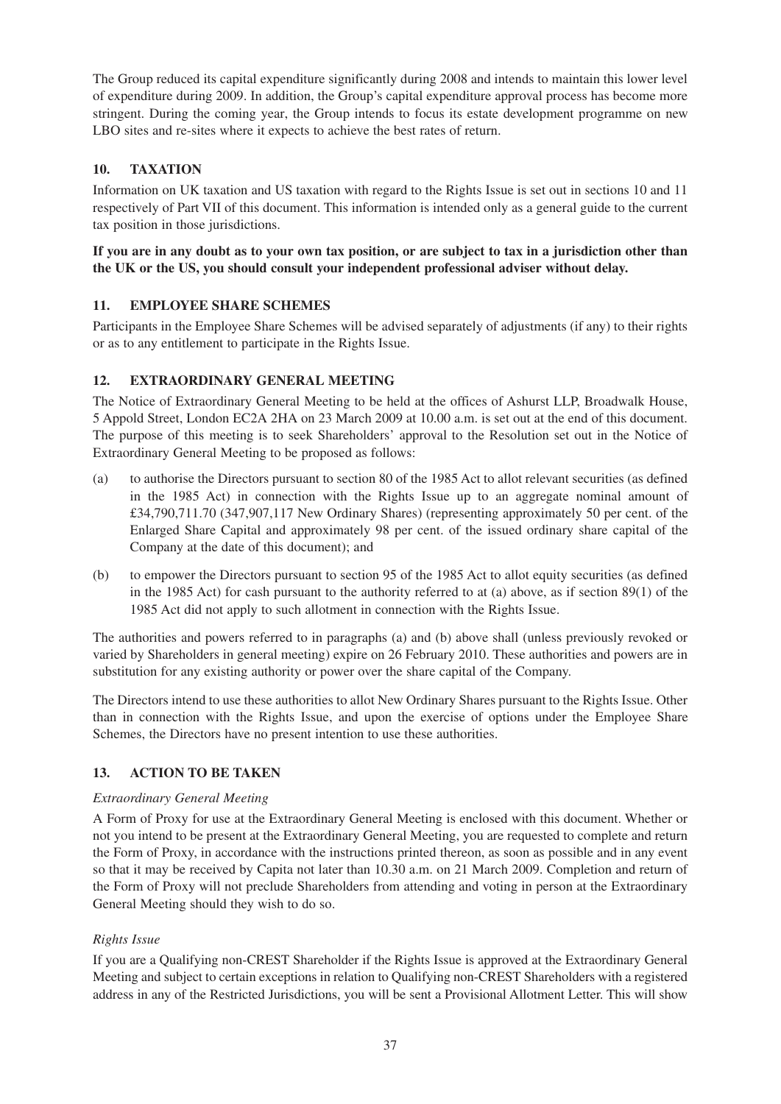The Group reduced its capital expenditure significantly during 2008 and intends to maintain this lower level of expenditure during 2009. In addition, the Group's capital expenditure approval process has become more stringent. During the coming year, the Group intends to focus its estate development programme on new LBO sites and re-sites where it expects to achieve the best rates of return.

# **10. TAXATION**

Information on UK taxation and US taxation with regard to the Rights Issue is set out in sections 10 and 11 respectively of Part VII of this document. This information is intended only as a general guide to the current tax position in those jurisdictions.

## **If you are in any doubt as to your own tax position, or are subject to tax in a jurisdiction other than the UK or the US, you should consult your independent professional adviser without delay.**

## **11. EMPLOYEE SHARE SCHEMES**

Participants in the Employee Share Schemes will be advised separately of adjustments (if any) to their rights or as to any entitlement to participate in the Rights Issue.

## **12. EXTRAORDINARY GENERAL MEETING**

The Notice of Extraordinary General Meeting to be held at the offices of Ashurst LLP, Broadwalk House, 5 Appold Street, London EC2A 2HA on 23 March 2009 at 10.00 a.m. is set out at the end of this document. The purpose of this meeting is to seek Shareholders' approval to the Resolution set out in the Notice of Extraordinary General Meeting to be proposed as follows:

- (a) to authorise the Directors pursuant to section 80 of the 1985 Act to allot relevant securities (as defined in the 1985 Act) in connection with the Rights Issue up to an aggregate nominal amount of £34,790,711.70 (347,907,117 New Ordinary Shares) (representing approximately 50 per cent. of the Enlarged Share Capital and approximately 98 per cent. of the issued ordinary share capital of the Company at the date of this document); and
- (b) to empower the Directors pursuant to section 95 of the 1985 Act to allot equity securities (as defined in the 1985 Act) for cash pursuant to the authority referred to at (a) above, as if section 89(1) of the 1985 Act did not apply to such allotment in connection with the Rights Issue.

The authorities and powers referred to in paragraphs (a) and (b) above shall (unless previously revoked or varied by Shareholders in general meeting) expire on 26 February 2010. These authorities and powers are in substitution for any existing authority or power over the share capital of the Company.

The Directors intend to use these authorities to allot New Ordinary Shares pursuant to the Rights Issue. Other than in connection with the Rights Issue, and upon the exercise of options under the Employee Share Schemes, the Directors have no present intention to use these authorities.

# **13. ACTION TO BE TAKEN**

### *Extraordinary General Meeting*

A Form of Proxy for use at the Extraordinary General Meeting is enclosed with this document. Whether or not you intend to be present at the Extraordinary General Meeting, you are requested to complete and return the Form of Proxy, in accordance with the instructions printed thereon, as soon as possible and in any event so that it may be received by Capita not later than 10.30 a.m. on 21 March 2009. Completion and return of the Form of Proxy will not preclude Shareholders from attending and voting in person at the Extraordinary General Meeting should they wish to do so.

### *Rights Issue*

If you are a Qualifying non-CREST Shareholder if the Rights Issue is approved at the Extraordinary General Meeting and subject to certain exceptions in relation to Qualifying non-CREST Shareholders with a registered address in any of the Restricted Jurisdictions, you will be sent a Provisional Allotment Letter. This will show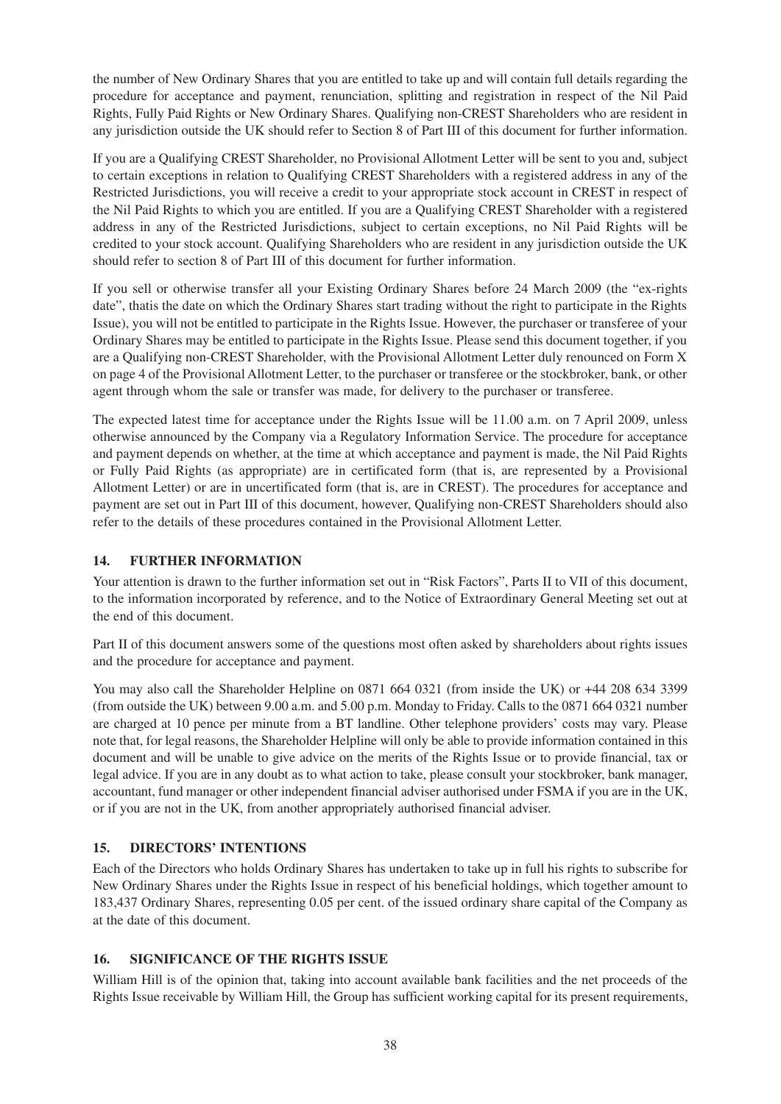the number of New Ordinary Shares that you are entitled to take up and will contain full details regarding the procedure for acceptance and payment, renunciation, splitting and registration in respect of the Nil Paid Rights, Fully Paid Rights or New Ordinary Shares. Qualifying non-CREST Shareholders who are resident in any jurisdiction outside the UK should refer to Section 8 of Part III of this document for further information.

If you are a Qualifying CREST Shareholder, no Provisional Allotment Letter will be sent to you and, subject to certain exceptions in relation to Qualifying CREST Shareholders with a registered address in any of the Restricted Jurisdictions, you will receive a credit to your appropriate stock account in CREST in respect of the Nil Paid Rights to which you are entitled. If you are a Qualifying CREST Shareholder with a registered address in any of the Restricted Jurisdictions, subject to certain exceptions, no Nil Paid Rights will be credited to your stock account. Qualifying Shareholders who are resident in any jurisdiction outside the UK should refer to section 8 of Part III of this document for further information.

If you sell or otherwise transfer all your Existing Ordinary Shares before 24 March 2009 (the "ex-rights date", thatis the date on which the Ordinary Shares start trading without the right to participate in the Rights Issue), you will not be entitled to participate in the Rights Issue. However, the purchaser or transferee of your Ordinary Shares may be entitled to participate in the Rights Issue. Please send this document together, if you are a Qualifying non-CREST Shareholder, with the Provisional Allotment Letter duly renounced on Form X on page 4 of the Provisional Allotment Letter, to the purchaser or transferee or the stockbroker, bank, or other agent through whom the sale or transfer was made, for delivery to the purchaser or transferee.

The expected latest time for acceptance under the Rights Issue will be 11.00 a.m. on 7 April 2009, unless otherwise announced by the Company via a Regulatory Information Service. The procedure for acceptance and payment depends on whether, at the time at which acceptance and payment is made, the Nil Paid Rights or Fully Paid Rights (as appropriate) are in certificated form (that is, are represented by a Provisional Allotment Letter) or are in uncertificated form (that is, are in CREST). The procedures for acceptance and payment are set out in Part III of this document, however, Qualifying non-CREST Shareholders should also refer to the details of these procedures contained in the Provisional Allotment Letter.

# **14. FURTHER INFORMATION**

Your attention is drawn to the further information set out in "Risk Factors", Parts II to VII of this document, to the information incorporated by reference, and to the Notice of Extraordinary General Meeting set out at the end of this document.

Part II of this document answers some of the questions most often asked by shareholders about rights issues and the procedure for acceptance and payment.

You may also call the Shareholder Helpline on 0871 664 0321 (from inside the UK) or +44 208 634 3399 (from outside the UK) between 9.00 a.m. and 5.00 p.m. Monday to Friday. Calls to the 0871 664 0321 number are charged at 10 pence per minute from a BT landline. Other telephone providers' costs may vary. Please note that, for legal reasons, the Shareholder Helpline will only be able to provide information contained in this document and will be unable to give advice on the merits of the Rights Issue or to provide financial, tax or legal advice. If you are in any doubt as to what action to take, please consult your stockbroker, bank manager, accountant, fund manager or other independent financial adviser authorised under FSMA if you are in the UK, or if you are not in the UK, from another appropriately authorised financial adviser.

# **15. DIRECTORS' INTENTIONS**

Each of the Directors who holds Ordinary Shares has undertaken to take up in full his rights to subscribe for New Ordinary Shares under the Rights Issue in respect of his beneficial holdings, which together amount to 183,437 Ordinary Shares, representing 0.05 per cent. of the issued ordinary share capital of the Company as at the date of this document.

### **16. SIGNIFICANCE OF THE RIGHTS ISSUE**

William Hill is of the opinion that, taking into account available bank facilities and the net proceeds of the Rights Issue receivable by William Hill, the Group has sufficient working capital for its present requirements,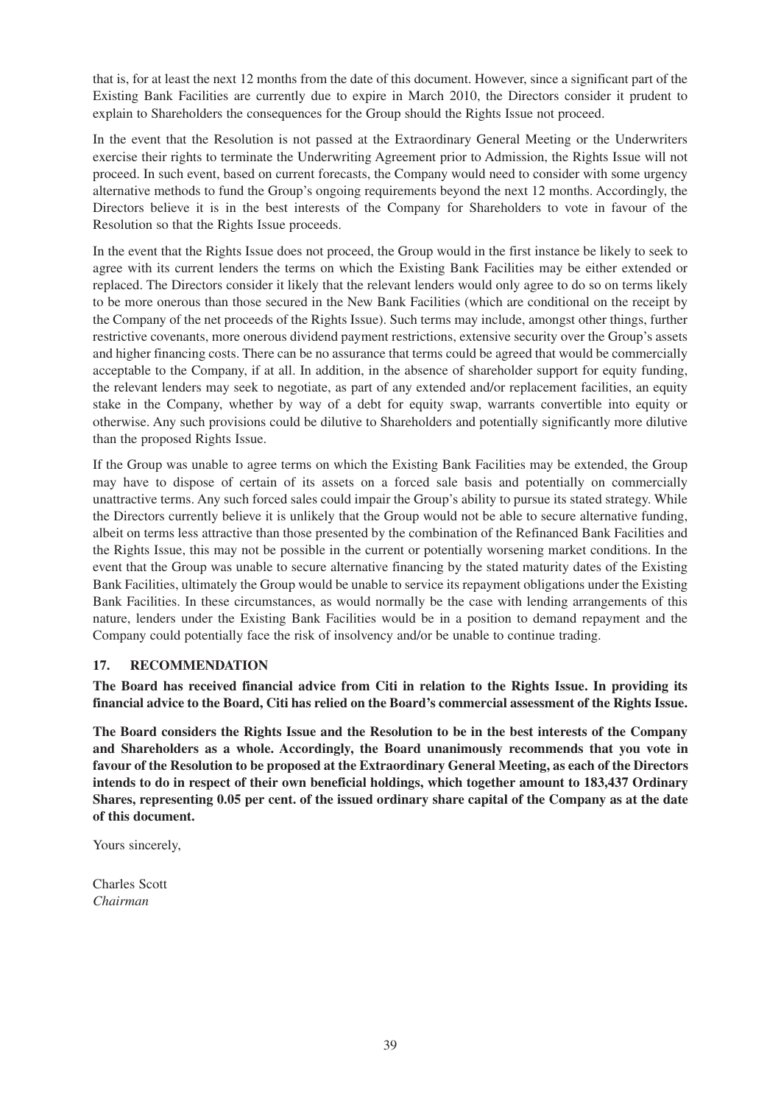that is, for at least the next 12 months from the date of this document. However, since a significant part of the Existing Bank Facilities are currently due to expire in March 2010, the Directors consider it prudent to explain to Shareholders the consequences for the Group should the Rights Issue not proceed.

In the event that the Resolution is not passed at the Extraordinary General Meeting or the Underwriters exercise their rights to terminate the Underwriting Agreement prior to Admission, the Rights Issue will not proceed. In such event, based on current forecasts, the Company would need to consider with some urgency alternative methods to fund the Group's ongoing requirements beyond the next 12 months. Accordingly, the Directors believe it is in the best interests of the Company for Shareholders to vote in favour of the Resolution so that the Rights Issue proceeds.

In the event that the Rights Issue does not proceed, the Group would in the first instance be likely to seek to agree with its current lenders the terms on which the Existing Bank Facilities may be either extended or replaced. The Directors consider it likely that the relevant lenders would only agree to do so on terms likely to be more onerous than those secured in the New Bank Facilities (which are conditional on the receipt by the Company of the net proceeds of the Rights Issue). Such terms may include, amongst other things, further restrictive covenants, more onerous dividend payment restrictions, extensive security over the Group's assets and higher financing costs. There can be no assurance that terms could be agreed that would be commercially acceptable to the Company, if at all. In addition, in the absence of shareholder support for equity funding, the relevant lenders may seek to negotiate, as part of any extended and/or replacement facilities, an equity stake in the Company, whether by way of a debt for equity swap, warrants convertible into equity or otherwise. Any such provisions could be dilutive to Shareholders and potentially significantly more dilutive than the proposed Rights Issue.

If the Group was unable to agree terms on which the Existing Bank Facilities may be extended, the Group may have to dispose of certain of its assets on a forced sale basis and potentially on commercially unattractive terms. Any such forced sales could impair the Group's ability to pursue its stated strategy. While the Directors currently believe it is unlikely that the Group would not be able to secure alternative funding, albeit on terms less attractive than those presented by the combination of the Refinanced Bank Facilities and the Rights Issue, this may not be possible in the current or potentially worsening market conditions. In the event that the Group was unable to secure alternative financing by the stated maturity dates of the Existing Bank Facilities, ultimately the Group would be unable to service its repayment obligations under the Existing Bank Facilities. In these circumstances, as would normally be the case with lending arrangements of this nature, lenders under the Existing Bank Facilities would be in a position to demand repayment and the Company could potentially face the risk of insolvency and/or be unable to continue trading.

# **17. RECOMMENDATION**

**The Board has received financial advice from Citi in relation to the Rights Issue. In providing its financial advice to the Board, Citi has relied on the Board's commercial assessment of the Rights Issue.**

**The Board considers the Rights Issue and the Resolution to be in the best interests of the Company and Shareholders as a whole. Accordingly, the Board unanimously recommends that you vote in favour of the Resolution to be proposed at the Extraordinary General Meeting, as each of the Directors intends to do in respect of their own beneficial holdings, which together amount to 183,437 Ordinary Shares, representing 0.05 per cent. of the issued ordinary share capital of the Company as at the date of this document.**

Yours sincerely,

Charles Scott *Chairman*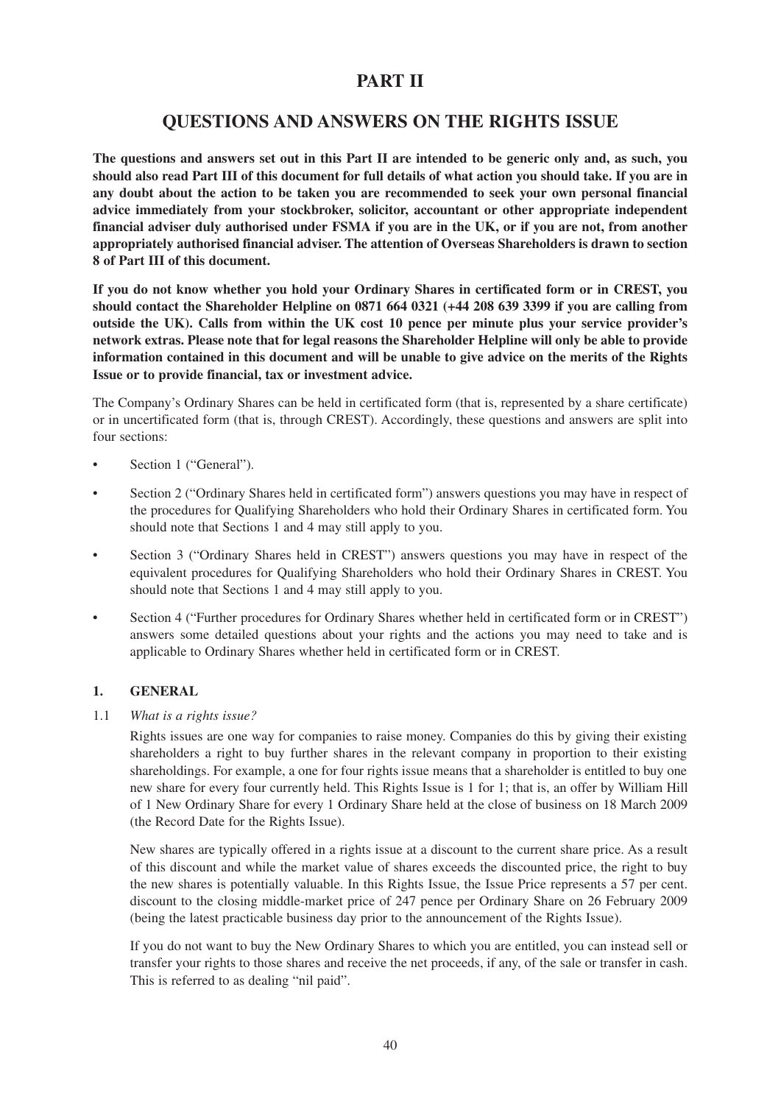# **PART II**

# **QUESTIONS AND ANSWERS ON THE RIGHTS ISSUE**

**The questions and answers set out in this Part II are intended to be generic only and, as such, you should also read Part III of this document for full details of what action you should take. If you are in any doubt about the action to be taken you are recommended to seek your own personal financial advice immediately from your stockbroker, solicitor, accountant or other appropriate independent financial adviser duly authorised under FSMA if you are in the UK, or if you are not, from another appropriately authorised financial adviser. The attention of Overseas Shareholders is drawn to section 8 of Part III of this document.**

**If you do not know whether you hold your Ordinary Shares in certificated form or in CREST, you should contact the Shareholder Helpline on 0871 664 0321 (+44 208 639 3399 if you are calling from outside the UK). Calls from within the UK cost 10 pence per minute plus your service provider's network extras. Please note that for legal reasons the Shareholder Helpline will only be able to provide information contained in this document and will be unable to give advice on the merits of the Rights Issue or to provide financial, tax or investment advice.**

The Company's Ordinary Shares can be held in certificated form (that is, represented by a share certificate) or in uncertificated form (that is, through CREST). Accordingly, these questions and answers are split into four sections:

- Section 1 ("General").
- Section 2 ("Ordinary Shares held in certificated form") answers questions you may have in respect of the procedures for Qualifying Shareholders who hold their Ordinary Shares in certificated form. You should note that Sections 1 and 4 may still apply to you.
- Section 3 ("Ordinary Shares held in CREST") answers questions you may have in respect of the equivalent procedures for Qualifying Shareholders who hold their Ordinary Shares in CREST. You should note that Sections 1 and 4 may still apply to you.
- Section 4 ("Further procedures for Ordinary Shares whether held in certificated form or in CREST") answers some detailed questions about your rights and the actions you may need to take and is applicable to Ordinary Shares whether held in certificated form or in CREST.

### **1. GENERAL**

1.1 *What is a rights issue?*

Rights issues are one way for companies to raise money. Companies do this by giving their existing shareholders a right to buy further shares in the relevant company in proportion to their existing shareholdings. For example, a one for four rights issue means that a shareholder is entitled to buy one new share for every four currently held. This Rights Issue is 1 for 1; that is, an offer by William Hill of 1 New Ordinary Share for every 1 Ordinary Share held at the close of business on 18 March 2009 (the Record Date for the Rights Issue).

New shares are typically offered in a rights issue at a discount to the current share price. As a result of this discount and while the market value of shares exceeds the discounted price, the right to buy the new shares is potentially valuable. In this Rights Issue, the Issue Price represents a 57 per cent. discount to the closing middle-market price of 247 pence per Ordinary Share on 26 February 2009 (being the latest practicable business day prior to the announcement of the Rights Issue).

If you do not want to buy the New Ordinary Shares to which you are entitled, you can instead sell or transfer your rights to those shares and receive the net proceeds, if any, of the sale or transfer in cash. This is referred to as dealing "nil paid".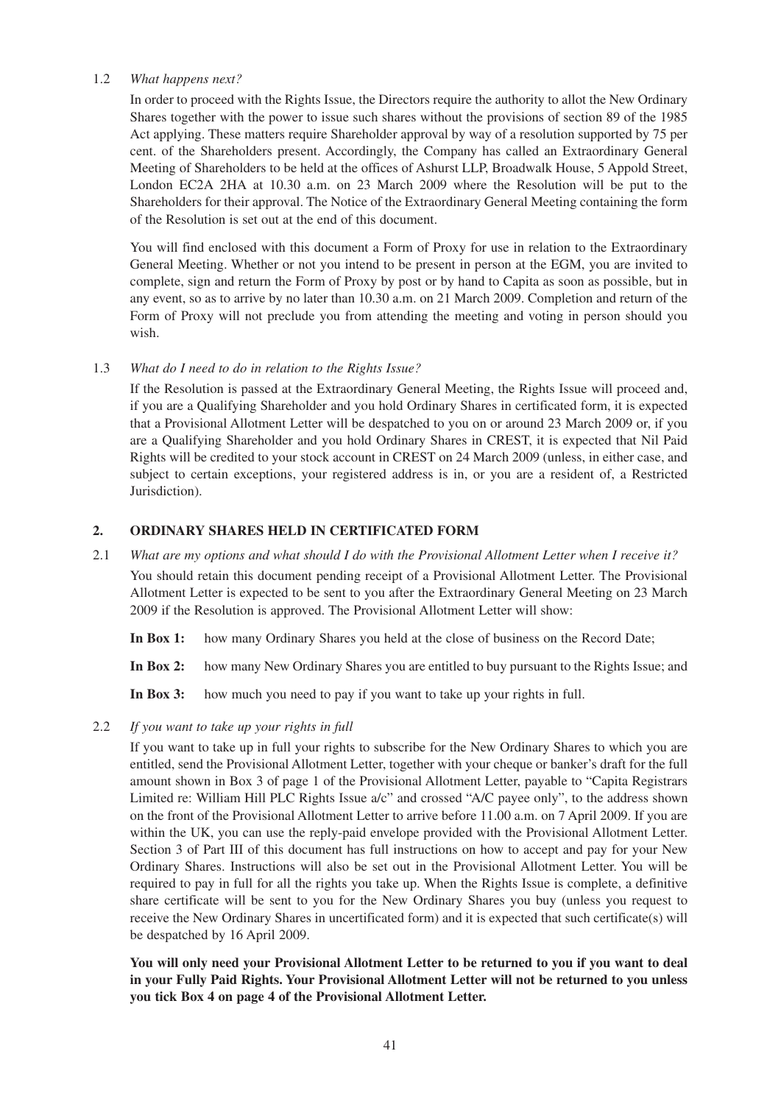#### 1.2 *What happens next?*

In order to proceed with the Rights Issue, the Directors require the authority to allot the New Ordinary Shares together with the power to issue such shares without the provisions of section 89 of the 1985 Act applying. These matters require Shareholder approval by way of a resolution supported by 75 per cent. of the Shareholders present. Accordingly, the Company has called an Extraordinary General Meeting of Shareholders to be held at the offices of Ashurst LLP, Broadwalk House, 5 Appold Street, London EC2A 2HA at 10.30 a.m. on 23 March 2009 where the Resolution will be put to the Shareholders for their approval. The Notice of the Extraordinary General Meeting containing the form of the Resolution is set out at the end of this document.

You will find enclosed with this document a Form of Proxy for use in relation to the Extraordinary General Meeting. Whether or not you intend to be present in person at the EGM, you are invited to complete, sign and return the Form of Proxy by post or by hand to Capita as soon as possible, but in any event, so as to arrive by no later than 10.30 a.m. on 21 March 2009. Completion and return of the Form of Proxy will not preclude you from attending the meeting and voting in person should you wish.

### 1.3 *What do I need to do in relation to the Rights Issue?*

If the Resolution is passed at the Extraordinary General Meeting, the Rights Issue will proceed and, if you are a Qualifying Shareholder and you hold Ordinary Shares in certificated form, it is expected that a Provisional Allotment Letter will be despatched to you on or around 23 March 2009 or, if you are a Qualifying Shareholder and you hold Ordinary Shares in CREST, it is expected that Nil Paid Rights will be credited to your stock account in CREST on 24 March 2009 (unless, in either case, and subject to certain exceptions, your registered address is in, or you are a resident of, a Restricted Jurisdiction).

### **2. ORDINARY SHARES HELD IN CERTIFICATED FORM**

2.1 *What are my options and what should I do with the Provisional Allotment Letter when I receive it?* You should retain this document pending receipt of a Provisional Allotment Letter. The Provisional Allotment Letter is expected to be sent to you after the Extraordinary General Meeting on 23 March 2009 if the Resolution is approved. The Provisional Allotment Letter will show:

**In Box 1:** how many Ordinary Shares you held at the close of business on the Record Date;

**In Box 2:** how many New Ordinary Shares you are entitled to buy pursuant to the Rights Issue; and

In Box 3: how much you need to pay if you want to take up your rights in full.

2.2 *If you want to take up your rights in full*

If you want to take up in full your rights to subscribe for the New Ordinary Shares to which you are entitled, send the Provisional Allotment Letter, together with your cheque or banker's draft for the full amount shown in Box 3 of page 1 of the Provisional Allotment Letter, payable to "Capita Registrars Limited re: William Hill PLC Rights Issue a/c" and crossed "A/C payee only", to the address shown on the front of the Provisional Allotment Letter to arrive before 11.00 a.m. on 7 April 2009. If you are within the UK, you can use the reply-paid envelope provided with the Provisional Allotment Letter. Section 3 of Part III of this document has full instructions on how to accept and pay for your New Ordinary Shares. Instructions will also be set out in the Provisional Allotment Letter. You will be required to pay in full for all the rights you take up. When the Rights Issue is complete, a definitive share certificate will be sent to you for the New Ordinary Shares you buy (unless you request to receive the New Ordinary Shares in uncertificated form) and it is expected that such certificate(s) will be despatched by 16 April 2009.

**You will only need your Provisional Allotment Letter to be returned to you if you want to deal in your Fully Paid Rights. Your Provisional Allotment Letter will not be returned to you unless you tick Box 4 on page 4 of the Provisional Allotment Letter.**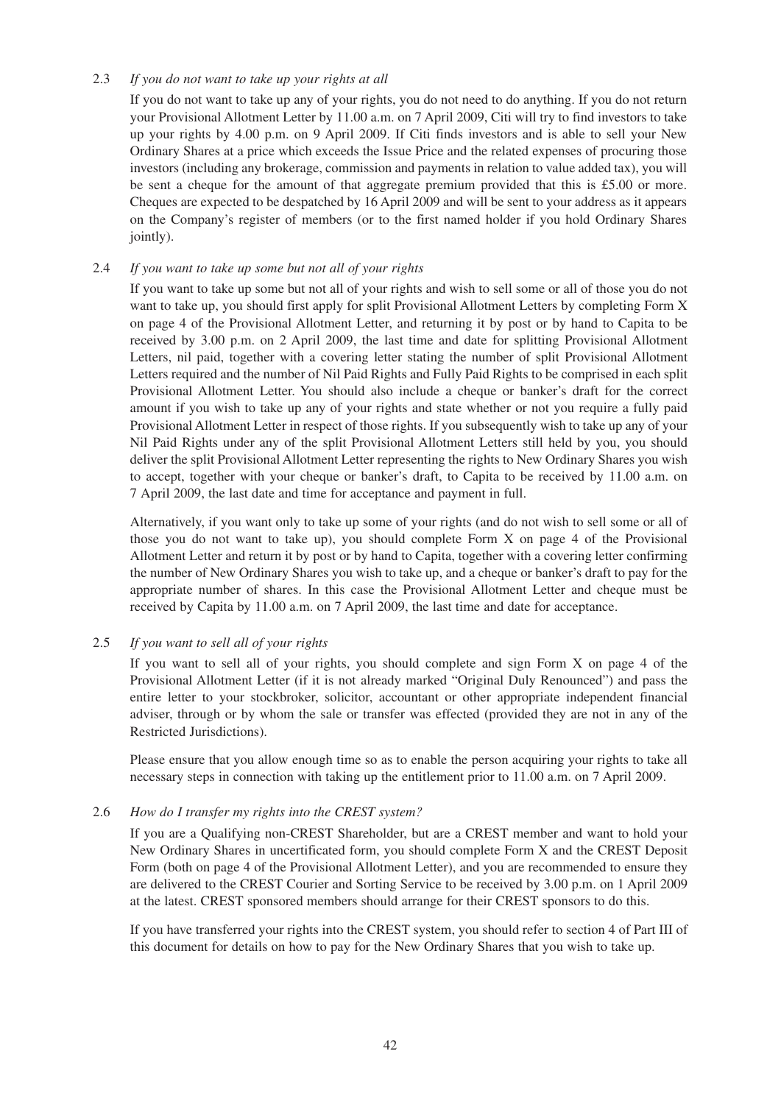### 2.3 *If you do not want to take up your rights at all*

If you do not want to take up any of your rights, you do not need to do anything. If you do not return your Provisional Allotment Letter by 11.00 a.m. on 7 April 2009, Citi will try to find investors to take up your rights by 4.00 p.m. on 9 April 2009. If Citi finds investors and is able to sell your New Ordinary Shares at a price which exceeds the Issue Price and the related expenses of procuring those investors (including any brokerage, commission and payments in relation to value added tax), you will be sent a cheque for the amount of that aggregate premium provided that this is £5.00 or more. Cheques are expected to be despatched by 16 April 2009 and will be sent to your address as it appears on the Company's register of members (or to the first named holder if you hold Ordinary Shares jointly).

# 2.4 *If you want to take up some but not all of your rights*

If you want to take up some but not all of your rights and wish to sell some or all of those you do not want to take up, you should first apply for split Provisional Allotment Letters by completing Form X on page 4 of the Provisional Allotment Letter, and returning it by post or by hand to Capita to be received by 3.00 p.m. on 2 April 2009, the last time and date for splitting Provisional Allotment Letters, nil paid, together with a covering letter stating the number of split Provisional Allotment Letters required and the number of Nil Paid Rights and Fully Paid Rights to be comprised in each split Provisional Allotment Letter. You should also include a cheque or banker's draft for the correct amount if you wish to take up any of your rights and state whether or not you require a fully paid Provisional Allotment Letter in respect of those rights. If you subsequently wish to take up any of your Nil Paid Rights under any of the split Provisional Allotment Letters still held by you, you should deliver the split Provisional Allotment Letter representing the rights to New Ordinary Shares you wish to accept, together with your cheque or banker's draft, to Capita to be received by 11.00 a.m. on 7 April 2009, the last date and time for acceptance and payment in full.

Alternatively, if you want only to take up some of your rights (and do not wish to sell some or all of those you do not want to take up), you should complete Form X on page 4 of the Provisional Allotment Letter and return it by post or by hand to Capita, together with a covering letter confirming the number of New Ordinary Shares you wish to take up, and a cheque or banker's draft to pay for the appropriate number of shares. In this case the Provisional Allotment Letter and cheque must be received by Capita by 11.00 a.m. on 7 April 2009, the last time and date for acceptance.

### 2.5 *If you want to sell all of your rights*

If you want to sell all of your rights, you should complete and sign Form X on page 4 of the Provisional Allotment Letter (if it is not already marked "Original Duly Renounced") and pass the entire letter to your stockbroker, solicitor, accountant or other appropriate independent financial adviser, through or by whom the sale or transfer was effected (provided they are not in any of the Restricted Jurisdictions).

Please ensure that you allow enough time so as to enable the person acquiring your rights to take all necessary steps in connection with taking up the entitlement prior to 11.00 a.m. on 7 April 2009.

### 2.6 *How do I transfer my rights into the CREST system?*

If you are a Qualifying non-CREST Shareholder, but are a CREST member and want to hold your New Ordinary Shares in uncertificated form, you should complete Form X and the CREST Deposit Form (both on page 4 of the Provisional Allotment Letter), and you are recommended to ensure they are delivered to the CREST Courier and Sorting Service to be received by 3.00 p.m. on 1 April 2009 at the latest. CREST sponsored members should arrange for their CREST sponsors to do this.

If you have transferred your rights into the CREST system, you should refer to section 4 of Part III of this document for details on how to pay for the New Ordinary Shares that you wish to take up.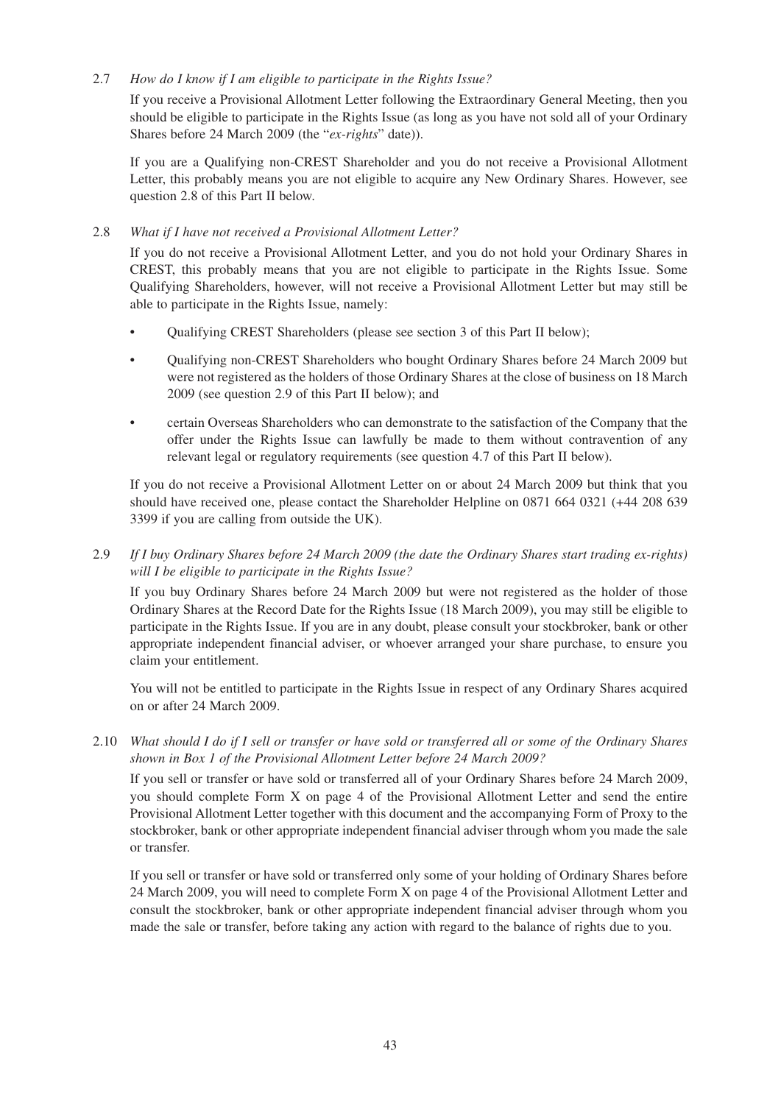## 2.7 *How do I know if I am eligible to participate in the Rights Issue?*

If you receive a Provisional Allotment Letter following the Extraordinary General Meeting, then you should be eligible to participate in the Rights Issue (as long as you have not sold all of your Ordinary Shares before 24 March 2009 (the "*ex-rights*" date)).

If you are a Qualifying non-CREST Shareholder and you do not receive a Provisional Allotment Letter, this probably means you are not eligible to acquire any New Ordinary Shares. However, see question 2.8 of this Part II below.

## 2.8 *What if I have not received a Provisional Allotment Letter?*

If you do not receive a Provisional Allotment Letter, and you do not hold your Ordinary Shares in CREST, this probably means that you are not eligible to participate in the Rights Issue. Some Qualifying Shareholders, however, will not receive a Provisional Allotment Letter but may still be able to participate in the Rights Issue, namely:

- Qualifying CREST Shareholders (please see section 3 of this Part II below);
- Qualifying non-CREST Shareholders who bought Ordinary Shares before 24 March 2009 but were not registered as the holders of those Ordinary Shares at the close of business on 18 March 2009 (see question 2.9 of this Part II below); and
- certain Overseas Shareholders who can demonstrate to the satisfaction of the Company that the offer under the Rights Issue can lawfully be made to them without contravention of any relevant legal or regulatory requirements (see question 4.7 of this Part II below).

If you do not receive a Provisional Allotment Letter on or about 24 March 2009 but think that you should have received one, please contact the Shareholder Helpline on 0871 664 0321 (+44 208 639 3399 if you are calling from outside the UK).

# 2.9 *If I buy Ordinary Shares before 24 March 2009 (the date the Ordinary Shares start trading ex-rights) will I be eligible to participate in the Rights Issue?*

If you buy Ordinary Shares before 24 March 2009 but were not registered as the holder of those Ordinary Shares at the Record Date for the Rights Issue (18 March 2009), you may still be eligible to participate in the Rights Issue. If you are in any doubt, please consult your stockbroker, bank or other appropriate independent financial adviser, or whoever arranged your share purchase, to ensure you claim your entitlement.

You will not be entitled to participate in the Rights Issue in respect of any Ordinary Shares acquired on or after 24 March 2009.

2.10 *What should I do if I sell or transfer or have sold or transferred all or some of the Ordinary Shares shown in Box 1 of the Provisional Allotment Letter before 24 March 2009?*

If you sell or transfer or have sold or transferred all of your Ordinary Shares before 24 March 2009, you should complete Form X on page 4 of the Provisional Allotment Letter and send the entire Provisional Allotment Letter together with this document and the accompanying Form of Proxy to the stockbroker, bank or other appropriate independent financial adviser through whom you made the sale or transfer.

If you sell or transfer or have sold or transferred only some of your holding of Ordinary Shares before 24 March 2009, you will need to complete Form X on page 4 of the Provisional Allotment Letter and consult the stockbroker, bank or other appropriate independent financial adviser through whom you made the sale or transfer, before taking any action with regard to the balance of rights due to you.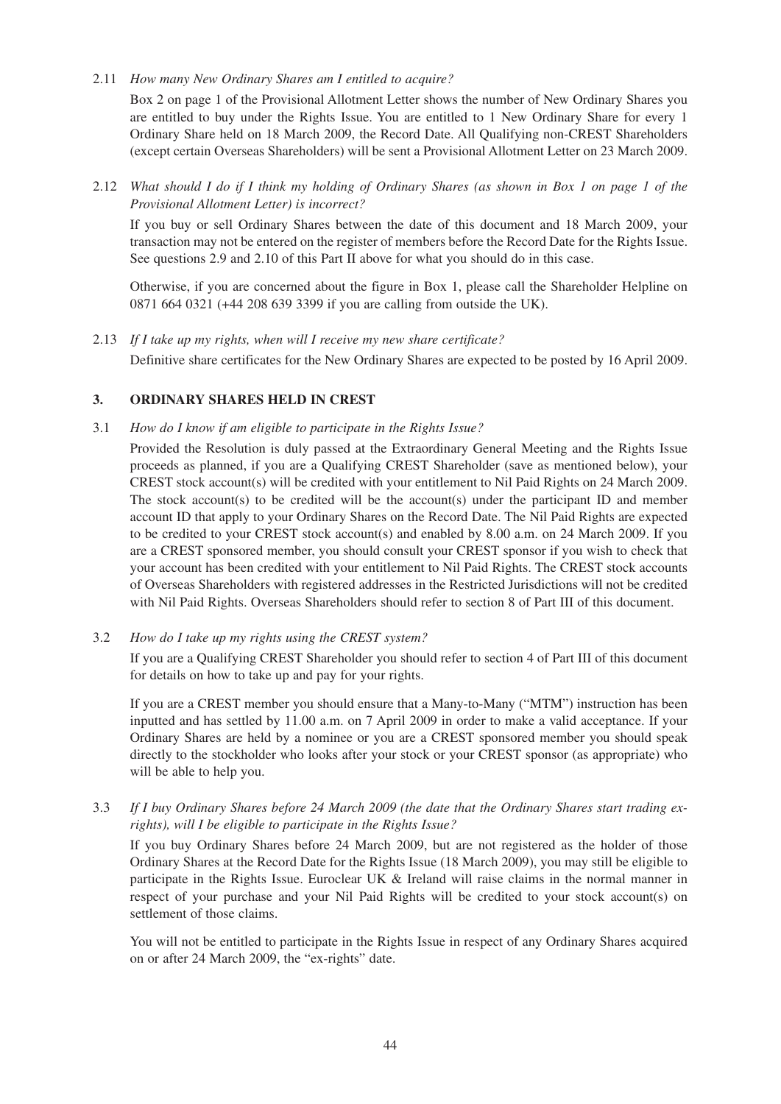2.11 *How many New Ordinary Shares am I entitled to acquire?*

Box 2 on page 1 of the Provisional Allotment Letter shows the number of New Ordinary Shares you are entitled to buy under the Rights Issue. You are entitled to 1 New Ordinary Share for every 1 Ordinary Share held on 18 March 2009, the Record Date. All Qualifying non-CREST Shareholders (except certain Overseas Shareholders) will be sent a Provisional Allotment Letter on 23 March 2009.

2.12 *What should I do if I think my holding of Ordinary Shares (as shown in Box 1 on page 1 of the Provisional Allotment Letter) is incorrect?*

If you buy or sell Ordinary Shares between the date of this document and 18 March 2009, your transaction may not be entered on the register of members before the Record Date for the Rights Issue. See questions 2.9 and 2.10 of this Part II above for what you should do in this case.

Otherwise, if you are concerned about the figure in Box 1, please call the Shareholder Helpline on 0871 664 0321 (+44 208 639 3399 if you are calling from outside the UK).

2.13 *If I take up my rights, when will I receive my new share certificate?* Definitive share certificates for the New Ordinary Shares are expected to be posted by 16 April 2009.

## **3. ORDINARY SHARES HELD IN CREST**

- 3.1 *How do I know if am eligible to participate in the Rights Issue?*
	- Provided the Resolution is duly passed at the Extraordinary General Meeting and the Rights Issue proceeds as planned, if you are a Qualifying CREST Shareholder (save as mentioned below), your CREST stock account(s) will be credited with your entitlement to Nil Paid Rights on 24 March 2009. The stock account(s) to be credited will be the account(s) under the participant ID and member account ID that apply to your Ordinary Shares on the Record Date. The Nil Paid Rights are expected to be credited to your CREST stock account(s) and enabled by 8.00 a.m. on 24 March 2009. If you are a CREST sponsored member, you should consult your CREST sponsor if you wish to check that your account has been credited with your entitlement to Nil Paid Rights. The CREST stock accounts of Overseas Shareholders with registered addresses in the Restricted Jurisdictions will not be credited with Nil Paid Rights. Overseas Shareholders should refer to section 8 of Part III of this document.
- 3.2 *How do I take up my rights using the CREST system?*

If you are a Qualifying CREST Shareholder you should refer to section 4 of Part III of this document for details on how to take up and pay for your rights.

If you are a CREST member you should ensure that a Many-to-Many ("MTM") instruction has been inputted and has settled by 11.00 a.m. on 7 April 2009 in order to make a valid acceptance. If your Ordinary Shares are held by a nominee or you are a CREST sponsored member you should speak directly to the stockholder who looks after your stock or your CREST sponsor (as appropriate) who will be able to help you.

3.3 *If I buy Ordinary Shares before 24 March 2009 (the date that the Ordinary Shares start trading exrights), will I be eligible to participate in the Rights Issue?*

If you buy Ordinary Shares before 24 March 2009, but are not registered as the holder of those Ordinary Shares at the Record Date for the Rights Issue (18 March 2009), you may still be eligible to participate in the Rights Issue. Euroclear UK & Ireland will raise claims in the normal manner in respect of your purchase and your Nil Paid Rights will be credited to your stock account(s) on settlement of those claims.

You will not be entitled to participate in the Rights Issue in respect of any Ordinary Shares acquired on or after 24 March 2009, the "ex-rights" date.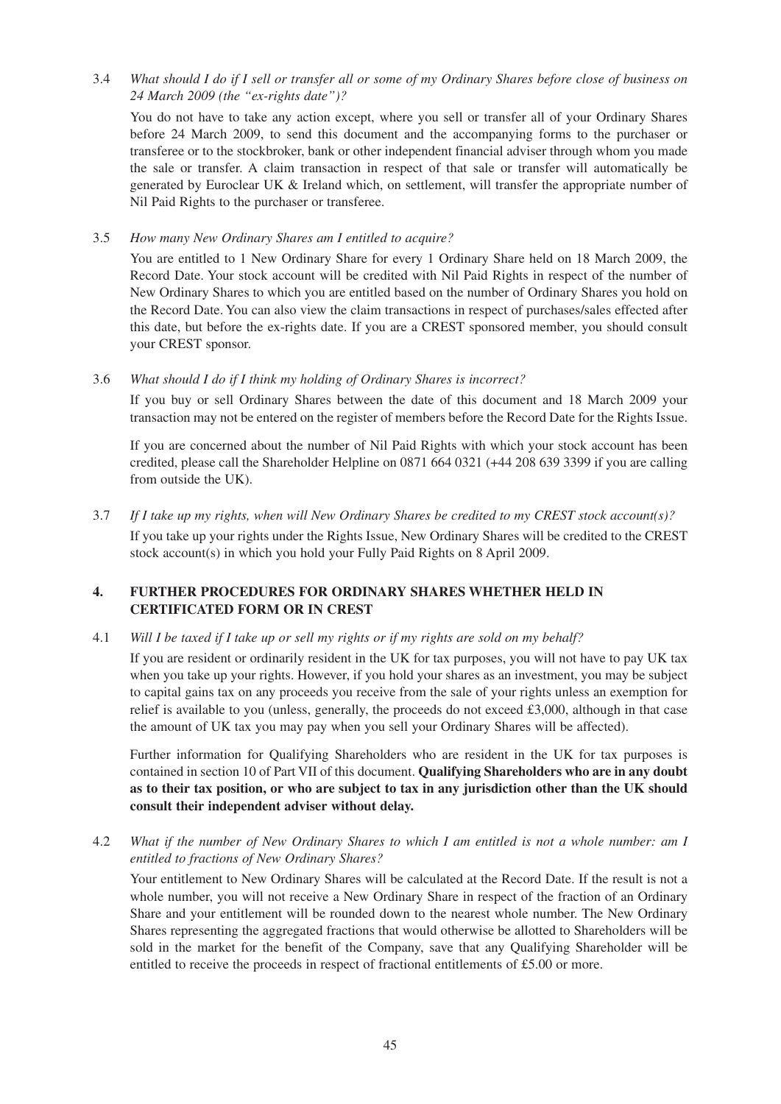3.4 *What should I do if I sell or transfer all or some of my Ordinary Shares before close of business on 24 March 2009 (the "ex-rights date")?*

You do not have to take any action except, where you sell or transfer all of your Ordinary Shares before 24 March 2009, to send this document and the accompanying forms to the purchaser or transferee or to the stockbroker, bank or other independent financial adviser through whom you made the sale or transfer. A claim transaction in respect of that sale or transfer will automatically be generated by Euroclear UK & Ireland which, on settlement, will transfer the appropriate number of Nil Paid Rights to the purchaser or transferee.

3.5 *How many New Ordinary Shares am I entitled to acquire?*

You are entitled to 1 New Ordinary Share for every 1 Ordinary Share held on 18 March 2009, the Record Date. Your stock account will be credited with Nil Paid Rights in respect of the number of New Ordinary Shares to which you are entitled based on the number of Ordinary Shares you hold on the Record Date. You can also view the claim transactions in respect of purchases/sales effected after this date, but before the ex-rights date. If you are a CREST sponsored member, you should consult your CREST sponsor.

3.6 *What should I do if I think my holding of Ordinary Shares is incorrect?*

If you buy or sell Ordinary Shares between the date of this document and 18 March 2009 your transaction may not be entered on the register of members before the Record Date for the Rights Issue.

If you are concerned about the number of Nil Paid Rights with which your stock account has been credited, please call the Shareholder Helpline on 0871 664 0321 (+44 208 639 3399 if you are calling from outside the UK).

3.7 *If I take up my rights, when will New Ordinary Shares be credited to my CREST stock account(s)?* If you take up your rights under the Rights Issue, New Ordinary Shares will be credited to the CREST stock account(s) in which you hold your Fully Paid Rights on 8 April 2009.

# **4. FURTHER PROCEDURES FOR ORDINARY SHARES WHETHER HELD IN CERTIFICATED FORM OR IN CREST**

# 4.1 *Will I be taxed if I take up or sell my rights or if my rights are sold on my behalf?*

If you are resident or ordinarily resident in the UK for tax purposes, you will not have to pay UK tax when you take up your rights. However, if you hold your shares as an investment, you may be subject to capital gains tax on any proceeds you receive from the sale of your rights unless an exemption for relief is available to you (unless, generally, the proceeds do not exceed £3,000, although in that case the amount of UK tax you may pay when you sell your Ordinary Shares will be affected).

Further information for Qualifying Shareholders who are resident in the UK for tax purposes is contained in section 10 of Part VII of this document. **Qualifying Shareholders who are in any doubt as to their tax position, or who are subject to tax in any jurisdiction other than the UK should consult their independent adviser without delay.**

4.2 *What if the number of New Ordinary Shares to which I am entitled is not a whole number: am I entitled to fractions of New Ordinary Shares?*

Your entitlement to New Ordinary Shares will be calculated at the Record Date. If the result is not a whole number, you will not receive a New Ordinary Share in respect of the fraction of an Ordinary Share and your entitlement will be rounded down to the nearest whole number. The New Ordinary Shares representing the aggregated fractions that would otherwise be allotted to Shareholders will be sold in the market for the benefit of the Company, save that any Qualifying Shareholder will be entitled to receive the proceeds in respect of fractional entitlements of £5.00 or more.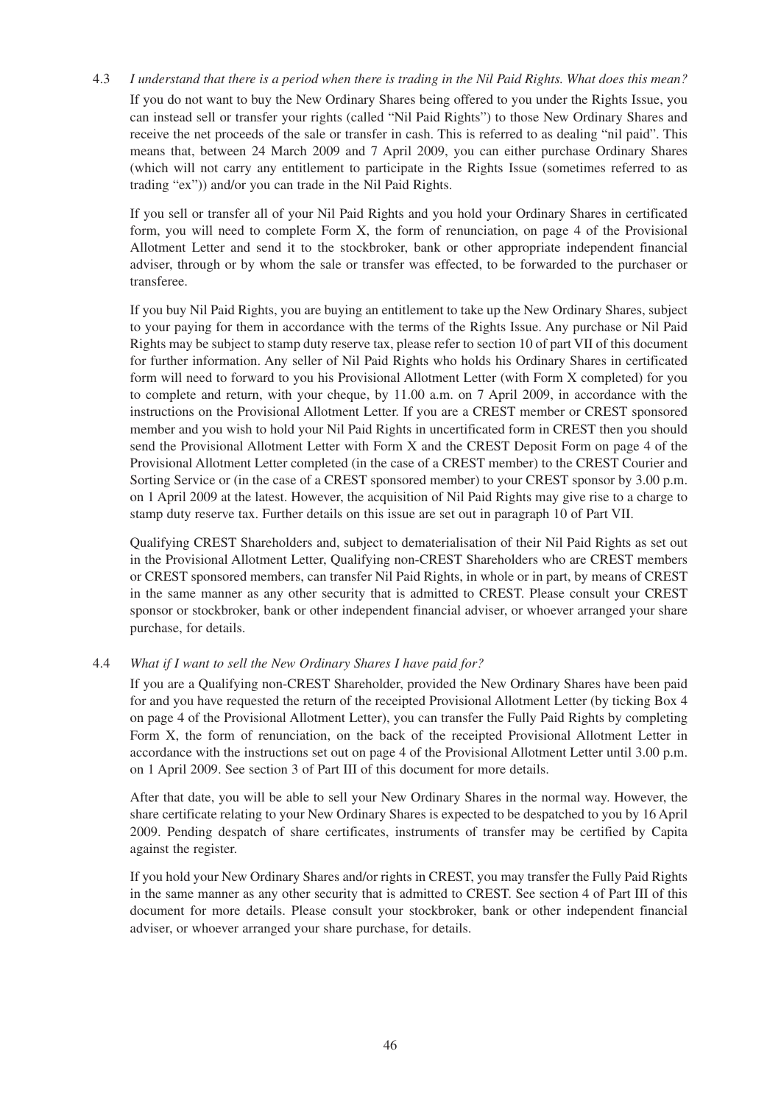4.3 *I understand that there is a period when there is trading in the Nil Paid Rights. What does this mean?* If you do not want to buy the New Ordinary Shares being offered to you under the Rights Issue, you can instead sell or transfer your rights (called "Nil Paid Rights") to those New Ordinary Shares and receive the net proceeds of the sale or transfer in cash. This is referred to as dealing "nil paid". This means that, between 24 March 2009 and 7 April 2009, you can either purchase Ordinary Shares (which will not carry any entitlement to participate in the Rights Issue (sometimes referred to as trading "ex")) and/or you can trade in the Nil Paid Rights.

If you sell or transfer all of your Nil Paid Rights and you hold your Ordinary Shares in certificated form, you will need to complete Form X, the form of renunciation, on page 4 of the Provisional Allotment Letter and send it to the stockbroker, bank or other appropriate independent financial adviser, through or by whom the sale or transfer was effected, to be forwarded to the purchaser or transferee.

If you buy Nil Paid Rights, you are buying an entitlement to take up the New Ordinary Shares, subject to your paying for them in accordance with the terms of the Rights Issue. Any purchase or Nil Paid Rights may be subject to stamp duty reserve tax, please refer to section 10 of part VII of this document for further information. Any seller of Nil Paid Rights who holds his Ordinary Shares in certificated form will need to forward to you his Provisional Allotment Letter (with Form X completed) for you to complete and return, with your cheque, by 11.00 a.m. on 7 April 2009, in accordance with the instructions on the Provisional Allotment Letter. If you are a CREST member or CREST sponsored member and you wish to hold your Nil Paid Rights in uncertificated form in CREST then you should send the Provisional Allotment Letter with Form X and the CREST Deposit Form on page 4 of the Provisional Allotment Letter completed (in the case of a CREST member) to the CREST Courier and Sorting Service or (in the case of a CREST sponsored member) to your CREST sponsor by 3.00 p.m. on 1 April 2009 at the latest. However, the acquisition of Nil Paid Rights may give rise to a charge to stamp duty reserve tax. Further details on this issue are set out in paragraph 10 of Part VII.

Qualifying CREST Shareholders and, subject to dematerialisation of their Nil Paid Rights as set out in the Provisional Allotment Letter, Qualifying non-CREST Shareholders who are CREST members or CREST sponsored members, can transfer Nil Paid Rights, in whole or in part, by means of CREST in the same manner as any other security that is admitted to CREST. Please consult your CREST sponsor or stockbroker, bank or other independent financial adviser, or whoever arranged your share purchase, for details.

### 4.4 *What if I want to sell the New Ordinary Shares I have paid for?*

If you are a Qualifying non-CREST Shareholder, provided the New Ordinary Shares have been paid for and you have requested the return of the receipted Provisional Allotment Letter (by ticking Box 4 on page 4 of the Provisional Allotment Letter), you can transfer the Fully Paid Rights by completing Form X, the form of renunciation, on the back of the receipted Provisional Allotment Letter in accordance with the instructions set out on page 4 of the Provisional Allotment Letter until 3.00 p.m. on 1 April 2009. See section 3 of Part III of this document for more details.

After that date, you will be able to sell your New Ordinary Shares in the normal way. However, the share certificate relating to your New Ordinary Shares is expected to be despatched to you by 16 April 2009. Pending despatch of share certificates, instruments of transfer may be certified by Capita against the register.

If you hold your New Ordinary Shares and/or rights in CREST, you may transfer the Fully Paid Rights in the same manner as any other security that is admitted to CREST. See section 4 of Part III of this document for more details. Please consult your stockbroker, bank or other independent financial adviser, or whoever arranged your share purchase, for details.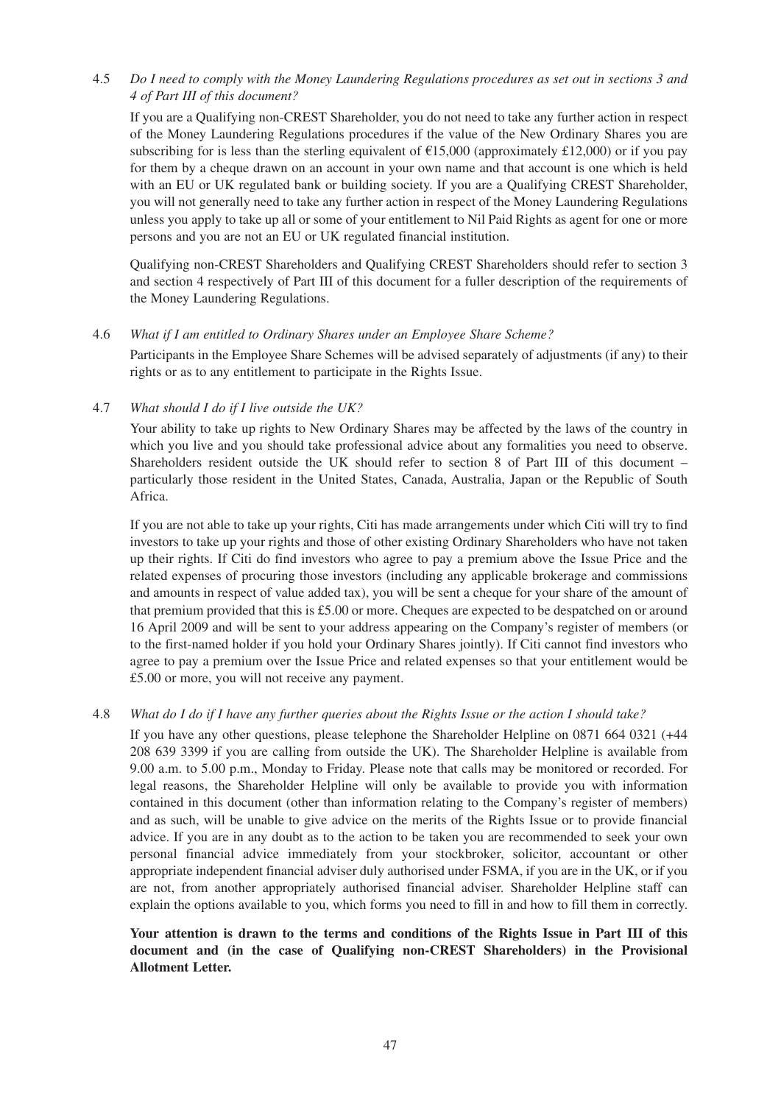# 4.5 *Do I need to comply with the Money Laundering Regulations procedures as set out in sections 3 and 4 of Part III of this document?*

If you are a Qualifying non-CREST Shareholder, you do not need to take any further action in respect of the Money Laundering Regulations procedures if the value of the New Ordinary Shares you are subscribing for is less than the sterling equivalent of  $\text{\textsterling}15,000$  (approximately £12,000) or if you pay for them by a cheque drawn on an account in your own name and that account is one which is held with an EU or UK regulated bank or building society. If you are a Qualifying CREST Shareholder, you will not generally need to take any further action in respect of the Money Laundering Regulations unless you apply to take up all or some of your entitlement to Nil Paid Rights as agent for one or more persons and you are not an EU or UK regulated financial institution.

Qualifying non-CREST Shareholders and Qualifying CREST Shareholders should refer to section 3 and section 4 respectively of Part III of this document for a fuller description of the requirements of the Money Laundering Regulations.

### 4.6 *What if I am entitled to Ordinary Shares under an Employee Share Scheme?*

Participants in the Employee Share Schemes will be advised separately of adjustments (if any) to their rights or as to any entitlement to participate in the Rights Issue.

## 4.7 *What should I do if I live outside the UK?*

Your ability to take up rights to New Ordinary Shares may be affected by the laws of the country in which you live and you should take professional advice about any formalities you need to observe. Shareholders resident outside the UK should refer to section 8 of Part III of this document – particularly those resident in the United States, Canada, Australia, Japan or the Republic of South Africa.

If you are not able to take up your rights, Citi has made arrangements under which Citi will try to find investors to take up your rights and those of other existing Ordinary Shareholders who have not taken up their rights. If Citi do find investors who agree to pay a premium above the Issue Price and the related expenses of procuring those investors (including any applicable brokerage and commissions and amounts in respect of value added tax), you will be sent a cheque for your share of the amount of that premium provided that this is £5.00 or more. Cheques are expected to be despatched on or around 16 April 2009 and will be sent to your address appearing on the Company's register of members (or to the first-named holder if you hold your Ordinary Shares jointly). If Citi cannot find investors who agree to pay a premium over the Issue Price and related expenses so that your entitlement would be £5.00 or more, you will not receive any payment.

# 4.8 *What do I do if I have any further queries about the Rights Issue or the action I should take?*

If you have any other questions, please telephone the Shareholder Helpline on 0871 664 0321 (+44 208 639 3399 if you are calling from outside the UK). The Shareholder Helpline is available from 9.00 a.m. to 5.00 p.m., Monday to Friday. Please note that calls may be monitored or recorded. For legal reasons, the Shareholder Helpline will only be available to provide you with information contained in this document (other than information relating to the Company's register of members) and as such, will be unable to give advice on the merits of the Rights Issue or to provide financial advice. If you are in any doubt as to the action to be taken you are recommended to seek your own personal financial advice immediately from your stockbroker, solicitor, accountant or other appropriate independent financial adviser duly authorised under FSMA, if you are in the UK, or if you are not, from another appropriately authorised financial adviser. Shareholder Helpline staff can explain the options available to you, which forms you need to fill in and how to fill them in correctly.

## **Your attention is drawn to the terms and conditions of the Rights Issue in Part III of this document and (in the case of Qualifying non-CREST Shareholders) in the Provisional Allotment Letter.**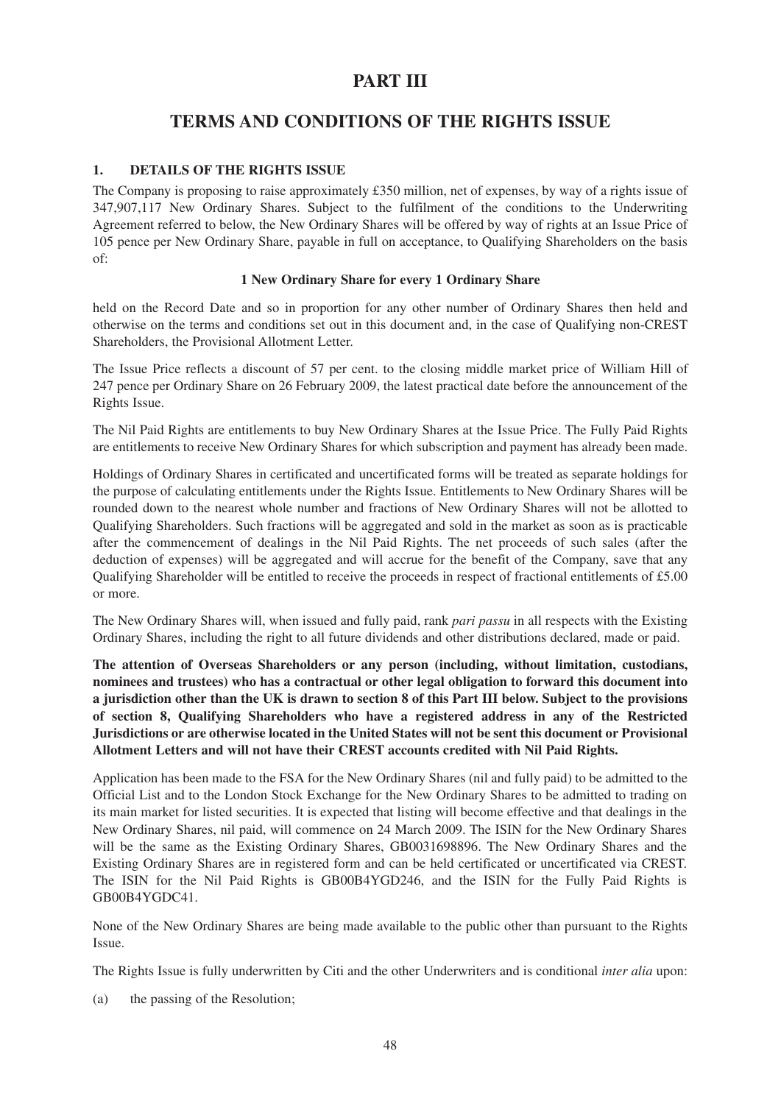# **PART III**

# **TERMS AND CONDITIONS OF THE RIGHTS ISSUE**

## **1. DETAILS OF THE RIGHTS ISSUE**

The Company is proposing to raise approximately £350 million, net of expenses, by way of a rights issue of 347,907,117 New Ordinary Shares. Subject to the fulfilment of the conditions to the Underwriting Agreement referred to below, the New Ordinary Shares will be offered by way of rights at an Issue Price of 105 pence per New Ordinary Share, payable in full on acceptance, to Qualifying Shareholders on the basis of:

### **1 New Ordinary Share for every 1 Ordinary Share**

held on the Record Date and so in proportion for any other number of Ordinary Shares then held and otherwise on the terms and conditions set out in this document and, in the case of Qualifying non-CREST Shareholders, the Provisional Allotment Letter.

The Issue Price reflects a discount of 57 per cent. to the closing middle market price of William Hill of 247 pence per Ordinary Share on 26 February 2009, the latest practical date before the announcement of the Rights Issue.

The Nil Paid Rights are entitlements to buy New Ordinary Shares at the Issue Price. The Fully Paid Rights are entitlements to receive New Ordinary Shares for which subscription and payment has already been made.

Holdings of Ordinary Shares in certificated and uncertificated forms will be treated as separate holdings for the purpose of calculating entitlements under the Rights Issue. Entitlements to New Ordinary Shares will be rounded down to the nearest whole number and fractions of New Ordinary Shares will not be allotted to Qualifying Shareholders. Such fractions will be aggregated and sold in the market as soon as is practicable after the commencement of dealings in the Nil Paid Rights. The net proceeds of such sales (after the deduction of expenses) will be aggregated and will accrue for the benefit of the Company, save that any Qualifying Shareholder will be entitled to receive the proceeds in respect of fractional entitlements of £5.00 or more.

The New Ordinary Shares will, when issued and fully paid, rank *pari passu* in all respects with the Existing Ordinary Shares, including the right to all future dividends and other distributions declared, made or paid.

**The attention of Overseas Shareholders or any person (including, without limitation, custodians, nominees and trustees) who has a contractual or other legal obligation to forward this document into a jurisdiction other than the UK is drawn to section 8 of this Part III below. Subject to the provisions of section 8, Qualifying Shareholders who have a registered address in any of the Restricted Jurisdictions or are otherwise located in the United States will not be sent this document or Provisional Allotment Letters and will not have their CREST accounts credited with Nil Paid Rights.**

Application has been made to the FSA for the New Ordinary Shares (nil and fully paid) to be admitted to the Official List and to the London Stock Exchange for the New Ordinary Shares to be admitted to trading on its main market for listed securities. It is expected that listing will become effective and that dealings in the New Ordinary Shares, nil paid, will commence on 24 March 2009. The ISIN for the New Ordinary Shares will be the same as the Existing Ordinary Shares, GB0031698896. The New Ordinary Shares and the Existing Ordinary Shares are in registered form and can be held certificated or uncertificated via CREST. The ISIN for the Nil Paid Rights is GB00B4YGD246, and the ISIN for the Fully Paid Rights is GB00B4YGDC41.

None of the New Ordinary Shares are being made available to the public other than pursuant to the Rights Issue.

The Rights Issue is fully underwritten by Citi and the other Underwriters and is conditional *inter alia* upon:

(a) the passing of the Resolution;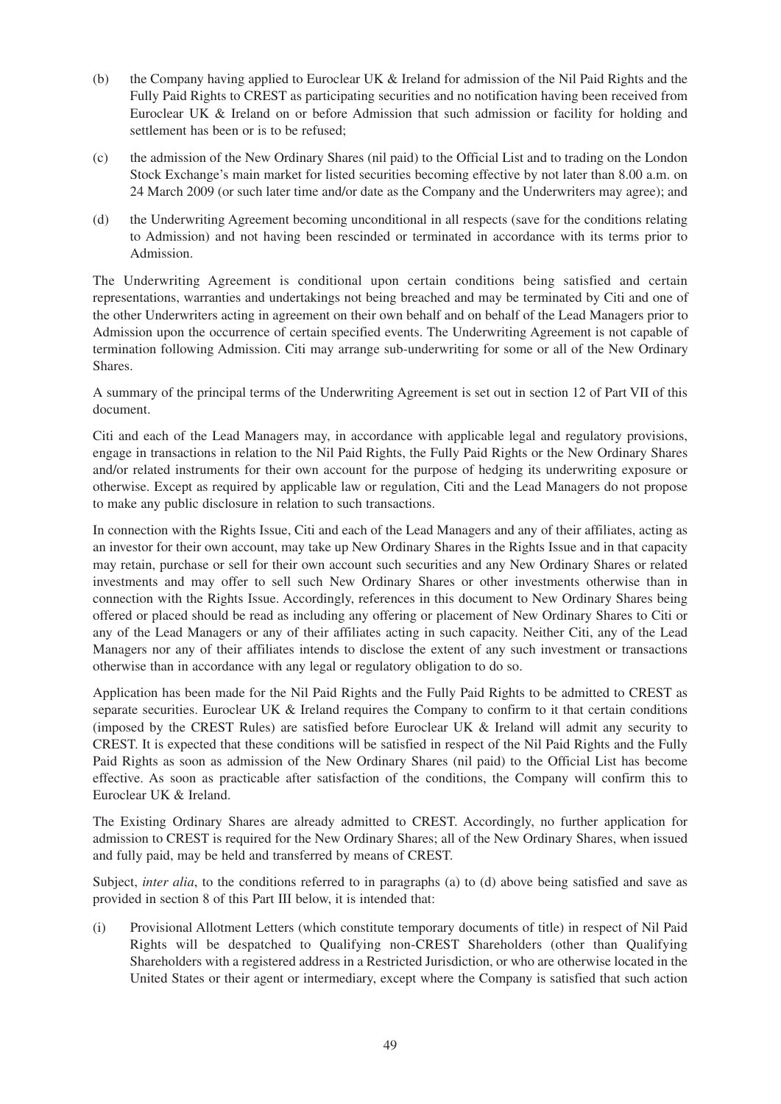- (b) the Company having applied to Euroclear UK & Ireland for admission of the Nil Paid Rights and the Fully Paid Rights to CREST as participating securities and no notification having been received from Euroclear UK & Ireland on or before Admission that such admission or facility for holding and settlement has been or is to be refused;
- (c) the admission of the New Ordinary Shares (nil paid) to the Official List and to trading on the London Stock Exchange's main market for listed securities becoming effective by not later than 8.00 a.m. on 24 March 2009 (or such later time and/or date as the Company and the Underwriters may agree); and
- (d) the Underwriting Agreement becoming unconditional in all respects (save for the conditions relating to Admission) and not having been rescinded or terminated in accordance with its terms prior to Admission.

The Underwriting Agreement is conditional upon certain conditions being satisfied and certain representations, warranties and undertakings not being breached and may be terminated by Citi and one of the other Underwriters acting in agreement on their own behalf and on behalf of the Lead Managers prior to Admission upon the occurrence of certain specified events. The Underwriting Agreement is not capable of termination following Admission. Citi may arrange sub-underwriting for some or all of the New Ordinary Shares.

A summary of the principal terms of the Underwriting Agreement is set out in section 12 of Part VII of this document.

Citi and each of the Lead Managers may, in accordance with applicable legal and regulatory provisions, engage in transactions in relation to the Nil Paid Rights, the Fully Paid Rights or the New Ordinary Shares and/or related instruments for their own account for the purpose of hedging its underwriting exposure or otherwise. Except as required by applicable law or regulation, Citi and the Lead Managers do not propose to make any public disclosure in relation to such transactions.

In connection with the Rights Issue, Citi and each of the Lead Managers and any of their affiliates, acting as an investor for their own account, may take up New Ordinary Shares in the Rights Issue and in that capacity may retain, purchase or sell for their own account such securities and any New Ordinary Shares or related investments and may offer to sell such New Ordinary Shares or other investments otherwise than in connection with the Rights Issue. Accordingly, references in this document to New Ordinary Shares being offered or placed should be read as including any offering or placement of New Ordinary Shares to Citi or any of the Lead Managers or any of their affiliates acting in such capacity. Neither Citi, any of the Lead Managers nor any of their affiliates intends to disclose the extent of any such investment or transactions otherwise than in accordance with any legal or regulatory obligation to do so.

Application has been made for the Nil Paid Rights and the Fully Paid Rights to be admitted to CREST as separate securities. Euroclear UK & Ireland requires the Company to confirm to it that certain conditions (imposed by the CREST Rules) are satisfied before Euroclear UK & Ireland will admit any security to CREST. It is expected that these conditions will be satisfied in respect of the Nil Paid Rights and the Fully Paid Rights as soon as admission of the New Ordinary Shares (nil paid) to the Official List has become effective. As soon as practicable after satisfaction of the conditions, the Company will confirm this to Euroclear UK & Ireland.

The Existing Ordinary Shares are already admitted to CREST. Accordingly, no further application for admission to CREST is required for the New Ordinary Shares; all of the New Ordinary Shares, when issued and fully paid, may be held and transferred by means of CREST.

Subject, *inter alia*, to the conditions referred to in paragraphs (a) to (d) above being satisfied and save as provided in section 8 of this Part III below, it is intended that:

(i) Provisional Allotment Letters (which constitute temporary documents of title) in respect of Nil Paid Rights will be despatched to Qualifying non-CREST Shareholders (other than Qualifying Shareholders with a registered address in a Restricted Jurisdiction, or who are otherwise located in the United States or their agent or intermediary, except where the Company is satisfied that such action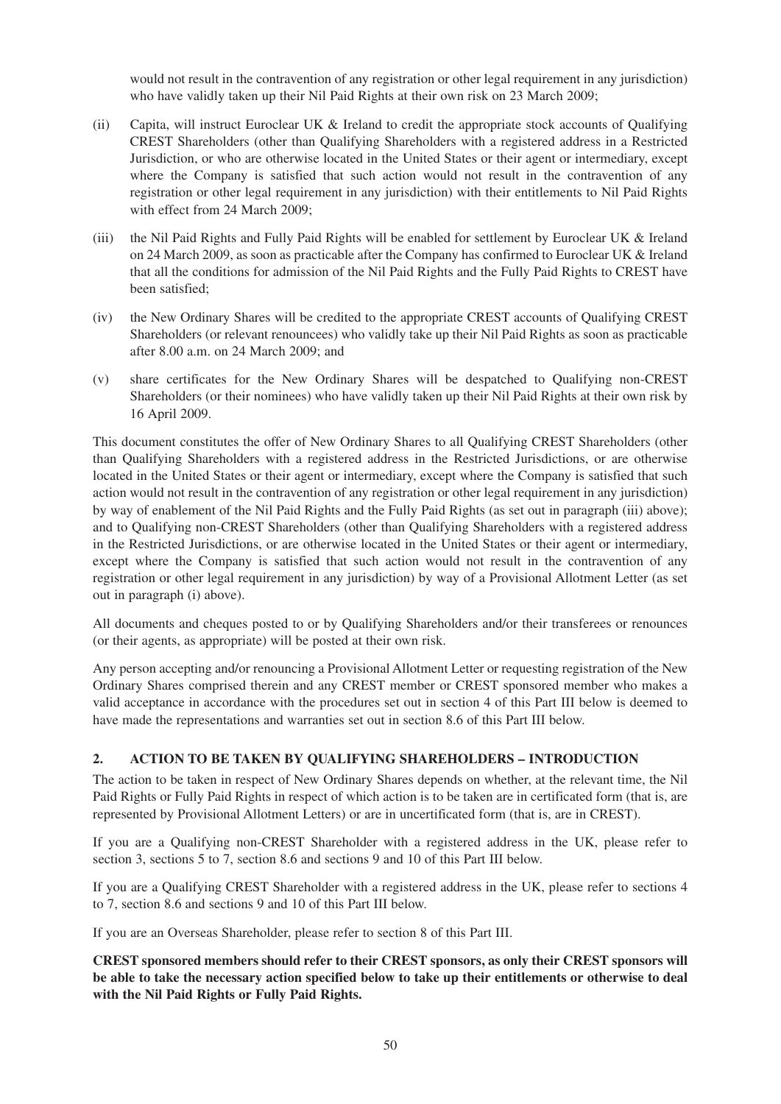would not result in the contravention of any registration or other legal requirement in any jurisdiction) who have validly taken up their Nil Paid Rights at their own risk on 23 March 2009;

- (ii) Capita, will instruct Euroclear UK & Ireland to credit the appropriate stock accounts of Qualifying CREST Shareholders (other than Qualifying Shareholders with a registered address in a Restricted Jurisdiction, or who are otherwise located in the United States or their agent or intermediary, except where the Company is satisfied that such action would not result in the contravention of any registration or other legal requirement in any jurisdiction) with their entitlements to Nil Paid Rights with effect from 24 March 2009;
- (iii) the Nil Paid Rights and Fully Paid Rights will be enabled for settlement by Euroclear UK & Ireland on 24 March 2009, as soon as practicable after the Company has confirmed to Euroclear UK & Ireland that all the conditions for admission of the Nil Paid Rights and the Fully Paid Rights to CREST have been satisfied;
- (iv) the New Ordinary Shares will be credited to the appropriate CREST accounts of Qualifying CREST Shareholders (or relevant renouncees) who validly take up their Nil Paid Rights as soon as practicable after 8.00 a.m. on 24 March 2009; and
- (v) share certificates for the New Ordinary Shares will be despatched to Qualifying non-CREST Shareholders (or their nominees) who have validly taken up their Nil Paid Rights at their own risk by 16 April 2009.

This document constitutes the offer of New Ordinary Shares to all Qualifying CREST Shareholders (other than Qualifying Shareholders with a registered address in the Restricted Jurisdictions, or are otherwise located in the United States or their agent or intermediary, except where the Company is satisfied that such action would not result in the contravention of any registration or other legal requirement in any jurisdiction) by way of enablement of the Nil Paid Rights and the Fully Paid Rights (as set out in paragraph (iii) above); and to Qualifying non-CREST Shareholders (other than Qualifying Shareholders with a registered address in the Restricted Jurisdictions, or are otherwise located in the United States or their agent or intermediary, except where the Company is satisfied that such action would not result in the contravention of any registration or other legal requirement in any jurisdiction) by way of a Provisional Allotment Letter (as set out in paragraph (i) above).

All documents and cheques posted to or by Qualifying Shareholders and/or their transferees or renounces (or their agents, as appropriate) will be posted at their own risk.

Any person accepting and/or renouncing a Provisional Allotment Letter or requesting registration of the New Ordinary Shares comprised therein and any CREST member or CREST sponsored member who makes a valid acceptance in accordance with the procedures set out in section 4 of this Part III below is deemed to have made the representations and warranties set out in section 8.6 of this Part III below.

# **2. ACTION TO BE TAKEN BY QUALIFYING SHAREHOLDERS – INTRODUCTION**

The action to be taken in respect of New Ordinary Shares depends on whether, at the relevant time, the Nil Paid Rights or Fully Paid Rights in respect of which action is to be taken are in certificated form (that is, are represented by Provisional Allotment Letters) or are in uncertificated form (that is, are in CREST).

If you are a Qualifying non-CREST Shareholder with a registered address in the UK, please refer to section 3, sections 5 to 7, section 8.6 and sections 9 and 10 of this Part III below.

If you are a Qualifying CREST Shareholder with a registered address in the UK, please refer to sections 4 to 7, section 8.6 and sections 9 and 10 of this Part III below.

If you are an Overseas Shareholder, please refer to section 8 of this Part III.

**CREST sponsored members should refer to their CREST sponsors, as only their CREST sponsors will be able to take the necessary action specified below to take up their entitlements or otherwise to deal with the Nil Paid Rights or Fully Paid Rights.**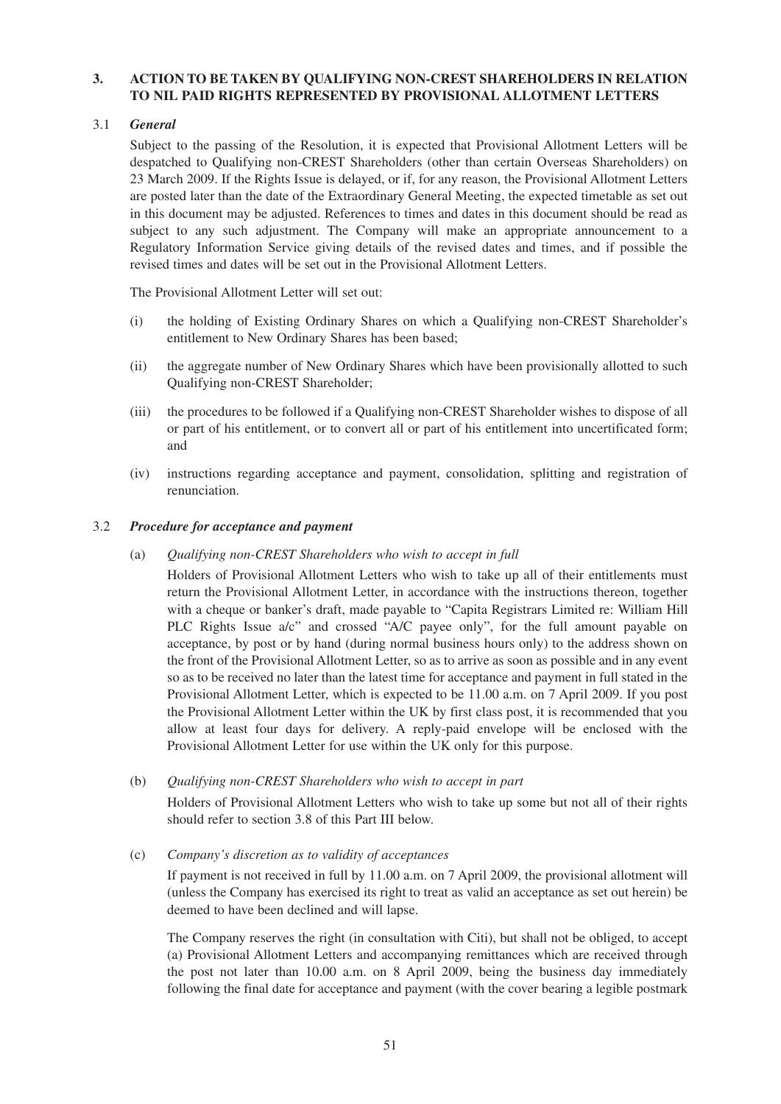# **3. ACTION TO BE TAKEN BY QUALIFYING NON-CREST SHAREHOLDERS IN RELATION TO NIL PAID RIGHTS REPRESENTED BY PROVISIONAL ALLOTMENT LETTERS**

# 3.1 *General*

Subject to the passing of the Resolution, it is expected that Provisional Allotment Letters will be despatched to Qualifying non-CREST Shareholders (other than certain Overseas Shareholders) on 23 March 2009. If the Rights Issue is delayed, or if, for any reason, the Provisional Allotment Letters are posted later than the date of the Extraordinary General Meeting, the expected timetable as set out in this document may be adjusted. References to times and dates in this document should be read as subject to any such adjustment. The Company will make an appropriate announcement to a Regulatory Information Service giving details of the revised dates and times, and if possible the revised times and dates will be set out in the Provisional Allotment Letters.

The Provisional Allotment Letter will set out:

- (i) the holding of Existing Ordinary Shares on which a Qualifying non-CREST Shareholder's entitlement to New Ordinary Shares has been based;
- (ii) the aggregate number of New Ordinary Shares which have been provisionally allotted to such Qualifying non-CREST Shareholder;
- (iii) the procedures to be followed if a Qualifying non-CREST Shareholder wishes to dispose of all or part of his entitlement, or to convert all or part of his entitlement into uncertificated form; and
- (iv) instructions regarding acceptance and payment, consolidation, splitting and registration of renunciation.

### 3.2 *Procedure for acceptance and payment*

(a) *Qualifying non-CREST Shareholders who wish to accept in full*

Holders of Provisional Allotment Letters who wish to take up all of their entitlements must return the Provisional Allotment Letter, in accordance with the instructions thereon, together with a cheque or banker's draft, made payable to "Capita Registrars Limited re: William Hill PLC Rights Issue a/c" and crossed "A/C payee only", for the full amount payable on acceptance, by post or by hand (during normal business hours only) to the address shown on the front of the Provisional Allotment Letter, so as to arrive as soon as possible and in any event so as to be received no later than the latest time for acceptance and payment in full stated in the Provisional Allotment Letter, which is expected to be 11.00 a.m. on 7 April 2009. If you post the Provisional Allotment Letter within the UK by first class post, it is recommended that you allow at least four days for delivery. A reply-paid envelope will be enclosed with the Provisional Allotment Letter for use within the UK only for this purpose.

### (b) *Qualifying non-CREST Shareholders who wish to accept in part*

Holders of Provisional Allotment Letters who wish to take up some but not all of their rights should refer to section 3.8 of this Part III below.

(c) *Company's discretion as to validity of acceptances*

If payment is not received in full by 11.00 a.m. on 7 April 2009, the provisional allotment will (unless the Company has exercised its right to treat as valid an acceptance as set out herein) be deemed to have been declined and will lapse.

The Company reserves the right (in consultation with Citi), but shall not be obliged, to accept (a) Provisional Allotment Letters and accompanying remittances which are received through the post not later than 10.00 a.m. on 8 April 2009, being the business day immediately following the final date for acceptance and payment (with the cover bearing a legible postmark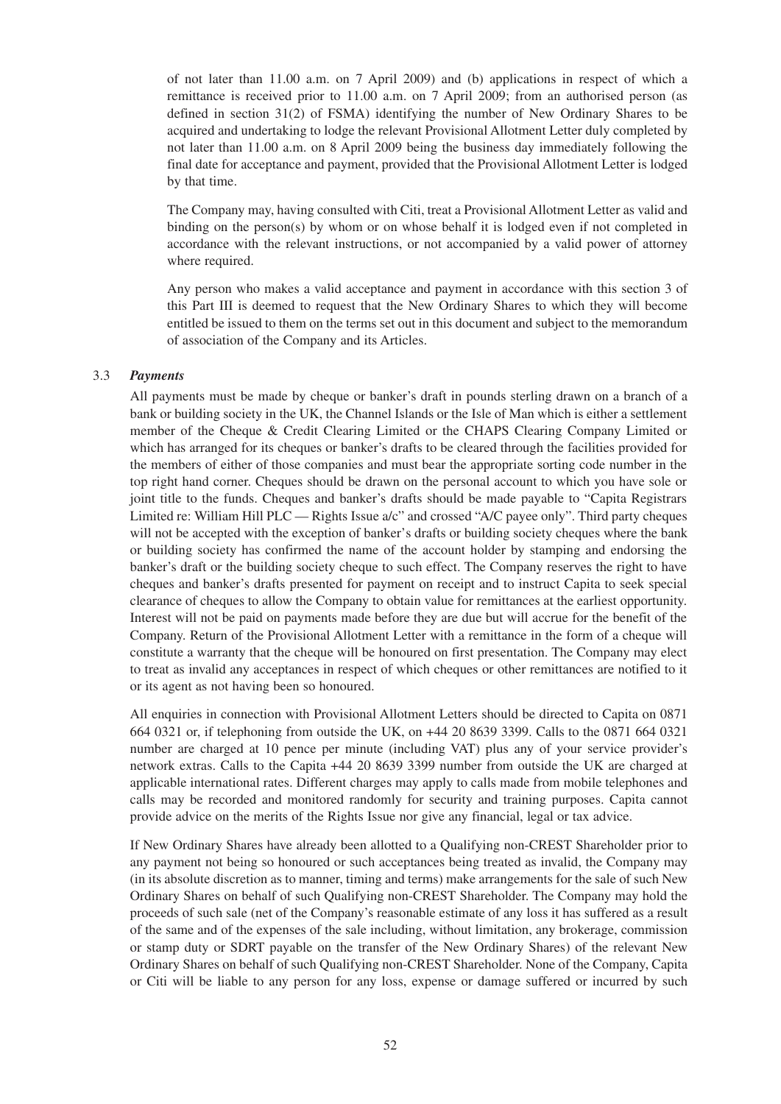of not later than 11.00 a.m. on 7 April 2009) and (b) applications in respect of which a remittance is received prior to 11.00 a.m. on 7 April 2009; from an authorised person (as defined in section 31(2) of FSMA) identifying the number of New Ordinary Shares to be acquired and undertaking to lodge the relevant Provisional Allotment Letter duly completed by not later than 11.00 a.m. on 8 April 2009 being the business day immediately following the final date for acceptance and payment, provided that the Provisional Allotment Letter is lodged by that time.

The Company may, having consulted with Citi, treat a Provisional Allotment Letter as valid and binding on the person(s) by whom or on whose behalf it is lodged even if not completed in accordance with the relevant instructions, or not accompanied by a valid power of attorney where required.

Any person who makes a valid acceptance and payment in accordance with this section 3 of this Part III is deemed to request that the New Ordinary Shares to which they will become entitled be issued to them on the terms set out in this document and subject to the memorandum of association of the Company and its Articles.

#### 3.3 *Payments*

All payments must be made by cheque or banker's draft in pounds sterling drawn on a branch of a bank or building society in the UK, the Channel Islands or the Isle of Man which is either a settlement member of the Cheque & Credit Clearing Limited or the CHAPS Clearing Company Limited or which has arranged for its cheques or banker's drafts to be cleared through the facilities provided for the members of either of those companies and must bear the appropriate sorting code number in the top right hand corner. Cheques should be drawn on the personal account to which you have sole or joint title to the funds. Cheques and banker's drafts should be made payable to "Capita Registrars Limited re: William Hill PLC — Rights Issue a/c" and crossed "A/C payee only". Third party cheques will not be accepted with the exception of banker's drafts or building society cheques where the bank or building society has confirmed the name of the account holder by stamping and endorsing the banker's draft or the building society cheque to such effect. The Company reserves the right to have cheques and banker's drafts presented for payment on receipt and to instruct Capita to seek special clearance of cheques to allow the Company to obtain value for remittances at the earliest opportunity. Interest will not be paid on payments made before they are due but will accrue for the benefit of the Company. Return of the Provisional Allotment Letter with a remittance in the form of a cheque will constitute a warranty that the cheque will be honoured on first presentation. The Company may elect to treat as invalid any acceptances in respect of which cheques or other remittances are notified to it or its agent as not having been so honoured.

All enquiries in connection with Provisional Allotment Letters should be directed to Capita on 0871 664 0321 or, if telephoning from outside the UK, on +44 20 8639 3399. Calls to the 0871 664 0321 number are charged at 10 pence per minute (including VAT) plus any of your service provider's network extras. Calls to the Capita +44 20 8639 3399 number from outside the UK are charged at applicable international rates. Different charges may apply to calls made from mobile telephones and calls may be recorded and monitored randomly for security and training purposes. Capita cannot provide advice on the merits of the Rights Issue nor give any financial, legal or tax advice.

If New Ordinary Shares have already been allotted to a Qualifying non-CREST Shareholder prior to any payment not being so honoured or such acceptances being treated as invalid, the Company may (in its absolute discretion as to manner, timing and terms) make arrangements for the sale of such New Ordinary Shares on behalf of such Qualifying non-CREST Shareholder. The Company may hold the proceeds of such sale (net of the Company's reasonable estimate of any loss it has suffered as a result of the same and of the expenses of the sale including, without limitation, any brokerage, commission or stamp duty or SDRT payable on the transfer of the New Ordinary Shares) of the relevant New Ordinary Shares on behalf of such Qualifying non-CREST Shareholder. None of the Company, Capita or Citi will be liable to any person for any loss, expense or damage suffered or incurred by such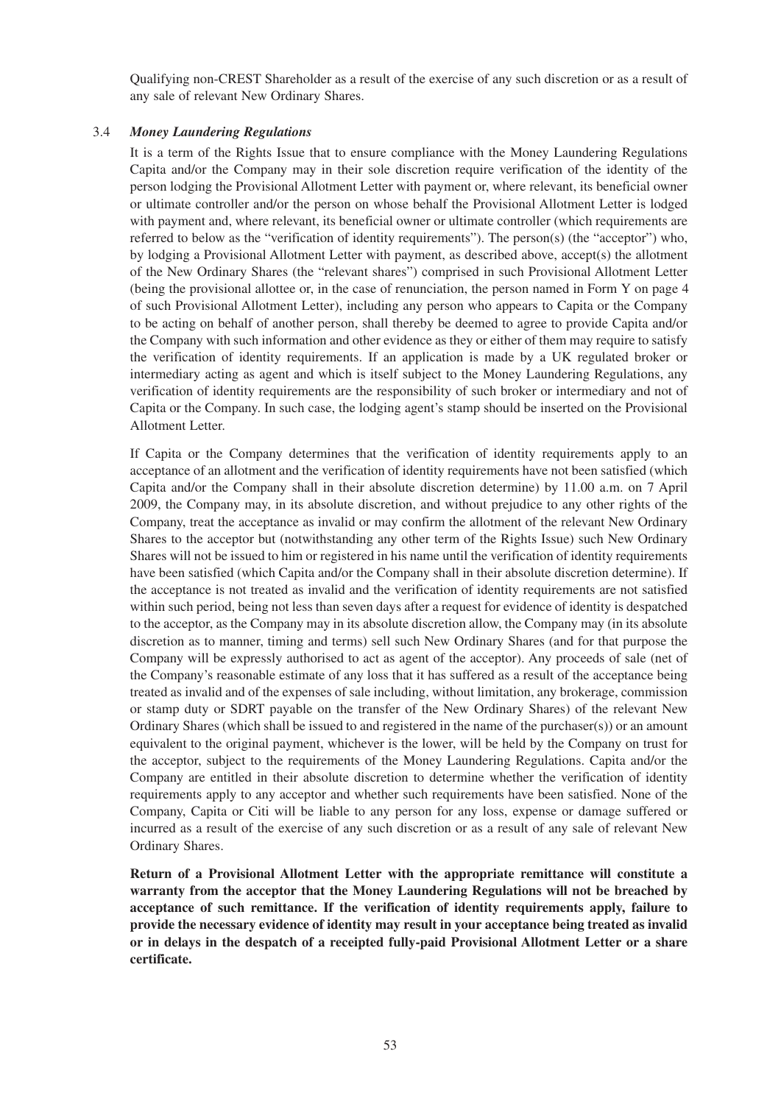Qualifying non-CREST Shareholder as a result of the exercise of any such discretion or as a result of any sale of relevant New Ordinary Shares.

#### 3.4 *Money Laundering Regulations*

It is a term of the Rights Issue that to ensure compliance with the Money Laundering Regulations Capita and/or the Company may in their sole discretion require verification of the identity of the person lodging the Provisional Allotment Letter with payment or, where relevant, its beneficial owner or ultimate controller and/or the person on whose behalf the Provisional Allotment Letter is lodged with payment and, where relevant, its beneficial owner or ultimate controller (which requirements are referred to below as the "verification of identity requirements"). The person(s) (the "acceptor") who, by lodging a Provisional Allotment Letter with payment, as described above, accept(s) the allotment of the New Ordinary Shares (the "relevant shares") comprised in such Provisional Allotment Letter (being the provisional allottee or, in the case of renunciation, the person named in Form Y on page 4 of such Provisional Allotment Letter), including any person who appears to Capita or the Company to be acting on behalf of another person, shall thereby be deemed to agree to provide Capita and/or the Company with such information and other evidence as they or either of them may require to satisfy the verification of identity requirements. If an application is made by a UK regulated broker or intermediary acting as agent and which is itself subject to the Money Laundering Regulations, any verification of identity requirements are the responsibility of such broker or intermediary and not of Capita or the Company. In such case, the lodging agent's stamp should be inserted on the Provisional Allotment Letter.

If Capita or the Company determines that the verification of identity requirements apply to an acceptance of an allotment and the verification of identity requirements have not been satisfied (which Capita and/or the Company shall in their absolute discretion determine) by 11.00 a.m. on 7 April 2009, the Company may, in its absolute discretion, and without prejudice to any other rights of the Company, treat the acceptance as invalid or may confirm the allotment of the relevant New Ordinary Shares to the acceptor but (notwithstanding any other term of the Rights Issue) such New Ordinary Shares will not be issued to him or registered in his name until the verification of identity requirements have been satisfied (which Capita and/or the Company shall in their absolute discretion determine). If the acceptance is not treated as invalid and the verification of identity requirements are not satisfied within such period, being not less than seven days after a request for evidence of identity is despatched to the acceptor, as the Company may in its absolute discretion allow, the Company may (in its absolute discretion as to manner, timing and terms) sell such New Ordinary Shares (and for that purpose the Company will be expressly authorised to act as agent of the acceptor). Any proceeds of sale (net of the Company's reasonable estimate of any loss that it has suffered as a result of the acceptance being treated as invalid and of the expenses of sale including, without limitation, any brokerage, commission or stamp duty or SDRT payable on the transfer of the New Ordinary Shares) of the relevant New Ordinary Shares (which shall be issued to and registered in the name of the purchaser(s)) or an amount equivalent to the original payment, whichever is the lower, will be held by the Company on trust for the acceptor, subject to the requirements of the Money Laundering Regulations. Capita and/or the Company are entitled in their absolute discretion to determine whether the verification of identity requirements apply to any acceptor and whether such requirements have been satisfied. None of the Company, Capita or Citi will be liable to any person for any loss, expense or damage suffered or incurred as a result of the exercise of any such discretion or as a result of any sale of relevant New Ordinary Shares.

**Return of a Provisional Allotment Letter with the appropriate remittance will constitute a warranty from the acceptor that the Money Laundering Regulations will not be breached by acceptance of such remittance. If the verification of identity requirements apply, failure to provide the necessary evidence of identity may result in your acceptance being treated as invalid or in delays in the despatch of a receipted fully-paid Provisional Allotment Letter or a share certificate.**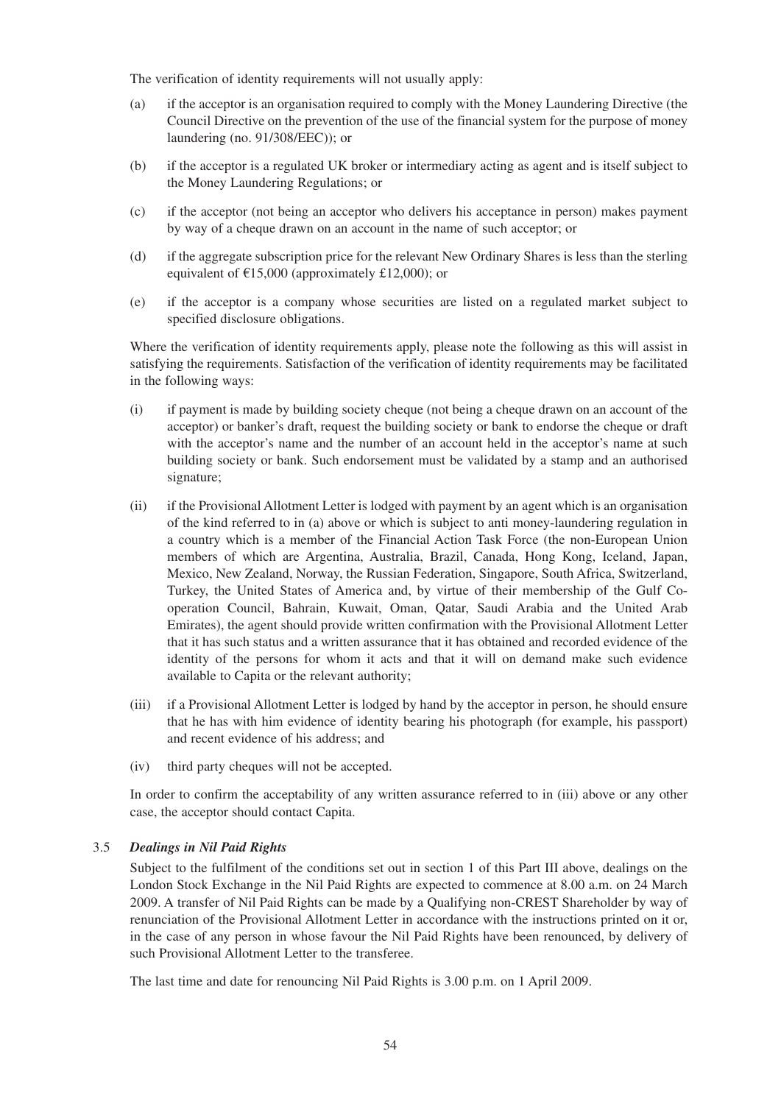The verification of identity requirements will not usually apply:

- (a) if the acceptor is an organisation required to comply with the Money Laundering Directive (the Council Directive on the prevention of the use of the financial system for the purpose of money laundering (no. 91/308/EEC)); or
- (b) if the acceptor is a regulated UK broker or intermediary acting as agent and is itself subject to the Money Laundering Regulations; or
- (c) if the acceptor (not being an acceptor who delivers his acceptance in person) makes payment by way of a cheque drawn on an account in the name of such acceptor; or
- (d) if the aggregate subscription price for the relevant New Ordinary Shares is less than the sterling equivalent of  $\text{\textsterling}15,000$  (approximately £12,000); or
- (e) if the acceptor is a company whose securities are listed on a regulated market subject to specified disclosure obligations.

Where the verification of identity requirements apply, please note the following as this will assist in satisfying the requirements. Satisfaction of the verification of identity requirements may be facilitated in the following ways:

- (i) if payment is made by building society cheque (not being a cheque drawn on an account of the acceptor) or banker's draft, request the building society or bank to endorse the cheque or draft with the acceptor's name and the number of an account held in the acceptor's name at such building society or bank. Such endorsement must be validated by a stamp and an authorised signature;
- (ii) if the Provisional Allotment Letter is lodged with payment by an agent which is an organisation of the kind referred to in (a) above or which is subject to anti money-laundering regulation in a country which is a member of the Financial Action Task Force (the non-European Union members of which are Argentina, Australia, Brazil, Canada, Hong Kong, Iceland, Japan, Mexico, New Zealand, Norway, the Russian Federation, Singapore, South Africa, Switzerland, Turkey, the United States of America and, by virtue of their membership of the Gulf Cooperation Council, Bahrain, Kuwait, Oman, Qatar, Saudi Arabia and the United Arab Emirates), the agent should provide written confirmation with the Provisional Allotment Letter that it has such status and a written assurance that it has obtained and recorded evidence of the identity of the persons for whom it acts and that it will on demand make such evidence available to Capita or the relevant authority;
- (iii) if a Provisional Allotment Letter is lodged by hand by the acceptor in person, he should ensure that he has with him evidence of identity bearing his photograph (for example, his passport) and recent evidence of his address; and
- (iv) third party cheques will not be accepted.

In order to confirm the acceptability of any written assurance referred to in (iii) above or any other case, the acceptor should contact Capita.

#### 3.5 *Dealings in Nil Paid Rights*

Subject to the fulfilment of the conditions set out in section 1 of this Part III above, dealings on the London Stock Exchange in the Nil Paid Rights are expected to commence at 8.00 a.m. on 24 March 2009. A transfer of Nil Paid Rights can be made by a Qualifying non-CREST Shareholder by way of renunciation of the Provisional Allotment Letter in accordance with the instructions printed on it or, in the case of any person in whose favour the Nil Paid Rights have been renounced, by delivery of such Provisional Allotment Letter to the transferee.

The last time and date for renouncing Nil Paid Rights is 3.00 p.m. on 1 April 2009.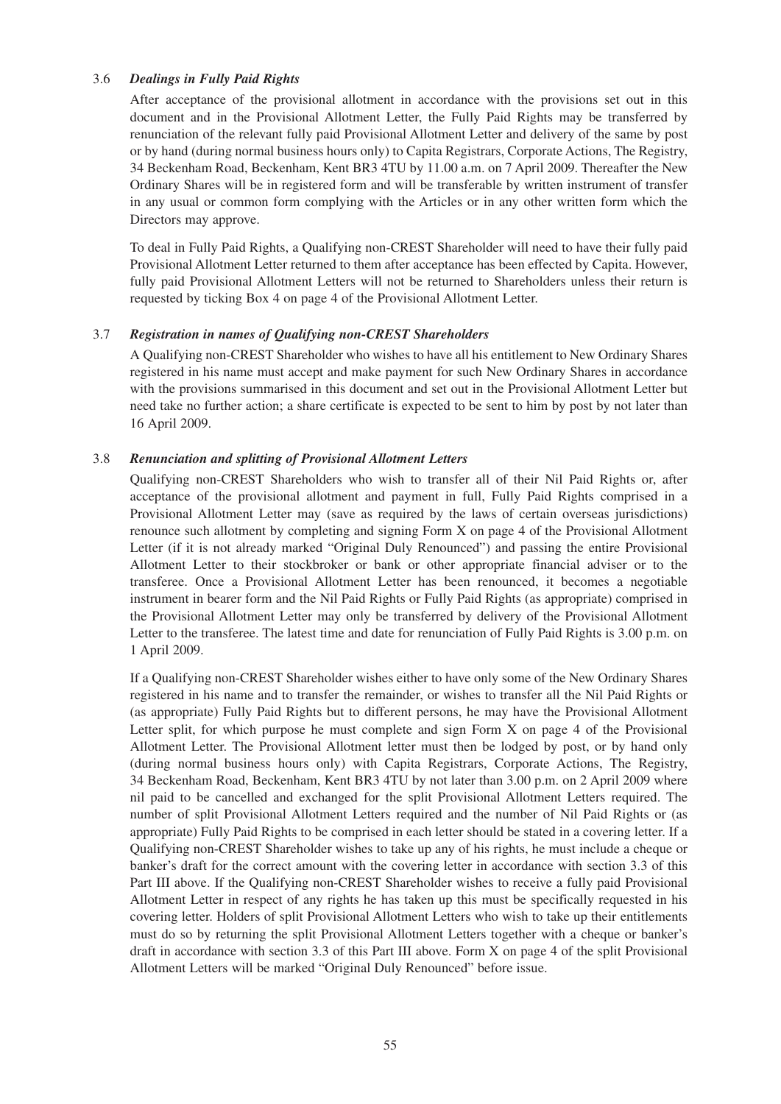### 3.6 *Dealings in Fully Paid Rights*

After acceptance of the provisional allotment in accordance with the provisions set out in this document and in the Provisional Allotment Letter, the Fully Paid Rights may be transferred by renunciation of the relevant fully paid Provisional Allotment Letter and delivery of the same by post or by hand (during normal business hours only) to Capita Registrars, Corporate Actions, The Registry, 34 Beckenham Road, Beckenham, Kent BR3 4TU by 11.00 a.m. on 7 April 2009. Thereafter the New Ordinary Shares will be in registered form and will be transferable by written instrument of transfer in any usual or common form complying with the Articles or in any other written form which the Directors may approve.

To deal in Fully Paid Rights, a Qualifying non-CREST Shareholder will need to have their fully paid Provisional Allotment Letter returned to them after acceptance has been effected by Capita. However, fully paid Provisional Allotment Letters will not be returned to Shareholders unless their return is requested by ticking Box 4 on page 4 of the Provisional Allotment Letter.

### 3.7 *Registration in names of Qualifying non-CREST Shareholders*

A Qualifying non-CREST Shareholder who wishes to have all his entitlement to New Ordinary Shares registered in his name must accept and make payment for such New Ordinary Shares in accordance with the provisions summarised in this document and set out in the Provisional Allotment Letter but need take no further action; a share certificate is expected to be sent to him by post by not later than 16 April 2009.

#### 3.8 *Renunciation and splitting of Provisional Allotment Letters*

Qualifying non-CREST Shareholders who wish to transfer all of their Nil Paid Rights or, after acceptance of the provisional allotment and payment in full, Fully Paid Rights comprised in a Provisional Allotment Letter may (save as required by the laws of certain overseas jurisdictions) renounce such allotment by completing and signing Form X on page 4 of the Provisional Allotment Letter (if it is not already marked "Original Duly Renounced") and passing the entire Provisional Allotment Letter to their stockbroker or bank or other appropriate financial adviser or to the transferee. Once a Provisional Allotment Letter has been renounced, it becomes a negotiable instrument in bearer form and the Nil Paid Rights or Fully Paid Rights (as appropriate) comprised in the Provisional Allotment Letter may only be transferred by delivery of the Provisional Allotment Letter to the transferee. The latest time and date for renunciation of Fully Paid Rights is 3.00 p.m. on 1 April 2009.

If a Qualifying non-CREST Shareholder wishes either to have only some of the New Ordinary Shares registered in his name and to transfer the remainder, or wishes to transfer all the Nil Paid Rights or (as appropriate) Fully Paid Rights but to different persons, he may have the Provisional Allotment Letter split, for which purpose he must complete and sign Form X on page 4 of the Provisional Allotment Letter. The Provisional Allotment letter must then be lodged by post, or by hand only (during normal business hours only) with Capita Registrars, Corporate Actions, The Registry, 34 Beckenham Road, Beckenham, Kent BR3 4TU by not later than 3.00 p.m. on 2 April 2009 where nil paid to be cancelled and exchanged for the split Provisional Allotment Letters required. The number of split Provisional Allotment Letters required and the number of Nil Paid Rights or (as appropriate) Fully Paid Rights to be comprised in each letter should be stated in a covering letter. If a Qualifying non-CREST Shareholder wishes to take up any of his rights, he must include a cheque or banker's draft for the correct amount with the covering letter in accordance with section 3.3 of this Part III above. If the Qualifying non-CREST Shareholder wishes to receive a fully paid Provisional Allotment Letter in respect of any rights he has taken up this must be specifically requested in his covering letter. Holders of split Provisional Allotment Letters who wish to take up their entitlements must do so by returning the split Provisional Allotment Letters together with a cheque or banker's draft in accordance with section 3.3 of this Part III above. Form X on page 4 of the split Provisional Allotment Letters will be marked "Original Duly Renounced" before issue.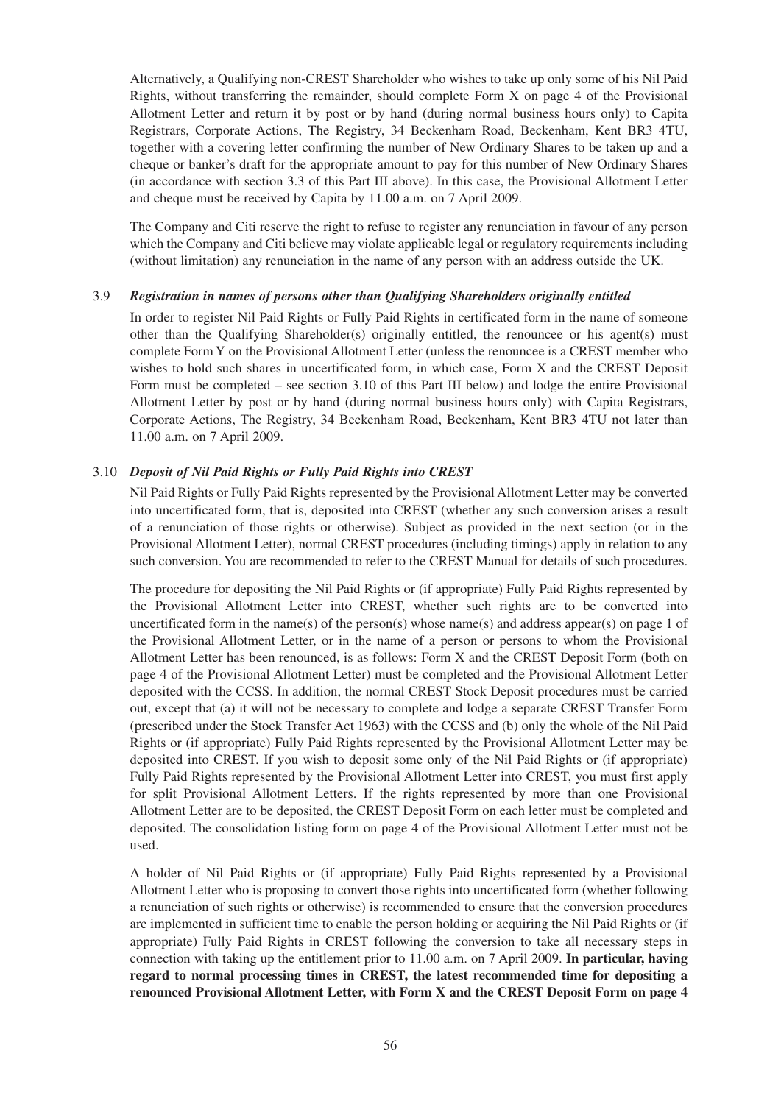Alternatively, a Qualifying non-CREST Shareholder who wishes to take up only some of his Nil Paid Rights, without transferring the remainder, should complete Form X on page 4 of the Provisional Allotment Letter and return it by post or by hand (during normal business hours only) to Capita Registrars, Corporate Actions, The Registry, 34 Beckenham Road, Beckenham, Kent BR3 4TU, together with a covering letter confirming the number of New Ordinary Shares to be taken up and a cheque or banker's draft for the appropriate amount to pay for this number of New Ordinary Shares (in accordance with section 3.3 of this Part III above). In this case, the Provisional Allotment Letter and cheque must be received by Capita by 11.00 a.m. on 7 April 2009.

The Company and Citi reserve the right to refuse to register any renunciation in favour of any person which the Company and Citi believe may violate applicable legal or regulatory requirements including (without limitation) any renunciation in the name of any person with an address outside the UK.

### 3.9 *Registration in names of persons other than Qualifying Shareholders originally entitled*

In order to register Nil Paid Rights or Fully Paid Rights in certificated form in the name of someone other than the Qualifying Shareholder(s) originally entitled, the renouncee or his agent(s) must complete Form Y on the Provisional Allotment Letter (unless the renouncee is a CREST member who wishes to hold such shares in uncertificated form, in which case, Form X and the CREST Deposit Form must be completed – see section 3.10 of this Part III below) and lodge the entire Provisional Allotment Letter by post or by hand (during normal business hours only) with Capita Registrars, Corporate Actions, The Registry, 34 Beckenham Road, Beckenham, Kent BR3 4TU not later than 11.00 a.m. on 7 April 2009.

### 3.10 *Deposit of Nil Paid Rights or Fully Paid Rights into CREST*

Nil Paid Rights or Fully Paid Rights represented by the Provisional Allotment Letter may be converted into uncertificated form, that is, deposited into CREST (whether any such conversion arises a result of a renunciation of those rights or otherwise). Subject as provided in the next section (or in the Provisional Allotment Letter), normal CREST procedures (including timings) apply in relation to any such conversion. You are recommended to refer to the CREST Manual for details of such procedures.

The procedure for depositing the Nil Paid Rights or (if appropriate) Fully Paid Rights represented by the Provisional Allotment Letter into CREST, whether such rights are to be converted into uncertificated form in the name(s) of the person(s) whose name(s) and address appear(s) on page 1 of the Provisional Allotment Letter, or in the name of a person or persons to whom the Provisional Allotment Letter has been renounced, is as follows: Form X and the CREST Deposit Form (both on page 4 of the Provisional Allotment Letter) must be completed and the Provisional Allotment Letter deposited with the CCSS. In addition, the normal CREST Stock Deposit procedures must be carried out, except that (a) it will not be necessary to complete and lodge a separate CREST Transfer Form (prescribed under the Stock Transfer Act 1963) with the CCSS and (b) only the whole of the Nil Paid Rights or (if appropriate) Fully Paid Rights represented by the Provisional Allotment Letter may be deposited into CREST. If you wish to deposit some only of the Nil Paid Rights or (if appropriate) Fully Paid Rights represented by the Provisional Allotment Letter into CREST, you must first apply for split Provisional Allotment Letters. If the rights represented by more than one Provisional Allotment Letter are to be deposited, the CREST Deposit Form on each letter must be completed and deposited. The consolidation listing form on page 4 of the Provisional Allotment Letter must not be used.

A holder of Nil Paid Rights or (if appropriate) Fully Paid Rights represented by a Provisional Allotment Letter who is proposing to convert those rights into uncertificated form (whether following a renunciation of such rights or otherwise) is recommended to ensure that the conversion procedures are implemented in sufficient time to enable the person holding or acquiring the Nil Paid Rights or (if appropriate) Fully Paid Rights in CREST following the conversion to take all necessary steps in connection with taking up the entitlement prior to 11.00 a.m. on 7 April 2009. **In particular, having regard to normal processing times in CREST, the latest recommended time for depositing a renounced Provisional Allotment Letter, with Form X and the CREST Deposit Form on page 4**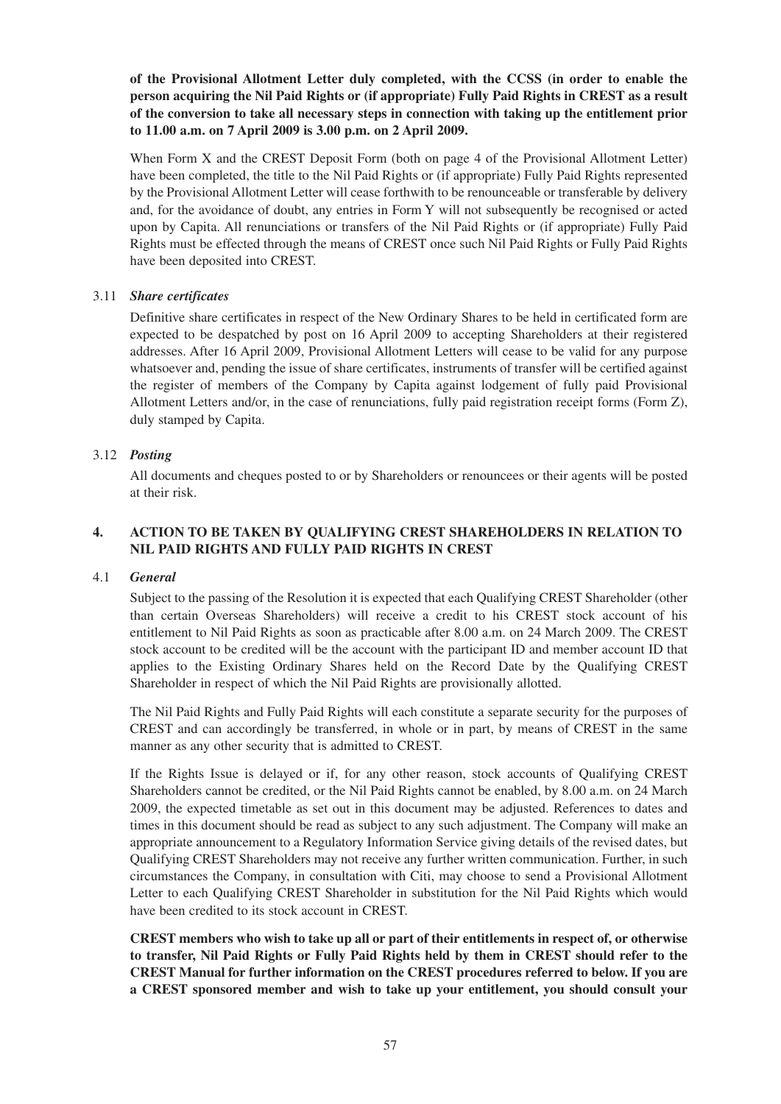**of the Provisional Allotment Letter duly completed, with the CCSS (in order to enable the person acquiring the Nil Paid Rights or (if appropriate) Fully Paid Rights in CREST as a result of the conversion to take all necessary steps in connection with taking up the entitlement prior to 11.00 a.m. on 7 April 2009 is 3.00 p.m. on 2 April 2009.**

When Form X and the CREST Deposit Form (both on page 4 of the Provisional Allotment Letter) have been completed, the title to the Nil Paid Rights or (if appropriate) Fully Paid Rights represented by the Provisional Allotment Letter will cease forthwith to be renounceable or transferable by delivery and, for the avoidance of doubt, any entries in Form Y will not subsequently be recognised or acted upon by Capita. All renunciations or transfers of the Nil Paid Rights or (if appropriate) Fully Paid Rights must be effected through the means of CREST once such Nil Paid Rights or Fully Paid Rights have been deposited into CREST.

## 3.11 *Share certificates*

Definitive share certificates in respect of the New Ordinary Shares to be held in certificated form are expected to be despatched by post on 16 April 2009 to accepting Shareholders at their registered addresses. After 16 April 2009, Provisional Allotment Letters will cease to be valid for any purpose whatsoever and, pending the issue of share certificates, instruments of transfer will be certified against the register of members of the Company by Capita against lodgement of fully paid Provisional Allotment Letters and/or, in the case of renunciations, fully paid registration receipt forms (Form Z), duly stamped by Capita.

## 3.12 *Posting*

All documents and cheques posted to or by Shareholders or renouncees or their agents will be posted at their risk.

## **4. ACTION TO BE TAKEN BY QUALIFYING CREST SHAREHOLDERS IN RELATION TO NIL PAID RIGHTS AND FULLY PAID RIGHTS IN CREST**

### 4.1 *General*

Subject to the passing of the Resolution it is expected that each Qualifying CREST Shareholder (other than certain Overseas Shareholders) will receive a credit to his CREST stock account of his entitlement to Nil Paid Rights as soon as practicable after 8.00 a.m. on 24 March 2009. The CREST stock account to be credited will be the account with the participant ID and member account ID that applies to the Existing Ordinary Shares held on the Record Date by the Qualifying CREST Shareholder in respect of which the Nil Paid Rights are provisionally allotted.

The Nil Paid Rights and Fully Paid Rights will each constitute a separate security for the purposes of CREST and can accordingly be transferred, in whole or in part, by means of CREST in the same manner as any other security that is admitted to CREST.

If the Rights Issue is delayed or if, for any other reason, stock accounts of Qualifying CREST Shareholders cannot be credited, or the Nil Paid Rights cannot be enabled, by 8.00 a.m. on 24 March 2009, the expected timetable as set out in this document may be adjusted. References to dates and times in this document should be read as subject to any such adjustment. The Company will make an appropriate announcement to a Regulatory Information Service giving details of the revised dates, but Qualifying CREST Shareholders may not receive any further written communication. Further, in such circumstances the Company, in consultation with Citi, may choose to send a Provisional Allotment Letter to each Qualifying CREST Shareholder in substitution for the Nil Paid Rights which would have been credited to its stock account in CREST.

**CREST members who wish to take up all or part of their entitlements in respect of, or otherwise to transfer, Nil Paid Rights or Fully Paid Rights held by them in CREST should refer to the CREST Manual for further information on the CREST procedures referred to below. If you are a CREST sponsored member and wish to take up your entitlement, you should consult your**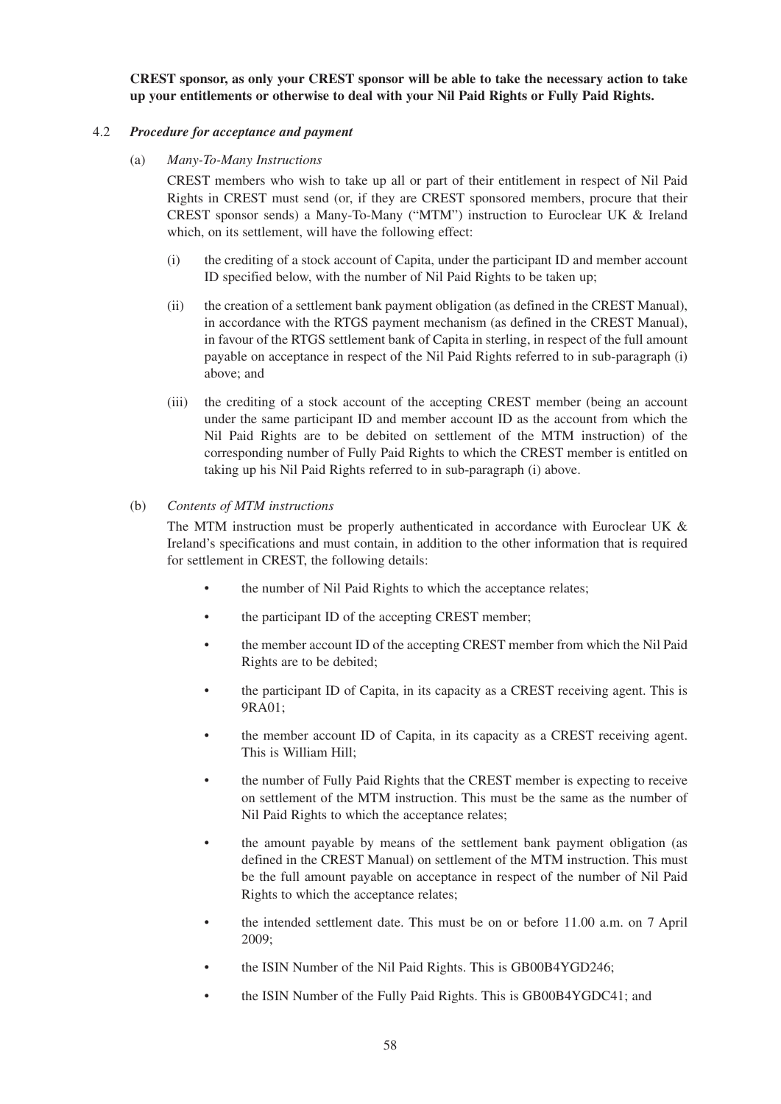**CREST sponsor, as only your CREST sponsor will be able to take the necessary action to take up your entitlements or otherwise to deal with your Nil Paid Rights or Fully Paid Rights.**

#### 4.2 *Procedure for acceptance and payment*

(a) *Many-To-Many Instructions*

CREST members who wish to take up all or part of their entitlement in respect of Nil Paid Rights in CREST must send (or, if they are CREST sponsored members, procure that their CREST sponsor sends) a Many-To-Many ("MTM") instruction to Euroclear UK & Ireland which, on its settlement, will have the following effect:

- (i) the crediting of a stock account of Capita, under the participant ID and member account ID specified below, with the number of Nil Paid Rights to be taken up;
- (ii) the creation of a settlement bank payment obligation (as defined in the CREST Manual), in accordance with the RTGS payment mechanism (as defined in the CREST Manual), in favour of the RTGS settlement bank of Capita in sterling, in respect of the full amount payable on acceptance in respect of the Nil Paid Rights referred to in sub-paragraph (i) above; and
- (iii) the crediting of a stock account of the accepting CREST member (being an account under the same participant ID and member account ID as the account from which the Nil Paid Rights are to be debited on settlement of the MTM instruction) of the corresponding number of Fully Paid Rights to which the CREST member is entitled on taking up his Nil Paid Rights referred to in sub-paragraph (i) above.

#### (b) *Contents of MTM instructions*

The MTM instruction must be properly authenticated in accordance with Euroclear UK & Ireland's specifications and must contain, in addition to the other information that is required for settlement in CREST, the following details:

- the number of Nil Paid Rights to which the acceptance relates:
- the participant ID of the accepting CREST member;
- the member account ID of the accepting CREST member from which the Nil Paid Rights are to be debited;
- the participant ID of Capita, in its capacity as a CREST receiving agent. This is 9RA01;
- the member account ID of Capita, in its capacity as a CREST receiving agent. This is William Hill;
- the number of Fully Paid Rights that the CREST member is expecting to receive on settlement of the MTM instruction. This must be the same as the number of Nil Paid Rights to which the acceptance relates;
- the amount payable by means of the settlement bank payment obligation (as defined in the CREST Manual) on settlement of the MTM instruction. This must be the full amount payable on acceptance in respect of the number of Nil Paid Rights to which the acceptance relates;
- the intended settlement date. This must be on or before 11.00 a.m. on 7 April 2009;
- the ISIN Number of the Nil Paid Rights. This is GB00B4YGD246;
- the ISIN Number of the Fully Paid Rights. This is GB00B4YGDC41; and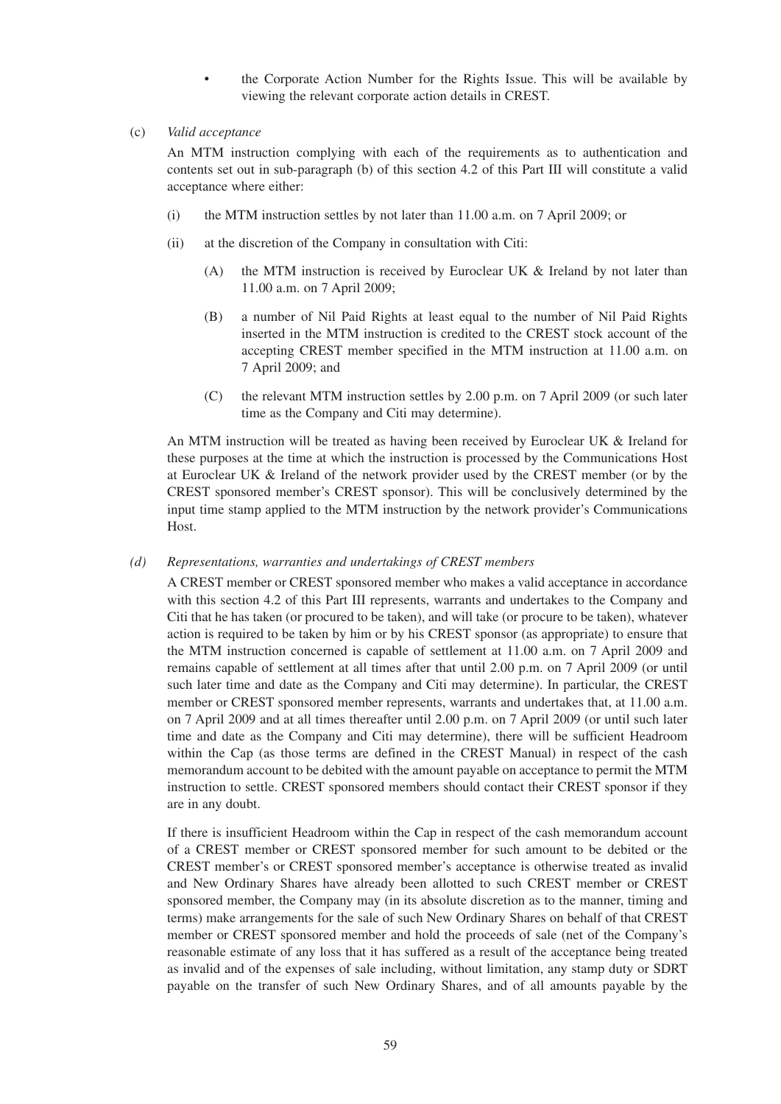- the Corporate Action Number for the Rights Issue. This will be available by viewing the relevant corporate action details in CREST.
- (c) *Valid acceptance*

An MTM instruction complying with each of the requirements as to authentication and contents set out in sub-paragraph (b) of this section 4.2 of this Part III will constitute a valid acceptance where either:

- (i) the MTM instruction settles by not later than 11.00 a.m. on 7 April 2009; or
- (ii) at the discretion of the Company in consultation with Citi:
	- (A) the MTM instruction is received by Euroclear UK  $\&$  Ireland by not later than 11.00 a.m. on 7 April 2009;
	- (B) a number of Nil Paid Rights at least equal to the number of Nil Paid Rights inserted in the MTM instruction is credited to the CREST stock account of the accepting CREST member specified in the MTM instruction at 11.00 a.m. on 7 April 2009; and
	- (C) the relevant MTM instruction settles by 2.00 p.m. on 7 April 2009 (or such later time as the Company and Citi may determine).

An MTM instruction will be treated as having been received by Euroclear UK & Ireland for these purposes at the time at which the instruction is processed by the Communications Host at Euroclear UK & Ireland of the network provider used by the CREST member (or by the CREST sponsored member's CREST sponsor). This will be conclusively determined by the input time stamp applied to the MTM instruction by the network provider's Communications Host.

### *(d) Representations, warranties and undertakings of CREST members*

A CREST member or CREST sponsored member who makes a valid acceptance in accordance with this section 4.2 of this Part III represents, warrants and undertakes to the Company and Citi that he has taken (or procured to be taken), and will take (or procure to be taken), whatever action is required to be taken by him or by his CREST sponsor (as appropriate) to ensure that the MTM instruction concerned is capable of settlement at 11.00 a.m. on 7 April 2009 and remains capable of settlement at all times after that until 2.00 p.m. on 7 April 2009 (or until such later time and date as the Company and Citi may determine). In particular, the CREST member or CREST sponsored member represents, warrants and undertakes that, at 11.00 a.m. on 7 April 2009 and at all times thereafter until 2.00 p.m. on 7 April 2009 (or until such later time and date as the Company and Citi may determine), there will be sufficient Headroom within the Cap (as those terms are defined in the CREST Manual) in respect of the cash memorandum account to be debited with the amount payable on acceptance to permit the MTM instruction to settle. CREST sponsored members should contact their CREST sponsor if they are in any doubt.

If there is insufficient Headroom within the Cap in respect of the cash memorandum account of a CREST member or CREST sponsored member for such amount to be debited or the CREST member's or CREST sponsored member's acceptance is otherwise treated as invalid and New Ordinary Shares have already been allotted to such CREST member or CREST sponsored member, the Company may (in its absolute discretion as to the manner, timing and terms) make arrangements for the sale of such New Ordinary Shares on behalf of that CREST member or CREST sponsored member and hold the proceeds of sale (net of the Company's reasonable estimate of any loss that it has suffered as a result of the acceptance being treated as invalid and of the expenses of sale including, without limitation, any stamp duty or SDRT payable on the transfer of such New Ordinary Shares, and of all amounts payable by the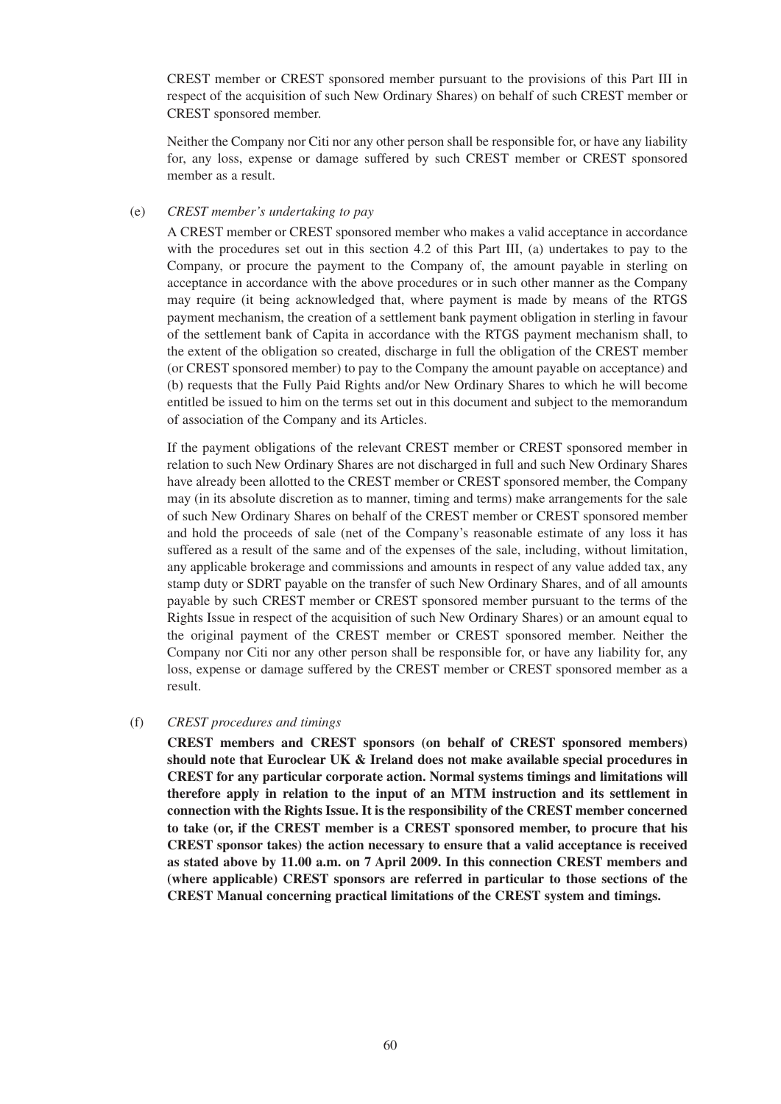CREST member or CREST sponsored member pursuant to the provisions of this Part III in respect of the acquisition of such New Ordinary Shares) on behalf of such CREST member or CREST sponsored member.

Neither the Company nor Citi nor any other person shall be responsible for, or have any liability for, any loss, expense or damage suffered by such CREST member or CREST sponsored member as a result.

#### (e) *CREST member's undertaking to pay*

A CREST member or CREST sponsored member who makes a valid acceptance in accordance with the procedures set out in this section 4.2 of this Part III, (a) undertakes to pay to the Company, or procure the payment to the Company of, the amount payable in sterling on acceptance in accordance with the above procedures or in such other manner as the Company may require (it being acknowledged that, where payment is made by means of the RTGS payment mechanism, the creation of a settlement bank payment obligation in sterling in favour of the settlement bank of Capita in accordance with the RTGS payment mechanism shall, to the extent of the obligation so created, discharge in full the obligation of the CREST member (or CREST sponsored member) to pay to the Company the amount payable on acceptance) and (b) requests that the Fully Paid Rights and/or New Ordinary Shares to which he will become entitled be issued to him on the terms set out in this document and subject to the memorandum of association of the Company and its Articles.

If the payment obligations of the relevant CREST member or CREST sponsored member in relation to such New Ordinary Shares are not discharged in full and such New Ordinary Shares have already been allotted to the CREST member or CREST sponsored member, the Company may (in its absolute discretion as to manner, timing and terms) make arrangements for the sale of such New Ordinary Shares on behalf of the CREST member or CREST sponsored member and hold the proceeds of sale (net of the Company's reasonable estimate of any loss it has suffered as a result of the same and of the expenses of the sale, including, without limitation, any applicable brokerage and commissions and amounts in respect of any value added tax, any stamp duty or SDRT payable on the transfer of such New Ordinary Shares, and of all amounts payable by such CREST member or CREST sponsored member pursuant to the terms of the Rights Issue in respect of the acquisition of such New Ordinary Shares) or an amount equal to the original payment of the CREST member or CREST sponsored member. Neither the Company nor Citi nor any other person shall be responsible for, or have any liability for, any loss, expense or damage suffered by the CREST member or CREST sponsored member as a result.

#### (f) *CREST procedures and timings*

**CREST members and CREST sponsors (on behalf of CREST sponsored members) should note that Euroclear UK & Ireland does not make available special procedures in CREST for any particular corporate action. Normal systems timings and limitations will therefore apply in relation to the input of an MTM instruction and its settlement in connection with the Rights Issue. It is the responsibility of the CREST member concerned to take (or, if the CREST member is a CREST sponsored member, to procure that his CREST sponsor takes) the action necessary to ensure that a valid acceptance is received as stated above by 11.00 a.m. on 7 April 2009. In this connection CREST members and (where applicable) CREST sponsors are referred in particular to those sections of the CREST Manual concerning practical limitations of the CREST system and timings.**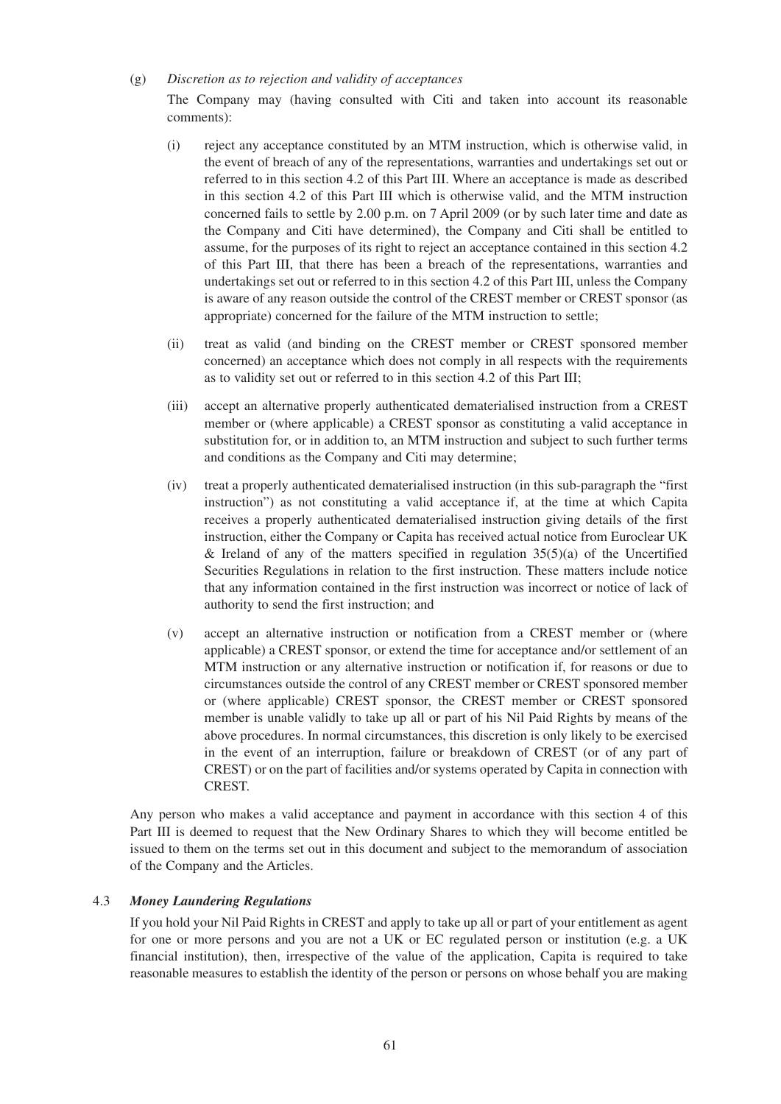#### (g) *Discretion as to rejection and validity of acceptances*

The Company may (having consulted with Citi and taken into account its reasonable comments):

- (i) reject any acceptance constituted by an MTM instruction, which is otherwise valid, in the event of breach of any of the representations, warranties and undertakings set out or referred to in this section 4.2 of this Part III. Where an acceptance is made as described in this section 4.2 of this Part III which is otherwise valid, and the MTM instruction concerned fails to settle by 2.00 p.m. on 7 April 2009 (or by such later time and date as the Company and Citi have determined), the Company and Citi shall be entitled to assume, for the purposes of its right to reject an acceptance contained in this section 4.2 of this Part III, that there has been a breach of the representations, warranties and undertakings set out or referred to in this section 4.2 of this Part III, unless the Company is aware of any reason outside the control of the CREST member or CREST sponsor (as appropriate) concerned for the failure of the MTM instruction to settle;
- (ii) treat as valid (and binding on the CREST member or CREST sponsored member concerned) an acceptance which does not comply in all respects with the requirements as to validity set out or referred to in this section 4.2 of this Part III;
- (iii) accept an alternative properly authenticated dematerialised instruction from a CREST member or (where applicable) a CREST sponsor as constituting a valid acceptance in substitution for, or in addition to, an MTM instruction and subject to such further terms and conditions as the Company and Citi may determine;
- (iv) treat a properly authenticated dematerialised instruction (in this sub-paragraph the "first instruction") as not constituting a valid acceptance if, at the time at which Capita receives a properly authenticated dematerialised instruction giving details of the first instruction, either the Company or Capita has received actual notice from Euroclear UK & Ireland of any of the matters specified in regulation  $35(5)(a)$  of the Uncertified Securities Regulations in relation to the first instruction. These matters include notice that any information contained in the first instruction was incorrect or notice of lack of authority to send the first instruction; and
- (v) accept an alternative instruction or notification from a CREST member or (where applicable) a CREST sponsor, or extend the time for acceptance and/or settlement of an MTM instruction or any alternative instruction or notification if, for reasons or due to circumstances outside the control of any CREST member or CREST sponsored member or (where applicable) CREST sponsor, the CREST member or CREST sponsored member is unable validly to take up all or part of his Nil Paid Rights by means of the above procedures. In normal circumstances, this discretion is only likely to be exercised in the event of an interruption, failure or breakdown of CREST (or of any part of CREST) or on the part of facilities and/or systems operated by Capita in connection with CREST.

Any person who makes a valid acceptance and payment in accordance with this section 4 of this Part III is deemed to request that the New Ordinary Shares to which they will become entitled be issued to them on the terms set out in this document and subject to the memorandum of association of the Company and the Articles.

### 4.3 *Money Laundering Regulations*

If you hold your Nil Paid Rights in CREST and apply to take up all or part of your entitlement as agent for one or more persons and you are not a UK or EC regulated person or institution (e.g. a UK financial institution), then, irrespective of the value of the application, Capita is required to take reasonable measures to establish the identity of the person or persons on whose behalf you are making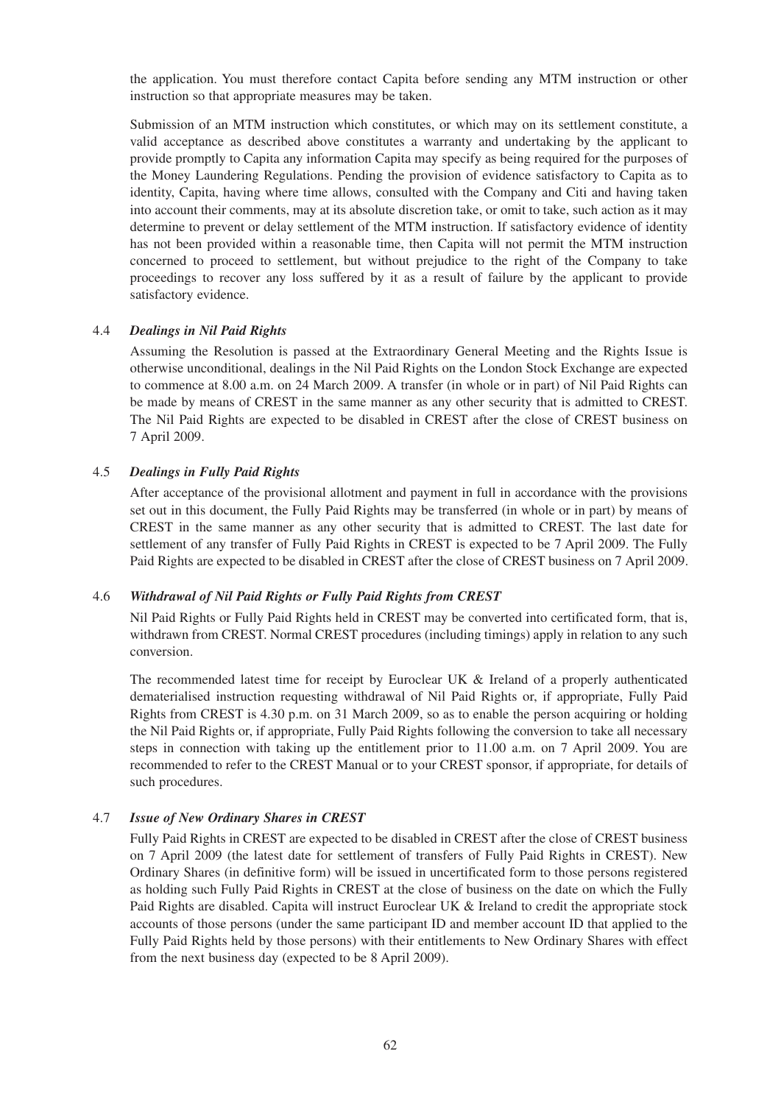the application. You must therefore contact Capita before sending any MTM instruction or other instruction so that appropriate measures may be taken.

Submission of an MTM instruction which constitutes, or which may on its settlement constitute, a valid acceptance as described above constitutes a warranty and undertaking by the applicant to provide promptly to Capita any information Capita may specify as being required for the purposes of the Money Laundering Regulations. Pending the provision of evidence satisfactory to Capita as to identity, Capita, having where time allows, consulted with the Company and Citi and having taken into account their comments, may at its absolute discretion take, or omit to take, such action as it may determine to prevent or delay settlement of the MTM instruction. If satisfactory evidence of identity has not been provided within a reasonable time, then Capita will not permit the MTM instruction concerned to proceed to settlement, but without prejudice to the right of the Company to take proceedings to recover any loss suffered by it as a result of failure by the applicant to provide satisfactory evidence.

#### 4.4 *Dealings in Nil Paid Rights*

Assuming the Resolution is passed at the Extraordinary General Meeting and the Rights Issue is otherwise unconditional, dealings in the Nil Paid Rights on the London Stock Exchange are expected to commence at 8.00 a.m. on 24 March 2009. A transfer (in whole or in part) of Nil Paid Rights can be made by means of CREST in the same manner as any other security that is admitted to CREST. The Nil Paid Rights are expected to be disabled in CREST after the close of CREST business on 7 April 2009.

### 4.5 *Dealings in Fully Paid Rights*

After acceptance of the provisional allotment and payment in full in accordance with the provisions set out in this document, the Fully Paid Rights may be transferred (in whole or in part) by means of CREST in the same manner as any other security that is admitted to CREST. The last date for settlement of any transfer of Fully Paid Rights in CREST is expected to be 7 April 2009. The Fully Paid Rights are expected to be disabled in CREST after the close of CREST business on 7 April 2009.

#### 4.6 *Withdrawal of Nil Paid Rights or Fully Paid Rights from CREST*

Nil Paid Rights or Fully Paid Rights held in CREST may be converted into certificated form, that is, withdrawn from CREST. Normal CREST procedures (including timings) apply in relation to any such conversion.

The recommended latest time for receipt by Euroclear UK & Ireland of a properly authenticated dematerialised instruction requesting withdrawal of Nil Paid Rights or, if appropriate, Fully Paid Rights from CREST is 4.30 p.m. on 31 March 2009, so as to enable the person acquiring or holding the Nil Paid Rights or, if appropriate, Fully Paid Rights following the conversion to take all necessary steps in connection with taking up the entitlement prior to 11.00 a.m. on 7 April 2009. You are recommended to refer to the CREST Manual or to your CREST sponsor, if appropriate, for details of such procedures.

### 4.7 *Issue of New Ordinary Shares in CREST*

Fully Paid Rights in CREST are expected to be disabled in CREST after the close of CREST business on 7 April 2009 (the latest date for settlement of transfers of Fully Paid Rights in CREST). New Ordinary Shares (in definitive form) will be issued in uncertificated form to those persons registered as holding such Fully Paid Rights in CREST at the close of business on the date on which the Fully Paid Rights are disabled. Capita will instruct Euroclear UK & Ireland to credit the appropriate stock accounts of those persons (under the same participant ID and member account ID that applied to the Fully Paid Rights held by those persons) with their entitlements to New Ordinary Shares with effect from the next business day (expected to be 8 April 2009).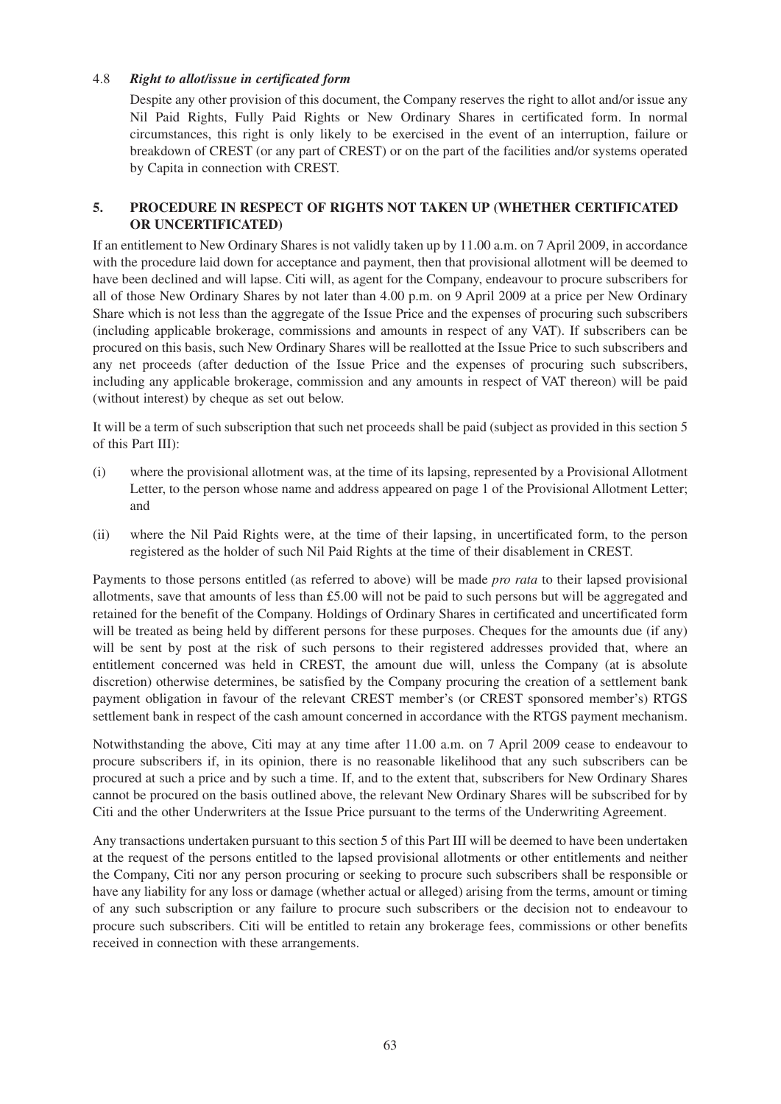### 4.8 *Right to allot/issue in certificated form*

Despite any other provision of this document, the Company reserves the right to allot and/or issue any Nil Paid Rights, Fully Paid Rights or New Ordinary Shares in certificated form. In normal circumstances, this right is only likely to be exercised in the event of an interruption, failure or breakdown of CREST (or any part of CREST) or on the part of the facilities and/or systems operated by Capita in connection with CREST.

### **5. PROCEDURE IN RESPECT OF RIGHTS NOT TAKEN UP (WHETHER CERTIFICATED OR UNCERTIFICATED)**

If an entitlement to New Ordinary Shares is not validly taken up by 11.00 a.m. on 7 April 2009, in accordance with the procedure laid down for acceptance and payment, then that provisional allotment will be deemed to have been declined and will lapse. Citi will, as agent for the Company, endeavour to procure subscribers for all of those New Ordinary Shares by not later than 4.00 p.m. on 9 April 2009 at a price per New Ordinary Share which is not less than the aggregate of the Issue Price and the expenses of procuring such subscribers (including applicable brokerage, commissions and amounts in respect of any VAT). If subscribers can be procured on this basis, such New Ordinary Shares will be reallotted at the Issue Price to such subscribers and any net proceeds (after deduction of the Issue Price and the expenses of procuring such subscribers, including any applicable brokerage, commission and any amounts in respect of VAT thereon) will be paid (without interest) by cheque as set out below.

It will be a term of such subscription that such net proceeds shall be paid (subject as provided in this section 5 of this Part III):

- (i) where the provisional allotment was, at the time of its lapsing, represented by a Provisional Allotment Letter, to the person whose name and address appeared on page 1 of the Provisional Allotment Letter; and
- (ii) where the Nil Paid Rights were, at the time of their lapsing, in uncertificated form, to the person registered as the holder of such Nil Paid Rights at the time of their disablement in CREST.

Payments to those persons entitled (as referred to above) will be made *pro rata* to their lapsed provisional allotments, save that amounts of less than  $£5.00$  will not be paid to such persons but will be aggregated and retained for the benefit of the Company. Holdings of Ordinary Shares in certificated and uncertificated form will be treated as being held by different persons for these purposes. Cheques for the amounts due (if any) will be sent by post at the risk of such persons to their registered addresses provided that, where an entitlement concerned was held in CREST, the amount due will, unless the Company (at is absolute discretion) otherwise determines, be satisfied by the Company procuring the creation of a settlement bank payment obligation in favour of the relevant CREST member's (or CREST sponsored member's) RTGS settlement bank in respect of the cash amount concerned in accordance with the RTGS payment mechanism.

Notwithstanding the above, Citi may at any time after 11.00 a.m. on 7 April 2009 cease to endeavour to procure subscribers if, in its opinion, there is no reasonable likelihood that any such subscribers can be procured at such a price and by such a time. If, and to the extent that, subscribers for New Ordinary Shares cannot be procured on the basis outlined above, the relevant New Ordinary Shares will be subscribed for by Citi and the other Underwriters at the Issue Price pursuant to the terms of the Underwriting Agreement.

Any transactions undertaken pursuant to this section 5 of this Part III will be deemed to have been undertaken at the request of the persons entitled to the lapsed provisional allotments or other entitlements and neither the Company, Citi nor any person procuring or seeking to procure such subscribers shall be responsible or have any liability for any loss or damage (whether actual or alleged) arising from the terms, amount or timing of any such subscription or any failure to procure such subscribers or the decision not to endeavour to procure such subscribers. Citi will be entitled to retain any brokerage fees, commissions or other benefits received in connection with these arrangements.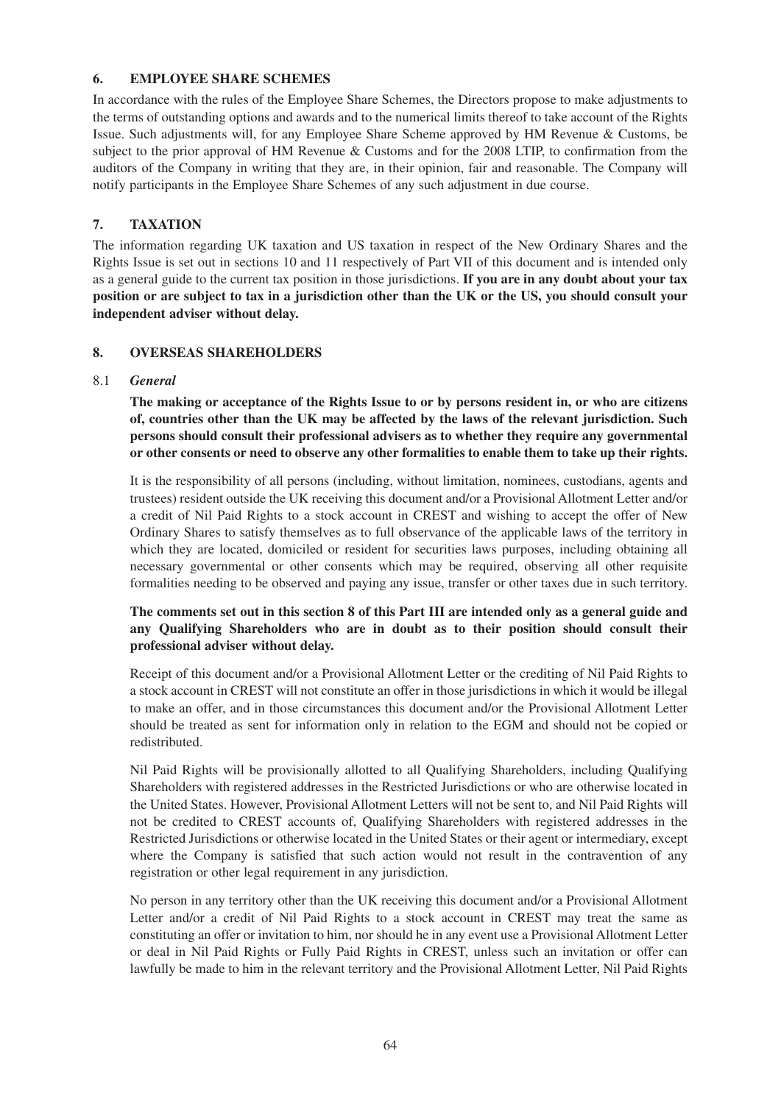## **6. EMPLOYEE SHARE SCHEMES**

In accordance with the rules of the Employee Share Schemes, the Directors propose to make adjustments to the terms of outstanding options and awards and to the numerical limits thereof to take account of the Rights Issue. Such adjustments will, for any Employee Share Scheme approved by HM Revenue & Customs, be subject to the prior approval of HM Revenue & Customs and for the 2008 LTIP, to confirmation from the auditors of the Company in writing that they are, in their opinion, fair and reasonable. The Company will notify participants in the Employee Share Schemes of any such adjustment in due course.

# **7. TAXATION**

The information regarding UK taxation and US taxation in respect of the New Ordinary Shares and the Rights Issue is set out in sections 10 and 11 respectively of Part VII of this document and is intended only as a general guide to the current tax position in those jurisdictions. **If you are in any doubt about your tax position or are subject to tax in a jurisdiction other than the UK or the US, you should consult your independent adviser without delay.**

## **8. OVERSEAS SHAREHOLDERS**

### 8.1 *General*

**The making or acceptance of the Rights Issue to or by persons resident in, or who are citizens of, countries other than the UK may be affected by the laws of the relevant jurisdiction. Such persons should consult their professional advisers as to whether they require any governmental or other consents or need to observe any other formalities to enable them to take up their rights.**

It is the responsibility of all persons (including, without limitation, nominees, custodians, agents and trustees) resident outside the UK receiving this document and/or a Provisional Allotment Letter and/or a credit of Nil Paid Rights to a stock account in CREST and wishing to accept the offer of New Ordinary Shares to satisfy themselves as to full observance of the applicable laws of the territory in which they are located, domiciled or resident for securities laws purposes, including obtaining all necessary governmental or other consents which may be required, observing all other requisite formalities needing to be observed and paying any issue, transfer or other taxes due in such territory.

## **The comments set out in this section 8 of this Part III are intended only as a general guide and any Qualifying Shareholders who are in doubt as to their position should consult their professional adviser without delay.**

Receipt of this document and/or a Provisional Allotment Letter or the crediting of Nil Paid Rights to a stock account in CREST will not constitute an offer in those jurisdictions in which it would be illegal to make an offer, and in those circumstances this document and/or the Provisional Allotment Letter should be treated as sent for information only in relation to the EGM and should not be copied or redistributed.

Nil Paid Rights will be provisionally allotted to all Qualifying Shareholders, including Qualifying Shareholders with registered addresses in the Restricted Jurisdictions or who are otherwise located in the United States. However, Provisional Allotment Letters will not be sent to, and Nil Paid Rights will not be credited to CREST accounts of, Qualifying Shareholders with registered addresses in the Restricted Jurisdictions or otherwise located in the United States or their agent or intermediary, except where the Company is satisfied that such action would not result in the contravention of any registration or other legal requirement in any jurisdiction.

No person in any territory other than the UK receiving this document and/or a Provisional Allotment Letter and/or a credit of Nil Paid Rights to a stock account in CREST may treat the same as constituting an offer or invitation to him, nor should he in any event use a Provisional Allotment Letter or deal in Nil Paid Rights or Fully Paid Rights in CREST, unless such an invitation or offer can lawfully be made to him in the relevant territory and the Provisional Allotment Letter, Nil Paid Rights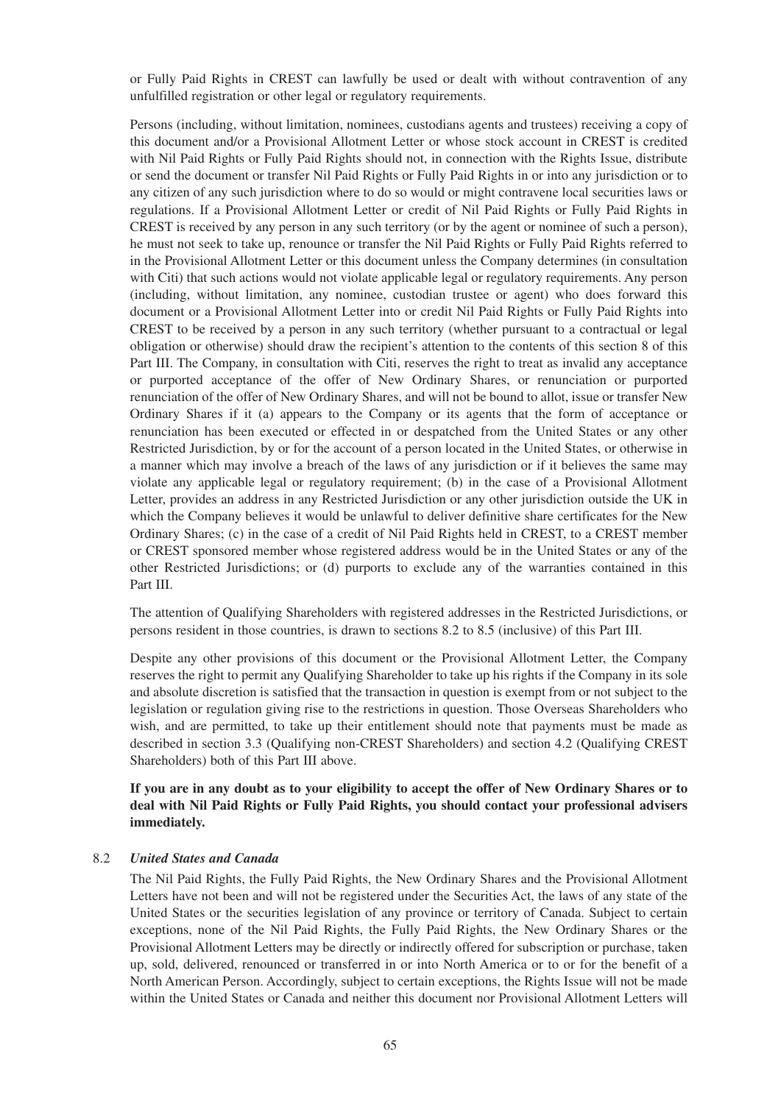or Fully Paid Rights in CREST can lawfully be used or dealt with without contravention of any unfulfilled registration or other legal or regulatory requirements.

Persons (including, without limitation, nominees, custodians agents and trustees) receiving a copy of this document and/or a Provisional Allotment Letter or whose stock account in CREST is credited with Nil Paid Rights or Fully Paid Rights should not, in connection with the Rights Issue, distribute or send the document or transfer Nil Paid Rights or Fully Paid Rights in or into any jurisdiction or to any citizen of any such jurisdiction where to do so would or might contravene local securities laws or regulations. If a Provisional Allotment Letter or credit of Nil Paid Rights or Fully Paid Rights in CREST is received by any person in any such territory (or by the agent or nominee of such a person), he must not seek to take up, renounce or transfer the Nil Paid Rights or Fully Paid Rights referred to in the Provisional Allotment Letter or this document unless the Company determines (in consultation with Citi) that such actions would not violate applicable legal or regulatory requirements. Any person (including, without limitation, any nominee, custodian trustee or agent) who does forward this document or a Provisional Allotment Letter into or credit Nil Paid Rights or Fully Paid Rights into CREST to be received by a person in any such territory (whether pursuant to a contractual or legal obligation or otherwise) should draw the recipient's attention to the contents of this section 8 of this Part III. The Company, in consultation with Citi, reserves the right to treat as invalid any acceptance or purported acceptance of the offer of New Ordinary Shares, or renunciation or purported renunciation of the offer of New Ordinary Shares, and will not be bound to allot, issue or transfer New Ordinary Shares if it (a) appears to the Company or its agents that the form of acceptance or renunciation has been executed or effected in or despatched from the United States or any other Restricted Jurisdiction, by or for the account of a person located in the United States, or otherwise in a manner which may involve a breach of the laws of any jurisdiction or if it believes the same may violate any applicable legal or regulatory requirement; (b) in the case of a Provisional Allotment Letter, provides an address in any Restricted Jurisdiction or any other jurisdiction outside the UK in which the Company believes it would be unlawful to deliver definitive share certificates for the New Ordinary Shares; (c) in the case of a credit of Nil Paid Rights held in CREST, to a CREST member or CREST sponsored member whose registered address would be in the United States or any of the other Restricted Jurisdictions; or (d) purports to exclude any of the warranties contained in this Part III.

The attention of Qualifying Shareholders with registered addresses in the Restricted Jurisdictions, or persons resident in those countries, is drawn to sections 8.2 to 8.5 (inclusive) of this Part III.

Despite any other provisions of this document or the Provisional Allotment Letter, the Company reserves the right to permit any Qualifying Shareholder to take up his rights if the Company in its sole and absolute discretion is satisfied that the transaction in question is exempt from or not subject to the legislation or regulation giving rise to the restrictions in question. Those Overseas Shareholders who wish, and are permitted, to take up their entitlement should note that payments must be made as described in section 3.3 (Qualifying non-CREST Shareholders) and section 4.2 (Qualifying CREST Shareholders) both of this Part III above.

### **If you are in any doubt as to your eligibility to accept the offer of New Ordinary Shares or to deal with Nil Paid Rights or Fully Paid Rights, you should contact your professional advisers immediately.**

#### 8.2 *United States and Canada*

The Nil Paid Rights, the Fully Paid Rights, the New Ordinary Shares and the Provisional Allotment Letters have not been and will not be registered under the Securities Act, the laws of any state of the United States or the securities legislation of any province or territory of Canada. Subject to certain exceptions, none of the Nil Paid Rights, the Fully Paid Rights, the New Ordinary Shares or the Provisional Allotment Letters may be directly or indirectly offered for subscription or purchase, taken up, sold, delivered, renounced or transferred in or into North America or to or for the benefit of a North American Person. Accordingly, subject to certain exceptions, the Rights Issue will not be made within the United States or Canada and neither this document nor Provisional Allotment Letters will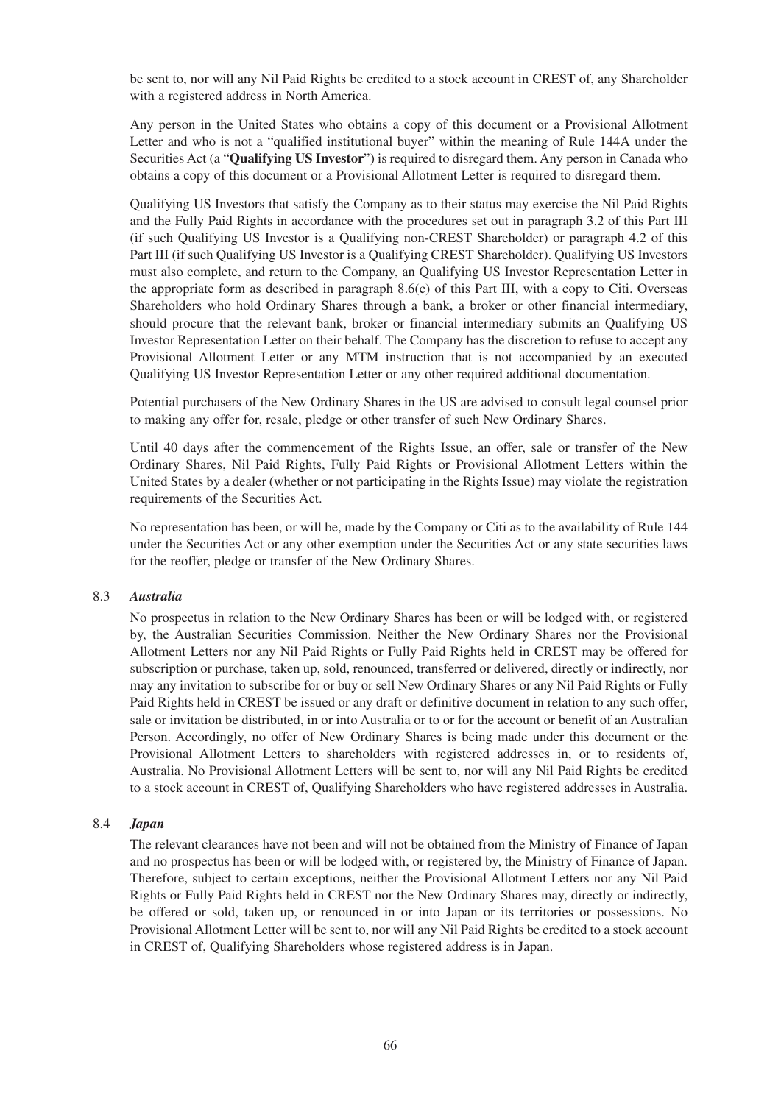be sent to, nor will any Nil Paid Rights be credited to a stock account in CREST of, any Shareholder with a registered address in North America.

Any person in the United States who obtains a copy of this document or a Provisional Allotment Letter and who is not a "qualified institutional buyer" within the meaning of Rule 144A under the Securities Act (a "**Qualifying US Investor**") is required to disregard them. Any person in Canada who obtains a copy of this document or a Provisional Allotment Letter is required to disregard them.

Qualifying US Investors that satisfy the Company as to their status may exercise the Nil Paid Rights and the Fully Paid Rights in accordance with the procedures set out in paragraph 3.2 of this Part III (if such Qualifying US Investor is a Qualifying non-CREST Shareholder) or paragraph 4.2 of this Part III (if such Qualifying US Investor is a Qualifying CREST Shareholder). Qualifying US Investors must also complete, and return to the Company, an Qualifying US Investor Representation Letter in the appropriate form as described in paragraph 8.6(c) of this Part III, with a copy to Citi. Overseas Shareholders who hold Ordinary Shares through a bank, a broker or other financial intermediary, should procure that the relevant bank, broker or financial intermediary submits an Qualifying US Investor Representation Letter on their behalf. The Company has the discretion to refuse to accept any Provisional Allotment Letter or any MTM instruction that is not accompanied by an executed Qualifying US Investor Representation Letter or any other required additional documentation.

Potential purchasers of the New Ordinary Shares in the US are advised to consult legal counsel prior to making any offer for, resale, pledge or other transfer of such New Ordinary Shares.

Until 40 days after the commencement of the Rights Issue, an offer, sale or transfer of the New Ordinary Shares, Nil Paid Rights, Fully Paid Rights or Provisional Allotment Letters within the United States by a dealer (whether or not participating in the Rights Issue) may violate the registration requirements of the Securities Act.

No representation has been, or will be, made by the Company or Citi as to the availability of Rule 144 under the Securities Act or any other exemption under the Securities Act or any state securities laws for the reoffer, pledge or transfer of the New Ordinary Shares.

#### 8.3 *Australia*

No prospectus in relation to the New Ordinary Shares has been or will be lodged with, or registered by, the Australian Securities Commission. Neither the New Ordinary Shares nor the Provisional Allotment Letters nor any Nil Paid Rights or Fully Paid Rights held in CREST may be offered for subscription or purchase, taken up, sold, renounced, transferred or delivered, directly or indirectly, nor may any invitation to subscribe for or buy or sell New Ordinary Shares or any Nil Paid Rights or Fully Paid Rights held in CREST be issued or any draft or definitive document in relation to any such offer, sale or invitation be distributed, in or into Australia or to or for the account or benefit of an Australian Person. Accordingly, no offer of New Ordinary Shares is being made under this document or the Provisional Allotment Letters to shareholders with registered addresses in, or to residents of, Australia. No Provisional Allotment Letters will be sent to, nor will any Nil Paid Rights be credited to a stock account in CREST of, Qualifying Shareholders who have registered addresses in Australia.

#### 8.4 *Japan*

The relevant clearances have not been and will not be obtained from the Ministry of Finance of Japan and no prospectus has been or will be lodged with, or registered by, the Ministry of Finance of Japan. Therefore, subject to certain exceptions, neither the Provisional Allotment Letters nor any Nil Paid Rights or Fully Paid Rights held in CREST nor the New Ordinary Shares may, directly or indirectly, be offered or sold, taken up, or renounced in or into Japan or its territories or possessions. No Provisional Allotment Letter will be sent to, nor will any Nil Paid Rights be credited to a stock account in CREST of, Qualifying Shareholders whose registered address is in Japan.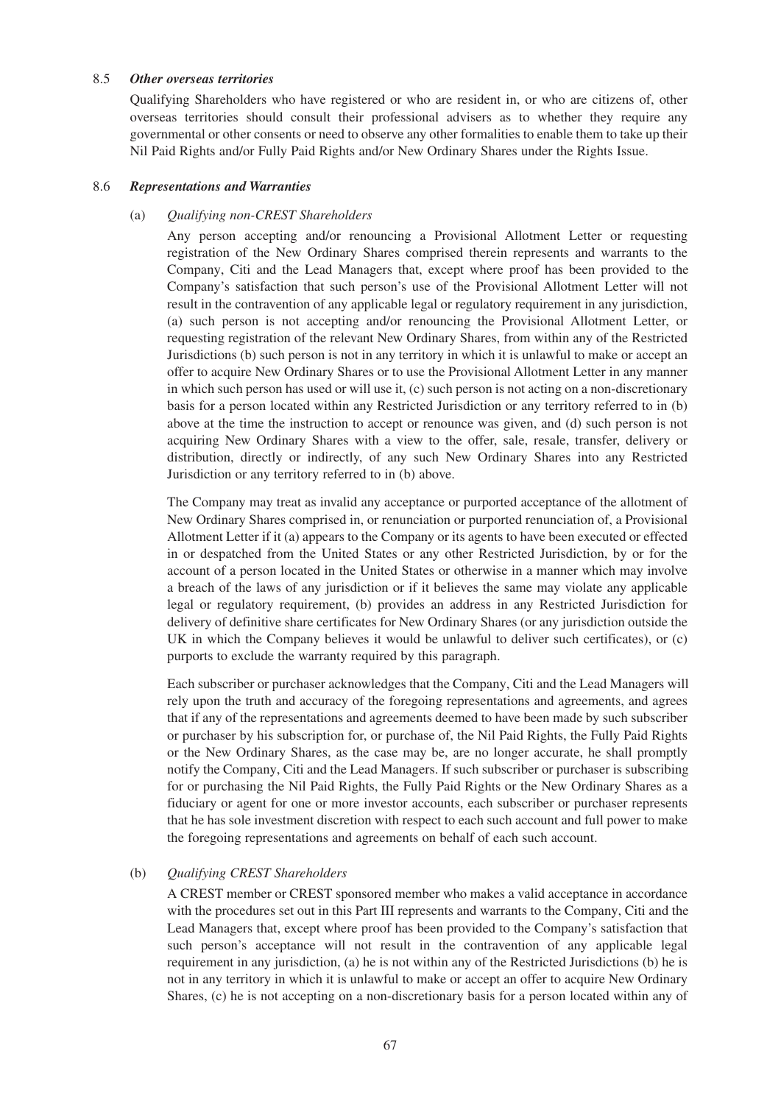#### 8.5 *Other overseas territories*

Qualifying Shareholders who have registered or who are resident in, or who are citizens of, other overseas territories should consult their professional advisers as to whether they require any governmental or other consents or need to observe any other formalities to enable them to take up their Nil Paid Rights and/or Fully Paid Rights and/or New Ordinary Shares under the Rights Issue.

#### 8.6 *Representations and Warranties*

#### (a) *Qualifying non-CREST Shareholders*

Any person accepting and/or renouncing a Provisional Allotment Letter or requesting registration of the New Ordinary Shares comprised therein represents and warrants to the Company, Citi and the Lead Managers that, except where proof has been provided to the Company's satisfaction that such person's use of the Provisional Allotment Letter will not result in the contravention of any applicable legal or regulatory requirement in any jurisdiction, (a) such person is not accepting and/or renouncing the Provisional Allotment Letter, or requesting registration of the relevant New Ordinary Shares, from within any of the Restricted Jurisdictions (b) such person is not in any territory in which it is unlawful to make or accept an offer to acquire New Ordinary Shares or to use the Provisional Allotment Letter in any manner in which such person has used or will use it, (c) such person is not acting on a non-discretionary basis for a person located within any Restricted Jurisdiction or any territory referred to in (b) above at the time the instruction to accept or renounce was given, and (d) such person is not acquiring New Ordinary Shares with a view to the offer, sale, resale, transfer, delivery or distribution, directly or indirectly, of any such New Ordinary Shares into any Restricted Jurisdiction or any territory referred to in (b) above.

The Company may treat as invalid any acceptance or purported acceptance of the allotment of New Ordinary Shares comprised in, or renunciation or purported renunciation of, a Provisional Allotment Letter if it (a) appears to the Company or its agents to have been executed or effected in or despatched from the United States or any other Restricted Jurisdiction, by or for the account of a person located in the United States or otherwise in a manner which may involve a breach of the laws of any jurisdiction or if it believes the same may violate any applicable legal or regulatory requirement, (b) provides an address in any Restricted Jurisdiction for delivery of definitive share certificates for New Ordinary Shares (or any jurisdiction outside the UK in which the Company believes it would be unlawful to deliver such certificates), or (c) purports to exclude the warranty required by this paragraph.

Each subscriber or purchaser acknowledges that the Company, Citi and the Lead Managers will rely upon the truth and accuracy of the foregoing representations and agreements, and agrees that if any of the representations and agreements deemed to have been made by such subscriber or purchaser by his subscription for, or purchase of, the Nil Paid Rights, the Fully Paid Rights or the New Ordinary Shares, as the case may be, are no longer accurate, he shall promptly notify the Company, Citi and the Lead Managers. If such subscriber or purchaser is subscribing for or purchasing the Nil Paid Rights, the Fully Paid Rights or the New Ordinary Shares as a fiduciary or agent for one or more investor accounts, each subscriber or purchaser represents that he has sole investment discretion with respect to each such account and full power to make the foregoing representations and agreements on behalf of each such account.

### (b) *Qualifying CREST Shareholders*

A CREST member or CREST sponsored member who makes a valid acceptance in accordance with the procedures set out in this Part III represents and warrants to the Company, Citi and the Lead Managers that, except where proof has been provided to the Company's satisfaction that such person's acceptance will not result in the contravention of any applicable legal requirement in any jurisdiction, (a) he is not within any of the Restricted Jurisdictions (b) he is not in any territory in which it is unlawful to make or accept an offer to acquire New Ordinary Shares, (c) he is not accepting on a non-discretionary basis for a person located within any of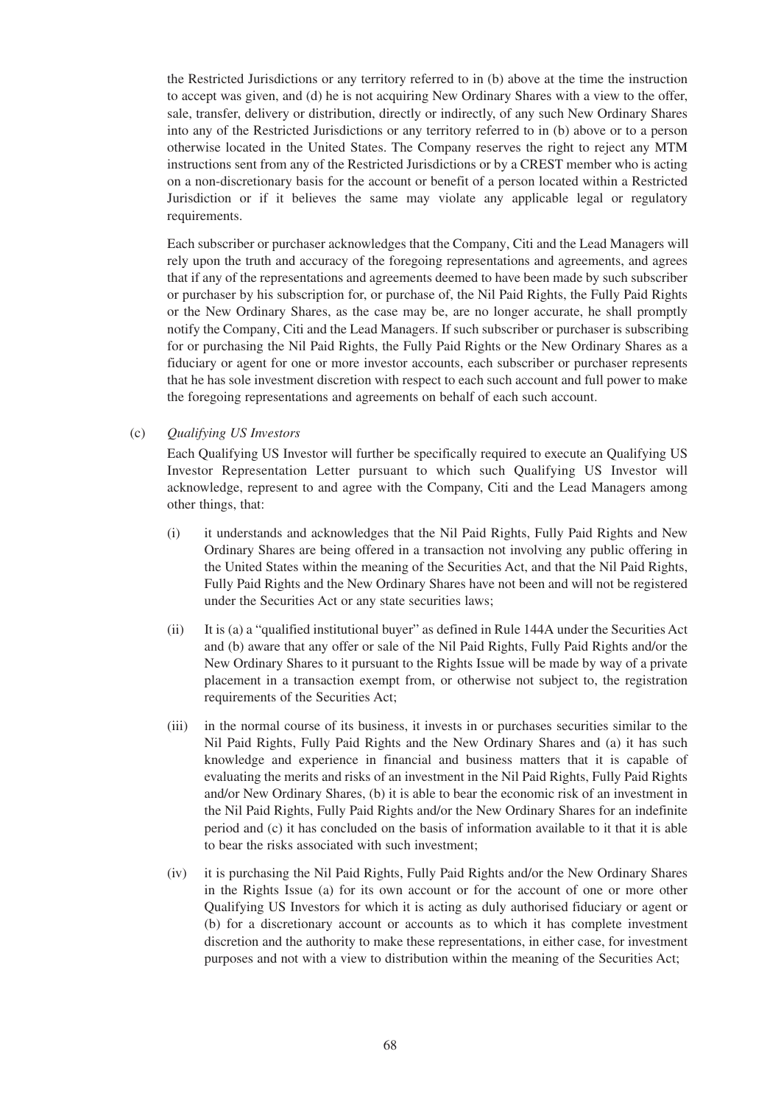the Restricted Jurisdictions or any territory referred to in (b) above at the time the instruction to accept was given, and (d) he is not acquiring New Ordinary Shares with a view to the offer, sale, transfer, delivery or distribution, directly or indirectly, of any such New Ordinary Shares into any of the Restricted Jurisdictions or any territory referred to in (b) above or to a person otherwise located in the United States. The Company reserves the right to reject any MTM instructions sent from any of the Restricted Jurisdictions or by a CREST member who is acting on a non-discretionary basis for the account or benefit of a person located within a Restricted Jurisdiction or if it believes the same may violate any applicable legal or regulatory requirements.

Each subscriber or purchaser acknowledges that the Company, Citi and the Lead Managers will rely upon the truth and accuracy of the foregoing representations and agreements, and agrees that if any of the representations and agreements deemed to have been made by such subscriber or purchaser by his subscription for, or purchase of, the Nil Paid Rights, the Fully Paid Rights or the New Ordinary Shares, as the case may be, are no longer accurate, he shall promptly notify the Company, Citi and the Lead Managers. If such subscriber or purchaser is subscribing for or purchasing the Nil Paid Rights, the Fully Paid Rights or the New Ordinary Shares as a fiduciary or agent for one or more investor accounts, each subscriber or purchaser represents that he has sole investment discretion with respect to each such account and full power to make the foregoing representations and agreements on behalf of each such account.

#### (c) *Qualifying US Investors*

Each Qualifying US Investor will further be specifically required to execute an Qualifying US Investor Representation Letter pursuant to which such Qualifying US Investor will acknowledge, represent to and agree with the Company, Citi and the Lead Managers among other things, that:

- (i) it understands and acknowledges that the Nil Paid Rights, Fully Paid Rights and New Ordinary Shares are being offered in a transaction not involving any public offering in the United States within the meaning of the Securities Act, and that the Nil Paid Rights, Fully Paid Rights and the New Ordinary Shares have not been and will not be registered under the Securities Act or any state securities laws;
- (ii) It is (a) a "qualified institutional buyer" as defined in Rule 144A under the Securities Act and (b) aware that any offer or sale of the Nil Paid Rights, Fully Paid Rights and/or the New Ordinary Shares to it pursuant to the Rights Issue will be made by way of a private placement in a transaction exempt from, or otherwise not subject to, the registration requirements of the Securities Act;
- (iii) in the normal course of its business, it invests in or purchases securities similar to the Nil Paid Rights, Fully Paid Rights and the New Ordinary Shares and (a) it has such knowledge and experience in financial and business matters that it is capable of evaluating the merits and risks of an investment in the Nil Paid Rights, Fully Paid Rights and/or New Ordinary Shares, (b) it is able to bear the economic risk of an investment in the Nil Paid Rights, Fully Paid Rights and/or the New Ordinary Shares for an indefinite period and (c) it has concluded on the basis of information available to it that it is able to bear the risks associated with such investment;
- (iv) it is purchasing the Nil Paid Rights, Fully Paid Rights and/or the New Ordinary Shares in the Rights Issue (a) for its own account or for the account of one or more other Qualifying US Investors for which it is acting as duly authorised fiduciary or agent or (b) for a discretionary account or accounts as to which it has complete investment discretion and the authority to make these representations, in either case, for investment purposes and not with a view to distribution within the meaning of the Securities Act;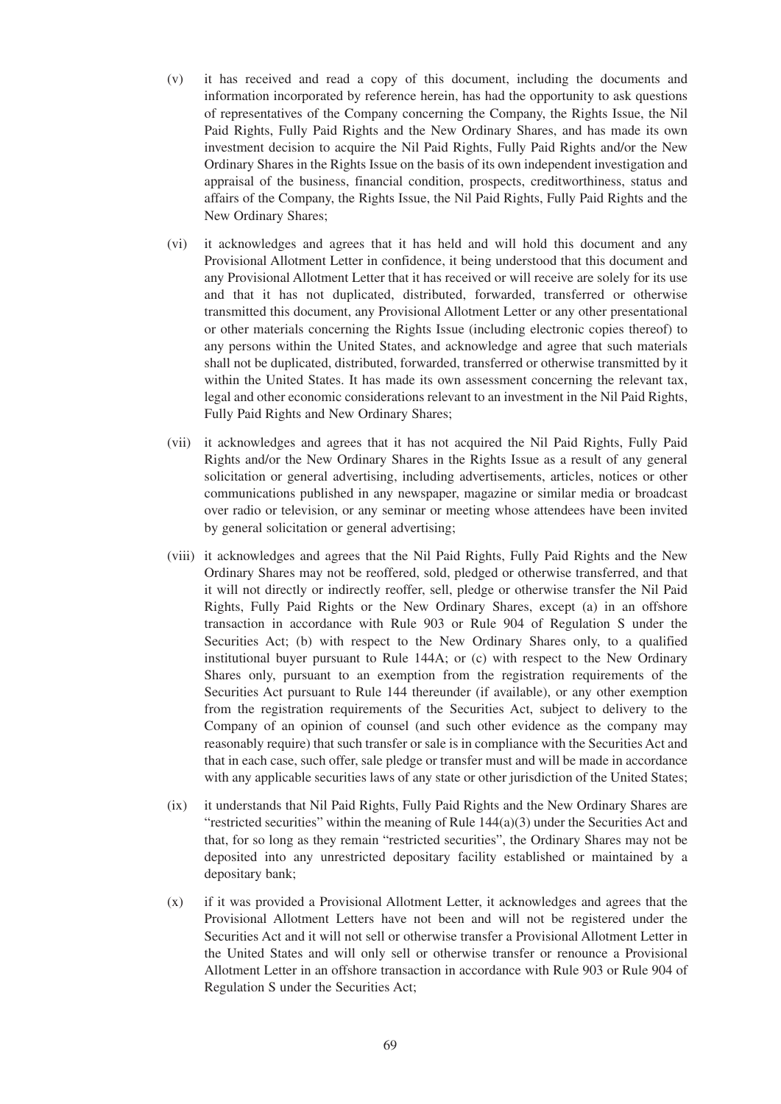- (v) it has received and read a copy of this document, including the documents and information incorporated by reference herein, has had the opportunity to ask questions of representatives of the Company concerning the Company, the Rights Issue, the Nil Paid Rights, Fully Paid Rights and the New Ordinary Shares, and has made its own investment decision to acquire the Nil Paid Rights, Fully Paid Rights and/or the New Ordinary Shares in the Rights Issue on the basis of its own independent investigation and appraisal of the business, financial condition, prospects, creditworthiness, status and affairs of the Company, the Rights Issue, the Nil Paid Rights, Fully Paid Rights and the New Ordinary Shares;
- (vi) it acknowledges and agrees that it has held and will hold this document and any Provisional Allotment Letter in confidence, it being understood that this document and any Provisional Allotment Letter that it has received or will receive are solely for its use and that it has not duplicated, distributed, forwarded, transferred or otherwise transmitted this document, any Provisional Allotment Letter or any other presentational or other materials concerning the Rights Issue (including electronic copies thereof) to any persons within the United States, and acknowledge and agree that such materials shall not be duplicated, distributed, forwarded, transferred or otherwise transmitted by it within the United States. It has made its own assessment concerning the relevant tax, legal and other economic considerations relevant to an investment in the Nil Paid Rights, Fully Paid Rights and New Ordinary Shares;
- (vii) it acknowledges and agrees that it has not acquired the Nil Paid Rights, Fully Paid Rights and/or the New Ordinary Shares in the Rights Issue as a result of any general solicitation or general advertising, including advertisements, articles, notices or other communications published in any newspaper, magazine or similar media or broadcast over radio or television, or any seminar or meeting whose attendees have been invited by general solicitation or general advertising;
- (viii) it acknowledges and agrees that the Nil Paid Rights, Fully Paid Rights and the New Ordinary Shares may not be reoffered, sold, pledged or otherwise transferred, and that it will not directly or indirectly reoffer, sell, pledge or otherwise transfer the Nil Paid Rights, Fully Paid Rights or the New Ordinary Shares, except (a) in an offshore transaction in accordance with Rule 903 or Rule 904 of Regulation S under the Securities Act; (b) with respect to the New Ordinary Shares only, to a qualified institutional buyer pursuant to Rule 144A; or (c) with respect to the New Ordinary Shares only, pursuant to an exemption from the registration requirements of the Securities Act pursuant to Rule 144 thereunder (if available), or any other exemption from the registration requirements of the Securities Act, subject to delivery to the Company of an opinion of counsel (and such other evidence as the company may reasonably require) that such transfer or sale is in compliance with the Securities Act and that in each case, such offer, sale pledge or transfer must and will be made in accordance with any applicable securities laws of any state or other jurisdiction of the United States;
- (ix) it understands that Nil Paid Rights, Fully Paid Rights and the New Ordinary Shares are "restricted securities" within the meaning of Rule  $144(a)(3)$  under the Securities Act and that, for so long as they remain "restricted securities", the Ordinary Shares may not be deposited into any unrestricted depositary facility established or maintained by a depositary bank;
- (x) if it was provided a Provisional Allotment Letter, it acknowledges and agrees that the Provisional Allotment Letters have not been and will not be registered under the Securities Act and it will not sell or otherwise transfer a Provisional Allotment Letter in the United States and will only sell or otherwise transfer or renounce a Provisional Allotment Letter in an offshore transaction in accordance with Rule 903 or Rule 904 of Regulation S under the Securities Act;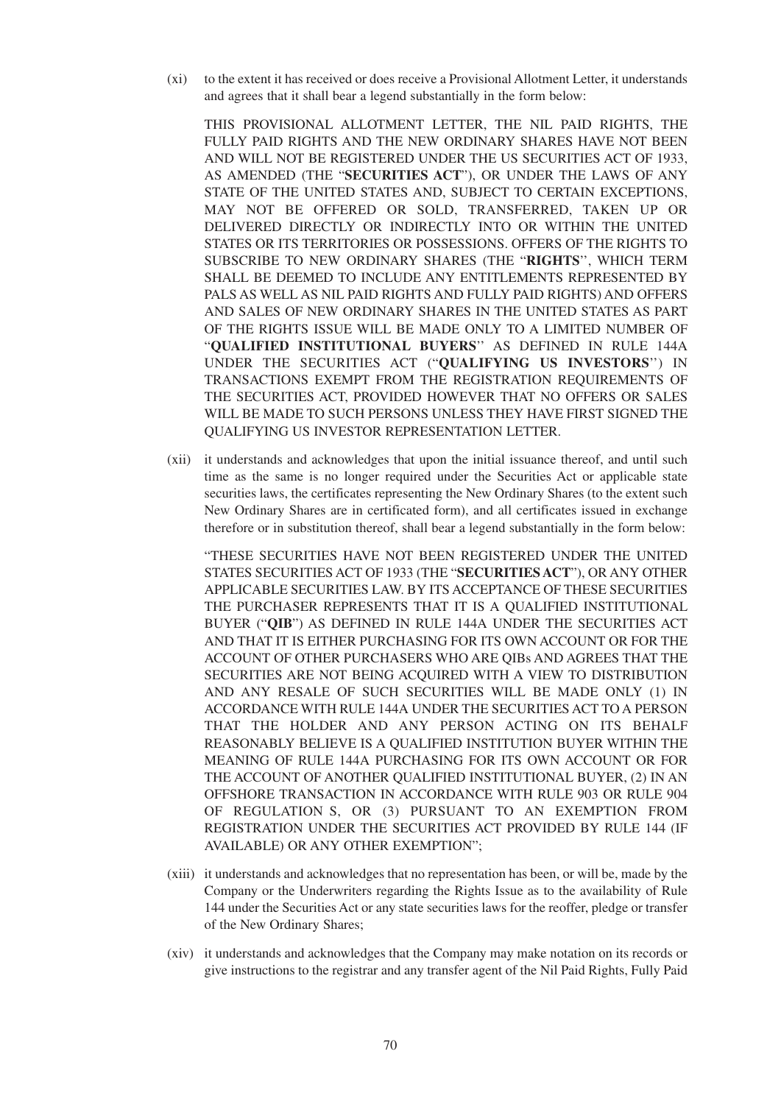(xi) to the extent it has received or does receive a Provisional Allotment Letter, it understands and agrees that it shall bear a legend substantially in the form below:

THIS PROVISIONAL ALLOTMENT LETTER, THE NIL PAID RIGHTS, THE FULLY PAID RIGHTS AND THE NEW ORDINARY SHARES HAVE NOT BEEN AND WILL NOT BE REGISTERED UNDER THE US SECURITIES ACT OF 1933, AS AMENDED (THE "**SECURITIES ACT**"), OR UNDER THE LAWS OF ANY STATE OF THE UNITED STATES AND, SUBJECT TO CERTAIN EXCEPTIONS, MAY NOT BE OFFERED OR SOLD, TRANSFERRED, TAKEN UP OR DELIVERED DIRECTLY OR INDIRECTLY INTO OR WITHIN THE UNITED STATES OR ITS TERRITORIES OR POSSESSIONS. OFFERS OF THE RIGHTS TO SUBSCRIBE TO NEW ORDINARY SHARES (THE "**RIGHTS**'', WHICH TERM SHALL BE DEEMED TO INCLUDE ANY ENTITLEMENTS REPRESENTED BY PALS AS WELL AS NIL PAID RIGHTS AND FULLY PAID RIGHTS) AND OFFERS AND SALES OF NEW ORDINARY SHARES IN THE UNITED STATES AS PART OF THE RIGHTS ISSUE WILL BE MADE ONLY TO A LIMITED NUMBER OF "**QUALIFIED INSTITUTIONAL BUYERS**'' AS DEFINED IN RULE 144A UNDER THE SECURITIES ACT ("**QUALIFYING US INVESTORS**'') IN TRANSACTIONS EXEMPT FROM THE REGISTRATION REQUIREMENTS OF THE SECURITIES ACT, PROVIDED HOWEVER THAT NO OFFERS OR SALES WILL BE MADE TO SUCH PERSONS UNLESS THEY HAVE FIRST SIGNED THE QUALIFYING US INVESTOR REPRESENTATION LETTER.

(xii) it understands and acknowledges that upon the initial issuance thereof, and until such time as the same is no longer required under the Securities Act or applicable state securities laws, the certificates representing the New Ordinary Shares (to the extent such New Ordinary Shares are in certificated form), and all certificates issued in exchange therefore or in substitution thereof, shall bear a legend substantially in the form below:

"THESE SECURITIES HAVE NOT BEEN REGISTERED UNDER THE UNITED STATES SECURITIES ACT OF 1933 (THE "**SECURITIES ACT**"), OR ANY OTHER APPLICABLE SECURITIES LAW. BY ITS ACCEPTANCE OF THESE SECURITIES THE PURCHASER REPRESENTS THAT IT IS A QUALIFIED INSTITUTIONAL BUYER ("**QIB**") AS DEFINED IN RULE 144A UNDER THE SECURITIES ACT AND THAT IT IS EITHER PURCHASING FOR ITS OWN ACCOUNT OR FOR THE ACCOUNT OF OTHER PURCHASERS WHO ARE QIBs AND AGREES THAT THE SECURITIES ARE NOT BEING ACQUIRED WITH A VIEW TO DISTRIBUTION AND ANY RESALE OF SUCH SECURITIES WILL BE MADE ONLY (1) IN ACCORDANCE WITH RULE 144A UNDER THE SECURITIES ACT TO A PERSON THAT THE HOLDER AND ANY PERSON ACTING ON ITS BEHALF REASONABLY BELIEVE IS A QUALIFIED INSTITUTION BUYER WITHIN THE MEANING OF RULE 144A PURCHASING FOR ITS OWN ACCOUNT OR FOR THE ACCOUNT OF ANOTHER QUALIFIED INSTITUTIONAL BUYER, (2) IN AN OFFSHORE TRANSACTION IN ACCORDANCE WITH RULE 903 OR RULE 904 OF REGULATION S, OR (3) PURSUANT TO AN EXEMPTION FROM REGISTRATION UNDER THE SECURITIES ACT PROVIDED BY RULE 144 (IF AVAILABLE) OR ANY OTHER EXEMPTION";

- (xiii) it understands and acknowledges that no representation has been, or will be, made by the Company or the Underwriters regarding the Rights Issue as to the availability of Rule 144 under the Securities Act or any state securities laws for the reoffer, pledge or transfer of the New Ordinary Shares;
- (xiv) it understands and acknowledges that the Company may make notation on its records or give instructions to the registrar and any transfer agent of the Nil Paid Rights, Fully Paid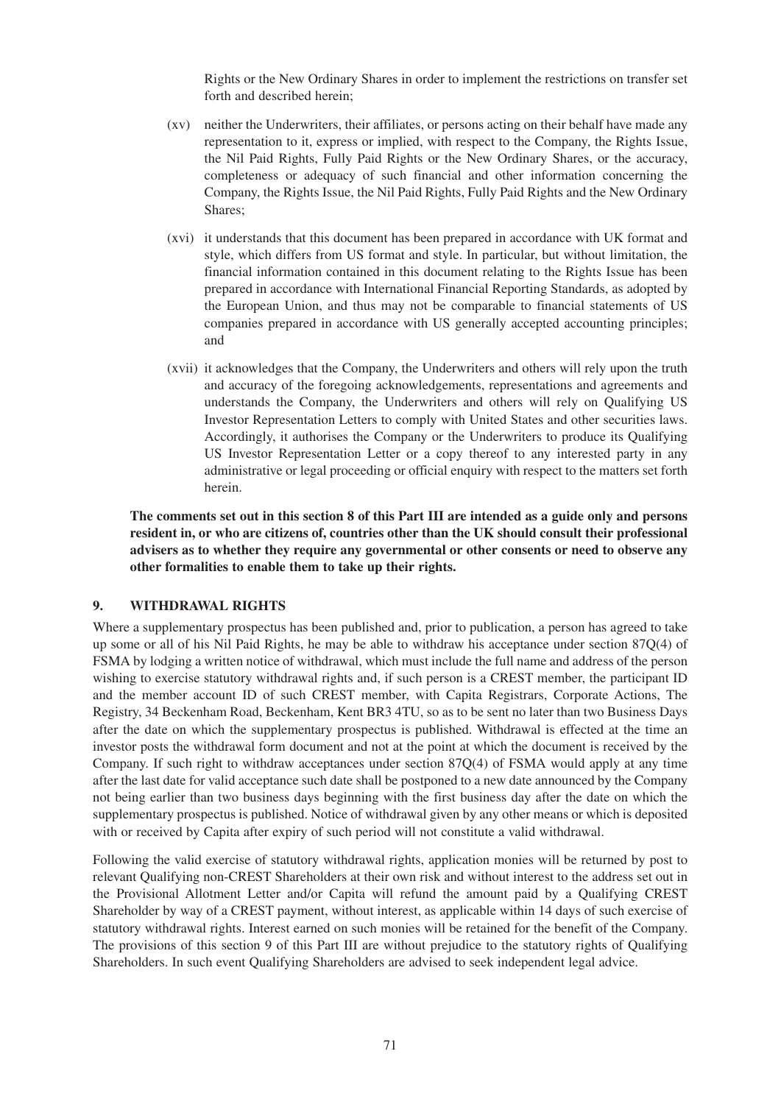Rights or the New Ordinary Shares in order to implement the restrictions on transfer set forth and described herein;

- (xv) neither the Underwriters, their affiliates, or persons acting on their behalf have made any representation to it, express or implied, with respect to the Company, the Rights Issue, the Nil Paid Rights, Fully Paid Rights or the New Ordinary Shares, or the accuracy, completeness or adequacy of such financial and other information concerning the Company, the Rights Issue, the Nil Paid Rights, Fully Paid Rights and the New Ordinary Shares;
- (xvi) it understands that this document has been prepared in accordance with UK format and style, which differs from US format and style. In particular, but without limitation, the financial information contained in this document relating to the Rights Issue has been prepared in accordance with International Financial Reporting Standards, as adopted by the European Union, and thus may not be comparable to financial statements of US companies prepared in accordance with US generally accepted accounting principles; and
- (xvii) it acknowledges that the Company, the Underwriters and others will rely upon the truth and accuracy of the foregoing acknowledgements, representations and agreements and understands the Company, the Underwriters and others will rely on Qualifying US Investor Representation Letters to comply with United States and other securities laws. Accordingly, it authorises the Company or the Underwriters to produce its Qualifying US Investor Representation Letter or a copy thereof to any interested party in any administrative or legal proceeding or official enquiry with respect to the matters set forth herein.

**The comments set out in this section 8 of this Part III are intended as a guide only and persons resident in, or who are citizens of, countries other than the UK should consult their professional advisers as to whether they require any governmental or other consents or need to observe any other formalities to enable them to take up their rights.**

#### **9. WITHDRAWAL RIGHTS**

Where a supplementary prospectus has been published and, prior to publication, a person has agreed to take up some or all of his Nil Paid Rights, he may be able to withdraw his acceptance under section 87Q(4) of FSMA by lodging a written notice of withdrawal, which must include the full name and address of the person wishing to exercise statutory withdrawal rights and, if such person is a CREST member, the participant ID and the member account ID of such CREST member, with Capita Registrars, Corporate Actions, The Registry, 34 Beckenham Road, Beckenham, Kent BR3 4TU, so as to be sent no later than two Business Days after the date on which the supplementary prospectus is published. Withdrawal is effected at the time an investor posts the withdrawal form document and not at the point at which the document is received by the Company. If such right to withdraw acceptances under section 87Q(4) of FSMA would apply at any time after the last date for valid acceptance such date shall be postponed to a new date announced by the Company not being earlier than two business days beginning with the first business day after the date on which the supplementary prospectus is published. Notice of withdrawal given by any other means or which is deposited with or received by Capita after expiry of such period will not constitute a valid withdrawal.

Following the valid exercise of statutory withdrawal rights, application monies will be returned by post to relevant Qualifying non-CREST Shareholders at their own risk and without interest to the address set out in the Provisional Allotment Letter and/or Capita will refund the amount paid by a Qualifying CREST Shareholder by way of a CREST payment, without interest, as applicable within 14 days of such exercise of statutory withdrawal rights. Interest earned on such monies will be retained for the benefit of the Company. The provisions of this section 9 of this Part III are without prejudice to the statutory rights of Qualifying Shareholders. In such event Qualifying Shareholders are advised to seek independent legal advice.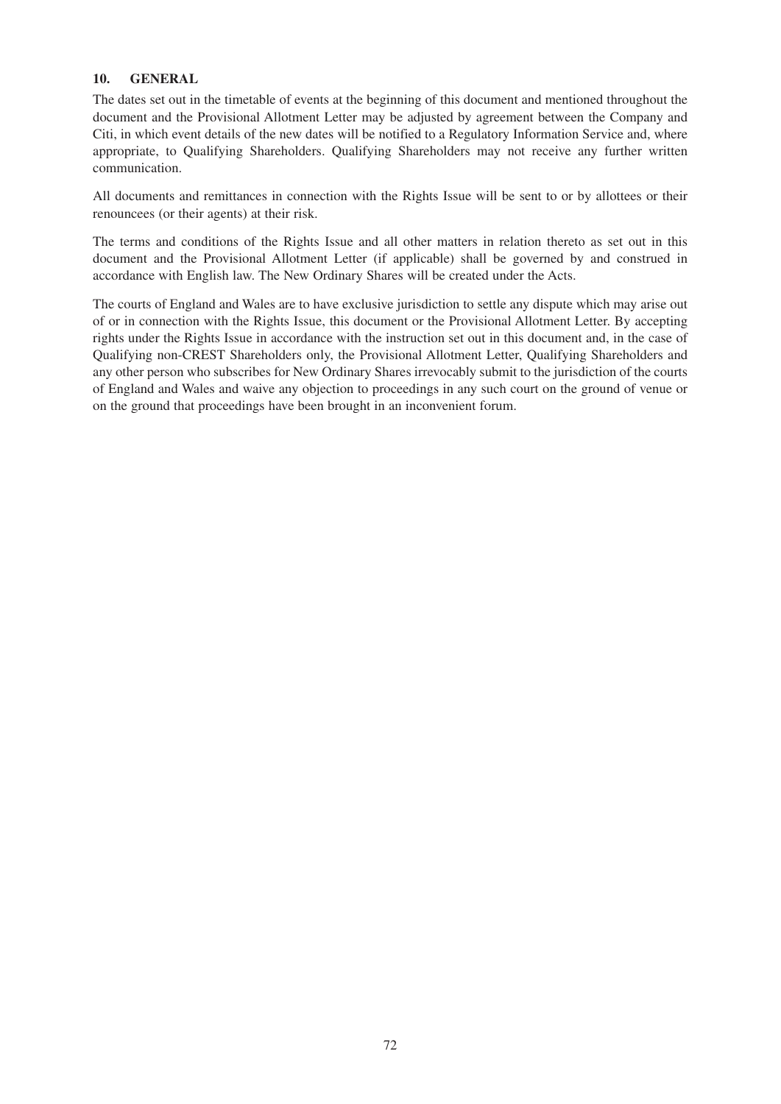## **10. GENERAL**

The dates set out in the timetable of events at the beginning of this document and mentioned throughout the document and the Provisional Allotment Letter may be adjusted by agreement between the Company and Citi, in which event details of the new dates will be notified to a Regulatory Information Service and, where appropriate, to Qualifying Shareholders. Qualifying Shareholders may not receive any further written communication.

All documents and remittances in connection with the Rights Issue will be sent to or by allottees or their renouncees (or their agents) at their risk.

The terms and conditions of the Rights Issue and all other matters in relation thereto as set out in this document and the Provisional Allotment Letter (if applicable) shall be governed by and construed in accordance with English law. The New Ordinary Shares will be created under the Acts.

The courts of England and Wales are to have exclusive jurisdiction to settle any dispute which may arise out of or in connection with the Rights Issue, this document or the Provisional Allotment Letter. By accepting rights under the Rights Issue in accordance with the instruction set out in this document and, in the case of Qualifying non-CREST Shareholders only, the Provisional Allotment Letter, Qualifying Shareholders and any other person who subscribes for New Ordinary Shares irrevocably submit to the jurisdiction of the courts of England and Wales and waive any objection to proceedings in any such court on the ground of venue or on the ground that proceedings have been brought in an inconvenient forum.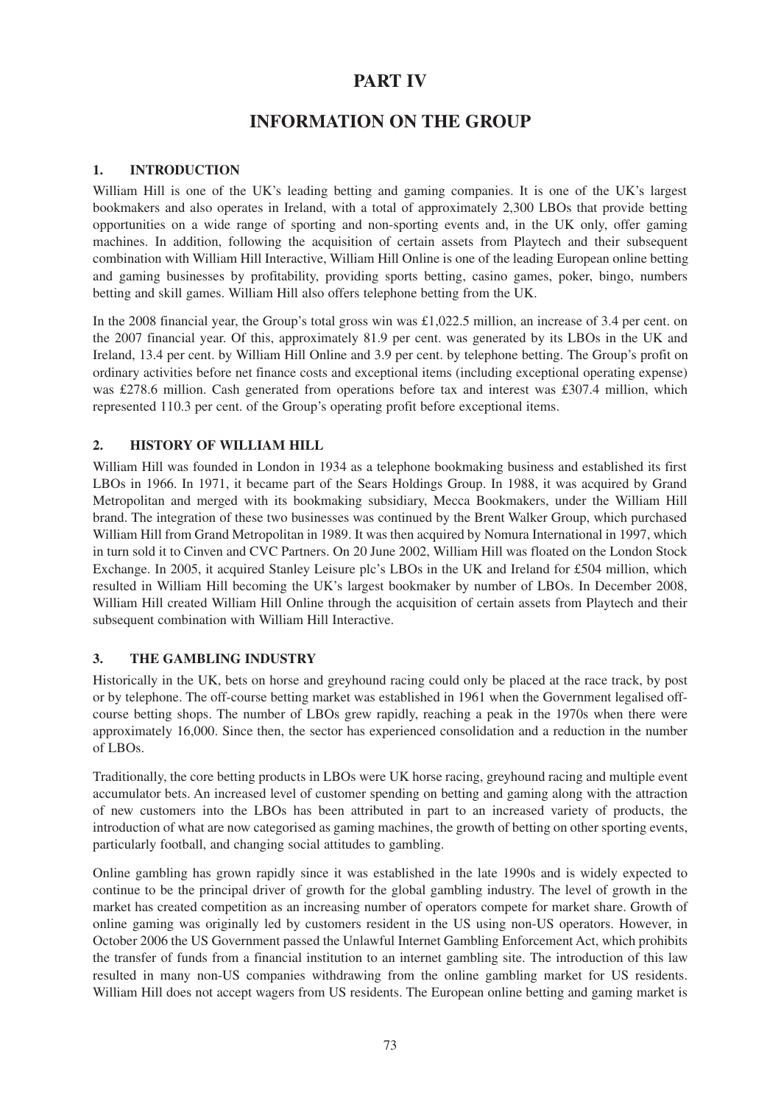# **PART IV**

# **INFORMATION ON THE GROUP**

# **1. INTRODUCTION**

William Hill is one of the UK's leading betting and gaming companies. It is one of the UK's largest bookmakers and also operates in Ireland, with a total of approximately 2,300 LBOs that provide betting opportunities on a wide range of sporting and non-sporting events and, in the UK only, offer gaming machines. In addition, following the acquisition of certain assets from Playtech and their subsequent combination with William Hill Interactive, William Hill Online is one of the leading European online betting and gaming businesses by profitability, providing sports betting, casino games, poker, bingo, numbers betting and skill games. William Hill also offers telephone betting from the UK.

In the 2008 financial year, the Group's total gross win was £1,022.5 million, an increase of 3.4 per cent. on the 2007 financial year. Of this, approximately 81.9 per cent. was generated by its LBOs in the UK and Ireland, 13.4 per cent. by William Hill Online and 3.9 per cent. by telephone betting. The Group's profit on ordinary activities before net finance costs and exceptional items (including exceptional operating expense) was £278.6 million. Cash generated from operations before tax and interest was £307.4 million, which represented 110.3 per cent. of the Group's operating profit before exceptional items.

# **2. HISTORY OF WILLIAM HILL**

William Hill was founded in London in 1934 as a telephone bookmaking business and established its first LBOs in 1966. In 1971, it became part of the Sears Holdings Group. In 1988, it was acquired by Grand Metropolitan and merged with its bookmaking subsidiary, Mecca Bookmakers, under the William Hill brand. The integration of these two businesses was continued by the Brent Walker Group, which purchased William Hill from Grand Metropolitan in 1989. It was then acquired by Nomura International in 1997, which in turn sold it to Cinven and CVC Partners. On 20 June 2002, William Hill was floated on the London Stock Exchange. In 2005, it acquired Stanley Leisure plc's LBOs in the UK and Ireland for £504 million, which resulted in William Hill becoming the UK's largest bookmaker by number of LBOs. In December 2008, William Hill created William Hill Online through the acquisition of certain assets from Playtech and their subsequent combination with William Hill Interactive.

# **3. THE GAMBLING INDUSTRY**

Historically in the UK, bets on horse and greyhound racing could only be placed at the race track, by post or by telephone. The off-course betting market was established in 1961 when the Government legalised offcourse betting shops. The number of LBOs grew rapidly, reaching a peak in the 1970s when there were approximately 16,000. Since then, the sector has experienced consolidation and a reduction in the number of LBOs.

Traditionally, the core betting products in LBOs were UK horse racing, greyhound racing and multiple event accumulator bets. An increased level of customer spending on betting and gaming along with the attraction of new customers into the LBOs has been attributed in part to an increased variety of products, the introduction of what are now categorised as gaming machines, the growth of betting on other sporting events, particularly football, and changing social attitudes to gambling.

Online gambling has grown rapidly since it was established in the late 1990s and is widely expected to continue to be the principal driver of growth for the global gambling industry. The level of growth in the market has created competition as an increasing number of operators compete for market share. Growth of online gaming was originally led by customers resident in the US using non-US operators. However, in October 2006 the US Government passed the Unlawful Internet Gambling Enforcement Act, which prohibits the transfer of funds from a financial institution to an internet gambling site. The introduction of this law resulted in many non-US companies withdrawing from the online gambling market for US residents. William Hill does not accept wagers from US residents. The European online betting and gaming market is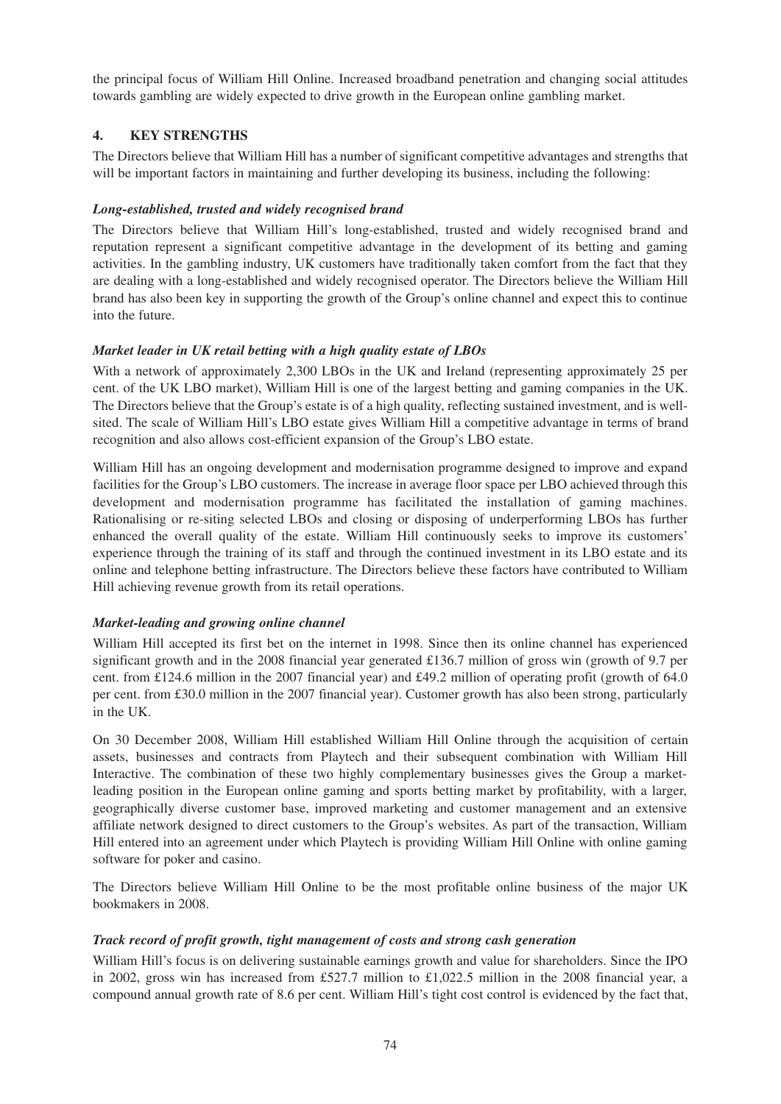the principal focus of William Hill Online. Increased broadband penetration and changing social attitudes towards gambling are widely expected to drive growth in the European online gambling market.

# **4. KEY STRENGTHS**

The Directors believe that William Hill has a number of significant competitive advantages and strengths that will be important factors in maintaining and further developing its business, including the following:

## *Long-established, trusted and widely recognised brand*

The Directors believe that William Hill's long-established, trusted and widely recognised brand and reputation represent a significant competitive advantage in the development of its betting and gaming activities. In the gambling industry, UK customers have traditionally taken comfort from the fact that they are dealing with a long-established and widely recognised operator. The Directors believe the William Hill brand has also been key in supporting the growth of the Group's online channel and expect this to continue into the future.

# *Market leader in UK retail betting with a high quality estate of LBOs*

With a network of approximately 2,300 LBOs in the UK and Ireland (representing approximately 25 per cent. of the UK LBO market), William Hill is one of the largest betting and gaming companies in the UK. The Directors believe that the Group's estate is of a high quality, reflecting sustained investment, and is wellsited. The scale of William Hill's LBO estate gives William Hill a competitive advantage in terms of brand recognition and also allows cost-efficient expansion of the Group's LBO estate.

William Hill has an ongoing development and modernisation programme designed to improve and expand facilities for the Group's LBO customers. The increase in average floor space per LBO achieved through this development and modernisation programme has facilitated the installation of gaming machines. Rationalising or re-siting selected LBOs and closing or disposing of underperforming LBOs has further enhanced the overall quality of the estate. William Hill continuously seeks to improve its customers' experience through the training of its staff and through the continued investment in its LBO estate and its online and telephone betting infrastructure. The Directors believe these factors have contributed to William Hill achieving revenue growth from its retail operations.

# *Market-leading and growing online channel*

William Hill accepted its first bet on the internet in 1998. Since then its online channel has experienced significant growth and in the 2008 financial year generated £136.7 million of gross win (growth of 9.7 per cent. from £124.6 million in the 2007 financial year) and £49.2 million of operating profit (growth of 64.0 per cent. from £30.0 million in the 2007 financial year). Customer growth has also been strong, particularly in the UK.

On 30 December 2008, William Hill established William Hill Online through the acquisition of certain assets, businesses and contracts from Playtech and their subsequent combination with William Hill Interactive. The combination of these two highly complementary businesses gives the Group a marketleading position in the European online gaming and sports betting market by profitability, with a larger, geographically diverse customer base, improved marketing and customer management and an extensive affiliate network designed to direct customers to the Group's websites. As part of the transaction, William Hill entered into an agreement under which Playtech is providing William Hill Online with online gaming software for poker and casino.

The Directors believe William Hill Online to be the most profitable online business of the major UK bookmakers in 2008.

# *Track record of profit growth, tight management of costs and strong cash generation*

William Hill's focus is on delivering sustainable earnings growth and value for shareholders. Since the IPO in 2002, gross win has increased from £527.7 million to £1,022.5 million in the 2008 financial year, a compound annual growth rate of 8.6 per cent. William Hill's tight cost control is evidenced by the fact that,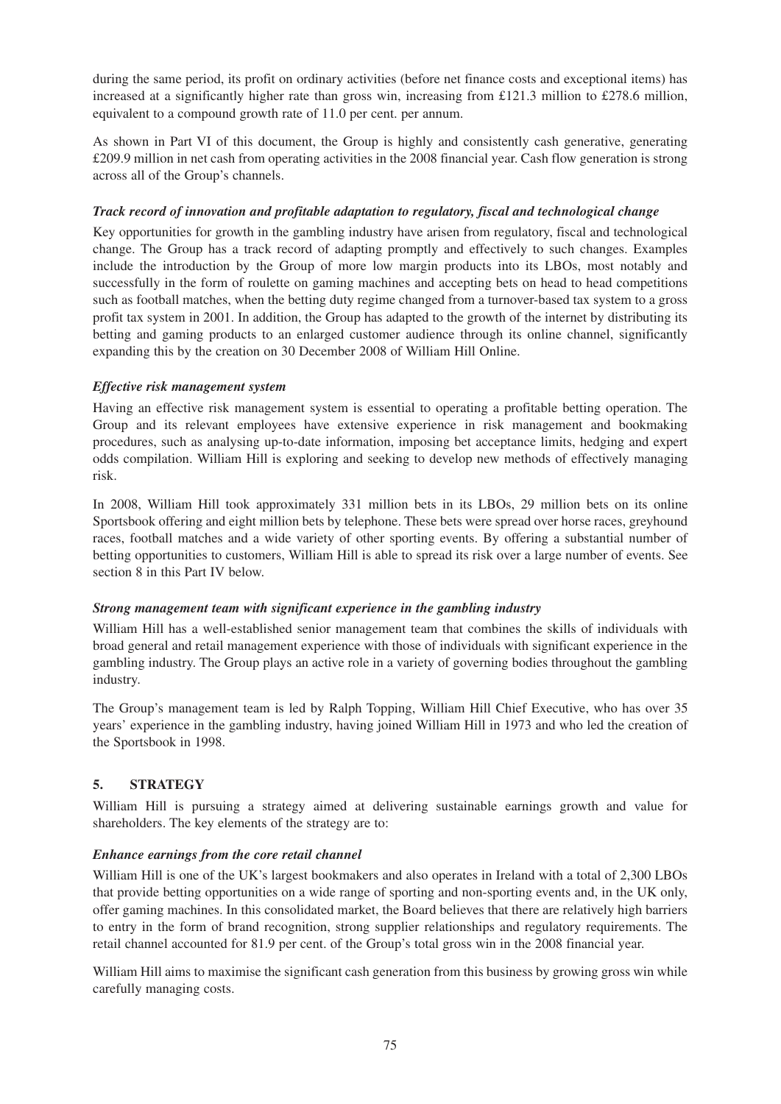during the same period, its profit on ordinary activities (before net finance costs and exceptional items) has increased at a significantly higher rate than gross win, increasing from £121.3 million to £278.6 million, equivalent to a compound growth rate of 11.0 per cent. per annum.

As shown in Part VI of this document, the Group is highly and consistently cash generative, generating £209.9 million in net cash from operating activities in the 2008 financial year. Cash flow generation is strong across all of the Group's channels.

## *Track record of innovation and profitable adaptation to regulatory, fiscal and technological change*

Key opportunities for growth in the gambling industry have arisen from regulatory, fiscal and technological change. The Group has a track record of adapting promptly and effectively to such changes. Examples include the introduction by the Group of more low margin products into its LBOs, most notably and successfully in the form of roulette on gaming machines and accepting bets on head to head competitions such as football matches, when the betting duty regime changed from a turnover-based tax system to a gross profit tax system in 2001. In addition, the Group has adapted to the growth of the internet by distributing its betting and gaming products to an enlarged customer audience through its online channel, significantly expanding this by the creation on 30 December 2008 of William Hill Online.

## *Effective risk management system*

Having an effective risk management system is essential to operating a profitable betting operation. The Group and its relevant employees have extensive experience in risk management and bookmaking procedures, such as analysing up-to-date information, imposing bet acceptance limits, hedging and expert odds compilation. William Hill is exploring and seeking to develop new methods of effectively managing risk.

In 2008, William Hill took approximately 331 million bets in its LBOs, 29 million bets on its online Sportsbook offering and eight million bets by telephone. These bets were spread over horse races, greyhound races, football matches and a wide variety of other sporting events. By offering a substantial number of betting opportunities to customers, William Hill is able to spread its risk over a large number of events. See section 8 in this Part IV below.

### *Strong management team with significant experience in the gambling industry*

William Hill has a well-established senior management team that combines the skills of individuals with broad general and retail management experience with those of individuals with significant experience in the gambling industry. The Group plays an active role in a variety of governing bodies throughout the gambling industry.

The Group's management team is led by Ralph Topping, William Hill Chief Executive, who has over 35 years' experience in the gambling industry, having joined William Hill in 1973 and who led the creation of the Sportsbook in 1998.

# **5. STRATEGY**

William Hill is pursuing a strategy aimed at delivering sustainable earnings growth and value for shareholders. The key elements of the strategy are to:

# *Enhance earnings from the core retail channel*

William Hill is one of the UK's largest bookmakers and also operates in Ireland with a total of 2,300 LBOs that provide betting opportunities on a wide range of sporting and non-sporting events and, in the UK only, offer gaming machines. In this consolidated market, the Board believes that there are relatively high barriers to entry in the form of brand recognition, strong supplier relationships and regulatory requirements. The retail channel accounted for 81.9 per cent. of the Group's total gross win in the 2008 financial year.

William Hill aims to maximise the significant cash generation from this business by growing gross win while carefully managing costs.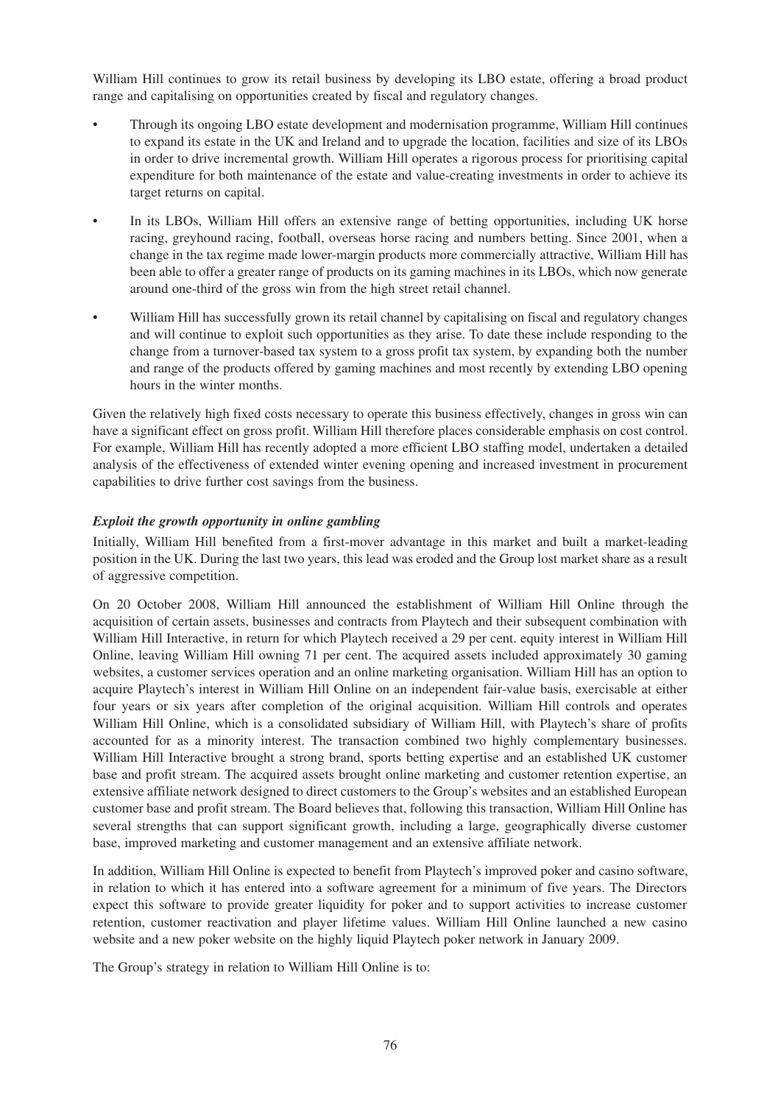William Hill continues to grow its retail business by developing its LBO estate, offering a broad product range and capitalising on opportunities created by fiscal and regulatory changes.

- Through its ongoing LBO estate development and modernisation programme, William Hill continues to expand its estate in the UK and Ireland and to upgrade the location, facilities and size of its LBOs in order to drive incremental growth. William Hill operates a rigorous process for prioritising capital expenditure for both maintenance of the estate and value-creating investments in order to achieve its target returns on capital.
- In its LBOs, William Hill offers an extensive range of betting opportunities, including UK horse racing, greyhound racing, football, overseas horse racing and numbers betting. Since 2001, when a change in the tax regime made lower-margin products more commercially attractive, William Hill has been able to offer a greater range of products on its gaming machines in its LBOs, which now generate around one-third of the gross win from the high street retail channel.
- William Hill has successfully grown its retail channel by capitalising on fiscal and regulatory changes and will continue to exploit such opportunities as they arise. To date these include responding to the change from a turnover-based tax system to a gross profit tax system, by expanding both the number and range of the products offered by gaming machines and most recently by extending LBO opening hours in the winter months.

Given the relatively high fixed costs necessary to operate this business effectively, changes in gross win can have a significant effect on gross profit. William Hill therefore places considerable emphasis on cost control. For example, William Hill has recently adopted a more efficient LBO staffing model, undertaken a detailed analysis of the effectiveness of extended winter evening opening and increased investment in procurement capabilities to drive further cost savings from the business.

## *Exploit the growth opportunity in online gambling*

Initially, William Hill benefited from a first-mover advantage in this market and built a market-leading position in the UK. During the last two years, this lead was eroded and the Group lost market share as a result of aggressive competition.

On 20 October 2008, William Hill announced the establishment of William Hill Online through the acquisition of certain assets, businesses and contracts from Playtech and their subsequent combination with William Hill Interactive, in return for which Playtech received a 29 per cent. equity interest in William Hill Online, leaving William Hill owning 71 per cent. The acquired assets included approximately 30 gaming websites, a customer services operation and an online marketing organisation. William Hill has an option to acquire Playtech's interest in William Hill Online on an independent fair-value basis, exercisable at either four years or six years after completion of the original acquisition. William Hill controls and operates William Hill Online, which is a consolidated subsidiary of William Hill, with Playtech's share of profits accounted for as a minority interest. The transaction combined two highly complementary businesses. William Hill Interactive brought a strong brand, sports betting expertise and an established UK customer base and profit stream. The acquired assets brought online marketing and customer retention expertise, an extensive affiliate network designed to direct customers to the Group's websites and an established European customer base and profit stream. The Board believes that, following this transaction, William Hill Online has several strengths that can support significant growth, including a large, geographically diverse customer base, improved marketing and customer management and an extensive affiliate network.

In addition, William Hill Online is expected to benefit from Playtech's improved poker and casino software, in relation to which it has entered into a software agreement for a minimum of five years. The Directors expect this software to provide greater liquidity for poker and to support activities to increase customer retention, customer reactivation and player lifetime values. William Hill Online launched a new casino website and a new poker website on the highly liquid Playtech poker network in January 2009.

The Group's strategy in relation to William Hill Online is to: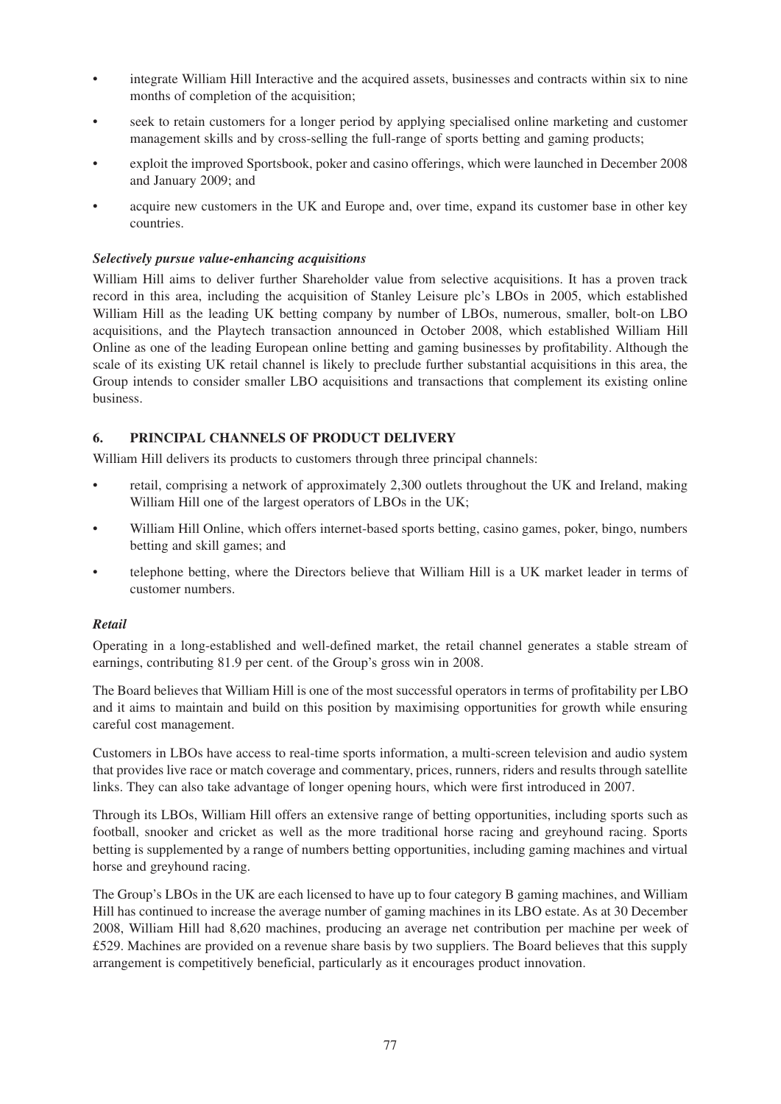- integrate William Hill Interactive and the acquired assets, businesses and contracts within six to nine months of completion of the acquisition;
- seek to retain customers for a longer period by applying specialised online marketing and customer management skills and by cross-selling the full-range of sports betting and gaming products;
- exploit the improved Sportsbook, poker and casino offerings, which were launched in December 2008 and January 2009; and
- acquire new customers in the UK and Europe and, over time, expand its customer base in other key countries.

### *Selectively pursue value-enhancing acquisitions*

William Hill aims to deliver further Shareholder value from selective acquisitions. It has a proven track record in this area, including the acquisition of Stanley Leisure plc's LBOs in 2005, which established William Hill as the leading UK betting company by number of LBOs, numerous, smaller, bolt-on LBO acquisitions, and the Playtech transaction announced in October 2008, which established William Hill Online as one of the leading European online betting and gaming businesses by profitability. Although the scale of its existing UK retail channel is likely to preclude further substantial acquisitions in this area, the Group intends to consider smaller LBO acquisitions and transactions that complement its existing online business.

# **6. PRINCIPAL CHANNELS OF PRODUCT DELIVERY**

William Hill delivers its products to customers through three principal channels:

- retail, comprising a network of approximately 2,300 outlets throughout the UK and Ireland, making William Hill one of the largest operators of LBOs in the UK;
- William Hill Online, which offers internet-based sports betting, casino games, poker, bingo, numbers betting and skill games; and
- telephone betting, where the Directors believe that William Hill is a UK market leader in terms of customer numbers.

### *Retail*

Operating in a long-established and well-defined market, the retail channel generates a stable stream of earnings, contributing 81.9 per cent. of the Group's gross win in 2008.

The Board believes that William Hill is one of the most successful operators in terms of profitability per LBO and it aims to maintain and build on this position by maximising opportunities for growth while ensuring careful cost management.

Customers in LBOs have access to real-time sports information, a multi-screen television and audio system that provides live race or match coverage and commentary, prices, runners, riders and results through satellite links. They can also take advantage of longer opening hours, which were first introduced in 2007.

Through its LBOs, William Hill offers an extensive range of betting opportunities, including sports such as football, snooker and cricket as well as the more traditional horse racing and greyhound racing. Sports betting is supplemented by a range of numbers betting opportunities, including gaming machines and virtual horse and greyhound racing.

The Group's LBOs in the UK are each licensed to have up to four category B gaming machines, and William Hill has continued to increase the average number of gaming machines in its LBO estate. As at 30 December 2008, William Hill had 8,620 machines, producing an average net contribution per machine per week of £529. Machines are provided on a revenue share basis by two suppliers. The Board believes that this supply arrangement is competitively beneficial, particularly as it encourages product innovation.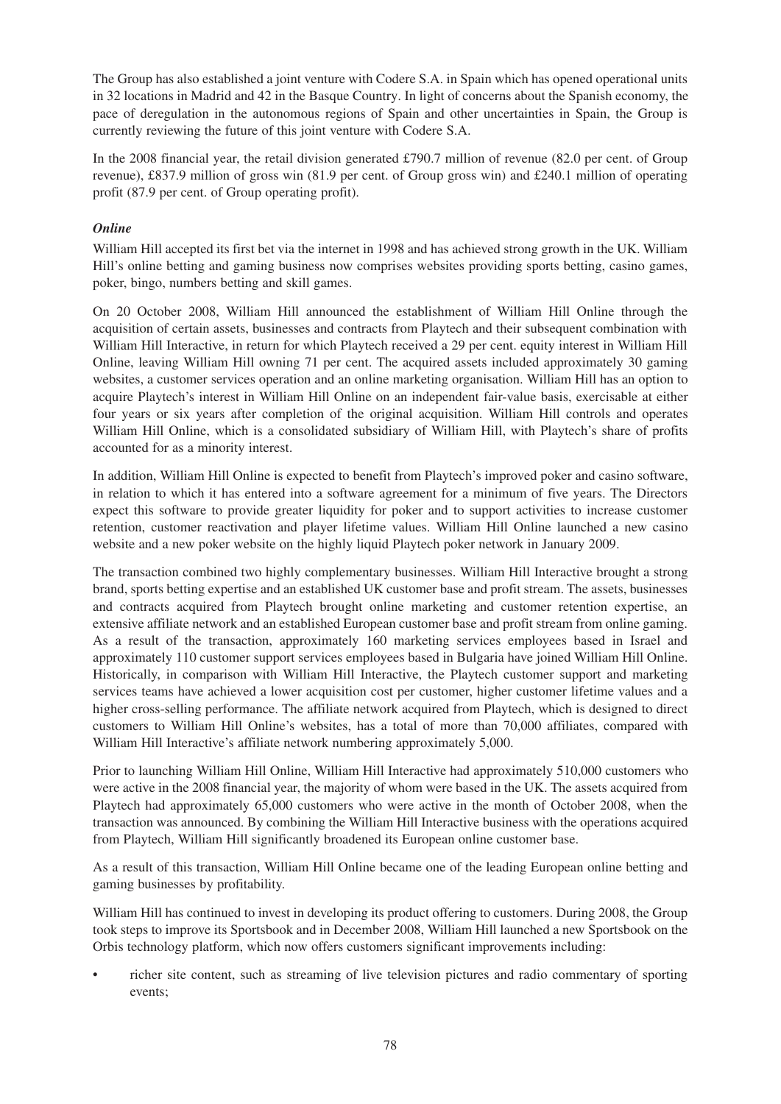The Group has also established a joint venture with Codere S.A. in Spain which has opened operational units in 32 locations in Madrid and 42 in the Basque Country. In light of concerns about the Spanish economy, the pace of deregulation in the autonomous regions of Spain and other uncertainties in Spain, the Group is currently reviewing the future of this joint venture with Codere S.A.

In the 2008 financial year, the retail division generated £790.7 million of revenue (82.0 per cent. of Group revenue), £837.9 million of gross win (81.9 per cent. of Group gross win) and £240.1 million of operating profit (87.9 per cent. of Group operating profit).

## *Online*

William Hill accepted its first bet via the internet in 1998 and has achieved strong growth in the UK. William Hill's online betting and gaming business now comprises websites providing sports betting, casino games, poker, bingo, numbers betting and skill games.

On 20 October 2008, William Hill announced the establishment of William Hill Online through the acquisition of certain assets, businesses and contracts from Playtech and their subsequent combination with William Hill Interactive, in return for which Playtech received a 29 per cent. equity interest in William Hill Online, leaving William Hill owning 71 per cent. The acquired assets included approximately 30 gaming websites, a customer services operation and an online marketing organisation. William Hill has an option to acquire Playtech's interest in William Hill Online on an independent fair-value basis, exercisable at either four years or six years after completion of the original acquisition. William Hill controls and operates William Hill Online, which is a consolidated subsidiary of William Hill, with Playtech's share of profits accounted for as a minority interest.

In addition, William Hill Online is expected to benefit from Playtech's improved poker and casino software, in relation to which it has entered into a software agreement for a minimum of five years. The Directors expect this software to provide greater liquidity for poker and to support activities to increase customer retention, customer reactivation and player lifetime values. William Hill Online launched a new casino website and a new poker website on the highly liquid Playtech poker network in January 2009.

The transaction combined two highly complementary businesses. William Hill Interactive brought a strong brand, sports betting expertise and an established UK customer base and profit stream. The assets, businesses and contracts acquired from Playtech brought online marketing and customer retention expertise, an extensive affiliate network and an established European customer base and profit stream from online gaming. As a result of the transaction, approximately 160 marketing services employees based in Israel and approximately 110 customer support services employees based in Bulgaria have joined William Hill Online. Historically, in comparison with William Hill Interactive, the Playtech customer support and marketing services teams have achieved a lower acquisition cost per customer, higher customer lifetime values and a higher cross-selling performance. The affiliate network acquired from Playtech, which is designed to direct customers to William Hill Online's websites, has a total of more than 70,000 affiliates, compared with William Hill Interactive's affiliate network numbering approximately 5,000.

Prior to launching William Hill Online, William Hill Interactive had approximately 510,000 customers who were active in the 2008 financial year, the majority of whom were based in the UK. The assets acquired from Playtech had approximately 65,000 customers who were active in the month of October 2008, when the transaction was announced. By combining the William Hill Interactive business with the operations acquired from Playtech, William Hill significantly broadened its European online customer base.

As a result of this transaction, William Hill Online became one of the leading European online betting and gaming businesses by profitability.

William Hill has continued to invest in developing its product offering to customers. During 2008, the Group took steps to improve its Sportsbook and in December 2008, William Hill launched a new Sportsbook on the Orbis technology platform, which now offers customers significant improvements including:

• richer site content, such as streaming of live television pictures and radio commentary of sporting events;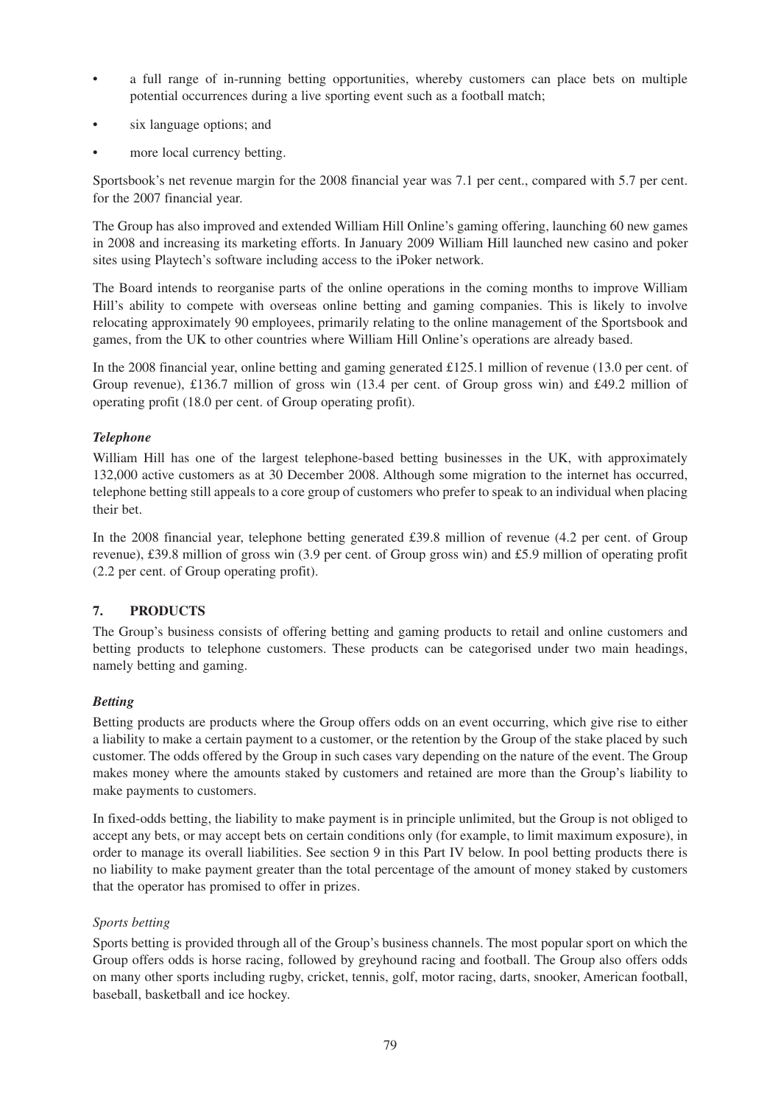- a full range of in-running betting opportunities, whereby customers can place bets on multiple potential occurrences during a live sporting event such as a football match;
- six language options; and
- more local currency betting.

Sportsbook's net revenue margin for the 2008 financial year was 7.1 per cent., compared with 5.7 per cent. for the 2007 financial year.

The Group has also improved and extended William Hill Online's gaming offering, launching 60 new games in 2008 and increasing its marketing efforts. In January 2009 William Hill launched new casino and poker sites using Playtech's software including access to the iPoker network.

The Board intends to reorganise parts of the online operations in the coming months to improve William Hill's ability to compete with overseas online betting and gaming companies. This is likely to involve relocating approximately 90 employees, primarily relating to the online management of the Sportsbook and games, from the UK to other countries where William Hill Online's operations are already based.

In the 2008 financial year, online betting and gaming generated £125.1 million of revenue (13.0 per cent. of Group revenue), £136.7 million of gross win (13.4 per cent. of Group gross win) and £49.2 million of operating profit (18.0 per cent. of Group operating profit).

# *Telephone*

William Hill has one of the largest telephone-based betting businesses in the UK, with approximately 132,000 active customers as at 30 December 2008. Although some migration to the internet has occurred, telephone betting still appeals to a core group of customers who prefer to speak to an individual when placing their bet.

In the 2008 financial year, telephone betting generated £39.8 million of revenue (4.2 per cent. of Group revenue), £39.8 million of gross win (3.9 per cent. of Group gross win) and £5.9 million of operating profit (2.2 per cent. of Group operating profit).

### **7. PRODUCTS**

The Group's business consists of offering betting and gaming products to retail and online customers and betting products to telephone customers. These products can be categorised under two main headings, namely betting and gaming.

### *Betting*

Betting products are products where the Group offers odds on an event occurring, which give rise to either a liability to make a certain payment to a customer, or the retention by the Group of the stake placed by such customer. The odds offered by the Group in such cases vary depending on the nature of the event. The Group makes money where the amounts staked by customers and retained are more than the Group's liability to make payments to customers.

In fixed-odds betting, the liability to make payment is in principle unlimited, but the Group is not obliged to accept any bets, or may accept bets on certain conditions only (for example, to limit maximum exposure), in order to manage its overall liabilities. See section 9 in this Part IV below. In pool betting products there is no liability to make payment greater than the total percentage of the amount of money staked by customers that the operator has promised to offer in prizes.

### *Sports betting*

Sports betting is provided through all of the Group's business channels. The most popular sport on which the Group offers odds is horse racing, followed by greyhound racing and football. The Group also offers odds on many other sports including rugby, cricket, tennis, golf, motor racing, darts, snooker, American football, baseball, basketball and ice hockey.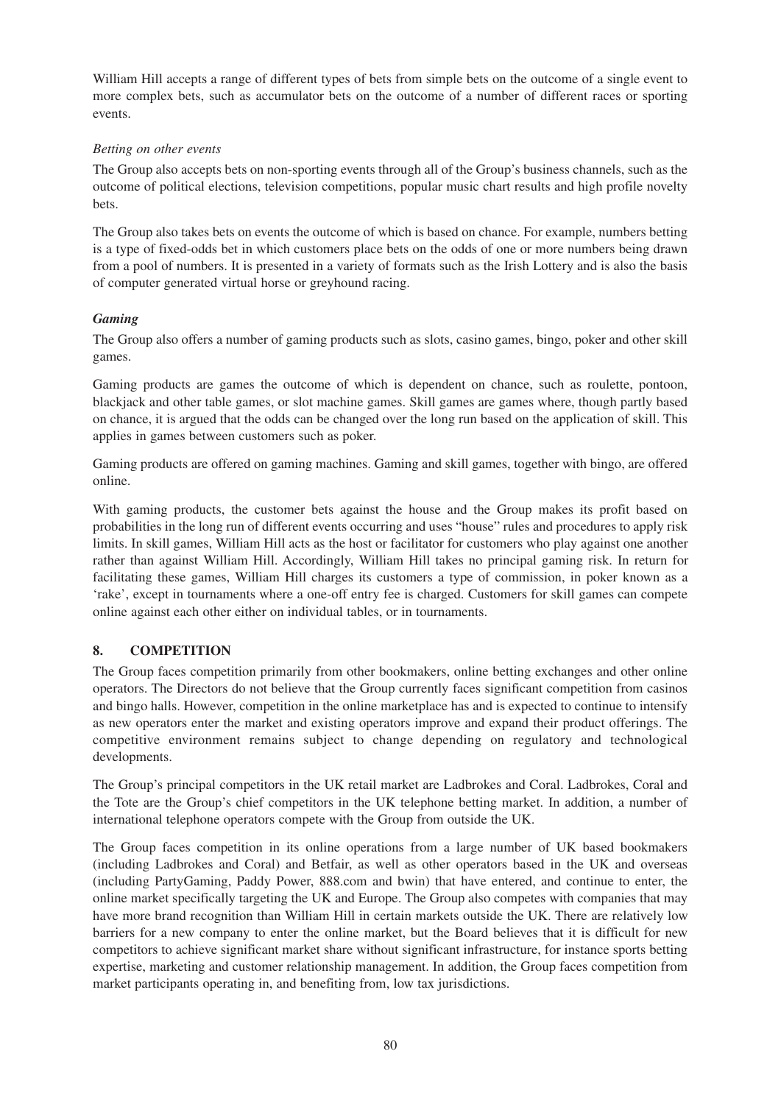William Hill accepts a range of different types of bets from simple bets on the outcome of a single event to more complex bets, such as accumulator bets on the outcome of a number of different races or sporting events.

## *Betting on other events*

The Group also accepts bets on non-sporting events through all of the Group's business channels, such as the outcome of political elections, television competitions, popular music chart results and high profile novelty bets.

The Group also takes bets on events the outcome of which is based on chance. For example, numbers betting is a type of fixed-odds bet in which customers place bets on the odds of one or more numbers being drawn from a pool of numbers. It is presented in a variety of formats such as the Irish Lottery and is also the basis of computer generated virtual horse or greyhound racing.

# *Gaming*

The Group also offers a number of gaming products such as slots, casino games, bingo, poker and other skill games.

Gaming products are games the outcome of which is dependent on chance, such as roulette, pontoon, blackjack and other table games, or slot machine games. Skill games are games where, though partly based on chance, it is argued that the odds can be changed over the long run based on the application of skill. This applies in games between customers such as poker.

Gaming products are offered on gaming machines. Gaming and skill games, together with bingo, are offered online.

With gaming products, the customer bets against the house and the Group makes its profit based on probabilities in the long run of different events occurring and uses "house" rules and procedures to apply risk limits. In skill games, William Hill acts as the host or facilitator for customers who play against one another rather than against William Hill. Accordingly, William Hill takes no principal gaming risk. In return for facilitating these games, William Hill charges its customers a type of commission, in poker known as a 'rake', except in tournaments where a one-off entry fee is charged. Customers for skill games can compete online against each other either on individual tables, or in tournaments.

### **8. COMPETITION**

The Group faces competition primarily from other bookmakers, online betting exchanges and other online operators. The Directors do not believe that the Group currently faces significant competition from casinos and bingo halls. However, competition in the online marketplace has and is expected to continue to intensify as new operators enter the market and existing operators improve and expand their product offerings. The competitive environment remains subject to change depending on regulatory and technological developments.

The Group's principal competitors in the UK retail market are Ladbrokes and Coral. Ladbrokes, Coral and the Tote are the Group's chief competitors in the UK telephone betting market. In addition, a number of international telephone operators compete with the Group from outside the UK.

The Group faces competition in its online operations from a large number of UK based bookmakers (including Ladbrokes and Coral) and Betfair, as well as other operators based in the UK and overseas (including PartyGaming, Paddy Power, 888.com and bwin) that have entered, and continue to enter, the online market specifically targeting the UK and Europe. The Group also competes with companies that may have more brand recognition than William Hill in certain markets outside the UK. There are relatively low barriers for a new company to enter the online market, but the Board believes that it is difficult for new competitors to achieve significant market share without significant infrastructure, for instance sports betting expertise, marketing and customer relationship management. In addition, the Group faces competition from market participants operating in, and benefiting from, low tax jurisdictions.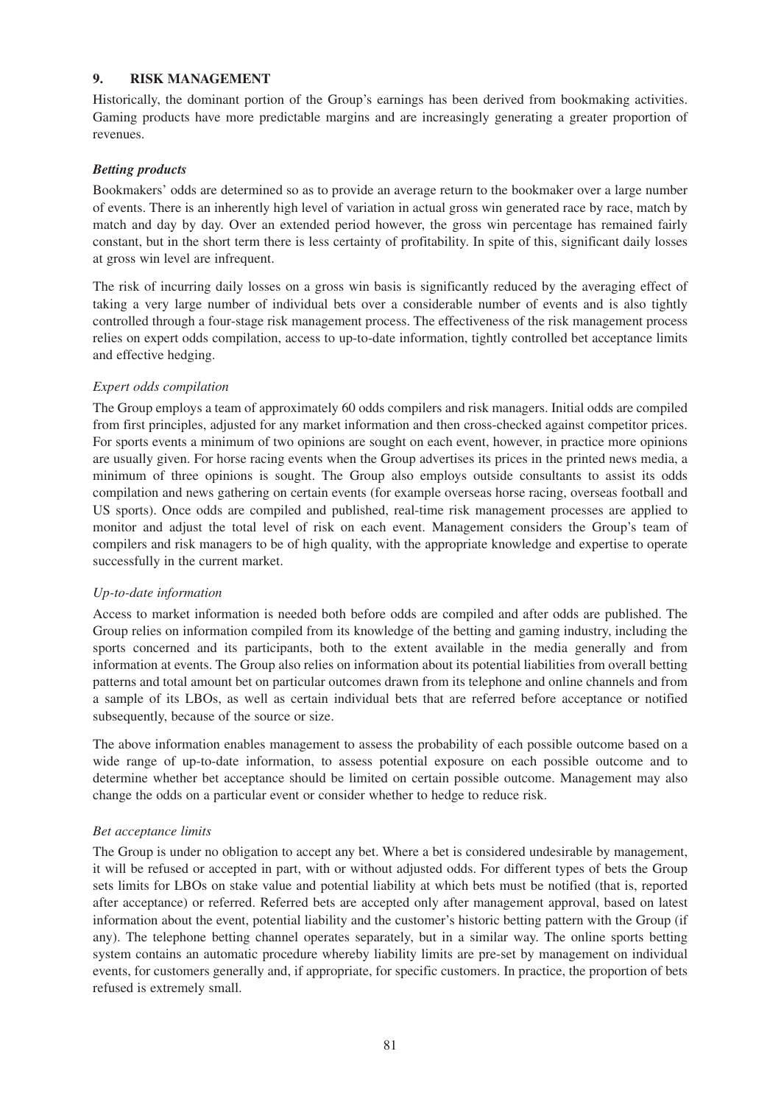### **9. RISK MANAGEMENT**

Historically, the dominant portion of the Group's earnings has been derived from bookmaking activities. Gaming products have more predictable margins and are increasingly generating a greater proportion of revenues.

### *Betting products*

Bookmakers' odds are determined so as to provide an average return to the bookmaker over a large number of events. There is an inherently high level of variation in actual gross win generated race by race, match by match and day by day. Over an extended period however, the gross win percentage has remained fairly constant, but in the short term there is less certainty of profitability. In spite of this, significant daily losses at gross win level are infrequent.

The risk of incurring daily losses on a gross win basis is significantly reduced by the averaging effect of taking a very large number of individual bets over a considerable number of events and is also tightly controlled through a four-stage risk management process. The effectiveness of the risk management process relies on expert odds compilation, access to up-to-date information, tightly controlled bet acceptance limits and effective hedging.

### *Expert odds compilation*

The Group employs a team of approximately 60 odds compilers and risk managers. Initial odds are compiled from first principles, adjusted for any market information and then cross-checked against competitor prices. For sports events a minimum of two opinions are sought on each event, however, in practice more opinions are usually given. For horse racing events when the Group advertises its prices in the printed news media, a minimum of three opinions is sought. The Group also employs outside consultants to assist its odds compilation and news gathering on certain events (for example overseas horse racing, overseas football and US sports). Once odds are compiled and published, real-time risk management processes are applied to monitor and adjust the total level of risk on each event. Management considers the Group's team of compilers and risk managers to be of high quality, with the appropriate knowledge and expertise to operate successfully in the current market.

### *Up-to-date information*

Access to market information is needed both before odds are compiled and after odds are published. The Group relies on information compiled from its knowledge of the betting and gaming industry, including the sports concerned and its participants, both to the extent available in the media generally and from information at events. The Group also relies on information about its potential liabilities from overall betting patterns and total amount bet on particular outcomes drawn from its telephone and online channels and from a sample of its LBOs, as well as certain individual bets that are referred before acceptance or notified subsequently, because of the source or size.

The above information enables management to assess the probability of each possible outcome based on a wide range of up-to-date information, to assess potential exposure on each possible outcome and to determine whether bet acceptance should be limited on certain possible outcome. Management may also change the odds on a particular event or consider whether to hedge to reduce risk.

### *Bet acceptance limits*

The Group is under no obligation to accept any bet. Where a bet is considered undesirable by management, it will be refused or accepted in part, with or without adjusted odds. For different types of bets the Group sets limits for LBOs on stake value and potential liability at which bets must be notified (that is, reported after acceptance) or referred. Referred bets are accepted only after management approval, based on latest information about the event, potential liability and the customer's historic betting pattern with the Group (if any). The telephone betting channel operates separately, but in a similar way. The online sports betting system contains an automatic procedure whereby liability limits are pre-set by management on individual events, for customers generally and, if appropriate, for specific customers. In practice, the proportion of bets refused is extremely small.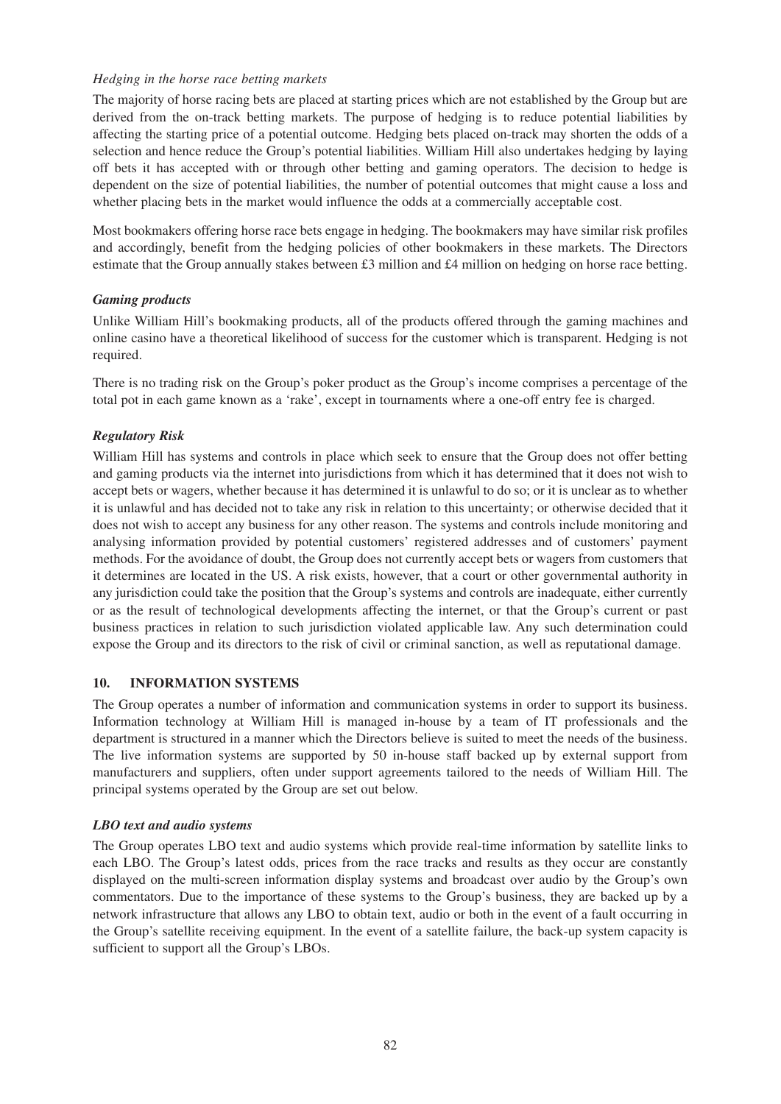### *Hedging in the horse race betting markets*

The majority of horse racing bets are placed at starting prices which are not established by the Group but are derived from the on-track betting markets. The purpose of hedging is to reduce potential liabilities by affecting the starting price of a potential outcome. Hedging bets placed on-track may shorten the odds of a selection and hence reduce the Group's potential liabilities. William Hill also undertakes hedging by laying off bets it has accepted with or through other betting and gaming operators. The decision to hedge is dependent on the size of potential liabilities, the number of potential outcomes that might cause a loss and whether placing bets in the market would influence the odds at a commercially acceptable cost.

Most bookmakers offering horse race bets engage in hedging. The bookmakers may have similar risk profiles and accordingly, benefit from the hedging policies of other bookmakers in these markets. The Directors estimate that the Group annually stakes between £3 million and £4 million on hedging on horse race betting.

### *Gaming products*

Unlike William Hill's bookmaking products, all of the products offered through the gaming machines and online casino have a theoretical likelihood of success for the customer which is transparent. Hedging is not required.

There is no trading risk on the Group's poker product as the Group's income comprises a percentage of the total pot in each game known as a 'rake', except in tournaments where a one-off entry fee is charged.

### *Regulatory Risk*

William Hill has systems and controls in place which seek to ensure that the Group does not offer betting and gaming products via the internet into jurisdictions from which it has determined that it does not wish to accept bets or wagers, whether because it has determined it is unlawful to do so; or it is unclear as to whether it is unlawful and has decided not to take any risk in relation to this uncertainty; or otherwise decided that it does not wish to accept any business for any other reason. The systems and controls include monitoring and analysing information provided by potential customers' registered addresses and of customers' payment methods. For the avoidance of doubt, the Group does not currently accept bets or wagers from customers that it determines are located in the US. A risk exists, however, that a court or other governmental authority in any jurisdiction could take the position that the Group's systems and controls are inadequate, either currently or as the result of technological developments affecting the internet, or that the Group's current or past business practices in relation to such jurisdiction violated applicable law. Any such determination could expose the Group and its directors to the risk of civil or criminal sanction, as well as reputational damage.

### **10. INFORMATION SYSTEMS**

The Group operates a number of information and communication systems in order to support its business. Information technology at William Hill is managed in-house by a team of IT professionals and the department is structured in a manner which the Directors believe is suited to meet the needs of the business. The live information systems are supported by 50 in-house staff backed up by external support from manufacturers and suppliers, often under support agreements tailored to the needs of William Hill. The principal systems operated by the Group are set out below.

### *LBO text and audio systems*

The Group operates LBO text and audio systems which provide real-time information by satellite links to each LBO. The Group's latest odds, prices from the race tracks and results as they occur are constantly displayed on the multi-screen information display systems and broadcast over audio by the Group's own commentators. Due to the importance of these systems to the Group's business, they are backed up by a network infrastructure that allows any LBO to obtain text, audio or both in the event of a fault occurring in the Group's satellite receiving equipment. In the event of a satellite failure, the back-up system capacity is sufficient to support all the Group's LBOs.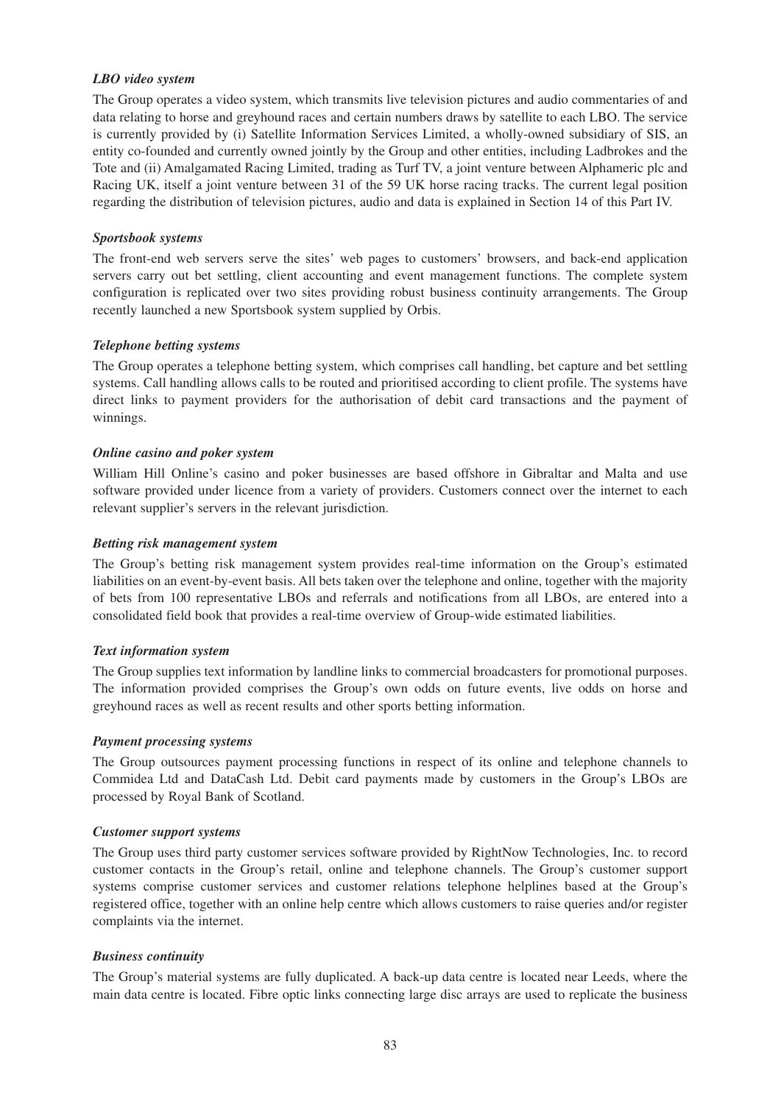### *LBO video system*

The Group operates a video system, which transmits live television pictures and audio commentaries of and data relating to horse and greyhound races and certain numbers draws by satellite to each LBO. The service is currently provided by (i) Satellite Information Services Limited, a wholly-owned subsidiary of SIS, an entity co-founded and currently owned jointly by the Group and other entities, including Ladbrokes and the Tote and (ii) Amalgamated Racing Limited, trading as Turf TV, a joint venture between Alphameric plc and Racing UK, itself a joint venture between 31 of the 59 UK horse racing tracks. The current legal position regarding the distribution of television pictures, audio and data is explained in Section 14 of this Part IV.

### *Sportsbook systems*

The front-end web servers serve the sites' web pages to customers' browsers, and back-end application servers carry out bet settling, client accounting and event management functions. The complete system configuration is replicated over two sites providing robust business continuity arrangements. The Group recently launched a new Sportsbook system supplied by Orbis.

## *Telephone betting systems*

The Group operates a telephone betting system, which comprises call handling, bet capture and bet settling systems. Call handling allows calls to be routed and prioritised according to client profile. The systems have direct links to payment providers for the authorisation of debit card transactions and the payment of winnings.

## *Online casino and poker system*

William Hill Online's casino and poker businesses are based offshore in Gibraltar and Malta and use software provided under licence from a variety of providers. Customers connect over the internet to each relevant supplier's servers in the relevant jurisdiction.

## *Betting risk management system*

The Group's betting risk management system provides real-time information on the Group's estimated liabilities on an event-by-event basis. All bets taken over the telephone and online, together with the majority of bets from 100 representative LBOs and referrals and notifications from all LBOs, are entered into a consolidated field book that provides a real-time overview of Group-wide estimated liabilities.

### *Text information system*

The Group supplies text information by landline links to commercial broadcasters for promotional purposes. The information provided comprises the Group's own odds on future events, live odds on horse and greyhound races as well as recent results and other sports betting information.

### *Payment processing systems*

The Group outsources payment processing functions in respect of its online and telephone channels to Commidea Ltd and DataCash Ltd. Debit card payments made by customers in the Group's LBOs are processed by Royal Bank of Scotland.

### *Customer support systems*

The Group uses third party customer services software provided by RightNow Technologies, Inc. to record customer contacts in the Group's retail, online and telephone channels. The Group's customer support systems comprise customer services and customer relations telephone helplines based at the Group's registered office, together with an online help centre which allows customers to raise queries and/or register complaints via the internet.

### *Business continuity*

The Group's material systems are fully duplicated. A back-up data centre is located near Leeds, where the main data centre is located. Fibre optic links connecting large disc arrays are used to replicate the business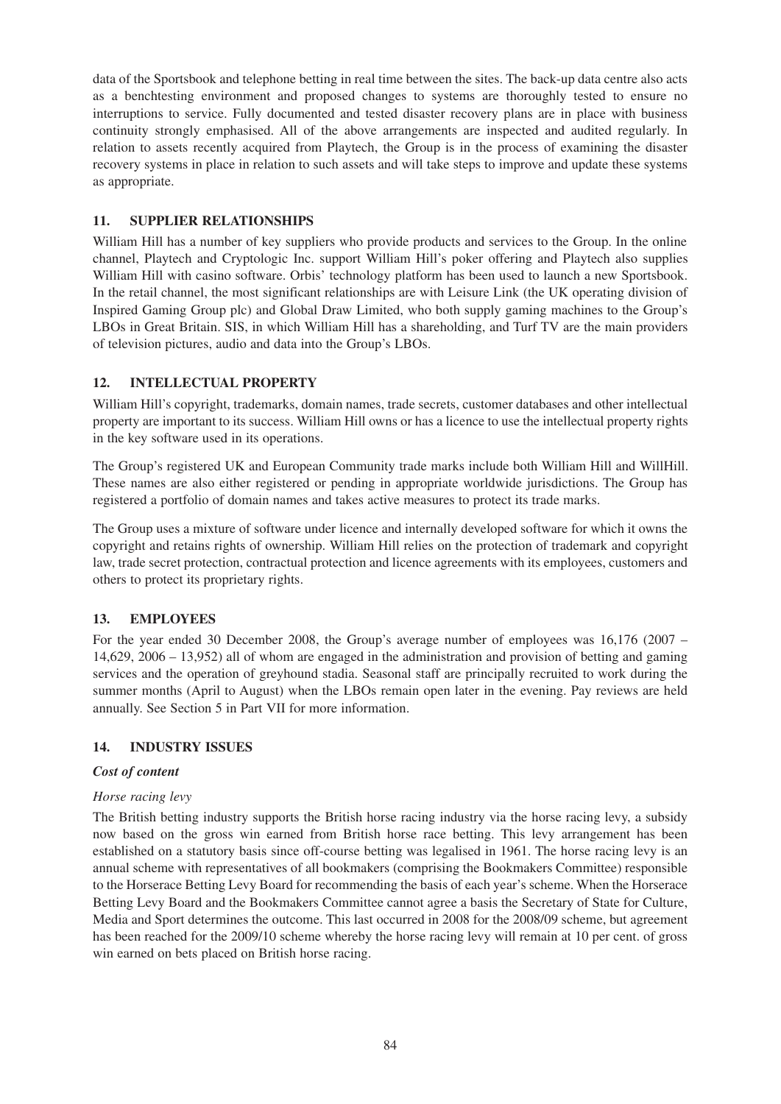data of the Sportsbook and telephone betting in real time between the sites. The back-up data centre also acts as a benchtesting environment and proposed changes to systems are thoroughly tested to ensure no interruptions to service. Fully documented and tested disaster recovery plans are in place with business continuity strongly emphasised. All of the above arrangements are inspected and audited regularly. In relation to assets recently acquired from Playtech, the Group is in the process of examining the disaster recovery systems in place in relation to such assets and will take steps to improve and update these systems as appropriate.

## **11. SUPPLIER RELATIONSHIPS**

William Hill has a number of key suppliers who provide products and services to the Group. In the online channel, Playtech and Cryptologic Inc. support William Hill's poker offering and Playtech also supplies William Hill with casino software. Orbis' technology platform has been used to launch a new Sportsbook. In the retail channel, the most significant relationships are with Leisure Link (the UK operating division of Inspired Gaming Group plc) and Global Draw Limited, who both supply gaming machines to the Group's LBOs in Great Britain. SIS, in which William Hill has a shareholding, and Turf TV are the main providers of television pictures, audio and data into the Group's LBOs.

# **12. INTELLECTUAL PROPERTY**

William Hill's copyright, trademarks, domain names, trade secrets, customer databases and other intellectual property are important to its success. William Hill owns or has a licence to use the intellectual property rights in the key software used in its operations.

The Group's registered UK and European Community trade marks include both William Hill and WillHill. These names are also either registered or pending in appropriate worldwide jurisdictions. The Group has registered a portfolio of domain names and takes active measures to protect its trade marks.

The Group uses a mixture of software under licence and internally developed software for which it owns the copyright and retains rights of ownership. William Hill relies on the protection of trademark and copyright law, trade secret protection, contractual protection and licence agreements with its employees, customers and others to protect its proprietary rights.

# **13. EMPLOYEES**

For the year ended 30 December 2008, the Group's average number of employees was 16,176 (2007 – 14,629, 2006 – 13,952) all of whom are engaged in the administration and provision of betting and gaming services and the operation of greyhound stadia. Seasonal staff are principally recruited to work during the summer months (April to August) when the LBOs remain open later in the evening. Pay reviews are held annually. See Section 5 in Part VII for more information.

### **14. INDUSTRY ISSUES**

### *Cost of content*

### *Horse racing levy*

The British betting industry supports the British horse racing industry via the horse racing levy, a subsidy now based on the gross win earned from British horse race betting. This levy arrangement has been established on a statutory basis since off-course betting was legalised in 1961. The horse racing levy is an annual scheme with representatives of all bookmakers (comprising the Bookmakers Committee) responsible to the Horserace Betting Levy Board for recommending the basis of each year's scheme. When the Horserace Betting Levy Board and the Bookmakers Committee cannot agree a basis the Secretary of State for Culture, Media and Sport determines the outcome. This last occurred in 2008 for the 2008/09 scheme, but agreement has been reached for the 2009/10 scheme whereby the horse racing levy will remain at 10 per cent. of gross win earned on bets placed on British horse racing.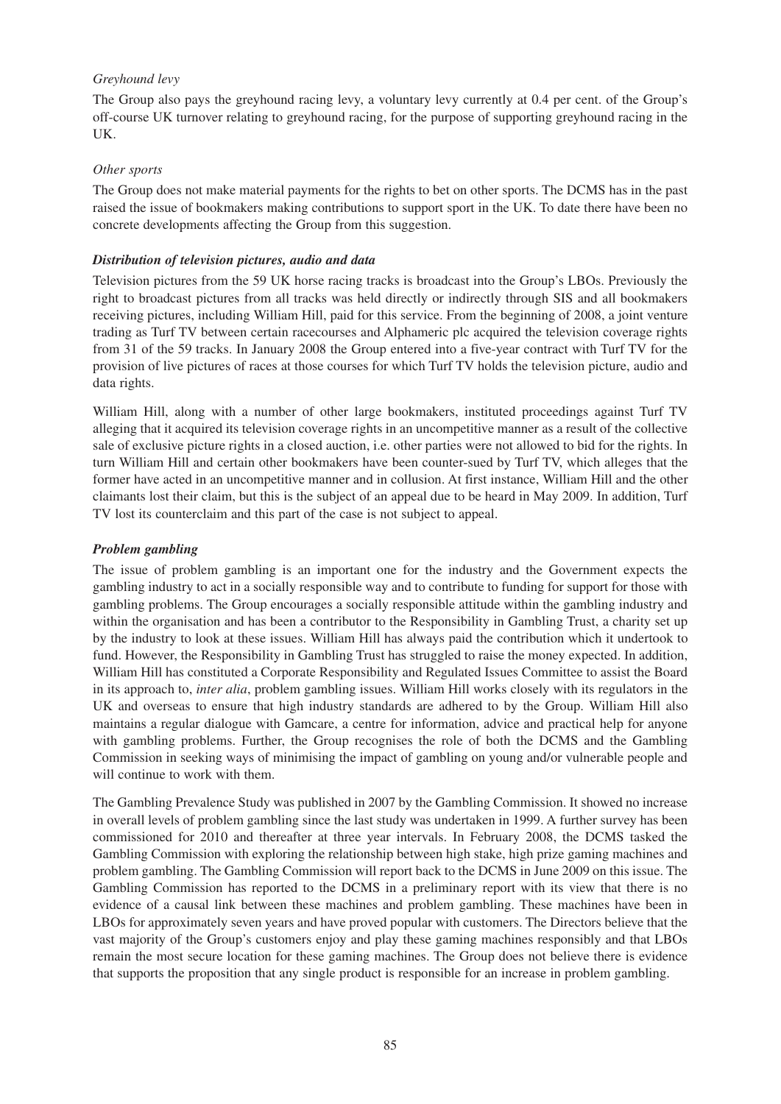### *Greyhound levy*

The Group also pays the greyhound racing levy, a voluntary levy currently at 0.4 per cent. of the Group's off-course UK turnover relating to greyhound racing, for the purpose of supporting greyhound racing in the UK.

### *Other sports*

The Group does not make material payments for the rights to bet on other sports. The DCMS has in the past raised the issue of bookmakers making contributions to support sport in the UK. To date there have been no concrete developments affecting the Group from this suggestion.

### *Distribution of television pictures, audio and data*

Television pictures from the 59 UK horse racing tracks is broadcast into the Group's LBOs. Previously the right to broadcast pictures from all tracks was held directly or indirectly through SIS and all bookmakers receiving pictures, including William Hill, paid for this service. From the beginning of 2008, a joint venture trading as Turf TV between certain racecourses and Alphameric plc acquired the television coverage rights from 31 of the 59 tracks. In January 2008 the Group entered into a five-year contract with Turf TV for the provision of live pictures of races at those courses for which Turf TV holds the television picture, audio and data rights.

William Hill, along with a number of other large bookmakers, instituted proceedings against Turf TV alleging that it acquired its television coverage rights in an uncompetitive manner as a result of the collective sale of exclusive picture rights in a closed auction, i.e. other parties were not allowed to bid for the rights. In turn William Hill and certain other bookmakers have been counter-sued by Turf TV, which alleges that the former have acted in an uncompetitive manner and in collusion. At first instance, William Hill and the other claimants lost their claim, but this is the subject of an appeal due to be heard in May 2009. In addition, Turf TV lost its counterclaim and this part of the case is not subject to appeal.

### *Problem gambling*

The issue of problem gambling is an important one for the industry and the Government expects the gambling industry to act in a socially responsible way and to contribute to funding for support for those with gambling problems. The Group encourages a socially responsible attitude within the gambling industry and within the organisation and has been a contributor to the Responsibility in Gambling Trust, a charity set up by the industry to look at these issues. William Hill has always paid the contribution which it undertook to fund. However, the Responsibility in Gambling Trust has struggled to raise the money expected. In addition, William Hill has constituted a Corporate Responsibility and Regulated Issues Committee to assist the Board in its approach to, *inter alia*, problem gambling issues. William Hill works closely with its regulators in the UK and overseas to ensure that high industry standards are adhered to by the Group. William Hill also maintains a regular dialogue with Gamcare, a centre for information, advice and practical help for anyone with gambling problems. Further, the Group recognises the role of both the DCMS and the Gambling Commission in seeking ways of minimising the impact of gambling on young and/or vulnerable people and will continue to work with them.

The Gambling Prevalence Study was published in 2007 by the Gambling Commission. It showed no increase in overall levels of problem gambling since the last study was undertaken in 1999. A further survey has been commissioned for 2010 and thereafter at three year intervals. In February 2008, the DCMS tasked the Gambling Commission with exploring the relationship between high stake, high prize gaming machines and problem gambling. The Gambling Commission will report back to the DCMS in June 2009 on this issue. The Gambling Commission has reported to the DCMS in a preliminary report with its view that there is no evidence of a causal link between these machines and problem gambling. These machines have been in LBOs for approximately seven years and have proved popular with customers. The Directors believe that the vast majority of the Group's customers enjoy and play these gaming machines responsibly and that LBOs remain the most secure location for these gaming machines. The Group does not believe there is evidence that supports the proposition that any single product is responsible for an increase in problem gambling.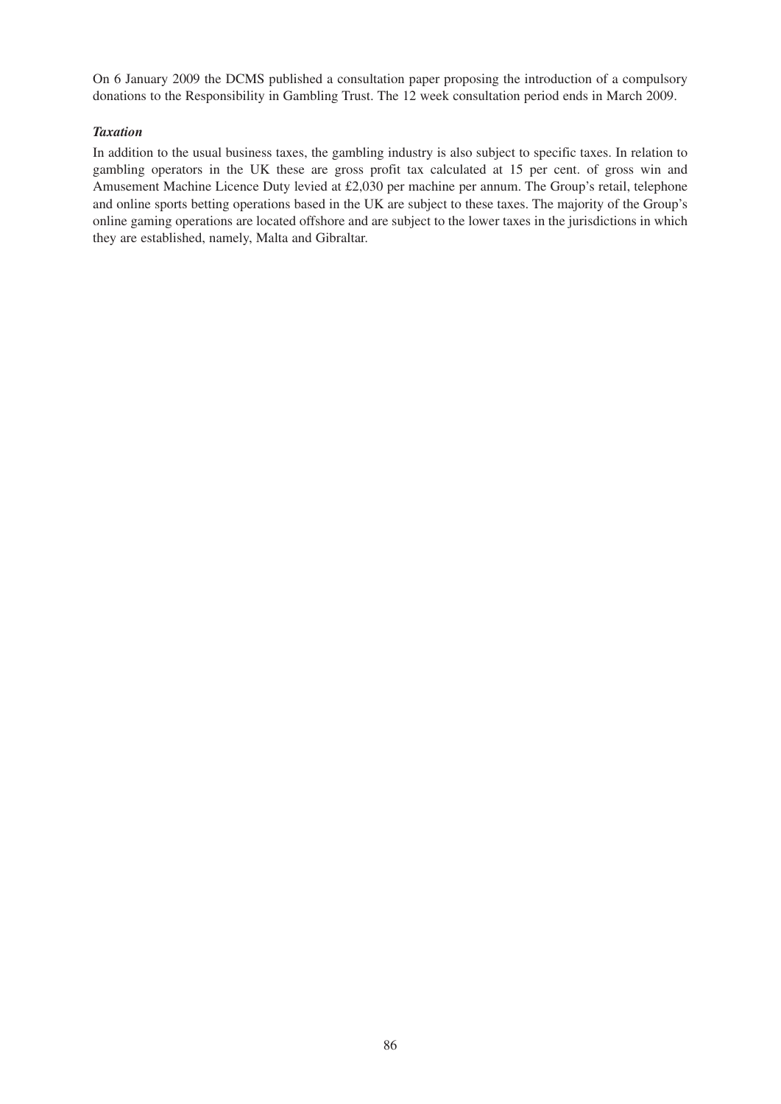On 6 January 2009 the DCMS published a consultation paper proposing the introduction of a compulsory donations to the Responsibility in Gambling Trust. The 12 week consultation period ends in March 2009.

### *Taxation*

In addition to the usual business taxes, the gambling industry is also subject to specific taxes. In relation to gambling operators in the UK these are gross profit tax calculated at 15 per cent. of gross win and Amusement Machine Licence Duty levied at £2,030 per machine per annum. The Group's retail, telephone and online sports betting operations based in the UK are subject to these taxes. The majority of the Group's online gaming operations are located offshore and are subject to the lower taxes in the jurisdictions in which they are established, namely, Malta and Gibraltar.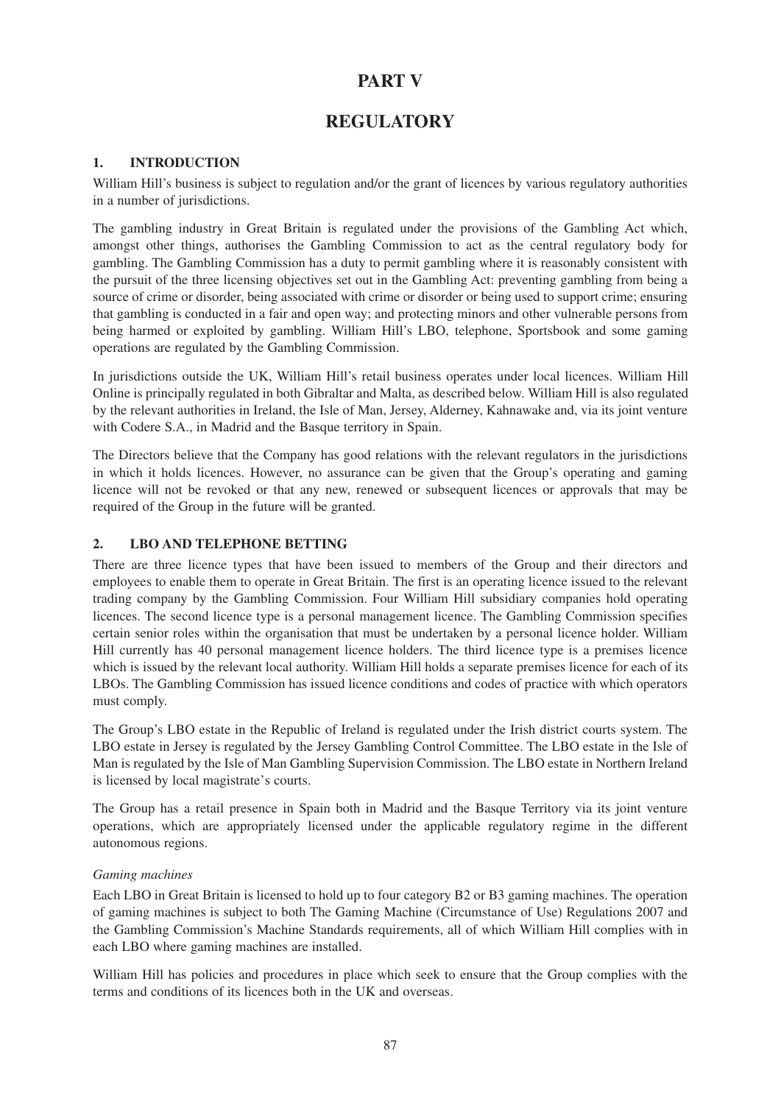# **PART V**

# **REGULATORY**

## **1. INTRODUCTION**

William Hill's business is subject to regulation and/or the grant of licences by various regulatory authorities in a number of jurisdictions.

The gambling industry in Great Britain is regulated under the provisions of the Gambling Act which, amongst other things, authorises the Gambling Commission to act as the central regulatory body for gambling. The Gambling Commission has a duty to permit gambling where it is reasonably consistent with the pursuit of the three licensing objectives set out in the Gambling Act: preventing gambling from being a source of crime or disorder, being associated with crime or disorder or being used to support crime; ensuring that gambling is conducted in a fair and open way; and protecting minors and other vulnerable persons from being harmed or exploited by gambling. William Hill's LBO, telephone, Sportsbook and some gaming operations are regulated by the Gambling Commission.

In jurisdictions outside the UK, William Hill's retail business operates under local licences. William Hill Online is principally regulated in both Gibraltar and Malta, as described below. William Hill is also regulated by the relevant authorities in Ireland, the Isle of Man, Jersey, Alderney, Kahnawake and, via its joint venture with Codere S.A., in Madrid and the Basque territory in Spain.

The Directors believe that the Company has good relations with the relevant regulators in the jurisdictions in which it holds licences. However, no assurance can be given that the Group's operating and gaming licence will not be revoked or that any new, renewed or subsequent licences or approvals that may be required of the Group in the future will be granted.

## **2. LBO AND TELEPHONE BETTING**

There are three licence types that have been issued to members of the Group and their directors and employees to enable them to operate in Great Britain. The first is an operating licence issued to the relevant trading company by the Gambling Commission. Four William Hill subsidiary companies hold operating licences. The second licence type is a personal management licence. The Gambling Commission specifies certain senior roles within the organisation that must be undertaken by a personal licence holder. William Hill currently has 40 personal management licence holders. The third licence type is a premises licence which is issued by the relevant local authority. William Hill holds a separate premises licence for each of its LBOs. The Gambling Commission has issued licence conditions and codes of practice with which operators must comply.

The Group's LBO estate in the Republic of Ireland is regulated under the Irish district courts system. The LBO estate in Jersey is regulated by the Jersey Gambling Control Committee. The LBO estate in the Isle of Man is regulated by the Isle of Man Gambling Supervision Commission. The LBO estate in Northern Ireland is licensed by local magistrate's courts.

The Group has a retail presence in Spain both in Madrid and the Basque Territory via its joint venture operations, which are appropriately licensed under the applicable regulatory regime in the different autonomous regions.

### *Gaming machines*

Each LBO in Great Britain is licensed to hold up to four category B2 or B3 gaming machines. The operation of gaming machines is subject to both The Gaming Machine (Circumstance of Use) Regulations 2007 and the Gambling Commission's Machine Standards requirements, all of which William Hill complies with in each LBO where gaming machines are installed.

William Hill has policies and procedures in place which seek to ensure that the Group complies with the terms and conditions of its licences both in the UK and overseas.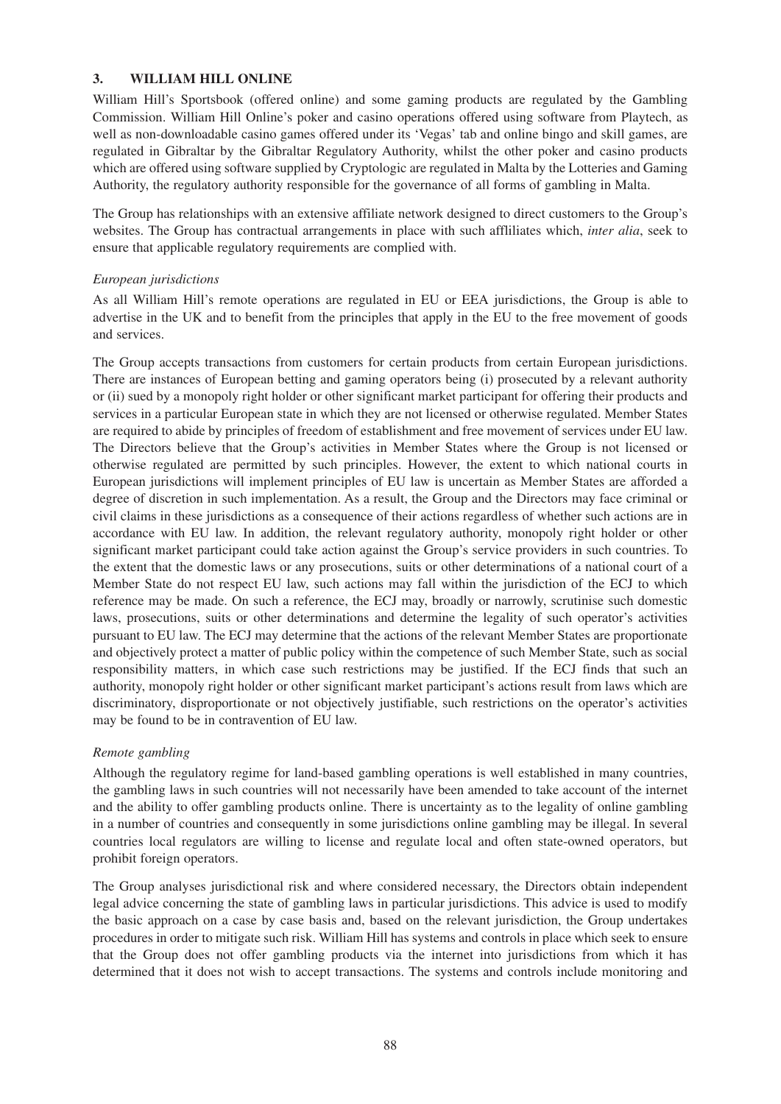### **3. WILLIAM HILL ONLINE**

William Hill's Sportsbook (offered online) and some gaming products are regulated by the Gambling Commission. William Hill Online's poker and casino operations offered using software from Playtech, as well as non-downloadable casino games offered under its 'Vegas' tab and online bingo and skill games, are regulated in Gibraltar by the Gibraltar Regulatory Authority, whilst the other poker and casino products which are offered using software supplied by Cryptologic are regulated in Malta by the Lotteries and Gaming Authority, the regulatory authority responsible for the governance of all forms of gambling in Malta.

The Group has relationships with an extensive affiliate network designed to direct customers to the Group's websites. The Group has contractual arrangements in place with such affliliates which, *inter alia*, seek to ensure that applicable regulatory requirements are complied with.

### *European jurisdictions*

As all William Hill's remote operations are regulated in EU or EEA jurisdictions, the Group is able to advertise in the UK and to benefit from the principles that apply in the EU to the free movement of goods and services.

The Group accepts transactions from customers for certain products from certain European jurisdictions. There are instances of European betting and gaming operators being (i) prosecuted by a relevant authority or (ii) sued by a monopoly right holder or other significant market participant for offering their products and services in a particular European state in which they are not licensed or otherwise regulated. Member States are required to abide by principles of freedom of establishment and free movement of services under EU law. The Directors believe that the Group's activities in Member States where the Group is not licensed or otherwise regulated are permitted by such principles. However, the extent to which national courts in European jurisdictions will implement principles of EU law is uncertain as Member States are afforded a degree of discretion in such implementation. As a result, the Group and the Directors may face criminal or civil claims in these jurisdictions as a consequence of their actions regardless of whether such actions are in accordance with EU law. In addition, the relevant regulatory authority, monopoly right holder or other significant market participant could take action against the Group's service providers in such countries. To the extent that the domestic laws or any prosecutions, suits or other determinations of a national court of a Member State do not respect EU law, such actions may fall within the jurisdiction of the ECJ to which reference may be made. On such a reference, the ECJ may, broadly or narrowly, scrutinise such domestic laws, prosecutions, suits or other determinations and determine the legality of such operator's activities pursuant to EU law. The ECJ may determine that the actions of the relevant Member States are proportionate and objectively protect a matter of public policy within the competence of such Member State, such as social responsibility matters, in which case such restrictions may be justified. If the ECJ finds that such an authority, monopoly right holder or other significant market participant's actions result from laws which are discriminatory, disproportionate or not objectively justifiable, such restrictions on the operator's activities may be found to be in contravention of EU law.

### *Remote gambling*

Although the regulatory regime for land-based gambling operations is well established in many countries, the gambling laws in such countries will not necessarily have been amended to take account of the internet and the ability to offer gambling products online. There is uncertainty as to the legality of online gambling in a number of countries and consequently in some jurisdictions online gambling may be illegal. In several countries local regulators are willing to license and regulate local and often state-owned operators, but prohibit foreign operators.

The Group analyses jurisdictional risk and where considered necessary, the Directors obtain independent legal advice concerning the state of gambling laws in particular jurisdictions. This advice is used to modify the basic approach on a case by case basis and, based on the relevant jurisdiction, the Group undertakes procedures in order to mitigate such risk. William Hill has systems and controls in place which seek to ensure that the Group does not offer gambling products via the internet into jurisdictions from which it has determined that it does not wish to accept transactions. The systems and controls include monitoring and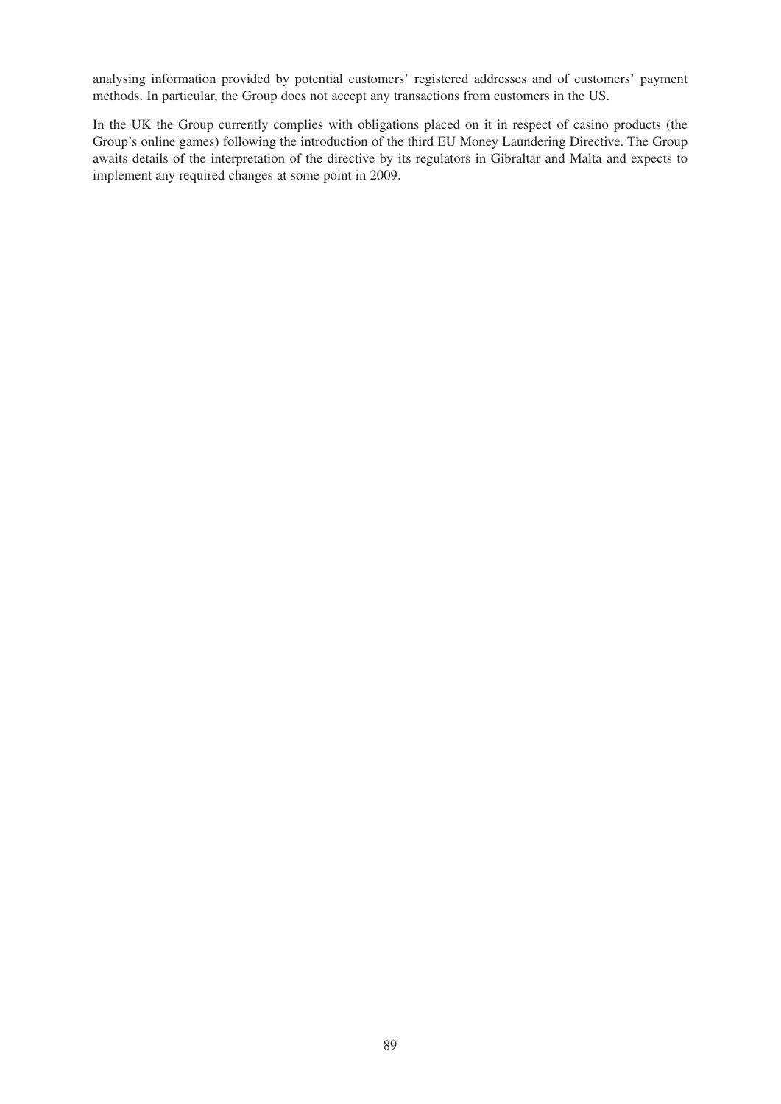analysing information provided by potential customers' registered addresses and of customers' payment methods. In particular, the Group does not accept any transactions from customers in the US.

In the UK the Group currently complies with obligations placed on it in respect of casino products (the Group's online games) following the introduction of the third EU Money Laundering Directive. The Group awaits details of the interpretation of the directive by its regulators in Gibraltar and Malta and expects to implement any required changes at some point in 2009.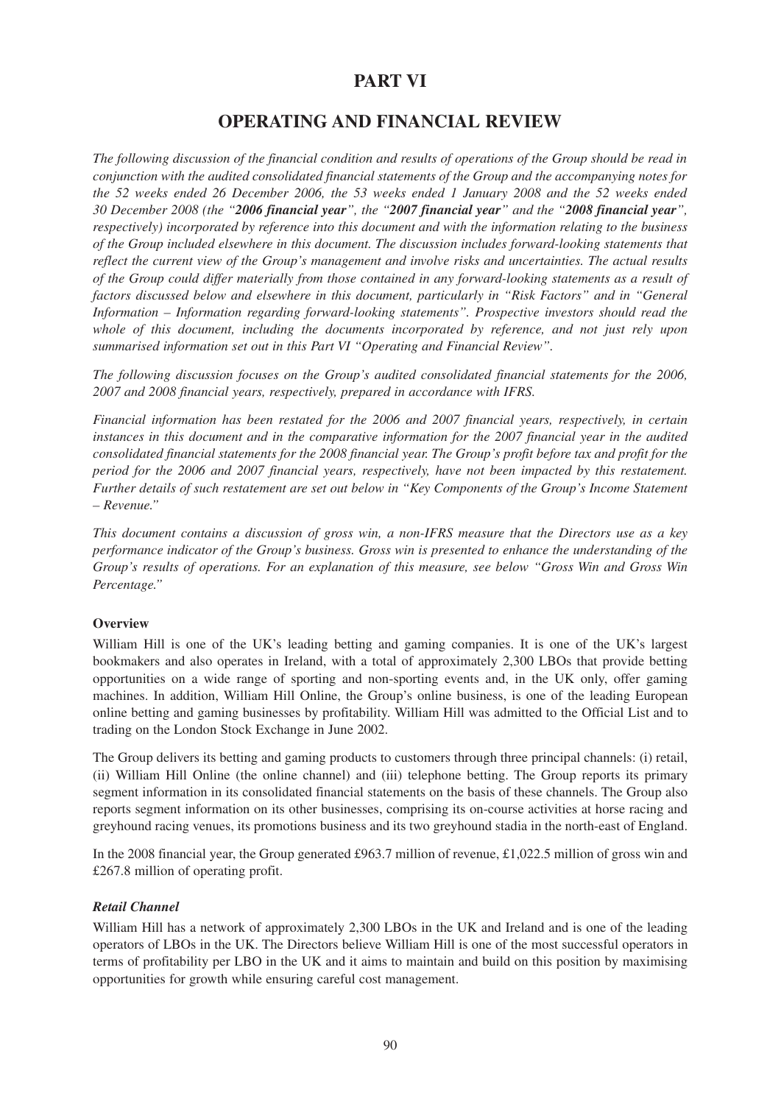# **PART VI**

# **OPERATING AND FINANCIAL REVIEW**

*The following discussion of the financial condition and results of operations of the Group should be read in conjunction with the audited consolidated financial statements of the Group and the accompanying notes for the 52 weeks ended 26 December 2006, the 53 weeks ended 1 January 2008 and the 52 weeks ended 30 December 2008 (the "2006 financial year", the "2007 financial year" and the "2008 financial year", respectively) incorporated by reference into this document and with the information relating to the business of the Group included elsewhere in this document. The discussion includes forward-looking statements that reflect the current view of the Group's management and involve risks and uncertainties. The actual results of the Group could differ materially from those contained in any forward-looking statements as a result of factors discussed below and elsewhere in this document, particularly in "Risk Factors" and in "General Information – Information regarding forward-looking statements". Prospective investors should read the whole of this document, including the documents incorporated by reference, and not just rely upon summarised information set out in this Part VI "Operating and Financial Review".*

*The following discussion focuses on the Group's audited consolidated financial statements for the 2006, 2007 and 2008 financial years, respectively, prepared in accordance with IFRS.*

*Financial information has been restated for the 2006 and 2007 financial years, respectively, in certain instances in this document and in the comparative information for the 2007 financial year in the audited consolidated financial statements for the 2008 financial year. The Group's profit before tax and profit for the period for the 2006 and 2007 financial years, respectively, have not been impacted by this restatement. Further details of such restatement are set out below in "Key Components of the Group's Income Statement – Revenue."*

*This document contains a discussion of gross win, a non-IFRS measure that the Directors use as a key performance indicator of the Group's business. Gross win is presented to enhance the understanding of the Group's results of operations. For an explanation of this measure, see below "Gross Win and Gross Win Percentage."*

### **Overview**

William Hill is one of the UK's leading betting and gaming companies. It is one of the UK's largest bookmakers and also operates in Ireland, with a total of approximately 2,300 LBOs that provide betting opportunities on a wide range of sporting and non-sporting events and, in the UK only, offer gaming machines. In addition, William Hill Online, the Group's online business, is one of the leading European online betting and gaming businesses by profitability. William Hill was admitted to the Official List and to trading on the London Stock Exchange in June 2002.

The Group delivers its betting and gaming products to customers through three principal channels: (i) retail, (ii) William Hill Online (the online channel) and (iii) telephone betting. The Group reports its primary segment information in its consolidated financial statements on the basis of these channels. The Group also reports segment information on its other businesses, comprising its on-course activities at horse racing and greyhound racing venues, its promotions business and its two greyhound stadia in the north-east of England.

In the 2008 financial year, the Group generated £963.7 million of revenue, £1,022.5 million of gross win and £267.8 million of operating profit.

# *Retail Channel*

William Hill has a network of approximately 2,300 LBOs in the UK and Ireland and is one of the leading operators of LBOs in the UK. The Directors believe William Hill is one of the most successful operators in terms of profitability per LBO in the UK and it aims to maintain and build on this position by maximising opportunities for growth while ensuring careful cost management.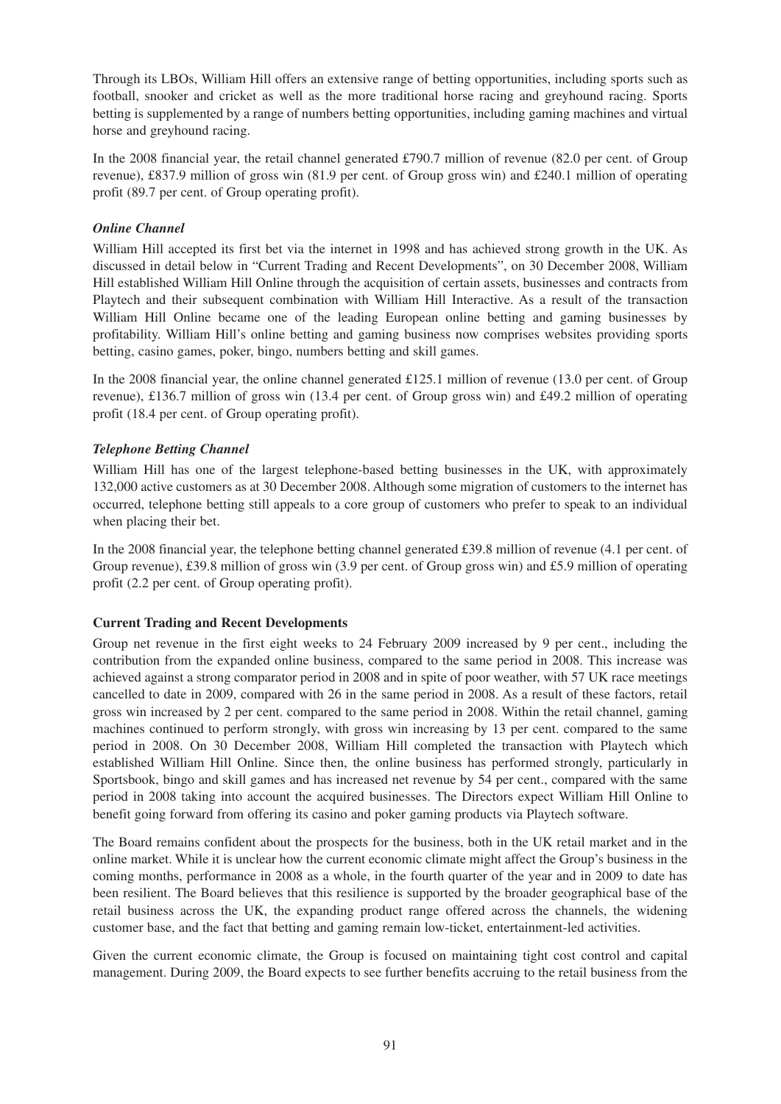Through its LBOs, William Hill offers an extensive range of betting opportunities, including sports such as football, snooker and cricket as well as the more traditional horse racing and greyhound racing. Sports betting is supplemented by a range of numbers betting opportunities, including gaming machines and virtual horse and greyhound racing.

In the 2008 financial year, the retail channel generated £790.7 million of revenue (82.0 per cent. of Group revenue), £837.9 million of gross win (81.9 per cent. of Group gross win) and £240.1 million of operating profit (89.7 per cent. of Group operating profit).

### *Online Channel*

William Hill accepted its first bet via the internet in 1998 and has achieved strong growth in the UK. As discussed in detail below in "Current Trading and Recent Developments", on 30 December 2008, William Hill established William Hill Online through the acquisition of certain assets, businesses and contracts from Playtech and their subsequent combination with William Hill Interactive. As a result of the transaction William Hill Online became one of the leading European online betting and gaming businesses by profitability. William Hill's online betting and gaming business now comprises websites providing sports betting, casino games, poker, bingo, numbers betting and skill games.

In the 2008 financial year, the online channel generated £125.1 million of revenue (13.0 per cent. of Group revenue), £136.7 million of gross win (13.4 per cent. of Group gross win) and £49.2 million of operating profit (18.4 per cent. of Group operating profit).

## *Telephone Betting Channel*

William Hill has one of the largest telephone-based betting businesses in the UK, with approximately 132,000 active customers as at 30 December 2008. Although some migration of customers to the internet has occurred, telephone betting still appeals to a core group of customers who prefer to speak to an individual when placing their bet.

In the 2008 financial year, the telephone betting channel generated £39.8 million of revenue (4.1 per cent. of Group revenue), £39.8 million of gross win (3.9 per cent. of Group gross win) and £5.9 million of operating profit (2.2 per cent. of Group operating profit).

### **Current Trading and Recent Developments**

Group net revenue in the first eight weeks to 24 February 2009 increased by 9 per cent., including the contribution from the expanded online business, compared to the same period in 2008. This increase was achieved against a strong comparator period in 2008 and in spite of poor weather, with 57 UK race meetings cancelled to date in 2009, compared with 26 in the same period in 2008. As a result of these factors, retail gross win increased by 2 per cent. compared to the same period in 2008. Within the retail channel, gaming machines continued to perform strongly, with gross win increasing by 13 per cent. compared to the same period in 2008. On 30 December 2008, William Hill completed the transaction with Playtech which established William Hill Online. Since then, the online business has performed strongly, particularly in Sportsbook, bingo and skill games and has increased net revenue by 54 per cent., compared with the same period in 2008 taking into account the acquired businesses. The Directors expect William Hill Online to benefit going forward from offering its casino and poker gaming products via Playtech software.

The Board remains confident about the prospects for the business, both in the UK retail market and in the online market. While it is unclear how the current economic climate might affect the Group's business in the coming months, performance in 2008 as a whole, in the fourth quarter of the year and in 2009 to date has been resilient. The Board believes that this resilience is supported by the broader geographical base of the retail business across the UK, the expanding product range offered across the channels, the widening customer base, and the fact that betting and gaming remain low-ticket, entertainment-led activities.

Given the current economic climate, the Group is focused on maintaining tight cost control and capital management. During 2009, the Board expects to see further benefits accruing to the retail business from the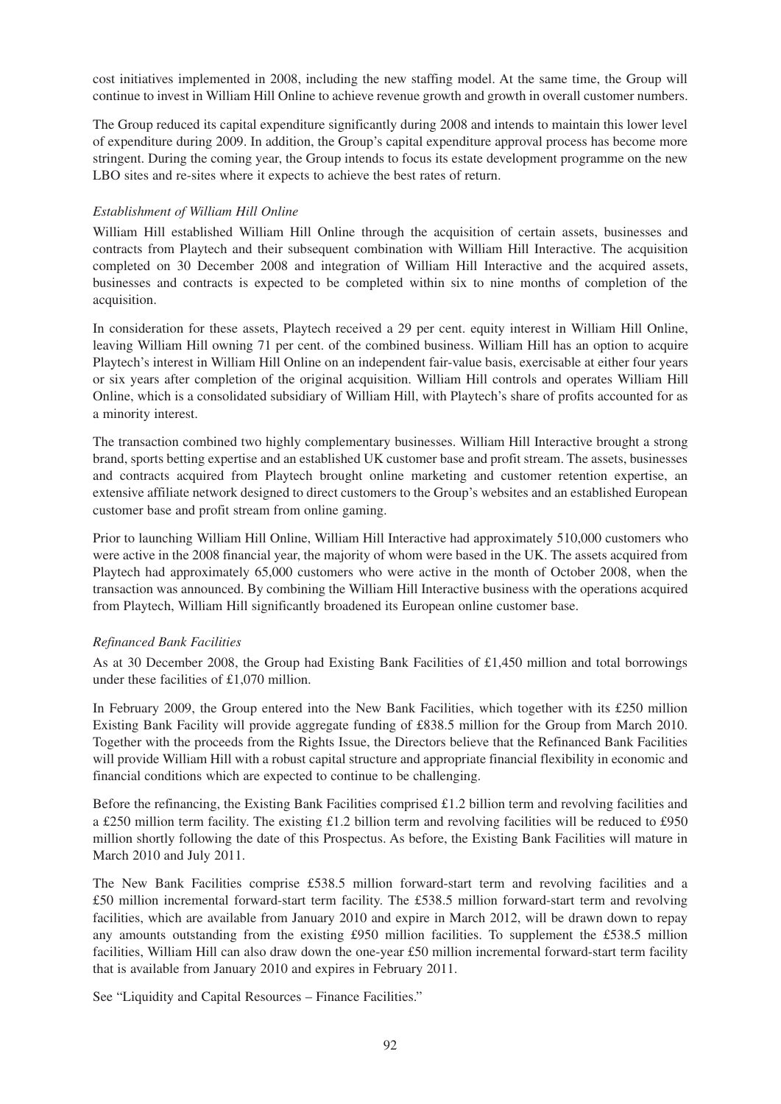cost initiatives implemented in 2008, including the new staffing model. At the same time, the Group will continue to invest in William Hill Online to achieve revenue growth and growth in overall customer numbers.

The Group reduced its capital expenditure significantly during 2008 and intends to maintain this lower level of expenditure during 2009. In addition, the Group's capital expenditure approval process has become more stringent. During the coming year, the Group intends to focus its estate development programme on the new LBO sites and re-sites where it expects to achieve the best rates of return.

### *Establishment of William Hill Online*

William Hill established William Hill Online through the acquisition of certain assets, businesses and contracts from Playtech and their subsequent combination with William Hill Interactive. The acquisition completed on 30 December 2008 and integration of William Hill Interactive and the acquired assets, businesses and contracts is expected to be completed within six to nine months of completion of the acquisition.

In consideration for these assets, Playtech received a 29 per cent. equity interest in William Hill Online, leaving William Hill owning 71 per cent. of the combined business. William Hill has an option to acquire Playtech's interest in William Hill Online on an independent fair-value basis, exercisable at either four years or six years after completion of the original acquisition. William Hill controls and operates William Hill Online, which is a consolidated subsidiary of William Hill, with Playtech's share of profits accounted for as a minority interest.

The transaction combined two highly complementary businesses. William Hill Interactive brought a strong brand, sports betting expertise and an established UK customer base and profit stream. The assets, businesses and contracts acquired from Playtech brought online marketing and customer retention expertise, an extensive affiliate network designed to direct customers to the Group's websites and an established European customer base and profit stream from online gaming.

Prior to launching William Hill Online, William Hill Interactive had approximately 510,000 customers who were active in the 2008 financial year, the majority of whom were based in the UK. The assets acquired from Playtech had approximately 65,000 customers who were active in the month of October 2008, when the transaction was announced. By combining the William Hill Interactive business with the operations acquired from Playtech, William Hill significantly broadened its European online customer base.

### *Refinanced Bank Facilities*

As at 30 December 2008, the Group had Existing Bank Facilities of £1,450 million and total borrowings under these facilities of £1,070 million.

In February 2009, the Group entered into the New Bank Facilities, which together with its £250 million Existing Bank Facility will provide aggregate funding of £838.5 million for the Group from March 2010. Together with the proceeds from the Rights Issue, the Directors believe that the Refinanced Bank Facilities will provide William Hill with a robust capital structure and appropriate financial flexibility in economic and financial conditions which are expected to continue to be challenging.

Before the refinancing, the Existing Bank Facilities comprised £1.2 billion term and revolving facilities and a £250 million term facility. The existing £1.2 billion term and revolving facilities will be reduced to £950 million shortly following the date of this Prospectus. As before, the Existing Bank Facilities will mature in March 2010 and July 2011.

The New Bank Facilities comprise £538.5 million forward-start term and revolving facilities and a £50 million incremental forward-start term facility. The £538.5 million forward-start term and revolving facilities, which are available from January 2010 and expire in March 2012, will be drawn down to repay any amounts outstanding from the existing £950 million facilities. To supplement the £538.5 million facilities, William Hill can also draw down the one-year £50 million incremental forward-start term facility that is available from January 2010 and expires in February 2011.

See "Liquidity and Capital Resources – Finance Facilities."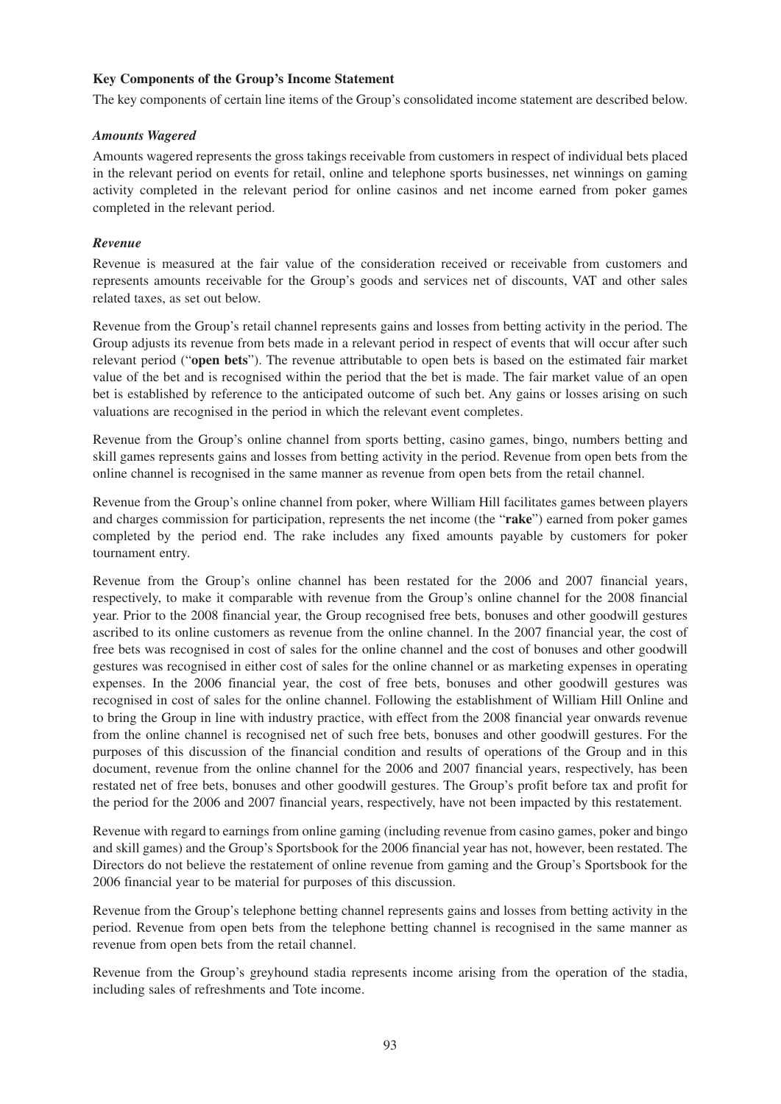### **Key Components of the Group's Income Statement**

The key components of certain line items of the Group's consolidated income statement are described below.

### *Amounts Wagered*

Amounts wagered represents the gross takings receivable from customers in respect of individual bets placed in the relevant period on events for retail, online and telephone sports businesses, net winnings on gaming activity completed in the relevant period for online casinos and net income earned from poker games completed in the relevant period.

### *Revenue*

Revenue is measured at the fair value of the consideration received or receivable from customers and represents amounts receivable for the Group's goods and services net of discounts, VAT and other sales related taxes, as set out below.

Revenue from the Group's retail channel represents gains and losses from betting activity in the period. The Group adjusts its revenue from bets made in a relevant period in respect of events that will occur after such relevant period ("**open bets**"). The revenue attributable to open bets is based on the estimated fair market value of the bet and is recognised within the period that the bet is made. The fair market value of an open bet is established by reference to the anticipated outcome of such bet. Any gains or losses arising on such valuations are recognised in the period in which the relevant event completes.

Revenue from the Group's online channel from sports betting, casino games, bingo, numbers betting and skill games represents gains and losses from betting activity in the period. Revenue from open bets from the online channel is recognised in the same manner as revenue from open bets from the retail channel.

Revenue from the Group's online channel from poker, where William Hill facilitates games between players and charges commission for participation, represents the net income (the "**rake**") earned from poker games completed by the period end. The rake includes any fixed amounts payable by customers for poker tournament entry.

Revenue from the Group's online channel has been restated for the 2006 and 2007 financial years, respectively, to make it comparable with revenue from the Group's online channel for the 2008 financial year. Prior to the 2008 financial year, the Group recognised free bets, bonuses and other goodwill gestures ascribed to its online customers as revenue from the online channel. In the 2007 financial year, the cost of free bets was recognised in cost of sales for the online channel and the cost of bonuses and other goodwill gestures was recognised in either cost of sales for the online channel or as marketing expenses in operating expenses. In the 2006 financial year, the cost of free bets, bonuses and other goodwill gestures was recognised in cost of sales for the online channel. Following the establishment of William Hill Online and to bring the Group in line with industry practice, with effect from the 2008 financial year onwards revenue from the online channel is recognised net of such free bets, bonuses and other goodwill gestures. For the purposes of this discussion of the financial condition and results of operations of the Group and in this document, revenue from the online channel for the 2006 and 2007 financial years, respectively, has been restated net of free bets, bonuses and other goodwill gestures. The Group's profit before tax and profit for the period for the 2006 and 2007 financial years, respectively, have not been impacted by this restatement.

Revenue with regard to earnings from online gaming (including revenue from casino games, poker and bingo and skill games) and the Group's Sportsbook for the 2006 financial year has not, however, been restated. The Directors do not believe the restatement of online revenue from gaming and the Group's Sportsbook for the 2006 financial year to be material for purposes of this discussion.

Revenue from the Group's telephone betting channel represents gains and losses from betting activity in the period. Revenue from open bets from the telephone betting channel is recognised in the same manner as revenue from open bets from the retail channel.

Revenue from the Group's greyhound stadia represents income arising from the operation of the stadia, including sales of refreshments and Tote income.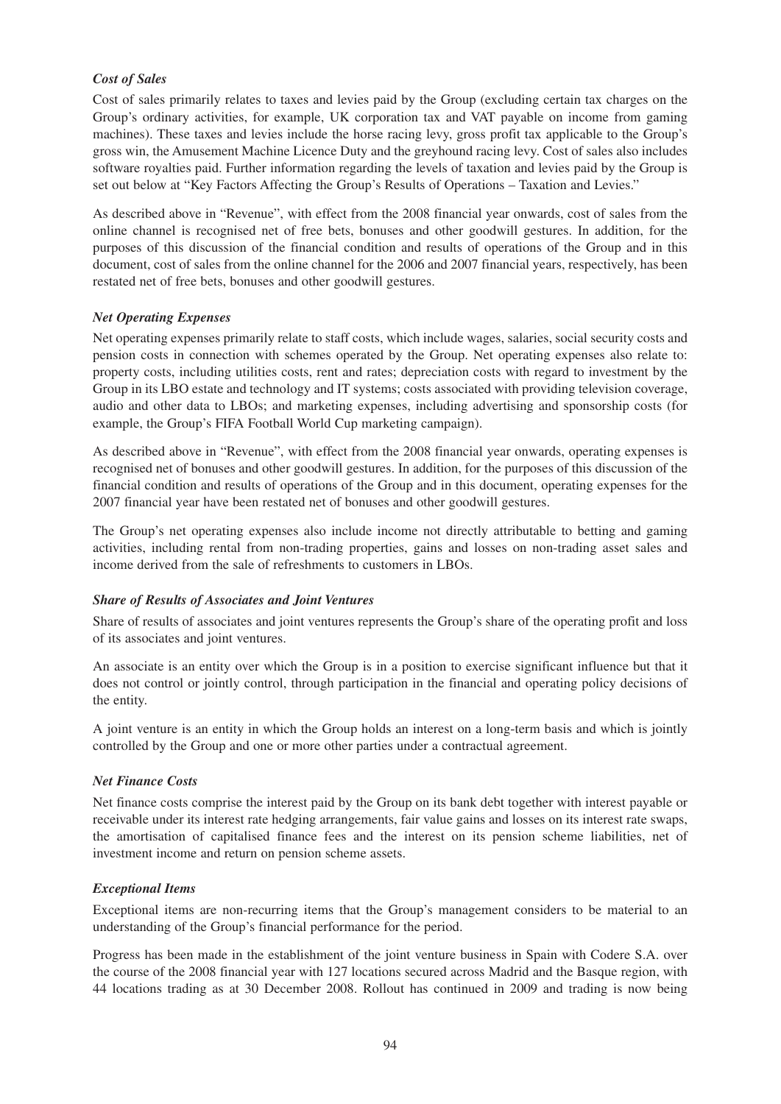## *Cost of Sales*

Cost of sales primarily relates to taxes and levies paid by the Group (excluding certain tax charges on the Group's ordinary activities, for example, UK corporation tax and VAT payable on income from gaming machines). These taxes and levies include the horse racing levy, gross profit tax applicable to the Group's gross win, the Amusement Machine Licence Duty and the greyhound racing levy. Cost of sales also includes software royalties paid. Further information regarding the levels of taxation and levies paid by the Group is set out below at "Key Factors Affecting the Group's Results of Operations – Taxation and Levies."

As described above in "Revenue", with effect from the 2008 financial year onwards, cost of sales from the online channel is recognised net of free bets, bonuses and other goodwill gestures. In addition, for the purposes of this discussion of the financial condition and results of operations of the Group and in this document, cost of sales from the online channel for the 2006 and 2007 financial years, respectively, has been restated net of free bets, bonuses and other goodwill gestures.

## *Net Operating Expenses*

Net operating expenses primarily relate to staff costs, which include wages, salaries, social security costs and pension costs in connection with schemes operated by the Group. Net operating expenses also relate to: property costs, including utilities costs, rent and rates; depreciation costs with regard to investment by the Group in its LBO estate and technology and IT systems; costs associated with providing television coverage, audio and other data to LBOs; and marketing expenses, including advertising and sponsorship costs (for example, the Group's FIFA Football World Cup marketing campaign).

As described above in "Revenue", with effect from the 2008 financial year onwards, operating expenses is recognised net of bonuses and other goodwill gestures. In addition, for the purposes of this discussion of the financial condition and results of operations of the Group and in this document, operating expenses for the 2007 financial year have been restated net of bonuses and other goodwill gestures.

The Group's net operating expenses also include income not directly attributable to betting and gaming activities, including rental from non-trading properties, gains and losses on non-trading asset sales and income derived from the sale of refreshments to customers in LBOs.

### *Share of Results of Associates and Joint Ventures*

Share of results of associates and joint ventures represents the Group's share of the operating profit and loss of its associates and joint ventures.

An associate is an entity over which the Group is in a position to exercise significant influence but that it does not control or jointly control, through participation in the financial and operating policy decisions of the entity.

A joint venture is an entity in which the Group holds an interest on a long-term basis and which is jointly controlled by the Group and one or more other parties under a contractual agreement.

### *Net Finance Costs*

Net finance costs comprise the interest paid by the Group on its bank debt together with interest payable or receivable under its interest rate hedging arrangements, fair value gains and losses on its interest rate swaps, the amortisation of capitalised finance fees and the interest on its pension scheme liabilities, net of investment income and return on pension scheme assets.

### *Exceptional Items*

Exceptional items are non-recurring items that the Group's management considers to be material to an understanding of the Group's financial performance for the period.

Progress has been made in the establishment of the joint venture business in Spain with Codere S.A. over the course of the 2008 financial year with 127 locations secured across Madrid and the Basque region, with 44 locations trading as at 30 December 2008. Rollout has continued in 2009 and trading is now being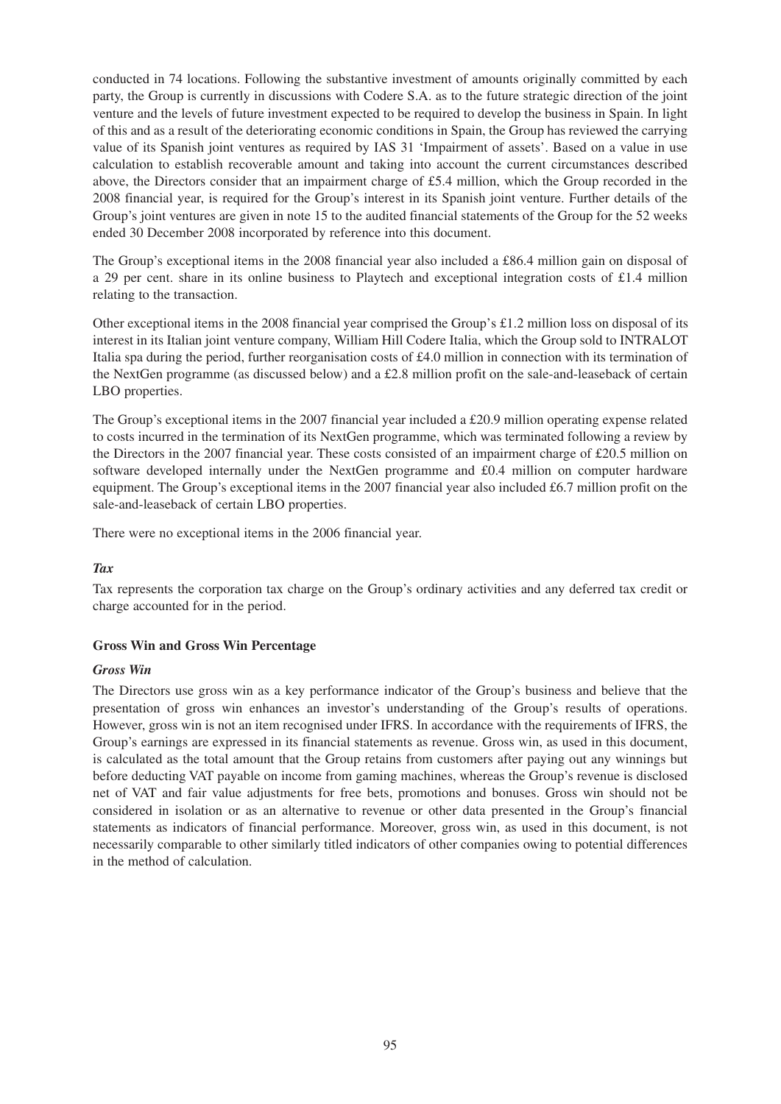conducted in 74 locations. Following the substantive investment of amounts originally committed by each party, the Group is currently in discussions with Codere S.A. as to the future strategic direction of the joint venture and the levels of future investment expected to be required to develop the business in Spain. In light of this and as a result of the deteriorating economic conditions in Spain, the Group has reviewed the carrying value of its Spanish joint ventures as required by IAS 31 'Impairment of assets'. Based on a value in use calculation to establish recoverable amount and taking into account the current circumstances described above, the Directors consider that an impairment charge of £5.4 million, which the Group recorded in the 2008 financial year, is required for the Group's interest in its Spanish joint venture. Further details of the Group's joint ventures are given in note 15 to the audited financial statements of the Group for the 52 weeks ended 30 December 2008 incorporated by reference into this document.

The Group's exceptional items in the 2008 financial year also included a £86.4 million gain on disposal of a 29 per cent. share in its online business to Playtech and exceptional integration costs of £1.4 million relating to the transaction.

Other exceptional items in the 2008 financial year comprised the Group's £1.2 million loss on disposal of its interest in its Italian joint venture company, William Hill Codere Italia, which the Group sold to INTRALOT Italia spa during the period, further reorganisation costs of £4.0 million in connection with its termination of the NextGen programme (as discussed below) and a £2.8 million profit on the sale-and-leaseback of certain LBO properties.

The Group's exceptional items in the 2007 financial year included a £20.9 million operating expense related to costs incurred in the termination of its NextGen programme, which was terminated following a review by the Directors in the 2007 financial year. These costs consisted of an impairment charge of £20.5 million on software developed internally under the NextGen programme and £0.4 million on computer hardware equipment. The Group's exceptional items in the 2007 financial year also included £6.7 million profit on the sale-and-leaseback of certain LBO properties.

There were no exceptional items in the 2006 financial year.

### *Tax*

Tax represents the corporation tax charge on the Group's ordinary activities and any deferred tax credit or charge accounted for in the period.

#### **Gross Win and Gross Win Percentage**

#### *Gross Win*

The Directors use gross win as a key performance indicator of the Group's business and believe that the presentation of gross win enhances an investor's understanding of the Group's results of operations. However, gross win is not an item recognised under IFRS. In accordance with the requirements of IFRS, the Group's earnings are expressed in its financial statements as revenue. Gross win, as used in this document, is calculated as the total amount that the Group retains from customers after paying out any winnings but before deducting VAT payable on income from gaming machines, whereas the Group's revenue is disclosed net of VAT and fair value adjustments for free bets, promotions and bonuses. Gross win should not be considered in isolation or as an alternative to revenue or other data presented in the Group's financial statements as indicators of financial performance. Moreover, gross win, as used in this document, is not necessarily comparable to other similarly titled indicators of other companies owing to potential differences in the method of calculation.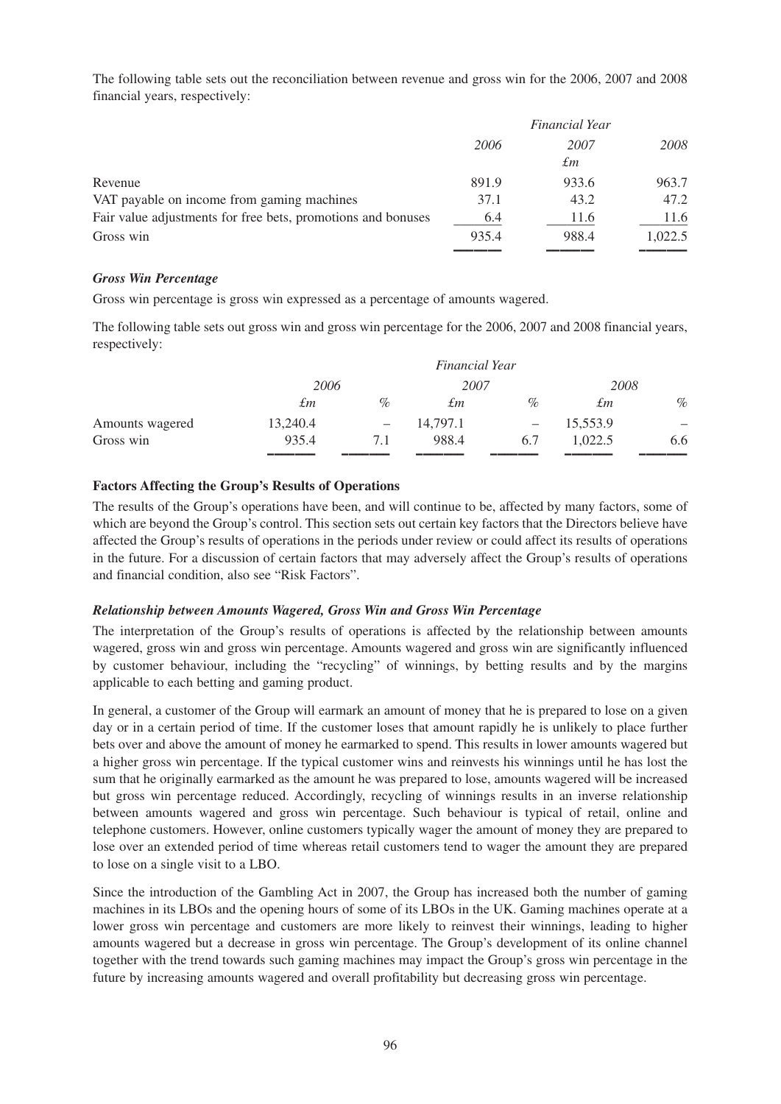The following table sets out the reconciliation between revenue and gross win for the 2006, 2007 and 2008 financial years, respectively:

| <b>Financial Year</b> |            |         |
|-----------------------|------------|---------|
| 2006                  | 2007<br>£т | 2008    |
| 891.9                 | 933.6      | 963.7   |
| 37.1                  | 43.2       | 47.2    |
| 6.4                   | 11.6       | 11.6    |
| 935.4                 | 988.4      | 1,022.5 |
|                       |            |         |

### *Gross Win Percentage*

Gross win percentage is gross win expressed as a percentage of amounts wagered.

The following table sets out gross win and gross win percentage for the 2006, 2007 and 2008 financial years, respectively:

|                 |          |                          | Financial Year |      |          |                          |
|-----------------|----------|--------------------------|----------------|------|----------|--------------------------|
|                 | 2006     |                          | 2007           |      | 2008     |                          |
|                 | £т       | $\%$                     | £т             | $\%$ | £т       | $\%$                     |
| Amounts wagered | 13,240.4 | $\overline{\phantom{m}}$ | 14,797.1       |      | 15,553.9 | $\overline{\phantom{m}}$ |
| Gross win       | 935.4    | 7.1                      | 988.4          | 6.7  | 1.022.5  | 6.6                      |
|                 |          |                          |                |      |          |                          |

### **Factors Affecting the Group's Results of Operations**

The results of the Group's operations have been, and will continue to be, affected by many factors, some of which are beyond the Group's control. This section sets out certain key factors that the Directors believe have affected the Group's results of operations in the periods under review or could affect its results of operations in the future. For a discussion of certain factors that may adversely affect the Group's results of operations and financial condition, also see "Risk Factors".

### *Relationship between Amounts Wagered, Gross Win and Gross Win Percentage*

The interpretation of the Group's results of operations is affected by the relationship between amounts wagered, gross win and gross win percentage. Amounts wagered and gross win are significantly influenced by customer behaviour, including the "recycling" of winnings, by betting results and by the margins applicable to each betting and gaming product.

In general, a customer of the Group will earmark an amount of money that he is prepared to lose on a given day or in a certain period of time. If the customer loses that amount rapidly he is unlikely to place further bets over and above the amount of money he earmarked to spend. This results in lower amounts wagered but a higher gross win percentage. If the typical customer wins and reinvests his winnings until he has lost the sum that he originally earmarked as the amount he was prepared to lose, amounts wagered will be increased but gross win percentage reduced. Accordingly, recycling of winnings results in an inverse relationship between amounts wagered and gross win percentage. Such behaviour is typical of retail, online and telephone customers. However, online customers typically wager the amount of money they are prepared to lose over an extended period of time whereas retail customers tend to wager the amount they are prepared to lose on a single visit to a LBO.

Since the introduction of the Gambling Act in 2007, the Group has increased both the number of gaming machines in its LBOs and the opening hours of some of its LBOs in the UK. Gaming machines operate at a lower gross win percentage and customers are more likely to reinvest their winnings, leading to higher amounts wagered but a decrease in gross win percentage. The Group's development of its online channel together with the trend towards such gaming machines may impact the Group's gross win percentage in the future by increasing amounts wagered and overall profitability but decreasing gross win percentage.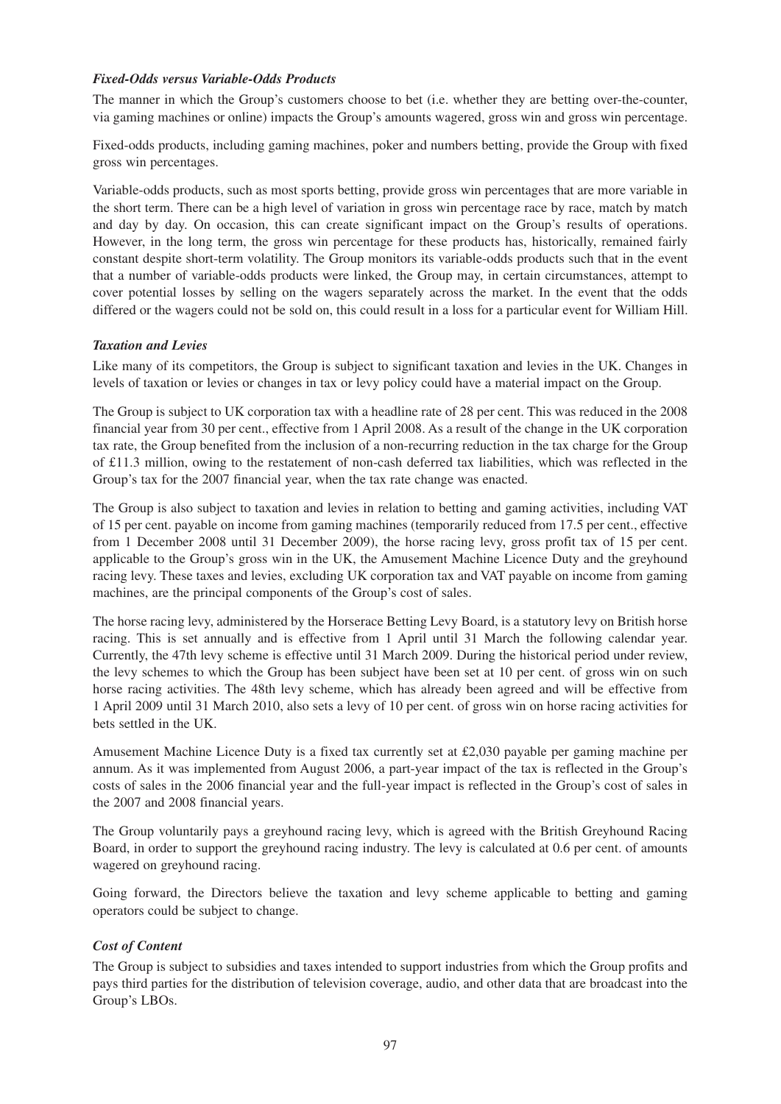### *Fixed-Odds versus Variable-Odds Products*

The manner in which the Group's customers choose to bet (i.e. whether they are betting over-the-counter, via gaming machines or online) impacts the Group's amounts wagered, gross win and gross win percentage.

Fixed-odds products, including gaming machines, poker and numbers betting, provide the Group with fixed gross win percentages.

Variable-odds products, such as most sports betting, provide gross win percentages that are more variable in the short term. There can be a high level of variation in gross win percentage race by race, match by match and day by day. On occasion, this can create significant impact on the Group's results of operations. However, in the long term, the gross win percentage for these products has, historically, remained fairly constant despite short-term volatility. The Group monitors its variable-odds products such that in the event that a number of variable-odds products were linked, the Group may, in certain circumstances, attempt to cover potential losses by selling on the wagers separately across the market. In the event that the odds differed or the wagers could not be sold on, this could result in a loss for a particular event for William Hill.

### *Taxation and Levies*

Like many of its competitors, the Group is subject to significant taxation and levies in the UK. Changes in levels of taxation or levies or changes in tax or levy policy could have a material impact on the Group.

The Group is subject to UK corporation tax with a headline rate of 28 per cent. This was reduced in the 2008 financial year from 30 per cent., effective from 1 April 2008. As a result of the change in the UK corporation tax rate, the Group benefited from the inclusion of a non-recurring reduction in the tax charge for the Group of £11.3 million, owing to the restatement of non-cash deferred tax liabilities, which was reflected in the Group's tax for the 2007 financial year, when the tax rate change was enacted.

The Group is also subject to taxation and levies in relation to betting and gaming activities, including VAT of 15 per cent. payable on income from gaming machines (temporarily reduced from 17.5 per cent., effective from 1 December 2008 until 31 December 2009), the horse racing levy, gross profit tax of 15 per cent. applicable to the Group's gross win in the UK, the Amusement Machine Licence Duty and the greyhound racing levy. These taxes and levies, excluding UK corporation tax and VAT payable on income from gaming machines, are the principal components of the Group's cost of sales.

The horse racing levy, administered by the Horserace Betting Levy Board, is a statutory levy on British horse racing. This is set annually and is effective from 1 April until 31 March the following calendar year. Currently, the 47th levy scheme is effective until 31 March 2009. During the historical period under review, the levy schemes to which the Group has been subject have been set at 10 per cent. of gross win on such horse racing activities. The 48th levy scheme, which has already been agreed and will be effective from 1 April 2009 until 31 March 2010, also sets a levy of 10 per cent. of gross win on horse racing activities for bets settled in the UK.

Amusement Machine Licence Duty is a fixed tax currently set at £2,030 payable per gaming machine per annum. As it was implemented from August 2006, a part-year impact of the tax is reflected in the Group's costs of sales in the 2006 financial year and the full-year impact is reflected in the Group's cost of sales in the 2007 and 2008 financial years.

The Group voluntarily pays a greyhound racing levy, which is agreed with the British Greyhound Racing Board, in order to support the greyhound racing industry. The levy is calculated at 0.6 per cent. of amounts wagered on greyhound racing.

Going forward, the Directors believe the taxation and levy scheme applicable to betting and gaming operators could be subject to change.

### *Cost of Content*

The Group is subject to subsidies and taxes intended to support industries from which the Group profits and pays third parties for the distribution of television coverage, audio, and other data that are broadcast into the Group's LBOs.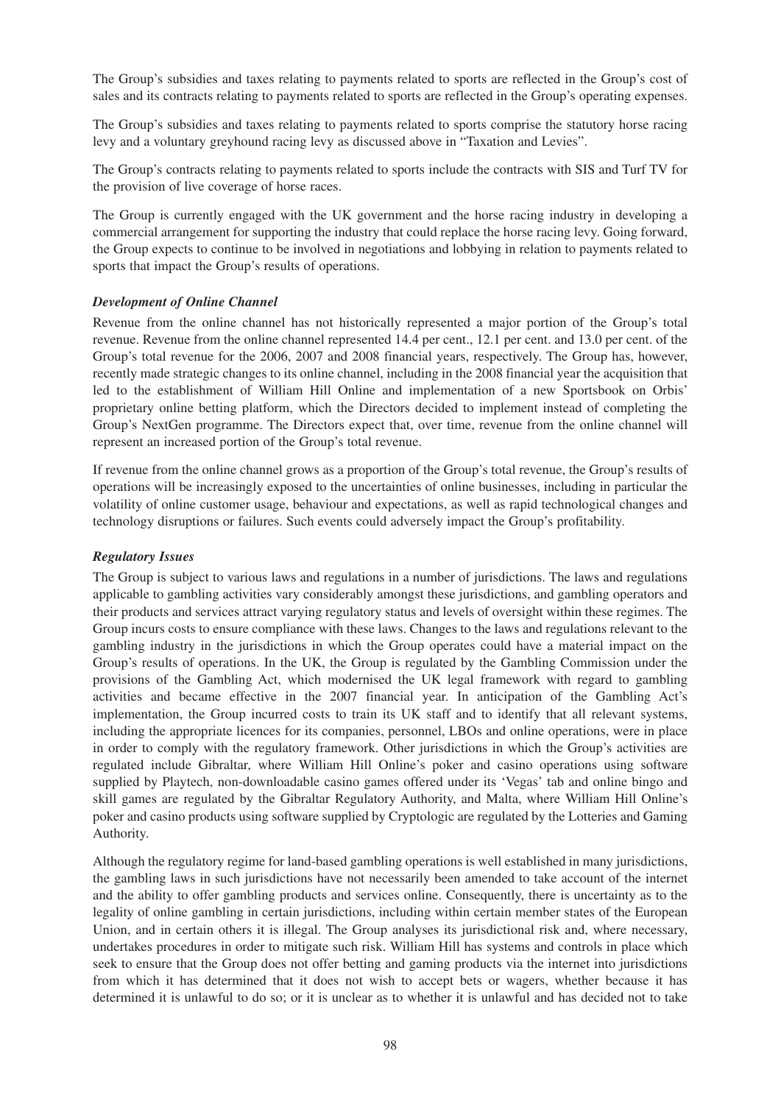The Group's subsidies and taxes relating to payments related to sports are reflected in the Group's cost of sales and its contracts relating to payments related to sports are reflected in the Group's operating expenses.

The Group's subsidies and taxes relating to payments related to sports comprise the statutory horse racing levy and a voluntary greyhound racing levy as discussed above in "Taxation and Levies".

The Group's contracts relating to payments related to sports include the contracts with SIS and Turf TV for the provision of live coverage of horse races.

The Group is currently engaged with the UK government and the horse racing industry in developing a commercial arrangement for supporting the industry that could replace the horse racing levy. Going forward, the Group expects to continue to be involved in negotiations and lobbying in relation to payments related to sports that impact the Group's results of operations.

### *Development of Online Channel*

Revenue from the online channel has not historically represented a major portion of the Group's total revenue. Revenue from the online channel represented 14.4 per cent., 12.1 per cent. and 13.0 per cent. of the Group's total revenue for the 2006, 2007 and 2008 financial years, respectively. The Group has, however, recently made strategic changes to its online channel, including in the 2008 financial year the acquisition that led to the establishment of William Hill Online and implementation of a new Sportsbook on Orbis' proprietary online betting platform, which the Directors decided to implement instead of completing the Group's NextGen programme. The Directors expect that, over time, revenue from the online channel will represent an increased portion of the Group's total revenue.

If revenue from the online channel grows as a proportion of the Group's total revenue, the Group's results of operations will be increasingly exposed to the uncertainties of online businesses, including in particular the volatility of online customer usage, behaviour and expectations, as well as rapid technological changes and technology disruptions or failures. Such events could adversely impact the Group's profitability.

### *Regulatory Issues*

The Group is subject to various laws and regulations in a number of jurisdictions. The laws and regulations applicable to gambling activities vary considerably amongst these jurisdictions, and gambling operators and their products and services attract varying regulatory status and levels of oversight within these regimes. The Group incurs costs to ensure compliance with these laws. Changes to the laws and regulations relevant to the gambling industry in the jurisdictions in which the Group operates could have a material impact on the Group's results of operations. In the UK, the Group is regulated by the Gambling Commission under the provisions of the Gambling Act, which modernised the UK legal framework with regard to gambling activities and became effective in the 2007 financial year. In anticipation of the Gambling Act's implementation, the Group incurred costs to train its UK staff and to identify that all relevant systems, including the appropriate licences for its companies, personnel, LBOs and online operations, were in place in order to comply with the regulatory framework. Other jurisdictions in which the Group's activities are regulated include Gibraltar, where William Hill Online's poker and casino operations using software supplied by Playtech, non-downloadable casino games offered under its 'Vegas' tab and online bingo and skill games are regulated by the Gibraltar Regulatory Authority, and Malta, where William Hill Online's poker and casino products using software supplied by Cryptologic are regulated by the Lotteries and Gaming Authority.

Although the regulatory regime for land-based gambling operations is well established in many jurisdictions, the gambling laws in such jurisdictions have not necessarily been amended to take account of the internet and the ability to offer gambling products and services online. Consequently, there is uncertainty as to the legality of online gambling in certain jurisdictions, including within certain member states of the European Union, and in certain others it is illegal. The Group analyses its jurisdictional risk and, where necessary, undertakes procedures in order to mitigate such risk. William Hill has systems and controls in place which seek to ensure that the Group does not offer betting and gaming products via the internet into jurisdictions from which it has determined that it does not wish to accept bets or wagers, whether because it has determined it is unlawful to do so; or it is unclear as to whether it is unlawful and has decided not to take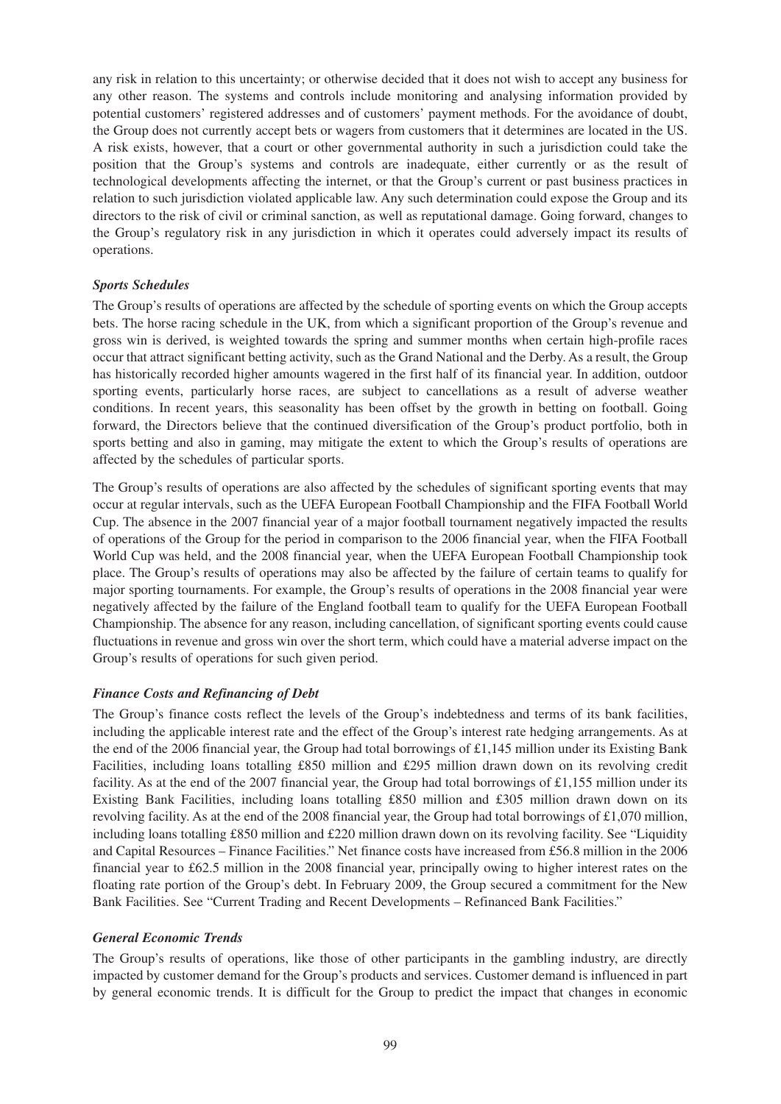any risk in relation to this uncertainty; or otherwise decided that it does not wish to accept any business for any other reason. The systems and controls include monitoring and analysing information provided by potential customers' registered addresses and of customers' payment methods. For the avoidance of doubt, the Group does not currently accept bets or wagers from customers that it determines are located in the US. A risk exists, however, that a court or other governmental authority in such a jurisdiction could take the position that the Group's systems and controls are inadequate, either currently or as the result of technological developments affecting the internet, or that the Group's current or past business practices in relation to such jurisdiction violated applicable law. Any such determination could expose the Group and its directors to the risk of civil or criminal sanction, as well as reputational damage. Going forward, changes to the Group's regulatory risk in any jurisdiction in which it operates could adversely impact its results of operations.

### *Sports Schedules*

The Group's results of operations are affected by the schedule of sporting events on which the Group accepts bets. The horse racing schedule in the UK, from which a significant proportion of the Group's revenue and gross win is derived, is weighted towards the spring and summer months when certain high-profile races occur that attract significant betting activity, such as the Grand National and the Derby. As a result, the Group has historically recorded higher amounts wagered in the first half of its financial year. In addition, outdoor sporting events, particularly horse races, are subject to cancellations as a result of adverse weather conditions. In recent years, this seasonality has been offset by the growth in betting on football. Going forward, the Directors believe that the continued diversification of the Group's product portfolio, both in sports betting and also in gaming, may mitigate the extent to which the Group's results of operations are affected by the schedules of particular sports.

The Group's results of operations are also affected by the schedules of significant sporting events that may occur at regular intervals, such as the UEFA European Football Championship and the FIFA Football World Cup. The absence in the 2007 financial year of a major football tournament negatively impacted the results of operations of the Group for the period in comparison to the 2006 financial year, when the FIFA Football World Cup was held, and the 2008 financial year, when the UEFA European Football Championship took place. The Group's results of operations may also be affected by the failure of certain teams to qualify for major sporting tournaments. For example, the Group's results of operations in the 2008 financial year were negatively affected by the failure of the England football team to qualify for the UEFA European Football Championship. The absence for any reason, including cancellation, of significant sporting events could cause fluctuations in revenue and gross win over the short term, which could have a material adverse impact on the Group's results of operations for such given period.

#### *Finance Costs and Refinancing of Debt*

The Group's finance costs reflect the levels of the Group's indebtedness and terms of its bank facilities, including the applicable interest rate and the effect of the Group's interest rate hedging arrangements. As at the end of the 2006 financial year, the Group had total borrowings of £1,145 million under its Existing Bank Facilities, including loans totalling £850 million and £295 million drawn down on its revolving credit facility. As at the end of the 2007 financial year, the Group had total borrowings of £1,155 million under its Existing Bank Facilities, including loans totalling £850 million and £305 million drawn down on its revolving facility. As at the end of the 2008 financial year, the Group had total borrowings of £1,070 million, including loans totalling £850 million and £220 million drawn down on its revolving facility. See "Liquidity and Capital Resources – Finance Facilities." Net finance costs have increased from £56.8 million in the 2006 financial year to £62.5 million in the 2008 financial year, principally owing to higher interest rates on the floating rate portion of the Group's debt. In February 2009, the Group secured a commitment for the New Bank Facilities. See "Current Trading and Recent Developments – Refinanced Bank Facilities."

#### *General Economic Trends*

The Group's results of operations, like those of other participants in the gambling industry, are directly impacted by customer demand for the Group's products and services. Customer demand is influenced in part by general economic trends. It is difficult for the Group to predict the impact that changes in economic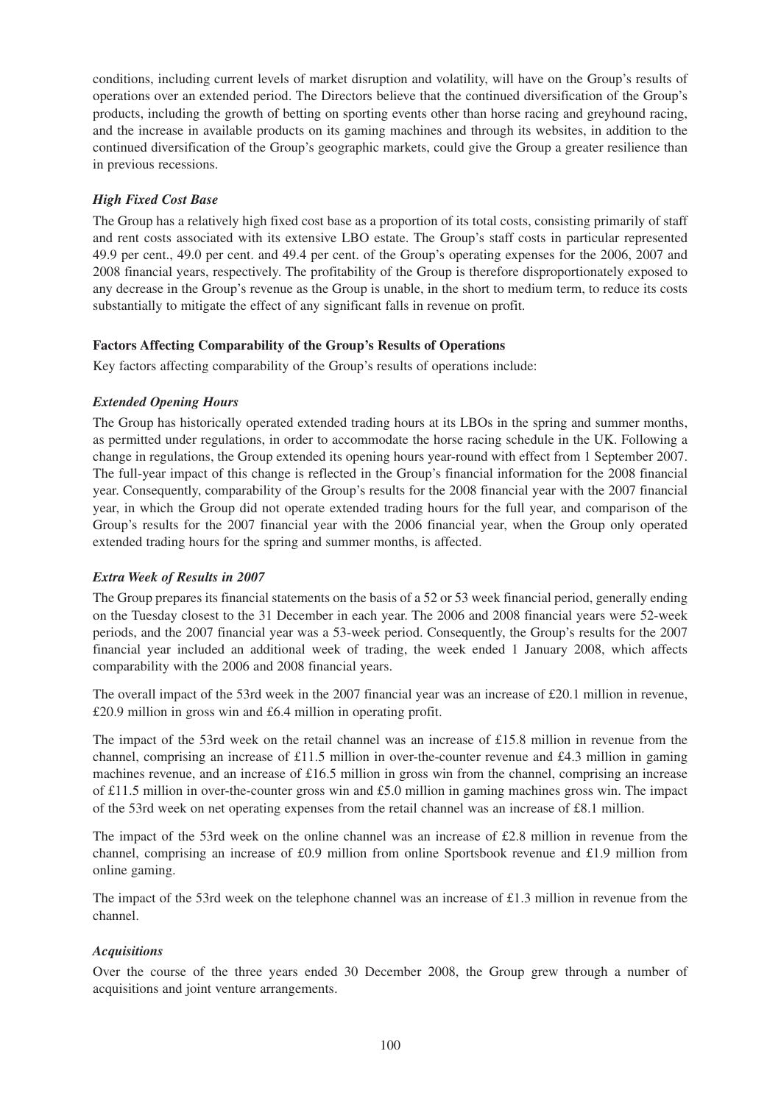conditions, including current levels of market disruption and volatility, will have on the Group's results of operations over an extended period. The Directors believe that the continued diversification of the Group's products, including the growth of betting on sporting events other than horse racing and greyhound racing, and the increase in available products on its gaming machines and through its websites, in addition to the continued diversification of the Group's geographic markets, could give the Group a greater resilience than in previous recessions.

# *High Fixed Cost Base*

The Group has a relatively high fixed cost base as a proportion of its total costs, consisting primarily of staff and rent costs associated with its extensive LBO estate. The Group's staff costs in particular represented 49.9 per cent., 49.0 per cent. and 49.4 per cent. of the Group's operating expenses for the 2006, 2007 and 2008 financial years, respectively. The profitability of the Group is therefore disproportionately exposed to any decrease in the Group's revenue as the Group is unable, in the short to medium term, to reduce its costs substantially to mitigate the effect of any significant falls in revenue on profit.

## **Factors Affecting Comparability of the Group's Results of Operations**

Key factors affecting comparability of the Group's results of operations include:

## *Extended Opening Hours*

The Group has historically operated extended trading hours at its LBOs in the spring and summer months, as permitted under regulations, in order to accommodate the horse racing schedule in the UK. Following a change in regulations, the Group extended its opening hours year-round with effect from 1 September 2007. The full-year impact of this change is reflected in the Group's financial information for the 2008 financial year. Consequently, comparability of the Group's results for the 2008 financial year with the 2007 financial year, in which the Group did not operate extended trading hours for the full year, and comparison of the Group's results for the 2007 financial year with the 2006 financial year, when the Group only operated extended trading hours for the spring and summer months, is affected.

### *Extra Week of Results in 2007*

The Group prepares its financial statements on the basis of a 52 or 53 week financial period, generally ending on the Tuesday closest to the 31 December in each year. The 2006 and 2008 financial years were 52-week periods, and the 2007 financial year was a 53-week period. Consequently, the Group's results for the 2007 financial year included an additional week of trading, the week ended 1 January 2008, which affects comparability with the 2006 and 2008 financial years.

The overall impact of the 53rd week in the 2007 financial year was an increase of £20.1 million in revenue, £20.9 million in gross win and £6.4 million in operating profit.

The impact of the 53rd week on the retail channel was an increase of £15.8 million in revenue from the channel, comprising an increase of £11.5 million in over-the-counter revenue and £4.3 million in gaming machines revenue, and an increase of £16.5 million in gross win from the channel, comprising an increase of £11.5 million in over-the-counter gross win and £5.0 million in gaming machines gross win. The impact of the 53rd week on net operating expenses from the retail channel was an increase of £8.1 million.

The impact of the 53rd week on the online channel was an increase of £2.8 million in revenue from the channel, comprising an increase of £0.9 million from online Sportsbook revenue and £1.9 million from online gaming.

The impact of the 53rd week on the telephone channel was an increase of £1.3 million in revenue from the channel.

### *Acquisitions*

Over the course of the three years ended 30 December 2008, the Group grew through a number of acquisitions and joint venture arrangements.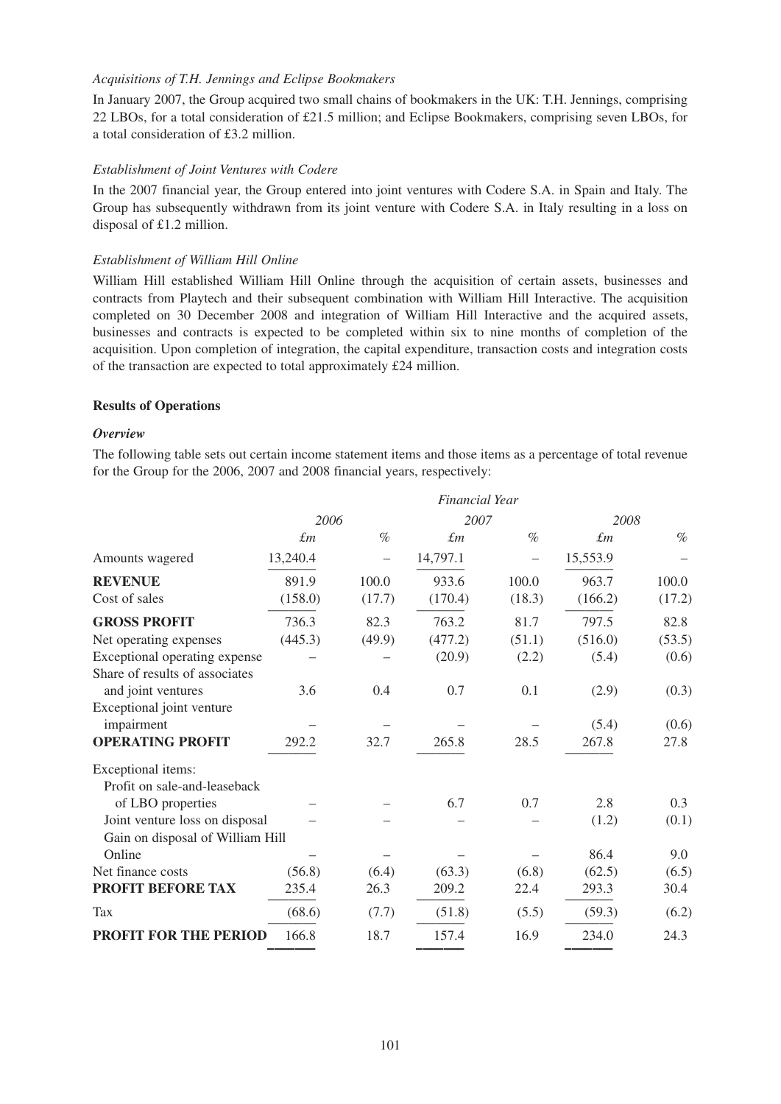### *Acquisitions of T.H. Jennings and Eclipse Bookmakers*

In January 2007, the Group acquired two small chains of bookmakers in the UK: T.H. Jennings, comprising 22 LBOs, for a total consideration of £21.5 million; and Eclipse Bookmakers, comprising seven LBOs, for a total consideration of £3.2 million.

### *Establishment of Joint Ventures with Codere*

In the 2007 financial year, the Group entered into joint ventures with Codere S.A. in Spain and Italy. The Group has subsequently withdrawn from its joint venture with Codere S.A. in Italy resulting in a loss on disposal of £1.2 million.

### *Establishment of William Hill Online*

William Hill established William Hill Online through the acquisition of certain assets, businesses and contracts from Playtech and their subsequent combination with William Hill Interactive. The acquisition completed on 30 December 2008 and integration of William Hill Interactive and the acquired assets, businesses and contracts is expected to be completed within six to nine months of completion of the acquisition. Upon completion of integration, the capital expenditure, transaction costs and integration costs of the transaction are expected to total approximately £24 million.

### **Results of Operations**

### *Overview*

The following table sets out certain income statement items and those items as a percentage of total revenue for the Group for the 2006, 2007 and 2008 financial years, respectively:

|                                  |             |        | <b>Financial Year</b> |        |             |        |
|----------------------------------|-------------|--------|-----------------------|--------|-------------|--------|
|                                  | 2006        |        | 2007                  |        | 2008        |        |
|                                  | $\pounds$ m | $\%$   | $\pounds$ m           | $\%$   | $\pounds$ m | $\%$   |
| Amounts wagered                  | 13,240.4    |        | 14,797.1              |        | 15,553.9    |        |
| <b>REVENUE</b>                   | 891.9       | 100.0  | 933.6                 | 100.0  | 963.7       | 100.0  |
| Cost of sales                    | (158.0)     | (17.7) | (170.4)               | (18.3) | (166.2)     | (17.2) |
| <b>GROSS PROFIT</b>              | 736.3       | 82.3   | 763.2                 | 81.7   | 797.5       | 82.8   |
| Net operating expenses           | (445.3)     | (49.9) | (477.2)               | (51.1) | (516.0)     | (53.5) |
| Exceptional operating expense    |             |        | (20.9)                | (2.2)  | (5.4)       | (0.6)  |
| Share of results of associates   |             |        |                       |        |             |        |
| and joint ventures               | 3.6         | 0.4    | 0.7                   | 0.1    | (2.9)       | (0.3)  |
| Exceptional joint venture        |             |        |                       |        |             |        |
| impairment                       |             |        |                       |        | (5.4)       | (0.6)  |
| <b>OPERATING PROFIT</b>          | 292.2       | 32.7   | 265.8                 | 28.5   | 267.8       | 27.8   |
| Exceptional items:               |             |        |                       |        |             |        |
| Profit on sale-and-leaseback     |             |        |                       |        |             |        |
| of LBO properties                |             |        | 6.7                   | 0.7    | 2.8         | 0.3    |
| Joint venture loss on disposal   |             |        |                       |        | (1.2)       | (0.1)  |
| Gain on disposal of William Hill |             |        |                       |        |             |        |
| Online                           |             |        |                       |        | 86.4        | 9.0    |
| Net finance costs                | (56.8)      | (6.4)  | (63.3)                | (6.8)  | (62.5)      | (6.5)  |
| PROFIT BEFORE TAX                | 235.4       | 26.3   | 209.2                 | 22.4   | 293.3       | 30.4   |
| <b>Tax</b>                       | (68.6)      | (7.7)  | (51.8)                | (5.5)  | (59.3)      | (6.2)  |
| <b>PROFIT FOR THE PERIOD</b>     | 166.8       | 18.7   | 157.4                 | 16.9   | 234.0       | 24.3   |
|                                  |             |        |                       |        |             |        |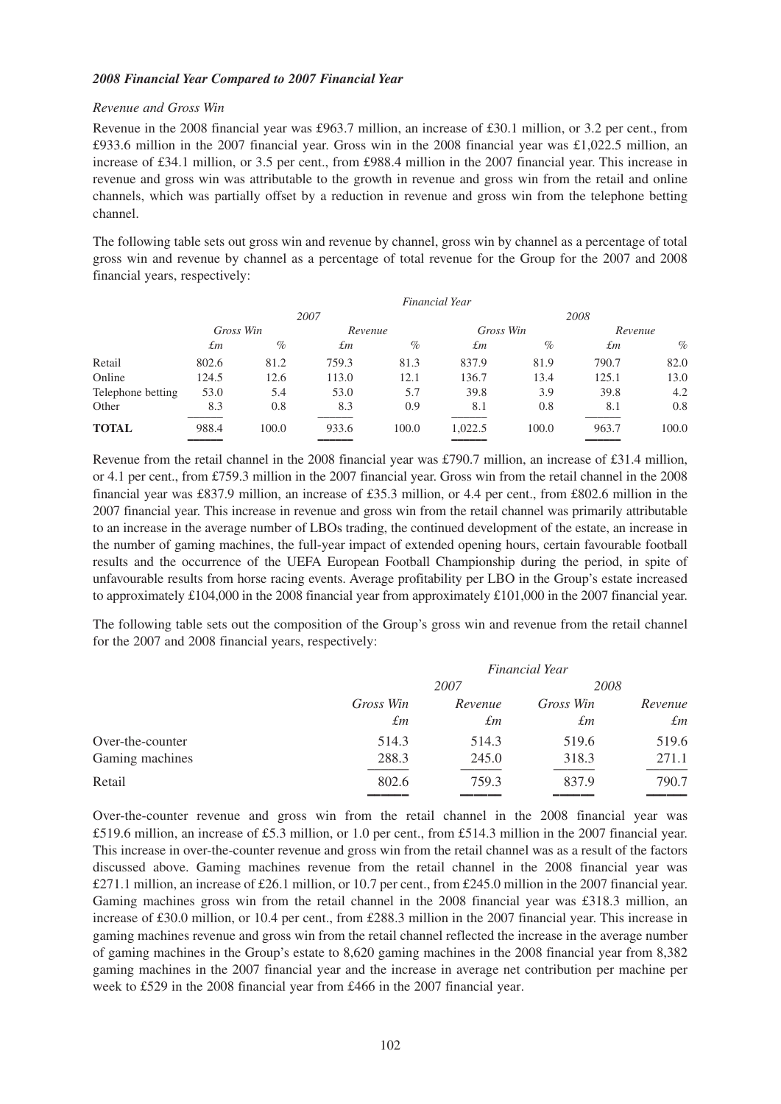### *2008 Financial Year Compared to 2007 Financial Year*

#### *Revenue and Gross Win*

Revenue in the 2008 financial year was £963.7 million, an increase of £30.1 million, or 3.2 per cent., from £933.6 million in the 2007 financial year. Gross win in the 2008 financial year was £1,022.5 million, an increase of £34.1 million, or 3.5 per cent., from £988.4 million in the 2007 financial year. This increase in revenue and gross win was attributable to the growth in revenue and gross win from the retail and online channels, which was partially offset by a reduction in revenue and gross win from the telephone betting channel.

The following table sets out gross win and revenue by channel, gross win by channel as a percentage of total gross win and revenue by channel as a percentage of total revenue for the Group for the 2007 and 2008 financial years, respectively:

|                   |             |       |         | Financial Year |         |           |       |         |
|-------------------|-------------|-------|---------|----------------|---------|-----------|-------|---------|
|                   |             |       | 2007    |                | 2008    |           |       |         |
|                   | Gross Win   |       | Revenue |                |         | Gross Win |       | Revenue |
|                   | $\pounds$ m | $\%$  | £т      | $\%$           | £т      | $\%$      | £т    | $\%$    |
| Retail            | 802.6       | 81.2  | 759.3   | 81.3           | 837.9   | 81.9      | 790.7 | 82.0    |
| Online            | 124.5       | 12.6  | 113.0   | 12.1           | 136.7   | 13.4      | 125.1 | 13.0    |
| Telephone betting | 53.0        | 5.4   | 53.0    | 5.7            | 39.8    | 3.9       | 39.8  | 4.2     |
| Other             | 8.3         | 0.8   | 8.3     | 0.9            | 8.1     | 0.8       | 8.1   | 0.8     |
| <b>TOTAL</b>      | 988.4       | 100.0 | 933.6   | 100.0          | 1,022.5 | 100.0     | 963.7 | 100.0   |
|                   |             |       |         |                |         |           |       |         |

Revenue from the retail channel in the 2008 financial year was £790.7 million, an increase of £31.4 million, or 4.1 per cent., from £759.3 million in the 2007 financial year. Gross win from the retail channel in the 2008 financial year was £837.9 million, an increase of £35.3 million, or 4.4 per cent., from £802.6 million in the 2007 financial year. This increase in revenue and gross win from the retail channel was primarily attributable to an increase in the average number of LBOs trading, the continued development of the estate, an increase in the number of gaming machines, the full-year impact of extended opening hours, certain favourable football results and the occurrence of the UEFA European Football Championship during the period, in spite of unfavourable results from horse racing events. Average profitability per LBO in the Group's estate increased to approximately £104,000 in the 2008 financial year from approximately £101,000 in the 2007 financial year.

The following table sets out the composition of the Group's gross win and revenue from the retail channel for the 2007 and 2008 financial years, respectively:

|                  | <b>Financial Year</b> |         |           |             |  |
|------------------|-----------------------|---------|-----------|-------------|--|
|                  |                       | 2007    |           | 2008        |  |
|                  | Gross Win             | Revenue | Gross Win | Revenue     |  |
|                  | $\pounds$ m           | £т      | £т        | $\pounds$ m |  |
| Over-the-counter | 514.3                 | 514.3   | 519.6     | 519.6       |  |
| Gaming machines  | 288.3                 | 245.0   | 318.3     | 271.1       |  |
| Retail           | 802.6                 | 759.3   | 837.9     | 790.7       |  |
|                  |                       |         |           |             |  |

Over-the-counter revenue and gross win from the retail channel in the 2008 financial year was £519.6 million, an increase of £5.3 million, or 1.0 per cent., from £514.3 million in the 2007 financial year. This increase in over-the-counter revenue and gross win from the retail channel was as a result of the factors discussed above. Gaming machines revenue from the retail channel in the 2008 financial year was £271.1 million, an increase of £26.1 million, or 10.7 per cent., from £245.0 million in the 2007 financial year. Gaming machines gross win from the retail channel in the 2008 financial year was £318.3 million, an increase of £30.0 million, or 10.4 per cent., from £288.3 million in the 2007 financial year. This increase in gaming machines revenue and gross win from the retail channel reflected the increase in the average number of gaming machines in the Group's estate to 8,620 gaming machines in the 2008 financial year from 8,382 gaming machines in the 2007 financial year and the increase in average net contribution per machine per week to £529 in the 2008 financial year from £466 in the 2007 financial year.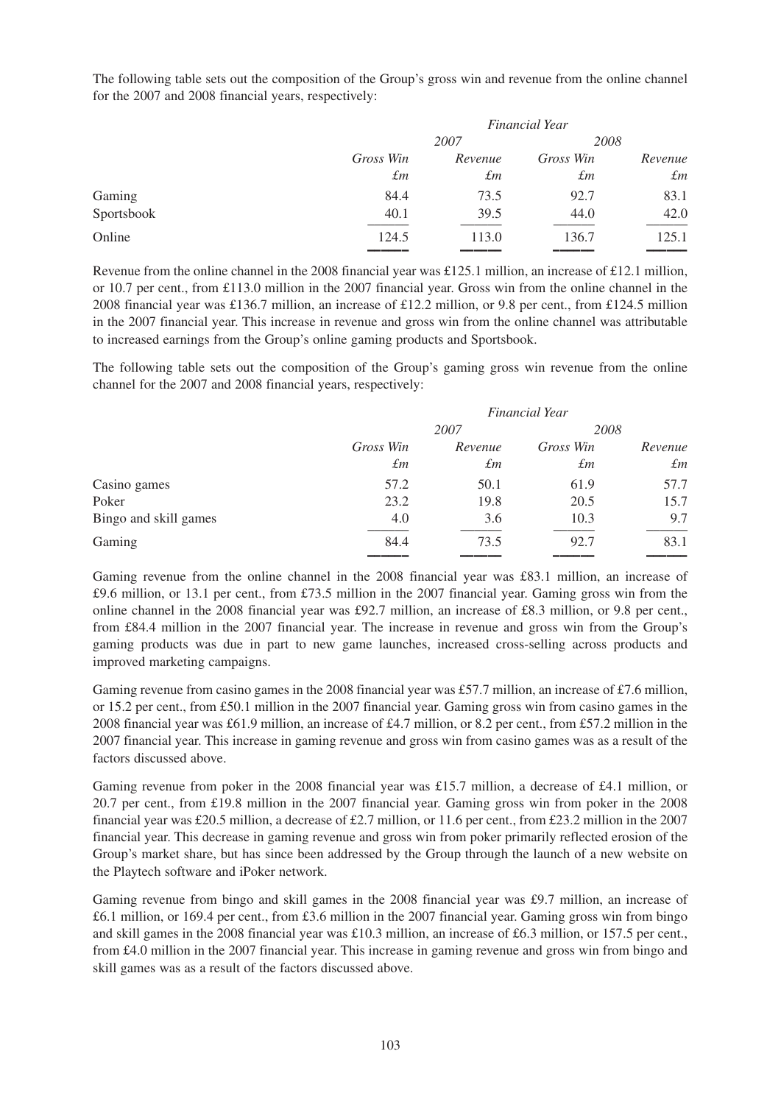The following table sets out the composition of the Group's gross win and revenue from the online channel for the 2007 and 2008 financial years, respectively:

|            | <b>Financial Year</b> |             |           |             |  |
|------------|-----------------------|-------------|-----------|-------------|--|
|            |                       | 2007        |           | 2008        |  |
|            | Gross Win             | Revenue     | Gross Win | Revenue     |  |
|            | $\pounds$ m           | $\pounds m$ | £т        | $\pounds$ m |  |
| Gaming     | 84.4                  | 73.5        | 92.7      | 83.1        |  |
| Sportsbook | 40.1                  | 39.5        | 44.0      | 42.0        |  |
| Online     | 124.5                 | 113.0       | 136.7     | 125.1       |  |
|            |                       |             |           |             |  |

Revenue from the online channel in the 2008 financial year was £125.1 million, an increase of £12.1 million, or 10.7 per cent., from £113.0 million in the 2007 financial year. Gross win from the online channel in the 2008 financial year was £136.7 million, an increase of £12.2 million, or 9.8 per cent., from £124.5 million in the 2007 financial year. This increase in revenue and gross win from the online channel was attributable to increased earnings from the Group's online gaming products and Sportsbook.

The following table sets out the composition of the Group's gaming gross win revenue from the online channel for the 2007 and 2008 financial years, respectively:

|                       | <b>Financial Year</b> |             |           |             |
|-----------------------|-----------------------|-------------|-----------|-------------|
|                       |                       | 2007        |           | 2008        |
|                       | Gross Win             | Revenue     | Gross Win | Revenue     |
|                       | $\pounds$ m           | $\pounds$ m | £т        | $\pounds m$ |
| Casino games          | 57.2                  | 50.1        | 61.9      | 57.7        |
| Poker                 | 23.2                  | 19.8        | 20.5      | 15.7        |
| Bingo and skill games | 4.0                   | 3.6         | 10.3      | 9.7         |
| Gaming                | 84.4                  | 73.5        | 92.7      | 83.1        |
|                       |                       |             |           |             |

Gaming revenue from the online channel in the 2008 financial year was £83.1 million, an increase of £9.6 million, or 13.1 per cent., from £73.5 million in the 2007 financial year. Gaming gross win from the online channel in the 2008 financial year was £92.7 million, an increase of £8.3 million, or 9.8 per cent., from £84.4 million in the 2007 financial year. The increase in revenue and gross win from the Group's gaming products was due in part to new game launches, increased cross-selling across products and improved marketing campaigns.

Gaming revenue from casino games in the 2008 financial year was £57.7 million, an increase of £7.6 million, or 15.2 per cent., from £50.1 million in the 2007 financial year. Gaming gross win from casino games in the 2008 financial year was £61.9 million, an increase of £4.7 million, or 8.2 per cent., from £57.2 million in the 2007 financial year. This increase in gaming revenue and gross win from casino games was as a result of the factors discussed above.

Gaming revenue from poker in the 2008 financial year was £15.7 million, a decrease of £4.1 million, or 20.7 per cent., from £19.8 million in the 2007 financial year. Gaming gross win from poker in the 2008 financial year was £20.5 million, a decrease of £2.7 million, or 11.6 per cent., from £23.2 million in the 2007 financial year. This decrease in gaming revenue and gross win from poker primarily reflected erosion of the Group's market share, but has since been addressed by the Group through the launch of a new website on the Playtech software and iPoker network.

Gaming revenue from bingo and skill games in the 2008 financial year was £9.7 million, an increase of £6.1 million, or 169.4 per cent., from £3.6 million in the 2007 financial year. Gaming gross win from bingo and skill games in the 2008 financial year was £10.3 million, an increase of £6.3 million, or 157.5 per cent., from £4.0 million in the 2007 financial year. This increase in gaming revenue and gross win from bingo and skill games was as a result of the factors discussed above.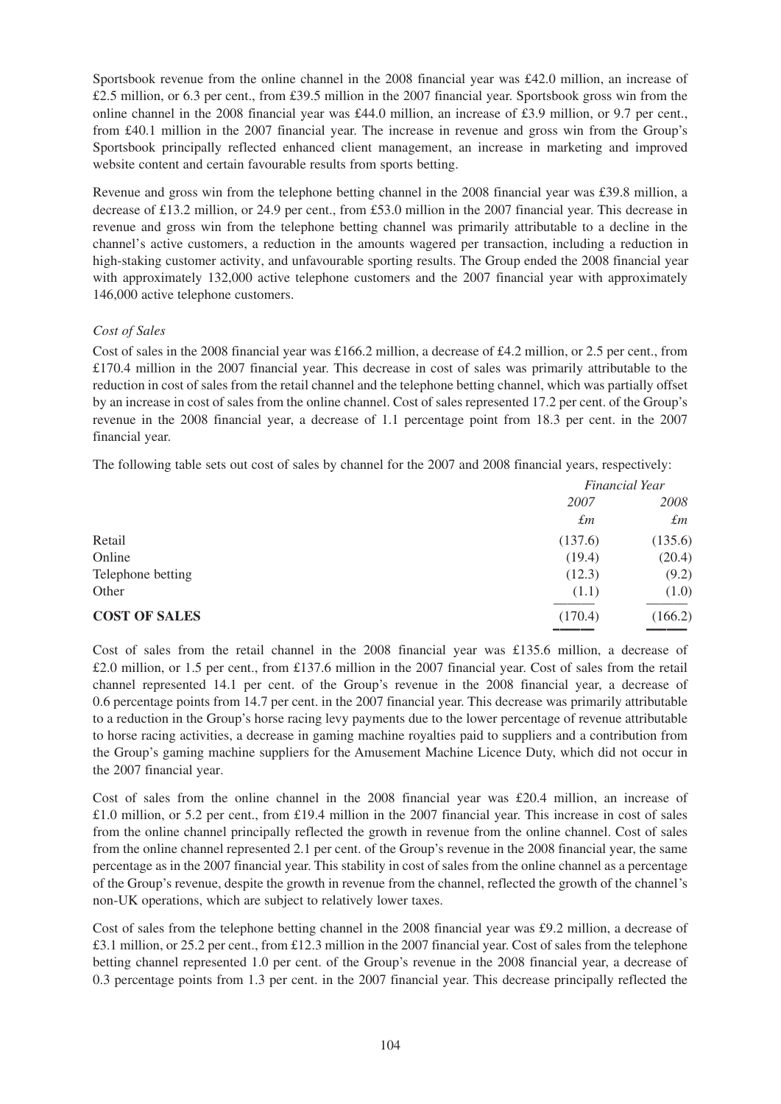Sportsbook revenue from the online channel in the 2008 financial year was £42.0 million, an increase of £2.5 million, or 6.3 per cent., from £39.5 million in the 2007 financial year. Sportsbook gross win from the online channel in the 2008 financial year was £44.0 million, an increase of £3.9 million, or 9.7 per cent., from £40.1 million in the 2007 financial year. The increase in revenue and gross win from the Group's Sportsbook principally reflected enhanced client management, an increase in marketing and improved website content and certain favourable results from sports betting.

Revenue and gross win from the telephone betting channel in the 2008 financial year was £39.8 million, a decrease of £13.2 million, or 24.9 per cent., from £53.0 million in the 2007 financial year. This decrease in revenue and gross win from the telephone betting channel was primarily attributable to a decline in the channel's active customers, a reduction in the amounts wagered per transaction, including a reduction in high-staking customer activity, and unfavourable sporting results. The Group ended the 2008 financial year with approximately 132,000 active telephone customers and the 2007 financial year with approximately 146,000 active telephone customers.

### *Cost of Sales*

Cost of sales in the 2008 financial year was £166.2 million, a decrease of £4.2 million, or 2.5 per cent., from £170.4 million in the 2007 financial year. This decrease in cost of sales was primarily attributable to the reduction in cost of sales from the retail channel and the telephone betting channel, which was partially offset by an increase in cost of sales from the online channel. Cost of sales represented 17.2 per cent. of the Group's revenue in the 2008 financial year, a decrease of 1.1 percentage point from 18.3 per cent. in the 2007 financial year.

The following table sets out cost of sales by channel for the 2007 and 2008 financial years, respectively:

|                      |             | Financial Year |
|----------------------|-------------|----------------|
|                      | 2007        | 2008           |
|                      | $\pounds m$ | $\pounds$ m    |
| Retail               | (137.6)     | (135.6)        |
| Online               | (19.4)      | (20.4)         |
| Telephone betting    | (12.3)      | (9.2)          |
| Other                | (1.1)       | (1.0)          |
| <b>COST OF SALES</b> | (170.4)     | (166.2)        |
|                      |             |                |

Cost of sales from the retail channel in the 2008 financial year was £135.6 million, a decrease of £2.0 million, or 1.5 per cent., from £137.6 million in the 2007 financial year. Cost of sales from the retail channel represented 14.1 per cent. of the Group's revenue in the 2008 financial year, a decrease of 0.6 percentage points from 14.7 per cent. in the 2007 financial year. This decrease was primarily attributable to a reduction in the Group's horse racing levy payments due to the lower percentage of revenue attributable to horse racing activities, a decrease in gaming machine royalties paid to suppliers and a contribution from the Group's gaming machine suppliers for the Amusement Machine Licence Duty, which did not occur in the 2007 financial year.

Cost of sales from the online channel in the 2008 financial year was £20.4 million, an increase of £1.0 million, or 5.2 per cent., from £19.4 million in the 2007 financial year. This increase in cost of sales from the online channel principally reflected the growth in revenue from the online channel. Cost of sales from the online channel represented 2.1 per cent. of the Group's revenue in the 2008 financial year, the same percentage as in the 2007 financial year. This stability in cost of sales from the online channel as a percentage of the Group's revenue, despite the growth in revenue from the channel, reflected the growth of the channel's non-UK operations, which are subject to relatively lower taxes.

Cost of sales from the telephone betting channel in the 2008 financial year was £9.2 million, a decrease of £3.1 million, or 25.2 per cent., from £12.3 million in the 2007 financial year. Cost of sales from the telephone betting channel represented 1.0 per cent. of the Group's revenue in the 2008 financial year, a decrease of 0.3 percentage points from 1.3 per cent. in the 2007 financial year. This decrease principally reflected the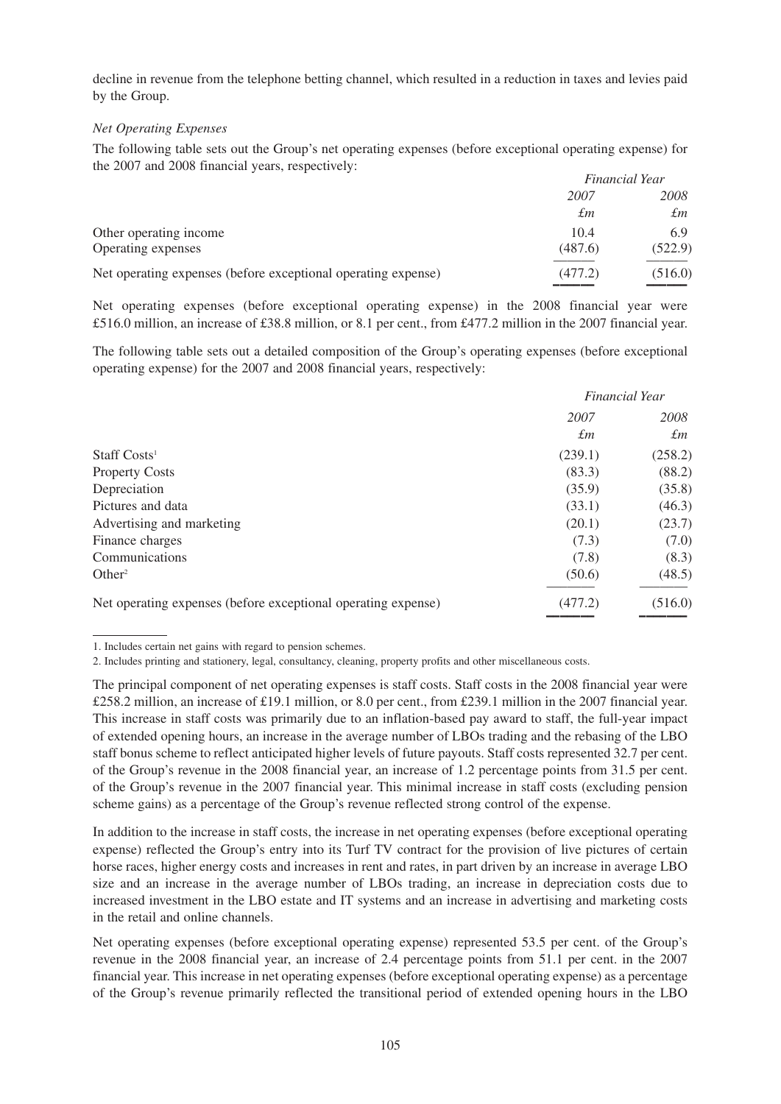decline in revenue from the telephone betting channel, which resulted in a reduction in taxes and levies paid by the Group.

### *Net Operating Expenses*

The following table sets out the Group's net operating expenses (before exceptional operating expense) for the 2007 and 2008 financial years, respectively:

|                                                               |         | <b>Financial Year</b> |
|---------------------------------------------------------------|---------|-----------------------|
|                                                               | 2007    | 2008                  |
|                                                               | £т      | $\pounds$ m           |
| Other operating income                                        | 10.4    | 6.9                   |
| Operating expenses                                            | (487.6) | (522.9)               |
| Net operating expenses (before exceptional operating expense) | (477.2) | (516.0)               |
|                                                               |         |                       |

Net operating expenses (before exceptional operating expense) in the 2008 financial year were £516.0 million, an increase of £38.8 million, or 8.1 per cent., from £477.2 million in the 2007 financial year.

The following table sets out a detailed composition of the Group's operating expenses (before exceptional operating expense) for the 2007 and 2008 financial years, respectively:

|                                                               | Financial Year |             |  |
|---------------------------------------------------------------|----------------|-------------|--|
|                                                               | 2007           | 2008        |  |
|                                                               | $\pounds m$    | $\pounds$ m |  |
| Staff Costs <sup>1</sup>                                      | (239.1)        | (258.2)     |  |
| <b>Property Costs</b>                                         | (83.3)         | (88.2)      |  |
| Depreciation                                                  | (35.9)         | (35.8)      |  |
| Pictures and data                                             | (33.1)         | (46.3)      |  |
| Advertising and marketing                                     | (20.1)         | (23.7)      |  |
| Finance charges                                               | (7.3)          | (7.0)       |  |
| Communications                                                | (7.8)          | (8.3)       |  |
| Other <sup>2</sup>                                            | (50.6)         | (48.5)      |  |
| Net operating expenses (before exceptional operating expense) | (477.2)        | (516.0)     |  |

––––––– –––––––

In addition to the increase in staff costs, the increase in net operating expenses (before exceptional operating expense) reflected the Group's entry into its Turf TV contract for the provision of live pictures of certain horse races, higher energy costs and increases in rent and rates, in part driven by an increase in average LBO size and an increase in the average number of LBOs trading, an increase in depreciation costs due to increased investment in the LBO estate and IT systems and an increase in advertising and marketing costs in the retail and online channels.

Net operating expenses (before exceptional operating expense) represented 53.5 per cent. of the Group's revenue in the 2008 financial year, an increase of 2.4 percentage points from 51.1 per cent. in the 2007 financial year. This increase in net operating expenses (before exceptional operating expense) as a percentage of the Group's revenue primarily reflected the transitional period of extended opening hours in the LBO

<sup>1.</sup> Includes certain net gains with regard to pension schemes.

<sup>2.</sup> Includes printing and stationery, legal, consultancy, cleaning, property profits and other miscellaneous costs.

The principal component of net operating expenses is staff costs. Staff costs in the 2008 financial year were £258.2 million, an increase of £19.1 million, or 8.0 per cent., from £239.1 million in the 2007 financial year. This increase in staff costs was primarily due to an inflation-based pay award to staff, the full-year impact of extended opening hours, an increase in the average number of LBOs trading and the rebasing of the LBO staff bonus scheme to reflect anticipated higher levels of future payouts. Staff costs represented 32.7 per cent. of the Group's revenue in the 2008 financial year, an increase of 1.2 percentage points from 31.5 per cent. of the Group's revenue in the 2007 financial year. This minimal increase in staff costs (excluding pension scheme gains) as a percentage of the Group's revenue reflected strong control of the expense.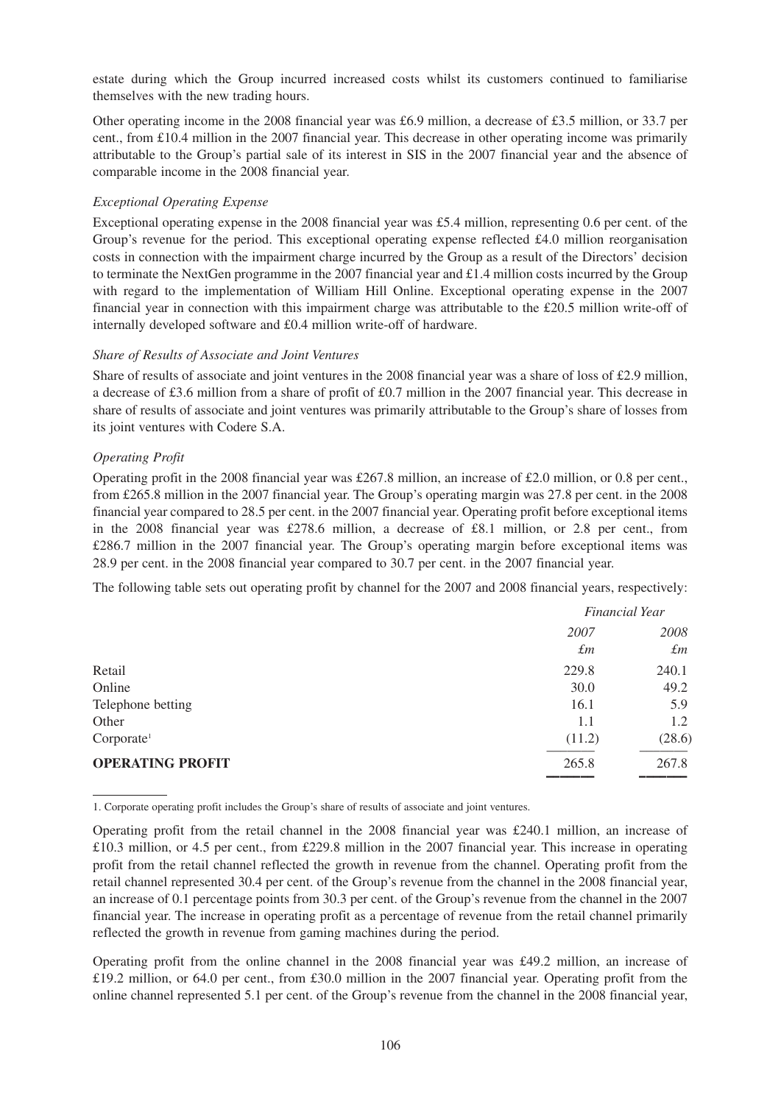estate during which the Group incurred increased costs whilst its customers continued to familiarise themselves with the new trading hours.

Other operating income in the 2008 financial year was £6.9 million, a decrease of £3.5 million, or 33.7 per cent., from £10.4 million in the 2007 financial year. This decrease in other operating income was primarily attributable to the Group's partial sale of its interest in SIS in the 2007 financial year and the absence of comparable income in the 2008 financial year.

## *Exceptional Operating Expense*

Exceptional operating expense in the 2008 financial year was £5.4 million, representing 0.6 per cent. of the Group's revenue for the period. This exceptional operating expense reflected £4.0 million reorganisation costs in connection with the impairment charge incurred by the Group as a result of the Directors' decision to terminate the NextGen programme in the 2007 financial year and £1.4 million costs incurred by the Group with regard to the implementation of William Hill Online. Exceptional operating expense in the 2007 financial year in connection with this impairment charge was attributable to the £20.5 million write-off of internally developed software and £0.4 million write-off of hardware.

### *Share of Results of Associate and Joint Ventures*

Share of results of associate and joint ventures in the 2008 financial year was a share of loss of £2.9 million, a decrease of £3.6 million from a share of profit of £0.7 million in the 2007 financial year. This decrease in share of results of associate and joint ventures was primarily attributable to the Group's share of losses from its joint ventures with Codere S.A.

### *Operating Profit*

Operating profit in the 2008 financial year was £267.8 million, an increase of £2.0 million, or 0.8 per cent., from £265.8 million in the 2007 financial year. The Group's operating margin was 27.8 per cent. in the 2008 financial year compared to 28.5 per cent. in the 2007 financial year. Operating profit before exceptional items in the 2008 financial year was £278.6 million, a decrease of £8.1 million, or 2.8 per cent., from £286.7 million in the 2007 financial year. The Group's operating margin before exceptional items was 28.9 per cent. in the 2008 financial year compared to 30.7 per cent. in the 2007 financial year.

The following table sets out operating profit by channel for the 2007 and 2008 financial years, respectively:

|                         | <b>Financial Year</b> |             |
|-------------------------|-----------------------|-------------|
|                         | 2007                  | 2008        |
|                         | $\pounds$ m           | $\pounds$ m |
| Retail                  | 229.8                 | 240.1       |
| Online                  | 30.0                  | 49.2        |
| Telephone betting       | 16.1                  | 5.9         |
| Other                   | 1.1                   | 1.2         |
| Corporate <sup>1</sup>  | (11.2)                | (28.6)      |
| <b>OPERATING PROFIT</b> | 265.8                 | 267.8       |
|                         |                       |             |

1. Corporate operating profit includes the Group's share of results of associate and joint ventures.

Operating profit from the online channel in the 2008 financial year was  $\text{\pounds}49.2$  million, an increase of £19.2 million, or 64.0 per cent., from £30.0 million in the 2007 financial year. Operating profit from the online channel represented 5.1 per cent. of the Group's revenue from the channel in the 2008 financial year,

Operating profit from the retail channel in the 2008 financial year was £240.1 million, an increase of £10.3 million, or 4.5 per cent., from £229.8 million in the 2007 financial year. This increase in operating profit from the retail channel reflected the growth in revenue from the channel. Operating profit from the retail channel represented 30.4 per cent. of the Group's revenue from the channel in the 2008 financial year, an increase of 0.1 percentage points from 30.3 per cent. of the Group's revenue from the channel in the 2007 financial year. The increase in operating profit as a percentage of revenue from the retail channel primarily reflected the growth in revenue from gaming machines during the period.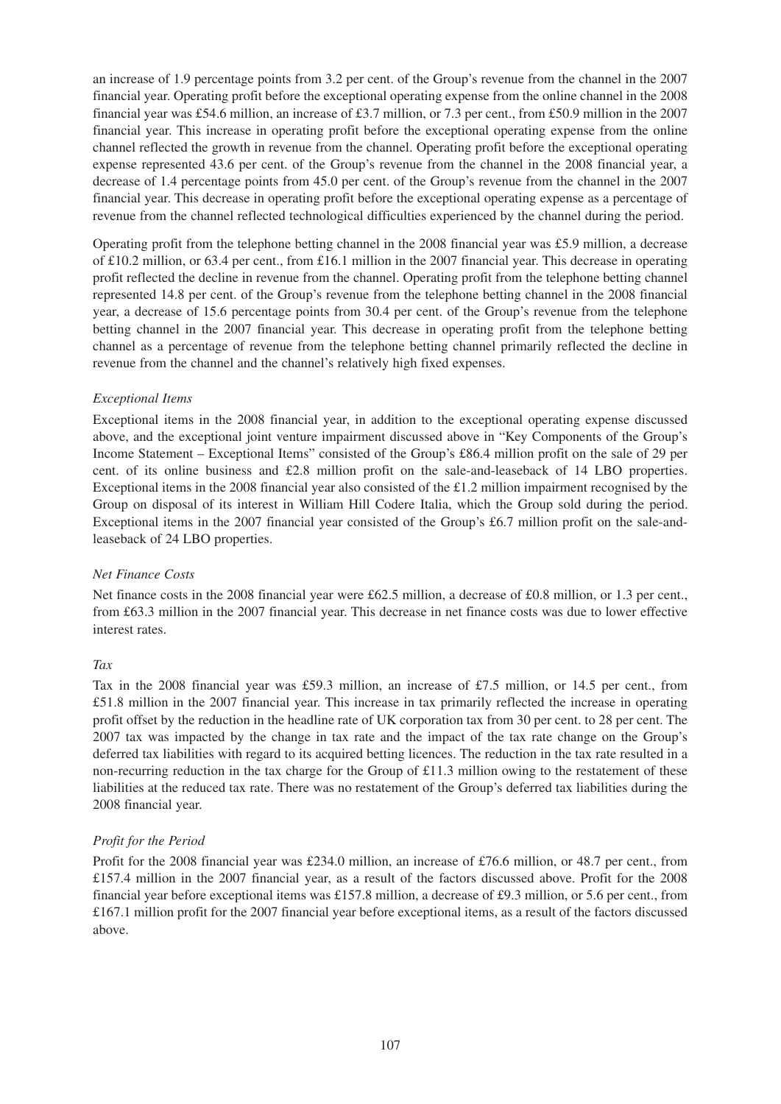an increase of 1.9 percentage points from 3.2 per cent. of the Group's revenue from the channel in the 2007 financial year. Operating profit before the exceptional operating expense from the online channel in the 2008 financial year was £54.6 million, an increase of £3.7 million, or 7.3 per cent., from £50.9 million in the 2007 financial year. This increase in operating profit before the exceptional operating expense from the online channel reflected the growth in revenue from the channel. Operating profit before the exceptional operating expense represented 43.6 per cent. of the Group's revenue from the channel in the 2008 financial year, a decrease of 1.4 percentage points from 45.0 per cent. of the Group's revenue from the channel in the 2007 financial year. This decrease in operating profit before the exceptional operating expense as a percentage of revenue from the channel reflected technological difficulties experienced by the channel during the period.

Operating profit from the telephone betting channel in the 2008 financial year was £5.9 million, a decrease of £10.2 million, or 63.4 per cent., from £16.1 million in the 2007 financial year. This decrease in operating profit reflected the decline in revenue from the channel. Operating profit from the telephone betting channel represented 14.8 per cent. of the Group's revenue from the telephone betting channel in the 2008 financial year, a decrease of 15.6 percentage points from 30.4 per cent. of the Group's revenue from the telephone betting channel in the 2007 financial year. This decrease in operating profit from the telephone betting channel as a percentage of revenue from the telephone betting channel primarily reflected the decline in revenue from the channel and the channel's relatively high fixed expenses.

### *Exceptional Items*

Exceptional items in the 2008 financial year, in addition to the exceptional operating expense discussed above, and the exceptional joint venture impairment discussed above in "Key Components of the Group's Income Statement – Exceptional Items" consisted of the Group's £86.4 million profit on the sale of 29 per cent. of its online business and £2.8 million profit on the sale-and-leaseback of 14 LBO properties. Exceptional items in the 2008 financial year also consisted of the £1.2 million impairment recognised by the Group on disposal of its interest in William Hill Codere Italia, which the Group sold during the period. Exceptional items in the 2007 financial year consisted of the Group's £6.7 million profit on the sale-andleaseback of 24 LBO properties.

### *Net Finance Costs*

Net finance costs in the 2008 financial year were £62.5 million, a decrease of £0.8 million, or 1.3 per cent., from £63.3 million in the 2007 financial year. This decrease in net finance costs was due to lower effective interest rates.

### *Tax*

Tax in the 2008 financial year was £59.3 million, an increase of £7.5 million, or 14.5 per cent., from £51.8 million in the 2007 financial year. This increase in tax primarily reflected the increase in operating profit offset by the reduction in the headline rate of UK corporation tax from 30 per cent. to 28 per cent. The 2007 tax was impacted by the change in tax rate and the impact of the tax rate change on the Group's deferred tax liabilities with regard to its acquired betting licences. The reduction in the tax rate resulted in a non-recurring reduction in the tax charge for the Group of £11.3 million owing to the restatement of these liabilities at the reduced tax rate. There was no restatement of the Group's deferred tax liabilities during the 2008 financial year.

### *Profit for the Period*

Profit for the 2008 financial year was £234.0 million, an increase of £76.6 million, or 48.7 per cent., from £157.4 million in the 2007 financial year, as a result of the factors discussed above. Profit for the 2008 financial year before exceptional items was £157.8 million, a decrease of £9.3 million, or 5.6 per cent., from £167.1 million profit for the 2007 financial year before exceptional items, as a result of the factors discussed above.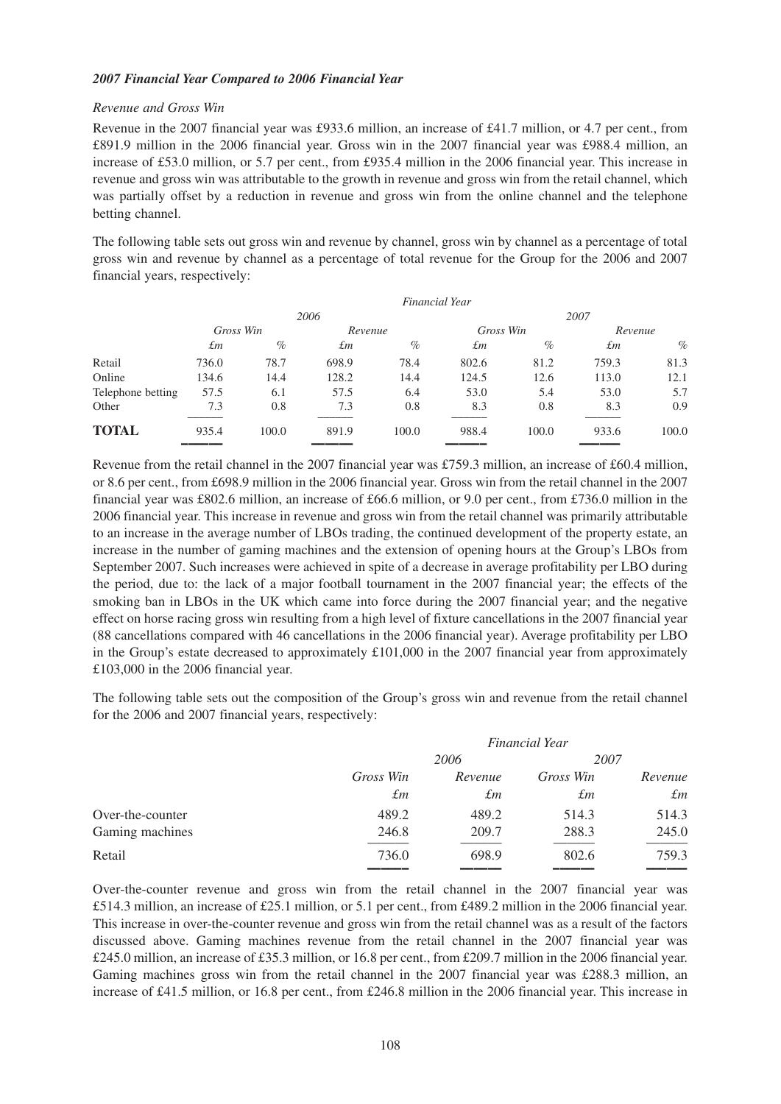### *2007 Financial Year Compared to 2006 Financial Year*

### *Revenue and Gross Win*

Revenue in the 2007 financial year was £933.6 million, an increase of £41.7 million, or 4.7 per cent., from £891.9 million in the 2006 financial year. Gross win in the 2007 financial year was £988.4 million, an increase of £53.0 million, or 5.7 per cent., from £935.4 million in the 2006 financial year. This increase in revenue and gross win was attributable to the growth in revenue and gross win from the retail channel, which was partially offset by a reduction in revenue and gross win from the online channel and the telephone betting channel.

The following table sets out gross win and revenue by channel, gross win by channel as a percentage of total gross win and revenue by channel as a percentage of total revenue for the Group for the 2006 and 2007 financial years, respectively:

|                   |             |       |         | <b>Financial Year</b> |       |           |       |         |
|-------------------|-------------|-------|---------|-----------------------|-------|-----------|-------|---------|
|                   |             |       | 2006    |                       |       |           | 2007  |         |
|                   | Gross Win   |       | Revenue |                       |       | Gross Win |       | Revenue |
|                   | $\pounds$ m | $\%$  | £т      | $\%$                  | £т    | $\%$      | £т    | $\%$    |
| Retail            | 736.0       | 78.7  | 698.9   | 78.4                  | 802.6 | 81.2      | 759.3 | 81.3    |
| Online            | 134.6       | 14.4  | 128.2   | 14.4                  | 124.5 | 12.6      | 113.0 | 12.1    |
| Telephone betting | 57.5        | 6.1   | 57.5    | 6.4                   | 53.0  | 5.4       | 53.0  | 5.7     |
| Other             | 7.3         | 0.8   | 7.3     | 0.8                   | 8.3   | 0.8       | 8.3   | 0.9     |
| <b>TOTAL</b>      | 935.4       | 100.0 | 891.9   | 100.0                 | 988.4 | 100.0     | 933.6 | 100.0   |
|                   |             |       |         |                       |       |           |       |         |

Revenue from the retail channel in the 2007 financial year was £759.3 million, an increase of £60.4 million, or 8.6 per cent., from £698.9 million in the 2006 financial year. Gross win from the retail channel in the 2007 financial year was £802.6 million, an increase of £66.6 million, or 9.0 per cent., from £736.0 million in the 2006 financial year. This increase in revenue and gross win from the retail channel was primarily attributable to an increase in the average number of LBOs trading, the continued development of the property estate, an increase in the number of gaming machines and the extension of opening hours at the Group's LBOs from September 2007. Such increases were achieved in spite of a decrease in average profitability per LBO during the period, due to: the lack of a major football tournament in the 2007 financial year; the effects of the smoking ban in LBOs in the UK which came into force during the 2007 financial year; and the negative effect on horse racing gross win resulting from a high level of fixture cancellations in the 2007 financial year (88 cancellations compared with 46 cancellations in the 2006 financial year). Average profitability per LBO in the Group's estate decreased to approximately £101,000 in the 2007 financial year from approximately £103,000 in the 2006 financial year.

The following table sets out the composition of the Group's gross win and revenue from the retail channel for the 2006 and 2007 financial years, respectively:

|                  | Financial Year |         |           |             |
|------------------|----------------|---------|-----------|-------------|
|                  | 2006           |         | 2007      |             |
|                  | Gross Win      | Revenue | Gross Win | Revenue     |
|                  | $\pounds m$    | £т      | £т        | $\pounds m$ |
| Over-the-counter | 489.2          | 489.2   | 514.3     | 514.3       |
| Gaming machines  | 246.8          | 209.7   | 288.3     | 245.0       |
| Retail           | 736.0          | 698.9   | 802.6     | 759.3       |

Over-the-counter revenue and gross win from the retail channel in the 2007 financial year was £514.3 million, an increase of £25.1 million, or 5.1 per cent., from £489.2 million in the 2006 financial year. This increase in over-the-counter revenue and gross win from the retail channel was as a result of the factors discussed above. Gaming machines revenue from the retail channel in the 2007 financial year was £245.0 million, an increase of £35.3 million, or 16.8 per cent., from £209.7 million in the 2006 financial year. Gaming machines gross win from the retail channel in the 2007 financial year was £288.3 million, an increase of £41.5 million, or 16.8 per cent., from £246.8 million in the 2006 financial year. This increase in

–––––– –––––– –––––– ––––––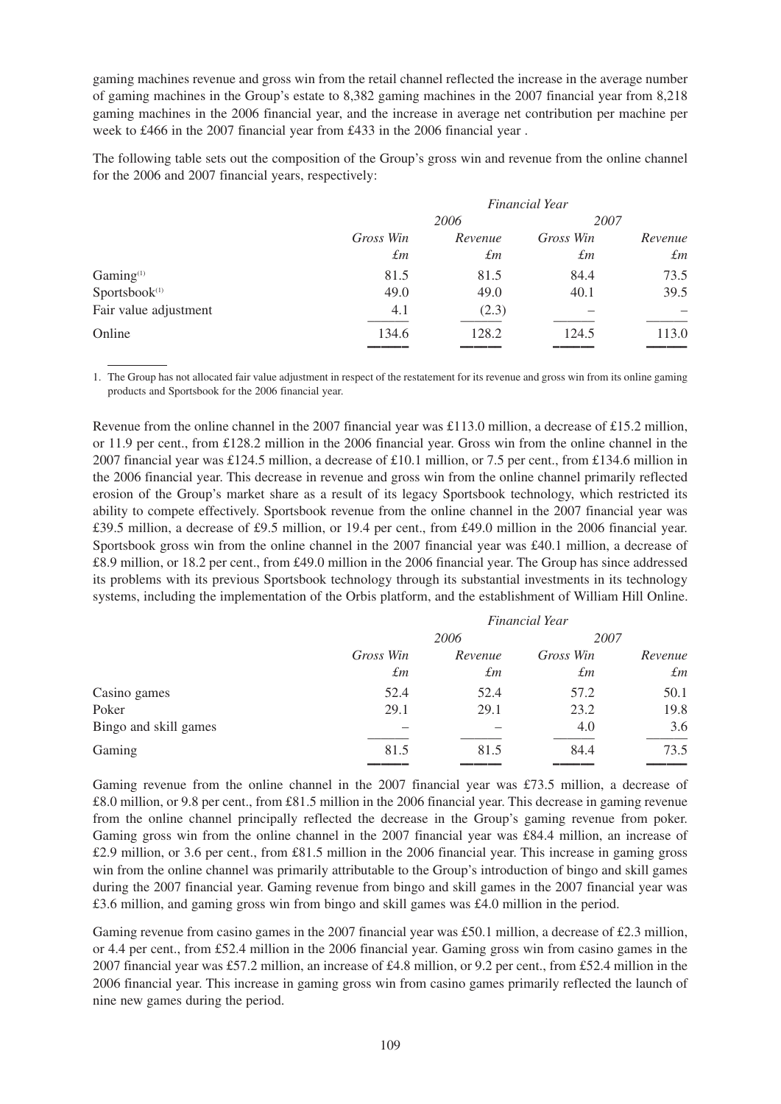gaming machines revenue and gross win from the retail channel reflected the increase in the average number of gaming machines in the Group's estate to 8,382 gaming machines in the 2007 financial year from 8,218 gaming machines in the 2006 financial year, and the increase in average net contribution per machine per week to £466 in the 2007 financial year from £433 in the 2006 financial year .

The following table sets out the composition of the Group's gross win and revenue from the online channel for the 2006 and 2007 financial years, respectively:

|                           |             |         | <b>Financial Year</b> |             |
|---------------------------|-------------|---------|-----------------------|-------------|
|                           |             | 2006    | 2007                  |             |
|                           | Gross Win   | Revenue | Gross Win             | Revenue     |
|                           | $\pounds m$ | £т      | $\pounds m$           | $\pounds m$ |
| Gaming <sup>(1)</sup>     | 81.5        | 81.5    | 84.4                  | 73.5        |
| Sportsbook <sup>(1)</sup> | 49.0        | 49.0    | 40.1                  | 39.5        |
| Fair value adjustment     | 4.1         | (2.3)   |                       |             |
| Online                    | 134.6       | 128.2   | 124.5                 | 113.0       |
|                           |             |         |                       |             |

1. The Group has not allocated fair value adjustment in respect of the restatement for its revenue and gross win from its online gaming products and Sportsbook for the 2006 financial year.

Revenue from the online channel in the 2007 financial year was £113.0 million, a decrease of £15.2 million, or 11.9 per cent., from £128.2 million in the 2006 financial year. Gross win from the online channel in the 2007 financial year was £124.5 million, a decrease of £10.1 million, or 7.5 per cent., from £134.6 million in the 2006 financial year. This decrease in revenue and gross win from the online channel primarily reflected erosion of the Group's market share as a result of its legacy Sportsbook technology, which restricted its ability to compete effectively. Sportsbook revenue from the online channel in the 2007 financial year was £39.5 million, a decrease of £9.5 million, or 19.4 per cent., from £49.0 million in the 2006 financial year. Sportsbook gross win from the online channel in the 2007 financial year was £40.1 million, a decrease of £8.9 million, or 18.2 per cent., from £49.0 million in the 2006 financial year. The Group has since addressed its problems with its previous Sportsbook technology through its substantial investments in its technology systems, including the implementation of the Orbis platform, and the establishment of William Hill Online.

|                       | <b>Financial Year</b> |             |           |             |  |
|-----------------------|-----------------------|-------------|-----------|-------------|--|
|                       |                       | 2006        |           | 2007        |  |
|                       | Gross Win             | Revenue     | Gross Win | Revenue     |  |
|                       | $\pounds$ m           | $\pounds$ m | £т        | $\pounds m$ |  |
| Casino games          | 52.4                  | 52.4        | 57.2      | 50.1        |  |
| Poker                 | 29.1                  | 29.1        | 23.2      | 19.8        |  |
| Bingo and skill games |                       |             | 4.0       | 3.6         |  |
| Gaming                | 81.5                  | 81.5        | 84.4      | 73.5        |  |
|                       |                       |             |           |             |  |

Gaming revenue from the online channel in the 2007 financial year was £73.5 million, a decrease of £8.0 million, or 9.8 per cent., from £81.5 million in the 2006 financial year. This decrease in gaming revenue from the online channel principally reflected the decrease in the Group's gaming revenue from poker. Gaming gross win from the online channel in the 2007 financial year was £84.4 million, an increase of £2.9 million, or 3.6 per cent., from £81.5 million in the 2006 financial year. This increase in gaming gross win from the online channel was primarily attributable to the Group's introduction of bingo and skill games during the 2007 financial year. Gaming revenue from bingo and skill games in the 2007 financial year was £3.6 million, and gaming gross win from bingo and skill games was £4.0 million in the period.

Gaming revenue from casino games in the 2007 financial year was £50.1 million, a decrease of £2.3 million, or 4.4 per cent., from £52.4 million in the 2006 financial year. Gaming gross win from casino games in the 2007 financial year was £57.2 million, an increase of £4.8 million, or 9.2 per cent., from £52.4 million in the 2006 financial year. This increase in gaming gross win from casino games primarily reflected the launch of nine new games during the period.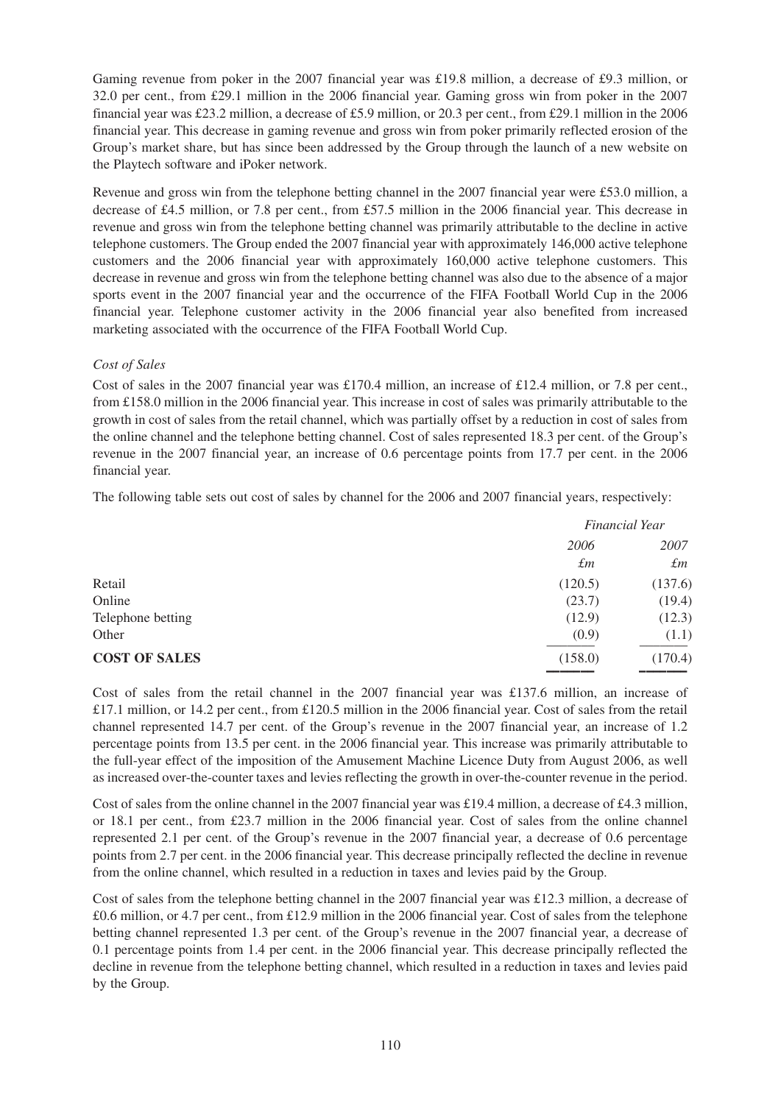Gaming revenue from poker in the 2007 financial year was £19.8 million, a decrease of £9.3 million, or 32.0 per cent., from £29.1 million in the 2006 financial year. Gaming gross win from poker in the 2007 financial year was £23.2 million, a decrease of £5.9 million, or 20.3 per cent., from £29.1 million in the 2006 financial year. This decrease in gaming revenue and gross win from poker primarily reflected erosion of the Group's market share, but has since been addressed by the Group through the launch of a new website on the Playtech software and iPoker network.

Revenue and gross win from the telephone betting channel in the 2007 financial year were £53.0 million, a decrease of £4.5 million, or 7.8 per cent., from £57.5 million in the 2006 financial year. This decrease in revenue and gross win from the telephone betting channel was primarily attributable to the decline in active telephone customers. The Group ended the 2007 financial year with approximately 146,000 active telephone customers and the 2006 financial year with approximately 160,000 active telephone customers. This decrease in revenue and gross win from the telephone betting channel was also due to the absence of a major sports event in the 2007 financial year and the occurrence of the FIFA Football World Cup in the 2006 financial year. Telephone customer activity in the 2006 financial year also benefited from increased marketing associated with the occurrence of the FIFA Football World Cup.

# *Cost of Sales*

Cost of sales in the 2007 financial year was £170.4 million, an increase of £12.4 million, or 7.8 per cent., from £158.0 million in the 2006 financial year. This increase in cost of sales was primarily attributable to the growth in cost of sales from the retail channel, which was partially offset by a reduction in cost of sales from the online channel and the telephone betting channel. Cost of sales represented 18.3 per cent. of the Group's revenue in the 2007 financial year, an increase of 0.6 percentage points from 17.7 per cent. in the 2006 financial year.

The following table sets out cost of sales by channel for the 2006 and 2007 financial years, respectively:

|                      |             | Financial Year |
|----------------------|-------------|----------------|
|                      | 2006        | 2007           |
|                      | $\pounds m$ | $\pounds m$    |
| Retail               | (120.5)     | (137.6)        |
| Online               | (23.7)      | (19.4)         |
| Telephone betting    | (12.9)      | (12.3)         |
| Other                | (0.9)       | (1.1)          |
| <b>COST OF SALES</b> | (158.0)     | (170.4)        |
|                      |             |                |

Cost of sales from the retail channel in the 2007 financial year was £137.6 million, an increase of £17.1 million, or 14.2 per cent., from £120.5 million in the 2006 financial year. Cost of sales from the retail channel represented 14.7 per cent. of the Group's revenue in the 2007 financial year, an increase of 1.2 percentage points from 13.5 per cent. in the 2006 financial year. This increase was primarily attributable to the full-year effect of the imposition of the Amusement Machine Licence Duty from August 2006, as well as increased over-the-counter taxes and levies reflecting the growth in over-the-counter revenue in the period.

Cost of sales from the online channel in the 2007 financial year was £19.4 million, a decrease of £4.3 million, or 18.1 per cent., from £23.7 million in the 2006 financial year. Cost of sales from the online channel represented 2.1 per cent. of the Group's revenue in the 2007 financial year, a decrease of 0.6 percentage points from 2.7 per cent. in the 2006 financial year. This decrease principally reflected the decline in revenue from the online channel, which resulted in a reduction in taxes and levies paid by the Group.

Cost of sales from the telephone betting channel in the 2007 financial year was £12.3 million, a decrease of £0.6 million, or 4.7 per cent., from £12.9 million in the 2006 financial year. Cost of sales from the telephone betting channel represented 1.3 per cent. of the Group's revenue in the 2007 financial year, a decrease of 0.1 percentage points from 1.4 per cent. in the 2006 financial year. This decrease principally reflected the decline in revenue from the telephone betting channel, which resulted in a reduction in taxes and levies paid by the Group.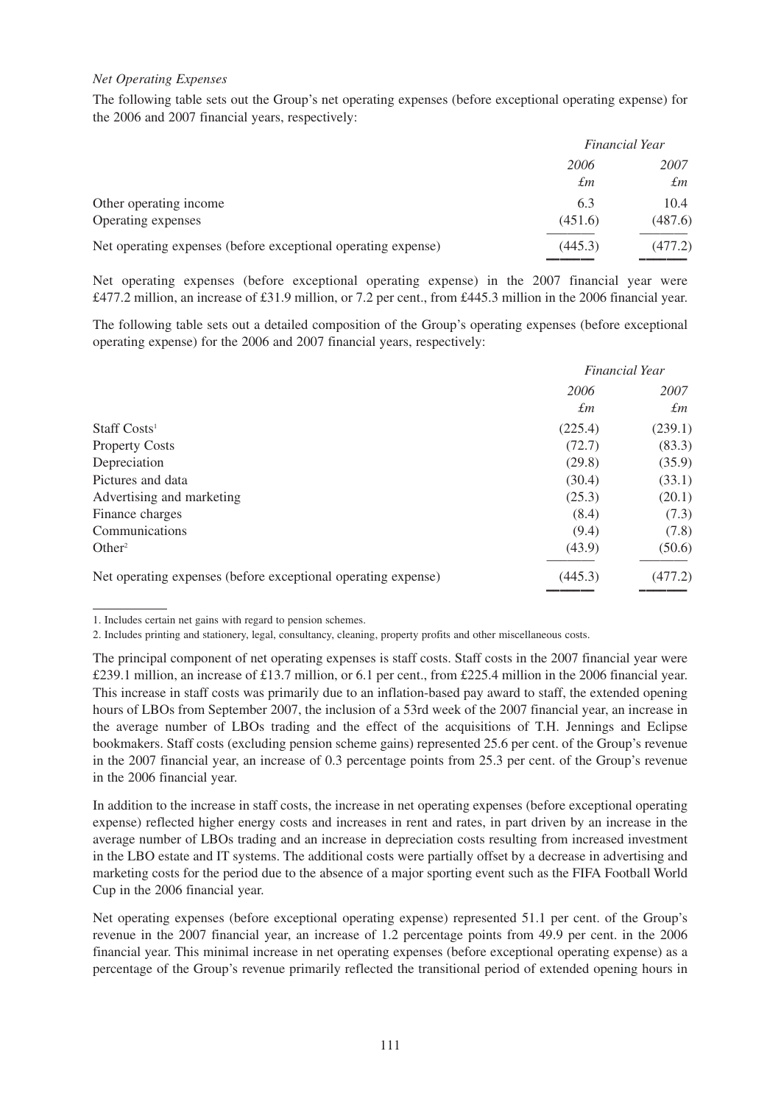## *Net Operating Expenses*

The following table sets out the Group's net operating expenses (before exceptional operating expense) for the 2006 and 2007 financial years, respectively:

|                                                               | Financial Year |             |
|---------------------------------------------------------------|----------------|-------------|
|                                                               | 2006           | 2007        |
|                                                               | $\pounds m$    | $\pounds$ m |
| Other operating income                                        | 6.3            | 10.4        |
| Operating expenses                                            | (451.6)        | (487.6)     |
| Net operating expenses (before exceptional operating expense) | (445.3)        | (477.2)     |
|                                                               |                |             |

Net operating expenses (before exceptional operating expense) in the 2007 financial year were £477.2 million, an increase of £31.9 million, or 7.2 per cent., from £445.3 million in the 2006 financial year.

The following table sets out a detailed composition of the Group's operating expenses (before exceptional operating expense) for the 2006 and 2007 financial years, respectively:

|                                                               |             | Financial Year |
|---------------------------------------------------------------|-------------|----------------|
|                                                               | 2006        | 2007           |
|                                                               | $\pounds$ m | $\pounds$ m    |
| Staff Costs <sup>1</sup>                                      | (225.4)     | (239.1)        |
| <b>Property Costs</b>                                         | (72.7)      | (83.3)         |
| Depreciation                                                  | (29.8)      | (35.9)         |
| Pictures and data                                             | (30.4)      | (33.1)         |
| Advertising and marketing                                     | (25.3)      | (20.1)         |
| Finance charges                                               | (8.4)       | (7.3)          |
| Communications                                                | (9.4)       | (7.8)          |
| Other <sup>2</sup>                                            | (43.9)      | (50.6)         |
| Net operating expenses (before exceptional operating expense) | (445.3)     | (477.2)        |

––––––– –––––––

In addition to the increase in staff costs, the increase in net operating expenses (before exceptional operating expense) reflected higher energy costs and increases in rent and rates, in part driven by an increase in the average number of LBOs trading and an increase in depreciation costs resulting from increased investment in the LBO estate and IT systems. The additional costs were partially offset by a decrease in advertising and marketing costs for the period due to the absence of a major sporting event such as the FIFA Football World Cup in the 2006 financial year.

Net operating expenses (before exceptional operating expense) represented 51.1 per cent. of the Group's revenue in the 2007 financial year, an increase of 1.2 percentage points from 49.9 per cent. in the 2006 financial year. This minimal increase in net operating expenses (before exceptional operating expense) as a percentage of the Group's revenue primarily reflected the transitional period of extended opening hours in

<sup>1.</sup> Includes certain net gains with regard to pension schemes.

<sup>2.</sup> Includes printing and stationery, legal, consultancy, cleaning, property profits and other miscellaneous costs.

The principal component of net operating expenses is staff costs. Staff costs in the 2007 financial year were £239.1 million, an increase of £13.7 million, or 6.1 per cent., from £225.4 million in the 2006 financial year. This increase in staff costs was primarily due to an inflation-based pay award to staff, the extended opening hours of LBOs from September 2007, the inclusion of a 53rd week of the 2007 financial year, an increase in the average number of LBOs trading and the effect of the acquisitions of T.H. Jennings and Eclipse bookmakers. Staff costs (excluding pension scheme gains) represented 25.6 per cent. of the Group's revenue in the 2007 financial year, an increase of 0.3 percentage points from 25.3 per cent. of the Group's revenue in the 2006 financial year.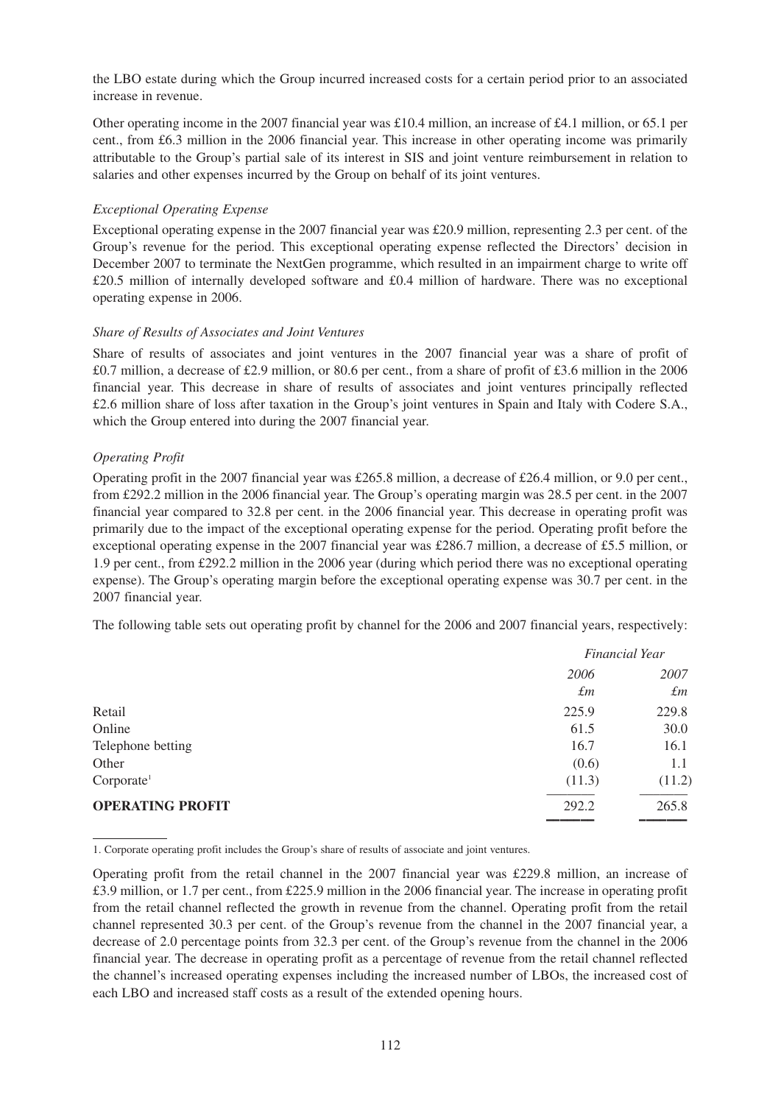the LBO estate during which the Group incurred increased costs for a certain period prior to an associated increase in revenue.

Other operating income in the 2007 financial year was £10.4 million, an increase of £4.1 million, or 65.1 per cent., from £6.3 million in the 2006 financial year. This increase in other operating income was primarily attributable to the Group's partial sale of its interest in SIS and joint venture reimbursement in relation to salaries and other expenses incurred by the Group on behalf of its joint ventures.

# *Exceptional Operating Expense*

Exceptional operating expense in the 2007 financial year was £20.9 million, representing 2.3 per cent. of the Group's revenue for the period. This exceptional operating expense reflected the Directors' decision in December 2007 to terminate the NextGen programme, which resulted in an impairment charge to write off £20.5 million of internally developed software and £0.4 million of hardware. There was no exceptional operating expense in 2006.

## *Share of Results of Associates and Joint Ventures*

Share of results of associates and joint ventures in the 2007 financial year was a share of profit of £0.7 million, a decrease of £2.9 million, or 80.6 per cent., from a share of profit of £3.6 million in the 2006 financial year. This decrease in share of results of associates and joint ventures principally reflected £2.6 million share of loss after taxation in the Group's joint ventures in Spain and Italy with Codere S.A., which the Group entered into during the 2007 financial year.

# *Operating Profit*

Operating profit in the 2007 financial year was £265.8 million, a decrease of £26.4 million, or 9.0 per cent., from £292.2 million in the 2006 financial year. The Group's operating margin was 28.5 per cent. in the 2007 financial year compared to 32.8 per cent. in the 2006 financial year. This decrease in operating profit was primarily due to the impact of the exceptional operating expense for the period. Operating profit before the exceptional operating expense in the 2007 financial year was £286.7 million, a decrease of £5.5 million, or 1.9 per cent., from £292.2 million in the 2006 year (during which period there was no exceptional operating expense). The Group's operating margin before the exceptional operating expense was 30.7 per cent. in the 2007 financial year.

The following table sets out operating profit by channel for the 2006 and 2007 financial years, respectively:

|                         | <b>Financial Year</b> |             |
|-------------------------|-----------------------|-------------|
|                         | 2006                  | 2007        |
|                         | $\pounds$ m           | $\pounds$ m |
| Retail                  | 225.9                 | 229.8       |
| Online                  | 61.5                  | 30.0        |
| Telephone betting       | 16.7                  | 16.1        |
| Other                   | (0.6)                 | 1.1         |
| Corporate <sup>1</sup>  | (11.3)                | (11.2)      |
| <b>OPERATING PROFIT</b> | 292.2                 | 265.8       |
|                         |                       |             |

1. Corporate operating profit includes the Group's share of results of associate and joint ventures.

Operating profit from the retail channel in the 2007 financial year was £229.8 million, an increase of £3.9 million, or 1.7 per cent., from £225.9 million in the 2006 financial year. The increase in operating profit from the retail channel reflected the growth in revenue from the channel. Operating profit from the retail channel represented 30.3 per cent. of the Group's revenue from the channel in the 2007 financial year, a decrease of 2.0 percentage points from 32.3 per cent. of the Group's revenue from the channel in the 2006 financial year. The decrease in operating profit as a percentage of revenue from the retail channel reflected the channel's increased operating expenses including the increased number of LBOs, the increased cost of each LBO and increased staff costs as a result of the extended opening hours.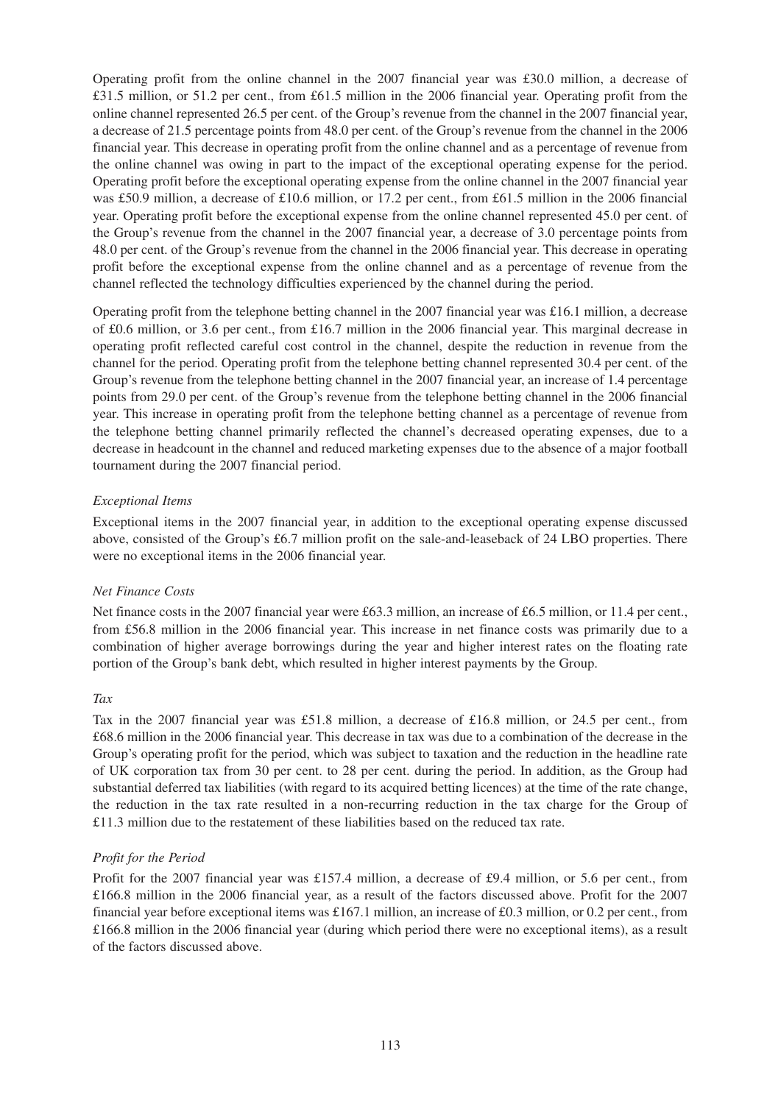Operating profit from the online channel in the 2007 financial year was £30.0 million, a decrease of £31.5 million, or 51.2 per cent., from £61.5 million in the 2006 financial year. Operating profit from the online channel represented 26.5 per cent. of the Group's revenue from the channel in the 2007 financial year, a decrease of 21.5 percentage points from 48.0 per cent. of the Group's revenue from the channel in the 2006 financial year. This decrease in operating profit from the online channel and as a percentage of revenue from the online channel was owing in part to the impact of the exceptional operating expense for the period. Operating profit before the exceptional operating expense from the online channel in the 2007 financial year was £50.9 million, a decrease of £10.6 million, or 17.2 per cent., from £61.5 million in the 2006 financial year. Operating profit before the exceptional expense from the online channel represented 45.0 per cent. of the Group's revenue from the channel in the 2007 financial year, a decrease of 3.0 percentage points from 48.0 per cent. of the Group's revenue from the channel in the 2006 financial year. This decrease in operating profit before the exceptional expense from the online channel and as a percentage of revenue from the channel reflected the technology difficulties experienced by the channel during the period.

Operating profit from the telephone betting channel in the 2007 financial year was £16.1 million, a decrease of £0.6 million, or 3.6 per cent., from £16.7 million in the 2006 financial year. This marginal decrease in operating profit reflected careful cost control in the channel, despite the reduction in revenue from the channel for the period. Operating profit from the telephone betting channel represented 30.4 per cent. of the Group's revenue from the telephone betting channel in the 2007 financial year, an increase of 1.4 percentage points from 29.0 per cent. of the Group's revenue from the telephone betting channel in the 2006 financial year. This increase in operating profit from the telephone betting channel as a percentage of revenue from the telephone betting channel primarily reflected the channel's decreased operating expenses, due to a decrease in headcount in the channel and reduced marketing expenses due to the absence of a major football tournament during the 2007 financial period.

# *Exceptional Items*

Exceptional items in the 2007 financial year, in addition to the exceptional operating expense discussed above, consisted of the Group's £6.7 million profit on the sale-and-leaseback of 24 LBO properties. There were no exceptional items in the 2006 financial year.

#### *Net Finance Costs*

Net finance costs in the 2007 financial year were £63.3 million, an increase of £6.5 million, or 11.4 per cent., from £56.8 million in the 2006 financial year. This increase in net finance costs was primarily due to a combination of higher average borrowings during the year and higher interest rates on the floating rate portion of the Group's bank debt, which resulted in higher interest payments by the Group.

#### *Tax*

Tax in the 2007 financial year was £51.8 million, a decrease of £16.8 million, or 24.5 per cent., from £68.6 million in the 2006 financial year. This decrease in tax was due to a combination of the decrease in the Group's operating profit for the period, which was subject to taxation and the reduction in the headline rate of UK corporation tax from 30 per cent. to 28 per cent. during the period. In addition, as the Group had substantial deferred tax liabilities (with regard to its acquired betting licences) at the time of the rate change, the reduction in the tax rate resulted in a non-recurring reduction in the tax charge for the Group of £11.3 million due to the restatement of these liabilities based on the reduced tax rate.

# *Profit for the Period*

Profit for the 2007 financial year was £157.4 million, a decrease of £9.4 million, or 5.6 per cent., from £166.8 million in the 2006 financial year, as a result of the factors discussed above. Profit for the 2007 financial year before exceptional items was £167.1 million, an increase of £0.3 million, or 0.2 per cent., from £166.8 million in the 2006 financial year (during which period there were no exceptional items), as a result of the factors discussed above.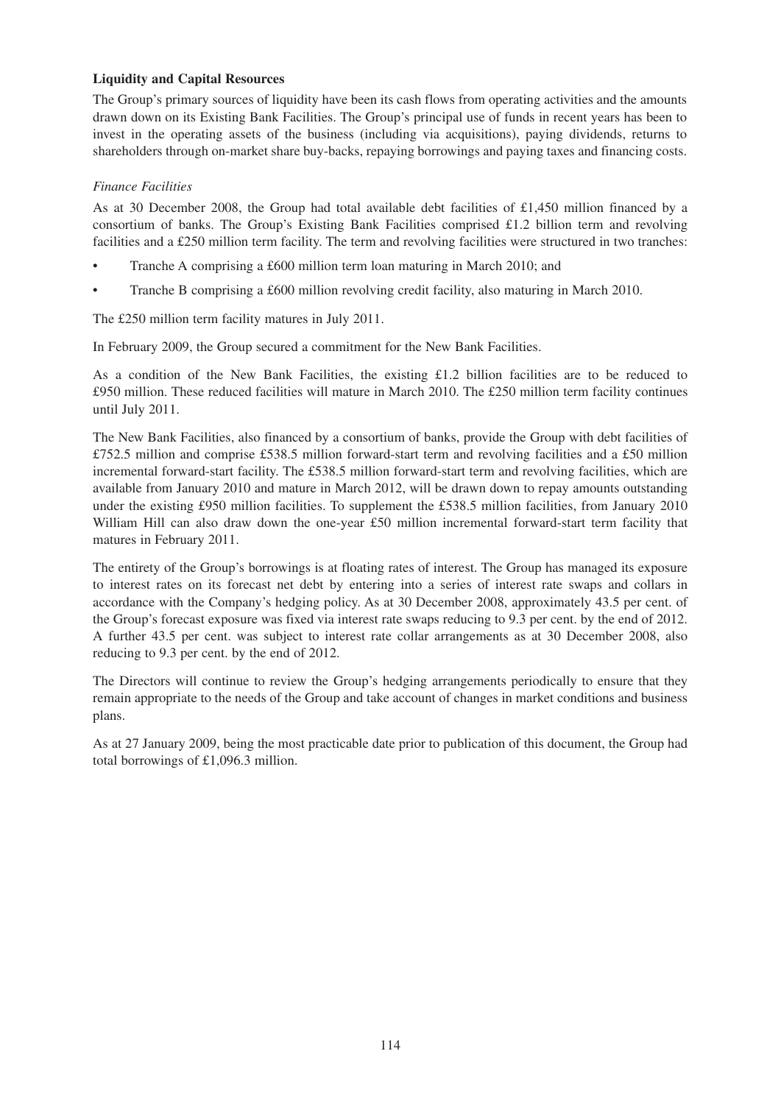# **Liquidity and Capital Resources**

The Group's primary sources of liquidity have been its cash flows from operating activities and the amounts drawn down on its Existing Bank Facilities. The Group's principal use of funds in recent years has been to invest in the operating assets of the business (including via acquisitions), paying dividends, returns to shareholders through on-market share buy-backs, repaying borrowings and paying taxes and financing costs.

# *Finance Facilities*

As at 30 December 2008, the Group had total available debt facilities of £1,450 million financed by a consortium of banks. The Group's Existing Bank Facilities comprised £1.2 billion term and revolving facilities and a £250 million term facility. The term and revolving facilities were structured in two tranches:

- Tranche A comprising a £600 million term loan maturing in March 2010; and
- Tranche B comprising a £600 million revolving credit facility, also maturing in March 2010.

The £250 million term facility matures in July 2011.

In February 2009, the Group secured a commitment for the New Bank Facilities.

As a condition of the New Bank Facilities, the existing £1.2 billion facilities are to be reduced to £950 million. These reduced facilities will mature in March 2010. The £250 million term facility continues until July 2011.

The New Bank Facilities, also financed by a consortium of banks, provide the Group with debt facilities of £752.5 million and comprise £538.5 million forward-start term and revolving facilities and a £50 million incremental forward-start facility. The £538.5 million forward-start term and revolving facilities, which are available from January 2010 and mature in March 2012, will be drawn down to repay amounts outstanding under the existing £950 million facilities. To supplement the £538.5 million facilities, from January 2010 William Hill can also draw down the one-year £50 million incremental forward-start term facility that matures in February 2011.

The entirety of the Group's borrowings is at floating rates of interest. The Group has managed its exposure to interest rates on its forecast net debt by entering into a series of interest rate swaps and collars in accordance with the Company's hedging policy. As at 30 December 2008, approximately 43.5 per cent. of the Group's forecast exposure was fixed via interest rate swaps reducing to 9.3 per cent. by the end of 2012. A further 43.5 per cent. was subject to interest rate collar arrangements as at 30 December 2008, also reducing to 9.3 per cent. by the end of 2012.

The Directors will continue to review the Group's hedging arrangements periodically to ensure that they remain appropriate to the needs of the Group and take account of changes in market conditions and business plans.

As at 27 January 2009, being the most practicable date prior to publication of this document, the Group had total borrowings of £1,096.3 million.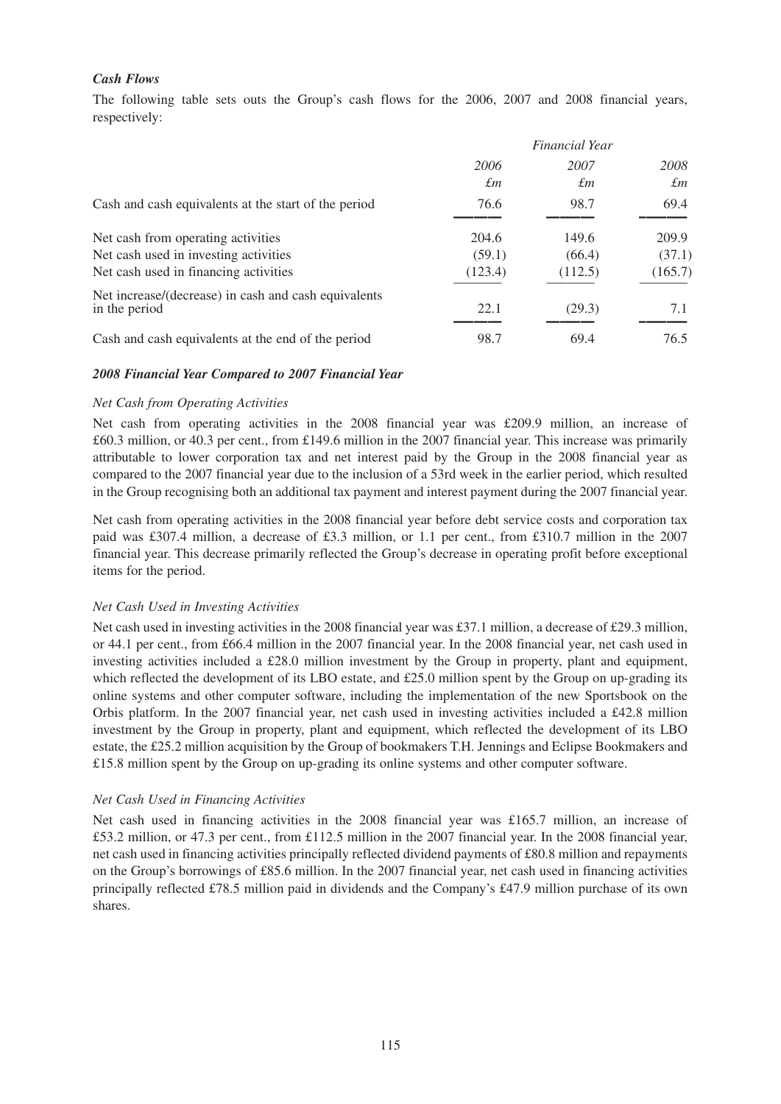# *Cash Flows*

The following table sets outs the Group's cash flows for the 2006, 2007 and 2008 financial years, respectively:

|                                                                       |         | Financial Year |             |
|-----------------------------------------------------------------------|---------|----------------|-------------|
|                                                                       | 2006    | 2007           | 2008        |
|                                                                       | £т      | £т             | $\pounds$ m |
| Cash and cash equivalents at the start of the period                  | 76.6    | 98.7           | 69.4        |
| Net cash from operating activities                                    | 204.6   | 149.6          | 209.9       |
| Net cash used in investing activities                                 | (59.1)  | (66.4)         | (37.1)      |
| Net cash used in financing activities                                 | (123.4) | (112.5)        | (165.7)     |
| Net increase/(decrease) in cash and cash equivalents<br>in the period | 22.1    | (29.3)         | 7.1         |
| Cash and cash equivalents at the end of the period                    | 98.7    | 69.4           | 76.5        |

## *2008 Financial Year Compared to 2007 Financial Year*

#### *Net Cash from Operating Activities*

Net cash from operating activities in the 2008 financial year was £209.9 million, an increase of £60.3 million, or 40.3 per cent., from £149.6 million in the 2007 financial year. This increase was primarily attributable to lower corporation tax and net interest paid by the Group in the 2008 financial year as compared to the 2007 financial year due to the inclusion of a 53rd week in the earlier period, which resulted in the Group recognising both an additional tax payment and interest payment during the 2007 financial year.

Net cash from operating activities in the 2008 financial year before debt service costs and corporation tax paid was £307.4 million, a decrease of £3.3 million, or 1.1 per cent., from £310.7 million in the 2007 financial year. This decrease primarily reflected the Group's decrease in operating profit before exceptional items for the period.

#### *Net Cash Used in Investing Activities*

Net cash used in investing activities in the 2008 financial year was £37.1 million, a decrease of £29.3 million, or 44.1 per cent., from £66.4 million in the 2007 financial year. In the 2008 financial year, net cash used in investing activities included a £28.0 million investment by the Group in property, plant and equipment, which reflected the development of its LBO estate, and £25.0 million spent by the Group on up-grading its online systems and other computer software, including the implementation of the new Sportsbook on the Orbis platform. In the 2007 financial year, net cash used in investing activities included a £42.8 million investment by the Group in property, plant and equipment, which reflected the development of its LBO estate, the £25.2 million acquisition by the Group of bookmakers T.H. Jennings and Eclipse Bookmakers and £15.8 million spent by the Group on up-grading its online systems and other computer software.

#### *Net Cash Used in Financing Activities*

Net cash used in financing activities in the 2008 financial year was £165.7 million, an increase of £53.2 million, or 47.3 per cent., from £112.5 million in the 2007 financial year. In the 2008 financial year, net cash used in financing activities principally reflected dividend payments of £80.8 million and repayments on the Group's borrowings of £85.6 million. In the 2007 financial year, net cash used in financing activities principally reflected £78.5 million paid in dividends and the Company's £47.9 million purchase of its own shares.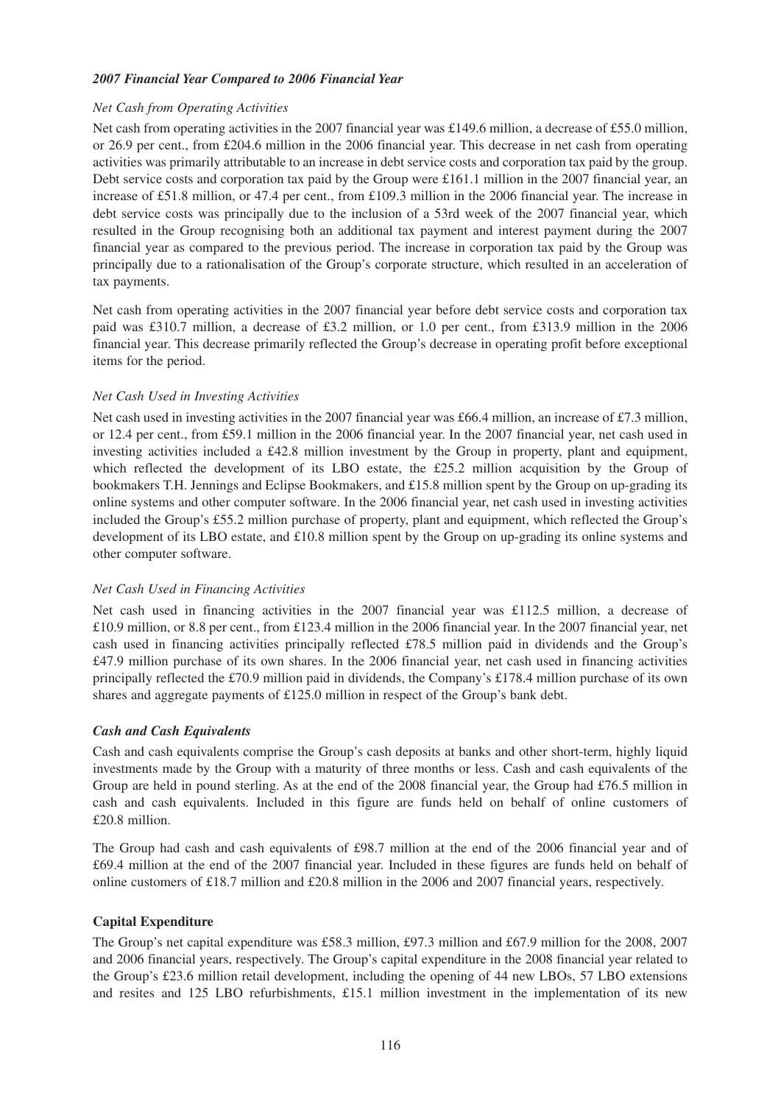# *2007 Financial Year Compared to 2006 Financial Year*

## *Net Cash from Operating Activities*

Net cash from operating activities in the 2007 financial year was £149.6 million, a decrease of £55.0 million, or 26.9 per cent., from £204.6 million in the 2006 financial year. This decrease in net cash from operating activities was primarily attributable to an increase in debt service costs and corporation tax paid by the group. Debt service costs and corporation tax paid by the Group were £161.1 million in the 2007 financial year, an increase of £51.8 million, or 47.4 per cent., from £109.3 million in the 2006 financial year. The increase in debt service costs was principally due to the inclusion of a 53rd week of the 2007 financial year, which resulted in the Group recognising both an additional tax payment and interest payment during the 2007 financial year as compared to the previous period. The increase in corporation tax paid by the Group was principally due to a rationalisation of the Group's corporate structure, which resulted in an acceleration of tax payments.

Net cash from operating activities in the 2007 financial year before debt service costs and corporation tax paid was £310.7 million, a decrease of £3.2 million, or 1.0 per cent., from £313.9 million in the 2006 financial year. This decrease primarily reflected the Group's decrease in operating profit before exceptional items for the period.

## *Net Cash Used in Investing Activities*

Net cash used in investing activities in the 2007 financial year was £66.4 million, an increase of £7.3 million, or 12.4 per cent., from £59.1 million in the 2006 financial year. In the 2007 financial year, net cash used in investing activities included a £42.8 million investment by the Group in property, plant and equipment, which reflected the development of its LBO estate, the £25.2 million acquisition by the Group of bookmakers T.H. Jennings and Eclipse Bookmakers, and  $£15.8$  million spent by the Group on up-grading its online systems and other computer software. In the 2006 financial year, net cash used in investing activities included the Group's £55.2 million purchase of property, plant and equipment, which reflected the Group's development of its LBO estate, and £10.8 million spent by the Group on up-grading its online systems and other computer software.

# *Net Cash Used in Financing Activities*

Net cash used in financing activities in the 2007 financial year was £112.5 million, a decrease of £10.9 million, or 8.8 per cent., from £123.4 million in the 2006 financial year. In the 2007 financial year, net cash used in financing activities principally reflected £78.5 million paid in dividends and the Group's £47.9 million purchase of its own shares. In the 2006 financial year, net cash used in financing activities principally reflected the £70.9 million paid in dividends, the Company's £178.4 million purchase of its own shares and aggregate payments of £125.0 million in respect of the Group's bank debt.

# *Cash and Cash Equivalents*

Cash and cash equivalents comprise the Group's cash deposits at banks and other short-term, highly liquid investments made by the Group with a maturity of three months or less. Cash and cash equivalents of the Group are held in pound sterling. As at the end of the 2008 financial year, the Group had £76.5 million in cash and cash equivalents. Included in this figure are funds held on behalf of online customers of £20.8 million.

The Group had cash and cash equivalents of £98.7 million at the end of the 2006 financial year and of £69.4 million at the end of the 2007 financial year. Included in these figures are funds held on behalf of online customers of £18.7 million and £20.8 million in the 2006 and 2007 financial years, respectively.

#### **Capital Expenditure**

The Group's net capital expenditure was £58.3 million, £97.3 million and £67.9 million for the 2008, 2007 and 2006 financial years, respectively. The Group's capital expenditure in the 2008 financial year related to the Group's £23.6 million retail development, including the opening of 44 new LBOs, 57 LBO extensions and resites and 125 LBO refurbishments, £15.1 million investment in the implementation of its new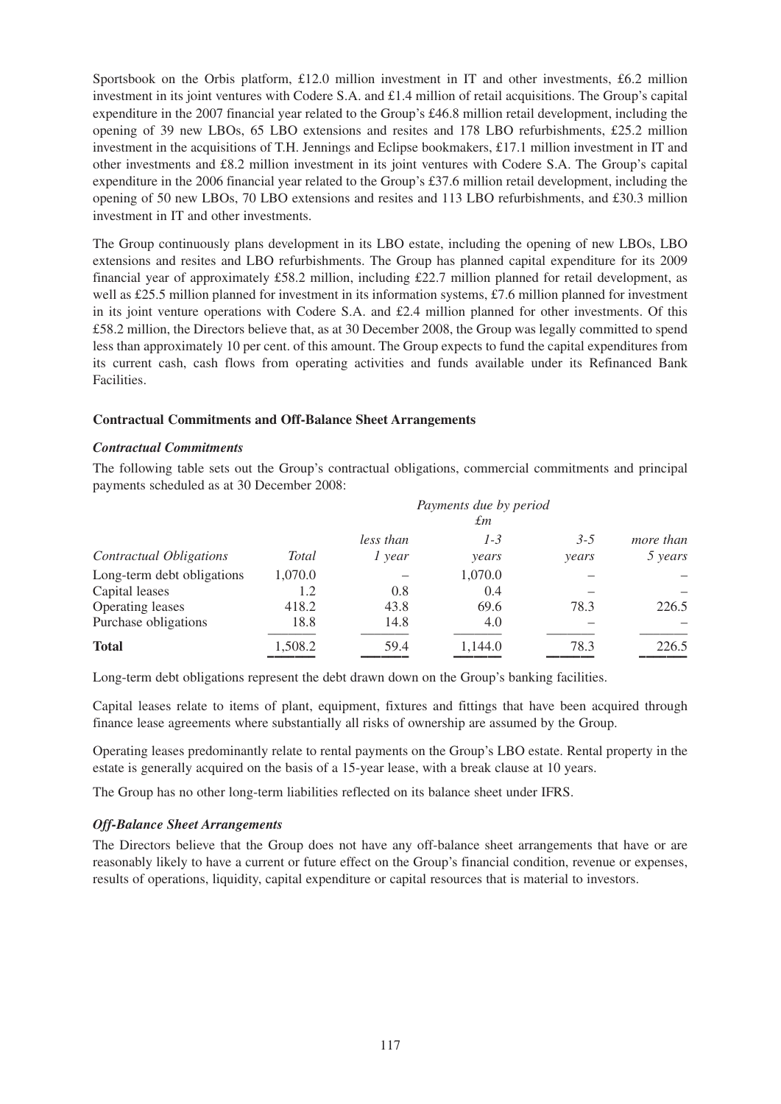Sportsbook on the Orbis platform, £12.0 million investment in IT and other investments, £6.2 million investment in its joint ventures with Codere S.A. and £1.4 million of retail acquisitions. The Group's capital expenditure in the 2007 financial year related to the Group's £46.8 million retail development, including the opening of 39 new LBOs, 65 LBO extensions and resites and 178 LBO refurbishments, £25.2 million investment in the acquisitions of T.H. Jennings and Eclipse bookmakers, £17.1 million investment in IT and other investments and £8.2 million investment in its joint ventures with Codere S.A. The Group's capital expenditure in the 2006 financial year related to the Group's £37.6 million retail development, including the opening of 50 new LBOs, 70 LBO extensions and resites and 113 LBO refurbishments, and £30.3 million investment in IT and other investments.

The Group continuously plans development in its LBO estate, including the opening of new LBOs, LBO extensions and resites and LBO refurbishments. The Group has planned capital expenditure for its 2009 financial year of approximately £58.2 million, including £22.7 million planned for retail development, as well as £25.5 million planned for investment in its information systems, £7.6 million planned for investment in its joint venture operations with Codere S.A. and  $£2.4$  million planned for other investments. Of this £58.2 million, the Directors believe that, as at 30 December 2008, the Group was legally committed to spend less than approximately 10 per cent. of this amount. The Group expects to fund the capital expenditures from its current cash, cash flows from operating activities and funds available under its Refinanced Bank Facilities.

## **Contractual Commitments and Off-Balance Sheet Arrangements**

#### *Contractual Commitments*

The following table sets out the Group's contractual obligations, commercial commitments and principal payments scheduled as at 30 December 2008:

|                                              |                |                     | Payments due by period<br>£т |                  |                      |
|----------------------------------------------|----------------|---------------------|------------------------------|------------------|----------------------|
| <b>Contractual Obligations</b>               | Total          | less than<br>l year | $1 - 3$<br>years             | $3 - 5$<br>years | more than<br>5 years |
| Long-term debt obligations<br>Capital leases | 1,070.0<br>1.2 | 0.8                 | 1,070.0<br>0.4               |                  |                      |
| Operating leases                             | 418.2          | 43.8                | 69.6                         | 78.3             | 226.5                |
| Purchase obligations                         | 18.8           | 14.8                | 4.0                          |                  |                      |
| <b>Total</b>                                 | 1,508.2        | 59.4                | 1,144.0                      | 78.3             | 226.5                |

Long-term debt obligations represent the debt drawn down on the Group's banking facilities.

Capital leases relate to items of plant, equipment, fixtures and fittings that have been acquired through finance lease agreements where substantially all risks of ownership are assumed by the Group.

Operating leases predominantly relate to rental payments on the Group's LBO estate. Rental property in the estate is generally acquired on the basis of a 15-year lease, with a break clause at 10 years.

The Group has no other long-term liabilities reflected on its balance sheet under IFRS.

# *Off-Balance Sheet Arrangements*

The Directors believe that the Group does not have any off-balance sheet arrangements that have or are reasonably likely to have a current or future effect on the Group's financial condition, revenue or expenses, results of operations, liquidity, capital expenditure or capital resources that is material to investors.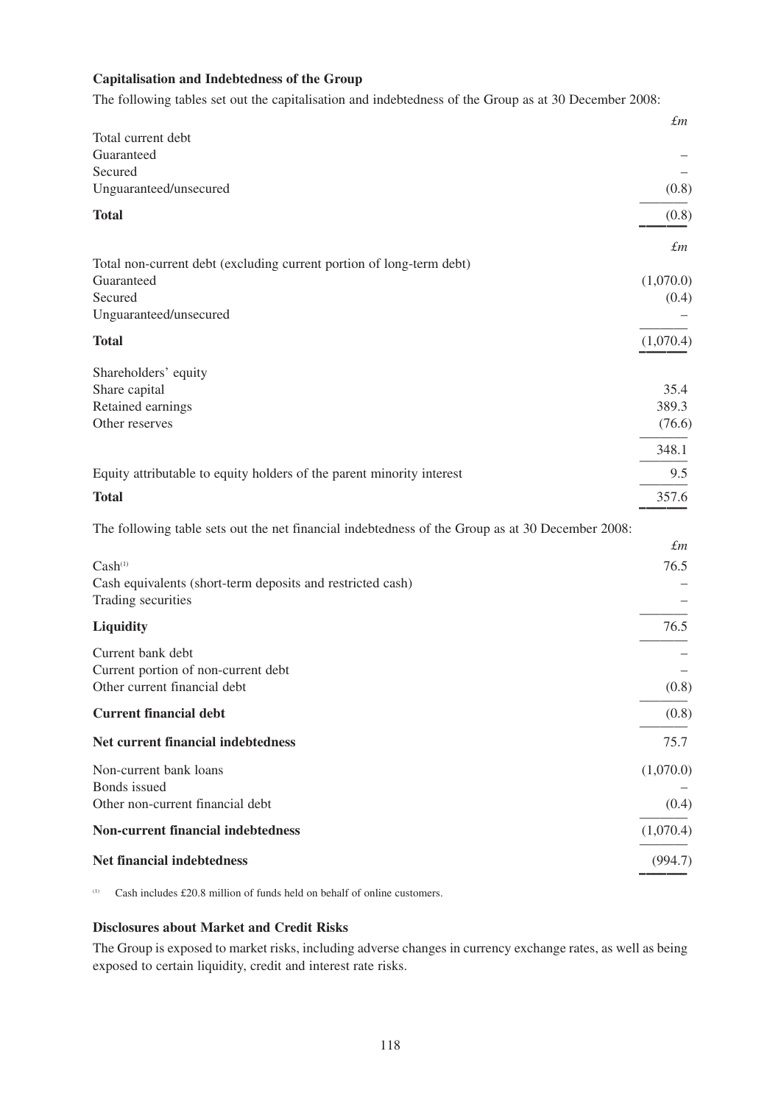# **Capitalisation and Indebtedness of the Group**

The following tables set out the capitalisation and indebtedness of the Group as at 30 December 2008:

|                                                                                                  | $\pounds m$ |
|--------------------------------------------------------------------------------------------------|-------------|
| Total current debt                                                                               |             |
| Guaranteed                                                                                       |             |
| Secured<br>Unguaranteed/unsecured                                                                | (0.8)       |
|                                                                                                  |             |
| <b>Total</b>                                                                                     | (0.8)       |
|                                                                                                  | $\pounds$ m |
| Total non-current debt (excluding current portion of long-term debt)                             |             |
| Guaranteed                                                                                       | (1,070.0)   |
| Secured                                                                                          | (0.4)       |
| Unguaranteed/unsecured                                                                           |             |
| <b>Total</b>                                                                                     | (1,070.4)   |
| Shareholders' equity                                                                             |             |
| Share capital                                                                                    | 35.4        |
| Retained earnings                                                                                | 389.3       |
| Other reserves                                                                                   | (76.6)      |
|                                                                                                  | 348.1       |
| Equity attributable to equity holders of the parent minority interest                            | 9.5         |
| <b>Total</b>                                                                                     | 357.6       |
| The following table sets out the net financial indebtedness of the Group as at 30 December 2008: |             |
|                                                                                                  | $\pounds$ m |
| Cash <sup>(1)</sup>                                                                              | 76.5        |
| Cash equivalents (short-term deposits and restricted cash)                                       |             |
| Trading securities                                                                               |             |
| Liquidity                                                                                        | 76.5        |
| Current bank debt                                                                                |             |
| Current portion of non-current debt                                                              |             |
| Other current financial debt                                                                     | (0.8)       |
| <b>Current financial debt</b>                                                                    | (0.8)       |
| Net current financial indebtedness                                                               | 75.7        |
| Non-current bank loans                                                                           | (1,070.0)   |
| Bonds issued                                                                                     |             |
| Other non-current financial debt                                                                 | (0.4)       |
| <b>Non-current financial indebtedness</b>                                                        | (1,070.4)   |
| Net financial indebtedness                                                                       | (994.7)     |
|                                                                                                  |             |

(1) Cash includes £20.8 million of funds held on behalf of online customers.

# **Disclosures about Market and Credit Risks**

The Group is exposed to market risks, including adverse changes in currency exchange rates, as well as being exposed to certain liquidity, credit and interest rate risks.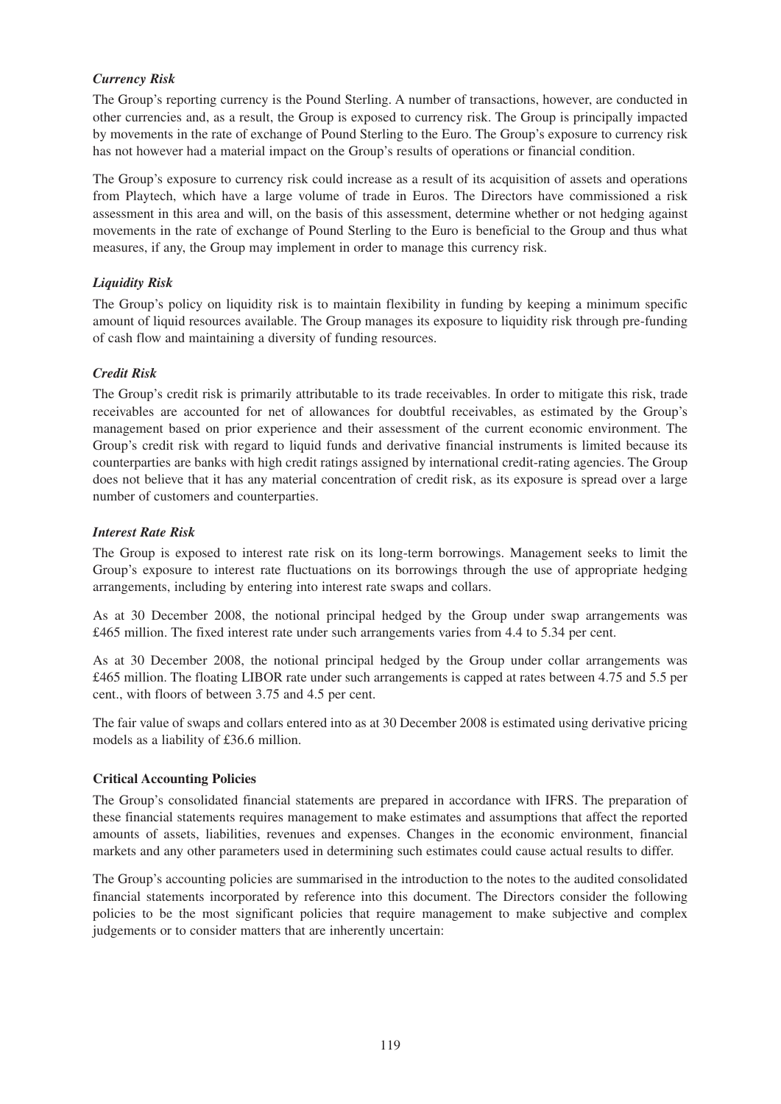# *Currency Risk*

The Group's reporting currency is the Pound Sterling. A number of transactions, however, are conducted in other currencies and, as a result, the Group is exposed to currency risk. The Group is principally impacted by movements in the rate of exchange of Pound Sterling to the Euro. The Group's exposure to currency risk has not however had a material impact on the Group's results of operations or financial condition.

The Group's exposure to currency risk could increase as a result of its acquisition of assets and operations from Playtech, which have a large volume of trade in Euros. The Directors have commissioned a risk assessment in this area and will, on the basis of this assessment, determine whether or not hedging against movements in the rate of exchange of Pound Sterling to the Euro is beneficial to the Group and thus what measures, if any, the Group may implement in order to manage this currency risk.

# *Liquidity Risk*

The Group's policy on liquidity risk is to maintain flexibility in funding by keeping a minimum specific amount of liquid resources available. The Group manages its exposure to liquidity risk through pre-funding of cash flow and maintaining a diversity of funding resources.

# *Credit Risk*

The Group's credit risk is primarily attributable to its trade receivables. In order to mitigate this risk, trade receivables are accounted for net of allowances for doubtful receivables, as estimated by the Group's management based on prior experience and their assessment of the current economic environment. The Group's credit risk with regard to liquid funds and derivative financial instruments is limited because its counterparties are banks with high credit ratings assigned by international credit-rating agencies. The Group does not believe that it has any material concentration of credit risk, as its exposure is spread over a large number of customers and counterparties.

# *Interest Rate Risk*

The Group is exposed to interest rate risk on its long-term borrowings. Management seeks to limit the Group's exposure to interest rate fluctuations on its borrowings through the use of appropriate hedging arrangements, including by entering into interest rate swaps and collars.

As at 30 December 2008, the notional principal hedged by the Group under swap arrangements was £465 million. The fixed interest rate under such arrangements varies from 4.4 to 5.34 per cent.

As at 30 December 2008, the notional principal hedged by the Group under collar arrangements was £465 million. The floating LIBOR rate under such arrangements is capped at rates between 4.75 and 5.5 per cent., with floors of between 3.75 and 4.5 per cent.

The fair value of swaps and collars entered into as at 30 December 2008 is estimated using derivative pricing models as a liability of £36.6 million.

# **Critical Accounting Policies**

The Group's consolidated financial statements are prepared in accordance with IFRS. The preparation of these financial statements requires management to make estimates and assumptions that affect the reported amounts of assets, liabilities, revenues and expenses. Changes in the economic environment, financial markets and any other parameters used in determining such estimates could cause actual results to differ.

The Group's accounting policies are summarised in the introduction to the notes to the audited consolidated financial statements incorporated by reference into this document. The Directors consider the following policies to be the most significant policies that require management to make subjective and complex judgements or to consider matters that are inherently uncertain: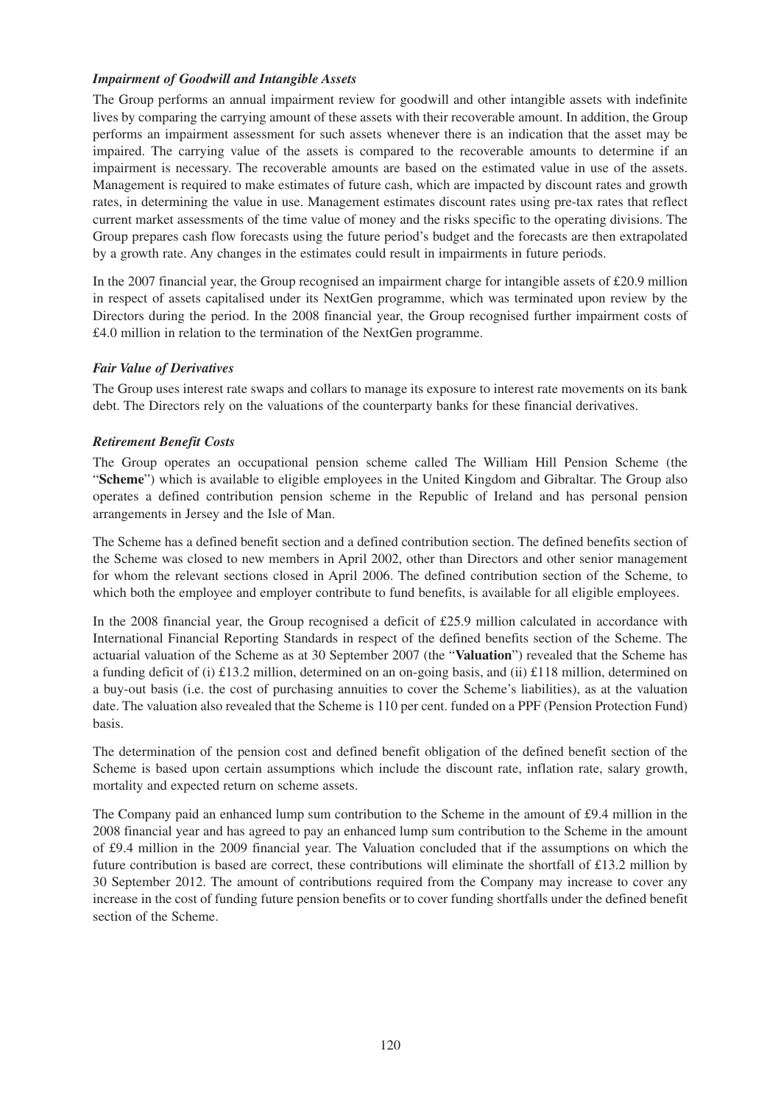# *Impairment of Goodwill and Intangible Assets*

The Group performs an annual impairment review for goodwill and other intangible assets with indefinite lives by comparing the carrying amount of these assets with their recoverable amount. In addition, the Group performs an impairment assessment for such assets whenever there is an indication that the asset may be impaired. The carrying value of the assets is compared to the recoverable amounts to determine if an impairment is necessary. The recoverable amounts are based on the estimated value in use of the assets. Management is required to make estimates of future cash, which are impacted by discount rates and growth rates, in determining the value in use. Management estimates discount rates using pre-tax rates that reflect current market assessments of the time value of money and the risks specific to the operating divisions. The Group prepares cash flow forecasts using the future period's budget and the forecasts are then extrapolated by a growth rate. Any changes in the estimates could result in impairments in future periods.

In the 2007 financial year, the Group recognised an impairment charge for intangible assets of £20.9 million in respect of assets capitalised under its NextGen programme, which was terminated upon review by the Directors during the period. In the 2008 financial year, the Group recognised further impairment costs of £4.0 million in relation to the termination of the NextGen programme.

# *Fair Value of Derivatives*

The Group uses interest rate swaps and collars to manage its exposure to interest rate movements on its bank debt. The Directors rely on the valuations of the counterparty banks for these financial derivatives.

# *Retirement Benefit Costs*

The Group operates an occupational pension scheme called The William Hill Pension Scheme (the "**Scheme**") which is available to eligible employees in the United Kingdom and Gibraltar. The Group also operates a defined contribution pension scheme in the Republic of Ireland and has personal pension arrangements in Jersey and the Isle of Man.

The Scheme has a defined benefit section and a defined contribution section. The defined benefits section of the Scheme was closed to new members in April 2002, other than Directors and other senior management for whom the relevant sections closed in April 2006. The defined contribution section of the Scheme, to which both the employee and employer contribute to fund benefits, is available for all eligible employees.

In the 2008 financial year, the Group recognised a deficit of £25.9 million calculated in accordance with International Financial Reporting Standards in respect of the defined benefits section of the Scheme. The actuarial valuation of the Scheme as at 30 September 2007 (the "**Valuation**") revealed that the Scheme has a funding deficit of (i) £13.2 million, determined on an on-going basis, and (ii) £118 million, determined on a buy-out basis (i.e. the cost of purchasing annuities to cover the Scheme's liabilities), as at the valuation date. The valuation also revealed that the Scheme is 110 per cent. funded on a PPF (Pension Protection Fund) basis.

The determination of the pension cost and defined benefit obligation of the defined benefit section of the Scheme is based upon certain assumptions which include the discount rate, inflation rate, salary growth, mortality and expected return on scheme assets.

The Company paid an enhanced lump sum contribution to the Scheme in the amount of £9.4 million in the 2008 financial year and has agreed to pay an enhanced lump sum contribution to the Scheme in the amount of £9.4 million in the 2009 financial year. The Valuation concluded that if the assumptions on which the future contribution is based are correct, these contributions will eliminate the shortfall of £13.2 million by 30 September 2012. The amount of contributions required from the Company may increase to cover any increase in the cost of funding future pension benefits or to cover funding shortfalls under the defined benefit section of the Scheme.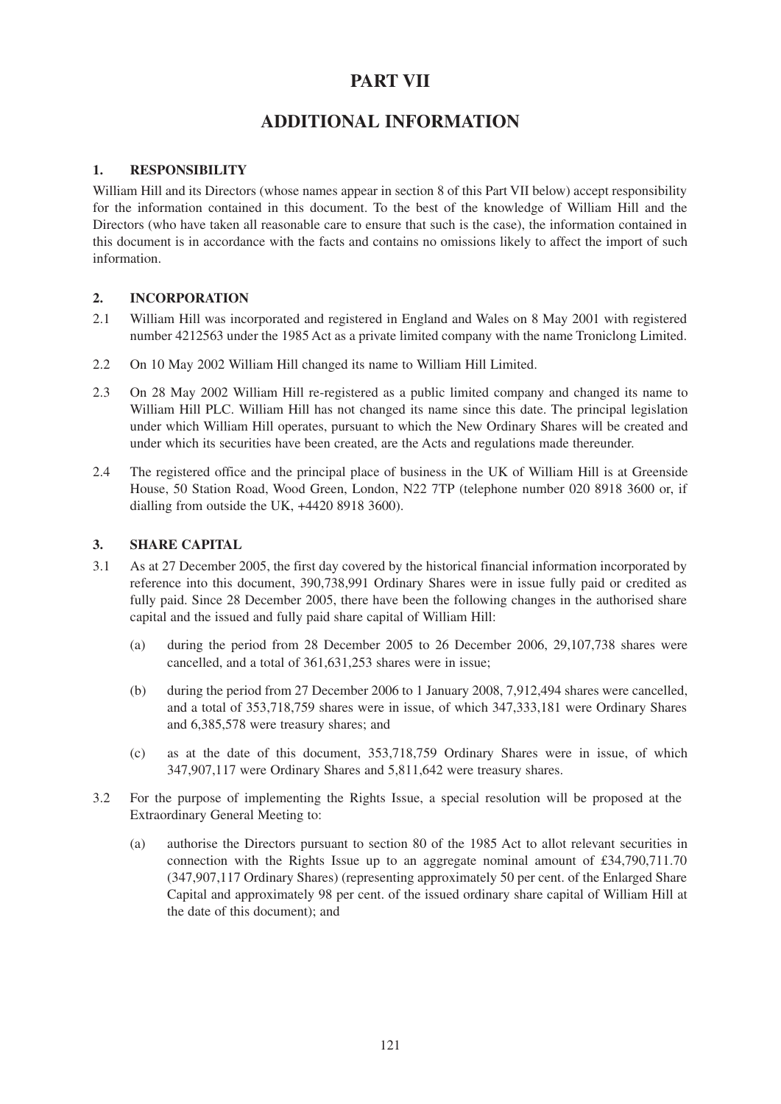# **PART VII**

# **ADDITIONAL INFORMATION**

# **1. RESPONSIBILITY**

William Hill and its Directors (whose names appear in section 8 of this Part VII below) accept responsibility for the information contained in this document. To the best of the knowledge of William Hill and the Directors (who have taken all reasonable care to ensure that such is the case), the information contained in this document is in accordance with the facts and contains no omissions likely to affect the import of such information.

# **2. INCORPORATION**

- 2.1 William Hill was incorporated and registered in England and Wales on 8 May 2001 with registered number 4212563 under the 1985 Act as a private limited company with the name Troniclong Limited.
- 2.2 On 10 May 2002 William Hill changed its name to William Hill Limited.
- 2.3 On 28 May 2002 William Hill re-registered as a public limited company and changed its name to William Hill PLC. William Hill has not changed its name since this date. The principal legislation under which William Hill operates, pursuant to which the New Ordinary Shares will be created and under which its securities have been created, are the Acts and regulations made thereunder.
- 2.4 The registered office and the principal place of business in the UK of William Hill is at Greenside House, 50 Station Road, Wood Green, London, N22 7TP (telephone number 020 8918 3600 or, if dialling from outside the UK, +4420 8918 3600).

# **3. SHARE CAPITAL**

- 3.1 As at 27 December 2005, the first day covered by the historical financial information incorporated by reference into this document, 390,738,991 Ordinary Shares were in issue fully paid or credited as fully paid. Since 28 December 2005, there have been the following changes in the authorised share capital and the issued and fully paid share capital of William Hill:
	- (a) during the period from 28 December 2005 to 26 December 2006, 29,107,738 shares were cancelled, and a total of 361,631,253 shares were in issue;
	- (b) during the period from 27 December 2006 to 1 January 2008, 7,912,494 shares were cancelled, and a total of 353,718,759 shares were in issue, of which 347,333,181 were Ordinary Shares and 6,385,578 were treasury shares; and
	- (c) as at the date of this document, 353,718,759 Ordinary Shares were in issue, of which 347,907,117 were Ordinary Shares and 5,811,642 were treasury shares.
- 3.2 For the purpose of implementing the Rights Issue, a special resolution will be proposed at the Extraordinary General Meeting to:
	- (a) authorise the Directors pursuant to section 80 of the 1985 Act to allot relevant securities in connection with the Rights Issue up to an aggregate nominal amount of  $\text{\pounds}34,790,711.70$ (347,907,117 Ordinary Shares) (representing approximately 50 per cent. of the Enlarged Share Capital and approximately 98 per cent. of the issued ordinary share capital of William Hill at the date of this document); and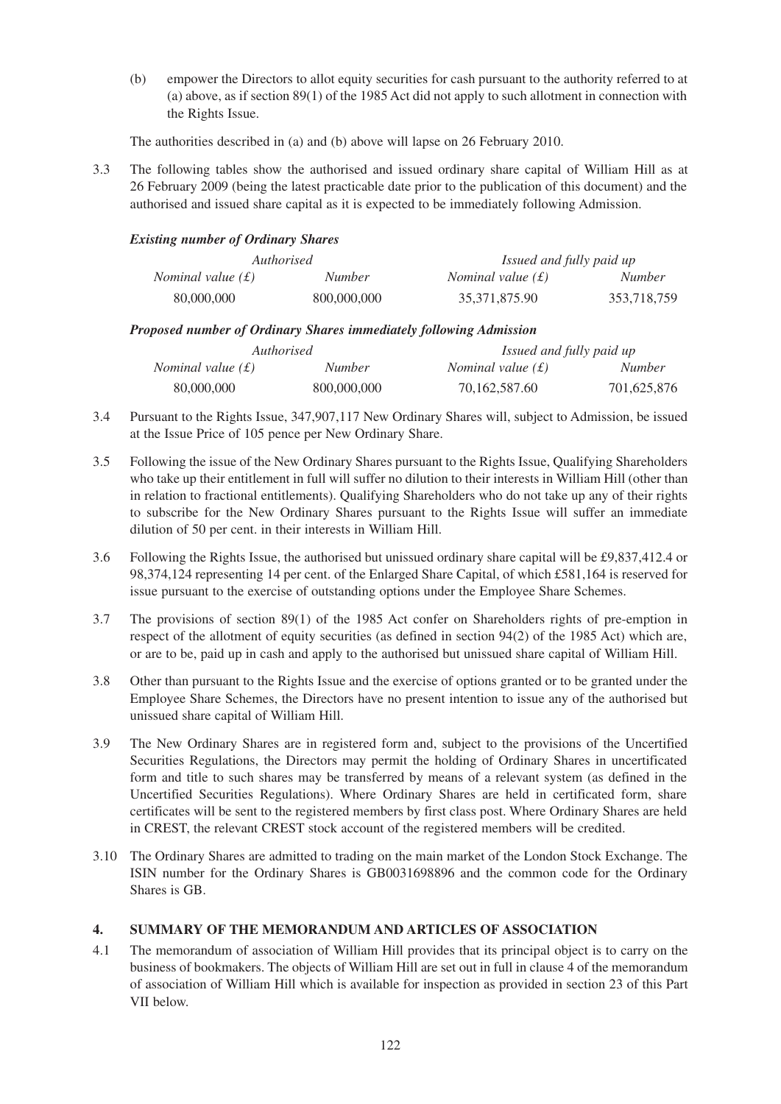(b) empower the Directors to allot equity securities for cash pursuant to the authority referred to at (a) above, as if section 89(1) of the 1985 Act did not apply to such allotment in connection with the Rights Issue.

The authorities described in (a) and (b) above will lapse on 26 February 2010.

3.3 The following tables show the authorised and issued ordinary share capital of William Hill as at 26 February 2009 (being the latest practicable date prior to the publication of this document) and the authorised and issued share capital as it is expected to be immediately following Admission.

# *Existing number of Ordinary Shares*

|                     | Authorised    | Issued and fully paid up   |               |
|---------------------|---------------|----------------------------|---------------|
| Nominal value $(f)$ | <i>Number</i> | <i>Nominal value</i> $(f)$ | <i>Number</i> |
| 80,000,000          | 800,000,000   | 35,371,875.90              | 353,718,759   |

## *Proposed number of Ordinary Shares immediately following Admission*

|                     | <i>Authorised</i> | Issued and fully paid up   |               |
|---------------------|-------------------|----------------------------|---------------|
| Nominal value $(f)$ | <i>Number</i>     | <i>Nominal value</i> $(f)$ | <i>Number</i> |
| 80,000,000          | 800,000,000       | 70,162,587.60              | 701.625.876   |

- 3.4 Pursuant to the Rights Issue, 347,907,117 New Ordinary Shares will, subject to Admission, be issued at the Issue Price of 105 pence per New Ordinary Share.
- 3.5 Following the issue of the New Ordinary Shares pursuant to the Rights Issue, Qualifying Shareholders who take up their entitlement in full will suffer no dilution to their interests in William Hill (other than in relation to fractional entitlements). Qualifying Shareholders who do not take up any of their rights to subscribe for the New Ordinary Shares pursuant to the Rights Issue will suffer an immediate dilution of 50 per cent. in their interests in William Hill.
- 3.6 Following the Rights Issue, the authorised but unissued ordinary share capital will be £9,837,412.4 or 98,374,124 representing 14 per cent. of the Enlarged Share Capital, of which £581,164 is reserved for issue pursuant to the exercise of outstanding options under the Employee Share Schemes.
- 3.7 The provisions of section 89(1) of the 1985 Act confer on Shareholders rights of pre-emption in respect of the allotment of equity securities (as defined in section 94(2) of the 1985 Act) which are, or are to be, paid up in cash and apply to the authorised but unissued share capital of William Hill.
- 3.8 Other than pursuant to the Rights Issue and the exercise of options granted or to be granted under the Employee Share Schemes, the Directors have no present intention to issue any of the authorised but unissued share capital of William Hill.
- 3.9 The New Ordinary Shares are in registered form and, subject to the provisions of the Uncertified Securities Regulations, the Directors may permit the holding of Ordinary Shares in uncertificated form and title to such shares may be transferred by means of a relevant system (as defined in the Uncertified Securities Regulations). Where Ordinary Shares are held in certificated form, share certificates will be sent to the registered members by first class post. Where Ordinary Shares are held in CREST, the relevant CREST stock account of the registered members will be credited.
- 3.10 The Ordinary Shares are admitted to trading on the main market of the London Stock Exchange. The ISIN number for the Ordinary Shares is GB0031698896 and the common code for the Ordinary Shares is GB.

# **4. SUMMARY OF THE MEMORANDUM AND ARTICLES OF ASSOCIATION**

4.1 The memorandum of association of William Hill provides that its principal object is to carry on the business of bookmakers. The objects of William Hill are set out in full in clause 4 of the memorandum of association of William Hill which is available for inspection as provided in section 23 of this Part VII below.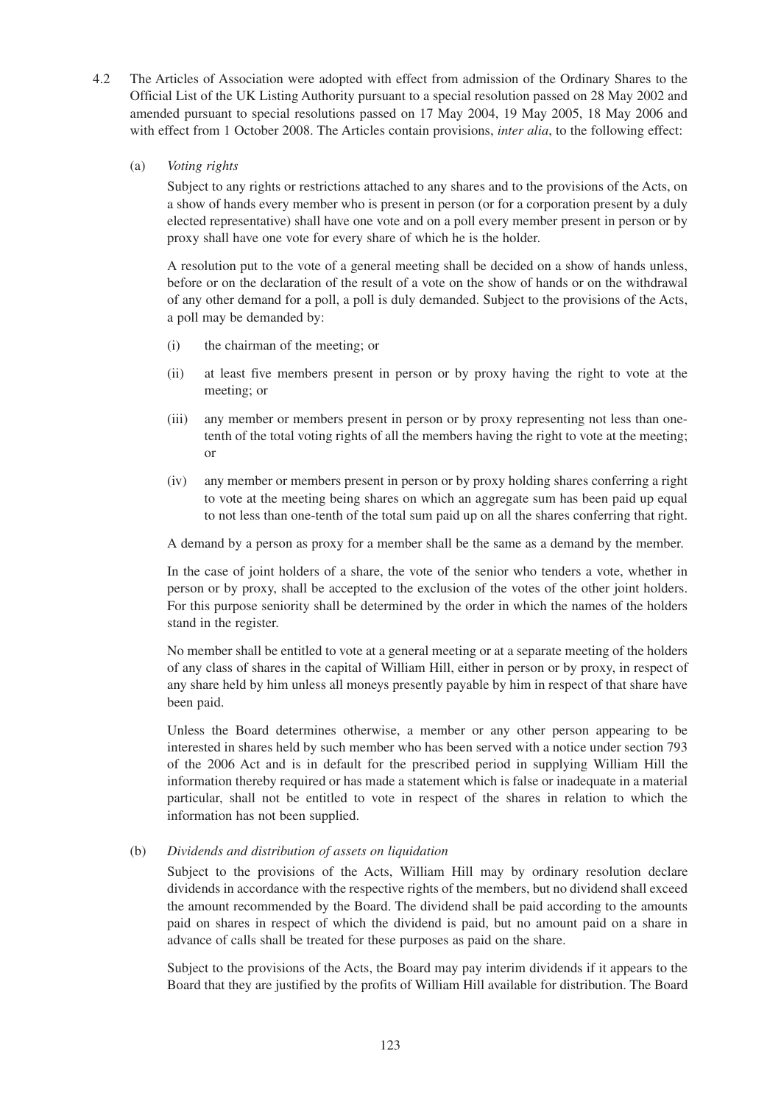- 4.2 The Articles of Association were adopted with effect from admission of the Ordinary Shares to the Official List of the UK Listing Authority pursuant to a special resolution passed on 28 May 2002 and amended pursuant to special resolutions passed on 17 May 2004, 19 May 2005, 18 May 2006 and with effect from 1 October 2008. The Articles contain provisions, *inter alia*, to the following effect:
	- (a) *Voting rights*

Subject to any rights or restrictions attached to any shares and to the provisions of the Acts, on a show of hands every member who is present in person (or for a corporation present by a duly elected representative) shall have one vote and on a poll every member present in person or by proxy shall have one vote for every share of which he is the holder.

A resolution put to the vote of a general meeting shall be decided on a show of hands unless, before or on the declaration of the result of a vote on the show of hands or on the withdrawal of any other demand for a poll, a poll is duly demanded. Subject to the provisions of the Acts, a poll may be demanded by:

- (i) the chairman of the meeting; or
- (ii) at least five members present in person or by proxy having the right to vote at the meeting; or
- (iii) any member or members present in person or by proxy representing not less than onetenth of the total voting rights of all the members having the right to vote at the meeting; or
- (iv) any member or members present in person or by proxy holding shares conferring a right to vote at the meeting being shares on which an aggregate sum has been paid up equal to not less than one-tenth of the total sum paid up on all the shares conferring that right.

A demand by a person as proxy for a member shall be the same as a demand by the member.

In the case of joint holders of a share, the vote of the senior who tenders a vote, whether in person or by proxy, shall be accepted to the exclusion of the votes of the other joint holders. For this purpose seniority shall be determined by the order in which the names of the holders stand in the register.

No member shall be entitled to vote at a general meeting or at a separate meeting of the holders of any class of shares in the capital of William Hill, either in person or by proxy, in respect of any share held by him unless all moneys presently payable by him in respect of that share have been paid.

Unless the Board determines otherwise, a member or any other person appearing to be interested in shares held by such member who has been served with a notice under section 793 of the 2006 Act and is in default for the prescribed period in supplying William Hill the information thereby required or has made a statement which is false or inadequate in a material particular, shall not be entitled to vote in respect of the shares in relation to which the information has not been supplied.

# (b) *Dividends and distribution of assets on liquidation*

Subject to the provisions of the Acts, William Hill may by ordinary resolution declare dividends in accordance with the respective rights of the members, but no dividend shall exceed the amount recommended by the Board. The dividend shall be paid according to the amounts paid on shares in respect of which the dividend is paid, but no amount paid on a share in advance of calls shall be treated for these purposes as paid on the share.

Subject to the provisions of the Acts, the Board may pay interim dividends if it appears to the Board that they are justified by the profits of William Hill available for distribution. The Board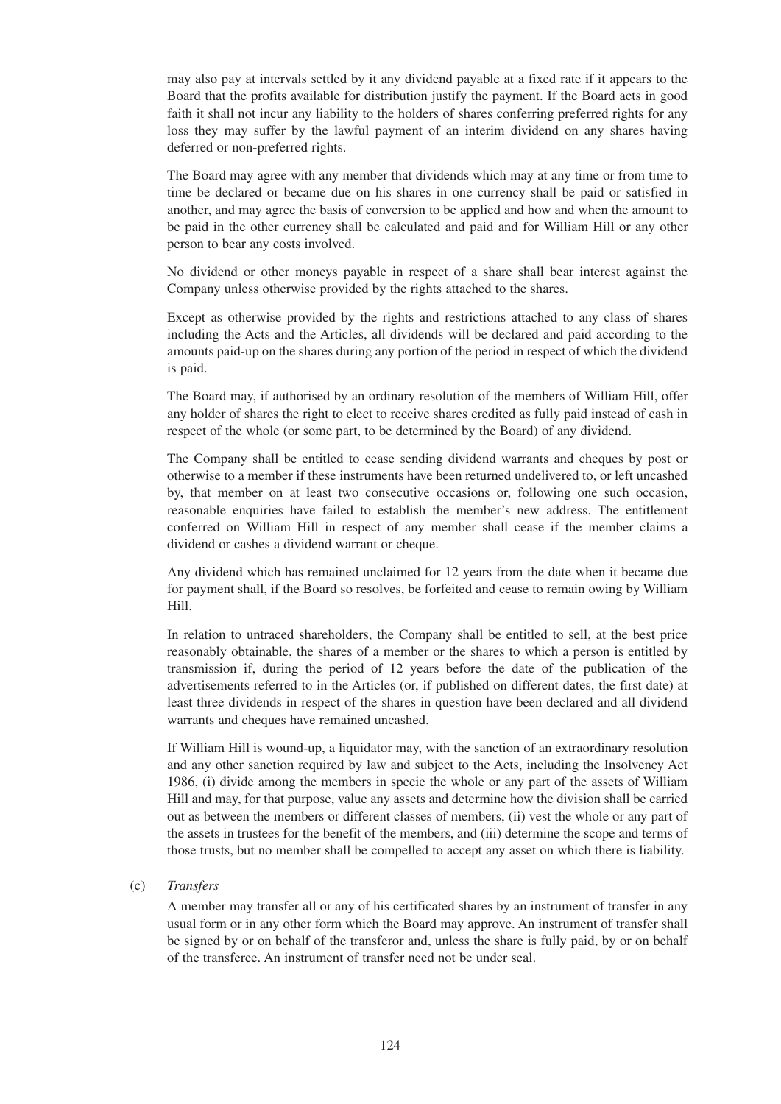may also pay at intervals settled by it any dividend payable at a fixed rate if it appears to the Board that the profits available for distribution justify the payment. If the Board acts in good faith it shall not incur any liability to the holders of shares conferring preferred rights for any loss they may suffer by the lawful payment of an interim dividend on any shares having deferred or non-preferred rights.

The Board may agree with any member that dividends which may at any time or from time to time be declared or became due on his shares in one currency shall be paid or satisfied in another, and may agree the basis of conversion to be applied and how and when the amount to be paid in the other currency shall be calculated and paid and for William Hill or any other person to bear any costs involved.

No dividend or other moneys payable in respect of a share shall bear interest against the Company unless otherwise provided by the rights attached to the shares.

Except as otherwise provided by the rights and restrictions attached to any class of shares including the Acts and the Articles, all dividends will be declared and paid according to the amounts paid-up on the shares during any portion of the period in respect of which the dividend is paid.

The Board may, if authorised by an ordinary resolution of the members of William Hill, offer any holder of shares the right to elect to receive shares credited as fully paid instead of cash in respect of the whole (or some part, to be determined by the Board) of any dividend.

The Company shall be entitled to cease sending dividend warrants and cheques by post or otherwise to a member if these instruments have been returned undelivered to, or left uncashed by, that member on at least two consecutive occasions or, following one such occasion, reasonable enquiries have failed to establish the member's new address. The entitlement conferred on William Hill in respect of any member shall cease if the member claims a dividend or cashes a dividend warrant or cheque.

Any dividend which has remained unclaimed for 12 years from the date when it became due for payment shall, if the Board so resolves, be forfeited and cease to remain owing by William Hill.

In relation to untraced shareholders, the Company shall be entitled to sell, at the best price reasonably obtainable, the shares of a member or the shares to which a person is entitled by transmission if, during the period of 12 years before the date of the publication of the advertisements referred to in the Articles (or, if published on different dates, the first date) at least three dividends in respect of the shares in question have been declared and all dividend warrants and cheques have remained uncashed.

If William Hill is wound-up, a liquidator may, with the sanction of an extraordinary resolution and any other sanction required by law and subject to the Acts, including the Insolvency Act 1986, (i) divide among the members in specie the whole or any part of the assets of William Hill and may, for that purpose, value any assets and determine how the division shall be carried out as between the members or different classes of members, (ii) vest the whole or any part of the assets in trustees for the benefit of the members, and (iii) determine the scope and terms of those trusts, but no member shall be compelled to accept any asset on which there is liability.

(c) *Transfers*

A member may transfer all or any of his certificated shares by an instrument of transfer in any usual form or in any other form which the Board may approve. An instrument of transfer shall be signed by or on behalf of the transferor and, unless the share is fully paid, by or on behalf of the transferee. An instrument of transfer need not be under seal.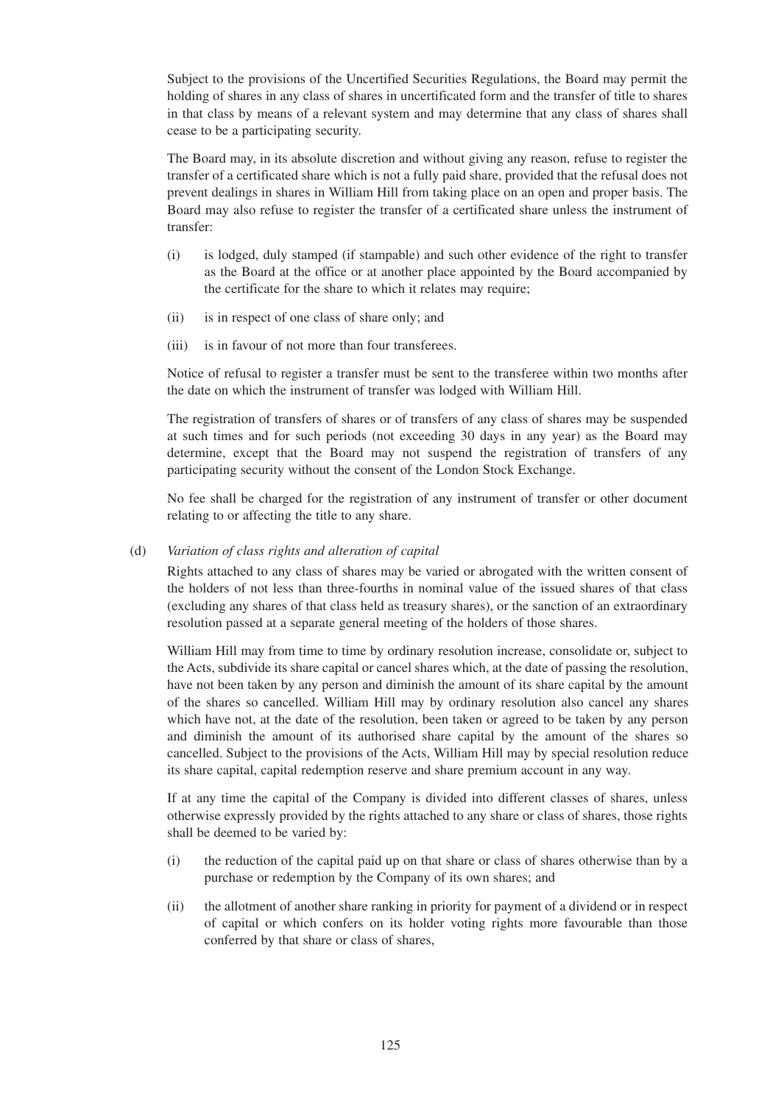Subject to the provisions of the Uncertified Securities Regulations, the Board may permit the holding of shares in any class of shares in uncertificated form and the transfer of title to shares in that class by means of a relevant system and may determine that any class of shares shall cease to be a participating security.

The Board may, in its absolute discretion and without giving any reason, refuse to register the transfer of a certificated share which is not a fully paid share, provided that the refusal does not prevent dealings in shares in William Hill from taking place on an open and proper basis. The Board may also refuse to register the transfer of a certificated share unless the instrument of transfer:

- (i) is lodged, duly stamped (if stampable) and such other evidence of the right to transfer as the Board at the office or at another place appointed by the Board accompanied by the certificate for the share to which it relates may require;
- (ii) is in respect of one class of share only; and
- (iii) is in favour of not more than four transferees.

Notice of refusal to register a transfer must be sent to the transferee within two months after the date on which the instrument of transfer was lodged with William Hill.

The registration of transfers of shares or of transfers of any class of shares may be suspended at such times and for such periods (not exceeding 30 days in any year) as the Board may determine, except that the Board may not suspend the registration of transfers of any participating security without the consent of the London Stock Exchange.

No fee shall be charged for the registration of any instrument of transfer or other document relating to or affecting the title to any share.

## (d) *Variation of class rights and alteration of capital*

Rights attached to any class of shares may be varied or abrogated with the written consent of the holders of not less than three-fourths in nominal value of the issued shares of that class (excluding any shares of that class held as treasury shares), or the sanction of an extraordinary resolution passed at a separate general meeting of the holders of those shares.

William Hill may from time to time by ordinary resolution increase, consolidate or, subject to the Acts, subdivide its share capital or cancel shares which, at the date of passing the resolution, have not been taken by any person and diminish the amount of its share capital by the amount of the shares so cancelled. William Hill may by ordinary resolution also cancel any shares which have not, at the date of the resolution, been taken or agreed to be taken by any person and diminish the amount of its authorised share capital by the amount of the shares so cancelled. Subject to the provisions of the Acts, William Hill may by special resolution reduce its share capital, capital redemption reserve and share premium account in any way.

If at any time the capital of the Company is divided into different classes of shares, unless otherwise expressly provided by the rights attached to any share or class of shares, those rights shall be deemed to be varied by:

- (i) the reduction of the capital paid up on that share or class of shares otherwise than by a purchase or redemption by the Company of its own shares; and
- (ii) the allotment of another share ranking in priority for payment of a dividend or in respect of capital or which confers on its holder voting rights more favourable than those conferred by that share or class of shares,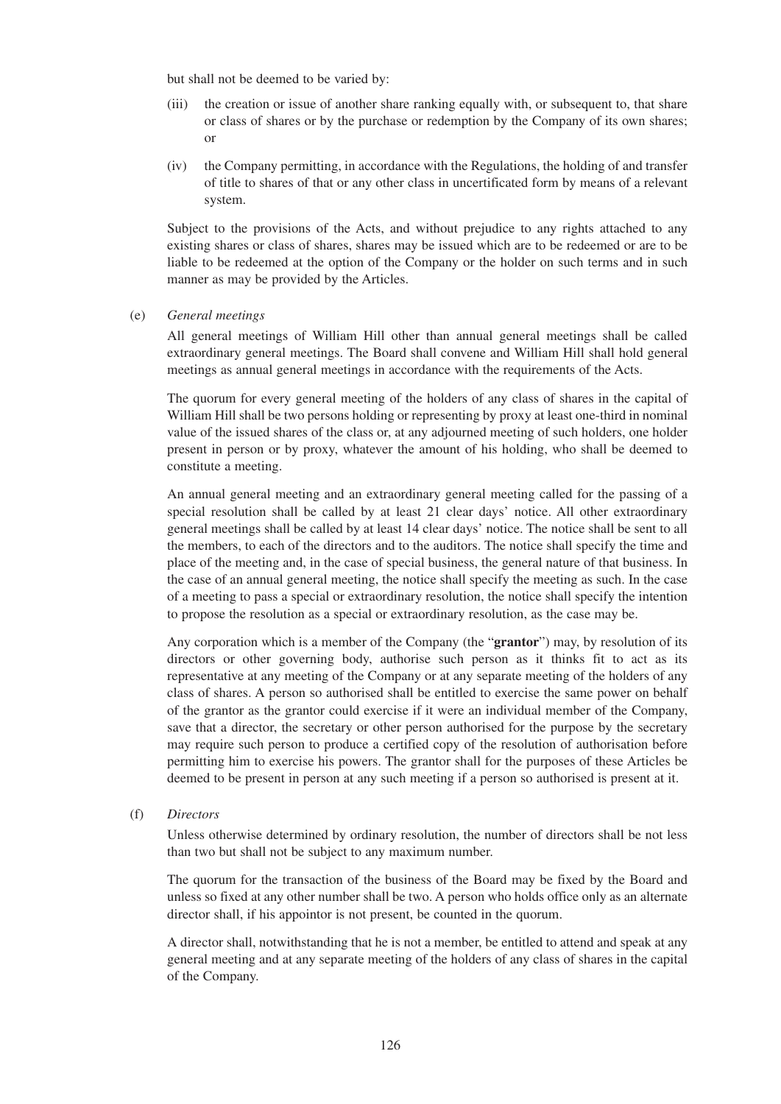but shall not be deemed to be varied by:

- (iii) the creation or issue of another share ranking equally with, or subsequent to, that share or class of shares or by the purchase or redemption by the Company of its own shares; or
- (iv) the Company permitting, in accordance with the Regulations, the holding of and transfer of title to shares of that or any other class in uncertificated form by means of a relevant system.

Subject to the provisions of the Acts, and without prejudice to any rights attached to any existing shares or class of shares, shares may be issued which are to be redeemed or are to be liable to be redeemed at the option of the Company or the holder on such terms and in such manner as may be provided by the Articles.

#### (e) *General meetings*

All general meetings of William Hill other than annual general meetings shall be called extraordinary general meetings. The Board shall convene and William Hill shall hold general meetings as annual general meetings in accordance with the requirements of the Acts.

The quorum for every general meeting of the holders of any class of shares in the capital of William Hill shall be two persons holding or representing by proxy at least one-third in nominal value of the issued shares of the class or, at any adjourned meeting of such holders, one holder present in person or by proxy, whatever the amount of his holding, who shall be deemed to constitute a meeting.

An annual general meeting and an extraordinary general meeting called for the passing of a special resolution shall be called by at least 21 clear days' notice. All other extraordinary general meetings shall be called by at least 14 clear days' notice. The notice shall be sent to all the members, to each of the directors and to the auditors. The notice shall specify the time and place of the meeting and, in the case of special business, the general nature of that business. In the case of an annual general meeting, the notice shall specify the meeting as such. In the case of a meeting to pass a special or extraordinary resolution, the notice shall specify the intention to propose the resolution as a special or extraordinary resolution, as the case may be.

Any corporation which is a member of the Company (the "**grantor**") may, by resolution of its directors or other governing body, authorise such person as it thinks fit to act as its representative at any meeting of the Company or at any separate meeting of the holders of any class of shares. A person so authorised shall be entitled to exercise the same power on behalf of the grantor as the grantor could exercise if it were an individual member of the Company, save that a director, the secretary or other person authorised for the purpose by the secretary may require such person to produce a certified copy of the resolution of authorisation before permitting him to exercise his powers. The grantor shall for the purposes of these Articles be deemed to be present in person at any such meeting if a person so authorised is present at it.

(f) *Directors*

Unless otherwise determined by ordinary resolution, the number of directors shall be not less than two but shall not be subject to any maximum number.

The quorum for the transaction of the business of the Board may be fixed by the Board and unless so fixed at any other number shall be two. A person who holds office only as an alternate director shall, if his appointor is not present, be counted in the quorum.

A director shall, notwithstanding that he is not a member, be entitled to attend and speak at any general meeting and at any separate meeting of the holders of any class of shares in the capital of the Company.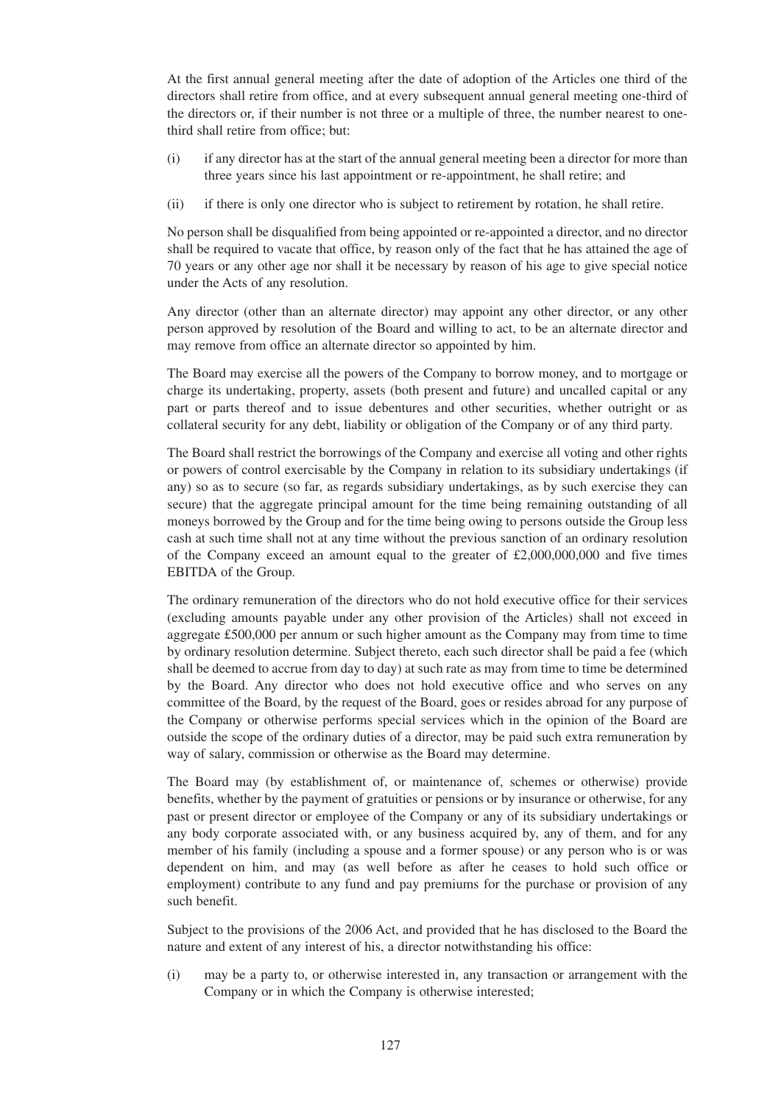At the first annual general meeting after the date of adoption of the Articles one third of the directors shall retire from office, and at every subsequent annual general meeting one-third of the directors or, if their number is not three or a multiple of three, the number nearest to onethird shall retire from office; but:

- (i) if any director has at the start of the annual general meeting been a director for more than three years since his last appointment or re-appointment, he shall retire; and
- (ii) if there is only one director who is subject to retirement by rotation, he shall retire.

No person shall be disqualified from being appointed or re-appointed a director, and no director shall be required to vacate that office, by reason only of the fact that he has attained the age of 70 years or any other age nor shall it be necessary by reason of his age to give special notice under the Acts of any resolution.

Any director (other than an alternate director) may appoint any other director, or any other person approved by resolution of the Board and willing to act, to be an alternate director and may remove from office an alternate director so appointed by him.

The Board may exercise all the powers of the Company to borrow money, and to mortgage or charge its undertaking, property, assets (both present and future) and uncalled capital or any part or parts thereof and to issue debentures and other securities, whether outright or as collateral security for any debt, liability or obligation of the Company or of any third party.

The Board shall restrict the borrowings of the Company and exercise all voting and other rights or powers of control exercisable by the Company in relation to its subsidiary undertakings (if any) so as to secure (so far, as regards subsidiary undertakings, as by such exercise they can secure) that the aggregate principal amount for the time being remaining outstanding of all moneys borrowed by the Group and for the time being owing to persons outside the Group less cash at such time shall not at any time without the previous sanction of an ordinary resolution of the Company exceed an amount equal to the greater of  $£2,000,000,000$  and five times EBITDA of the Group.

The ordinary remuneration of the directors who do not hold executive office for their services (excluding amounts payable under any other provision of the Articles) shall not exceed in aggregate £500,000 per annum or such higher amount as the Company may from time to time by ordinary resolution determine. Subject thereto, each such director shall be paid a fee (which shall be deemed to accrue from day to day) at such rate as may from time to time be determined by the Board. Any director who does not hold executive office and who serves on any committee of the Board, by the request of the Board, goes or resides abroad for any purpose of the Company or otherwise performs special services which in the opinion of the Board are outside the scope of the ordinary duties of a director, may be paid such extra remuneration by way of salary, commission or otherwise as the Board may determine.

The Board may (by establishment of, or maintenance of, schemes or otherwise) provide benefits, whether by the payment of gratuities or pensions or by insurance or otherwise, for any past or present director or employee of the Company or any of its subsidiary undertakings or any body corporate associated with, or any business acquired by, any of them, and for any member of his family (including a spouse and a former spouse) or any person who is or was dependent on him, and may (as well before as after he ceases to hold such office or employment) contribute to any fund and pay premiums for the purchase or provision of any such benefit.

Subject to the provisions of the 2006 Act, and provided that he has disclosed to the Board the nature and extent of any interest of his, a director notwithstanding his office:

(i) may be a party to, or otherwise interested in, any transaction or arrangement with the Company or in which the Company is otherwise interested;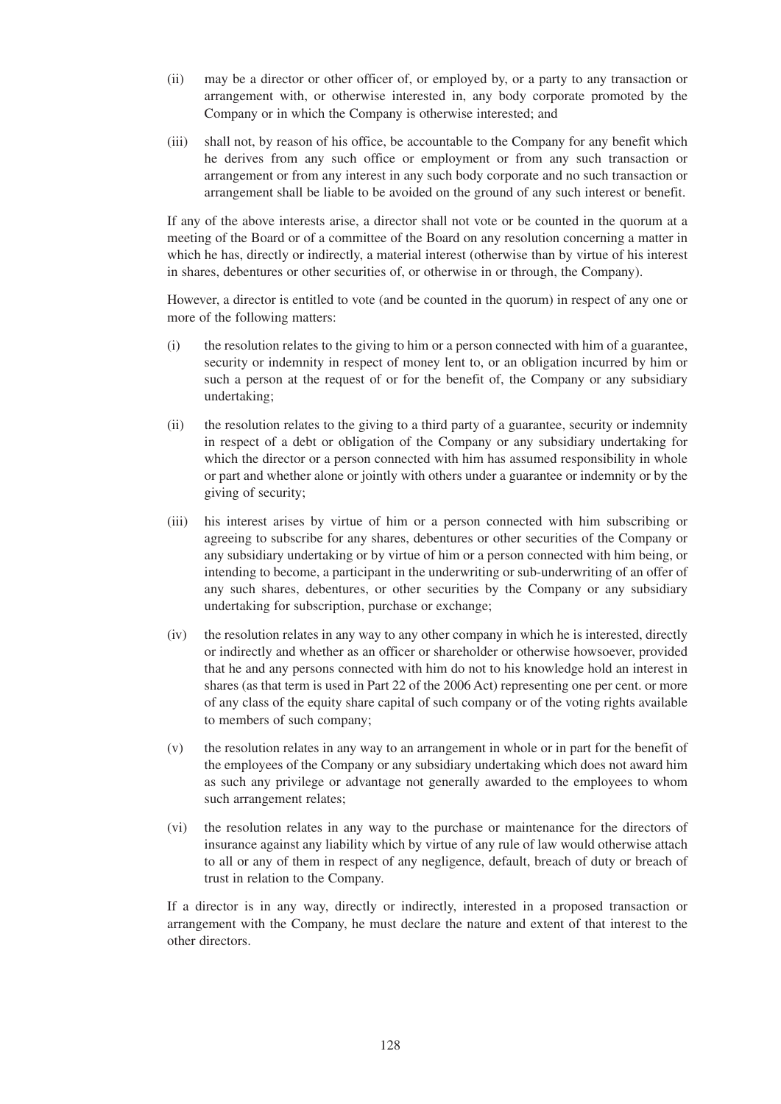- (ii) may be a director or other officer of, or employed by, or a party to any transaction or arrangement with, or otherwise interested in, any body corporate promoted by the Company or in which the Company is otherwise interested; and
- (iii) shall not, by reason of his office, be accountable to the Company for any benefit which he derives from any such office or employment or from any such transaction or arrangement or from any interest in any such body corporate and no such transaction or arrangement shall be liable to be avoided on the ground of any such interest or benefit.

If any of the above interests arise, a director shall not vote or be counted in the quorum at a meeting of the Board or of a committee of the Board on any resolution concerning a matter in which he has, directly or indirectly, a material interest (otherwise than by virtue of his interest in shares, debentures or other securities of, or otherwise in or through, the Company).

However, a director is entitled to vote (and be counted in the quorum) in respect of any one or more of the following matters:

- (i) the resolution relates to the giving to him or a person connected with him of a guarantee, security or indemnity in respect of money lent to, or an obligation incurred by him or such a person at the request of or for the benefit of, the Company or any subsidiary undertaking;
- (ii) the resolution relates to the giving to a third party of a guarantee, security or indemnity in respect of a debt or obligation of the Company or any subsidiary undertaking for which the director or a person connected with him has assumed responsibility in whole or part and whether alone or jointly with others under a guarantee or indemnity or by the giving of security;
- (iii) his interest arises by virtue of him or a person connected with him subscribing or agreeing to subscribe for any shares, debentures or other securities of the Company or any subsidiary undertaking or by virtue of him or a person connected with him being, or intending to become, a participant in the underwriting or sub-underwriting of an offer of any such shares, debentures, or other securities by the Company or any subsidiary undertaking for subscription, purchase or exchange;
- (iv) the resolution relates in any way to any other company in which he is interested, directly or indirectly and whether as an officer or shareholder or otherwise howsoever, provided that he and any persons connected with him do not to his knowledge hold an interest in shares (as that term is used in Part 22 of the 2006 Act) representing one per cent. or more of any class of the equity share capital of such company or of the voting rights available to members of such company;
- (v) the resolution relates in any way to an arrangement in whole or in part for the benefit of the employees of the Company or any subsidiary undertaking which does not award him as such any privilege or advantage not generally awarded to the employees to whom such arrangement relates;
- (vi) the resolution relates in any way to the purchase or maintenance for the directors of insurance against any liability which by virtue of any rule of law would otherwise attach to all or any of them in respect of any negligence, default, breach of duty or breach of trust in relation to the Company.

If a director is in any way, directly or indirectly, interested in a proposed transaction or arrangement with the Company, he must declare the nature and extent of that interest to the other directors.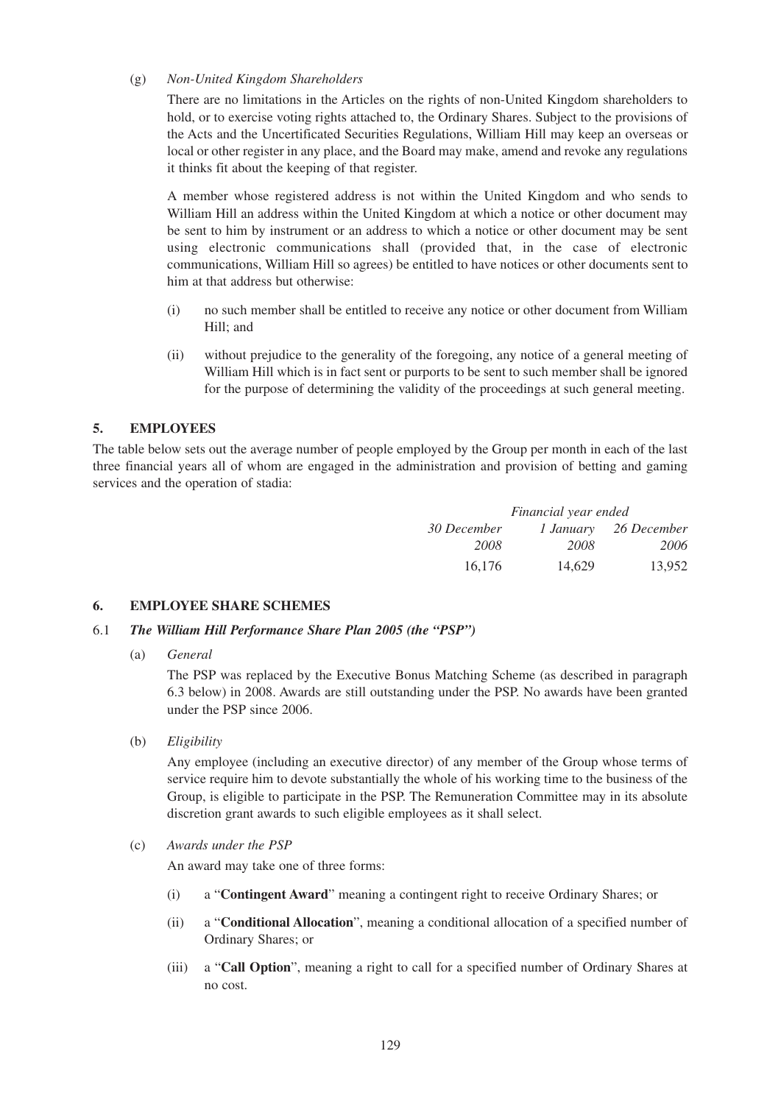## (g) *Non-United Kingdom Shareholders*

There are no limitations in the Articles on the rights of non-United Kingdom shareholders to hold, or to exercise voting rights attached to, the Ordinary Shares. Subject to the provisions of the Acts and the Uncertificated Securities Regulations, William Hill may keep an overseas or local or other register in any place, and the Board may make, amend and revoke any regulations it thinks fit about the keeping of that register.

A member whose registered address is not within the United Kingdom and who sends to William Hill an address within the United Kingdom at which a notice or other document may be sent to him by instrument or an address to which a notice or other document may be sent using electronic communications shall (provided that, in the case of electronic communications, William Hill so agrees) be entitled to have notices or other documents sent to him at that address but otherwise:

- (i) no such member shall be entitled to receive any notice or other document from William Hill; and
- (ii) without prejudice to the generality of the foregoing, any notice of a general meeting of William Hill which is in fact sent or purports to be sent to such member shall be ignored for the purpose of determining the validity of the proceedings at such general meeting.

# **5. EMPLOYEES**

The table below sets out the average number of people employed by the Group per month in each of the last three financial years all of whom are engaged in the administration and provision of betting and gaming services and the operation of stadia:

| Financial year ended |        |                       |  |
|----------------------|--------|-----------------------|--|
| 30 December          |        | 1 January 26 December |  |
| 2008                 | 2008   | 2006                  |  |
| 16,176               | 14.629 | 13.952                |  |

# **6. EMPLOYEE SHARE SCHEMES**

## 6.1 *The William Hill Performance Share Plan 2005 (the "PSP")*

(a) *General*

The PSP was replaced by the Executive Bonus Matching Scheme (as described in paragraph 6.3 below) in 2008. Awards are still outstanding under the PSP. No awards have been granted under the PSP since 2006.

(b) *Eligibility*

Any employee (including an executive director) of any member of the Group whose terms of service require him to devote substantially the whole of his working time to the business of the Group, is eligible to participate in the PSP. The Remuneration Committee may in its absolute discretion grant awards to such eligible employees as it shall select.

(c) *Awards under the PSP*

An award may take one of three forms:

- (i) a "**Contingent Award**" meaning a contingent right to receive Ordinary Shares; or
- (ii) a "**Conditional Allocation**", meaning a conditional allocation of a specified number of Ordinary Shares; or
- (iii) a "**Call Option**", meaning a right to call for a specified number of Ordinary Shares at no cost.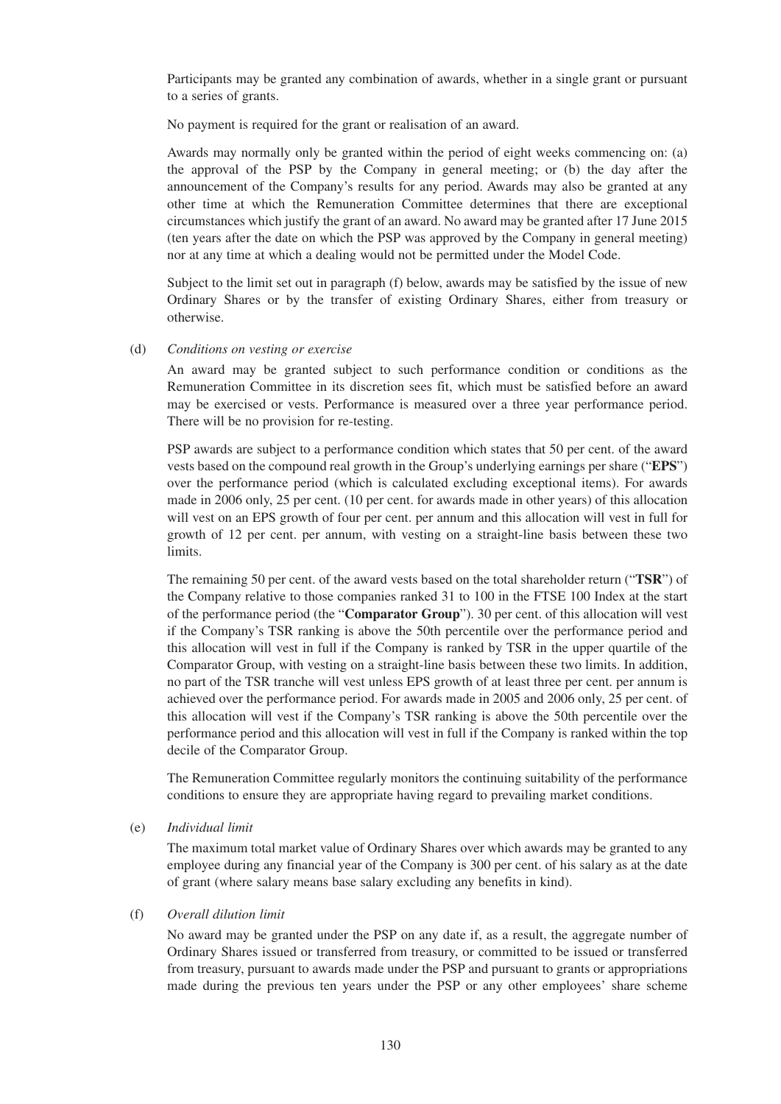Participants may be granted any combination of awards, whether in a single grant or pursuant to a series of grants.

No payment is required for the grant or realisation of an award.

Awards may normally only be granted within the period of eight weeks commencing on: (a) the approval of the PSP by the Company in general meeting; or (b) the day after the announcement of the Company's results for any period. Awards may also be granted at any other time at which the Remuneration Committee determines that there are exceptional circumstances which justify the grant of an award. No award may be granted after 17 June 2015 (ten years after the date on which the PSP was approved by the Company in general meeting) nor at any time at which a dealing would not be permitted under the Model Code.

Subject to the limit set out in paragraph (f) below, awards may be satisfied by the issue of new Ordinary Shares or by the transfer of existing Ordinary Shares, either from treasury or otherwise.

#### (d) *Conditions on vesting or exercise*

An award may be granted subject to such performance condition or conditions as the Remuneration Committee in its discretion sees fit, which must be satisfied before an award may be exercised or vests. Performance is measured over a three year performance period. There will be no provision for re-testing.

PSP awards are subject to a performance condition which states that 50 per cent. of the award vests based on the compound real growth in the Group's underlying earnings per share ("**EPS**") over the performance period (which is calculated excluding exceptional items). For awards made in 2006 only, 25 per cent. (10 per cent. for awards made in other years) of this allocation will vest on an EPS growth of four per cent. per annum and this allocation will vest in full for growth of 12 per cent. per annum, with vesting on a straight-line basis between these two limits.

The remaining 50 per cent. of the award vests based on the total shareholder return ("**TSR**") of the Company relative to those companies ranked 31 to 100 in the FTSE 100 Index at the start of the performance period (the "**Comparator Group**"). 30 per cent. of this allocation will vest if the Company's TSR ranking is above the 50th percentile over the performance period and this allocation will vest in full if the Company is ranked by TSR in the upper quartile of the Comparator Group, with vesting on a straight-line basis between these two limits. In addition, no part of the TSR tranche will vest unless EPS growth of at least three per cent. per annum is achieved over the performance period. For awards made in 2005 and 2006 only, 25 per cent. of this allocation will vest if the Company's TSR ranking is above the 50th percentile over the performance period and this allocation will vest in full if the Company is ranked within the top decile of the Comparator Group.

The Remuneration Committee regularly monitors the continuing suitability of the performance conditions to ensure they are appropriate having regard to prevailing market conditions.

# (e) *Individual limit*

The maximum total market value of Ordinary Shares over which awards may be granted to any employee during any financial year of the Company is 300 per cent. of his salary as at the date of grant (where salary means base salary excluding any benefits in kind).

#### (f) *Overall dilution limit*

No award may be granted under the PSP on any date if, as a result, the aggregate number of Ordinary Shares issued or transferred from treasury, or committed to be issued or transferred from treasury, pursuant to awards made under the PSP and pursuant to grants or appropriations made during the previous ten years under the PSP or any other employees' share scheme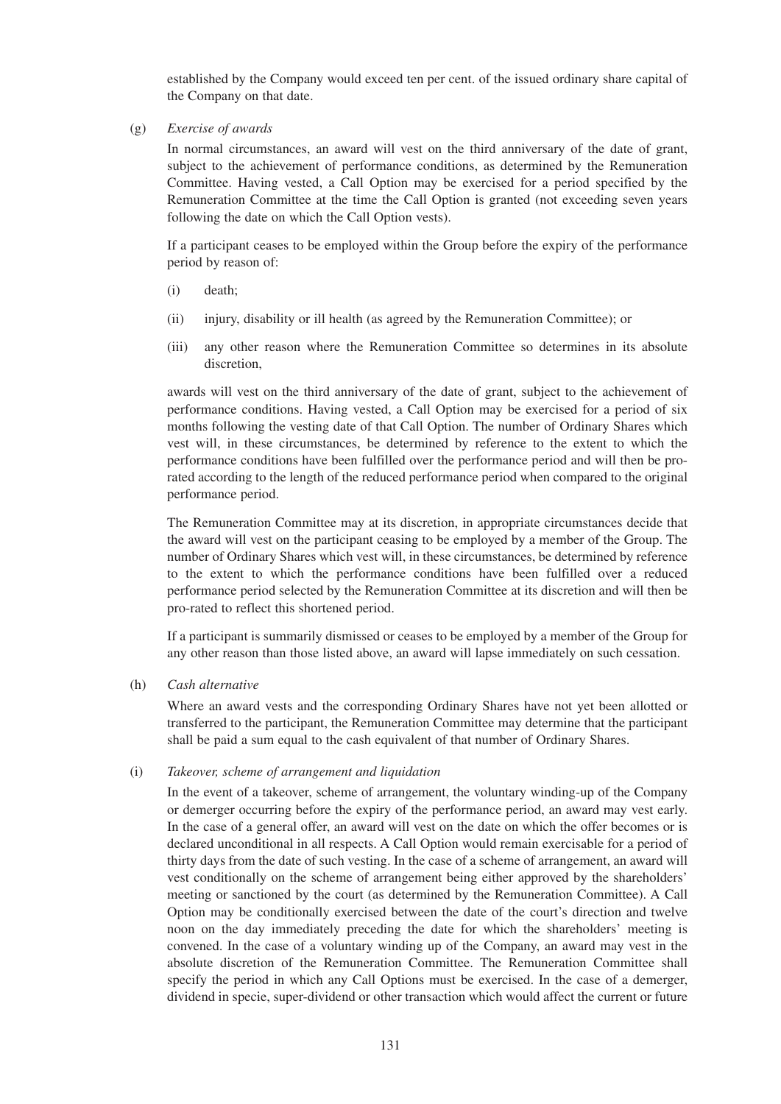established by the Company would exceed ten per cent. of the issued ordinary share capital of the Company on that date.

(g) *Exercise of awards*

In normal circumstances, an award will vest on the third anniversary of the date of grant, subject to the achievement of performance conditions, as determined by the Remuneration Committee. Having vested, a Call Option may be exercised for a period specified by the Remuneration Committee at the time the Call Option is granted (not exceeding seven years following the date on which the Call Option vests).

If a participant ceases to be employed within the Group before the expiry of the performance period by reason of:

- (i) death;
- (ii) injury, disability or ill health (as agreed by the Remuneration Committee); or
- (iii) any other reason where the Remuneration Committee so determines in its absolute discretion,

awards will vest on the third anniversary of the date of grant, subject to the achievement of performance conditions. Having vested, a Call Option may be exercised for a period of six months following the vesting date of that Call Option. The number of Ordinary Shares which vest will, in these circumstances, be determined by reference to the extent to which the performance conditions have been fulfilled over the performance period and will then be prorated according to the length of the reduced performance period when compared to the original performance period.

The Remuneration Committee may at its discretion, in appropriate circumstances decide that the award will vest on the participant ceasing to be employed by a member of the Group. The number of Ordinary Shares which vest will, in these circumstances, be determined by reference to the extent to which the performance conditions have been fulfilled over a reduced performance period selected by the Remuneration Committee at its discretion and will then be pro-rated to reflect this shortened period.

If a participant is summarily dismissed or ceases to be employed by a member of the Group for any other reason than those listed above, an award will lapse immediately on such cessation.

#### (h) *Cash alternative*

Where an award vests and the corresponding Ordinary Shares have not yet been allotted or transferred to the participant, the Remuneration Committee may determine that the participant shall be paid a sum equal to the cash equivalent of that number of Ordinary Shares.

#### (i) *Takeover, scheme of arrangement and liquidation*

In the event of a takeover, scheme of arrangement, the voluntary winding-up of the Company or demerger occurring before the expiry of the performance period, an award may vest early. In the case of a general offer, an award will vest on the date on which the offer becomes or is declared unconditional in all respects. A Call Option would remain exercisable for a period of thirty days from the date of such vesting. In the case of a scheme of arrangement, an award will vest conditionally on the scheme of arrangement being either approved by the shareholders' meeting or sanctioned by the court (as determined by the Remuneration Committee). A Call Option may be conditionally exercised between the date of the court's direction and twelve noon on the day immediately preceding the date for which the shareholders' meeting is convened. In the case of a voluntary winding up of the Company, an award may vest in the absolute discretion of the Remuneration Committee. The Remuneration Committee shall specify the period in which any Call Options must be exercised. In the case of a demerger, dividend in specie, super-dividend or other transaction which would affect the current or future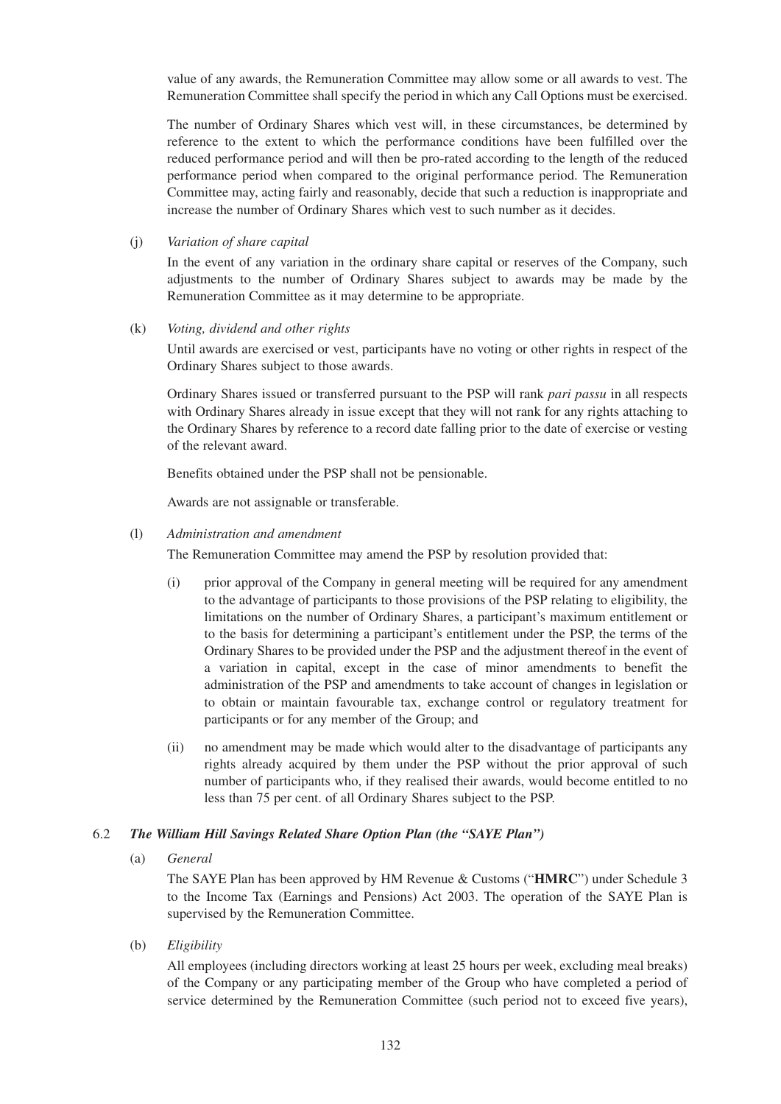value of any awards, the Remuneration Committee may allow some or all awards to vest. The Remuneration Committee shall specify the period in which any Call Options must be exercised.

The number of Ordinary Shares which vest will, in these circumstances, be determined by reference to the extent to which the performance conditions have been fulfilled over the reduced performance period and will then be pro-rated according to the length of the reduced performance period when compared to the original performance period. The Remuneration Committee may, acting fairly and reasonably, decide that such a reduction is inappropriate and increase the number of Ordinary Shares which vest to such number as it decides.

## (j) *Variation of share capital*

In the event of any variation in the ordinary share capital or reserves of the Company, such adjustments to the number of Ordinary Shares subject to awards may be made by the Remuneration Committee as it may determine to be appropriate.

## (k) *Voting, dividend and other rights*

Until awards are exercised or vest, participants have no voting or other rights in respect of the Ordinary Shares subject to those awards.

Ordinary Shares issued or transferred pursuant to the PSP will rank *pari passu* in all respects with Ordinary Shares already in issue except that they will not rank for any rights attaching to the Ordinary Shares by reference to a record date falling prior to the date of exercise or vesting of the relevant award.

Benefits obtained under the PSP shall not be pensionable.

Awards are not assignable or transferable.

## (l) *Administration and amendment*

The Remuneration Committee may amend the PSP by resolution provided that:

- (i) prior approval of the Company in general meeting will be required for any amendment to the advantage of participants to those provisions of the PSP relating to eligibility, the limitations on the number of Ordinary Shares, a participant's maximum entitlement or to the basis for determining a participant's entitlement under the PSP, the terms of the Ordinary Shares to be provided under the PSP and the adjustment thereof in the event of a variation in capital, except in the case of minor amendments to benefit the administration of the PSP and amendments to take account of changes in legislation or to obtain or maintain favourable tax, exchange control or regulatory treatment for participants or for any member of the Group; and
- (ii) no amendment may be made which would alter to the disadvantage of participants any rights already acquired by them under the PSP without the prior approval of such number of participants who, if they realised their awards, would become entitled to no less than 75 per cent. of all Ordinary Shares subject to the PSP.

# 6.2 *The William Hill Savings Related Share Option Plan (the "SAYE Plan")*

(a) *General*

The SAYE Plan has been approved by HM Revenue & Customs ("**HMRC**") under Schedule 3 to the Income Tax (Earnings and Pensions) Act 2003. The operation of the SAYE Plan is supervised by the Remuneration Committee.

(b) *Eligibility*

All employees (including directors working at least 25 hours per week, excluding meal breaks) of the Company or any participating member of the Group who have completed a period of service determined by the Remuneration Committee (such period not to exceed five years),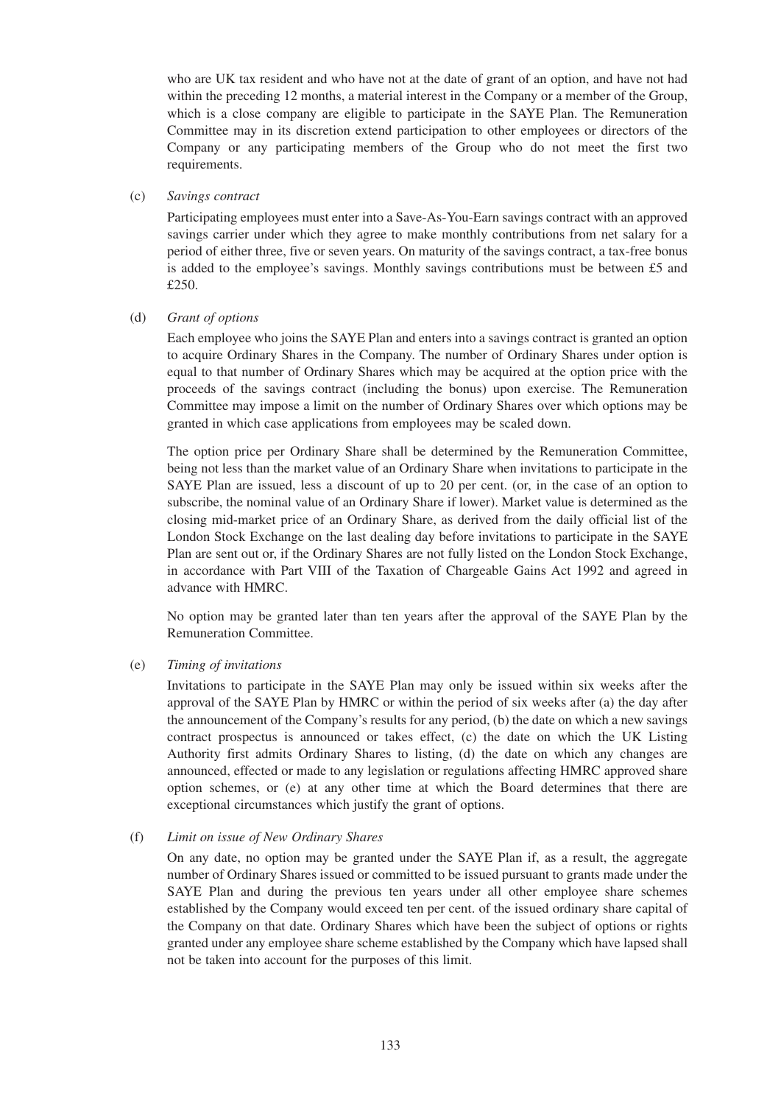who are UK tax resident and who have not at the date of grant of an option, and have not had within the preceding 12 months, a material interest in the Company or a member of the Group, which is a close company are eligible to participate in the SAYE Plan. The Remuneration Committee may in its discretion extend participation to other employees or directors of the Company or any participating members of the Group who do not meet the first two requirements.

## (c) *Savings contract*

Participating employees must enter into a Save-As-You-Earn savings contract with an approved savings carrier under which they agree to make monthly contributions from net salary for a period of either three, five or seven years. On maturity of the savings contract, a tax-free bonus is added to the employee's savings. Monthly savings contributions must be between £5 and £250.

## (d) *Grant of options*

Each employee who joins the SAYE Plan and enters into a savings contract is granted an option to acquire Ordinary Shares in the Company. The number of Ordinary Shares under option is equal to that number of Ordinary Shares which may be acquired at the option price with the proceeds of the savings contract (including the bonus) upon exercise. The Remuneration Committee may impose a limit on the number of Ordinary Shares over which options may be granted in which case applications from employees may be scaled down.

The option price per Ordinary Share shall be determined by the Remuneration Committee, being not less than the market value of an Ordinary Share when invitations to participate in the SAYE Plan are issued, less a discount of up to 20 per cent. (or, in the case of an option to subscribe, the nominal value of an Ordinary Share if lower). Market value is determined as the closing mid-market price of an Ordinary Share, as derived from the daily official list of the London Stock Exchange on the last dealing day before invitations to participate in the SAYE Plan are sent out or, if the Ordinary Shares are not fully listed on the London Stock Exchange, in accordance with Part VIII of the Taxation of Chargeable Gains Act 1992 and agreed in advance with HMRC.

No option may be granted later than ten years after the approval of the SAYE Plan by the Remuneration Committee.

#### (e) *Timing of invitations*

Invitations to participate in the SAYE Plan may only be issued within six weeks after the approval of the SAYE Plan by HMRC or within the period of six weeks after (a) the day after the announcement of the Company's results for any period, (b) the date on which a new savings contract prospectus is announced or takes effect, (c) the date on which the UK Listing Authority first admits Ordinary Shares to listing, (d) the date on which any changes are announced, effected or made to any legislation or regulations affecting HMRC approved share option schemes, or (e) at any other time at which the Board determines that there are exceptional circumstances which justify the grant of options.

#### (f) *Limit on issue of New Ordinary Shares*

On any date, no option may be granted under the SAYE Plan if, as a result, the aggregate number of Ordinary Shares issued or committed to be issued pursuant to grants made under the SAYE Plan and during the previous ten years under all other employee share schemes established by the Company would exceed ten per cent. of the issued ordinary share capital of the Company on that date. Ordinary Shares which have been the subject of options or rights granted under any employee share scheme established by the Company which have lapsed shall not be taken into account for the purposes of this limit.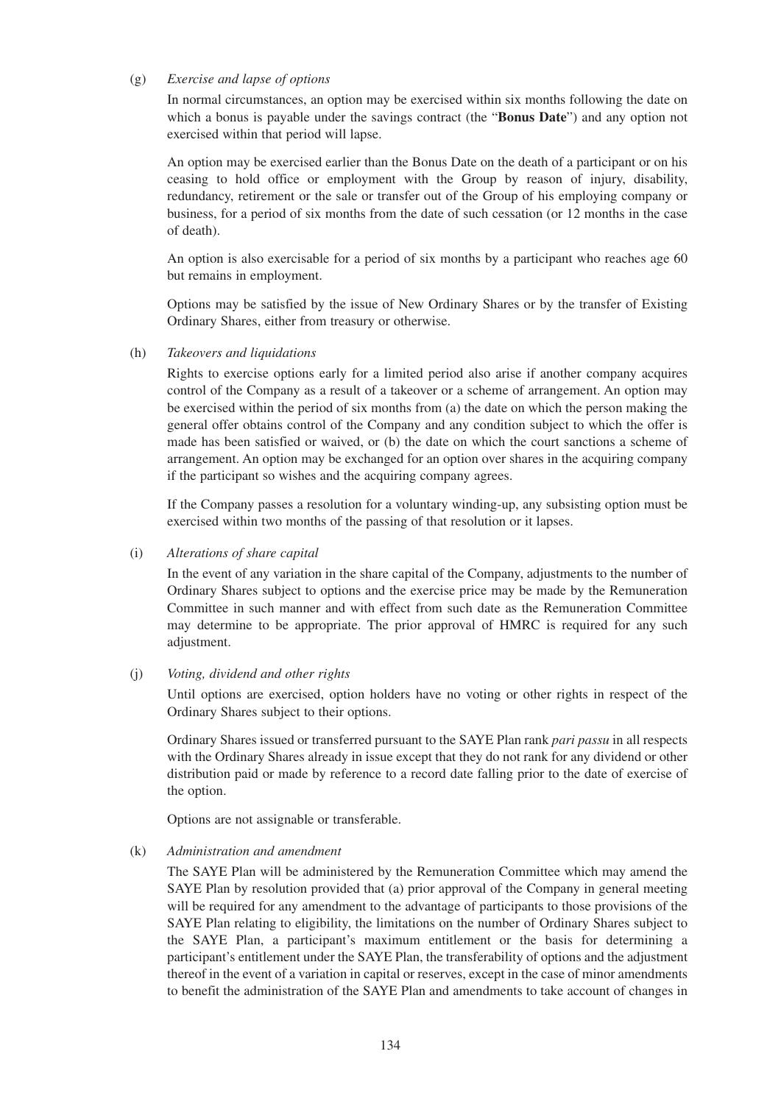#### (g) *Exercise and lapse of options*

In normal circumstances, an option may be exercised within six months following the date on which a bonus is payable under the savings contract (the "**Bonus Date**") and any option not exercised within that period will lapse.

An option may be exercised earlier than the Bonus Date on the death of a participant or on his ceasing to hold office or employment with the Group by reason of injury, disability, redundancy, retirement or the sale or transfer out of the Group of his employing company or business, for a period of six months from the date of such cessation (or 12 months in the case of death).

An option is also exercisable for a period of six months by a participant who reaches age 60 but remains in employment.

Options may be satisfied by the issue of New Ordinary Shares or by the transfer of Existing Ordinary Shares, either from treasury or otherwise.

#### (h) *Takeovers and liquidations*

Rights to exercise options early for a limited period also arise if another company acquires control of the Company as a result of a takeover or a scheme of arrangement. An option may be exercised within the period of six months from (a) the date on which the person making the general offer obtains control of the Company and any condition subject to which the offer is made has been satisfied or waived, or (b) the date on which the court sanctions a scheme of arrangement. An option may be exchanged for an option over shares in the acquiring company if the participant so wishes and the acquiring company agrees.

If the Company passes a resolution for a voluntary winding-up, any subsisting option must be exercised within two months of the passing of that resolution or it lapses.

(i) *Alterations of share capital*

In the event of any variation in the share capital of the Company, adjustments to the number of Ordinary Shares subject to options and the exercise price may be made by the Remuneration Committee in such manner and with effect from such date as the Remuneration Committee may determine to be appropriate. The prior approval of HMRC is required for any such adjustment.

# (j) *Voting, dividend and other rights*

Until options are exercised, option holders have no voting or other rights in respect of the Ordinary Shares subject to their options.

Ordinary Shares issued or transferred pursuant to the SAYE Plan rank *pari passu* in all respects with the Ordinary Shares already in issue except that they do not rank for any dividend or other distribution paid or made by reference to a record date falling prior to the date of exercise of the option.

Options are not assignable or transferable.

#### (k) *Administration and amendment*

The SAYE Plan will be administered by the Remuneration Committee which may amend the SAYE Plan by resolution provided that (a) prior approval of the Company in general meeting will be required for any amendment to the advantage of participants to those provisions of the SAYE Plan relating to eligibility, the limitations on the number of Ordinary Shares subject to the SAYE Plan, a participant's maximum entitlement or the basis for determining a participant's entitlement under the SAYE Plan, the transferability of options and the adjustment thereof in the event of a variation in capital or reserves, except in the case of minor amendments to benefit the administration of the SAYE Plan and amendments to take account of changes in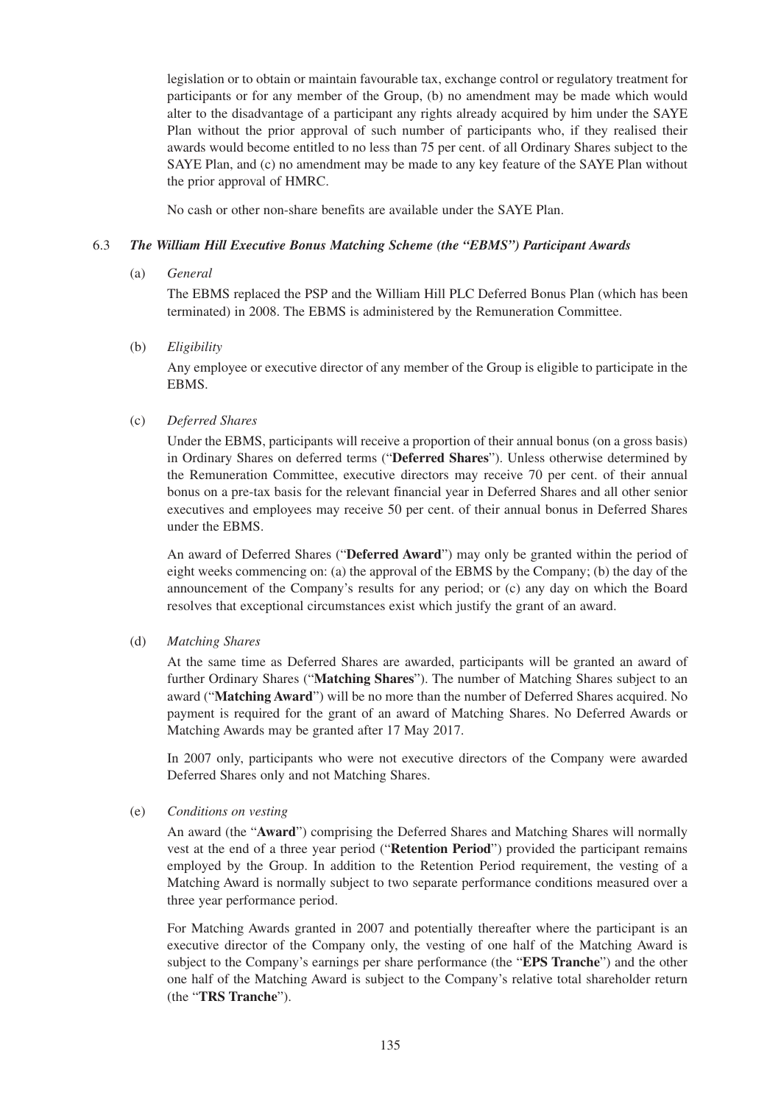legislation or to obtain or maintain favourable tax, exchange control or regulatory treatment for participants or for any member of the Group, (b) no amendment may be made which would alter to the disadvantage of a participant any rights already acquired by him under the SAYE Plan without the prior approval of such number of participants who, if they realised their awards would become entitled to no less than 75 per cent. of all Ordinary Shares subject to the SAYE Plan, and (c) no amendment may be made to any key feature of the SAYE Plan without the prior approval of HMRC.

No cash or other non-share benefits are available under the SAYE Plan.

# 6.3 *The William Hill Executive Bonus Matching Scheme (the "EBMS") Participant Awards*

## (a) *General*

The EBMS replaced the PSP and the William Hill PLC Deferred Bonus Plan (which has been terminated) in 2008. The EBMS is administered by the Remuneration Committee.

## (b) *Eligibility*

Any employee or executive director of any member of the Group is eligible to participate in the EBMS.

## (c) *Deferred Shares*

Under the EBMS, participants will receive a proportion of their annual bonus (on a gross basis) in Ordinary Shares on deferred terms ("**Deferred Shares**"). Unless otherwise determined by the Remuneration Committee, executive directors may receive 70 per cent. of their annual bonus on a pre-tax basis for the relevant financial year in Deferred Shares and all other senior executives and employees may receive 50 per cent. of their annual bonus in Deferred Shares under the EBMS.

An award of Deferred Shares ("**Deferred Award**") may only be granted within the period of eight weeks commencing on: (a) the approval of the EBMS by the Company; (b) the day of the announcement of the Company's results for any period; or (c) any day on which the Board resolves that exceptional circumstances exist which justify the grant of an award.

# (d) *Matching Shares*

At the same time as Deferred Shares are awarded, participants will be granted an award of further Ordinary Shares ("**Matching Shares**"). The number of Matching Shares subject to an award ("**Matching Award**") will be no more than the number of Deferred Shares acquired. No payment is required for the grant of an award of Matching Shares. No Deferred Awards or Matching Awards may be granted after 17 May 2017.

In 2007 only, participants who were not executive directors of the Company were awarded Deferred Shares only and not Matching Shares.

(e) *Conditions on vesting*

An award (the "**Award**") comprising the Deferred Shares and Matching Shares will normally vest at the end of a three year period ("**Retention Period**") provided the participant remains employed by the Group. In addition to the Retention Period requirement, the vesting of a Matching Award is normally subject to two separate performance conditions measured over a three year performance period.

For Matching Awards granted in 2007 and potentially thereafter where the participant is an executive director of the Company only, the vesting of one half of the Matching Award is subject to the Company's earnings per share performance (the "**EPS Tranche**") and the other one half of the Matching Award is subject to the Company's relative total shareholder return (the "**TRS Tranche**").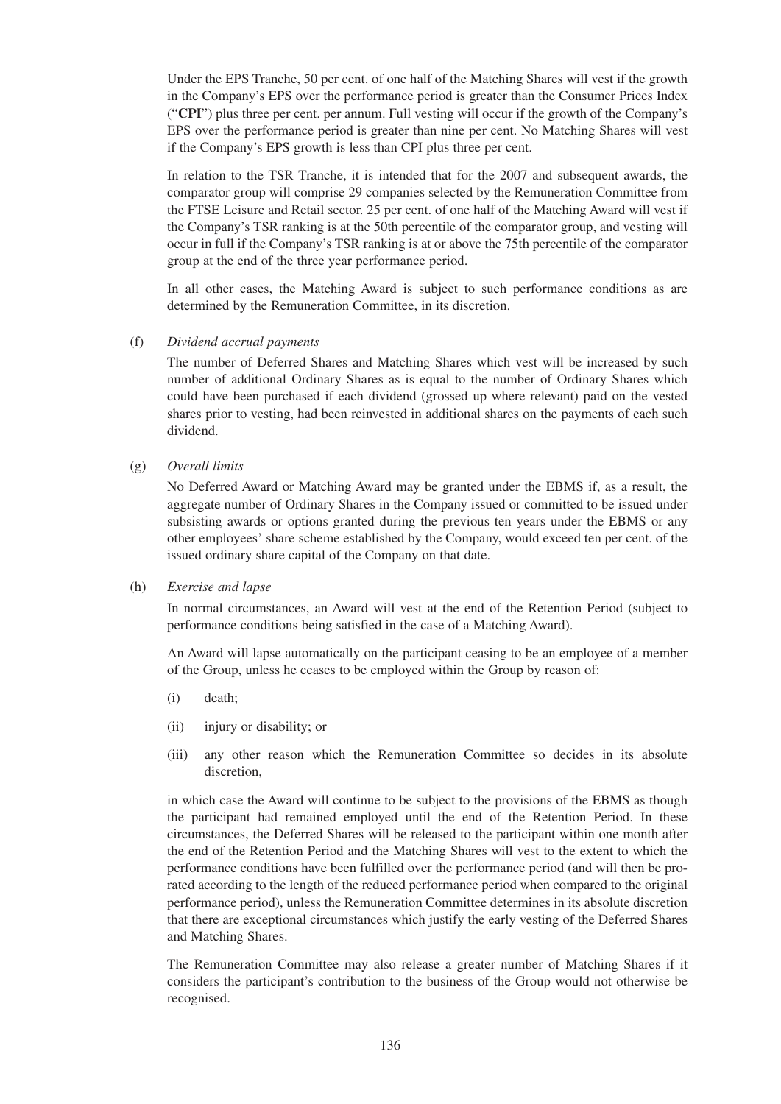Under the EPS Tranche, 50 per cent. of one half of the Matching Shares will vest if the growth in the Company's EPS over the performance period is greater than the Consumer Prices Index ("**CPI**") plus three per cent. per annum. Full vesting will occur if the growth of the Company's EPS over the performance period is greater than nine per cent. No Matching Shares will vest if the Company's EPS growth is less than CPI plus three per cent.

In relation to the TSR Tranche, it is intended that for the 2007 and subsequent awards, the comparator group will comprise 29 companies selected by the Remuneration Committee from the FTSE Leisure and Retail sector. 25 per cent. of one half of the Matching Award will vest if the Company's TSR ranking is at the 50th percentile of the comparator group, and vesting will occur in full if the Company's TSR ranking is at or above the 75th percentile of the comparator group at the end of the three year performance period.

In all other cases, the Matching Award is subject to such performance conditions as are determined by the Remuneration Committee, in its discretion.

## (f) *Dividend accrual payments*

The number of Deferred Shares and Matching Shares which vest will be increased by such number of additional Ordinary Shares as is equal to the number of Ordinary Shares which could have been purchased if each dividend (grossed up where relevant) paid on the vested shares prior to vesting, had been reinvested in additional shares on the payments of each such dividend.

(g) *Overall limits*

No Deferred Award or Matching Award may be granted under the EBMS if, as a result, the aggregate number of Ordinary Shares in the Company issued or committed to be issued under subsisting awards or options granted during the previous ten years under the EBMS or any other employees' share scheme established by the Company, would exceed ten per cent. of the issued ordinary share capital of the Company on that date.

(h) *Exercise and lapse*

In normal circumstances, an Award will vest at the end of the Retention Period (subject to performance conditions being satisfied in the case of a Matching Award).

An Award will lapse automatically on the participant ceasing to be an employee of a member of the Group, unless he ceases to be employed within the Group by reason of:

- (i) death;
- (ii) injury or disability; or
- (iii) any other reason which the Remuneration Committee so decides in its absolute discretion,

in which case the Award will continue to be subject to the provisions of the EBMS as though the participant had remained employed until the end of the Retention Period. In these circumstances, the Deferred Shares will be released to the participant within one month after the end of the Retention Period and the Matching Shares will vest to the extent to which the performance conditions have been fulfilled over the performance period (and will then be prorated according to the length of the reduced performance period when compared to the original performance period), unless the Remuneration Committee determines in its absolute discretion that there are exceptional circumstances which justify the early vesting of the Deferred Shares and Matching Shares.

The Remuneration Committee may also release a greater number of Matching Shares if it considers the participant's contribution to the business of the Group would not otherwise be recognised.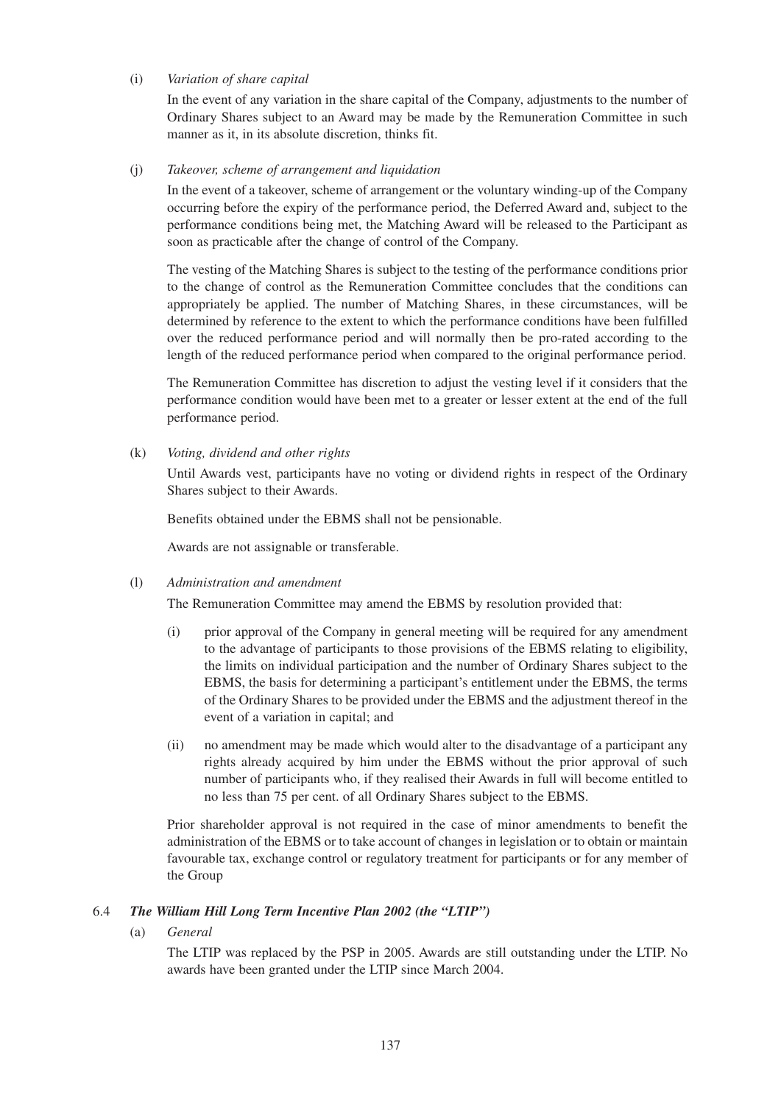## (i) *Variation of share capital*

In the event of any variation in the share capital of the Company, adjustments to the number of Ordinary Shares subject to an Award may be made by the Remuneration Committee in such manner as it, in its absolute discretion, thinks fit.

## (j) *Takeover, scheme of arrangement and liquidation*

In the event of a takeover, scheme of arrangement or the voluntary winding-up of the Company occurring before the expiry of the performance period, the Deferred Award and, subject to the performance conditions being met, the Matching Award will be released to the Participant as soon as practicable after the change of control of the Company.

The vesting of the Matching Shares is subject to the testing of the performance conditions prior to the change of control as the Remuneration Committee concludes that the conditions can appropriately be applied. The number of Matching Shares, in these circumstances, will be determined by reference to the extent to which the performance conditions have been fulfilled over the reduced performance period and will normally then be pro-rated according to the length of the reduced performance period when compared to the original performance period.

The Remuneration Committee has discretion to adjust the vesting level if it considers that the performance condition would have been met to a greater or lesser extent at the end of the full performance period.

## (k) *Voting, dividend and other rights*

Until Awards vest, participants have no voting or dividend rights in respect of the Ordinary Shares subject to their Awards.

Benefits obtained under the EBMS shall not be pensionable.

Awards are not assignable or transferable.

#### (l) *Administration and amendment*

The Remuneration Committee may amend the EBMS by resolution provided that:

- (i) prior approval of the Company in general meeting will be required for any amendment to the advantage of participants to those provisions of the EBMS relating to eligibility, the limits on individual participation and the number of Ordinary Shares subject to the EBMS, the basis for determining a participant's entitlement under the EBMS, the terms of the Ordinary Shares to be provided under the EBMS and the adjustment thereof in the event of a variation in capital; and
- (ii) no amendment may be made which would alter to the disadvantage of a participant any rights already acquired by him under the EBMS without the prior approval of such number of participants who, if they realised their Awards in full will become entitled to no less than 75 per cent. of all Ordinary Shares subject to the EBMS.

Prior shareholder approval is not required in the case of minor amendments to benefit the administration of the EBMS or to take account of changes in legislation or to obtain or maintain favourable tax, exchange control or regulatory treatment for participants or for any member of the Group

# 6.4 *The William Hill Long Term Incentive Plan 2002 (the "LTIP")*

(a) *General*

The LTIP was replaced by the PSP in 2005. Awards are still outstanding under the LTIP. No awards have been granted under the LTIP since March 2004.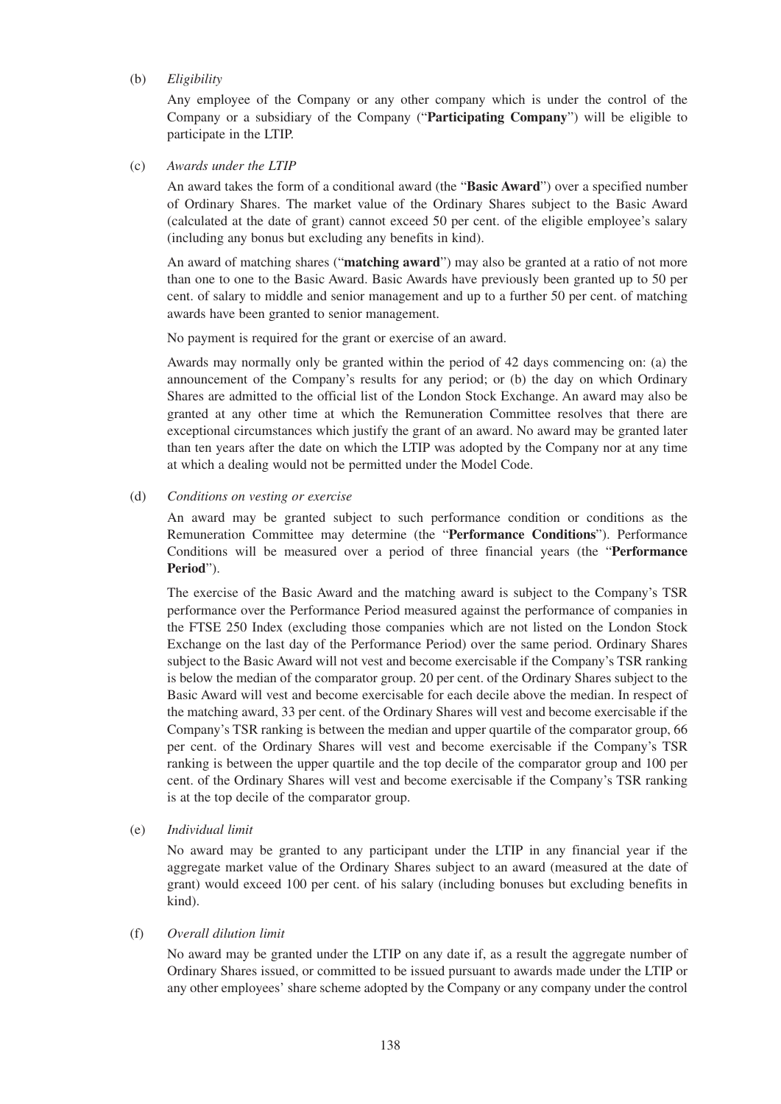## (b) *Eligibility*

Any employee of the Company or any other company which is under the control of the Company or a subsidiary of the Company ("**Participating Company**") will be eligible to participate in the LTIP.

(c) *Awards under the LTIP*

An award takes the form of a conditional award (the "**Basic Award**") over a specified number of Ordinary Shares. The market value of the Ordinary Shares subject to the Basic Award (calculated at the date of grant) cannot exceed 50 per cent. of the eligible employee's salary (including any bonus but excluding any benefits in kind).

An award of matching shares ("**matching award**") may also be granted at a ratio of not more than one to one to the Basic Award. Basic Awards have previously been granted up to 50 per cent. of salary to middle and senior management and up to a further 50 per cent. of matching awards have been granted to senior management.

No payment is required for the grant or exercise of an award.

Awards may normally only be granted within the period of 42 days commencing on: (a) the announcement of the Company's results for any period; or (b) the day on which Ordinary Shares are admitted to the official list of the London Stock Exchange. An award may also be granted at any other time at which the Remuneration Committee resolves that there are exceptional circumstances which justify the grant of an award. No award may be granted later than ten years after the date on which the LTIP was adopted by the Company nor at any time at which a dealing would not be permitted under the Model Code.

## (d) *Conditions on vesting or exercise*

An award may be granted subject to such performance condition or conditions as the Remuneration Committee may determine (the "**Performance Conditions**"). Performance Conditions will be measured over a period of three financial years (the "**Performance Period**").

The exercise of the Basic Award and the matching award is subject to the Company's TSR performance over the Performance Period measured against the performance of companies in the FTSE 250 Index (excluding those companies which are not listed on the London Stock Exchange on the last day of the Performance Period) over the same period. Ordinary Shares subject to the Basic Award will not vest and become exercisable if the Company's TSR ranking is below the median of the comparator group. 20 per cent. of the Ordinary Shares subject to the Basic Award will vest and become exercisable for each decile above the median. In respect of the matching award, 33 per cent. of the Ordinary Shares will vest and become exercisable if the Company's TSR ranking is between the median and upper quartile of the comparator group, 66 per cent. of the Ordinary Shares will vest and become exercisable if the Company's TSR ranking is between the upper quartile and the top decile of the comparator group and 100 per cent. of the Ordinary Shares will vest and become exercisable if the Company's TSR ranking is at the top decile of the comparator group.

(e) *Individual limit*

No award may be granted to any participant under the LTIP in any financial year if the aggregate market value of the Ordinary Shares subject to an award (measured at the date of grant) would exceed 100 per cent. of his salary (including bonuses but excluding benefits in kind).

# (f) *Overall dilution limit*

No award may be granted under the LTIP on any date if, as a result the aggregate number of Ordinary Shares issued, or committed to be issued pursuant to awards made under the LTIP or any other employees' share scheme adopted by the Company or any company under the control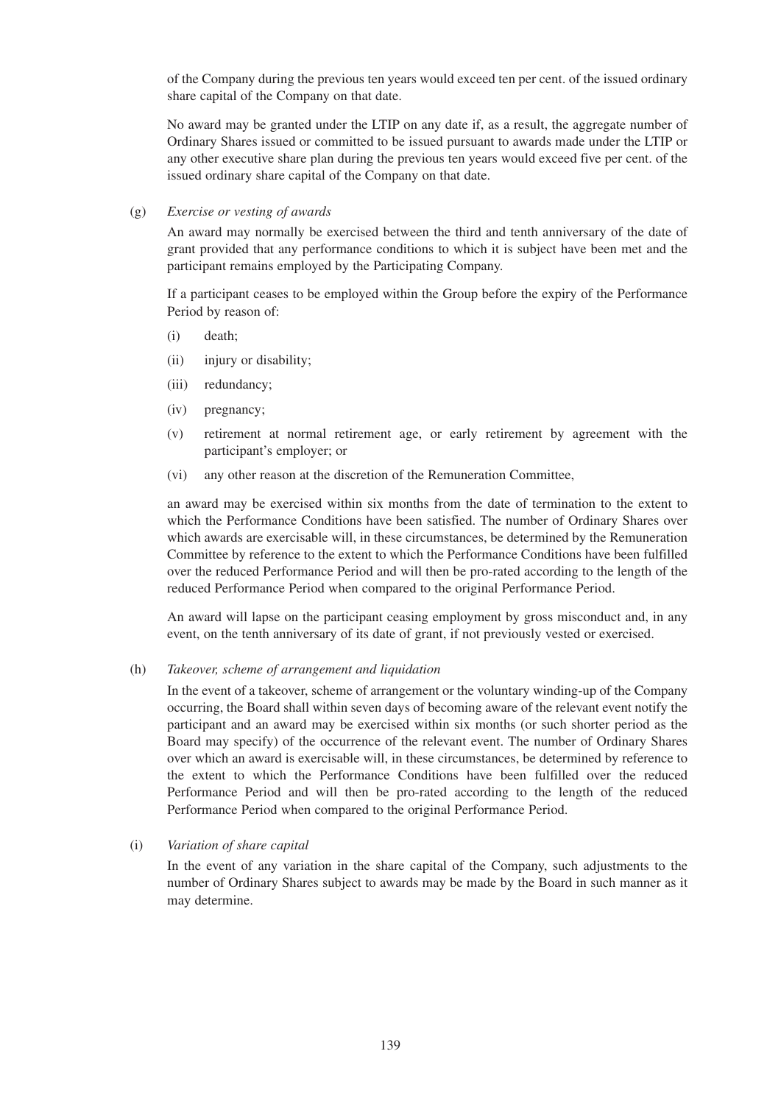of the Company during the previous ten years would exceed ten per cent. of the issued ordinary share capital of the Company on that date.

No award may be granted under the LTIP on any date if, as a result, the aggregate number of Ordinary Shares issued or committed to be issued pursuant to awards made under the LTIP or any other executive share plan during the previous ten years would exceed five per cent. of the issued ordinary share capital of the Company on that date.

## (g) *Exercise or vesting of awards*

An award may normally be exercised between the third and tenth anniversary of the date of grant provided that any performance conditions to which it is subject have been met and the participant remains employed by the Participating Company.

If a participant ceases to be employed within the Group before the expiry of the Performance Period by reason of:

- (i) death;
- (ii) injury or disability;
- (iii) redundancy;
- (iv) pregnancy;
- (v) retirement at normal retirement age, or early retirement by agreement with the participant's employer; or
- (vi) any other reason at the discretion of the Remuneration Committee,

an award may be exercised within six months from the date of termination to the extent to which the Performance Conditions have been satisfied. The number of Ordinary Shares over which awards are exercisable will, in these circumstances, be determined by the Remuneration Committee by reference to the extent to which the Performance Conditions have been fulfilled over the reduced Performance Period and will then be pro-rated according to the length of the reduced Performance Period when compared to the original Performance Period.

An award will lapse on the participant ceasing employment by gross misconduct and, in any event, on the tenth anniversary of its date of grant, if not previously vested or exercised.

#### (h) *Takeover, scheme of arrangement and liquidation*

In the event of a takeover, scheme of arrangement or the voluntary winding-up of the Company occurring, the Board shall within seven days of becoming aware of the relevant event notify the participant and an award may be exercised within six months (or such shorter period as the Board may specify) of the occurrence of the relevant event. The number of Ordinary Shares over which an award is exercisable will, in these circumstances, be determined by reference to the extent to which the Performance Conditions have been fulfilled over the reduced Performance Period and will then be pro-rated according to the length of the reduced Performance Period when compared to the original Performance Period.

# (i) *Variation of share capital*

In the event of any variation in the share capital of the Company, such adjustments to the number of Ordinary Shares subject to awards may be made by the Board in such manner as it may determine.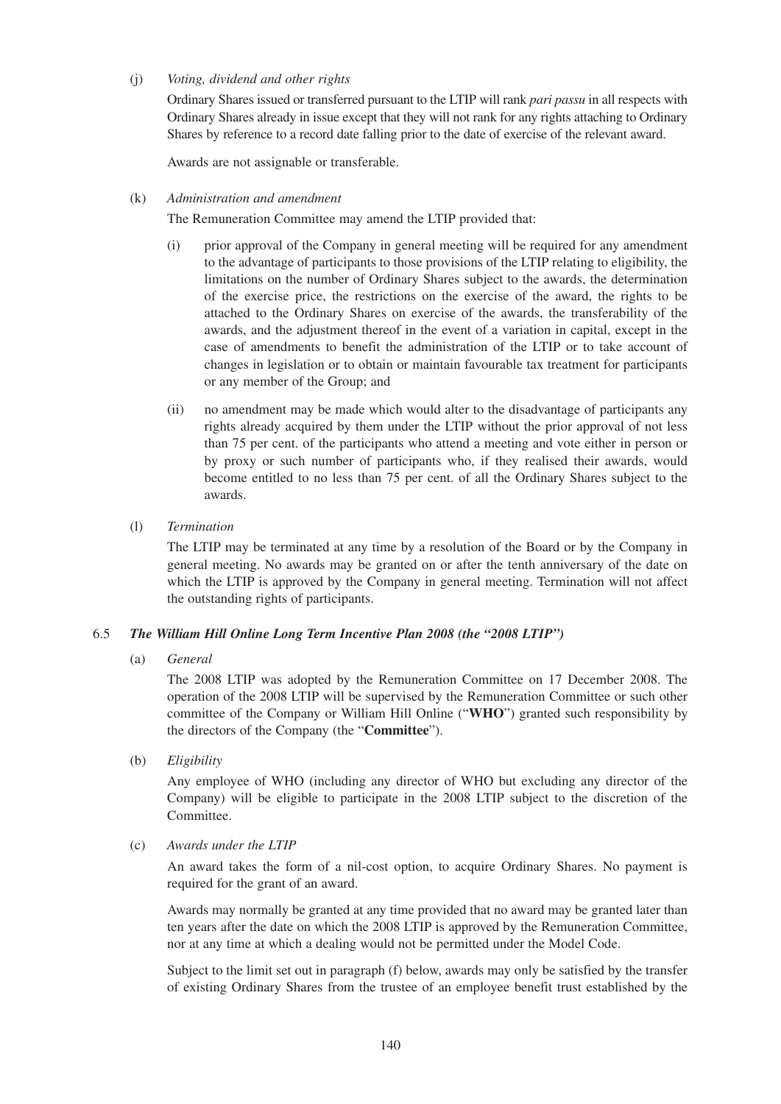# (j) *Voting, dividend and other rights*

Ordinary Shares issued or transferred pursuant to the LTIP will rank *pari passu* in all respects with Ordinary Shares already in issue except that they will not rank for any rights attaching to Ordinary Shares by reference to a record date falling prior to the date of exercise of the relevant award.

Awards are not assignable or transferable.

## (k) *Administration and amendment*

The Remuneration Committee may amend the LTIP provided that:

- (i) prior approval of the Company in general meeting will be required for any amendment to the advantage of participants to those provisions of the LTIP relating to eligibility, the limitations on the number of Ordinary Shares subject to the awards, the determination of the exercise price, the restrictions on the exercise of the award, the rights to be attached to the Ordinary Shares on exercise of the awards, the transferability of the awards, and the adjustment thereof in the event of a variation in capital, except in the case of amendments to benefit the administration of the LTIP or to take account of changes in legislation or to obtain or maintain favourable tax treatment for participants or any member of the Group; and
- (ii) no amendment may be made which would alter to the disadvantage of participants any rights already acquired by them under the LTIP without the prior approval of not less than 75 per cent. of the participants who attend a meeting and vote either in person or by proxy or such number of participants who, if they realised their awards, would become entitled to no less than 75 per cent. of all the Ordinary Shares subject to the awards.
- (l) *Termination*

The LTIP may be terminated at any time by a resolution of the Board or by the Company in general meeting. No awards may be granted on or after the tenth anniversary of the date on which the LTIP is approved by the Company in general meeting. Termination will not affect the outstanding rights of participants.

# 6.5 *The William Hill Online Long Term Incentive Plan 2008 (the "2008 LTIP")*

(a) *General*

The 2008 LTIP was adopted by the Remuneration Committee on 17 December 2008. The operation of the 2008 LTIP will be supervised by the Remuneration Committee or such other committee of the Company or William Hill Online ("**WHO**") granted such responsibility by the directors of the Company (the "**Committee**").

(b) *Eligibility*

Any employee of WHO (including any director of WHO but excluding any director of the Company) will be eligible to participate in the 2008 LTIP subject to the discretion of the **Committee** 

(c) *Awards under the LTIP*

An award takes the form of a nil-cost option, to acquire Ordinary Shares. No payment is required for the grant of an award.

Awards may normally be granted at any time provided that no award may be granted later than ten years after the date on which the 2008 LTIP is approved by the Remuneration Committee, nor at any time at which a dealing would not be permitted under the Model Code.

Subject to the limit set out in paragraph (f) below, awards may only be satisfied by the transfer of existing Ordinary Shares from the trustee of an employee benefit trust established by the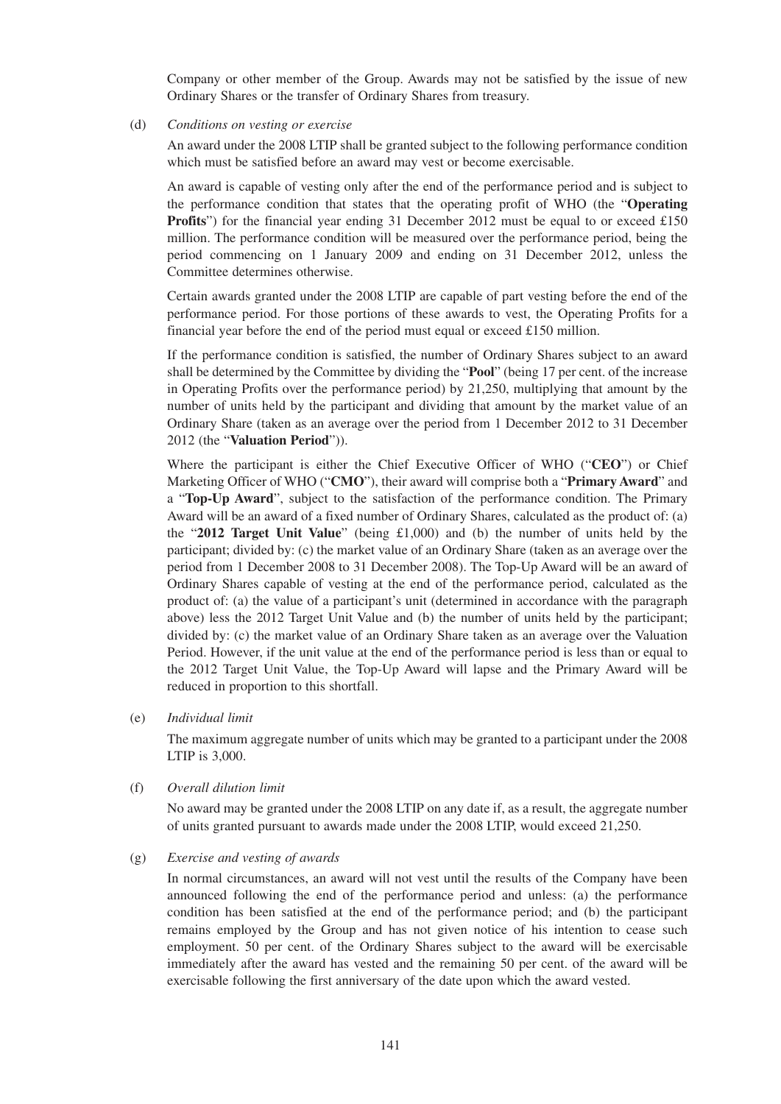Company or other member of the Group. Awards may not be satisfied by the issue of new Ordinary Shares or the transfer of Ordinary Shares from treasury.

(d) *Conditions on vesting or exercise*

An award under the 2008 LTIP shall be granted subject to the following performance condition which must be satisfied before an award may vest or become exercisable.

An award is capable of vesting only after the end of the performance period and is subject to the performance condition that states that the operating profit of WHO (the "**Operating Profits**") for the financial year ending 31 December 2012 must be equal to or exceed £150 million. The performance condition will be measured over the performance period, being the period commencing on 1 January 2009 and ending on 31 December 2012, unless the Committee determines otherwise.

Certain awards granted under the 2008 LTIP are capable of part vesting before the end of the performance period. For those portions of these awards to vest, the Operating Profits for a financial year before the end of the period must equal or exceed £150 million.

If the performance condition is satisfied, the number of Ordinary Shares subject to an award shall be determined by the Committee by dividing the "**Pool**" (being 17 per cent. of the increase in Operating Profits over the performance period) by 21,250, multiplying that amount by the number of units held by the participant and dividing that amount by the market value of an Ordinary Share (taken as an average over the period from 1 December 2012 to 31 December 2012 (the "**Valuation Period**")).

Where the participant is either the Chief Executive Officer of WHO ("**CEO**") or Chief Marketing Officer of WHO ("**CMO**"), their award will comprise both a "**Primary Award**" and a "**Top-Up Award**", subject to the satisfaction of the performance condition. The Primary Award will be an award of a fixed number of Ordinary Shares, calculated as the product of: (a) the "**2012 Target Unit Value**" (being £1,000) and (b) the number of units held by the participant; divided by: (c) the market value of an Ordinary Share (taken as an average over the period from 1 December 2008 to 31 December 2008). The Top-Up Award will be an award of Ordinary Shares capable of vesting at the end of the performance period, calculated as the product of: (a) the value of a participant's unit (determined in accordance with the paragraph above) less the 2012 Target Unit Value and (b) the number of units held by the participant; divided by: (c) the market value of an Ordinary Share taken as an average over the Valuation Period. However, if the unit value at the end of the performance period is less than or equal to the 2012 Target Unit Value, the Top-Up Award will lapse and the Primary Award will be reduced in proportion to this shortfall.

(e) *Individual limit*

The maximum aggregate number of units which may be granted to a participant under the 2008 LTIP is 3,000.

(f) *Overall dilution limit*

No award may be granted under the 2008 LTIP on any date if, as a result, the aggregate number of units granted pursuant to awards made under the 2008 LTIP, would exceed 21,250.

(g) *Exercise and vesting of awards*

In normal circumstances, an award will not vest until the results of the Company have been announced following the end of the performance period and unless: (a) the performance condition has been satisfied at the end of the performance period; and (b) the participant remains employed by the Group and has not given notice of his intention to cease such employment. 50 per cent. of the Ordinary Shares subject to the award will be exercisable immediately after the award has vested and the remaining 50 per cent. of the award will be exercisable following the first anniversary of the date upon which the award vested.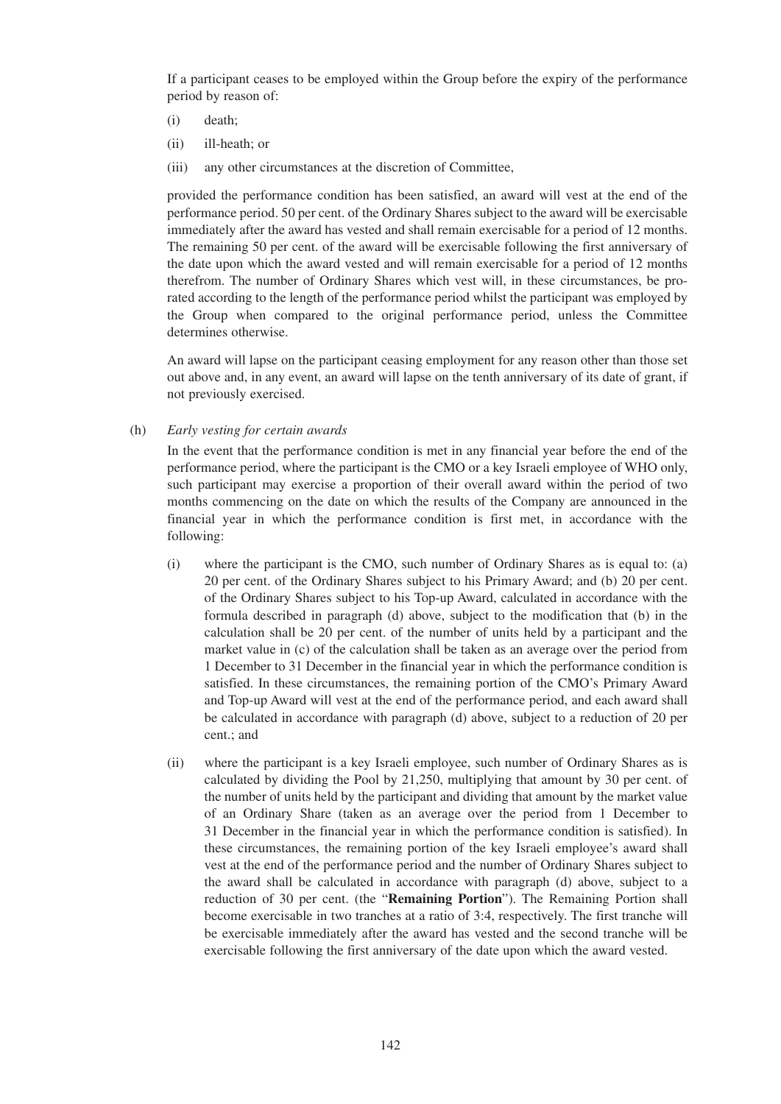If a participant ceases to be employed within the Group before the expiry of the performance period by reason of:

- (i) death;
- (ii) ill-heath; or
- (iii) any other circumstances at the discretion of Committee,

provided the performance condition has been satisfied, an award will vest at the end of the performance period. 50 per cent. of the Ordinary Shares subject to the award will be exercisable immediately after the award has vested and shall remain exercisable for a period of 12 months. The remaining 50 per cent. of the award will be exercisable following the first anniversary of the date upon which the award vested and will remain exercisable for a period of 12 months therefrom. The number of Ordinary Shares which vest will, in these circumstances, be prorated according to the length of the performance period whilst the participant was employed by the Group when compared to the original performance period, unless the Committee determines otherwise.

An award will lapse on the participant ceasing employment for any reason other than those set out above and, in any event, an award will lapse on the tenth anniversary of its date of grant, if not previously exercised.

## (h) *Early vesting for certain awards*

In the event that the performance condition is met in any financial year before the end of the performance period, where the participant is the CMO or a key Israeli employee of WHO only, such participant may exercise a proportion of their overall award within the period of two months commencing on the date on which the results of the Company are announced in the financial year in which the performance condition is first met, in accordance with the following:

- (i) where the participant is the CMO, such number of Ordinary Shares as is equal to: (a) 20 per cent. of the Ordinary Shares subject to his Primary Award; and (b) 20 per cent. of the Ordinary Shares subject to his Top-up Award, calculated in accordance with the formula described in paragraph (d) above, subject to the modification that (b) in the calculation shall be 20 per cent. of the number of units held by a participant and the market value in (c) of the calculation shall be taken as an average over the period from 1 December to 31 December in the financial year in which the performance condition is satisfied. In these circumstances, the remaining portion of the CMO's Primary Award and Top-up Award will vest at the end of the performance period, and each award shall be calculated in accordance with paragraph (d) above, subject to a reduction of 20 per cent.; and
- (ii) where the participant is a key Israeli employee, such number of Ordinary Shares as is calculated by dividing the Pool by 21,250, multiplying that amount by 30 per cent. of the number of units held by the participant and dividing that amount by the market value of an Ordinary Share (taken as an average over the period from 1 December to 31 December in the financial year in which the performance condition is satisfied). In these circumstances, the remaining portion of the key Israeli employee's award shall vest at the end of the performance period and the number of Ordinary Shares subject to the award shall be calculated in accordance with paragraph (d) above, subject to a reduction of 30 per cent. (the "**Remaining Portion**"). The Remaining Portion shall become exercisable in two tranches at a ratio of 3:4, respectively. The first tranche will be exercisable immediately after the award has vested and the second tranche will be exercisable following the first anniversary of the date upon which the award vested.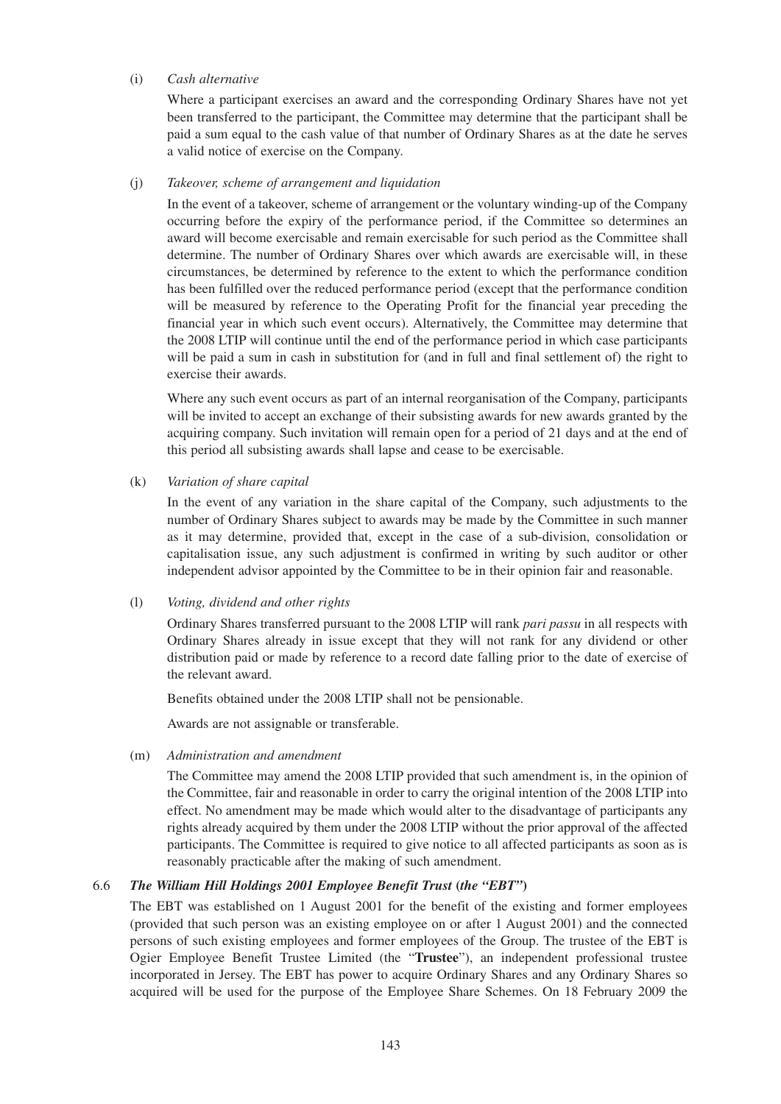## (i) *Cash alternative*

Where a participant exercises an award and the corresponding Ordinary Shares have not yet been transferred to the participant, the Committee may determine that the participant shall be paid a sum equal to the cash value of that number of Ordinary Shares as at the date he serves a valid notice of exercise on the Company.

#### (j) *Takeover, scheme of arrangement and liquidation*

In the event of a takeover, scheme of arrangement or the voluntary winding-up of the Company occurring before the expiry of the performance period, if the Committee so determines an award will become exercisable and remain exercisable for such period as the Committee shall determine. The number of Ordinary Shares over which awards are exercisable will, in these circumstances, be determined by reference to the extent to which the performance condition has been fulfilled over the reduced performance period (except that the performance condition will be measured by reference to the Operating Profit for the financial year preceding the financial year in which such event occurs). Alternatively, the Committee may determine that the 2008 LTIP will continue until the end of the performance period in which case participants will be paid a sum in cash in substitution for (and in full and final settlement of) the right to exercise their awards.

Where any such event occurs as part of an internal reorganisation of the Company, participants will be invited to accept an exchange of their subsisting awards for new awards granted by the acquiring company. Such invitation will remain open for a period of 21 days and at the end of this period all subsisting awards shall lapse and cease to be exercisable.

#### (k) *Variation of share capital*

In the event of any variation in the share capital of the Company, such adjustments to the number of Ordinary Shares subject to awards may be made by the Committee in such manner as it may determine, provided that, except in the case of a sub-division, consolidation or capitalisation issue, any such adjustment is confirmed in writing by such auditor or other independent advisor appointed by the Committee to be in their opinion fair and reasonable.

#### (l) *Voting, dividend and other rights*

Ordinary Shares transferred pursuant to the 2008 LTIP will rank *pari passu* in all respects with Ordinary Shares already in issue except that they will not rank for any dividend or other distribution paid or made by reference to a record date falling prior to the date of exercise of the relevant award.

Benefits obtained under the 2008 LTIP shall not be pensionable.

Awards are not assignable or transferable.

#### (m) *Administration and amendment*

The Committee may amend the 2008 LTIP provided that such amendment is, in the opinion of the Committee, fair and reasonable in order to carry the original intention of the 2008 LTIP into effect. No amendment may be made which would alter to the disadvantage of participants any rights already acquired by them under the 2008 LTIP without the prior approval of the affected participants. The Committee is required to give notice to all affected participants as soon as is reasonably practicable after the making of such amendment.

# 6.6 *The William Hill Holdings 2001 Employee Benefit Trust* **(***the "EBT"***)**

The EBT was established on 1 August 2001 for the benefit of the existing and former employees (provided that such person was an existing employee on or after 1 August 2001) and the connected persons of such existing employees and former employees of the Group. The trustee of the EBT is Ogier Employee Benefit Trustee Limited (the "**Trustee**"), an independent professional trustee incorporated in Jersey. The EBT has power to acquire Ordinary Shares and any Ordinary Shares so acquired will be used for the purpose of the Employee Share Schemes. On 18 February 2009 the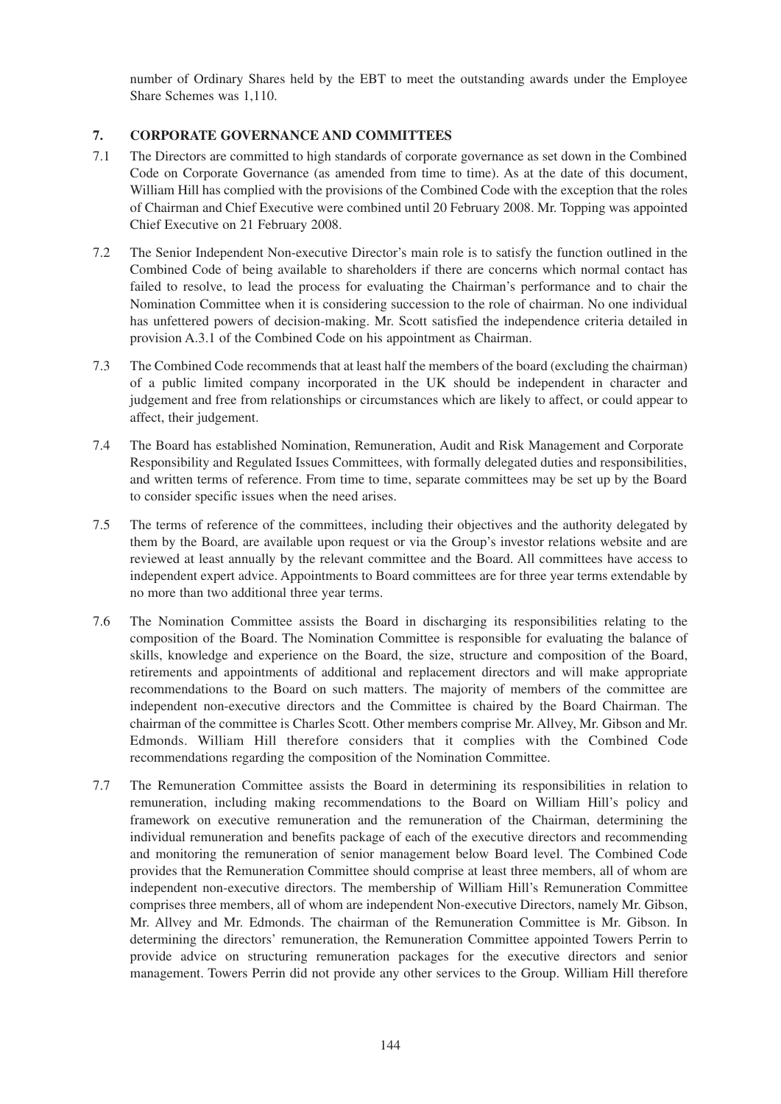number of Ordinary Shares held by the EBT to meet the outstanding awards under the Employee Share Schemes was 1,110.

# **7. CORPORATE GOVERNANCE AND COMMITTEES**

- 7.1 The Directors are committed to high standards of corporate governance as set down in the Combined Code on Corporate Governance (as amended from time to time). As at the date of this document, William Hill has complied with the provisions of the Combined Code with the exception that the roles of Chairman and Chief Executive were combined until 20 February 2008. Mr. Topping was appointed Chief Executive on 21 February 2008.
- 7.2 The Senior Independent Non-executive Director's main role is to satisfy the function outlined in the Combined Code of being available to shareholders if there are concerns which normal contact has failed to resolve, to lead the process for evaluating the Chairman's performance and to chair the Nomination Committee when it is considering succession to the role of chairman. No one individual has unfettered powers of decision-making. Mr. Scott satisfied the independence criteria detailed in provision A.3.1 of the Combined Code on his appointment as Chairman.
- 7.3 The Combined Code recommends that at least half the members of the board (excluding the chairman) of a public limited company incorporated in the UK should be independent in character and judgement and free from relationships or circumstances which are likely to affect, or could appear to affect, their judgement.
- 7.4 The Board has established Nomination, Remuneration, Audit and Risk Management and Corporate Responsibility and Regulated Issues Committees, with formally delegated duties and responsibilities, and written terms of reference. From time to time, separate committees may be set up by the Board to consider specific issues when the need arises.
- 7.5 The terms of reference of the committees, including their objectives and the authority delegated by them by the Board, are available upon request or via the Group's investor relations website and are reviewed at least annually by the relevant committee and the Board. All committees have access to independent expert advice. Appointments to Board committees are for three year terms extendable by no more than two additional three year terms.
- 7.6 The Nomination Committee assists the Board in discharging its responsibilities relating to the composition of the Board. The Nomination Committee is responsible for evaluating the balance of skills, knowledge and experience on the Board, the size, structure and composition of the Board, retirements and appointments of additional and replacement directors and will make appropriate recommendations to the Board on such matters. The majority of members of the committee are independent non-executive directors and the Committee is chaired by the Board Chairman. The chairman of the committee is Charles Scott. Other members comprise Mr. Allvey, Mr. Gibson and Mr. Edmonds. William Hill therefore considers that it complies with the Combined Code recommendations regarding the composition of the Nomination Committee.
- 7.7 The Remuneration Committee assists the Board in determining its responsibilities in relation to remuneration, including making recommendations to the Board on William Hill's policy and framework on executive remuneration and the remuneration of the Chairman, determining the individual remuneration and benefits package of each of the executive directors and recommending and monitoring the remuneration of senior management below Board level. The Combined Code provides that the Remuneration Committee should comprise at least three members, all of whom are independent non-executive directors. The membership of William Hill's Remuneration Committee comprises three members, all of whom are independent Non-executive Directors, namely Mr. Gibson, Mr. Allvey and Mr. Edmonds. The chairman of the Remuneration Committee is Mr. Gibson. In determining the directors' remuneration, the Remuneration Committee appointed Towers Perrin to provide advice on structuring remuneration packages for the executive directors and senior management. Towers Perrin did not provide any other services to the Group. William Hill therefore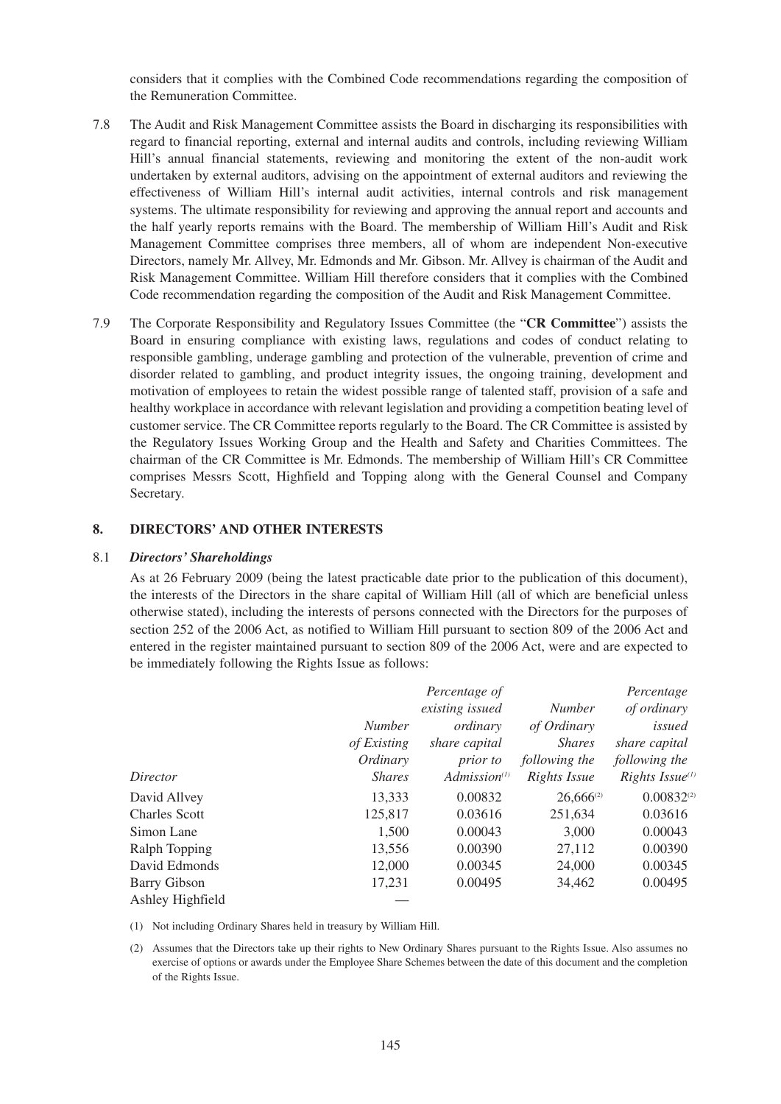considers that it complies with the Combined Code recommendations regarding the composition of the Remuneration Committee.

- 7.8 The Audit and Risk Management Committee assists the Board in discharging its responsibilities with regard to financial reporting, external and internal audits and controls, including reviewing William Hill's annual financial statements, reviewing and monitoring the extent of the non-audit work undertaken by external auditors, advising on the appointment of external auditors and reviewing the effectiveness of William Hill's internal audit activities, internal controls and risk management systems. The ultimate responsibility for reviewing and approving the annual report and accounts and the half yearly reports remains with the Board. The membership of William Hill's Audit and Risk Management Committee comprises three members, all of whom are independent Non-executive Directors, namely Mr. Allvey, Mr. Edmonds and Mr. Gibson. Mr. Allvey is chairman of the Audit and Risk Management Committee. William Hill therefore considers that it complies with the Combined Code recommendation regarding the composition of the Audit and Risk Management Committee.
- 7.9 The Corporate Responsibility and Regulatory Issues Committee (the "**CR Committee**") assists the Board in ensuring compliance with existing laws, regulations and codes of conduct relating to responsible gambling, underage gambling and protection of the vulnerable, prevention of crime and disorder related to gambling, and product integrity issues, the ongoing training, development and motivation of employees to retain the widest possible range of talented staff, provision of a safe and healthy workplace in accordance with relevant legislation and providing a competition beating level of customer service. The CR Committee reports regularly to the Board. The CR Committee is assisted by the Regulatory Issues Working Group and the Health and Safety and Charities Committees. The chairman of the CR Committee is Mr. Edmonds. The membership of William Hill's CR Committee comprises Messrs Scott, Highfield and Topping along with the General Counsel and Company Secretary.

## **8. DIRECTORS' AND OTHER INTERESTS**

#### 8.1 *Directors' Shareholdings*

As at 26 February 2009 (being the latest practicable date prior to the publication of this document), the interests of the Directors in the share capital of William Hill (all of which are beneficial unless otherwise stated), including the interests of persons connected with the Directors for the purposes of section 252 of the 2006 Act, as notified to William Hill pursuant to section 809 of the 2006 Act and entered in the register maintained pursuant to section 809 of the 2006 Act, were and are expected to be immediately following the Rights Issue as follows:

|                      |               | Percentage of     |                | Percentage            |
|----------------------|---------------|-------------------|----------------|-----------------------|
|                      |               | existing issued   | <b>Number</b>  | of ordinary           |
|                      | <b>Number</b> | ordinary          | of Ordinary    | issued                |
|                      | of Existing   | share capital     | <i>Shares</i>  | share capital         |
|                      | Ordinary      | <i>prior to</i>   | following the  | following the         |
| Director             | <b>Shares</b> | $Admission^{(1)}$ | Rights Issue   | Rights Issue $^{(1)}$ |
| David Allvey         | 13,333        | 0.00832           | $26,666^{(2)}$ | $0.00832^{(2)}$       |
| <b>Charles Scott</b> | 125,817       | 0.03616           | 251,634        | 0.03616               |
| Simon Lane           | 1,500         | 0.00043           | 3,000          | 0.00043               |
| Ralph Topping        | 13,556        | 0.00390           | 27,112         | 0.00390               |
| David Edmonds        | 12,000        | 0.00345           | 24,000         | 0.00345               |
| <b>Barry Gibson</b>  | 17,231        | 0.00495           | 34,462         | 0.00495               |
| Ashley Highfield     |               |                   |                |                       |

(1) Not including Ordinary Shares held in treasury by William Hill.

(2) Assumes that the Directors take up their rights to New Ordinary Shares pursuant to the Rights Issue. Also assumes no exercise of options or awards under the Employee Share Schemes between the date of this document and the completion of the Rights Issue.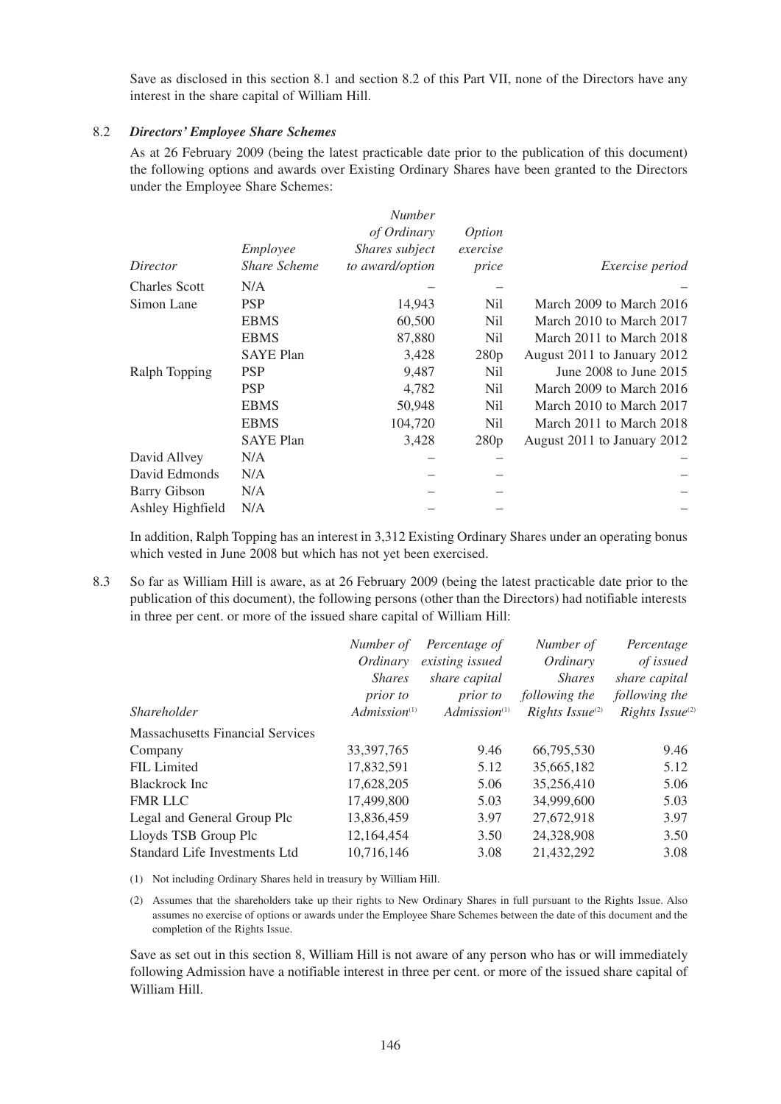Save as disclosed in this section 8.1 and section 8.2 of this Part VII, none of the Directors have any interest in the share capital of William Hill.

### 8.2 *Directors' Employee Share Schemes*

As at 26 February 2009 (being the latest practicable date prior to the publication of this document) the following options and awards over Existing Ordinary Shares have been granted to the Directors under the Employee Share Schemes:

|                      |                     | <b>Number</b>   |               |                             |
|----------------------|---------------------|-----------------|---------------|-----------------------------|
|                      |                     | of Ordinary     | <i>Option</i> |                             |
|                      | Employee            | Shares subject  | exercise      |                             |
| Director             | <b>Share Scheme</b> | to award/option | price         | <i>Exercise period</i>      |
| <b>Charles Scott</b> | N/A                 |                 |               |                             |
| Simon Lane           | <b>PSP</b>          | 14,943          | Nil           | March 2009 to March 2016    |
|                      | <b>EBMS</b>         | 60,500          | Nil           | March 2010 to March 2017    |
|                      | <b>EBMS</b>         | 87,880          | Nil           | March 2011 to March 2018    |
|                      | <b>SAYE Plan</b>    | 3,428           | 280p          | August 2011 to January 2012 |
| Ralph Topping        | <b>PSP</b>          | 9,487           | Nil           | June 2008 to June 2015      |
|                      | <b>PSP</b>          | 4,782           | Nil           | March 2009 to March 2016    |
|                      | <b>EBMS</b>         | 50,948          | Nil           | March 2010 to March 2017    |
|                      | <b>EBMS</b>         | 104,720         | Nil           | March 2011 to March 2018    |
|                      | <b>SAYE Plan</b>    | 3,428           | 280p          | August 2011 to January 2012 |
| David Allvey         | N/A                 |                 |               |                             |
| David Edmonds        | N/A                 |                 |               |                             |
| <b>Barry Gibson</b>  | N/A                 |                 |               |                             |
| Ashley Highfield     | N/A                 |                 |               |                             |

In addition, Ralph Topping has an interest in 3,312 Existing Ordinary Shares under an operating bonus which vested in June 2008 but which has not yet been exercised.

8.3 So far as William Hill is aware, as at 26 February 2009 (being the latest practicable date prior to the publication of this document), the following persons (other than the Directors) had notifiable interests in three per cent. or more of the issued share capital of William Hill:

|                                         | Number of<br>Ordinary | Percentage of<br>existing issued | Number of<br>Ordinary       | Percentage<br>of issued     |
|-----------------------------------------|-----------------------|----------------------------------|-----------------------------|-----------------------------|
|                                         | <i>Shares</i>         | share capital                    | <i>Shares</i>               | share capital               |
|                                         | <i>prior to</i>       | <i>prior to</i>                  | following the               | following the               |
| <i>Shareholder</i>                      | $Admission^{(1)}$     | $Admission$ <sup>(1)</sup>       | Rights Issue <sup>(2)</sup> | Rights Issue <sup>(2)</sup> |
| <b>Massachusetts Financial Services</b> |                       |                                  |                             |                             |
| Company                                 | 33, 397, 765          | 9.46                             | 66,795,530                  | 9.46                        |
| FIL Limited                             | 17,832,591            | 5.12                             | 35,665,182                  | 5.12                        |
| <b>Blackrock</b> Inc                    | 17,628,205            | 5.06                             | 35,256,410                  | 5.06                        |
| <b>FMR LLC</b>                          | 17,499,800            | 5.03                             | 34,999,600                  | 5.03                        |
| Legal and General Group Plc             | 13,836,459            | 3.97                             | 27,672,918                  | 3.97                        |
| Lloyds TSB Group Plc                    | 12.164.454            | 3.50                             | 24,328,908                  | 3.50                        |
| Standard Life Investments Ltd           | 10,716,146            | 3.08                             | 21,432,292                  | 3.08                        |

(1) Not including Ordinary Shares held in treasury by William Hill.

(2) Assumes that the shareholders take up their rights to New Ordinary Shares in full pursuant to the Rights Issue. Also assumes no exercise of options or awards under the Employee Share Schemes between the date of this document and the completion of the Rights Issue.

Save as set out in this section 8, William Hill is not aware of any person who has or will immediately following Admission have a notifiable interest in three per cent. or more of the issued share capital of William Hill.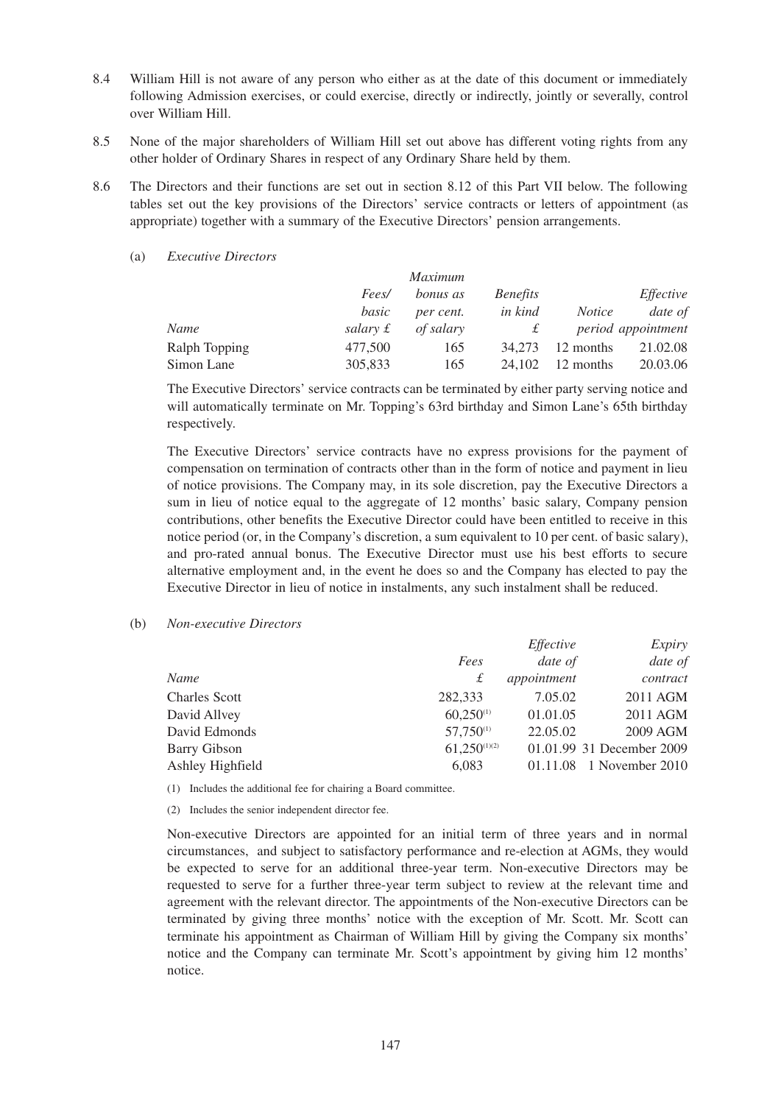- 8.4 William Hill is not aware of any person who either as at the date of this document or immediately following Admission exercises, or could exercise, directly or indirectly, jointly or severally, control over William Hill.
- 8.5 None of the major shareholders of William Hill set out above has different voting rights from any other holder of Ordinary Shares in respect of any Ordinary Share held by them.
- 8.6 The Directors and their functions are set out in section 8.12 of this Part VII below. The following tables set out the key provisions of the Directors' service contracts or letters of appointment (as appropriate) together with a summary of the Executive Directors' pension arrangements.
	- (a) *Executive Directors*

|               |          | <i>Maximum</i>  |                 |               |                    |
|---------------|----------|-----------------|-----------------|---------------|--------------------|
|               | Fees/    | <i>bonus as</i> | <i>Benefits</i> |               | Effective          |
|               | basic    | per cent.       | in kind         | <i>Notice</i> | date of            |
| Name          | salary £ | of salary       |                 |               | period appointment |
| Ralph Topping | 477,500  | 165             | 34.273          | 12 months     | 21.02.08           |
| Simon Lane    | 305,833  | 165             | 24.102          | 12 months     | 20.03.06           |

The Executive Directors' service contracts can be terminated by either party serving notice and will automatically terminate on Mr. Topping's 63rd birthday and Simon Lane's 65th birthday respectively.

The Executive Directors' service contracts have no express provisions for the payment of compensation on termination of contracts other than in the form of notice and payment in lieu of notice provisions. The Company may, in its sole discretion, pay the Executive Directors a sum in lieu of notice equal to the aggregate of 12 months' basic salary, Company pension contributions, other benefits the Executive Director could have been entitled to receive in this notice period (or, in the Company's discretion, a sum equivalent to 10 per cent. of basic salary), and pro-rated annual bonus. The Executive Director must use his best efforts to secure alternative employment and, in the event he does so and the Company has elected to pay the Executive Director in lieu of notice in instalments, any such instalment shall be reduced.

#### (b) *Non-executive Directors*

|                      |                   | Effective   | Expiry                    |
|----------------------|-------------------|-------------|---------------------------|
|                      | Fees              | date of     | date of                   |
| Name                 | £                 | appointment | contract                  |
| <b>Charles Scott</b> | 282,333           | 7.05.02     | 2011 AGM                  |
| David Allvey         | $60,250^{(1)}$    | 01.01.05    | 2011 AGM                  |
| David Edmonds        | $57,750^{(1)}$    | 22.05.02    | 2009 AGM                  |
| <b>Barry Gibson</b>  | $61,250^{(1)(2)}$ |             | 01.01.99 31 December 2009 |
| Ashley Highfield     | 6,083             | 01.11.08    | 1 November 2010           |

(1) Includes the additional fee for chairing a Board committee.

(2) Includes the senior independent director fee.

Non-executive Directors are appointed for an initial term of three years and in normal circumstances, and subject to satisfactory performance and re-election at AGMs, they would be expected to serve for an additional three-year term. Non-executive Directors may be requested to serve for a further three-year term subject to review at the relevant time and agreement with the relevant director. The appointments of the Non-executive Directors can be terminated by giving three months' notice with the exception of Mr. Scott. Mr. Scott can terminate his appointment as Chairman of William Hill by giving the Company six months' notice and the Company can terminate Mr. Scott's appointment by giving him 12 months' notice.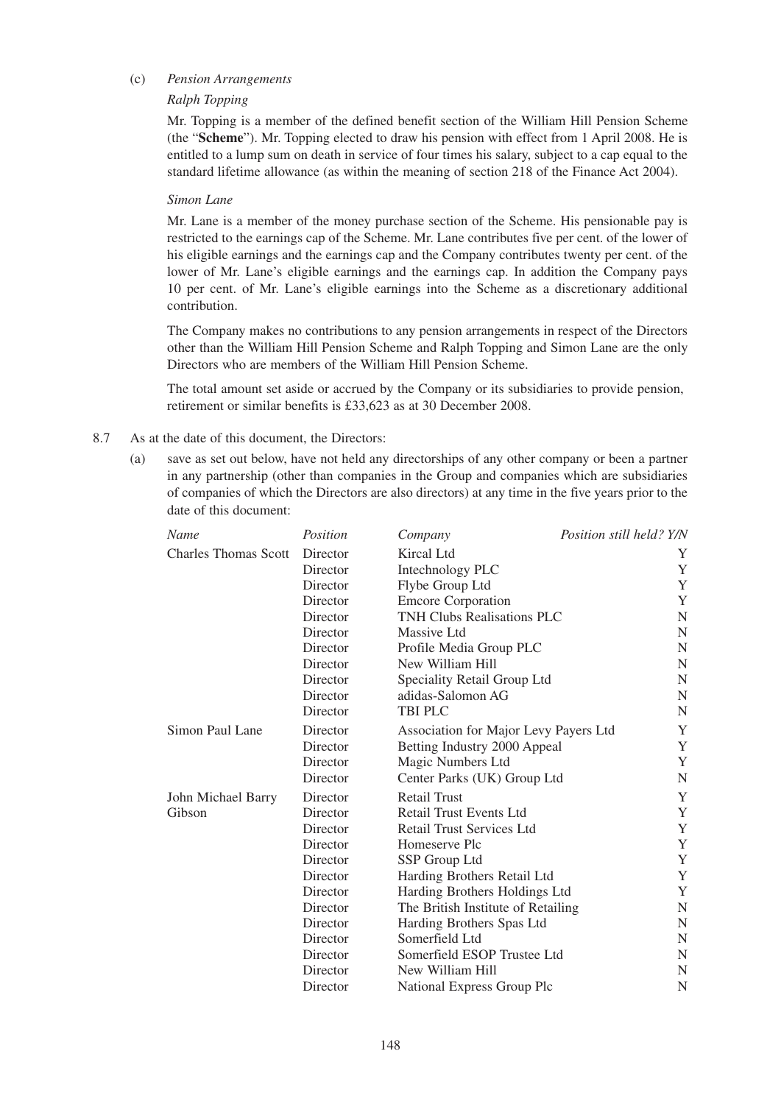## (c) *Pension Arrangements*

## *Ralph Topping*

Mr. Topping is a member of the defined benefit section of the William Hill Pension Scheme (the "**Scheme**"). Mr. Topping elected to draw his pension with effect from 1 April 2008. He is entitled to a lump sum on death in service of four times his salary, subject to a cap equal to the standard lifetime allowance (as within the meaning of section 218 of the Finance Act 2004).

#### *Simon Lane*

Mr. Lane is a member of the money purchase section of the Scheme. His pensionable pay is restricted to the earnings cap of the Scheme. Mr. Lane contributes five per cent. of the lower of his eligible earnings and the earnings cap and the Company contributes twenty per cent. of the lower of Mr. Lane's eligible earnings and the earnings cap. In addition the Company pays 10 per cent. of Mr. Lane's eligible earnings into the Scheme as a discretionary additional contribution.

The Company makes no contributions to any pension arrangements in respect of the Directors other than the William Hill Pension Scheme and Ralph Topping and Simon Lane are the only Directors who are members of the William Hill Pension Scheme.

The total amount set aside or accrued by the Company or its subsidiaries to provide pension, retirement or similar benefits is £33,623 as at 30 December 2008.

- 8.7 As at the date of this document, the Directors:
	- (a) save as set out below, have not held any directorships of any other company or been a partner in any partnership (other than companies in the Group and companies which are subsidiaries of companies of which the Directors are also directors) at any time in the five years prior to the date of this document:

| Name                        | Position | Company                               | Position still held? Y/N |
|-----------------------------|----------|---------------------------------------|--------------------------|
| <b>Charles Thomas Scott</b> | Director | Kircal Ltd                            | Y                        |
|                             | Director | Intechnology PLC                      | Y                        |
|                             | Director | Flybe Group Ltd                       | Y                        |
|                             | Director | <b>Emcore Corporation</b>             | Y                        |
|                             | Director | <b>TNH Clubs Realisations PLC</b>     | N                        |
|                             | Director | Massive Ltd                           | N                        |
|                             | Director | Profile Media Group PLC               | N                        |
|                             | Director | New William Hill                      | N                        |
|                             | Director | Speciality Retail Group Ltd           | N                        |
|                             | Director | adidas-Salomon AG                     | N                        |
|                             | Director | TBI PLC                               | N                        |
| Simon Paul Lane             | Director | Association for Major Levy Payers Ltd | Y                        |
|                             | Director | Betting Industry 2000 Appeal          | Y                        |
|                             | Director | Magic Numbers Ltd                     | Y                        |
|                             | Director | Center Parks (UK) Group Ltd           | ${\bf N}$                |
| John Michael Barry          | Director | <b>Retail Trust</b>                   | Y                        |
| Gibson                      | Director | Retail Trust Events Ltd               | Y                        |
|                             | Director | <b>Retail Trust Services Ltd</b>      | Y                        |
|                             | Director | Homeserve Plc                         | Y                        |
|                             | Director | SSP Group Ltd                         | $\mathbf Y$              |
|                             | Director | Harding Brothers Retail Ltd           | Y                        |
|                             | Director | Harding Brothers Holdings Ltd         | Y                        |
|                             | Director | The British Institute of Retailing    | N                        |
|                             | Director | Harding Brothers Spas Ltd             | N                        |
|                             | Director | Somerfield Ltd                        | N                        |
|                             | Director | Somerfield ESOP Trustee Ltd           | N                        |
|                             | Director | New William Hill                      | N                        |
|                             | Director | National Express Group Plc            | N                        |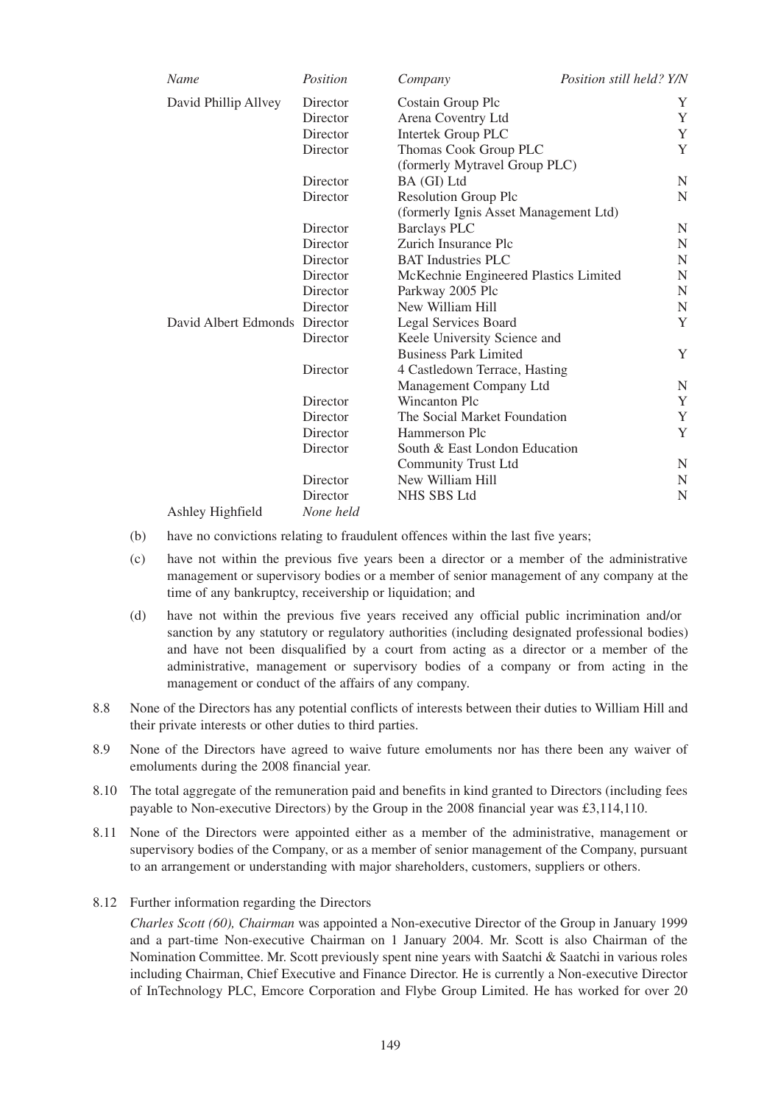| Name                          | Position  | Company                               | Position still held? Y/N |  |  |
|-------------------------------|-----------|---------------------------------------|--------------------------|--|--|
| David Phillip Allvey          | Director  | Costain Group Plc                     | Y                        |  |  |
|                               | Director  | Arena Coventry Ltd                    | Y                        |  |  |
|                               | Director  | <b>Intertek Group PLC</b>             | Y                        |  |  |
|                               | Director  | Thomas Cook Group PLC                 | Y                        |  |  |
|                               |           | (formerly Mytravel Group PLC)         |                          |  |  |
|                               | Director  | BA (GI) Ltd                           | N                        |  |  |
|                               | Director  | <b>Resolution Group Plc</b>           | N                        |  |  |
|                               |           | (formerly Ignis Asset Management Ltd) |                          |  |  |
|                               | Director  | <b>Barclays PLC</b>                   | N                        |  |  |
|                               | Director  | Zurich Insurance Plc                  | N                        |  |  |
|                               | Director  | <b>BAT</b> Industries PLC             |                          |  |  |
|                               | Director  | McKechnie Engineered Plastics Limited | N                        |  |  |
|                               | Director  | Parkway 2005 Plc                      | N                        |  |  |
|                               | Director  | New William Hill                      | $\mathbf N$              |  |  |
| David Albert Edmonds Director |           | Legal Services Board                  | Y                        |  |  |
|                               | Director  | Keele University Science and          |                          |  |  |
|                               |           | <b>Business Park Limited</b>          | Y                        |  |  |
|                               | Director  | 4 Castledown Terrace, Hasting         |                          |  |  |
|                               |           | Management Company Ltd                | N                        |  |  |
|                               | Director  | Wincanton Plc                         | Y                        |  |  |
|                               | Director  | The Social Market Foundation          | Y                        |  |  |
|                               | Director  | Hammerson Plc                         | Y                        |  |  |
|                               | Director  | South & East London Education         |                          |  |  |
|                               |           | <b>Community Trust Ltd</b>            | N                        |  |  |
|                               | Director  | New William Hill                      | N                        |  |  |
|                               | Director  | <b>NHS SBS Ltd</b>                    | N                        |  |  |
| Ashley Highfield              | None held |                                       |                          |  |  |

- (b) have no convictions relating to fraudulent offences within the last five years;
- (c) have not within the previous five years been a director or a member of the administrative management or supervisory bodies or a member of senior management of any company at the time of any bankruptcy, receivership or liquidation; and
- (d) have not within the previous five years received any official public incrimination and/or sanction by any statutory or regulatory authorities (including designated professional bodies) and have not been disqualified by a court from acting as a director or a member of the administrative, management or supervisory bodies of a company or from acting in the management or conduct of the affairs of any company.
- 8.8 None of the Directors has any potential conflicts of interests between their duties to William Hill and their private interests or other duties to third parties.
- 8.9 None of the Directors have agreed to waive future emoluments nor has there been any waiver of emoluments during the 2008 financial year.
- 8.10 The total aggregate of the remuneration paid and benefits in kind granted to Directors (including fees payable to Non-executive Directors) by the Group in the 2008 financial year was £3,114,110.
- 8.11 None of the Directors were appointed either as a member of the administrative, management or supervisory bodies of the Company, or as a member of senior management of the Company, pursuant to an arrangement or understanding with major shareholders, customers, suppliers or others.
- 8.12 Further information regarding the Directors

*Charles Scott (60), Chairman* was appointed a Non-executive Director of the Group in January 1999 and a part-time Non-executive Chairman on 1 January 2004. Mr. Scott is also Chairman of the Nomination Committee. Mr. Scott previously spent nine years with Saatchi & Saatchi in various roles including Chairman, Chief Executive and Finance Director. He is currently a Non-executive Director of InTechnology PLC, Emcore Corporation and Flybe Group Limited. He has worked for over 20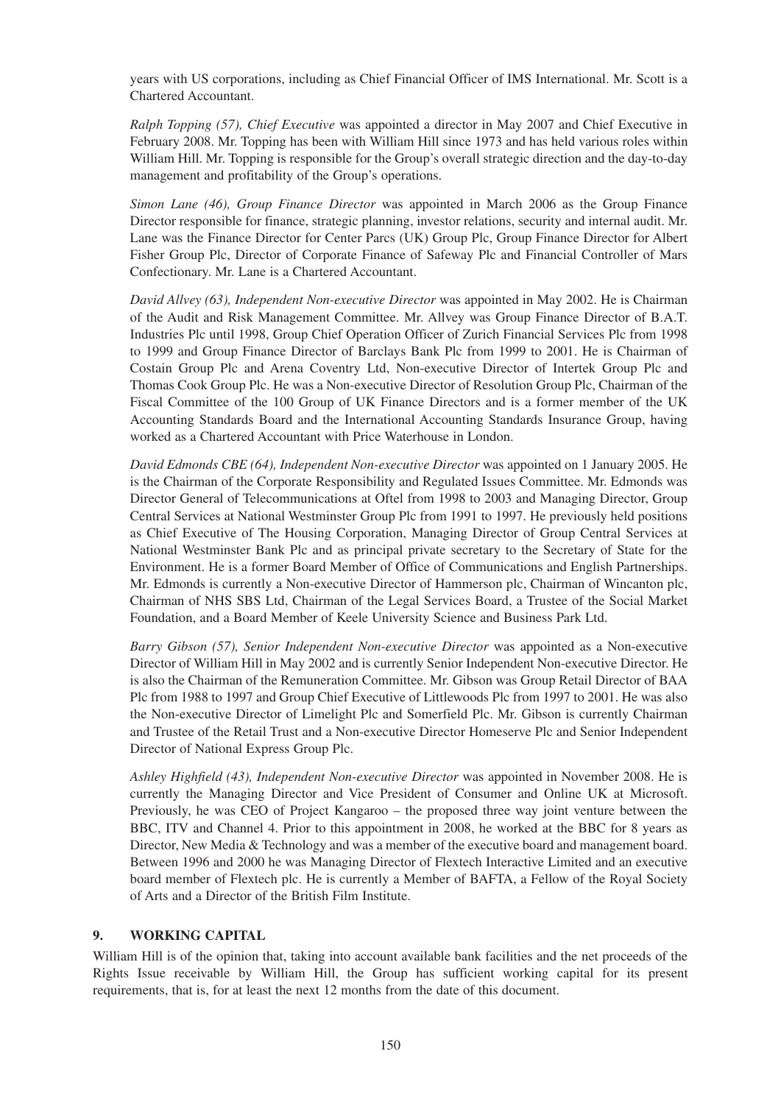years with US corporations, including as Chief Financial Officer of IMS International. Mr. Scott is a Chartered Accountant.

*Ralph Topping (57), Chief Executive* was appointed a director in May 2007 and Chief Executive in February 2008. Mr. Topping has been with William Hill since 1973 and has held various roles within William Hill. Mr. Topping is responsible for the Group's overall strategic direction and the day-to-day management and profitability of the Group's operations.

*Simon Lane (46), Group Finance Director* was appointed in March 2006 as the Group Finance Director responsible for finance, strategic planning, investor relations, security and internal audit. Mr. Lane was the Finance Director for Center Parcs (UK) Group Plc, Group Finance Director for Albert Fisher Group Plc, Director of Corporate Finance of Safeway Plc and Financial Controller of Mars Confectionary. Mr. Lane is a Chartered Accountant.

*David Allvey (63), Independent Non-executive Director* was appointed in May 2002. He is Chairman of the Audit and Risk Management Committee. Mr. Allvey was Group Finance Director of B.A.T. Industries Plc until 1998, Group Chief Operation Officer of Zurich Financial Services Plc from 1998 to 1999 and Group Finance Director of Barclays Bank Plc from 1999 to 2001. He is Chairman of Costain Group Plc and Arena Coventry Ltd, Non-executive Director of Intertek Group Plc and Thomas Cook Group Plc. He was a Non-executive Director of Resolution Group Plc, Chairman of the Fiscal Committee of the 100 Group of UK Finance Directors and is a former member of the UK Accounting Standards Board and the International Accounting Standards Insurance Group, having worked as a Chartered Accountant with Price Waterhouse in London.

*David Edmonds CBE (64), Independent Non-executive Director* was appointed on 1 January 2005. He is the Chairman of the Corporate Responsibility and Regulated Issues Committee. Mr. Edmonds was Director General of Telecommunications at Oftel from 1998 to 2003 and Managing Director, Group Central Services at National Westminster Group Plc from 1991 to 1997. He previously held positions as Chief Executive of The Housing Corporation, Managing Director of Group Central Services at National Westminster Bank Plc and as principal private secretary to the Secretary of State for the Environment. He is a former Board Member of Office of Communications and English Partnerships. Mr. Edmonds is currently a Non-executive Director of Hammerson plc, Chairman of Wincanton plc, Chairman of NHS SBS Ltd, Chairman of the Legal Services Board, a Trustee of the Social Market Foundation, and a Board Member of Keele University Science and Business Park Ltd.

*Barry Gibson (57), Senior Independent Non-executive Director* was appointed as a Non-executive Director of William Hill in May 2002 and is currently Senior Independent Non-executive Director. He is also the Chairman of the Remuneration Committee. Mr. Gibson was Group Retail Director of BAA Plc from 1988 to 1997 and Group Chief Executive of Littlewoods Plc from 1997 to 2001. He was also the Non-executive Director of Limelight Plc and Somerfield Plc. Mr. Gibson is currently Chairman and Trustee of the Retail Trust and a Non-executive Director Homeserve Plc and Senior Independent Director of National Express Group Plc.

*Ashley Highfield (43), Independent Non-executive Director* was appointed in November 2008. He is currently the Managing Director and Vice President of Consumer and Online UK at Microsoft. Previously, he was CEO of Project Kangaroo – the proposed three way joint venture between the BBC, ITV and Channel 4. Prior to this appointment in 2008, he worked at the BBC for 8 years as Director, New Media & Technology and was a member of the executive board and management board. Between 1996 and 2000 he was Managing Director of Flextech Interactive Limited and an executive board member of Flextech plc. He is currently a Member of BAFTA, a Fellow of the Royal Society of Arts and a Director of the British Film Institute.

## **9. WORKING CAPITAL**

William Hill is of the opinion that, taking into account available bank facilities and the net proceeds of the Rights Issue receivable by William Hill, the Group has sufficient working capital for its present requirements, that is, for at least the next 12 months from the date of this document.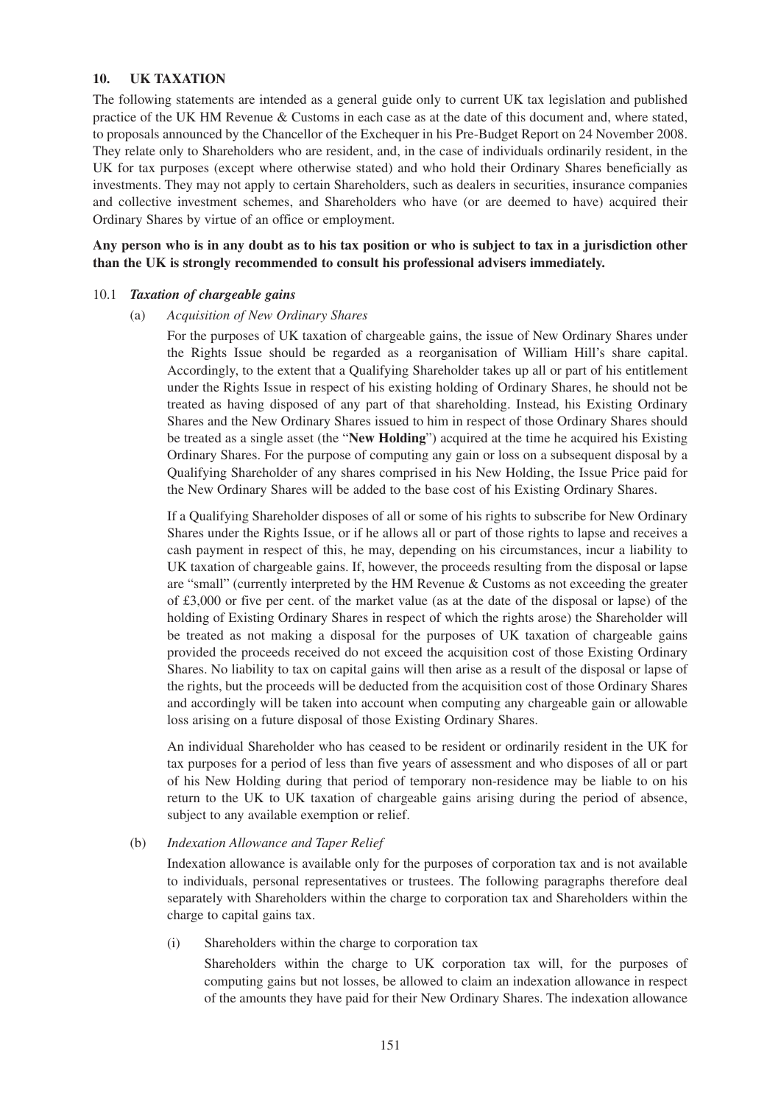## **10. UK TAXATION**

The following statements are intended as a general guide only to current UK tax legislation and published practice of the UK HM Revenue & Customs in each case as at the date of this document and, where stated, to proposals announced by the Chancellor of the Exchequer in his Pre-Budget Report on 24 November 2008. They relate only to Shareholders who are resident, and, in the case of individuals ordinarily resident, in the UK for tax purposes (except where otherwise stated) and who hold their Ordinary Shares beneficially as investments. They may not apply to certain Shareholders, such as dealers in securities, insurance companies and collective investment schemes, and Shareholders who have (or are deemed to have) acquired their Ordinary Shares by virtue of an office or employment.

**Any person who is in any doubt as to his tax position or who is subject to tax in a jurisdiction other than the UK is strongly recommended to consult his professional advisers immediately.**

### 10.1 *Taxation of chargeable gains*

#### (a) *Acquisition of New Ordinary Shares*

For the purposes of UK taxation of chargeable gains, the issue of New Ordinary Shares under the Rights Issue should be regarded as a reorganisation of William Hill's share capital. Accordingly, to the extent that a Qualifying Shareholder takes up all or part of his entitlement under the Rights Issue in respect of his existing holding of Ordinary Shares, he should not be treated as having disposed of any part of that shareholding. Instead, his Existing Ordinary Shares and the New Ordinary Shares issued to him in respect of those Ordinary Shares should be treated as a single asset (the "**New Holding**") acquired at the time he acquired his Existing Ordinary Shares. For the purpose of computing any gain or loss on a subsequent disposal by a Qualifying Shareholder of any shares comprised in his New Holding, the Issue Price paid for the New Ordinary Shares will be added to the base cost of his Existing Ordinary Shares.

If a Qualifying Shareholder disposes of all or some of his rights to subscribe for New Ordinary Shares under the Rights Issue, or if he allows all or part of those rights to lapse and receives a cash payment in respect of this, he may, depending on his circumstances, incur a liability to UK taxation of chargeable gains. If, however, the proceeds resulting from the disposal or lapse are "small" (currently interpreted by the HM Revenue & Customs as not exceeding the greater of £3,000 or five per cent. of the market value (as at the date of the disposal or lapse) of the holding of Existing Ordinary Shares in respect of which the rights arose) the Shareholder will be treated as not making a disposal for the purposes of UK taxation of chargeable gains provided the proceeds received do not exceed the acquisition cost of those Existing Ordinary Shares. No liability to tax on capital gains will then arise as a result of the disposal or lapse of the rights, but the proceeds will be deducted from the acquisition cost of those Ordinary Shares and accordingly will be taken into account when computing any chargeable gain or allowable loss arising on a future disposal of those Existing Ordinary Shares.

An individual Shareholder who has ceased to be resident or ordinarily resident in the UK for tax purposes for a period of less than five years of assessment and who disposes of all or part of his New Holding during that period of temporary non-residence may be liable to on his return to the UK to UK taxation of chargeable gains arising during the period of absence, subject to any available exemption or relief.

#### (b) *Indexation Allowance and Taper Relief*

Indexation allowance is available only for the purposes of corporation tax and is not available to individuals, personal representatives or trustees. The following paragraphs therefore deal separately with Shareholders within the charge to corporation tax and Shareholders within the charge to capital gains tax.

(i) Shareholders within the charge to corporation tax

Shareholders within the charge to UK corporation tax will, for the purposes of computing gains but not losses, be allowed to claim an indexation allowance in respect of the amounts they have paid for their New Ordinary Shares. The indexation allowance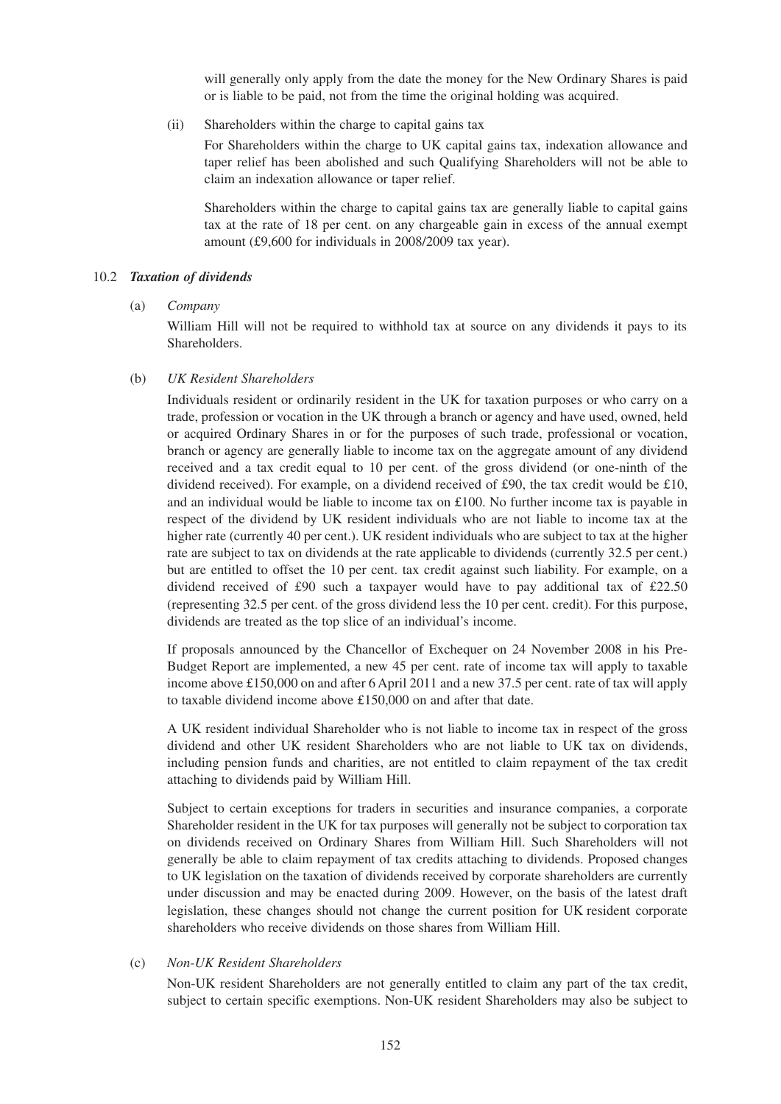will generally only apply from the date the money for the New Ordinary Shares is paid or is liable to be paid, not from the time the original holding was acquired.

(ii) Shareholders within the charge to capital gains tax

For Shareholders within the charge to UK capital gains tax, indexation allowance and taper relief has been abolished and such Qualifying Shareholders will not be able to claim an indexation allowance or taper relief.

Shareholders within the charge to capital gains tax are generally liable to capital gains tax at the rate of 18 per cent. on any chargeable gain in excess of the annual exempt amount (£9,600 for individuals in 2008/2009 tax year).

#### 10.2 *Taxation of dividends*

(a) *Company*

William Hill will not be required to withhold tax at source on any dividends it pays to its Shareholders.

#### (b) *UK Resident Shareholders*

Individuals resident or ordinarily resident in the UK for taxation purposes or who carry on a trade, profession or vocation in the UK through a branch or agency and have used, owned, held or acquired Ordinary Shares in or for the purposes of such trade, professional or vocation, branch or agency are generally liable to income tax on the aggregate amount of any dividend received and a tax credit equal to 10 per cent. of the gross dividend (or one-ninth of the dividend received). For example, on a dividend received of £90, the tax credit would be £10, and an individual would be liable to income tax on £100. No further income tax is payable in respect of the dividend by UK resident individuals who are not liable to income tax at the higher rate (currently 40 per cent.). UK resident individuals who are subject to tax at the higher rate are subject to tax on dividends at the rate applicable to dividends (currently 32.5 per cent.) but are entitled to offset the 10 per cent. tax credit against such liability. For example, on a dividend received of £90 such a taxpayer would have to pay additional tax of £22.50 (representing 32.5 per cent. of the gross dividend less the 10 per cent. credit). For this purpose, dividends are treated as the top slice of an individual's income.

If proposals announced by the Chancellor of Exchequer on 24 November 2008 in his Pre-Budget Report are implemented, a new 45 per cent. rate of income tax will apply to taxable income above £150,000 on and after 6 April 2011 and a new 37.5 per cent. rate of tax will apply to taxable dividend income above £150,000 on and after that date.

A UK resident individual Shareholder who is not liable to income tax in respect of the gross dividend and other UK resident Shareholders who are not liable to UK tax on dividends, including pension funds and charities, are not entitled to claim repayment of the tax credit attaching to dividends paid by William Hill.

Subject to certain exceptions for traders in securities and insurance companies, a corporate Shareholder resident in the UK for tax purposes will generally not be subject to corporation tax on dividends received on Ordinary Shares from William Hill. Such Shareholders will not generally be able to claim repayment of tax credits attaching to dividends. Proposed changes to UK legislation on the taxation of dividends received by corporate shareholders are currently under discussion and may be enacted during 2009. However, on the basis of the latest draft legislation, these changes should not change the current position for UK resident corporate shareholders who receive dividends on those shares from William Hill.

#### (c) *Non-UK Resident Shareholders*

Non-UK resident Shareholders are not generally entitled to claim any part of the tax credit, subject to certain specific exemptions. Non-UK resident Shareholders may also be subject to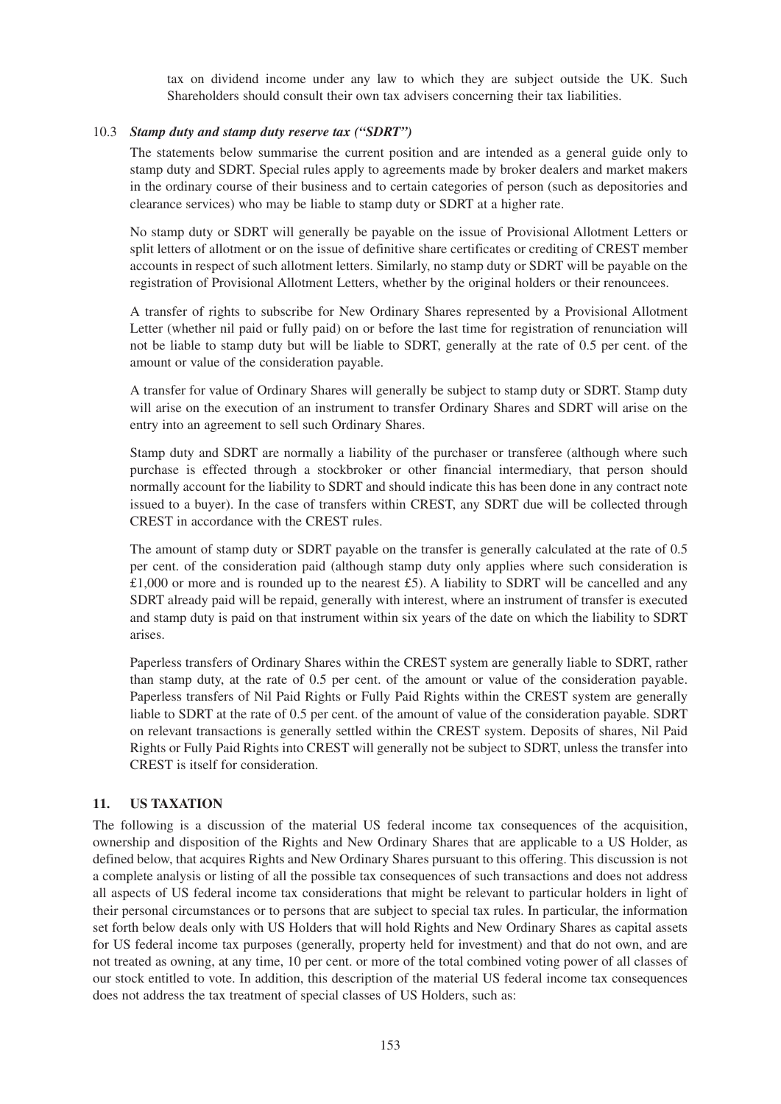tax on dividend income under any law to which they are subject outside the UK. Such Shareholders should consult their own tax advisers concerning their tax liabilities.

## 10.3 *Stamp duty and stamp duty reserve tax ("SDRT")*

The statements below summarise the current position and are intended as a general guide only to stamp duty and SDRT. Special rules apply to agreements made by broker dealers and market makers in the ordinary course of their business and to certain categories of person (such as depositories and clearance services) who may be liable to stamp duty or SDRT at a higher rate.

No stamp duty or SDRT will generally be payable on the issue of Provisional Allotment Letters or split letters of allotment or on the issue of definitive share certificates or crediting of CREST member accounts in respect of such allotment letters. Similarly, no stamp duty or SDRT will be payable on the registration of Provisional Allotment Letters, whether by the original holders or their renouncees.

A transfer of rights to subscribe for New Ordinary Shares represented by a Provisional Allotment Letter (whether nil paid or fully paid) on or before the last time for registration of renunciation will not be liable to stamp duty but will be liable to SDRT, generally at the rate of 0.5 per cent. of the amount or value of the consideration payable.

A transfer for value of Ordinary Shares will generally be subject to stamp duty or SDRT. Stamp duty will arise on the execution of an instrument to transfer Ordinary Shares and SDRT will arise on the entry into an agreement to sell such Ordinary Shares.

Stamp duty and SDRT are normally a liability of the purchaser or transferee (although where such purchase is effected through a stockbroker or other financial intermediary, that person should normally account for the liability to SDRT and should indicate this has been done in any contract note issued to a buyer). In the case of transfers within CREST, any SDRT due will be collected through CREST in accordance with the CREST rules.

The amount of stamp duty or SDRT payable on the transfer is generally calculated at the rate of 0.5 per cent. of the consideration paid (although stamp duty only applies where such consideration is  $£1,000$  or more and is rounded up to the nearest £5). A liability to SDRT will be cancelled and any SDRT already paid will be repaid, generally with interest, where an instrument of transfer is executed and stamp duty is paid on that instrument within six years of the date on which the liability to SDRT arises.

Paperless transfers of Ordinary Shares within the CREST system are generally liable to SDRT, rather than stamp duty, at the rate of 0.5 per cent. of the amount or value of the consideration payable. Paperless transfers of Nil Paid Rights or Fully Paid Rights within the CREST system are generally liable to SDRT at the rate of 0.5 per cent. of the amount of value of the consideration payable. SDRT on relevant transactions is generally settled within the CREST system. Deposits of shares, Nil Paid Rights or Fully Paid Rights into CREST will generally not be subject to SDRT, unless the transfer into CREST is itself for consideration.

## **11. US TAXATION**

The following is a discussion of the material US federal income tax consequences of the acquisition, ownership and disposition of the Rights and New Ordinary Shares that are applicable to a US Holder, as defined below, that acquires Rights and New Ordinary Shares pursuant to this offering. This discussion is not a complete analysis or listing of all the possible tax consequences of such transactions and does not address all aspects of US federal income tax considerations that might be relevant to particular holders in light of their personal circumstances or to persons that are subject to special tax rules. In particular, the information set forth below deals only with US Holders that will hold Rights and New Ordinary Shares as capital assets for US federal income tax purposes (generally, property held for investment) and that do not own, and are not treated as owning, at any time, 10 per cent. or more of the total combined voting power of all classes of our stock entitled to vote. In addition, this description of the material US federal income tax consequences does not address the tax treatment of special classes of US Holders, such as: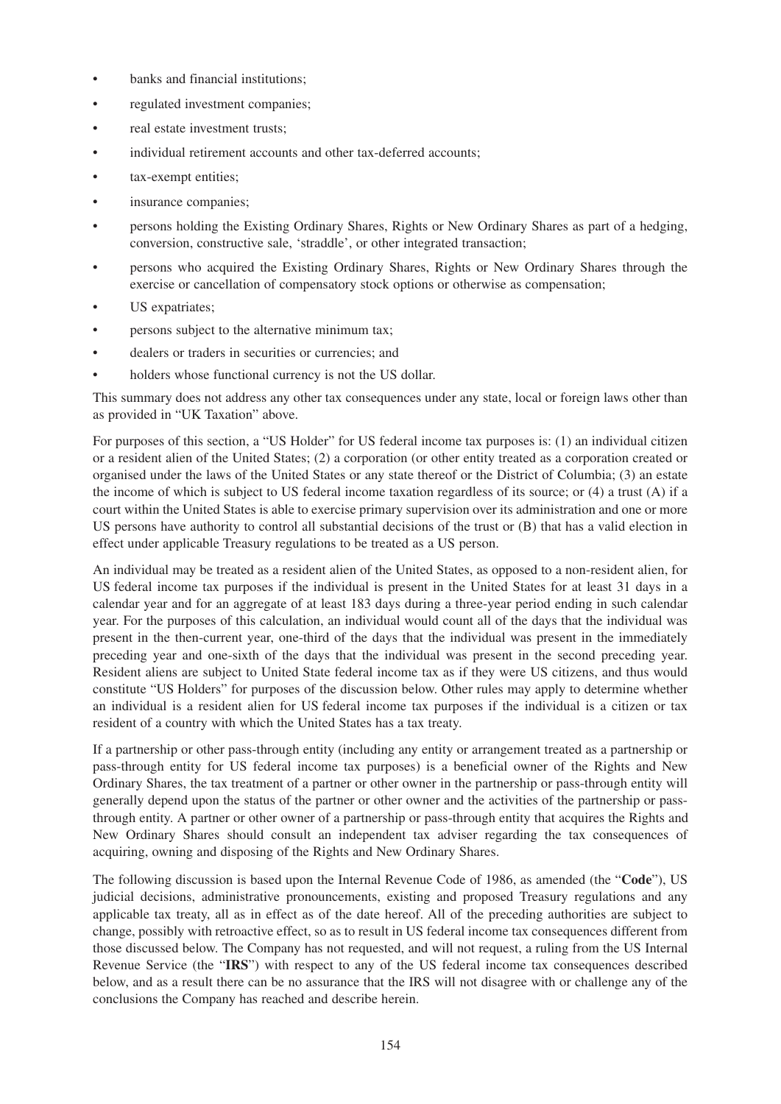- banks and financial institutions;
- regulated investment companies;
- real estate investment trusts;
- individual retirement accounts and other tax-deferred accounts:
- tax-exempt entities;
- insurance companies;
- persons holding the Existing Ordinary Shares, Rights or New Ordinary Shares as part of a hedging, conversion, constructive sale, 'straddle', or other integrated transaction;
- persons who acquired the Existing Ordinary Shares, Rights or New Ordinary Shares through the exercise or cancellation of compensatory stock options or otherwise as compensation;
- US expatriates;
- persons subject to the alternative minimum tax;
- dealers or traders in securities or currencies; and
- holders whose functional currency is not the US dollar.

This summary does not address any other tax consequences under any state, local or foreign laws other than as provided in "UK Taxation" above.

For purposes of this section, a "US Holder" for US federal income tax purposes is: (1) an individual citizen or a resident alien of the United States; (2) a corporation (or other entity treated as a corporation created or organised under the laws of the United States or any state thereof or the District of Columbia; (3) an estate the income of which is subject to US federal income taxation regardless of its source; or (4) a trust (A) if a court within the United States is able to exercise primary supervision over its administration and one or more US persons have authority to control all substantial decisions of the trust or (B) that has a valid election in effect under applicable Treasury regulations to be treated as a US person.

An individual may be treated as a resident alien of the United States, as opposed to a non-resident alien, for US federal income tax purposes if the individual is present in the United States for at least 31 days in a calendar year and for an aggregate of at least 183 days during a three-year period ending in such calendar year. For the purposes of this calculation, an individual would count all of the days that the individual was present in the then-current year, one-third of the days that the individual was present in the immediately preceding year and one-sixth of the days that the individual was present in the second preceding year. Resident aliens are subject to United State federal income tax as if they were US citizens, and thus would constitute "US Holders" for purposes of the discussion below. Other rules may apply to determine whether an individual is a resident alien for US federal income tax purposes if the individual is a citizen or tax resident of a country with which the United States has a tax treaty.

If a partnership or other pass-through entity (including any entity or arrangement treated as a partnership or pass-through entity for US federal income tax purposes) is a beneficial owner of the Rights and New Ordinary Shares, the tax treatment of a partner or other owner in the partnership or pass-through entity will generally depend upon the status of the partner or other owner and the activities of the partnership or passthrough entity. A partner or other owner of a partnership or pass-through entity that acquires the Rights and New Ordinary Shares should consult an independent tax adviser regarding the tax consequences of acquiring, owning and disposing of the Rights and New Ordinary Shares.

The following discussion is based upon the Internal Revenue Code of 1986, as amended (the "**Code**"), US judicial decisions, administrative pronouncements, existing and proposed Treasury regulations and any applicable tax treaty, all as in effect as of the date hereof. All of the preceding authorities are subject to change, possibly with retroactive effect, so as to result in US federal income tax consequences different from those discussed below. The Company has not requested, and will not request, a ruling from the US Internal Revenue Service (the "**IRS**") with respect to any of the US federal income tax consequences described below, and as a result there can be no assurance that the IRS will not disagree with or challenge any of the conclusions the Company has reached and describe herein.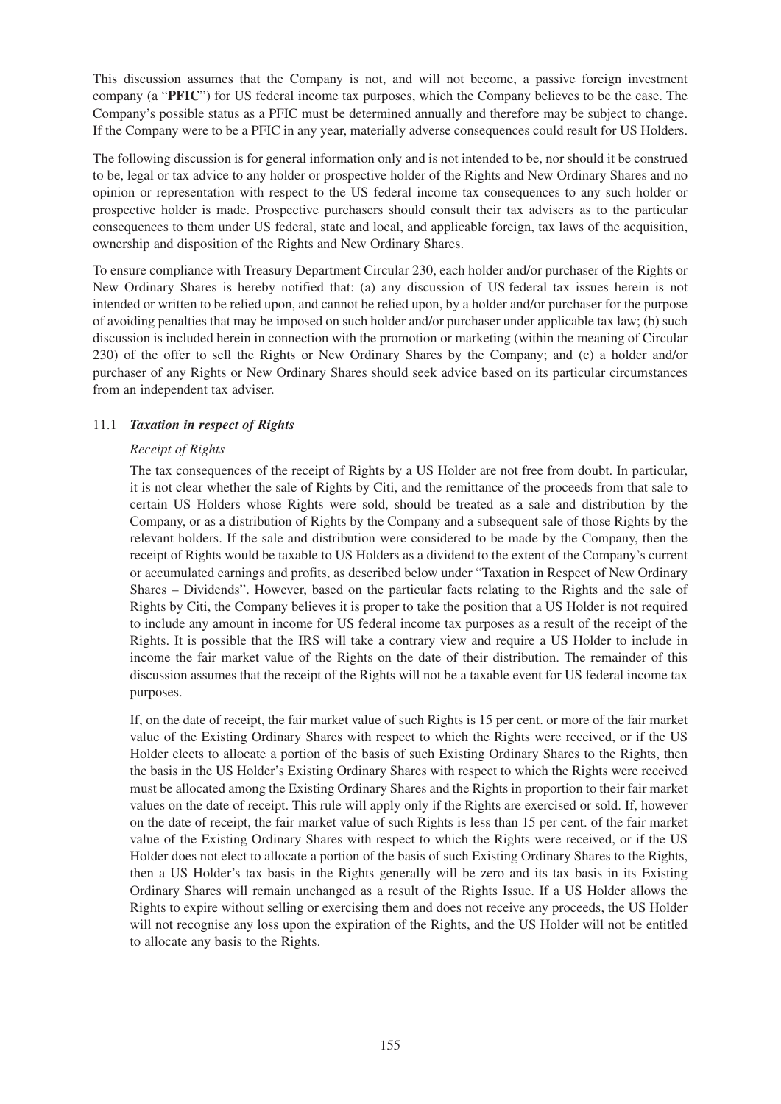This discussion assumes that the Company is not, and will not become, a passive foreign investment company (a "**PFIC**") for US federal income tax purposes, which the Company believes to be the case. The Company's possible status as a PFIC must be determined annually and therefore may be subject to change. If the Company were to be a PFIC in any year, materially adverse consequences could result for US Holders.

The following discussion is for general information only and is not intended to be, nor should it be construed to be, legal or tax advice to any holder or prospective holder of the Rights and New Ordinary Shares and no opinion or representation with respect to the US federal income tax consequences to any such holder or prospective holder is made. Prospective purchasers should consult their tax advisers as to the particular consequences to them under US federal, state and local, and applicable foreign, tax laws of the acquisition, ownership and disposition of the Rights and New Ordinary Shares.

To ensure compliance with Treasury Department Circular 230, each holder and/or purchaser of the Rights or New Ordinary Shares is hereby notified that: (a) any discussion of US federal tax issues herein is not intended or written to be relied upon, and cannot be relied upon, by a holder and/or purchaser for the purpose of avoiding penalties that may be imposed on such holder and/or purchaser under applicable tax law; (b) such discussion is included herein in connection with the promotion or marketing (within the meaning of Circular 230) of the offer to sell the Rights or New Ordinary Shares by the Company; and (c) a holder and/or purchaser of any Rights or New Ordinary Shares should seek advice based on its particular circumstances from an independent tax adviser.

## 11.1 *Taxation in respect of Rights*

## *Receipt of Rights*

The tax consequences of the receipt of Rights by a US Holder are not free from doubt. In particular, it is not clear whether the sale of Rights by Citi, and the remittance of the proceeds from that sale to certain US Holders whose Rights were sold, should be treated as a sale and distribution by the Company, or as a distribution of Rights by the Company and a subsequent sale of those Rights by the relevant holders. If the sale and distribution were considered to be made by the Company, then the receipt of Rights would be taxable to US Holders as a dividend to the extent of the Company's current or accumulated earnings and profits, as described below under "Taxation in Respect of New Ordinary Shares – Dividends". However, based on the particular facts relating to the Rights and the sale of Rights by Citi, the Company believes it is proper to take the position that a US Holder is not required to include any amount in income for US federal income tax purposes as a result of the receipt of the Rights. It is possible that the IRS will take a contrary view and require a US Holder to include in income the fair market value of the Rights on the date of their distribution. The remainder of this discussion assumes that the receipt of the Rights will not be a taxable event for US federal income tax purposes.

If, on the date of receipt, the fair market value of such Rights is 15 per cent. or more of the fair market value of the Existing Ordinary Shares with respect to which the Rights were received, or if the US Holder elects to allocate a portion of the basis of such Existing Ordinary Shares to the Rights, then the basis in the US Holder's Existing Ordinary Shares with respect to which the Rights were received must be allocated among the Existing Ordinary Shares and the Rights in proportion to their fair market values on the date of receipt. This rule will apply only if the Rights are exercised or sold. If, however on the date of receipt, the fair market value of such Rights is less than 15 per cent. of the fair market value of the Existing Ordinary Shares with respect to which the Rights were received, or if the US Holder does not elect to allocate a portion of the basis of such Existing Ordinary Shares to the Rights, then a US Holder's tax basis in the Rights generally will be zero and its tax basis in its Existing Ordinary Shares will remain unchanged as a result of the Rights Issue. If a US Holder allows the Rights to expire without selling or exercising them and does not receive any proceeds, the US Holder will not recognise any loss upon the expiration of the Rights, and the US Holder will not be entitled to allocate any basis to the Rights.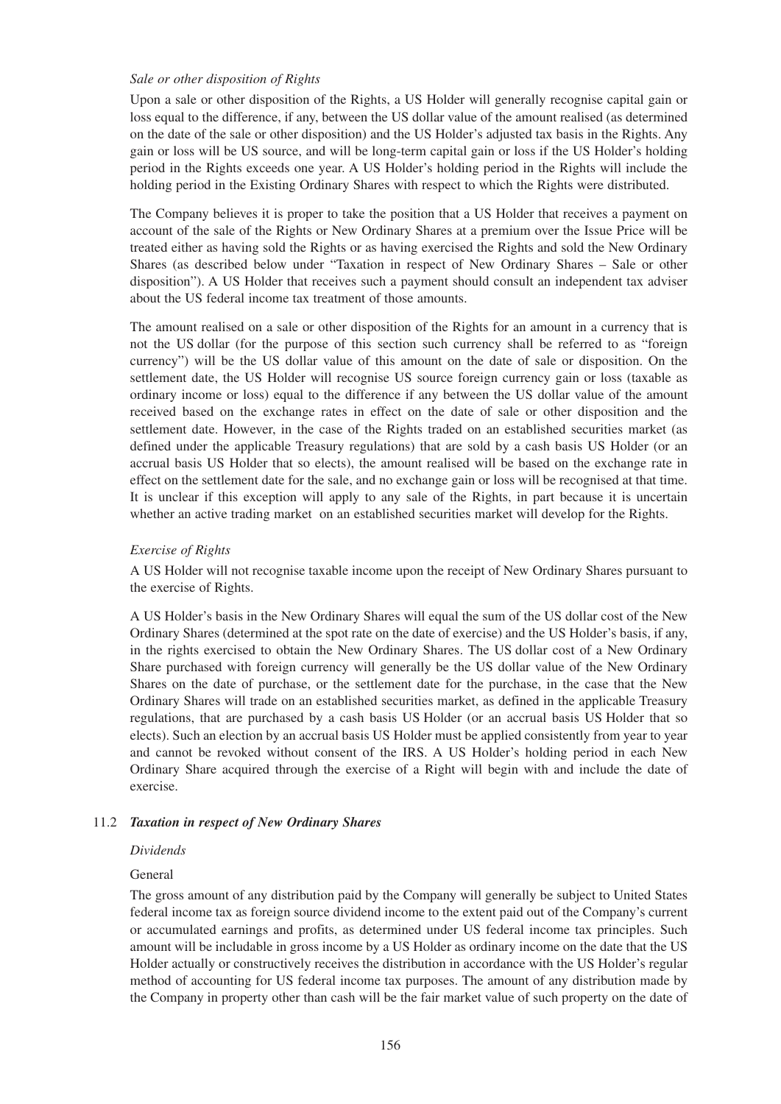### *Sale or other disposition of Rights*

Upon a sale or other disposition of the Rights, a US Holder will generally recognise capital gain or loss equal to the difference, if any, between the US dollar value of the amount realised (as determined on the date of the sale or other disposition) and the US Holder's adjusted tax basis in the Rights. Any gain or loss will be US source, and will be long-term capital gain or loss if the US Holder's holding period in the Rights exceeds one year. A US Holder's holding period in the Rights will include the holding period in the Existing Ordinary Shares with respect to which the Rights were distributed.

The Company believes it is proper to take the position that a US Holder that receives a payment on account of the sale of the Rights or New Ordinary Shares at a premium over the Issue Price will be treated either as having sold the Rights or as having exercised the Rights and sold the New Ordinary Shares (as described below under "Taxation in respect of New Ordinary Shares – Sale or other disposition"). A US Holder that receives such a payment should consult an independent tax adviser about the US federal income tax treatment of those amounts.

The amount realised on a sale or other disposition of the Rights for an amount in a currency that is not the US dollar (for the purpose of this section such currency shall be referred to as "foreign currency") will be the US dollar value of this amount on the date of sale or disposition. On the settlement date, the US Holder will recognise US source foreign currency gain or loss (taxable as ordinary income or loss) equal to the difference if any between the US dollar value of the amount received based on the exchange rates in effect on the date of sale or other disposition and the settlement date. However, in the case of the Rights traded on an established securities market (as defined under the applicable Treasury regulations) that are sold by a cash basis US Holder (or an accrual basis US Holder that so elects), the amount realised will be based on the exchange rate in effect on the settlement date for the sale, and no exchange gain or loss will be recognised at that time. It is unclear if this exception will apply to any sale of the Rights, in part because it is uncertain whether an active trading market on an established securities market will develop for the Rights.

### *Exercise of Rights*

A US Holder will not recognise taxable income upon the receipt of New Ordinary Shares pursuant to the exercise of Rights.

A US Holder's basis in the New Ordinary Shares will equal the sum of the US dollar cost of the New Ordinary Shares (determined at the spot rate on the date of exercise) and the US Holder's basis, if any, in the rights exercised to obtain the New Ordinary Shares. The US dollar cost of a New Ordinary Share purchased with foreign currency will generally be the US dollar value of the New Ordinary Shares on the date of purchase, or the settlement date for the purchase, in the case that the New Ordinary Shares will trade on an established securities market, as defined in the applicable Treasury regulations, that are purchased by a cash basis US Holder (or an accrual basis US Holder that so elects). Such an election by an accrual basis US Holder must be applied consistently from year to year and cannot be revoked without consent of the IRS. A US Holder's holding period in each New Ordinary Share acquired through the exercise of a Right will begin with and include the date of exercise.

#### 11.2 *Taxation in respect of New Ordinary Shares*

#### *Dividends*

#### General

The gross amount of any distribution paid by the Company will generally be subject to United States federal income tax as foreign source dividend income to the extent paid out of the Company's current or accumulated earnings and profits, as determined under US federal income tax principles. Such amount will be includable in gross income by a US Holder as ordinary income on the date that the US Holder actually or constructively receives the distribution in accordance with the US Holder's regular method of accounting for US federal income tax purposes. The amount of any distribution made by the Company in property other than cash will be the fair market value of such property on the date of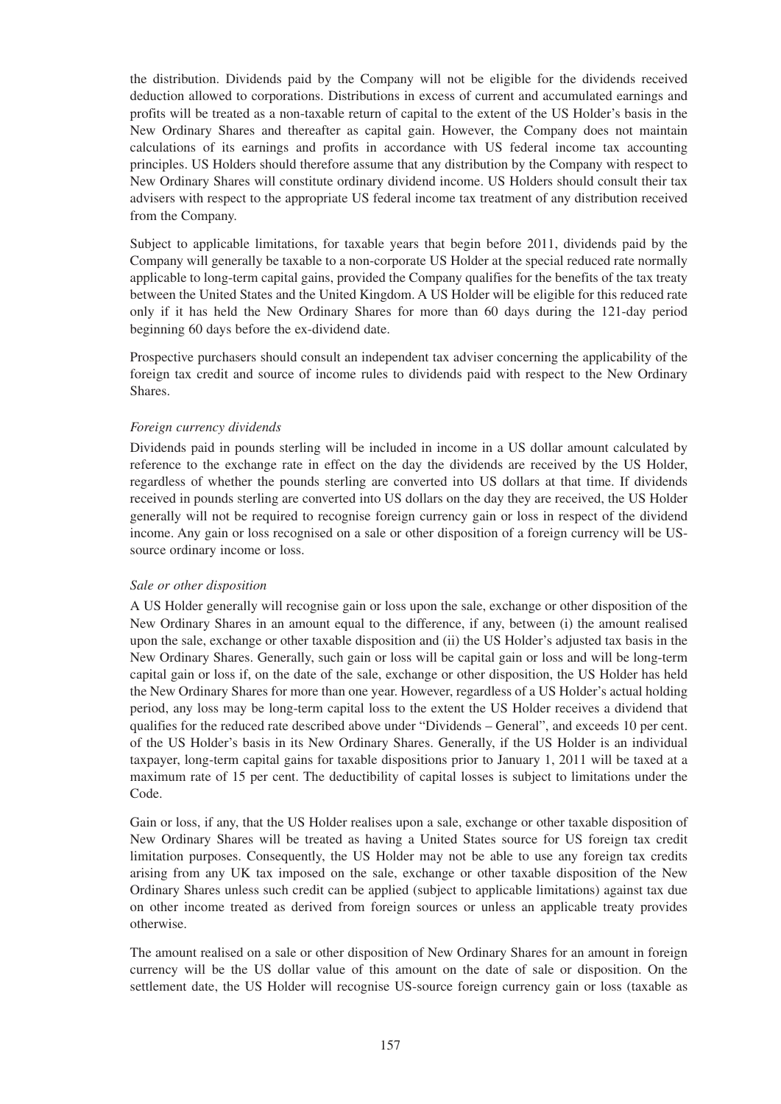the distribution. Dividends paid by the Company will not be eligible for the dividends received deduction allowed to corporations. Distributions in excess of current and accumulated earnings and profits will be treated as a non-taxable return of capital to the extent of the US Holder's basis in the New Ordinary Shares and thereafter as capital gain. However, the Company does not maintain calculations of its earnings and profits in accordance with US federal income tax accounting principles. US Holders should therefore assume that any distribution by the Company with respect to New Ordinary Shares will constitute ordinary dividend income. US Holders should consult their tax advisers with respect to the appropriate US federal income tax treatment of any distribution received from the Company.

Subject to applicable limitations, for taxable years that begin before 2011, dividends paid by the Company will generally be taxable to a non-corporate US Holder at the special reduced rate normally applicable to long-term capital gains, provided the Company qualifies for the benefits of the tax treaty between the United States and the United Kingdom. A US Holder will be eligible for this reduced rate only if it has held the New Ordinary Shares for more than 60 days during the 121-day period beginning 60 days before the ex-dividend date.

Prospective purchasers should consult an independent tax adviser concerning the applicability of the foreign tax credit and source of income rules to dividends paid with respect to the New Ordinary Shares.

## *Foreign currency dividends*

Dividends paid in pounds sterling will be included in income in a US dollar amount calculated by reference to the exchange rate in effect on the day the dividends are received by the US Holder, regardless of whether the pounds sterling are converted into US dollars at that time. If dividends received in pounds sterling are converted into US dollars on the day they are received, the US Holder generally will not be required to recognise foreign currency gain or loss in respect of the dividend income. Any gain or loss recognised on a sale or other disposition of a foreign currency will be USsource ordinary income or loss.

#### *Sale or other disposition*

A US Holder generally will recognise gain or loss upon the sale, exchange or other disposition of the New Ordinary Shares in an amount equal to the difference, if any, between (i) the amount realised upon the sale, exchange or other taxable disposition and (ii) the US Holder's adjusted tax basis in the New Ordinary Shares. Generally, such gain or loss will be capital gain or loss and will be long-term capital gain or loss if, on the date of the sale, exchange or other disposition, the US Holder has held the New Ordinary Shares for more than one year. However, regardless of a US Holder's actual holding period, any loss may be long-term capital loss to the extent the US Holder receives a dividend that qualifies for the reduced rate described above under "Dividends – General", and exceeds 10 per cent. of the US Holder's basis in its New Ordinary Shares. Generally, if the US Holder is an individual taxpayer, long-term capital gains for taxable dispositions prior to January 1, 2011 will be taxed at a maximum rate of 15 per cent. The deductibility of capital losses is subject to limitations under the Code.

Gain or loss, if any, that the US Holder realises upon a sale, exchange or other taxable disposition of New Ordinary Shares will be treated as having a United States source for US foreign tax credit limitation purposes. Consequently, the US Holder may not be able to use any foreign tax credits arising from any UK tax imposed on the sale, exchange or other taxable disposition of the New Ordinary Shares unless such credit can be applied (subject to applicable limitations) against tax due on other income treated as derived from foreign sources or unless an applicable treaty provides otherwise.

The amount realised on a sale or other disposition of New Ordinary Shares for an amount in foreign currency will be the US dollar value of this amount on the date of sale or disposition. On the settlement date, the US Holder will recognise US-source foreign currency gain or loss (taxable as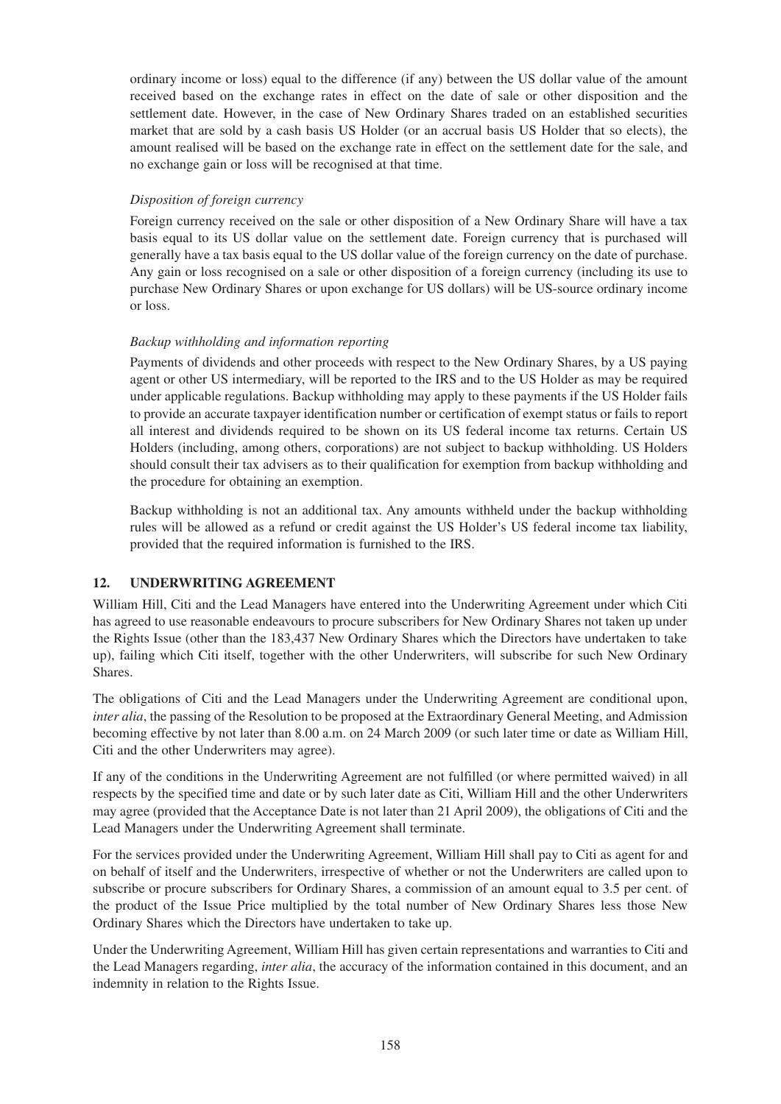ordinary income or loss) equal to the difference (if any) between the US dollar value of the amount received based on the exchange rates in effect on the date of sale or other disposition and the settlement date. However, in the case of New Ordinary Shares traded on an established securities market that are sold by a cash basis US Holder (or an accrual basis US Holder that so elects), the amount realised will be based on the exchange rate in effect on the settlement date for the sale, and no exchange gain or loss will be recognised at that time.

## *Disposition of foreign currency*

Foreign currency received on the sale or other disposition of a New Ordinary Share will have a tax basis equal to its US dollar value on the settlement date. Foreign currency that is purchased will generally have a tax basis equal to the US dollar value of the foreign currency on the date of purchase. Any gain or loss recognised on a sale or other disposition of a foreign currency (including its use to purchase New Ordinary Shares or upon exchange for US dollars) will be US-source ordinary income or loss.

## *Backup withholding and information reporting*

Payments of dividends and other proceeds with respect to the New Ordinary Shares, by a US paying agent or other US intermediary, will be reported to the IRS and to the US Holder as may be required under applicable regulations. Backup withholding may apply to these payments if the US Holder fails to provide an accurate taxpayer identification number or certification of exempt status or fails to report all interest and dividends required to be shown on its US federal income tax returns. Certain US Holders (including, among others, corporations) are not subject to backup withholding. US Holders should consult their tax advisers as to their qualification for exemption from backup withholding and the procedure for obtaining an exemption.

Backup withholding is not an additional tax. Any amounts withheld under the backup withholding rules will be allowed as a refund or credit against the US Holder's US federal income tax liability, provided that the required information is furnished to the IRS.

## **12. UNDERWRITING AGREEMENT**

William Hill, Citi and the Lead Managers have entered into the Underwriting Agreement under which Citi has agreed to use reasonable endeavours to procure subscribers for New Ordinary Shares not taken up under the Rights Issue (other than the 183,437 New Ordinary Shares which the Directors have undertaken to take up), failing which Citi itself, together with the other Underwriters, will subscribe for such New Ordinary Shares.

The obligations of Citi and the Lead Managers under the Underwriting Agreement are conditional upon, *inter alia*, the passing of the Resolution to be proposed at the Extraordinary General Meeting, and Admission becoming effective by not later than 8.00 a.m. on 24 March 2009 (or such later time or date as William Hill, Citi and the other Underwriters may agree).

If any of the conditions in the Underwriting Agreement are not fulfilled (or where permitted waived) in all respects by the specified time and date or by such later date as Citi, William Hill and the other Underwriters may agree (provided that the Acceptance Date is not later than 21 April 2009), the obligations of Citi and the Lead Managers under the Underwriting Agreement shall terminate.

For the services provided under the Underwriting Agreement, William Hill shall pay to Citi as agent for and on behalf of itself and the Underwriters, irrespective of whether or not the Underwriters are called upon to subscribe or procure subscribers for Ordinary Shares, a commission of an amount equal to 3.5 per cent. of the product of the Issue Price multiplied by the total number of New Ordinary Shares less those New Ordinary Shares which the Directors have undertaken to take up.

Under the Underwriting Agreement, William Hill has given certain representations and warranties to Citi and the Lead Managers regarding, *inter alia*, the accuracy of the information contained in this document, and an indemnity in relation to the Rights Issue.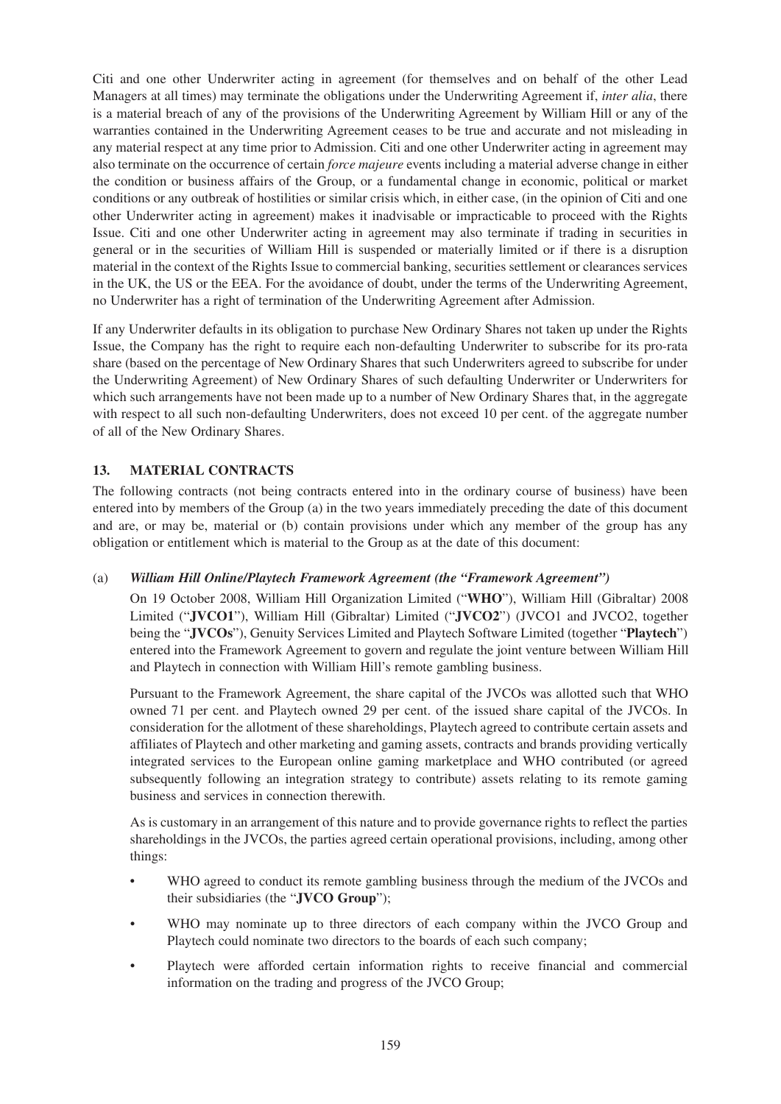Citi and one other Underwriter acting in agreement (for themselves and on behalf of the other Lead Managers at all times) may terminate the obligations under the Underwriting Agreement if, *inter alia*, there is a material breach of any of the provisions of the Underwriting Agreement by William Hill or any of the warranties contained in the Underwriting Agreement ceases to be true and accurate and not misleading in any material respect at any time prior to Admission. Citi and one other Underwriter acting in agreement may also terminate on the occurrence of certain *force majeure* events including a material adverse change in either the condition or business affairs of the Group, or a fundamental change in economic, political or market conditions or any outbreak of hostilities or similar crisis which, in either case, (in the opinion of Citi and one other Underwriter acting in agreement) makes it inadvisable or impracticable to proceed with the Rights Issue. Citi and one other Underwriter acting in agreement may also terminate if trading in securities in general or in the securities of William Hill is suspended or materially limited or if there is a disruption material in the context of the Rights Issue to commercial banking, securities settlement or clearances services in the UK, the US or the EEA. For the avoidance of doubt, under the terms of the Underwriting Agreement, no Underwriter has a right of termination of the Underwriting Agreement after Admission.

If any Underwriter defaults in its obligation to purchase New Ordinary Shares not taken up under the Rights Issue, the Company has the right to require each non-defaulting Underwriter to subscribe for its pro-rata share (based on the percentage of New Ordinary Shares that such Underwriters agreed to subscribe for under the Underwriting Agreement) of New Ordinary Shares of such defaulting Underwriter or Underwriters for which such arrangements have not been made up to a number of New Ordinary Shares that, in the aggregate with respect to all such non-defaulting Underwriters, does not exceed 10 per cent. of the aggregate number of all of the New Ordinary Shares.

## **13. MATERIAL CONTRACTS**

The following contracts (not being contracts entered into in the ordinary course of business) have been entered into by members of the Group (a) in the two years immediately preceding the date of this document and are, or may be, material or (b) contain provisions under which any member of the group has any obligation or entitlement which is material to the Group as at the date of this document:

## (a) *William Hill Online/Playtech Framework Agreement (the "Framework Agreement")*

On 19 October 2008, William Hill Organization Limited ("**WHO**"), William Hill (Gibraltar) 2008 Limited ("**JVCO1**"), William Hill (Gibraltar) Limited ("**JVCO2**") (JVCO1 and JVCO2, together being the "**JVCOs**"), Genuity Services Limited and Playtech Software Limited (together "**Playtech**") entered into the Framework Agreement to govern and regulate the joint venture between William Hill and Playtech in connection with William Hill's remote gambling business.

Pursuant to the Framework Agreement, the share capital of the JVCOs was allotted such that WHO owned 71 per cent. and Playtech owned 29 per cent. of the issued share capital of the JVCOs. In consideration for the allotment of these shareholdings, Playtech agreed to contribute certain assets and affiliates of Playtech and other marketing and gaming assets, contracts and brands providing vertically integrated services to the European online gaming marketplace and WHO contributed (or agreed subsequently following an integration strategy to contribute) assets relating to its remote gaming business and services in connection therewith.

As is customary in an arrangement of this nature and to provide governance rights to reflect the parties shareholdings in the JVCOs, the parties agreed certain operational provisions, including, among other things:

- WHO agreed to conduct its remote gambling business through the medium of the JVCOs and their subsidiaries (the "**JVCO Group**");
- WHO may nominate up to three directors of each company within the JVCO Group and Playtech could nominate two directors to the boards of each such company;
- Playtech were afforded certain information rights to receive financial and commercial information on the trading and progress of the JVCO Group;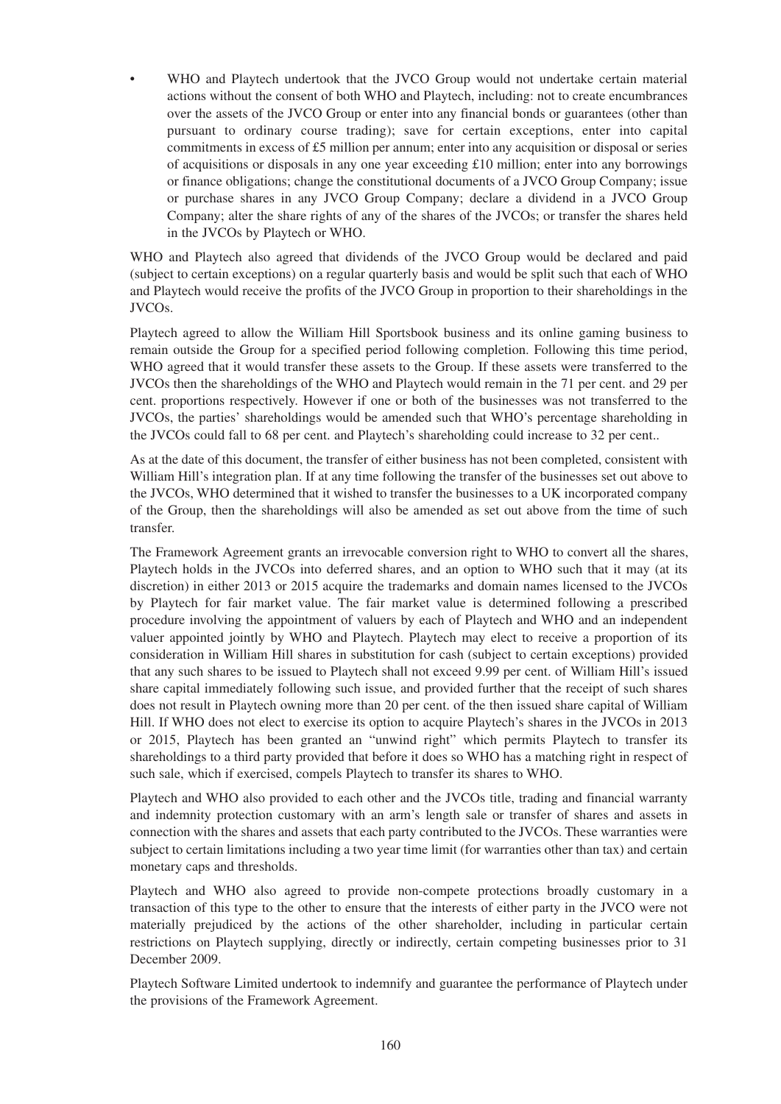WHO and Playtech undertook that the JVCO Group would not undertake certain material actions without the consent of both WHO and Playtech, including: not to create encumbrances over the assets of the JVCO Group or enter into any financial bonds or guarantees (other than pursuant to ordinary course trading); save for certain exceptions, enter into capital commitments in excess of £5 million per annum; enter into any acquisition or disposal or series of acquisitions or disposals in any one year exceeding £10 million; enter into any borrowings or finance obligations; change the constitutional documents of a JVCO Group Company; issue or purchase shares in any JVCO Group Company; declare a dividend in a JVCO Group Company; alter the share rights of any of the shares of the JVCOs; or transfer the shares held in the JVCOs by Playtech or WHO.

WHO and Playtech also agreed that dividends of the JVCO Group would be declared and paid (subject to certain exceptions) on a regular quarterly basis and would be split such that each of WHO and Playtech would receive the profits of the JVCO Group in proportion to their shareholdings in the JVCOs.

Playtech agreed to allow the William Hill Sportsbook business and its online gaming business to remain outside the Group for a specified period following completion. Following this time period, WHO agreed that it would transfer these assets to the Group. If these assets were transferred to the JVCOs then the shareholdings of the WHO and Playtech would remain in the 71 per cent. and 29 per cent. proportions respectively. However if one or both of the businesses was not transferred to the JVCOs, the parties' shareholdings would be amended such that WHO's percentage shareholding in the JVCOs could fall to 68 per cent. and Playtech's shareholding could increase to 32 per cent..

As at the date of this document, the transfer of either business has not been completed, consistent with William Hill's integration plan. If at any time following the transfer of the businesses set out above to the JVCOs, WHO determined that it wished to transfer the businesses to a UK incorporated company of the Group, then the shareholdings will also be amended as set out above from the time of such transfer.

The Framework Agreement grants an irrevocable conversion right to WHO to convert all the shares, Playtech holds in the JVCOs into deferred shares, and an option to WHO such that it may (at its discretion) in either 2013 or 2015 acquire the trademarks and domain names licensed to the JVCOs by Playtech for fair market value. The fair market value is determined following a prescribed procedure involving the appointment of valuers by each of Playtech and WHO and an independent valuer appointed jointly by WHO and Playtech. Playtech may elect to receive a proportion of its consideration in William Hill shares in substitution for cash (subject to certain exceptions) provided that any such shares to be issued to Playtech shall not exceed 9.99 per cent. of William Hill's issued share capital immediately following such issue, and provided further that the receipt of such shares does not result in Playtech owning more than 20 per cent. of the then issued share capital of William Hill. If WHO does not elect to exercise its option to acquire Playtech's shares in the JVCOs in 2013 or 2015, Playtech has been granted an "unwind right" which permits Playtech to transfer its shareholdings to a third party provided that before it does so WHO has a matching right in respect of such sale, which if exercised, compels Playtech to transfer its shares to WHO.

Playtech and WHO also provided to each other and the JVCOs title, trading and financial warranty and indemnity protection customary with an arm's length sale or transfer of shares and assets in connection with the shares and assets that each party contributed to the JVCOs. These warranties were subject to certain limitations including a two year time limit (for warranties other than tax) and certain monetary caps and thresholds.

Playtech and WHO also agreed to provide non-compete protections broadly customary in a transaction of this type to the other to ensure that the interests of either party in the JVCO were not materially prejudiced by the actions of the other shareholder, including in particular certain restrictions on Playtech supplying, directly or indirectly, certain competing businesses prior to 31 December 2009.

Playtech Software Limited undertook to indemnify and guarantee the performance of Playtech under the provisions of the Framework Agreement.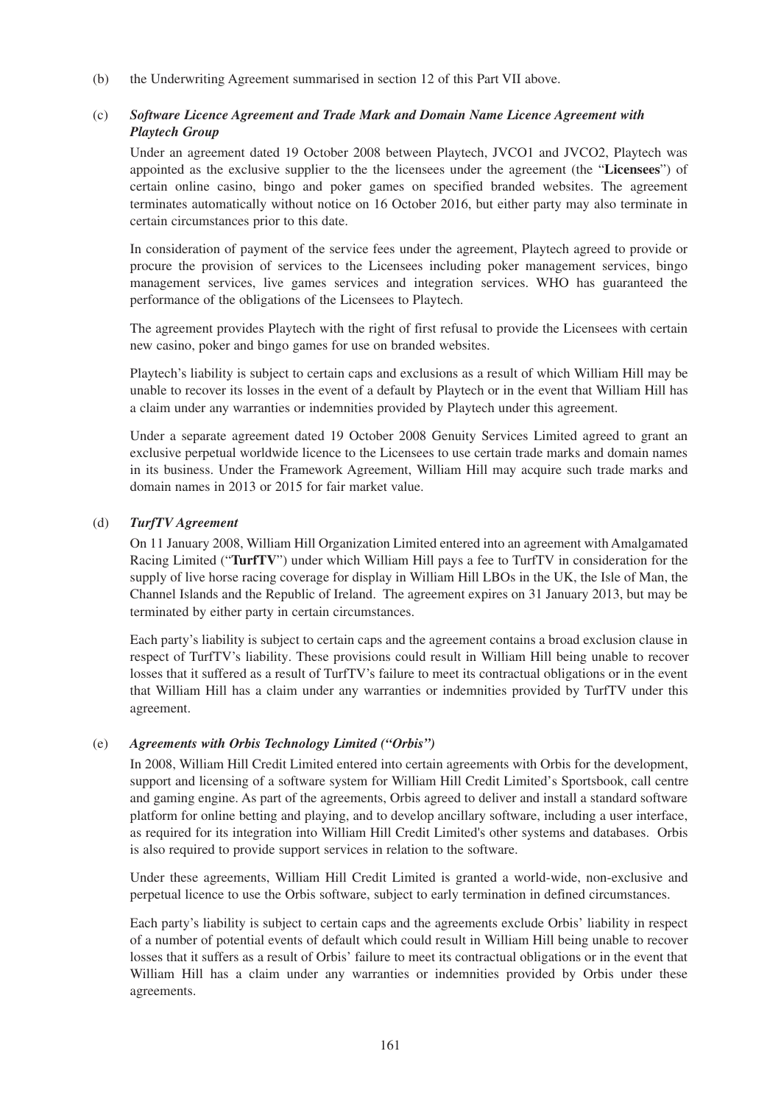(b) the Underwriting Agreement summarised in section 12 of this Part VII above.

## (c) *Software Licence Agreement and Trade Mark and Domain Name Licence Agreement with Playtech Group*

Under an agreement dated 19 October 2008 between Playtech, JVCO1 and JVCO2, Playtech was appointed as the exclusive supplier to the the licensees under the agreement (the "**Licensees**") of certain online casino, bingo and poker games on specified branded websites. The agreement terminates automatically without notice on 16 October 2016, but either party may also terminate in certain circumstances prior to this date.

In consideration of payment of the service fees under the agreement, Playtech agreed to provide or procure the provision of services to the Licensees including poker management services, bingo management services, live games services and integration services. WHO has guaranteed the performance of the obligations of the Licensees to Playtech.

The agreement provides Playtech with the right of first refusal to provide the Licensees with certain new casino, poker and bingo games for use on branded websites.

Playtech's liability is subject to certain caps and exclusions as a result of which William Hill may be unable to recover its losses in the event of a default by Playtech or in the event that William Hill has a claim under any warranties or indemnities provided by Playtech under this agreement.

Under a separate agreement dated 19 October 2008 Genuity Services Limited agreed to grant an exclusive perpetual worldwide licence to the Licensees to use certain trade marks and domain names in its business. Under the Framework Agreement, William Hill may acquire such trade marks and domain names in 2013 or 2015 for fair market value.

## (d) *TurfTV Agreement*

On 11 January 2008, William Hill Organization Limited entered into an agreement with Amalgamated Racing Limited ("**TurfTV**") under which William Hill pays a fee to TurfTV in consideration for the supply of live horse racing coverage for display in William Hill LBOs in the UK, the Isle of Man, the Channel Islands and the Republic of Ireland. The agreement expires on 31 January 2013, but may be terminated by either party in certain circumstances.

Each party's liability is subject to certain caps and the agreement contains a broad exclusion clause in respect of TurfTV's liability. These provisions could result in William Hill being unable to recover losses that it suffered as a result of TurfTV's failure to meet its contractual obligations or in the event that William Hill has a claim under any warranties or indemnities provided by TurfTV under this agreement.

## (e) *Agreements with Orbis Technology Limited ("Orbis")*

In 2008, William Hill Credit Limited entered into certain agreements with Orbis for the development, support and licensing of a software system for William Hill Credit Limited's Sportsbook, call centre and gaming engine. As part of the agreements, Orbis agreed to deliver and install a standard software platform for online betting and playing, and to develop ancillary software, including a user interface, as required for its integration into William Hill Credit Limited's other systems and databases. Orbis is also required to provide support services in relation to the software.

Under these agreements, William Hill Credit Limited is granted a world-wide, non-exclusive and perpetual licence to use the Orbis software, subject to early termination in defined circumstances.

Each party's liability is subject to certain caps and the agreements exclude Orbis' liability in respect of a number of potential events of default which could result in William Hill being unable to recover losses that it suffers as a result of Orbis' failure to meet its contractual obligations or in the event that William Hill has a claim under any warranties or indemnities provided by Orbis under these agreements.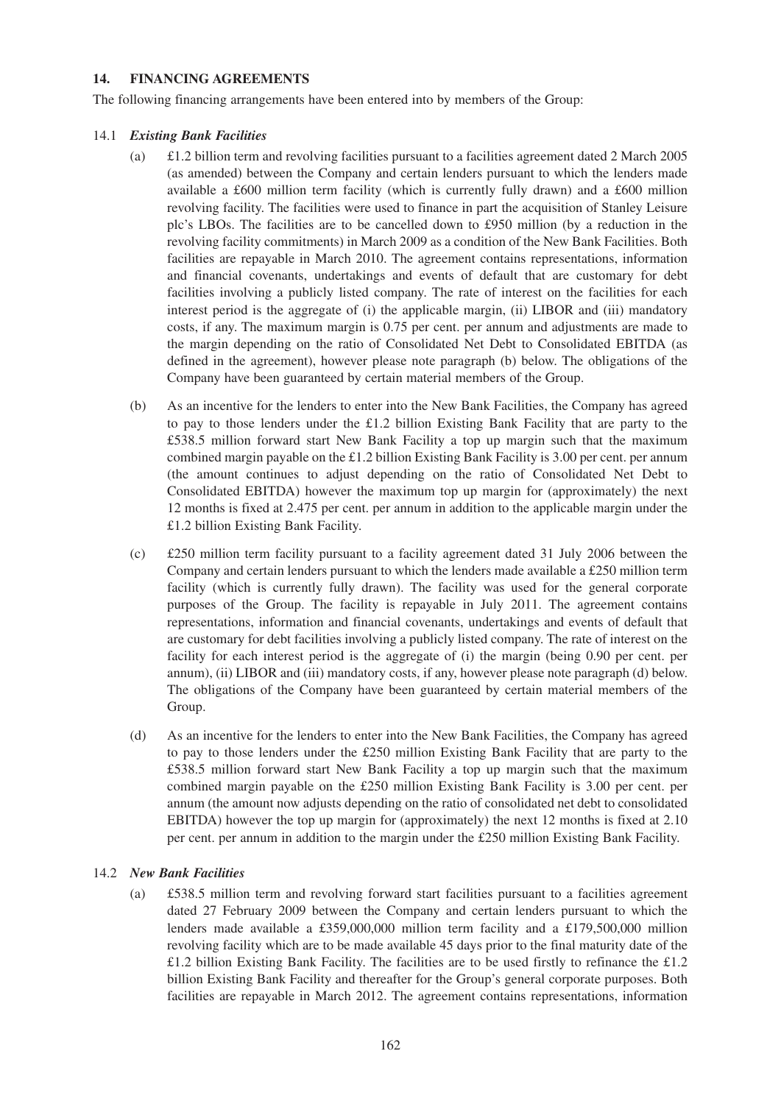## **14. FINANCING AGREEMENTS**

The following financing arrangements have been entered into by members of the Group:

## 14.1 *Existing Bank Facilities*

- (a) £1.2 billion term and revolving facilities pursuant to a facilities agreement dated 2 March 2005 (as amended) between the Company and certain lenders pursuant to which the lenders made available a £600 million term facility (which is currently fully drawn) and a £600 million revolving facility. The facilities were used to finance in part the acquisition of Stanley Leisure plc's LBOs. The facilities are to be cancelled down to £950 million (by a reduction in the revolving facility commitments) in March 2009 as a condition of the New Bank Facilities. Both facilities are repayable in March 2010. The agreement contains representations, information and financial covenants, undertakings and events of default that are customary for debt facilities involving a publicly listed company. The rate of interest on the facilities for each interest period is the aggregate of (i) the applicable margin, (ii) LIBOR and (iii) mandatory costs, if any. The maximum margin is 0.75 per cent. per annum and adjustments are made to the margin depending on the ratio of Consolidated Net Debt to Consolidated EBITDA (as defined in the agreement), however please note paragraph (b) below. The obligations of the Company have been guaranteed by certain material members of the Group.
- (b) As an incentive for the lenders to enter into the New Bank Facilities, the Company has agreed to pay to those lenders under the £1.2 billion Existing Bank Facility that are party to the £538.5 million forward start New Bank Facility a top up margin such that the maximum combined margin payable on the £1.2 billion Existing Bank Facility is 3.00 per cent. per annum (the amount continues to adjust depending on the ratio of Consolidated Net Debt to Consolidated EBITDA) however the maximum top up margin for (approximately) the next 12 months is fixed at 2.475 per cent. per annum in addition to the applicable margin under the £1.2 billion Existing Bank Facility.
- (c) £250 million term facility pursuant to a facility agreement dated 31 July 2006 between the Company and certain lenders pursuant to which the lenders made available a £250 million term facility (which is currently fully drawn). The facility was used for the general corporate purposes of the Group. The facility is repayable in July 2011. The agreement contains representations, information and financial covenants, undertakings and events of default that are customary for debt facilities involving a publicly listed company. The rate of interest on the facility for each interest period is the aggregate of (i) the margin (being 0.90 per cent. per annum), (ii) LIBOR and (iii) mandatory costs, if any, however please note paragraph (d) below. The obligations of the Company have been guaranteed by certain material members of the Group.
- (d) As an incentive for the lenders to enter into the New Bank Facilities, the Company has agreed to pay to those lenders under the £250 million Existing Bank Facility that are party to the £538.5 million forward start New Bank Facility a top up margin such that the maximum combined margin payable on the £250 million Existing Bank Facility is 3.00 per cent. per annum (the amount now adjusts depending on the ratio of consolidated net debt to consolidated EBITDA) however the top up margin for (approximately) the next 12 months is fixed at 2.10 per cent. per annum in addition to the margin under the £250 million Existing Bank Facility.

## 14.2 *New Bank Facilities*

(a) £538.5 million term and revolving forward start facilities pursuant to a facilities agreement dated 27 February 2009 between the Company and certain lenders pursuant to which the lenders made available a £359,000,000 million term facility and a £179,500,000 million revolving facility which are to be made available 45 days prior to the final maturity date of the £1.2 billion Existing Bank Facility. The facilities are to be used firstly to refinance the £1.2 billion Existing Bank Facility and thereafter for the Group's general corporate purposes. Both facilities are repayable in March 2012. The agreement contains representations, information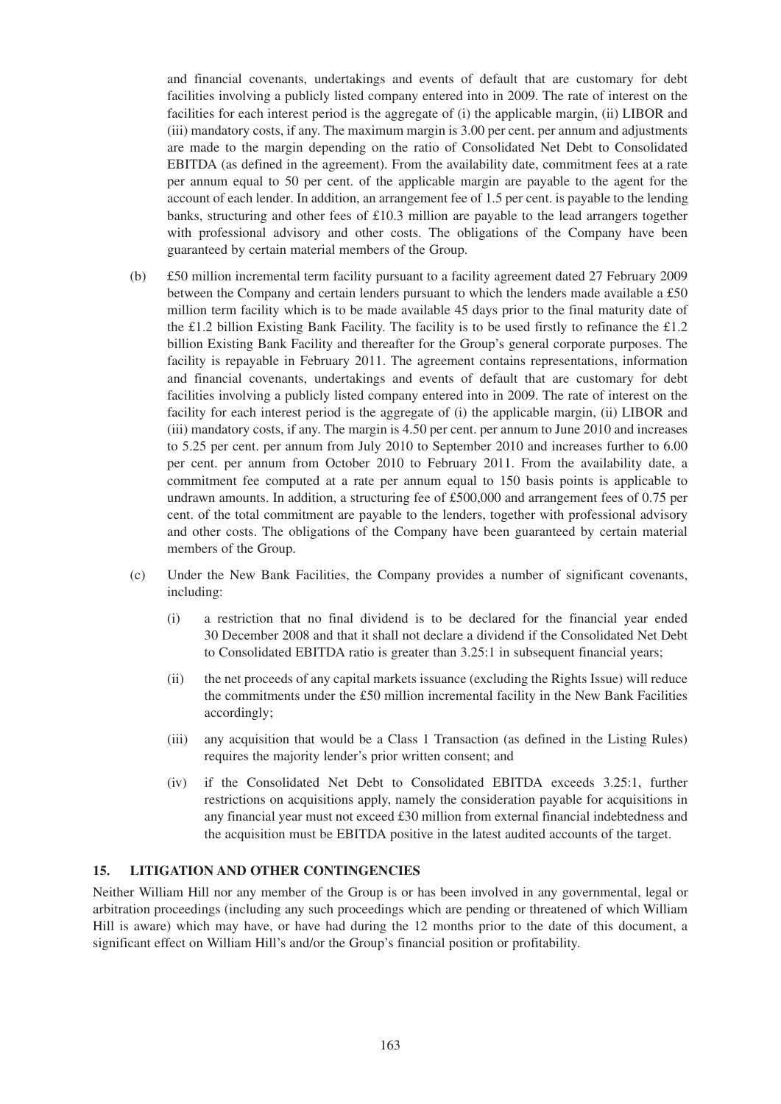and financial covenants, undertakings and events of default that are customary for debt facilities involving a publicly listed company entered into in 2009. The rate of interest on the facilities for each interest period is the aggregate of (i) the applicable margin, (ii) LIBOR and (iii) mandatory costs, if any. The maximum margin is 3.00 per cent. per annum and adjustments are made to the margin depending on the ratio of Consolidated Net Debt to Consolidated EBITDA (as defined in the agreement). From the availability date, commitment fees at a rate per annum equal to 50 per cent. of the applicable margin are payable to the agent for the account of each lender. In addition, an arrangement fee of 1.5 per cent. is payable to the lending banks, structuring and other fees of £10.3 million are payable to the lead arrangers together with professional advisory and other costs. The obligations of the Company have been guaranteed by certain material members of the Group.

- (b) £50 million incremental term facility pursuant to a facility agreement dated 27 February 2009 between the Company and certain lenders pursuant to which the lenders made available a £50 million term facility which is to be made available 45 days prior to the final maturity date of the £1.2 billion Existing Bank Facility. The facility is to be used firstly to refinance the £1.2 billion Existing Bank Facility and thereafter for the Group's general corporate purposes. The facility is repayable in February 2011. The agreement contains representations, information and financial covenants, undertakings and events of default that are customary for debt facilities involving a publicly listed company entered into in 2009. The rate of interest on the facility for each interest period is the aggregate of (i) the applicable margin, (ii) LIBOR and (iii) mandatory costs, if any. The margin is 4.50 per cent. per annum to June 2010 and increases to 5.25 per cent. per annum from July 2010 to September 2010 and increases further to 6.00 per cent. per annum from October 2010 to February 2011. From the availability date, a commitment fee computed at a rate per annum equal to 150 basis points is applicable to undrawn amounts. In addition, a structuring fee of £500,000 and arrangement fees of 0.75 per cent. of the total commitment are payable to the lenders, together with professional advisory and other costs. The obligations of the Company have been guaranteed by certain material members of the Group.
- (c) Under the New Bank Facilities, the Company provides a number of significant covenants, including:
	- (i) a restriction that no final dividend is to be declared for the financial year ended 30 December 2008 and that it shall not declare a dividend if the Consolidated Net Debt to Consolidated EBITDA ratio is greater than 3.25:1 in subsequent financial years;
	- (ii) the net proceeds of any capital markets issuance (excluding the Rights Issue) will reduce the commitments under the £50 million incremental facility in the New Bank Facilities accordingly;
	- (iii) any acquisition that would be a Class 1 Transaction (as defined in the Listing Rules) requires the majority lender's prior written consent; and
	- (iv) if the Consolidated Net Debt to Consolidated EBITDA exceeds 3.25:1, further restrictions on acquisitions apply, namely the consideration payable for acquisitions in any financial year must not exceed £30 million from external financial indebtedness and the acquisition must be EBITDA positive in the latest audited accounts of the target.

## **15. LITIGATION AND OTHER CONTINGENCIES**

Neither William Hill nor any member of the Group is or has been involved in any governmental, legal or arbitration proceedings (including any such proceedings which are pending or threatened of which William Hill is aware) which may have, or have had during the 12 months prior to the date of this document, a significant effect on William Hill's and/or the Group's financial position or profitability.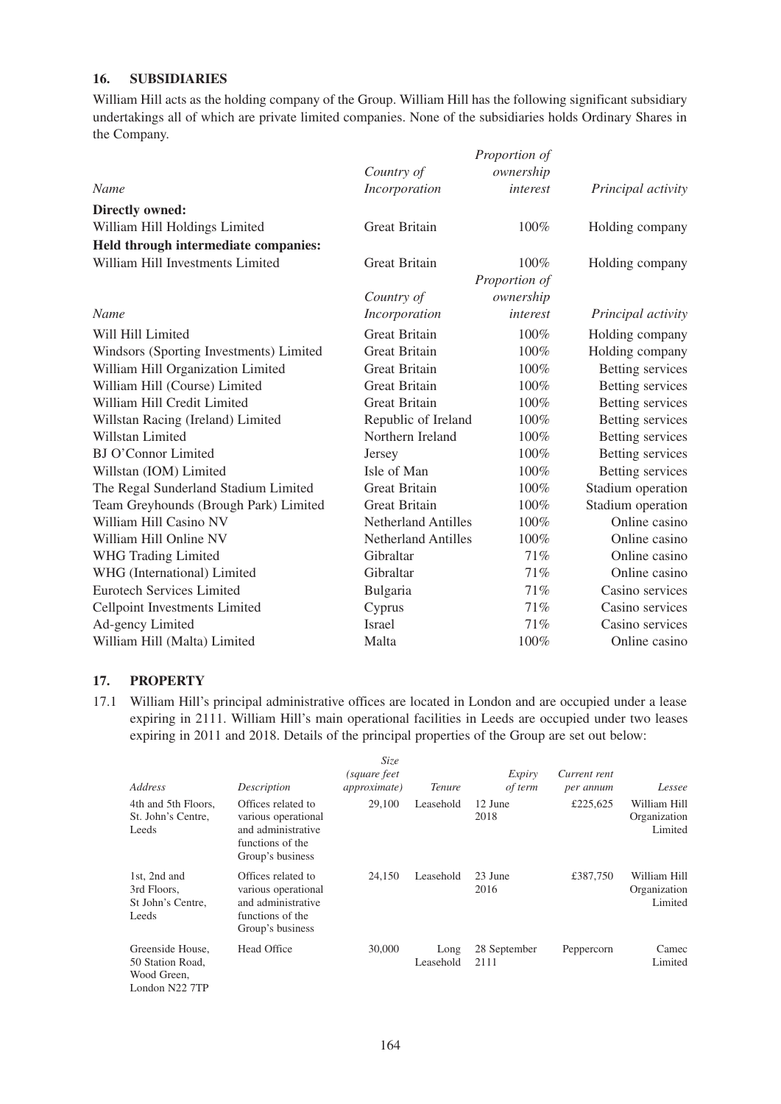## **16. SUBSIDIARIES**

William Hill acts as the holding company of the Group. William Hill has the following significant subsidiary undertakings all of which are private limited companies. None of the subsidiaries holds Ordinary Shares in the Company.

|                                         |                            | Proportion of |                    |
|-----------------------------------------|----------------------------|---------------|--------------------|
|                                         | Country of                 | ownership     |                    |
| Name                                    | Incorporation              | interest      | Principal activity |
| <b>Directly owned:</b>                  |                            |               |                    |
| William Hill Holdings Limited           | <b>Great Britain</b>       | 100%          | Holding company    |
| Held through intermediate companies:    |                            |               |                    |
| William Hill Investments Limited        | <b>Great Britain</b>       | 100%          | Holding company    |
|                                         |                            | Proportion of |                    |
|                                         | Country of                 | ownership     |                    |
| <b>Name</b>                             | Incorporation              | interest      | Principal activity |
| Will Hill Limited                       | <b>Great Britain</b>       | 100%          | Holding company    |
| Windsors (Sporting Investments) Limited | <b>Great Britain</b>       | 100%          | Holding company    |
| William Hill Organization Limited       | <b>Great Britain</b>       | 100%          | Betting services   |
| William Hill (Course) Limited           | <b>Great Britain</b>       | 100%          | Betting services   |
| William Hill Credit Limited             | <b>Great Britain</b>       | 100%          | Betting services   |
| Willstan Racing (Ireland) Limited       | Republic of Ireland        | 100%          | Betting services   |
| Willstan Limited                        | Northern Ireland           | 100%          | Betting services   |
| <b>BJ O'Connor Limited</b>              | Jersey                     | 100%          | Betting services   |
| Willstan (IOM) Limited                  | Isle of Man                | 100%          | Betting services   |
| The Regal Sunderland Stadium Limited    | <b>Great Britain</b>       | 100%          | Stadium operation  |
| Team Greyhounds (Brough Park) Limited   | <b>Great Britain</b>       | 100%          | Stadium operation  |
| William Hill Casino NV                  | <b>Netherland Antilles</b> | 100%          | Online casino      |
| William Hill Online NV                  | <b>Netherland Antilles</b> | 100%          | Online casino      |
| <b>WHG Trading Limited</b>              | Gibraltar                  | 71%           | Online casino      |
| WHG (International) Limited             | Gibraltar                  | 71%           | Online casino      |
| <b>Eurotech Services Limited</b>        | Bulgaria                   | 71%           | Casino services    |
| Cellpoint Investments Limited           | Cyprus                     | 71%           | Casino services    |
| Ad-gency Limited                        | <b>Israel</b>              | 71%           | Casino services    |
| William Hill (Malta) Limited            | Malta                      | 100%          | Online casino      |

#### **17. PROPERTY**

17.1 William Hill's principal administrative offices are located in London and are occupied under a lease expiring in 2111. William Hill's main operational facilities in Leeds are occupied under two leases expiring in 2011 and 2018. Details of the principal properties of the Group are set out below:

| Address                                                               | Description                                                                                             | <i>Size</i><br>(square feet<br><i>approximate</i> ) | <i>Tenure</i>     | Expiry<br>of term    | Current rent<br>per annum | Lessee                                  |
|-----------------------------------------------------------------------|---------------------------------------------------------------------------------------------------------|-----------------------------------------------------|-------------------|----------------------|---------------------------|-----------------------------------------|
| 4th and 5th Floors,<br>St. John's Centre,<br>Leeds                    | Offices related to<br>various operational<br>and administrative<br>functions of the<br>Group's business | 29,100                                              | Leasehold         | 12 June<br>2018      | £225,625                  | William Hill<br>Organization<br>Limited |
| 1st, 2nd and<br>3rd Floors.<br>St John's Centre.<br>Leeds             | Offices related to<br>various operational<br>and administrative<br>functions of the<br>Group's business | 24,150                                              | Leasehold         | 23 June<br>2016      | £387,750                  | William Hill<br>Organization<br>Limited |
| Greenside House.<br>50 Station Road,<br>Wood Green,<br>London N22 7TP | Head Office                                                                                             | 30,000                                              | Long<br>Leasehold | 28 September<br>2111 | Peppercorn                | Camec<br>Limited                        |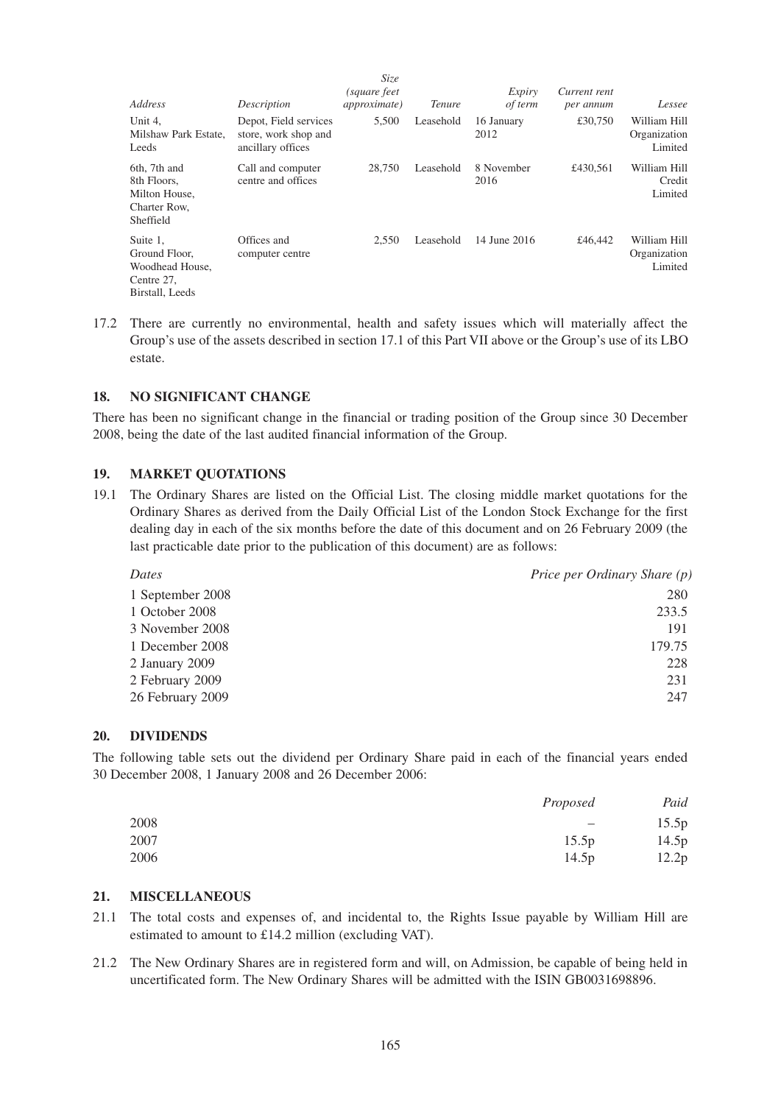| Address                                                                       | Description                                                        | <i>Size</i><br>(square feet<br><i>approximate</i> ) | <i>Tenure</i> | Expiry<br>of term  | Current rent<br>per annum | Lessee                                  |
|-------------------------------------------------------------------------------|--------------------------------------------------------------------|-----------------------------------------------------|---------------|--------------------|---------------------------|-----------------------------------------|
| Unit 4,<br>Milshaw Park Estate,<br>Leeds                                      | Depot, Field services<br>store, work shop and<br>ancillary offices | 5,500                                               | Leasehold     | 16 January<br>2012 | £30,750                   | William Hill<br>Organization<br>Limited |
| 6th, 7th and<br>8th Floors.<br>Milton House,<br>Charter Row.<br>Sheffield     | Call and computer<br>centre and offices                            | 28,750                                              | Leasehold     | 8 November<br>2016 | £430.561                  | William Hill<br>Credit<br>Limited       |
| Suite 1,<br>Ground Floor.<br>Woodhead House,<br>Centre 27,<br>Birstall, Leeds | Offices and<br>computer centre                                     | 2.550                                               | Leasehold     | 14 June 2016       | £46,442                   | William Hill<br>Organization<br>Limited |

17.2 There are currently no environmental, health and safety issues which will materially affect the Group's use of the assets described in section 17.1 of this Part VII above or the Group's use of its LBO estate.

## **18. NO SIGNIFICANT CHANGE**

There has been no significant change in the financial or trading position of the Group since 30 December 2008, being the date of the last audited financial information of the Group.

#### **19. MARKET QUOTATIONS**

19.1 The Ordinary Shares are listed on the Official List. The closing middle market quotations for the Ordinary Shares as derived from the Daily Official List of the London Stock Exchange for the first dealing day in each of the six months before the date of this document and on 26 February 2009 (the last practicable date prior to the publication of this document) are as follows:

| Dates            | Price per Ordinary Share (p) |
|------------------|------------------------------|
| 1 September 2008 | 280                          |
| 1 October 2008   | 233.5                        |
| 3 November 2008  | 191                          |
| 1 December 2008  | 179.75                       |
| 2 January 2009   | 228                          |
| 2 February 2009  | 231                          |
| 26 February 2009 | 247                          |

#### **20. DIVIDENDS**

The following table sets out the dividend per Ordinary Share paid in each of the financial years ended 30 December 2008, 1 January 2008 and 26 December 2006:

|      | Proposed                 | Paid  |
|------|--------------------------|-------|
| 2008 | $\overline{\phantom{m}}$ | 15.5p |
| 2007 | 15.5p                    | 14.5p |
| 2006 | 14.5 <sub>p</sub>        | 12.2p |

## **21. MISCELLANEOUS**

- 21.1 The total costs and expenses of, and incidental to, the Rights Issue payable by William Hill are estimated to amount to £14.2 million (excluding VAT).
- 21.2 The New Ordinary Shares are in registered form and will, on Admission, be capable of being held in uncertificated form. The New Ordinary Shares will be admitted with the ISIN GB0031698896.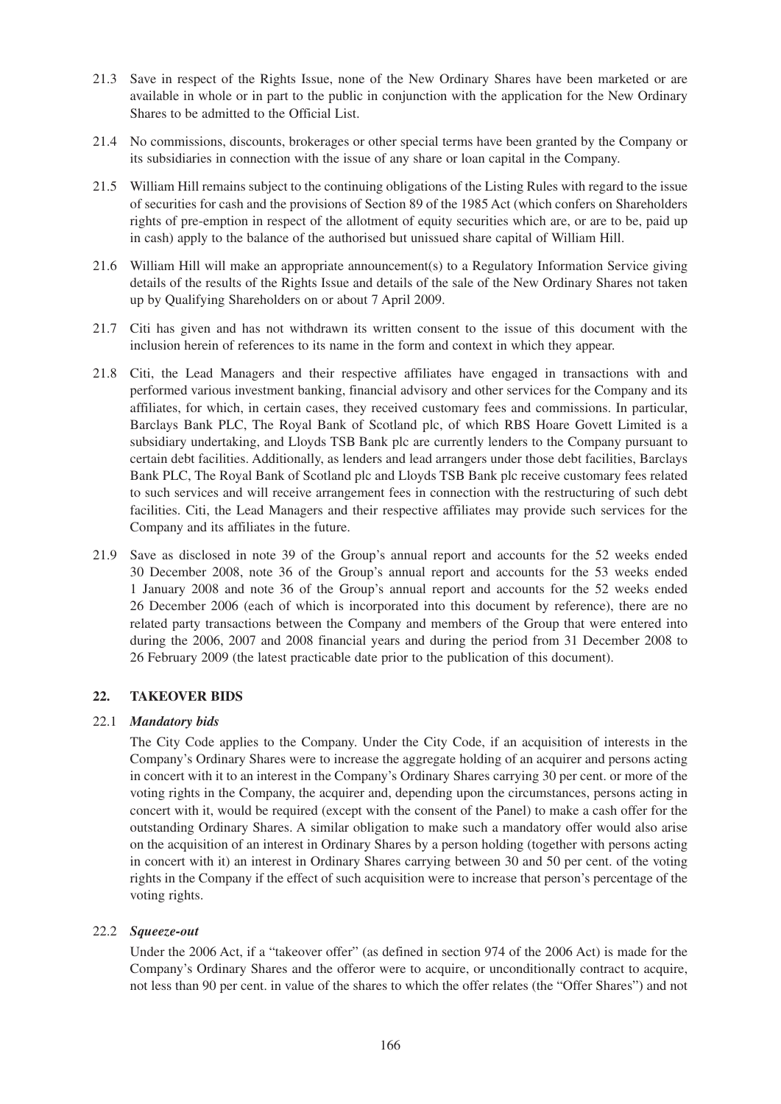- 21.3 Save in respect of the Rights Issue, none of the New Ordinary Shares have been marketed or are available in whole or in part to the public in conjunction with the application for the New Ordinary Shares to be admitted to the Official List.
- 21.4 No commissions, discounts, brokerages or other special terms have been granted by the Company or its subsidiaries in connection with the issue of any share or loan capital in the Company.
- 21.5 William Hill remains subject to the continuing obligations of the Listing Rules with regard to the issue of securities for cash and the provisions of Section 89 of the 1985 Act (which confers on Shareholders rights of pre-emption in respect of the allotment of equity securities which are, or are to be, paid up in cash) apply to the balance of the authorised but unissued share capital of William Hill.
- 21.6 William Hill will make an appropriate announcement(s) to a Regulatory Information Service giving details of the results of the Rights Issue and details of the sale of the New Ordinary Shares not taken up by Qualifying Shareholders on or about 7 April 2009.
- 21.7 Citi has given and has not withdrawn its written consent to the issue of this document with the inclusion herein of references to its name in the form and context in which they appear.
- 21.8 Citi, the Lead Managers and their respective affiliates have engaged in transactions with and performed various investment banking, financial advisory and other services for the Company and its affiliates, for which, in certain cases, they received customary fees and commissions. In particular, Barclays Bank PLC, The Royal Bank of Scotland plc, of which RBS Hoare Govett Limited is a subsidiary undertaking, and Lloyds TSB Bank plc are currently lenders to the Company pursuant to certain debt facilities. Additionally, as lenders and lead arrangers under those debt facilities, Barclays Bank PLC, The Royal Bank of Scotland plc and Lloyds TSB Bank plc receive customary fees related to such services and will receive arrangement fees in connection with the restructuring of such debt facilities. Citi, the Lead Managers and their respective affiliates may provide such services for the Company and its affiliates in the future.
- 21.9 Save as disclosed in note 39 of the Group's annual report and accounts for the 52 weeks ended 30 December 2008, note 36 of the Group's annual report and accounts for the 53 weeks ended 1 January 2008 and note 36 of the Group's annual report and accounts for the 52 weeks ended 26 December 2006 (each of which is incorporated into this document by reference), there are no related party transactions between the Company and members of the Group that were entered into during the 2006, 2007 and 2008 financial years and during the period from 31 December 2008 to 26 February 2009 (the latest practicable date prior to the publication of this document).

## **22. TAKEOVER BIDS**

## 22.1 *Mandatory bids*

The City Code applies to the Company. Under the City Code, if an acquisition of interests in the Company's Ordinary Shares were to increase the aggregate holding of an acquirer and persons acting in concert with it to an interest in the Company's Ordinary Shares carrying 30 per cent. or more of the voting rights in the Company, the acquirer and, depending upon the circumstances, persons acting in concert with it, would be required (except with the consent of the Panel) to make a cash offer for the outstanding Ordinary Shares. A similar obligation to make such a mandatory offer would also arise on the acquisition of an interest in Ordinary Shares by a person holding (together with persons acting in concert with it) an interest in Ordinary Shares carrying between 30 and 50 per cent. of the voting rights in the Company if the effect of such acquisition were to increase that person's percentage of the voting rights.

#### 22.2 *Squeeze-out*

Under the 2006 Act, if a "takeover offer" (as defined in section 974 of the 2006 Act) is made for the Company's Ordinary Shares and the offeror were to acquire, or unconditionally contract to acquire, not less than 90 per cent. in value of the shares to which the offer relates (the "Offer Shares") and not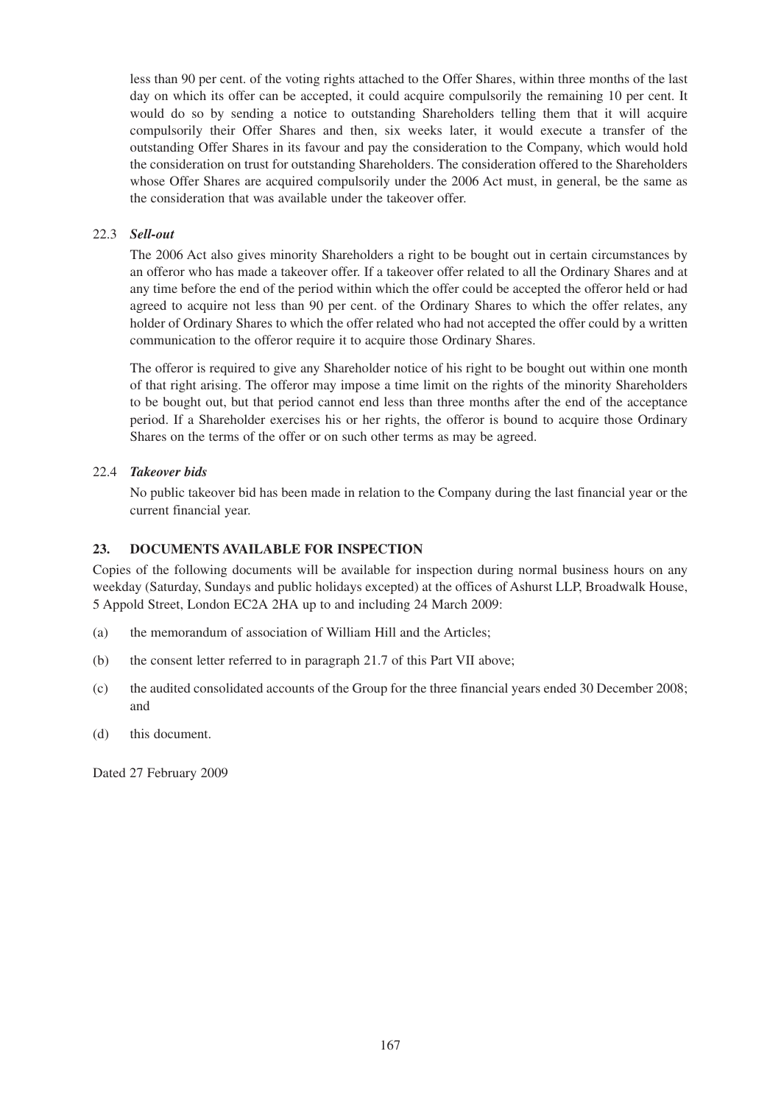less than 90 per cent. of the voting rights attached to the Offer Shares, within three months of the last day on which its offer can be accepted, it could acquire compulsorily the remaining 10 per cent. It would do so by sending a notice to outstanding Shareholders telling them that it will acquire compulsorily their Offer Shares and then, six weeks later, it would execute a transfer of the outstanding Offer Shares in its favour and pay the consideration to the Company, which would hold the consideration on trust for outstanding Shareholders. The consideration offered to the Shareholders whose Offer Shares are acquired compulsorily under the 2006 Act must, in general, be the same as the consideration that was available under the takeover offer.

## 22.3 *Sell-out*

The 2006 Act also gives minority Shareholders a right to be bought out in certain circumstances by an offeror who has made a takeover offer. If a takeover offer related to all the Ordinary Shares and at any time before the end of the period within which the offer could be accepted the offeror held or had agreed to acquire not less than 90 per cent. of the Ordinary Shares to which the offer relates, any holder of Ordinary Shares to which the offer related who had not accepted the offer could by a written communication to the offeror require it to acquire those Ordinary Shares.

The offeror is required to give any Shareholder notice of his right to be bought out within one month of that right arising. The offeror may impose a time limit on the rights of the minority Shareholders to be bought out, but that period cannot end less than three months after the end of the acceptance period. If a Shareholder exercises his or her rights, the offeror is bound to acquire those Ordinary Shares on the terms of the offer or on such other terms as may be agreed.

## 22.4 *Takeover bids*

No public takeover bid has been made in relation to the Company during the last financial year or the current financial year.

## **23. DOCUMENTS AVAILABLE FOR INSPECTION**

Copies of the following documents will be available for inspection during normal business hours on any weekday (Saturday, Sundays and public holidays excepted) at the offices of Ashurst LLP, Broadwalk House, 5 Appold Street, London EC2A 2HA up to and including 24 March 2009:

- (a) the memorandum of association of William Hill and the Articles;
- (b) the consent letter referred to in paragraph 21.7 of this Part VII above;
- (c) the audited consolidated accounts of the Group for the three financial years ended 30 December 2008; and
- (d) this document.

Dated 27 February 2009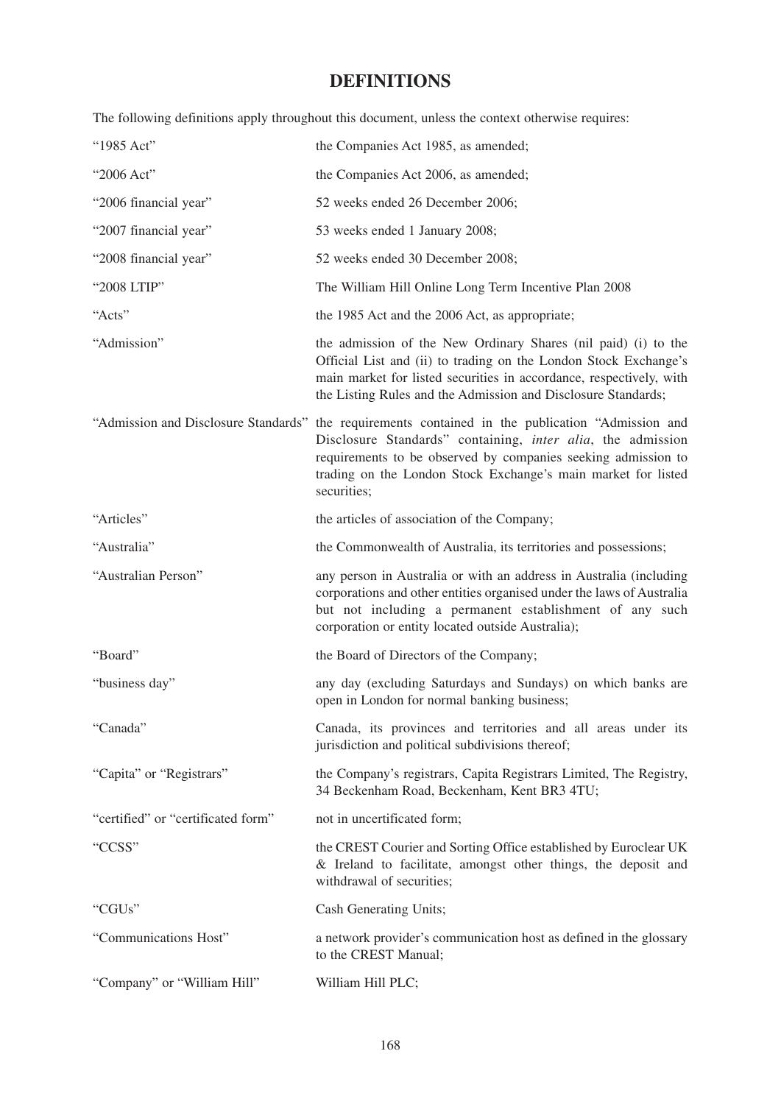# **DEFINITIONS**

The following definitions apply throughout this document, unless the context otherwise requires:

| "1985 Act"                         | the Companies Act 1985, as amended;                                                                                                                                                                                                                                                                               |  |
|------------------------------------|-------------------------------------------------------------------------------------------------------------------------------------------------------------------------------------------------------------------------------------------------------------------------------------------------------------------|--|
| "2006 Act"                         | the Companies Act 2006, as amended;                                                                                                                                                                                                                                                                               |  |
| "2006 financial year"              | 52 weeks ended 26 December 2006;                                                                                                                                                                                                                                                                                  |  |
| "2007 financial year"              | 53 weeks ended 1 January 2008;                                                                                                                                                                                                                                                                                    |  |
| "2008 financial year"              | 52 weeks ended 30 December 2008;                                                                                                                                                                                                                                                                                  |  |
| "2008 LTIP"                        | The William Hill Online Long Term Incentive Plan 2008                                                                                                                                                                                                                                                             |  |
| "Acts"                             | the 1985 Act and the 2006 Act, as appropriate;                                                                                                                                                                                                                                                                    |  |
| "Admission"                        | the admission of the New Ordinary Shares (nil paid) (i) to the<br>Official List and (ii) to trading on the London Stock Exchange's<br>main market for listed securities in accordance, respectively, with<br>the Listing Rules and the Admission and Disclosure Standards;                                        |  |
|                                    | "Admission and Disclosure Standards" the requirements contained in the publication "Admission and<br>Disclosure Standards" containing, inter alia, the admission<br>requirements to be observed by companies seeking admission to<br>trading on the London Stock Exchange's main market for listed<br>securities; |  |
| "Articles"                         | the articles of association of the Company;                                                                                                                                                                                                                                                                       |  |
| "Australia"                        | the Commonwealth of Australia, its territories and possessions;                                                                                                                                                                                                                                                   |  |
| "Australian Person"                | any person in Australia or with an address in Australia (including<br>corporations and other entities organised under the laws of Australia<br>but not including a permanent establishment of any such<br>corporation or entity located outside Australia);                                                       |  |
| "Board"                            | the Board of Directors of the Company;                                                                                                                                                                                                                                                                            |  |
| "business day"                     | any day (excluding Saturdays and Sundays) on which banks are<br>open in London for normal banking business;                                                                                                                                                                                                       |  |
| "Canada"                           | Canada, its provinces and territories and all areas under its<br>jurisdiction and political subdivisions thereof;                                                                                                                                                                                                 |  |
| "Capita" or "Registrars"           | the Company's registrars, Capita Registrars Limited, The Registry,<br>34 Beckenham Road, Beckenham, Kent BR3 4TU;                                                                                                                                                                                                 |  |
| "certified" or "certificated form" | not in uncertificated form;                                                                                                                                                                                                                                                                                       |  |
| "CCSS"                             | the CREST Courier and Sorting Office established by Euroclear UK<br>& Ireland to facilitate, amongst other things, the deposit and<br>withdrawal of securities;                                                                                                                                                   |  |
| "CGUs"                             | Cash Generating Units;                                                                                                                                                                                                                                                                                            |  |
| "Communications Host"              | a network provider's communication host as defined in the glossary<br>to the CREST Manual;                                                                                                                                                                                                                        |  |
| "Company" or "William Hill"        | William Hill PLC;                                                                                                                                                                                                                                                                                                 |  |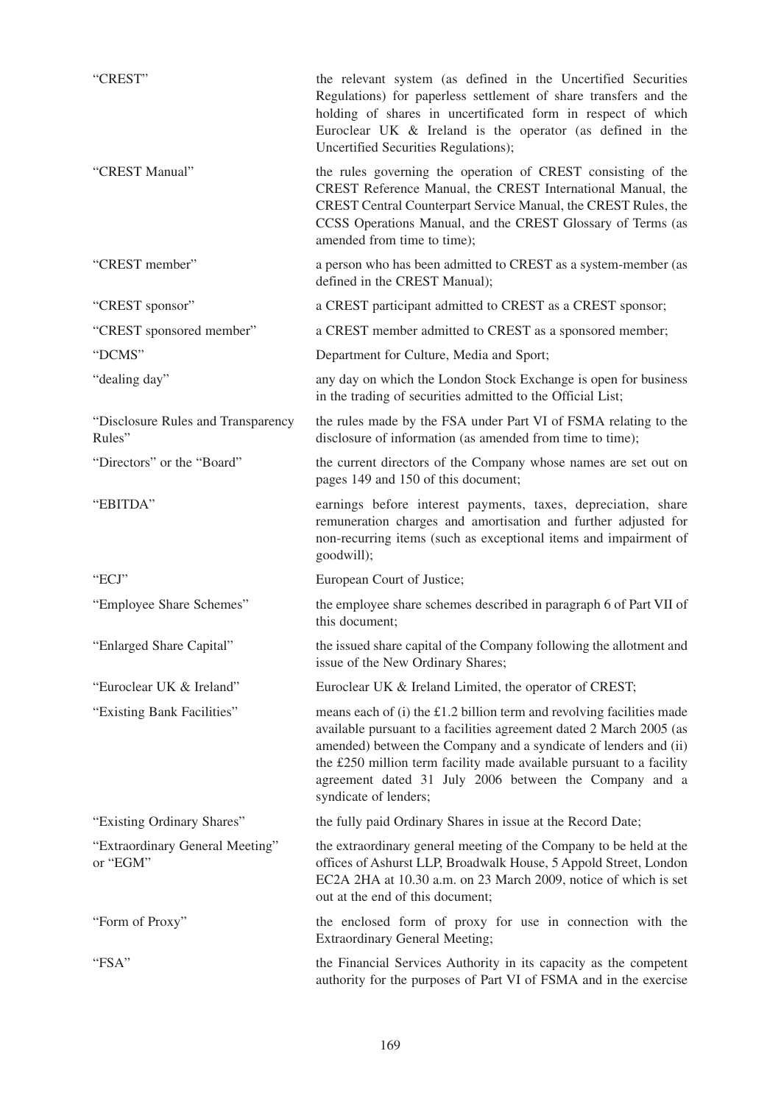| "CREST"                                      | the relevant system (as defined in the Uncertified Securities<br>Regulations) for paperless settlement of share transfers and the<br>holding of shares in uncertificated form in respect of which<br>Euroclear UK & Ireland is the operator (as defined in the<br>Uncertified Securities Regulations);                                                                        |
|----------------------------------------------|-------------------------------------------------------------------------------------------------------------------------------------------------------------------------------------------------------------------------------------------------------------------------------------------------------------------------------------------------------------------------------|
| "CREST Manual"                               | the rules governing the operation of CREST consisting of the<br>CREST Reference Manual, the CREST International Manual, the<br>CREST Central Counterpart Service Manual, the CREST Rules, the<br>CCSS Operations Manual, and the CREST Glossary of Terms (as<br>amended from time to time);                                                                                   |
| "CREST member"                               | a person who has been admitted to CREST as a system-member (as<br>defined in the CREST Manual);                                                                                                                                                                                                                                                                               |
| "CREST sponsor"                              | a CREST participant admitted to CREST as a CREST sponsor;                                                                                                                                                                                                                                                                                                                     |
| "CREST sponsored member"                     | a CREST member admitted to CREST as a sponsored member;                                                                                                                                                                                                                                                                                                                       |
| "DCMS"                                       | Department for Culture, Media and Sport;                                                                                                                                                                                                                                                                                                                                      |
| "dealing day"                                | any day on which the London Stock Exchange is open for business<br>in the trading of securities admitted to the Official List;                                                                                                                                                                                                                                                |
| "Disclosure Rules and Transparency<br>Rules" | the rules made by the FSA under Part VI of FSMA relating to the<br>disclosure of information (as amended from time to time);                                                                                                                                                                                                                                                  |
| "Directors" or the "Board"                   | the current directors of the Company whose names are set out on<br>pages 149 and 150 of this document;                                                                                                                                                                                                                                                                        |
| "EBITDA"                                     | earnings before interest payments, taxes, depreciation, share<br>remuneration charges and amortisation and further adjusted for<br>non-recurring items (such as exceptional items and impairment of<br>goodwill);                                                                                                                                                             |
| "ECJ"                                        | European Court of Justice;                                                                                                                                                                                                                                                                                                                                                    |
| "Employee Share Schemes"                     | the employee share schemes described in paragraph 6 of Part VII of<br>this document;                                                                                                                                                                                                                                                                                          |
| "Enlarged Share Capital"                     | the issued share capital of the Company following the allotment and<br>issue of the New Ordinary Shares;                                                                                                                                                                                                                                                                      |
| "Euroclear UK & Ireland"                     | Euroclear UK & Ireland Limited, the operator of CREST;                                                                                                                                                                                                                                                                                                                        |
| "Existing Bank Facilities"                   | means each of $(i)$ the £1.2 billion term and revolving facilities made<br>available pursuant to a facilities agreement dated 2 March 2005 (as<br>amended) between the Company and a syndicate of lenders and (ii)<br>the £250 million term facility made available pursuant to a facility<br>agreement dated 31 July 2006 between the Company and a<br>syndicate of lenders; |
| "Existing Ordinary Shares"                   | the fully paid Ordinary Shares in issue at the Record Date;                                                                                                                                                                                                                                                                                                                   |
| "Extraordinary General Meeting"<br>or "EGM"  | the extraordinary general meeting of the Company to be held at the<br>offices of Ashurst LLP, Broadwalk House, 5 Appold Street, London<br>EC2A 2HA at 10.30 a.m. on 23 March 2009, notice of which is set<br>out at the end of this document;                                                                                                                                 |
| "Form of Proxy"                              | the enclosed form of proxy for use in connection with the<br><b>Extraordinary General Meeting;</b>                                                                                                                                                                                                                                                                            |
| "FSA"                                        | the Financial Services Authority in its capacity as the competent<br>authority for the purposes of Part VI of FSMA and in the exercise                                                                                                                                                                                                                                        |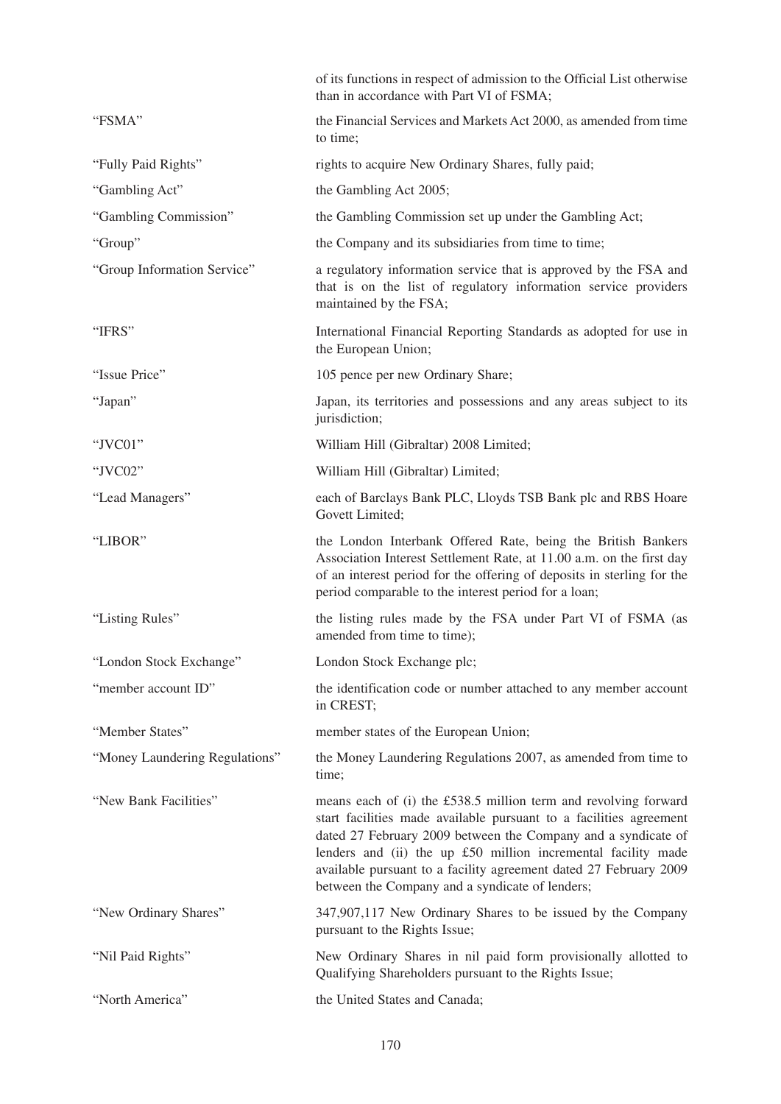|                                | of its functions in respect of admission to the Official List otherwise<br>than in accordance with Part VI of FSMA;                                                                                                                                                                                                                                                                             |
|--------------------------------|-------------------------------------------------------------------------------------------------------------------------------------------------------------------------------------------------------------------------------------------------------------------------------------------------------------------------------------------------------------------------------------------------|
| "FSMA"                         | the Financial Services and Markets Act 2000, as amended from time<br>to time;                                                                                                                                                                                                                                                                                                                   |
| "Fully Paid Rights"            | rights to acquire New Ordinary Shares, fully paid;                                                                                                                                                                                                                                                                                                                                              |
| "Gambling Act"                 | the Gambling Act 2005;                                                                                                                                                                                                                                                                                                                                                                          |
| "Gambling Commission"          | the Gambling Commission set up under the Gambling Act;                                                                                                                                                                                                                                                                                                                                          |
| "Group"                        | the Company and its subsidiaries from time to time;                                                                                                                                                                                                                                                                                                                                             |
| "Group Information Service"    | a regulatory information service that is approved by the FSA and<br>that is on the list of regulatory information service providers<br>maintained by the FSA;                                                                                                                                                                                                                                   |
| "IFRS"                         | International Financial Reporting Standards as adopted for use in<br>the European Union;                                                                                                                                                                                                                                                                                                        |
| "Issue Price"                  | 105 pence per new Ordinary Share;                                                                                                                                                                                                                                                                                                                                                               |
| "Japan"                        | Japan, its territories and possessions and any areas subject to its<br>jurisdiction;                                                                                                                                                                                                                                                                                                            |
| "JVC01"                        | William Hill (Gibraltar) 2008 Limited;                                                                                                                                                                                                                                                                                                                                                          |
| "JVC02"                        | William Hill (Gibraltar) Limited;                                                                                                                                                                                                                                                                                                                                                               |
| "Lead Managers"                | each of Barclays Bank PLC, Lloyds TSB Bank plc and RBS Hoare<br>Govett Limited;                                                                                                                                                                                                                                                                                                                 |
| "LIBOR"                        | the London Interbank Offered Rate, being the British Bankers<br>Association Interest Settlement Rate, at 11.00 a.m. on the first day<br>of an interest period for the offering of deposits in sterling for the<br>period comparable to the interest period for a loan;                                                                                                                          |
| "Listing Rules"                | the listing rules made by the FSA under Part VI of FSMA (as<br>amended from time to time);                                                                                                                                                                                                                                                                                                      |
| "London Stock Exchange"        | London Stock Exchange plc;                                                                                                                                                                                                                                                                                                                                                                      |
| "member account ID"            | the identification code or number attached to any member account<br>in CREST;                                                                                                                                                                                                                                                                                                                   |
| "Member States"                | member states of the European Union;                                                                                                                                                                                                                                                                                                                                                            |
| "Money Laundering Regulations" | the Money Laundering Regulations 2007, as amended from time to<br>time;                                                                                                                                                                                                                                                                                                                         |
| "New Bank Facilities"          | means each of (i) the £538.5 million term and revolving forward<br>start facilities made available pursuant to a facilities agreement<br>dated 27 February 2009 between the Company and a syndicate of<br>lenders and (ii) the up £50 million incremental facility made<br>available pursuant to a facility agreement dated 27 February 2009<br>between the Company and a syndicate of lenders; |
| "New Ordinary Shares"          | 347,907,117 New Ordinary Shares to be issued by the Company<br>pursuant to the Rights Issue;                                                                                                                                                                                                                                                                                                    |
| "Nil Paid Rights"              | New Ordinary Shares in nil paid form provisionally allotted to<br>Qualifying Shareholders pursuant to the Rights Issue;                                                                                                                                                                                                                                                                         |
| "North America"                | the United States and Canada;                                                                                                                                                                                                                                                                                                                                                                   |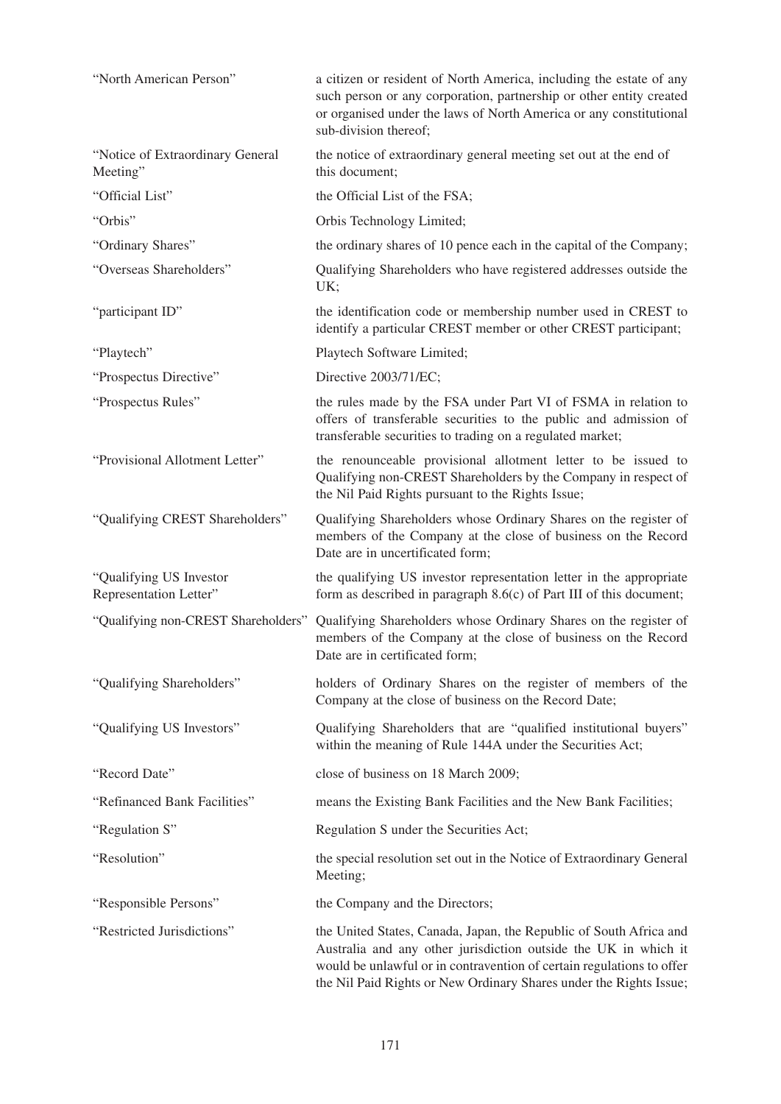| "North American Person"                           | a citizen or resident of North America, including the estate of any<br>such person or any corporation, partnership or other entity created<br>or organised under the laws of North America or any constitutional<br>sub-division thereof;                                            |  |
|---------------------------------------------------|--------------------------------------------------------------------------------------------------------------------------------------------------------------------------------------------------------------------------------------------------------------------------------------|--|
| "Notice of Extraordinary General<br>Meeting"      | the notice of extraordinary general meeting set out at the end of<br>this document;                                                                                                                                                                                                  |  |
| "Official List"                                   | the Official List of the FSA;                                                                                                                                                                                                                                                        |  |
| "Orbis"                                           | Orbis Technology Limited;                                                                                                                                                                                                                                                            |  |
| "Ordinary Shares"                                 | the ordinary shares of 10 pence each in the capital of the Company;                                                                                                                                                                                                                  |  |
| "Overseas Shareholders"                           | Qualifying Shareholders who have registered addresses outside the<br>UK;                                                                                                                                                                                                             |  |
| "participant ID"                                  | the identification code or membership number used in CREST to<br>identify a particular CREST member or other CREST participant;                                                                                                                                                      |  |
| "Playtech"                                        | Playtech Software Limited;                                                                                                                                                                                                                                                           |  |
| "Prospectus Directive"                            | Directive 2003/71/EC;                                                                                                                                                                                                                                                                |  |
| "Prospectus Rules"                                | the rules made by the FSA under Part VI of FSMA in relation to<br>offers of transferable securities to the public and admission of<br>transferable securities to trading on a regulated market;                                                                                      |  |
| "Provisional Allotment Letter"                    | the renounceable provisional allotment letter to be issued to<br>Qualifying non-CREST Shareholders by the Company in respect of<br>the Nil Paid Rights pursuant to the Rights Issue;                                                                                                 |  |
| "Qualifying CREST Shareholders"                   | Qualifying Shareholders whose Ordinary Shares on the register of<br>members of the Company at the close of business on the Record<br>Date are in uncertificated form;                                                                                                                |  |
| "Qualifying US Investor<br>Representation Letter" | the qualifying US investor representation letter in the appropriate<br>form as described in paragraph $8.6(c)$ of Part III of this document;                                                                                                                                         |  |
|                                                   | "Qualifying non-CREST Shareholders" Qualifying Shareholders whose Ordinary Shares on the register of<br>members of the Company at the close of business on the Record<br>Date are in certificated form;                                                                              |  |
| "Qualifying Shareholders"                         | holders of Ordinary Shares on the register of members of the<br>Company at the close of business on the Record Date;                                                                                                                                                                 |  |
| "Qualifying US Investors"                         | Qualifying Shareholders that are "qualified institutional buyers"<br>within the meaning of Rule 144A under the Securities Act;                                                                                                                                                       |  |
| "Record Date"                                     | close of business on 18 March 2009;                                                                                                                                                                                                                                                  |  |
| "Refinanced Bank Facilities"                      | means the Existing Bank Facilities and the New Bank Facilities;                                                                                                                                                                                                                      |  |
| "Regulation S"                                    | Regulation S under the Securities Act;                                                                                                                                                                                                                                               |  |
| "Resolution"                                      | the special resolution set out in the Notice of Extraordinary General<br>Meeting;                                                                                                                                                                                                    |  |
| "Responsible Persons"                             | the Company and the Directors;                                                                                                                                                                                                                                                       |  |
| "Restricted Jurisdictions"                        | the United States, Canada, Japan, the Republic of South Africa and<br>Australia and any other jurisdiction outside the UK in which it<br>would be unlawful or in contravention of certain regulations to offer<br>the Nil Paid Rights or New Ordinary Shares under the Rights Issue; |  |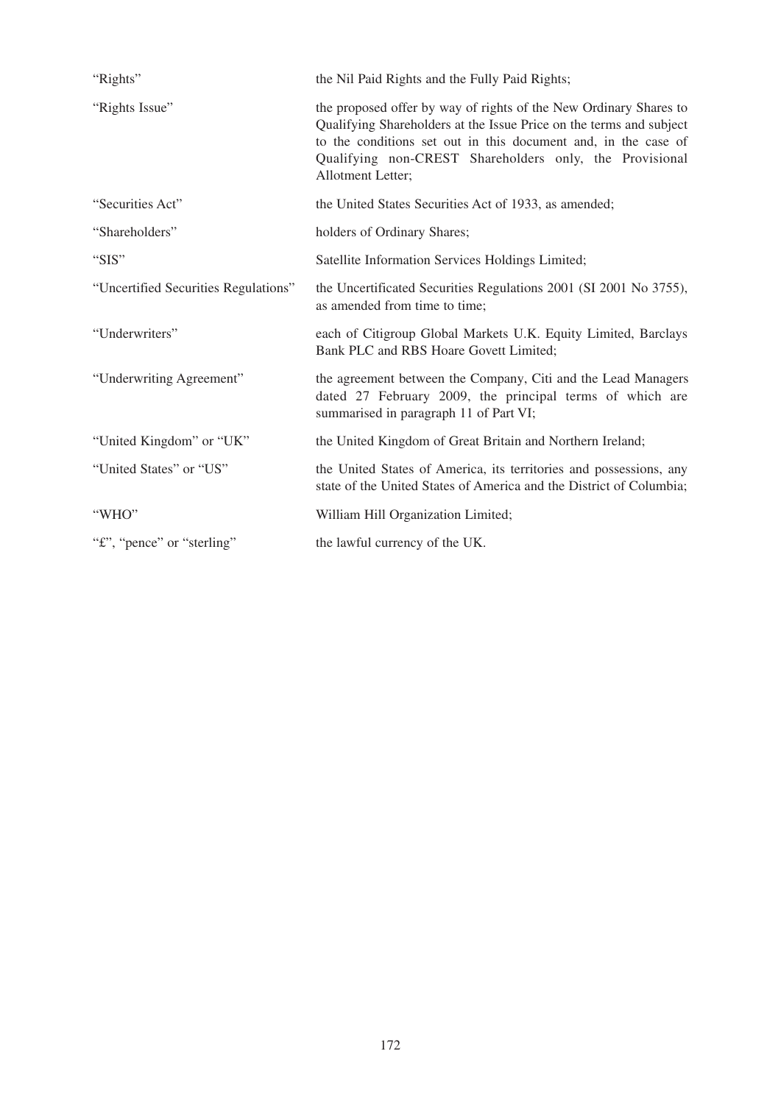| "Rights"                             | the Nil Paid Rights and the Fully Paid Rights;                                                                                                                                                                                                                                             |  |
|--------------------------------------|--------------------------------------------------------------------------------------------------------------------------------------------------------------------------------------------------------------------------------------------------------------------------------------------|--|
| "Rights Issue"                       | the proposed offer by way of rights of the New Ordinary Shares to<br>Qualifying Shareholders at the Issue Price on the terms and subject<br>to the conditions set out in this document and, in the case of<br>Qualifying non-CREST Shareholders only, the Provisional<br>Allotment Letter; |  |
| "Securities Act"                     | the United States Securities Act of 1933, as amended;                                                                                                                                                                                                                                      |  |
| "Shareholders"                       | holders of Ordinary Shares;                                                                                                                                                                                                                                                                |  |
| "SIS"                                | Satellite Information Services Holdings Limited;                                                                                                                                                                                                                                           |  |
| "Uncertified Securities Regulations" | the Uncertificated Securities Regulations 2001 (SI 2001 No 3755),<br>as amended from time to time;                                                                                                                                                                                         |  |
| "Underwriters"                       | each of Citigroup Global Markets U.K. Equity Limited, Barclays<br>Bank PLC and RBS Hoare Govett Limited;                                                                                                                                                                                   |  |
| "Underwriting Agreement"             | the agreement between the Company, Citi and the Lead Managers<br>dated 27 February 2009, the principal terms of which are<br>summarised in paragraph 11 of Part VI;                                                                                                                        |  |
| "United Kingdom" or "UK"             | the United Kingdom of Great Britain and Northern Ireland;                                                                                                                                                                                                                                  |  |
| "United States" or "US"              | the United States of America, its territories and possessions, any<br>state of the United States of America and the District of Columbia;                                                                                                                                                  |  |
| "WHO"                                | William Hill Organization Limited;                                                                                                                                                                                                                                                         |  |
| "£", "pence" or "sterling"           | the lawful currency of the UK.                                                                                                                                                                                                                                                             |  |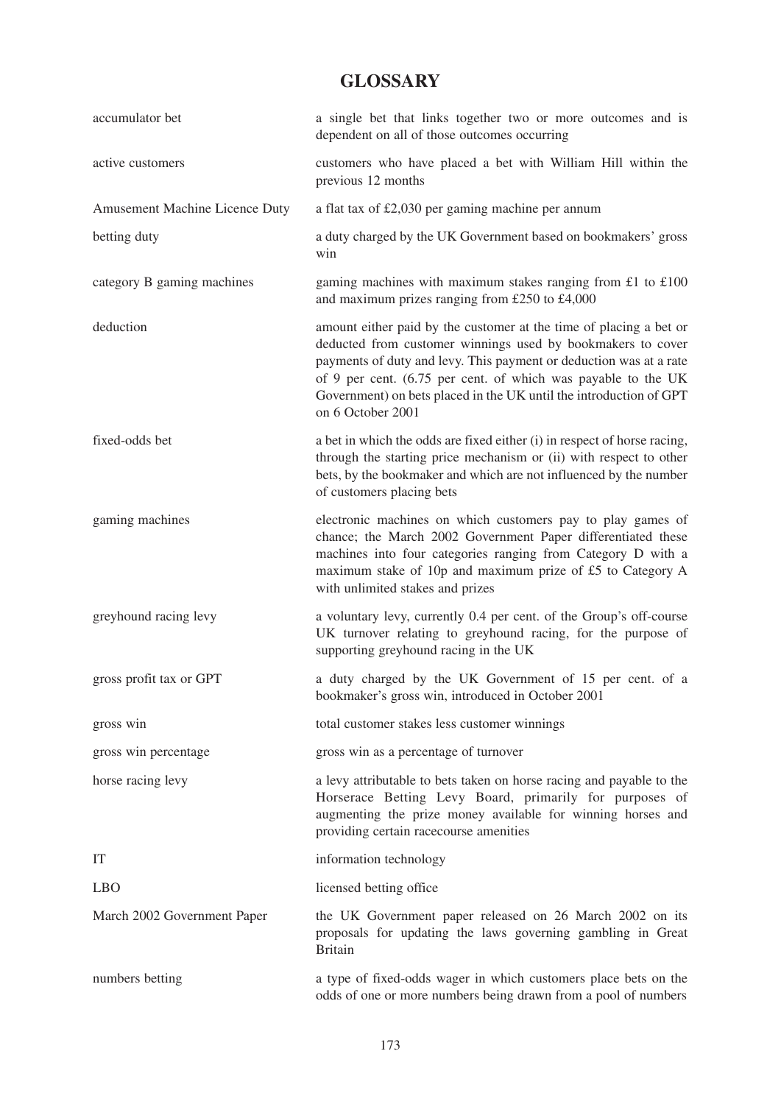## **GLOSSARY**

| accumulator bet                | a single bet that links together two or more outcomes and is<br>dependent on all of those outcomes occurring                                                                                                                                                                                                                                                        |  |
|--------------------------------|---------------------------------------------------------------------------------------------------------------------------------------------------------------------------------------------------------------------------------------------------------------------------------------------------------------------------------------------------------------------|--|
| active customers               | customers who have placed a bet with William Hill within the<br>previous 12 months                                                                                                                                                                                                                                                                                  |  |
| Amusement Machine Licence Duty | a flat tax of £2,030 per gaming machine per annum                                                                                                                                                                                                                                                                                                                   |  |
| betting duty                   | a duty charged by the UK Government based on bookmakers' gross<br>win                                                                                                                                                                                                                                                                                               |  |
| category B gaming machines     | gaming machines with maximum stakes ranging from $£1$ to $£100$<br>and maximum prizes ranging from £250 to £4,000                                                                                                                                                                                                                                                   |  |
| deduction                      | amount either paid by the customer at the time of placing a bet or<br>deducted from customer winnings used by bookmakers to cover<br>payments of duty and levy. This payment or deduction was at a rate<br>of 9 per cent. (6.75 per cent. of which was payable to the UK<br>Government) on bets placed in the UK until the introduction of GPT<br>on 6 October 2001 |  |
| fixed-odds bet                 | a bet in which the odds are fixed either (i) in respect of horse racing,<br>through the starting price mechanism or (ii) with respect to other<br>bets, by the bookmaker and which are not influenced by the number<br>of customers placing bets                                                                                                                    |  |
| gaming machines                | electronic machines on which customers pay to play games of<br>chance; the March 2002 Government Paper differentiated these<br>machines into four categories ranging from Category D with a<br>maximum stake of 10p and maximum prize of £5 to Category A<br>with unlimited stakes and prizes                                                                       |  |
| greyhound racing levy          | a voluntary levy, currently 0.4 per cent. of the Group's off-course<br>UK turnover relating to greyhound racing, for the purpose of<br>supporting greyhound racing in the UK                                                                                                                                                                                        |  |
| gross profit tax or GPT        | a duty charged by the UK Government of 15 per cent. of a<br>bookmaker's gross win, introduced in October 2001                                                                                                                                                                                                                                                       |  |
| gross win                      | total customer stakes less customer winnings                                                                                                                                                                                                                                                                                                                        |  |
| gross win percentage           | gross win as a percentage of turnover                                                                                                                                                                                                                                                                                                                               |  |
| horse racing levy              | a levy attributable to bets taken on horse racing and payable to the<br>Horserace Betting Levy Board, primarily for purposes of<br>augmenting the prize money available for winning horses and<br>providing certain racecourse amenities                                                                                                                            |  |
| IT                             | information technology                                                                                                                                                                                                                                                                                                                                              |  |
| <b>LBO</b>                     | licensed betting office                                                                                                                                                                                                                                                                                                                                             |  |
| March 2002 Government Paper    | the UK Government paper released on 26 March 2002 on its<br>proposals for updating the laws governing gambling in Great<br><b>Britain</b>                                                                                                                                                                                                                           |  |
| numbers betting                | a type of fixed-odds wager in which customers place bets on the<br>odds of one or more numbers being drawn from a pool of numbers                                                                                                                                                                                                                                   |  |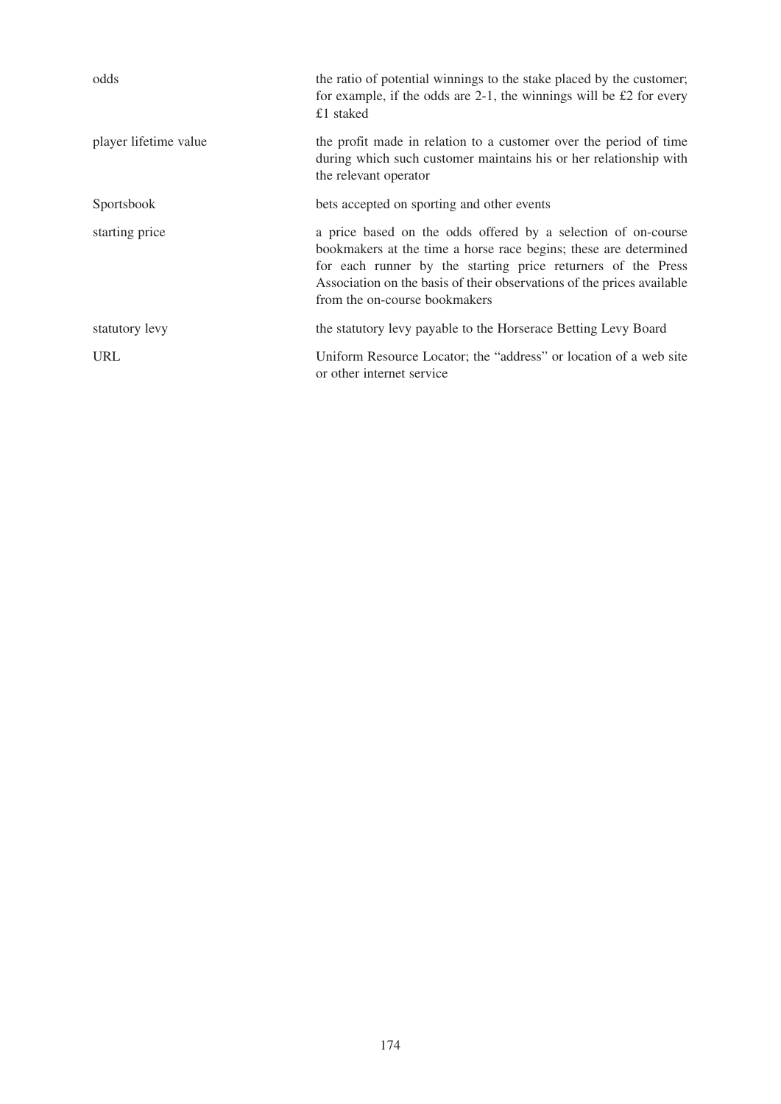| odds                  | the ratio of potential winnings to the stake placed by the customer;<br>for example, if the odds are $2-1$ , the winnings will be £2 for every<br>£1 staked                                                                                                                                                  |
|-----------------------|--------------------------------------------------------------------------------------------------------------------------------------------------------------------------------------------------------------------------------------------------------------------------------------------------------------|
| player lifetime value | the profit made in relation to a customer over the period of time<br>during which such customer maintains his or her relationship with<br>the relevant operator                                                                                                                                              |
| <b>Sportsbook</b>     | bets accepted on sporting and other events                                                                                                                                                                                                                                                                   |
| starting price        | a price based on the odds offered by a selection of on-course<br>bookmakers at the time a horse race begins; these are determined<br>for each runner by the starting price returners of the Press<br>Association on the basis of their observations of the prices available<br>from the on-course bookmakers |
| statutory levy        | the statutory levy payable to the Horserace Betting Levy Board                                                                                                                                                                                                                                               |
| <b>URL</b>            | Uniform Resource Locator; the "address" or location of a web site<br>or other internet service                                                                                                                                                                                                               |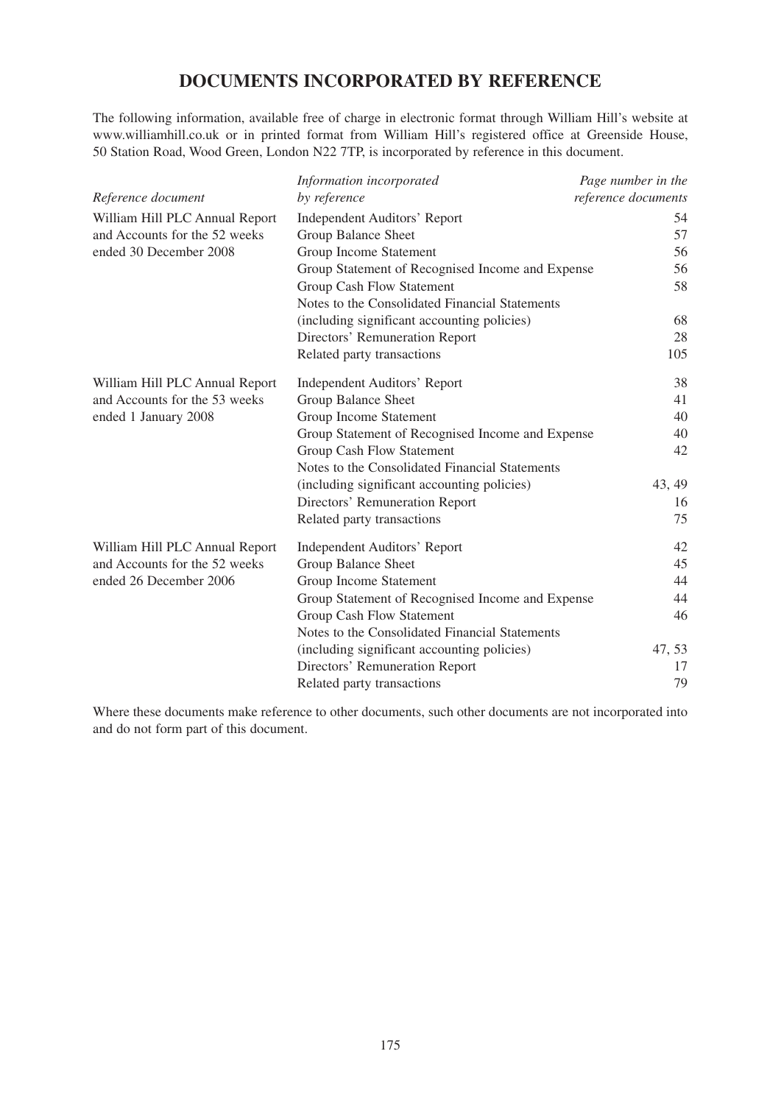## **DOCUMENTS INCORPORATED BY REFERENCE**

The following information, available free of charge in electronic format through William Hill's website at www.williamhill.co.uk or in printed format from William Hill's registered office at Greenside House, 50 Station Road, Wood Green, London N22 7TP, is incorporated by reference in this document.

|                                | Information incorporated                         | Page number in the  |
|--------------------------------|--------------------------------------------------|---------------------|
| Reference document             | by reference                                     | reference documents |
| William Hill PLC Annual Report | <b>Independent Auditors' Report</b>              | 54                  |
| and Accounts for the 52 weeks  | <b>Group Balance Sheet</b>                       | 57                  |
| ended 30 December 2008         | Group Income Statement                           | 56                  |
|                                | Group Statement of Recognised Income and Expense | 56                  |
|                                | Group Cash Flow Statement                        | 58                  |
|                                | Notes to the Consolidated Financial Statements   |                     |
|                                | (including significant accounting policies)      | 68                  |
|                                | Directors' Remuneration Report                   | 28                  |
|                                | Related party transactions                       | 105                 |
| William Hill PLC Annual Report | <b>Independent Auditors' Report</b>              | 38                  |
| and Accounts for the 53 weeks  | Group Balance Sheet                              | 41                  |
| ended 1 January 2008           | Group Income Statement                           | 40                  |
|                                | Group Statement of Recognised Income and Expense | 40                  |
|                                | Group Cash Flow Statement                        | 42                  |
|                                | Notes to the Consolidated Financial Statements   |                     |
|                                | (including significant accounting policies)      | 43, 49              |
|                                | Directors' Remuneration Report                   | 16                  |
|                                | Related party transactions                       | 75                  |
| William Hill PLC Annual Report | <b>Independent Auditors' Report</b>              | 42                  |
| and Accounts for the 52 weeks  | <b>Group Balance Sheet</b>                       | 45                  |
| ended 26 December 2006         | Group Income Statement                           | 44                  |
|                                | Group Statement of Recognised Income and Expense | 44                  |
|                                | Group Cash Flow Statement                        | 46                  |
|                                | Notes to the Consolidated Financial Statements   |                     |
|                                | (including significant accounting policies)      | 47, 53              |
|                                | Directors' Remuneration Report                   | 17                  |
|                                | Related party transactions                       | 79                  |

Where these documents make reference to other documents, such other documents are not incorporated into and do not form part of this document.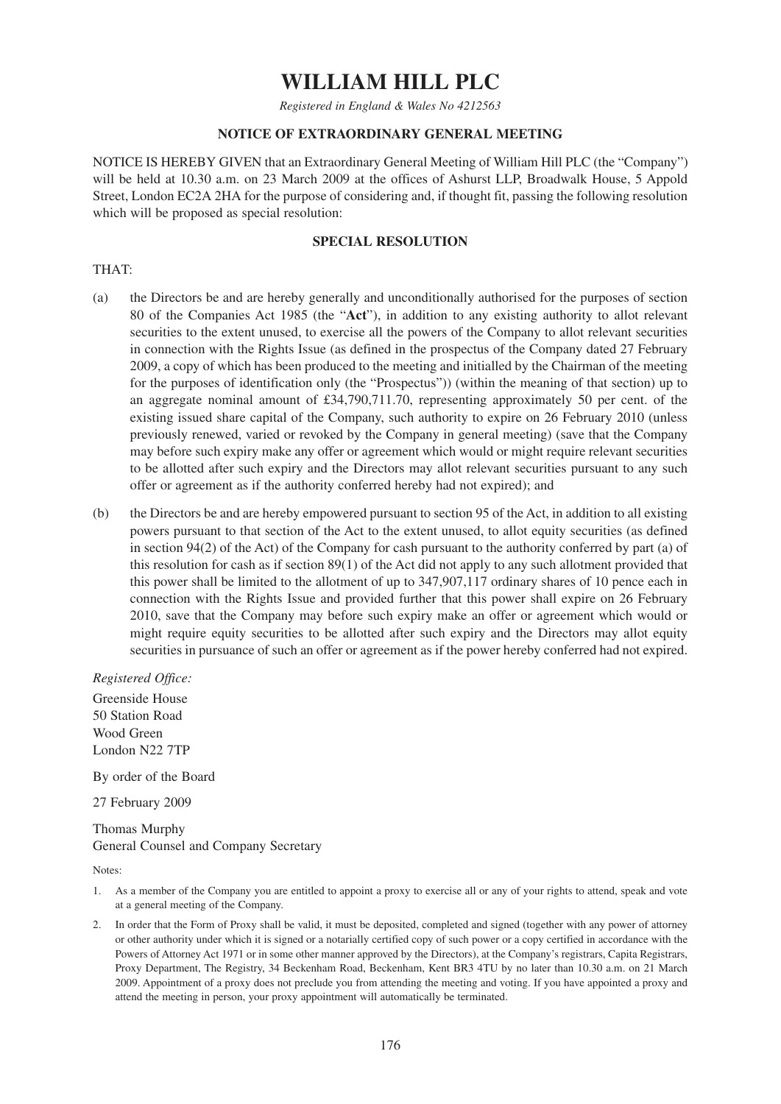# **WILLIAM HILL PLC**

*Registered in England & Wales No 4212563*

## **NOTICE OF EXTRAORDINARY GENERAL MEETING**

NOTICE IS HEREBY GIVEN that an Extraordinary General Meeting of William Hill PLC (the "Company") will be held at 10.30 a.m. on 23 March 2009 at the offices of Ashurst LLP, Broadwalk House, 5 Appold Street, London EC2A 2HA for the purpose of considering and, if thought fit, passing the following resolution which will be proposed as special resolution:

## **SPECIAL RESOLUTION**

## THAT:

- (a) the Directors be and are hereby generally and unconditionally authorised for the purposes of section 80 of the Companies Act 1985 (the "**Act**"), in addition to any existing authority to allot relevant securities to the extent unused, to exercise all the powers of the Company to allot relevant securities in connection with the Rights Issue (as defined in the prospectus of the Company dated 27 February 2009, a copy of which has been produced to the meeting and initialled by the Chairman of the meeting for the purposes of identification only (the "Prospectus")) (within the meaning of that section) up to an aggregate nominal amount of  $£34,790,711.70$ , representing approximately 50 per cent. of the existing issued share capital of the Company, such authority to expire on 26 February 2010 (unless previously renewed, varied or revoked by the Company in general meeting) (save that the Company may before such expiry make any offer or agreement which would or might require relevant securities to be allotted after such expiry and the Directors may allot relevant securities pursuant to any such offer or agreement as if the authority conferred hereby had not expired); and
- (b) the Directors be and are hereby empowered pursuant to section 95 of the Act, in addition to all existing powers pursuant to that section of the Act to the extent unused, to allot equity securities (as defined in section 94(2) of the Act) of the Company for cash pursuant to the authority conferred by part (a) of this resolution for cash as if section 89(1) of the Act did not apply to any such allotment provided that this power shall be limited to the allotment of up to 347,907,117 ordinary shares of 10 pence each in connection with the Rights Issue and provided further that this power shall expire on 26 February 2010, save that the Company may before such expiry make an offer or agreement which would or might require equity securities to be allotted after such expiry and the Directors may allot equity securities in pursuance of such an offer or agreement as if the power hereby conferred had not expired.

*Registered Office:*

Greenside House 50 Station Road Wood Green London N22 7TP

By order of the Board

27 February 2009

## Thomas Murphy General Counsel and Company Secretary

Notes:

- 1. As a member of the Company you are entitled to appoint a proxy to exercise all or any of your rights to attend, speak and vote at a general meeting of the Company.
- 2. In order that the Form of Proxy shall be valid, it must be deposited, completed and signed (together with any power of attorney or other authority under which it is signed or a notarially certified copy of such power or a copy certified in accordance with the Powers of Attorney Act 1971 or in some other manner approved by the Directors), at the Company's registrars, Capita Registrars, Proxy Department, The Registry, 34 Beckenham Road, Beckenham, Kent BR3 4TU by no later than 10.30 a.m. on 21 March 2009. Appointment of a proxy does not preclude you from attending the meeting and voting. If you have appointed a proxy and attend the meeting in person, your proxy appointment will automatically be terminated.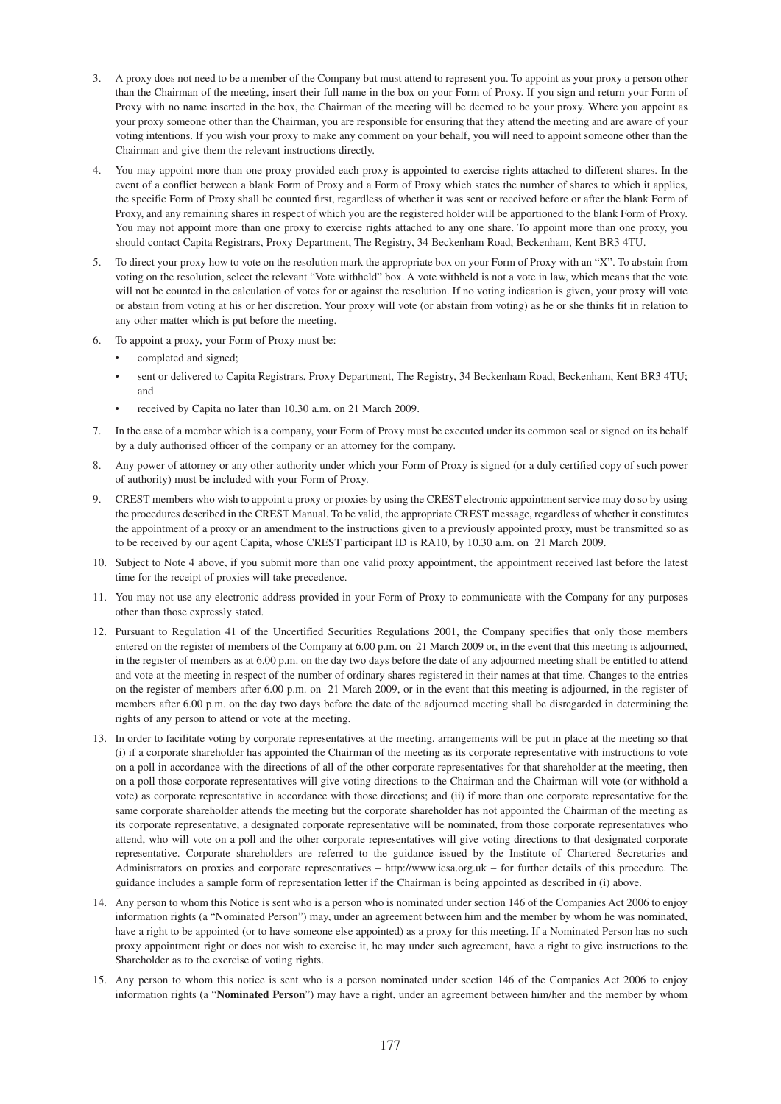- 3. A proxy does not need to be a member of the Company but must attend to represent you. To appoint as your proxy a person other than the Chairman of the meeting, insert their full name in the box on your Form of Proxy. If you sign and return your Form of Proxy with no name inserted in the box, the Chairman of the meeting will be deemed to be your proxy. Where you appoint as your proxy someone other than the Chairman, you are responsible for ensuring that they attend the meeting and are aware of your voting intentions. If you wish your proxy to make any comment on your behalf, you will need to appoint someone other than the Chairman and give them the relevant instructions directly.
- 4. You may appoint more than one proxy provided each proxy is appointed to exercise rights attached to different shares. In the event of a conflict between a blank Form of Proxy and a Form of Proxy which states the number of shares to which it applies, the specific Form of Proxy shall be counted first, regardless of whether it was sent or received before or after the blank Form of Proxy, and any remaining shares in respect of which you are the registered holder will be apportioned to the blank Form of Proxy. You may not appoint more than one proxy to exercise rights attached to any one share. To appoint more than one proxy, you should contact Capita Registrars, Proxy Department, The Registry, 34 Beckenham Road, Beckenham, Kent BR3 4TU.
- 5. To direct your proxy how to vote on the resolution mark the appropriate box on your Form of Proxy with an "X". To abstain from voting on the resolution, select the relevant "Vote withheld" box. A vote withheld is not a vote in law, which means that the vote will not be counted in the calculation of votes for or against the resolution. If no voting indication is given, your proxy will vote or abstain from voting at his or her discretion. Your proxy will vote (or abstain from voting) as he or she thinks fit in relation to any other matter which is put before the meeting.
- 6. To appoint a proxy, your Form of Proxy must be:
	- completed and signed;
	- sent or delivered to Capita Registrars, Proxy Department, The Registry, 34 Beckenham Road, Beckenham, Kent BR3 4TU; and
	- received by Capita no later than 10.30 a.m. on 21 March 2009.
- 7. In the case of a member which is a company, your Form of Proxy must be executed under its common seal or signed on its behalf by a duly authorised officer of the company or an attorney for the company.
- 8. Any power of attorney or any other authority under which your Form of Proxy is signed (or a duly certified copy of such power of authority) must be included with your Form of Proxy.
- 9. CREST members who wish to appoint a proxy or proxies by using the CREST electronic appointment service may do so by using the procedures described in the CREST Manual. To be valid, the appropriate CREST message, regardless of whether it constitutes the appointment of a proxy or an amendment to the instructions given to a previously appointed proxy, must be transmitted so as to be received by our agent Capita, whose CREST participant ID is RA10, by 10.30 a.m. on 21 March 2009.
- 10. Subject to Note 4 above, if you submit more than one valid proxy appointment, the appointment received last before the latest time for the receipt of proxies will take precedence.
- 11. You may not use any electronic address provided in your Form of Proxy to communicate with the Company for any purposes other than those expressly stated.
- 12. Pursuant to Regulation 41 of the Uncertified Securities Regulations 2001, the Company specifies that only those members entered on the register of members of the Company at 6.00 p.m. on 21 March 2009 or, in the event that this meeting is adjourned, in the register of members as at 6.00 p.m. on the day two days before the date of any adjourned meeting shall be entitled to attend and vote at the meeting in respect of the number of ordinary shares registered in their names at that time. Changes to the entries on the register of members after 6.00 p.m. on 21 March 2009, or in the event that this meeting is adjourned, in the register of members after 6.00 p.m. on the day two days before the date of the adjourned meeting shall be disregarded in determining the rights of any person to attend or vote at the meeting.
- 13. In order to facilitate voting by corporate representatives at the meeting, arrangements will be put in place at the meeting so that (i) if a corporate shareholder has appointed the Chairman of the meeting as its corporate representative with instructions to vote on a poll in accordance with the directions of all of the other corporate representatives for that shareholder at the meeting, then on a poll those corporate representatives will give voting directions to the Chairman and the Chairman will vote (or withhold a vote) as corporate representative in accordance with those directions; and (ii) if more than one corporate representative for the same corporate shareholder attends the meeting but the corporate shareholder has not appointed the Chairman of the meeting as its corporate representative, a designated corporate representative will be nominated, from those corporate representatives who attend, who will vote on a poll and the other corporate representatives will give voting directions to that designated corporate representative. Corporate shareholders are referred to the guidance issued by the Institute of Chartered Secretaries and Administrators on proxies and corporate representatives – http://www.icsa.org.uk – for further details of this procedure. The guidance includes a sample form of representation letter if the Chairman is being appointed as described in (i) above.
- 14. Any person to whom this Notice is sent who is a person who is nominated under section 146 of the Companies Act 2006 to enjoy information rights (a "Nominated Person") may, under an agreement between him and the member by whom he was nominated, have a right to be appointed (or to have someone else appointed) as a proxy for this meeting. If a Nominated Person has no such proxy appointment right or does not wish to exercise it, he may under such agreement, have a right to give instructions to the Shareholder as to the exercise of voting rights.
- 15. Any person to whom this notice is sent who is a person nominated under section 146 of the Companies Act 2006 to enjoy information rights (a "**Nominated Person**") may have a right, under an agreement between him/her and the member by whom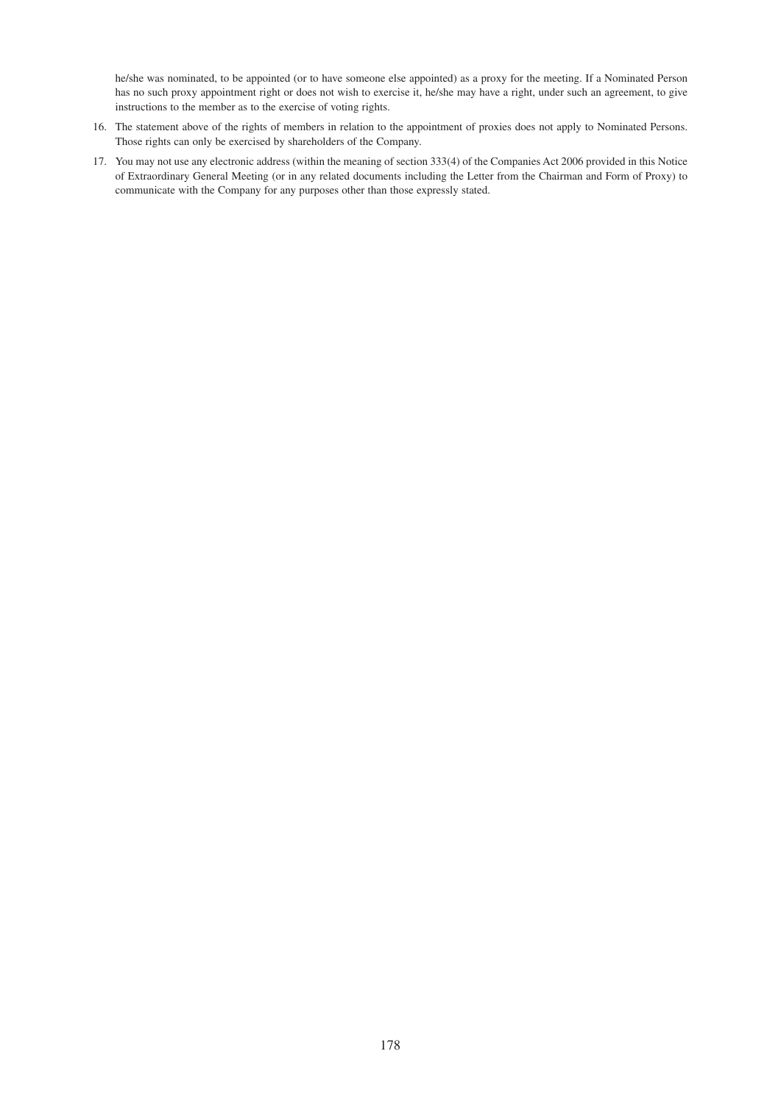he/she was nominated, to be appointed (or to have someone else appointed) as a proxy for the meeting. If a Nominated Person has no such proxy appointment right or does not wish to exercise it, he/she may have a right, under such an agreement, to give instructions to the member as to the exercise of voting rights.

- 16. The statement above of the rights of members in relation to the appointment of proxies does not apply to Nominated Persons. Those rights can only be exercised by shareholders of the Company.
- 17. You may not use any electronic address (within the meaning of section 333(4) of the Companies Act 2006 provided in this Notice of Extraordinary General Meeting (or in any related documents including the Letter from the Chairman and Form of Proxy) to communicate with the Company for any purposes other than those expressly stated.